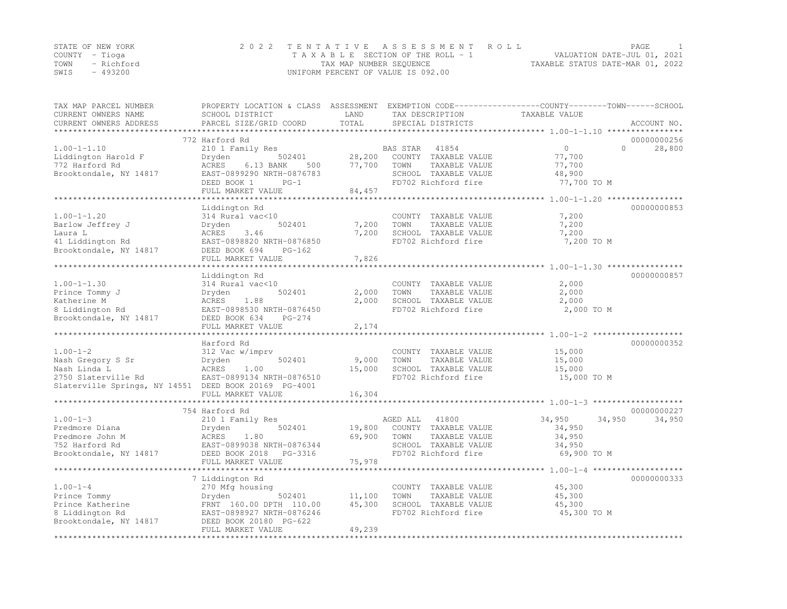|                | STATE OF NEW YORK | 2022 TENTATIVE ASSESSMENT ROLL                                 | PAGE |  |
|----------------|-------------------|----------------------------------------------------------------|------|--|
| COUNTY – Tioga |                   | VALUATION DATE-JUL 01, 2021<br>TAXABLE SECTION OF THE ROLL - 1 |      |  |
|                | TOWN - Richford   | TAXABLE STATUS DATE-MAR 01, 2022<br>TAX MAP NUMBER SEQUENCE    |      |  |
| SWIS           | - 493200          | UNIFORM PERCENT OF VALUE IS 092.00                             |      |  |

| TAX MAP PARCEL NUMBER<br>CURRENT OWNERS NAME          | PROPERTY LOCATION & CLASS ASSESSMENT EXEMPTION CODE-----------------COUNTY-------TOWN-----SCHOOL<br>SCHOOL DISTRICT | LAND   | TAX DESCRIPTION       | TAXABLE VALUE                             |          |             |
|-------------------------------------------------------|---------------------------------------------------------------------------------------------------------------------|--------|-----------------------|-------------------------------------------|----------|-------------|
| CURRENT OWNERS ADDRESS                                | PARCEL SIZE/GRID COORD                                                                                              | TOTAL  | SPECIAL DISTRICTS     |                                           |          | ACCOUNT NO. |
| ******************                                    |                                                                                                                     |        |                       |                                           |          |             |
|                                                       | 772 Harford Rd                                                                                                      |        |                       |                                           |          | 00000000256 |
| $1.00 - 1 - 1.10$                                     | 210 1 Family Res                                                                                                    |        | BAS STAR<br>41854     | $\Omega$                                  | $\Omega$ | 28,800      |
| Liddington Harold F                                   | Dryden<br>502401                                                                                                    | 28,200 | COUNTY TAXABLE VALUE  | 77,700                                    |          |             |
| 772 Harford Rd                                        | ACRES<br>6.13 BANK<br>500                                                                                           | 77,700 | TOWN<br>TAXABLE VALUE | 77,700                                    |          |             |
| Brooktondale, NY 14817                                | EAST-0899290 NRTH-0876783                                                                                           |        | SCHOOL TAXABLE VALUE  | 48,900                                    |          |             |
|                                                       | DEED BOOK 1<br>$PG-1$                                                                                               |        | FD702 Richford fire   | 77,700 TO M                               |          |             |
|                                                       | FULL MARKET VALUE                                                                                                   | 84,457 |                       |                                           |          |             |
|                                                       |                                                                                                                     |        |                       | *********** 1.00-1-1.20 ***************** |          |             |
|                                                       | Liddington Rd                                                                                                       |        |                       |                                           |          | 00000000853 |
| $1.00 - 1 - 1.20$                                     | 314 Rural vac<10                                                                                                    |        | COUNTY TAXABLE VALUE  | 7,200                                     |          |             |
| Barlow Jeffrey J                                      | 502401<br>Dryden                                                                                                    | 7,200  | TAXABLE VALUE<br>TOWN | 7,200                                     |          |             |
| Laura L                                               | ACRES<br>3.46                                                                                                       | 7,200  | SCHOOL TAXABLE VALUE  | 7,200                                     |          |             |
| 41 Liddington Rd                                      | EAST-0898820 NRTH-0876850                                                                                           |        | FD702 Richford fire   | 7,200 TO M                                |          |             |
| Brooktondale, NY 14817                                | DEED BOOK 694<br>$PG-162$                                                                                           |        |                       |                                           |          |             |
|                                                       | FULL MARKET VALUE                                                                                                   | 7,826  |                       |                                           |          |             |
|                                                       |                                                                                                                     |        |                       |                                           |          |             |
|                                                       | Liddington Rd                                                                                                       |        |                       |                                           |          | 00000000857 |
| $1.00 - 1 - 1.30$                                     | 314 Rural vac<10                                                                                                    |        | COUNTY TAXABLE VALUE  | 2,000                                     |          |             |
| Prince Tommy J                                        | 502401<br>Dryden                                                                                                    | 2,000  | TOWN<br>TAXABLE VALUE | 2,000                                     |          |             |
| Katherine M                                           | 1.88<br>ACRES                                                                                                       | 2,000  | SCHOOL TAXABLE VALUE  | 2,000                                     |          |             |
| 8 Liddington Rd                                       | EAST-0898530 NRTH-0876450                                                                                           |        | FD702 Richford fire   | 2,000 TO M                                |          |             |
| Brooktondale, NY 14817                                | DEED BOOK 634<br>PG-274                                                                                             |        |                       |                                           |          |             |
|                                                       | FULL MARKET VALUE                                                                                                   | 2,174  |                       |                                           |          |             |
|                                                       |                                                                                                                     |        |                       |                                           |          |             |
|                                                       | Harford Rd                                                                                                          |        |                       |                                           |          | 00000000352 |
| $1.00 - 1 - 2$                                        | 312 Vac w/imprv                                                                                                     |        | COUNTY TAXABLE VALUE  | 15,000                                    |          |             |
| Nash Gregory S Sr                                     | 502401<br>Dryden                                                                                                    | 9,000  | TAXABLE VALUE<br>TOWN | 15,000                                    |          |             |
| Nash Linda L                                          | ACRES<br>1.00                                                                                                       | 15,000 | SCHOOL TAXABLE VALUE  | 15,000                                    |          |             |
| 2750 Slaterville Rd                                   | EAST-0899134 NRTH-0876510                                                                                           |        | FD702 Richford fire   | 15,000 TO M                               |          |             |
| Slaterville Springs, NY 14551 DEED BOOK 20169 PG-4001 |                                                                                                                     |        |                       |                                           |          |             |
|                                                       | FULL MARKET VALUE                                                                                                   | 16,304 |                       |                                           |          |             |
|                                                       |                                                                                                                     |        |                       |                                           |          |             |
|                                                       | 754 Harford Rd                                                                                                      |        |                       |                                           |          | 00000000227 |
| $1.00 - 1 - 3$                                        | 210 1 Family Res                                                                                                    |        | AGED ALL<br>41800     | 34,950                                    | 34,950   | 34,950      |
| Predmore Diana                                        | 502401<br>Dryden                                                                                                    | 19,800 | COUNTY TAXABLE VALUE  | 34,950                                    |          |             |
| Predmore John M                                       | ACRES<br>1.80                                                                                                       | 69,900 | TOWN<br>TAXABLE VALUE | 34,950                                    |          |             |
| 752 Harford Rd                                        | EAST-0899038 NRTH-0876344                                                                                           |        | SCHOOL TAXABLE VALUE  | 34,950                                    |          |             |
| Brooktondale, NY 14817                                | DEED BOOK 2018<br>PG-3316                                                                                           |        | FD702 Richford fire   | 69,900 TO M                               |          |             |
|                                                       | FULL MARKET VALUE                                                                                                   | 75,978 |                       |                                           |          |             |
|                                                       |                                                                                                                     |        |                       |                                           |          |             |
|                                                       | 7 Liddington Rd                                                                                                     |        |                       |                                           |          | 00000000333 |
| $1.00 - 1 - 4$                                        | 270 Mfg housing                                                                                                     |        | COUNTY TAXABLE VALUE  | 45,300                                    |          |             |
| Prince Tommy                                          | Dryden<br>502401                                                                                                    | 11,100 | TOWN<br>TAXABLE VALUE | 45,300                                    |          |             |
| Prince Katherine                                      | FRNT 160.00 DPTH 110.00                                                                                             | 45,300 | SCHOOL TAXABLE VALUE  | 45,300                                    |          |             |
| 8 Liddington Rd                                       | EAST-0898927 NRTH-0876246                                                                                           |        | FD702 Richford fire   | 45,300 TO M                               |          |             |
| Brooktondale, NY 14817                                | DEED BOOK 20180 PG-622                                                                                              |        |                       |                                           |          |             |
|                                                       | FULL MARKET VALUE                                                                                                   | 49,239 |                       |                                           |          |             |
|                                                       |                                                                                                                     |        |                       |                                           |          |             |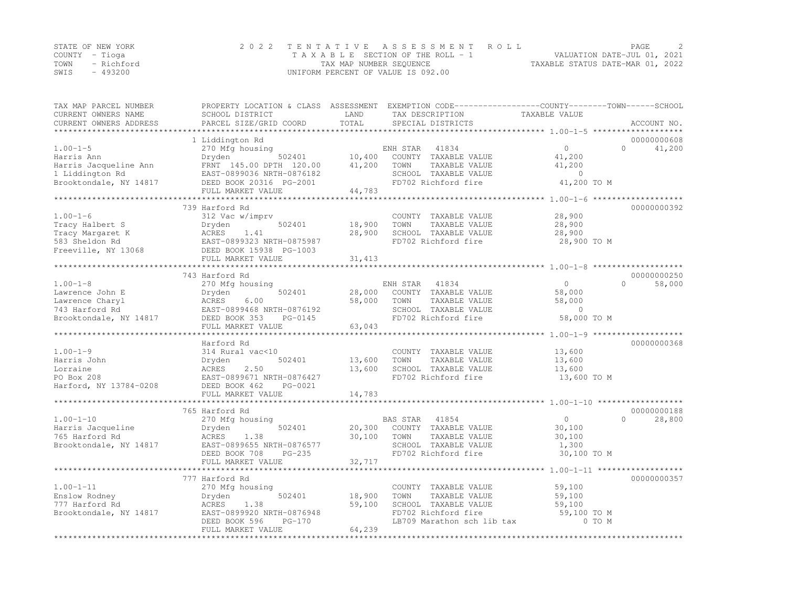| STATE OF NEW YORK | 2022 TENTATIVE ASSESSMENT ROLL     | <b>PAGE</b>                      |
|-------------------|------------------------------------|----------------------------------|
| COUNTY – Tioga    | TAXABLE SECTION OF THE ROLL - 1    | VALUATION DATE-JUL 01, 2021      |
| TOWN - Richford   | TAX MAP NUMBER SEQUENCE            | TAXABLE STATUS DATE-MAR 01, 2022 |
| $-493200$<br>SWIS | UNIFORM PERCENT OF VALUE IS 092.00 |                                  |

| TOTAL<br>PARCEL SIZE/GRID COORD<br>CURRENT OWNERS ADDRESS<br>SPECIAL DISTRICTS<br>ACCOUNT NO.<br>*********************<br>00000000608<br>1 Liddington Rd<br>$1.00 - 1 - 5$<br>$\circ$<br>270 Mfg housing<br>41834<br>$\Omega$<br>41,200<br>ENH STAR<br>10,400<br>502401<br>COUNTY TAXABLE VALUE<br>41,200<br>Harris Ann<br>Dryden<br>41,200<br>TAXABLE VALUE<br>Harris Jacqueline Ann<br>FRNT 145.00 DPTH 120.00<br>TOWN<br>41,200<br>1 Liddington Rd<br>EAST-0899036 NRTH-0876182<br>SCHOOL TAXABLE VALUE<br>$\overline{0}$<br>FD702 Richford fire<br>Brooktondale, NY 14817<br>DEED BOOK 20316 PG-2001<br>41,200 TO M<br>44,783<br>FULL MARKET VALUE<br>*************************<br>************** 1.00-1-6 ********************<br>**********************<br>739 Harford Rd<br>00000000392<br>$1.00 - 1 - 6$<br>28,900<br>312 Vac w/imprv<br>COUNTY TAXABLE VALUE<br>Tracy Halbert S<br>502401<br>18,900<br>TAXABLE VALUE<br>28,900<br>Dryden<br>TOWN<br>ACRES 1.41<br>28,900<br>SCHOOL TAXABLE VALUE<br>28,900<br>Tracy Margaret K<br>583 Sheldon Rd<br>FD702 Richford fire<br>EAST-0899323 NRTH-0875987<br>28,900 TO M<br>Freeville, NY 13068<br>DEED BOOK 15938 PG-1003<br>FULL MARKET VALUE<br>31,413<br>743 Harford Rd<br>00000000250<br>$1.00 - 1 - 8$<br>ENH STAR<br>41834<br>$\overline{0}$<br>$\Omega$<br>58,000<br>270 Mfg housing<br>Lawrence John E<br>Dryden<br>502401<br>28,000<br>COUNTY TAXABLE VALUE<br>58,000<br>Lawrence Charyl<br>58,000<br>58,000<br>ACRES<br>6.00<br>TOWN<br>TAXABLE VALUE<br>$\Omega$<br>743 Harford Rd<br>EAST-0899468 NRTH-0876192<br>SCHOOL TAXABLE VALUE<br>FD702 Richford fire<br>58,000 TO M<br>Brooktondale, NY 14817<br>DEED BOOK 353<br>PG-0145<br>63,043<br>FULL MARKET VALUE<br>************************<br>00000000368<br>Harford Rd<br>$1.00 - 1 - 9$<br>314 Rural vac<10<br>COUNTY TAXABLE VALUE<br>13,600<br>Harris John<br>502401<br>13,600<br>TAXABLE VALUE<br>TOWN<br>13,600<br>Dryden<br>SCHOOL TAXABLE VALUE<br>Lorraine<br>ACRES<br>2.50<br>13,600<br>13,600<br>PO Box 208<br>EAST-0899671 NRTH-0876427<br>FD702 Richford fire<br>13,600 TO M<br>Harford, NY 13784-0208<br>DEED BOOK 462<br>PG-0021<br>14,783<br>FULL MARKET VALUE<br>765 Harford Rd<br>00000000188<br>$1.00 - 1 - 10$<br>270 Mfg housing<br>BAS STAR<br>41854<br>$\overline{0}$<br>$\Omega$<br>28,800<br>Harris Jacqueline<br>COUNTY TAXABLE VALUE<br>Dryden<br>502401<br>20,300<br>30,100<br>765 Harford Rd<br>30,100<br>ACRES<br>1.38<br>TOWN<br>TAXABLE VALUE<br>30,100<br>Brooktondale, NY 14817<br>EAST-0899655 NRTH-0876577<br>SCHOOL TAXABLE VALUE<br>1,300<br>FD702 Richford fire<br>30,100 TO M<br>DEED BOOK 708<br>$PG-235$<br>32,717<br>FULL MARKET VALUE<br>00000000357<br>777 Harford Rd<br>$1.00 - 1 - 11$<br>59,100<br>270 Mfg housing<br>COUNTY TAXABLE VALUE<br>18,900<br>TAXABLE VALUE<br>Enslow Rodney<br>Dryden<br>502401<br>TOWN<br>59,100<br>SCHOOL TAXABLE VALUE<br>777 Harford Rd<br>ACRES<br>1.38<br>59,100<br>59,100<br>FD702 Richford fire<br>Brooktondale, NY 14817<br>59,100 TO M<br>EAST-0899920 NRTH-0876948<br>LB709 Marathon sch lib tax<br>0 TO M<br>DEED BOOK 596<br>$PG-170$<br>FULL MARKET VALUE<br>64,239 | TAX MAP PARCEL NUMBER | PROPERTY LOCATION & CLASS ASSESSMENT EXEMPTION CODE----------------COUNTY-------TOWN-----SCHOOL |      |                 |               |  |
|----------------------------------------------------------------------------------------------------------------------------------------------------------------------------------------------------------------------------------------------------------------------------------------------------------------------------------------------------------------------------------------------------------------------------------------------------------------------------------------------------------------------------------------------------------------------------------------------------------------------------------------------------------------------------------------------------------------------------------------------------------------------------------------------------------------------------------------------------------------------------------------------------------------------------------------------------------------------------------------------------------------------------------------------------------------------------------------------------------------------------------------------------------------------------------------------------------------------------------------------------------------------------------------------------------------------------------------------------------------------------------------------------------------------------------------------------------------------------------------------------------------------------------------------------------------------------------------------------------------------------------------------------------------------------------------------------------------------------------------------------------------------------------------------------------------------------------------------------------------------------------------------------------------------------------------------------------------------------------------------------------------------------------------------------------------------------------------------------------------------------------------------------------------------------------------------------------------------------------------------------------------------------------------------------------------------------------------------------------------------------------------------------------------------------------------------------------------------------------------------------------------------------------------------------------------------------------------------------------------------------------------------------------------------------------------------------------------------------------------------------------------------------------------------------------------------------------------------------------------------------------------------------------------------------------------------------------------------------------------------------------------------------------------------------------------------------------------------------------------------------------------------------------------------------------|-----------------------|-------------------------------------------------------------------------------------------------|------|-----------------|---------------|--|
|                                                                                                                                                                                                                                                                                                                                                                                                                                                                                                                                                                                                                                                                                                                                                                                                                                                                                                                                                                                                                                                                                                                                                                                                                                                                                                                                                                                                                                                                                                                                                                                                                                                                                                                                                                                                                                                                                                                                                                                                                                                                                                                                                                                                                                                                                                                                                                                                                                                                                                                                                                                                                                                                                                                                                                                                                                                                                                                                                                                                                                                                                                                                                                                  | CURRENT OWNERS NAME   | SCHOOL DISTRICT                                                                                 | LAND | TAX DESCRIPTION | TAXABLE VALUE |  |
|                                                                                                                                                                                                                                                                                                                                                                                                                                                                                                                                                                                                                                                                                                                                                                                                                                                                                                                                                                                                                                                                                                                                                                                                                                                                                                                                                                                                                                                                                                                                                                                                                                                                                                                                                                                                                                                                                                                                                                                                                                                                                                                                                                                                                                                                                                                                                                                                                                                                                                                                                                                                                                                                                                                                                                                                                                                                                                                                                                                                                                                                                                                                                                                  |                       |                                                                                                 |      |                 |               |  |
|                                                                                                                                                                                                                                                                                                                                                                                                                                                                                                                                                                                                                                                                                                                                                                                                                                                                                                                                                                                                                                                                                                                                                                                                                                                                                                                                                                                                                                                                                                                                                                                                                                                                                                                                                                                                                                                                                                                                                                                                                                                                                                                                                                                                                                                                                                                                                                                                                                                                                                                                                                                                                                                                                                                                                                                                                                                                                                                                                                                                                                                                                                                                                                                  |                       |                                                                                                 |      |                 |               |  |
|                                                                                                                                                                                                                                                                                                                                                                                                                                                                                                                                                                                                                                                                                                                                                                                                                                                                                                                                                                                                                                                                                                                                                                                                                                                                                                                                                                                                                                                                                                                                                                                                                                                                                                                                                                                                                                                                                                                                                                                                                                                                                                                                                                                                                                                                                                                                                                                                                                                                                                                                                                                                                                                                                                                                                                                                                                                                                                                                                                                                                                                                                                                                                                                  |                       |                                                                                                 |      |                 |               |  |
|                                                                                                                                                                                                                                                                                                                                                                                                                                                                                                                                                                                                                                                                                                                                                                                                                                                                                                                                                                                                                                                                                                                                                                                                                                                                                                                                                                                                                                                                                                                                                                                                                                                                                                                                                                                                                                                                                                                                                                                                                                                                                                                                                                                                                                                                                                                                                                                                                                                                                                                                                                                                                                                                                                                                                                                                                                                                                                                                                                                                                                                                                                                                                                                  |                       |                                                                                                 |      |                 |               |  |
|                                                                                                                                                                                                                                                                                                                                                                                                                                                                                                                                                                                                                                                                                                                                                                                                                                                                                                                                                                                                                                                                                                                                                                                                                                                                                                                                                                                                                                                                                                                                                                                                                                                                                                                                                                                                                                                                                                                                                                                                                                                                                                                                                                                                                                                                                                                                                                                                                                                                                                                                                                                                                                                                                                                                                                                                                                                                                                                                                                                                                                                                                                                                                                                  |                       |                                                                                                 |      |                 |               |  |
|                                                                                                                                                                                                                                                                                                                                                                                                                                                                                                                                                                                                                                                                                                                                                                                                                                                                                                                                                                                                                                                                                                                                                                                                                                                                                                                                                                                                                                                                                                                                                                                                                                                                                                                                                                                                                                                                                                                                                                                                                                                                                                                                                                                                                                                                                                                                                                                                                                                                                                                                                                                                                                                                                                                                                                                                                                                                                                                                                                                                                                                                                                                                                                                  |                       |                                                                                                 |      |                 |               |  |
|                                                                                                                                                                                                                                                                                                                                                                                                                                                                                                                                                                                                                                                                                                                                                                                                                                                                                                                                                                                                                                                                                                                                                                                                                                                                                                                                                                                                                                                                                                                                                                                                                                                                                                                                                                                                                                                                                                                                                                                                                                                                                                                                                                                                                                                                                                                                                                                                                                                                                                                                                                                                                                                                                                                                                                                                                                                                                                                                                                                                                                                                                                                                                                                  |                       |                                                                                                 |      |                 |               |  |
|                                                                                                                                                                                                                                                                                                                                                                                                                                                                                                                                                                                                                                                                                                                                                                                                                                                                                                                                                                                                                                                                                                                                                                                                                                                                                                                                                                                                                                                                                                                                                                                                                                                                                                                                                                                                                                                                                                                                                                                                                                                                                                                                                                                                                                                                                                                                                                                                                                                                                                                                                                                                                                                                                                                                                                                                                                                                                                                                                                                                                                                                                                                                                                                  |                       |                                                                                                 |      |                 |               |  |
|                                                                                                                                                                                                                                                                                                                                                                                                                                                                                                                                                                                                                                                                                                                                                                                                                                                                                                                                                                                                                                                                                                                                                                                                                                                                                                                                                                                                                                                                                                                                                                                                                                                                                                                                                                                                                                                                                                                                                                                                                                                                                                                                                                                                                                                                                                                                                                                                                                                                                                                                                                                                                                                                                                                                                                                                                                                                                                                                                                                                                                                                                                                                                                                  |                       |                                                                                                 |      |                 |               |  |
|                                                                                                                                                                                                                                                                                                                                                                                                                                                                                                                                                                                                                                                                                                                                                                                                                                                                                                                                                                                                                                                                                                                                                                                                                                                                                                                                                                                                                                                                                                                                                                                                                                                                                                                                                                                                                                                                                                                                                                                                                                                                                                                                                                                                                                                                                                                                                                                                                                                                                                                                                                                                                                                                                                                                                                                                                                                                                                                                                                                                                                                                                                                                                                                  |                       |                                                                                                 |      |                 |               |  |
|                                                                                                                                                                                                                                                                                                                                                                                                                                                                                                                                                                                                                                                                                                                                                                                                                                                                                                                                                                                                                                                                                                                                                                                                                                                                                                                                                                                                                                                                                                                                                                                                                                                                                                                                                                                                                                                                                                                                                                                                                                                                                                                                                                                                                                                                                                                                                                                                                                                                                                                                                                                                                                                                                                                                                                                                                                                                                                                                                                                                                                                                                                                                                                                  |                       |                                                                                                 |      |                 |               |  |
|                                                                                                                                                                                                                                                                                                                                                                                                                                                                                                                                                                                                                                                                                                                                                                                                                                                                                                                                                                                                                                                                                                                                                                                                                                                                                                                                                                                                                                                                                                                                                                                                                                                                                                                                                                                                                                                                                                                                                                                                                                                                                                                                                                                                                                                                                                                                                                                                                                                                                                                                                                                                                                                                                                                                                                                                                                                                                                                                                                                                                                                                                                                                                                                  |                       |                                                                                                 |      |                 |               |  |
|                                                                                                                                                                                                                                                                                                                                                                                                                                                                                                                                                                                                                                                                                                                                                                                                                                                                                                                                                                                                                                                                                                                                                                                                                                                                                                                                                                                                                                                                                                                                                                                                                                                                                                                                                                                                                                                                                                                                                                                                                                                                                                                                                                                                                                                                                                                                                                                                                                                                                                                                                                                                                                                                                                                                                                                                                                                                                                                                                                                                                                                                                                                                                                                  |                       |                                                                                                 |      |                 |               |  |
|                                                                                                                                                                                                                                                                                                                                                                                                                                                                                                                                                                                                                                                                                                                                                                                                                                                                                                                                                                                                                                                                                                                                                                                                                                                                                                                                                                                                                                                                                                                                                                                                                                                                                                                                                                                                                                                                                                                                                                                                                                                                                                                                                                                                                                                                                                                                                                                                                                                                                                                                                                                                                                                                                                                                                                                                                                                                                                                                                                                                                                                                                                                                                                                  |                       |                                                                                                 |      |                 |               |  |
|                                                                                                                                                                                                                                                                                                                                                                                                                                                                                                                                                                                                                                                                                                                                                                                                                                                                                                                                                                                                                                                                                                                                                                                                                                                                                                                                                                                                                                                                                                                                                                                                                                                                                                                                                                                                                                                                                                                                                                                                                                                                                                                                                                                                                                                                                                                                                                                                                                                                                                                                                                                                                                                                                                                                                                                                                                                                                                                                                                                                                                                                                                                                                                                  |                       |                                                                                                 |      |                 |               |  |
|                                                                                                                                                                                                                                                                                                                                                                                                                                                                                                                                                                                                                                                                                                                                                                                                                                                                                                                                                                                                                                                                                                                                                                                                                                                                                                                                                                                                                                                                                                                                                                                                                                                                                                                                                                                                                                                                                                                                                                                                                                                                                                                                                                                                                                                                                                                                                                                                                                                                                                                                                                                                                                                                                                                                                                                                                                                                                                                                                                                                                                                                                                                                                                                  |                       |                                                                                                 |      |                 |               |  |
|                                                                                                                                                                                                                                                                                                                                                                                                                                                                                                                                                                                                                                                                                                                                                                                                                                                                                                                                                                                                                                                                                                                                                                                                                                                                                                                                                                                                                                                                                                                                                                                                                                                                                                                                                                                                                                                                                                                                                                                                                                                                                                                                                                                                                                                                                                                                                                                                                                                                                                                                                                                                                                                                                                                                                                                                                                                                                                                                                                                                                                                                                                                                                                                  |                       |                                                                                                 |      |                 |               |  |
|                                                                                                                                                                                                                                                                                                                                                                                                                                                                                                                                                                                                                                                                                                                                                                                                                                                                                                                                                                                                                                                                                                                                                                                                                                                                                                                                                                                                                                                                                                                                                                                                                                                                                                                                                                                                                                                                                                                                                                                                                                                                                                                                                                                                                                                                                                                                                                                                                                                                                                                                                                                                                                                                                                                                                                                                                                                                                                                                                                                                                                                                                                                                                                                  |                       |                                                                                                 |      |                 |               |  |
|                                                                                                                                                                                                                                                                                                                                                                                                                                                                                                                                                                                                                                                                                                                                                                                                                                                                                                                                                                                                                                                                                                                                                                                                                                                                                                                                                                                                                                                                                                                                                                                                                                                                                                                                                                                                                                                                                                                                                                                                                                                                                                                                                                                                                                                                                                                                                                                                                                                                                                                                                                                                                                                                                                                                                                                                                                                                                                                                                                                                                                                                                                                                                                                  |                       |                                                                                                 |      |                 |               |  |
|                                                                                                                                                                                                                                                                                                                                                                                                                                                                                                                                                                                                                                                                                                                                                                                                                                                                                                                                                                                                                                                                                                                                                                                                                                                                                                                                                                                                                                                                                                                                                                                                                                                                                                                                                                                                                                                                                                                                                                                                                                                                                                                                                                                                                                                                                                                                                                                                                                                                                                                                                                                                                                                                                                                                                                                                                                                                                                                                                                                                                                                                                                                                                                                  |                       |                                                                                                 |      |                 |               |  |
|                                                                                                                                                                                                                                                                                                                                                                                                                                                                                                                                                                                                                                                                                                                                                                                                                                                                                                                                                                                                                                                                                                                                                                                                                                                                                                                                                                                                                                                                                                                                                                                                                                                                                                                                                                                                                                                                                                                                                                                                                                                                                                                                                                                                                                                                                                                                                                                                                                                                                                                                                                                                                                                                                                                                                                                                                                                                                                                                                                                                                                                                                                                                                                                  |                       |                                                                                                 |      |                 |               |  |
|                                                                                                                                                                                                                                                                                                                                                                                                                                                                                                                                                                                                                                                                                                                                                                                                                                                                                                                                                                                                                                                                                                                                                                                                                                                                                                                                                                                                                                                                                                                                                                                                                                                                                                                                                                                                                                                                                                                                                                                                                                                                                                                                                                                                                                                                                                                                                                                                                                                                                                                                                                                                                                                                                                                                                                                                                                                                                                                                                                                                                                                                                                                                                                                  |                       |                                                                                                 |      |                 |               |  |
|                                                                                                                                                                                                                                                                                                                                                                                                                                                                                                                                                                                                                                                                                                                                                                                                                                                                                                                                                                                                                                                                                                                                                                                                                                                                                                                                                                                                                                                                                                                                                                                                                                                                                                                                                                                                                                                                                                                                                                                                                                                                                                                                                                                                                                                                                                                                                                                                                                                                                                                                                                                                                                                                                                                                                                                                                                                                                                                                                                                                                                                                                                                                                                                  |                       |                                                                                                 |      |                 |               |  |
|                                                                                                                                                                                                                                                                                                                                                                                                                                                                                                                                                                                                                                                                                                                                                                                                                                                                                                                                                                                                                                                                                                                                                                                                                                                                                                                                                                                                                                                                                                                                                                                                                                                                                                                                                                                                                                                                                                                                                                                                                                                                                                                                                                                                                                                                                                                                                                                                                                                                                                                                                                                                                                                                                                                                                                                                                                                                                                                                                                                                                                                                                                                                                                                  |                       |                                                                                                 |      |                 |               |  |
|                                                                                                                                                                                                                                                                                                                                                                                                                                                                                                                                                                                                                                                                                                                                                                                                                                                                                                                                                                                                                                                                                                                                                                                                                                                                                                                                                                                                                                                                                                                                                                                                                                                                                                                                                                                                                                                                                                                                                                                                                                                                                                                                                                                                                                                                                                                                                                                                                                                                                                                                                                                                                                                                                                                                                                                                                                                                                                                                                                                                                                                                                                                                                                                  |                       |                                                                                                 |      |                 |               |  |
|                                                                                                                                                                                                                                                                                                                                                                                                                                                                                                                                                                                                                                                                                                                                                                                                                                                                                                                                                                                                                                                                                                                                                                                                                                                                                                                                                                                                                                                                                                                                                                                                                                                                                                                                                                                                                                                                                                                                                                                                                                                                                                                                                                                                                                                                                                                                                                                                                                                                                                                                                                                                                                                                                                                                                                                                                                                                                                                                                                                                                                                                                                                                                                                  |                       |                                                                                                 |      |                 |               |  |
|                                                                                                                                                                                                                                                                                                                                                                                                                                                                                                                                                                                                                                                                                                                                                                                                                                                                                                                                                                                                                                                                                                                                                                                                                                                                                                                                                                                                                                                                                                                                                                                                                                                                                                                                                                                                                                                                                                                                                                                                                                                                                                                                                                                                                                                                                                                                                                                                                                                                                                                                                                                                                                                                                                                                                                                                                                                                                                                                                                                                                                                                                                                                                                                  |                       |                                                                                                 |      |                 |               |  |
|                                                                                                                                                                                                                                                                                                                                                                                                                                                                                                                                                                                                                                                                                                                                                                                                                                                                                                                                                                                                                                                                                                                                                                                                                                                                                                                                                                                                                                                                                                                                                                                                                                                                                                                                                                                                                                                                                                                                                                                                                                                                                                                                                                                                                                                                                                                                                                                                                                                                                                                                                                                                                                                                                                                                                                                                                                                                                                                                                                                                                                                                                                                                                                                  |                       |                                                                                                 |      |                 |               |  |
|                                                                                                                                                                                                                                                                                                                                                                                                                                                                                                                                                                                                                                                                                                                                                                                                                                                                                                                                                                                                                                                                                                                                                                                                                                                                                                                                                                                                                                                                                                                                                                                                                                                                                                                                                                                                                                                                                                                                                                                                                                                                                                                                                                                                                                                                                                                                                                                                                                                                                                                                                                                                                                                                                                                                                                                                                                                                                                                                                                                                                                                                                                                                                                                  |                       |                                                                                                 |      |                 |               |  |
|                                                                                                                                                                                                                                                                                                                                                                                                                                                                                                                                                                                                                                                                                                                                                                                                                                                                                                                                                                                                                                                                                                                                                                                                                                                                                                                                                                                                                                                                                                                                                                                                                                                                                                                                                                                                                                                                                                                                                                                                                                                                                                                                                                                                                                                                                                                                                                                                                                                                                                                                                                                                                                                                                                                                                                                                                                                                                                                                                                                                                                                                                                                                                                                  |                       |                                                                                                 |      |                 |               |  |
|                                                                                                                                                                                                                                                                                                                                                                                                                                                                                                                                                                                                                                                                                                                                                                                                                                                                                                                                                                                                                                                                                                                                                                                                                                                                                                                                                                                                                                                                                                                                                                                                                                                                                                                                                                                                                                                                                                                                                                                                                                                                                                                                                                                                                                                                                                                                                                                                                                                                                                                                                                                                                                                                                                                                                                                                                                                                                                                                                                                                                                                                                                                                                                                  |                       |                                                                                                 |      |                 |               |  |
|                                                                                                                                                                                                                                                                                                                                                                                                                                                                                                                                                                                                                                                                                                                                                                                                                                                                                                                                                                                                                                                                                                                                                                                                                                                                                                                                                                                                                                                                                                                                                                                                                                                                                                                                                                                                                                                                                                                                                                                                                                                                                                                                                                                                                                                                                                                                                                                                                                                                                                                                                                                                                                                                                                                                                                                                                                                                                                                                                                                                                                                                                                                                                                                  |                       |                                                                                                 |      |                 |               |  |
|                                                                                                                                                                                                                                                                                                                                                                                                                                                                                                                                                                                                                                                                                                                                                                                                                                                                                                                                                                                                                                                                                                                                                                                                                                                                                                                                                                                                                                                                                                                                                                                                                                                                                                                                                                                                                                                                                                                                                                                                                                                                                                                                                                                                                                                                                                                                                                                                                                                                                                                                                                                                                                                                                                                                                                                                                                                                                                                                                                                                                                                                                                                                                                                  |                       |                                                                                                 |      |                 |               |  |
|                                                                                                                                                                                                                                                                                                                                                                                                                                                                                                                                                                                                                                                                                                                                                                                                                                                                                                                                                                                                                                                                                                                                                                                                                                                                                                                                                                                                                                                                                                                                                                                                                                                                                                                                                                                                                                                                                                                                                                                                                                                                                                                                                                                                                                                                                                                                                                                                                                                                                                                                                                                                                                                                                                                                                                                                                                                                                                                                                                                                                                                                                                                                                                                  |                       |                                                                                                 |      |                 |               |  |
|                                                                                                                                                                                                                                                                                                                                                                                                                                                                                                                                                                                                                                                                                                                                                                                                                                                                                                                                                                                                                                                                                                                                                                                                                                                                                                                                                                                                                                                                                                                                                                                                                                                                                                                                                                                                                                                                                                                                                                                                                                                                                                                                                                                                                                                                                                                                                                                                                                                                                                                                                                                                                                                                                                                                                                                                                                                                                                                                                                                                                                                                                                                                                                                  |                       |                                                                                                 |      |                 |               |  |
|                                                                                                                                                                                                                                                                                                                                                                                                                                                                                                                                                                                                                                                                                                                                                                                                                                                                                                                                                                                                                                                                                                                                                                                                                                                                                                                                                                                                                                                                                                                                                                                                                                                                                                                                                                                                                                                                                                                                                                                                                                                                                                                                                                                                                                                                                                                                                                                                                                                                                                                                                                                                                                                                                                                                                                                                                                                                                                                                                                                                                                                                                                                                                                                  |                       |                                                                                                 |      |                 |               |  |
|                                                                                                                                                                                                                                                                                                                                                                                                                                                                                                                                                                                                                                                                                                                                                                                                                                                                                                                                                                                                                                                                                                                                                                                                                                                                                                                                                                                                                                                                                                                                                                                                                                                                                                                                                                                                                                                                                                                                                                                                                                                                                                                                                                                                                                                                                                                                                                                                                                                                                                                                                                                                                                                                                                                                                                                                                                                                                                                                                                                                                                                                                                                                                                                  |                       |                                                                                                 |      |                 |               |  |
|                                                                                                                                                                                                                                                                                                                                                                                                                                                                                                                                                                                                                                                                                                                                                                                                                                                                                                                                                                                                                                                                                                                                                                                                                                                                                                                                                                                                                                                                                                                                                                                                                                                                                                                                                                                                                                                                                                                                                                                                                                                                                                                                                                                                                                                                                                                                                                                                                                                                                                                                                                                                                                                                                                                                                                                                                                                                                                                                                                                                                                                                                                                                                                                  |                       |                                                                                                 |      |                 |               |  |
|                                                                                                                                                                                                                                                                                                                                                                                                                                                                                                                                                                                                                                                                                                                                                                                                                                                                                                                                                                                                                                                                                                                                                                                                                                                                                                                                                                                                                                                                                                                                                                                                                                                                                                                                                                                                                                                                                                                                                                                                                                                                                                                                                                                                                                                                                                                                                                                                                                                                                                                                                                                                                                                                                                                                                                                                                                                                                                                                                                                                                                                                                                                                                                                  |                       |                                                                                                 |      |                 |               |  |
|                                                                                                                                                                                                                                                                                                                                                                                                                                                                                                                                                                                                                                                                                                                                                                                                                                                                                                                                                                                                                                                                                                                                                                                                                                                                                                                                                                                                                                                                                                                                                                                                                                                                                                                                                                                                                                                                                                                                                                                                                                                                                                                                                                                                                                                                                                                                                                                                                                                                                                                                                                                                                                                                                                                                                                                                                                                                                                                                                                                                                                                                                                                                                                                  |                       |                                                                                                 |      |                 |               |  |
|                                                                                                                                                                                                                                                                                                                                                                                                                                                                                                                                                                                                                                                                                                                                                                                                                                                                                                                                                                                                                                                                                                                                                                                                                                                                                                                                                                                                                                                                                                                                                                                                                                                                                                                                                                                                                                                                                                                                                                                                                                                                                                                                                                                                                                                                                                                                                                                                                                                                                                                                                                                                                                                                                                                                                                                                                                                                                                                                                                                                                                                                                                                                                                                  |                       |                                                                                                 |      |                 |               |  |
|                                                                                                                                                                                                                                                                                                                                                                                                                                                                                                                                                                                                                                                                                                                                                                                                                                                                                                                                                                                                                                                                                                                                                                                                                                                                                                                                                                                                                                                                                                                                                                                                                                                                                                                                                                                                                                                                                                                                                                                                                                                                                                                                                                                                                                                                                                                                                                                                                                                                                                                                                                                                                                                                                                                                                                                                                                                                                                                                                                                                                                                                                                                                                                                  |                       |                                                                                                 |      |                 |               |  |
|                                                                                                                                                                                                                                                                                                                                                                                                                                                                                                                                                                                                                                                                                                                                                                                                                                                                                                                                                                                                                                                                                                                                                                                                                                                                                                                                                                                                                                                                                                                                                                                                                                                                                                                                                                                                                                                                                                                                                                                                                                                                                                                                                                                                                                                                                                                                                                                                                                                                                                                                                                                                                                                                                                                                                                                                                                                                                                                                                                                                                                                                                                                                                                                  |                       |                                                                                                 |      |                 |               |  |
|                                                                                                                                                                                                                                                                                                                                                                                                                                                                                                                                                                                                                                                                                                                                                                                                                                                                                                                                                                                                                                                                                                                                                                                                                                                                                                                                                                                                                                                                                                                                                                                                                                                                                                                                                                                                                                                                                                                                                                                                                                                                                                                                                                                                                                                                                                                                                                                                                                                                                                                                                                                                                                                                                                                                                                                                                                                                                                                                                                                                                                                                                                                                                                                  |                       |                                                                                                 |      |                 |               |  |
|                                                                                                                                                                                                                                                                                                                                                                                                                                                                                                                                                                                                                                                                                                                                                                                                                                                                                                                                                                                                                                                                                                                                                                                                                                                                                                                                                                                                                                                                                                                                                                                                                                                                                                                                                                                                                                                                                                                                                                                                                                                                                                                                                                                                                                                                                                                                                                                                                                                                                                                                                                                                                                                                                                                                                                                                                                                                                                                                                                                                                                                                                                                                                                                  |                       |                                                                                                 |      |                 |               |  |
|                                                                                                                                                                                                                                                                                                                                                                                                                                                                                                                                                                                                                                                                                                                                                                                                                                                                                                                                                                                                                                                                                                                                                                                                                                                                                                                                                                                                                                                                                                                                                                                                                                                                                                                                                                                                                                                                                                                                                                                                                                                                                                                                                                                                                                                                                                                                                                                                                                                                                                                                                                                                                                                                                                                                                                                                                                                                                                                                                                                                                                                                                                                                                                                  |                       |                                                                                                 |      |                 |               |  |
|                                                                                                                                                                                                                                                                                                                                                                                                                                                                                                                                                                                                                                                                                                                                                                                                                                                                                                                                                                                                                                                                                                                                                                                                                                                                                                                                                                                                                                                                                                                                                                                                                                                                                                                                                                                                                                                                                                                                                                                                                                                                                                                                                                                                                                                                                                                                                                                                                                                                                                                                                                                                                                                                                                                                                                                                                                                                                                                                                                                                                                                                                                                                                                                  |                       |                                                                                                 |      |                 |               |  |
|                                                                                                                                                                                                                                                                                                                                                                                                                                                                                                                                                                                                                                                                                                                                                                                                                                                                                                                                                                                                                                                                                                                                                                                                                                                                                                                                                                                                                                                                                                                                                                                                                                                                                                                                                                                                                                                                                                                                                                                                                                                                                                                                                                                                                                                                                                                                                                                                                                                                                                                                                                                                                                                                                                                                                                                                                                                                                                                                                                                                                                                                                                                                                                                  |                       |                                                                                                 |      |                 |               |  |
|                                                                                                                                                                                                                                                                                                                                                                                                                                                                                                                                                                                                                                                                                                                                                                                                                                                                                                                                                                                                                                                                                                                                                                                                                                                                                                                                                                                                                                                                                                                                                                                                                                                                                                                                                                                                                                                                                                                                                                                                                                                                                                                                                                                                                                                                                                                                                                                                                                                                                                                                                                                                                                                                                                                                                                                                                                                                                                                                                                                                                                                                                                                                                                                  |                       |                                                                                                 |      |                 |               |  |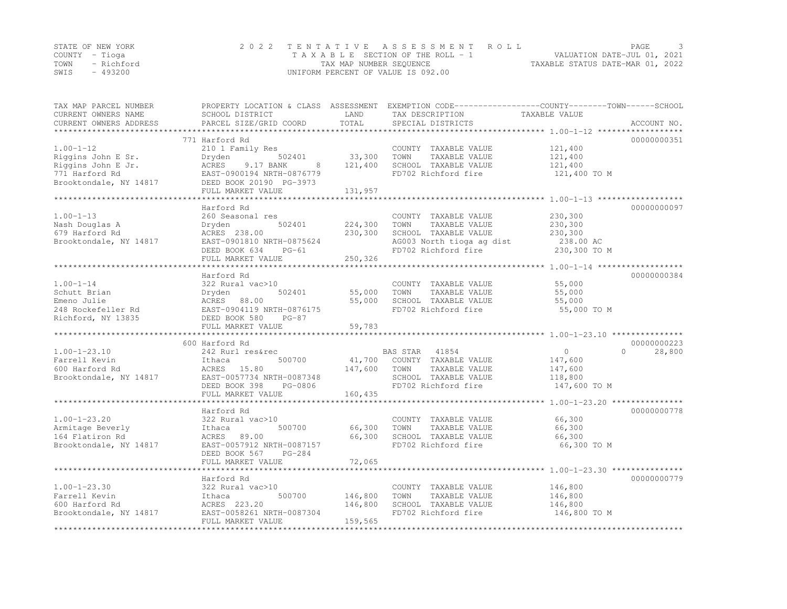|                | STATE OF NEW YORK | 2022 TENTATIVE ASSESSMENT ROLL                                 | PAGE |  |
|----------------|-------------------|----------------------------------------------------------------|------|--|
| COUNTY – Tioga |                   | VALUATION DATE-JUL 01, 2021<br>TAXABLE SECTION OF THE ROLL - 1 |      |  |
|                | TOWN - Richford   | TAXABLE STATUS DATE-MAR 01, 2022<br>TAX MAP NUMBER SEQUENCE    |      |  |
| SWIS           | - 493200          | UNIFORM PERCENT OF VALUE IS 092.00                             |      |  |

| TAX MAP PARCEL NUMBER  |                           |              |                           | PROPERTY LOCATION & CLASS ASSESSMENT EXEMPTION CODE---------------COUNTY-------TOWN------SCHOOL |                     |
|------------------------|---------------------------|--------------|---------------------------|-------------------------------------------------------------------------------------------------|---------------------|
| CURRENT OWNERS NAME    | SCHOOL DISTRICT           | LAND         | TAX DESCRIPTION           | TAXABLE VALUE                                                                                   |                     |
| CURRENT OWNERS ADDRESS | PARCEL SIZE/GRID COORD    | TOTAL        | SPECIAL DISTRICTS         |                                                                                                 | ACCOUNT NO.         |
|                        |                           |              |                           |                                                                                                 |                     |
|                        | 771 Harford Rd            |              |                           |                                                                                                 | 00000000351         |
| $1.00 - 1 - 12$        | 210 1 Family Res          |              | COUNTY TAXABLE VALUE      | 121,400                                                                                         |                     |
| Riggins John E Sr.     | 502401<br>Dryden          | 33,300       | TOWN<br>TAXABLE VALUE     | 121,400                                                                                         |                     |
| Riggins John E Jr.     | ACRES<br>9.17 BANK<br>8   | 121,400      | SCHOOL TAXABLE VALUE      | 121,400                                                                                         |                     |
| 771 Harford Rd         | EAST-0900194 NRTH-0876779 |              | FD702 Richford fire       | 121,400 TO M                                                                                    |                     |
| Brooktondale, NY 14817 | DEED BOOK 20190 PG-3973   |              |                           |                                                                                                 |                     |
|                        | FULL MARKET VALUE         | 131,957      |                           |                                                                                                 |                     |
|                        | **********************    | ************ |                           |                                                                                                 |                     |
|                        | Harford Rd                |              |                           |                                                                                                 | 00000000097         |
| $1.00 - 1 - 13$        | 260 Seasonal res          |              | COUNTY TAXABLE VALUE      | 230,300                                                                                         |                     |
| Nash Douglas A         | 502401<br>Dryden          | 224,300      | TOWN<br>TAXABLE VALUE     | 230,300                                                                                         |                     |
| 679 Harford Rd         | ACRES 238.00              | 230,300      | SCHOOL TAXABLE VALUE      | 230,300                                                                                         |                     |
| Brooktondale, NY 14817 | EAST-0901810 NRTH-0875624 |              | AG003 North tioga ag dist | 238.00 AC                                                                                       |                     |
|                        | DEED BOOK 634<br>$PG-61$  |              | FD702 Richford fire       | 230,300 TO M                                                                                    |                     |
|                        | FULL MARKET VALUE         | 250,326      |                           |                                                                                                 |                     |
|                        |                           |              |                           |                                                                                                 |                     |
|                        | Harford Rd                |              |                           |                                                                                                 | 00000000384         |
| $1.00 - 1 - 14$        | 322 Rural vac>10          |              | COUNTY TAXABLE VALUE      | 55,000                                                                                          |                     |
| Schutt Brian           | 502401<br>Dryden          | 55,000       | TOWN<br>TAXABLE VALUE     | 55,000                                                                                          |                     |
| Emeno Julie            | ACRES 88.00               | 55,000       | SCHOOL TAXABLE VALUE      | 55,000                                                                                          |                     |
| 248 Rockefeller Rd     | EAST-0904119 NRTH-0876175 |              | FD702 Richford fire       | 55,000 TO M                                                                                     |                     |
| Richford, NY 13835     | DEED BOOK 580<br>$PG-87$  |              |                           |                                                                                                 |                     |
|                        | FULL MARKET VALUE         | 59,783       |                           |                                                                                                 |                     |
|                        |                           |              |                           |                                                                                                 |                     |
|                        | 600 Harford Rd            |              |                           |                                                                                                 | 00000000223         |
| $1.00 - 1 - 23.10$     | 242 Rurl res&rec          |              | BAS STAR 41854            | $\circ$                                                                                         | $\bigcap$<br>28,800 |
| Farrell Kevin          | 500700<br>Ithaca          | 41,700       | COUNTY TAXABLE VALUE      | 147,600                                                                                         |                     |
| 600 Harford Rd         | ACRES 15.80               | 147,600      | TOWN<br>TAXABLE VALUE     | 147,600                                                                                         |                     |
| Brooktondale, NY 14817 | EAST-0057734 NRTH-0087348 |              | SCHOOL TAXABLE VALUE      | 118,800                                                                                         |                     |
|                        | DEED BOOK 398<br>PG-0806  |              | FD702 Richford fire       | 147,600 TO M                                                                                    |                     |
|                        | FULL MARKET VALUE         | 160,435      |                           |                                                                                                 |                     |
|                        |                           |              |                           |                                                                                                 |                     |
|                        | Harford Rd                |              |                           |                                                                                                 | 00000000778         |
| $1.00 - 1 - 23.20$     | 322 Rural vac>10          |              | COUNTY TAXABLE VALUE      | 66,300                                                                                          |                     |
| Armitage Beverly       | 500700<br>Ithaca          | 66,300       | TAXABLE VALUE<br>TOWN     | 66,300                                                                                          |                     |
| 164 Flatiron Rd        | ACRES 89.00               | 66,300       | SCHOOL TAXABLE VALUE      | 66,300                                                                                          |                     |
| Brooktondale, NY 14817 | EAST-0057912 NRTH-0087157 |              | FD702 Richford fire       | 66,300 TO M                                                                                     |                     |
|                        | DEED BOOK 567<br>$PG-284$ |              |                           |                                                                                                 |                     |
|                        | FULL MARKET VALUE         | 72,065       |                           |                                                                                                 |                     |
|                        |                           |              |                           |                                                                                                 |                     |
|                        | Harford Rd                |              |                           |                                                                                                 | 00000000779         |
| $1.00 - 1 - 23.30$     | 322 Rural vac>10          |              | COUNTY TAXABLE VALUE      | 146,800                                                                                         |                     |
| Farrell Kevin          | Ithaca<br>500700          | 146,800      | TOWN<br>TAXABLE VALUE     | 146,800                                                                                         |                     |
| 600 Harford Rd         | ACRES 223.20              | 146,800      | SCHOOL TAXABLE VALUE      | 146,800                                                                                         |                     |
| Brooktondale, NY 14817 | EAST-0058261 NRTH-0087304 |              | FD702 Richford fire       | 146,800 TO M                                                                                    |                     |
|                        | FULL MARKET VALUE         | 159,565      |                           |                                                                                                 |                     |
|                        |                           |              |                           |                                                                                                 |                     |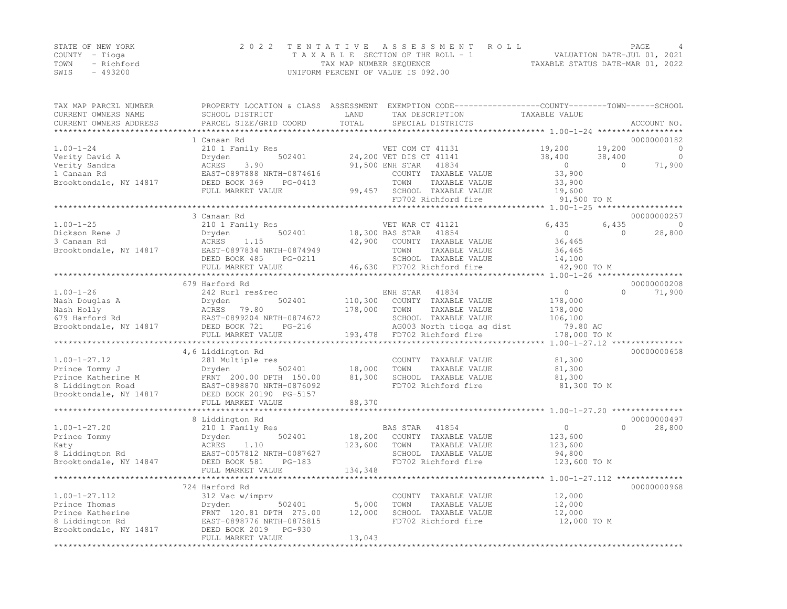|      | STATE OF NEW YORK | 2022 TENTATIVE ASSESSMENT ROLL                                 | PAGE |  |
|------|-------------------|----------------------------------------------------------------|------|--|
|      | COUNTY – Tioga    | VALUATION DATE-JUL 01, 2021<br>TAXABLE SECTION OF THE ROLL - 1 |      |  |
| TOWN | - Richford        | TAXABLE STATUS DATE-MAR 01, 2022<br>TAX MAP NUMBER SEQUENCE    |      |  |
| SWIS | - 493200          | UNIFORM PERCENT OF VALUE IS 092.00                             |      |  |

| TAX MAP PARCEL NUMBER<br>CURRENT OWNERS NAME<br>CURRENT OWNERS ADDRESS                                    | PROPERTY LOCATION & CLASS ASSESSMENT<br>SCHOOL DISTRICT<br>PARCEL SIZE/GRID COORD                                                                                                          | LAND<br>TOTAL              | TAX DESCRIPTION<br>SPECIAL DISTRICTS                                                                                                                                    | EXEMPTION CODE-----------------COUNTY-------TOWN------SCHOOL<br>TAXABLE VALUE<br>************ 1.00-1-24 ****** | ACCOUNT NO.                                               |
|-----------------------------------------------------------------------------------------------------------|--------------------------------------------------------------------------------------------------------------------------------------------------------------------------------------------|----------------------------|-------------------------------------------------------------------------------------------------------------------------------------------------------------------------|----------------------------------------------------------------------------------------------------------------|-----------------------------------------------------------|
| $1.00 - 1 - 24$<br>Verity David A<br>Verity Sandra<br>1 Canaan Rd<br>Brooktondale, NY 14817               | 1 Canaan Rd<br>210 1 Family Res<br>502401<br>Dryden<br>ACRES<br>3.90<br>EAST-0897888 NRTH-0874616<br>DEED BOOK 369<br>PG-0413<br>FULL MARKET VALUE                                         | 99,457                     | VET COM CT 41131<br>24,200 VET DIS CT 41141<br>91,500 ENH STAR<br>41834<br>COUNTY TAXABLE VALUE<br>TOWN<br>TAXABLE VALUE<br>SCHOOL TAXABLE VALUE<br>FD702 Richford fire | 19,200<br>19,200<br>38,400<br>38,400<br>$\overline{0}$<br>33,900<br>33,900<br>19,600<br>91,500 TO M            | 00000000182<br>0<br>$\overline{0}$<br>71,900<br>$\bigcap$ |
|                                                                                                           |                                                                                                                                                                                            |                            |                                                                                                                                                                         |                                                                                                                |                                                           |
| $1.00 - 1 - 25$<br>Dickson Rene J<br>3 Canaan Rd<br>Brooktondale, NY 14817                                | 3 Canaan Rd<br>210 1 Family Res<br>502401<br>Dryden<br>ACRES<br>1.15<br>EAST-0897834 NRTH-0874949<br>DEED BOOK 485<br>PG-0211<br>FULL MARKET VALUE<br>***********************              | 42,900<br>46,630           | VET WAR CT 41121<br>18,300 BAS STAR<br>41854<br>COUNTY TAXABLE VALUE<br>TOWN<br>TAXABLE VALUE<br>SCHOOL TAXABLE VALUE<br>FD702 Richford fire                            | 6,435<br>6,435<br>$\circ$<br>36,465<br>36,465<br>14,100<br>42,900 TO M                                         | 00000000257<br>$\Omega$<br>$\Omega$<br>28,800             |
|                                                                                                           | 679 Harford Rd                                                                                                                                                                             |                            |                                                                                                                                                                         |                                                                                                                | 00000000208                                               |
| $1.00 - 1 - 26$<br>Nash Douglas A<br>Nash Holly<br>679 Harford Rd<br>Brooktondale, NY 14817               | 242 Rurl res&rec<br>502401<br>Dryden<br>ACRES 79.80<br>EAST-0899204 NRTH-0874672<br>DEED BOOK 721<br>$PG-216$                                                                              | 110,300<br>178,000         | 41834<br>ENH STAR<br>COUNTY TAXABLE VALUE<br>TOWN<br>TAXABLE VALUE<br>SCHOOL TAXABLE VALUE<br>AG003 North tioga ag dist                                                 | $\circ$<br>178,000<br>178,000<br>106,100<br>79.80 AC                                                           | $\Omega$<br>71,900                                        |
|                                                                                                           | FULL MARKET VALUE<br>******************                                                                                                                                                    | 193,478                    | FD702 Richford fire<br>************************                                                                                                                         | 178,000 TO M                                                                                                   |                                                           |
| $1.00 - 1 - 27.12$<br>Prince Tommy J<br>Prince Katherine M<br>8 Liddington Road<br>Brooktondale, NY 14817 | 4,6 Liddington Rd<br>281 Multiple res<br>Dryden<br>502401<br>FRNT 200.00 DPTH 150.00<br>EAST-0898870 NRTH-0876092<br>DEED BOOK 20190 PG-5157<br>FULL MARKET VALUE<br>********************* | 18,000<br>81,300<br>88,370 | COUNTY TAXABLE VALUE<br>TOWN<br>TAXABLE VALUE<br>SCHOOL TAXABLE VALUE<br>FD702 Richford fire                                                                            | $1.00 - 1 - 27.12$ ***************<br>81,300<br>81,300<br>81,300<br>81,300 TO M                                | 00000000658                                               |
|                                                                                                           | 8 Liddington Rd                                                                                                                                                                            |                            |                                                                                                                                                                         |                                                                                                                | 00000000497                                               |
| $1.00 - 1 - 27.20$<br>Prince Tommy<br>Katy<br>8 Liddington Rd<br>Brooktondale, NY 14847                   | 210 1 Family Res<br>502401<br>Dryden<br>ACRES<br>1.10<br>EAST-0057812 NRTH-0087627<br>DEED BOOK 581<br>$PG-183$                                                                            | 18,200<br>123,600          | BAS STAR<br>41854<br>COUNTY TAXABLE VALUE<br>TOWN<br>TAXABLE VALUE<br>SCHOOL TAXABLE VALUE<br>FD702 Richford fire                                                       | $\circ$<br>123,600<br>123,600<br>94,800<br>123,600 TO M                                                        | $\Omega$<br>28,800                                        |
|                                                                                                           | FULL MARKET VALUE                                                                                                                                                                          | 134,348                    |                                                                                                                                                                         |                                                                                                                |                                                           |
|                                                                                                           | *************************<br>724 Harford Rd                                                                                                                                                |                            |                                                                                                                                                                         | ************************************** 1.00-1-27.112 ***************                                           | 00000000968                                               |
| $1.00 - 1 - 27.112$<br>Prince Thomas<br>Prince Katherine<br>8 Liddington Rd<br>Brooktondale, NY 14817     | 312 Vac w/imprv<br>Dryden<br>502401<br>FRNT 120.81 DPTH 275.00<br>EAST-0898776 NRTH-0875815<br>DEED BOOK 2019<br>PG-930<br>FULL MARKET VALUE                                               | 5,000<br>12,000<br>13,043  | COUNTY TAXABLE VALUE<br>TOWN<br>TAXABLE VALUE<br>SCHOOL TAXABLE VALUE<br>FD702 Richford fire                                                                            | 12,000<br>12,000<br>12,000<br>12,000 TO M                                                                      |                                                           |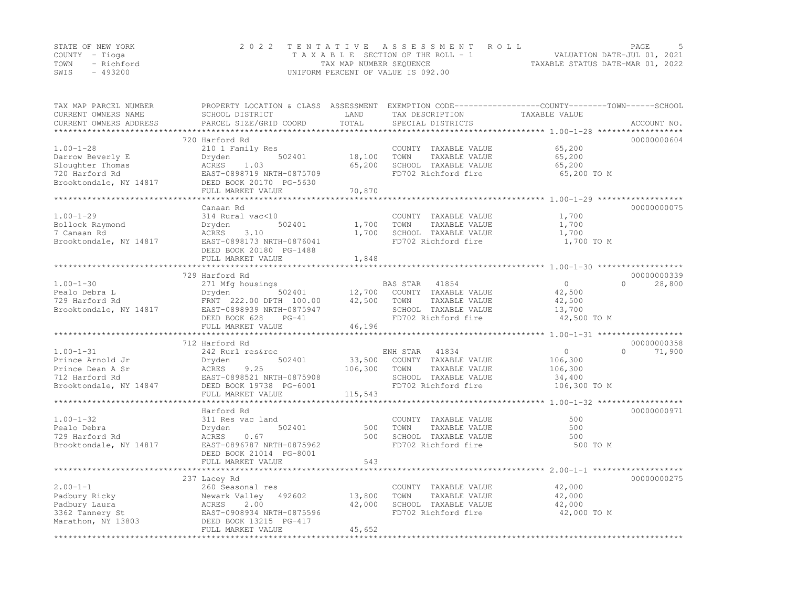|      | STATE OF NEW YORK | 2022 TENTATIVE ASSESSMENT ROLL                                 | PAGE |  |
|------|-------------------|----------------------------------------------------------------|------|--|
|      | COUNTY – Tioga    | VALUATION DATE-JUL 01, 2021<br>TAXABLE SECTION OF THE ROLL - 1 |      |  |
| TOWN | - Richford        | TAXABLE STATUS DATE-MAR 01, 2022<br>TAX MAP NUMBER SEQUENCE    |      |  |
| SWIS | - 493200          | UNIFORM PERCENT OF VALUE IS 092.00                             |      |  |

| TAX MAP PARCEL NUMBER<br>CURRENT OWNERS NAME<br>CURRENT OWNERS ADDRESS | SCHOOL DISTRICT<br>PARCEL SIZE/GRID COORD   | LAND<br>TOTAL    | TAX DESCRIPTION<br>SPECIAL DISTRICTS          | PROPERTY LOCATION & CLASS ASSESSMENT EXEMPTION CODE----------------COUNTY-------TOWN------SCHOOL<br>TAXABLE VALUE<br>ACCOUNT NO. |        |
|------------------------------------------------------------------------|---------------------------------------------|------------------|-----------------------------------------------|----------------------------------------------------------------------------------------------------------------------------------|--------|
|                                                                        |                                             | *************    |                                               | ************************************ 1.00-1-28 *******                                                                           |        |
|                                                                        | 720 Harford Rd                              |                  |                                               | 00000000604                                                                                                                      |        |
| $1.00 - 1 - 28$                                                        | 210 1 Family Res                            |                  | COUNTY TAXABLE VALUE                          | 65,200                                                                                                                           |        |
| Darrow Beverly E<br>Sloughter Thomas                                   | Dryden<br>502401<br>ACRES<br>1.03           | 18,100<br>65,200 | TAXABLE VALUE<br>TOWN<br>SCHOOL TAXABLE VALUE | 65,200<br>65,200                                                                                                                 |        |
| 720 Harford Rd                                                         | EAST-0898719 NRTH-0875709                   |                  | FD702 Richford fire                           | 65,200 TO M                                                                                                                      |        |
| Brooktondale, NY 14817                                                 | DEED BOOK 20170 PG-5630                     |                  |                                               |                                                                                                                                  |        |
|                                                                        | FULL MARKET VALUE                           | 70,870           |                                               |                                                                                                                                  |        |
|                                                                        | **********************                      |                  |                                               |                                                                                                                                  |        |
|                                                                        | Canaan Rd                                   |                  |                                               | 00000000075                                                                                                                      |        |
| $1.00 - 1 - 29$                                                        | 314 Rural vac<10                            |                  | COUNTY TAXABLE VALUE                          | 1,700                                                                                                                            |        |
| Bollock Raymond                                                        | 502401<br>Dryden                            | 1,700            | TAXABLE VALUE<br>TOWN                         | 1,700                                                                                                                            |        |
| 7 Canaan Rd                                                            | 3.10<br>ACRES                               | 1,700            | SCHOOL TAXABLE VALUE                          | 1,700                                                                                                                            |        |
| Brooktondale, NY 14817                                                 | EAST-0898173 NRTH-0876041                   |                  | FD702 Richford fire                           | 1,700 TO M                                                                                                                       |        |
|                                                                        | DEED BOOK 20180 PG-1488                     |                  |                                               |                                                                                                                                  |        |
|                                                                        | FULL MARKET VALUE                           | 1,848            |                                               |                                                                                                                                  |        |
|                                                                        | 729 Harford Rd                              |                  |                                               | 00000000339                                                                                                                      |        |
| $1.00 - 1 - 30$                                                        | 271 Mfg housings                            |                  | BAS STAR<br>41854                             | $\circ$<br>$\Omega$                                                                                                              | 28,800 |
| Pealo Debra L                                                          | Dryden<br>502401                            | 12,700           | COUNTY TAXABLE VALUE                          | 42,500                                                                                                                           |        |
| 729 Harford Rd                                                         | FRNT 222.00 DPTH 100.00                     | 42,500           | TOWN<br>TAXABLE VALUE                         | 42,500                                                                                                                           |        |
| Brooktondale, NY 14817                                                 | EAST-0898939 NRTH-0875947                   |                  | SCHOOL TAXABLE VALUE                          | 13,700                                                                                                                           |        |
|                                                                        | DEED BOOK 628<br>$PG-41$                    |                  | FD702 Richford fire                           | 42,500 TO M                                                                                                                      |        |
|                                                                        | FULL MARKET VALUE                           | 46,196           |                                               |                                                                                                                                  |        |
|                                                                        | *********************                       |                  |                                               |                                                                                                                                  |        |
|                                                                        | 712 Harford Rd                              |                  |                                               | 00000000358                                                                                                                      |        |
| $1.00 - 1 - 31$                                                        | 242 Rurl res&rec                            |                  | 41834<br>ENH STAR                             | $\circ$<br>$\Omega$                                                                                                              | 71,900 |
| Prince Arnold Jr                                                       | 502401<br>Dryden                            | 33,500           | COUNTY TAXABLE VALUE                          | 106,300                                                                                                                          |        |
| Prince Dean A Sr                                                       | 9.25<br>ACRES                               | 106,300          | TOWN<br>TAXABLE VALUE                         | 106,300                                                                                                                          |        |
| 712 Harford Rd                                                         | EAST-0898521 NRTH-0875908                   |                  | SCHOOL TAXABLE VALUE                          | 34,400                                                                                                                           |        |
| Brooktondale, NY 14847                                                 | DEED BOOK 19738 PG-6001                     |                  | FD702 Richford fire                           | 106,300 TO M                                                                                                                     |        |
|                                                                        | FULL MARKET VALUE<br>********************** | 115,543          |                                               | ******************************** 1.00-1-32 ******************                                                                    |        |
|                                                                        | Harford Rd                                  |                  |                                               | 00000000971                                                                                                                      |        |
| $1.00 - 1 - 32$                                                        | 311 Res vac land                            |                  | COUNTY TAXABLE VALUE                          | 500                                                                                                                              |        |
| Pealo Debra                                                            | Dryden<br>502401                            | 500              | TOWN<br>TAXABLE VALUE                         | 500                                                                                                                              |        |
| 729 Harford Rd                                                         | ACRES<br>0.67                               | 500              | SCHOOL TAXABLE VALUE                          | 500                                                                                                                              |        |
| Brooktondale, NY 14817                                                 | EAST-0896787 NRTH-0875962                   |                  | FD702 Richford fire                           | 500 TO M                                                                                                                         |        |
|                                                                        | DEED BOOK 21014 PG-8001                     |                  |                                               |                                                                                                                                  |        |
|                                                                        | FULL MARKET VALUE                           | 543              |                                               |                                                                                                                                  |        |
|                                                                        |                                             |                  |                                               |                                                                                                                                  |        |
|                                                                        | 237 Lacey Rd                                |                  |                                               | 00000000275                                                                                                                      |        |
| $2.00 - 1 - 1$                                                         | 260 Seasonal res                            |                  | COUNTY TAXABLE VALUE                          | 42,000                                                                                                                           |        |
| Padbury Ricky                                                          | Newark Valley<br>492602                     | 13,800           | TAXABLE VALUE<br>TOWN                         | 42,000                                                                                                                           |        |
| Padbury Laura                                                          | ACRES<br>2.00                               | 42,000           | SCHOOL TAXABLE VALUE                          | 42,000                                                                                                                           |        |
| 3362 Tannery St                                                        | EAST-0908934 NRTH-0875596                   |                  | FD702 Richford fire                           | 42,000 TO M                                                                                                                      |        |
| Marathon, NY 13803                                                     | DEED BOOK 13215 PG-417                      |                  |                                               |                                                                                                                                  |        |
|                                                                        | FULL MARKET VALUE                           | 45,652           |                                               |                                                                                                                                  |        |
|                                                                        |                                             |                  |                                               |                                                                                                                                  |        |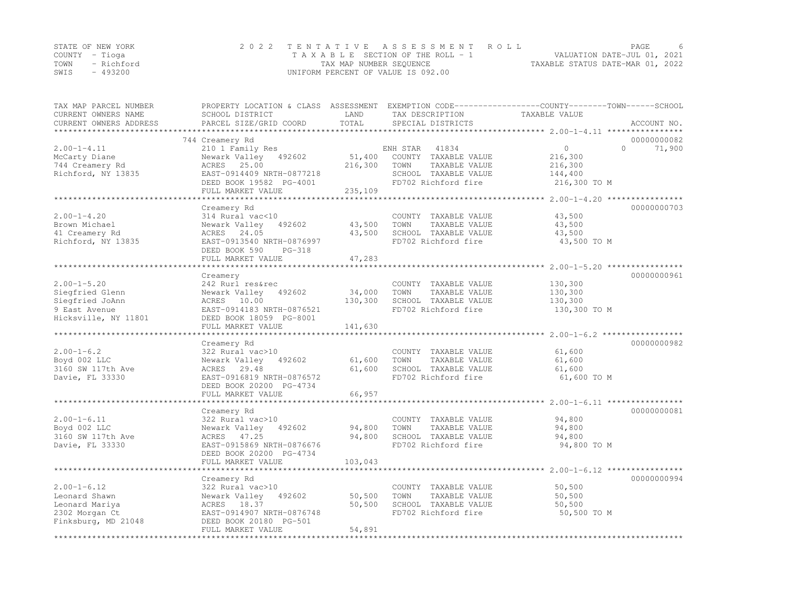| STATE OF NEW YORK | 2022 TENTATIVE ASSESSMENT ROLL     | <b>PAGE</b>                      |
|-------------------|------------------------------------|----------------------------------|
| COUNTY – Tioga    | TAXABLE SECTION OF THE ROLL - 1    | VALUATION DATE-JUL 01, 2021      |
| TOWN - Richford   | TAX MAP NUMBER SEOUENCE            | TAXABLE STATUS DATE-MAR 01, 2022 |
| $-493200$<br>SWIS | UNIFORM PERCENT OF VALUE IS 092.00 |                                  |

| TAX MAP PARCEL NUMBER  | PROPERTY LOCATION & CLASS ASSESSMENT EXEMPTION CODE----------------COUNTY-------TOWN-----SCHOOL |                     |                                               |                                          |                    |
|------------------------|-------------------------------------------------------------------------------------------------|---------------------|-----------------------------------------------|------------------------------------------|--------------------|
| CURRENT OWNERS NAME    | SCHOOL DISTRICT                                                                                 | LAND                | TAX DESCRIPTION                               | TAXABLE VALUE                            |                    |
| CURRENT OWNERS ADDRESS | PARCEL SIZE/GRID COORD                                                                          | TOTAL<br>********** | SPECIAL DISTRICTS                             |                                          | ACCOUNT NO.        |
|                        | 744 Creamery Rd                                                                                 |                     |                                               |                                          | 00000000082        |
| $2.00 - 1 - 4.11$      | 210 1 Family Res                                                                                |                     | ENH STAR<br>41834                             | $\Omega$                                 | $\Omega$<br>71,900 |
| McCarty Diane          | Newark Valley<br>492602                                                                         | 51,400              | COUNTY TAXABLE VALUE                          | 216,300                                  |                    |
| 744 Creamery Rd        | ACRES 25.00                                                                                     | 216,300             | TOWN<br>TAXABLE VALUE                         | 216,300                                  |                    |
| Richford, NY 13835     | EAST-0914409 NRTH-0877218                                                                       |                     | SCHOOL TAXABLE VALUE                          | 144,400                                  |                    |
|                        | DEED BOOK 19582 PG-4001                                                                         |                     | FD702 Richford fire                           | 216,300 TO M                             |                    |
|                        | FULL MARKET VALUE                                                                               | 235,109             |                                               |                                          |                    |
|                        | ******************                                                                              |                     |                                               | ********** 2.00-1-4.20 ***************** |                    |
|                        | Creamery Rd                                                                                     |                     |                                               |                                          | 00000000703        |
| $2.00 - 1 - 4.20$      | 314 Rural vac<10                                                                                |                     | COUNTY TAXABLE VALUE                          | 43,500                                   |                    |
| Brown Michael          | 492602<br>Newark Valley                                                                         | 43,500              | TOWN<br>TAXABLE VALUE                         | 43,500                                   |                    |
| 41 Creamery Rd         | ACRES 24.05                                                                                     | 43,500              | SCHOOL TAXABLE VALUE                          | 43,500                                   |                    |
| Richford, NY 13835     | EAST-0913540 NRTH-0876997                                                                       |                     | FD702 Richford fire                           | 43,500 TO M                              |                    |
|                        | DEED BOOK 590<br>PG-318                                                                         |                     |                                               |                                          |                    |
|                        | FULL MARKET VALUE                                                                               | 47,283              |                                               |                                          |                    |
|                        |                                                                                                 |                     |                                               |                                          |                    |
|                        | Creamery                                                                                        |                     |                                               |                                          | 00000000961        |
| $2.00 - 1 - 5.20$      | 242 Rurl res&rec                                                                                |                     | COUNTY TAXABLE VALUE                          | 130,300                                  |                    |
| Siegfried Glenn        | Newark Valley<br>492602                                                                         | 34,000              | TAXABLE VALUE<br>TOWN                         | 130,300                                  |                    |
| Siegfried JoAnn        | ACRES 10.00                                                                                     | 130,300             | SCHOOL TAXABLE VALUE                          | 130,300                                  |                    |
| 9 East Avenue          | EAST-0914183 NRTH-0876521                                                                       |                     | FD702 Richford fire                           | 130,300 TO M                             |                    |
| Hicksville, NY 11801   | DEED BOOK 18059 PG-8001                                                                         |                     |                                               |                                          |                    |
|                        | FULL MARKET VALUE                                                                               | 141,630             |                                               |                                          |                    |
|                        |                                                                                                 |                     |                                               |                                          | 00000000982        |
| $2.00 - 1 - 6.2$       | Creamery Rd                                                                                     |                     |                                               |                                          |                    |
| Boyd 002 LLC           | 322 Rural vac>10<br>Newark Valley<br>492602                                                     | 61,600              | COUNTY TAXABLE VALUE<br>TOWN<br>TAXABLE VALUE | 61,600<br>61,600                         |                    |
| 3160 SW 117th Ave      | 29.48<br>ACRES                                                                                  | 61,600              | SCHOOL TAXABLE VALUE                          | 61,600                                   |                    |
| Davie, FL 33330        | EAST-0916819 NRTH-0876572                                                                       |                     | FD702 Richford fire                           | 61,600 TO M                              |                    |
|                        | DEED BOOK 20200 PG-4734                                                                         |                     |                                               |                                          |                    |
|                        | FULL MARKET VALUE                                                                               | 66,957              |                                               |                                          |                    |
|                        |                                                                                                 |                     |                                               |                                          |                    |
|                        | Creamery Rd                                                                                     |                     |                                               |                                          | 00000000081        |
| $2.00 - 1 - 6.11$      | 322 Rural vac>10                                                                                |                     | COUNTY TAXABLE VALUE                          | 94,800                                   |                    |
| Boyd 002 LLC           | Newark Valley<br>492602                                                                         | 94,800              | TAXABLE VALUE<br>TOWN                         | 94,800                                   |                    |
| 3160 SW 117th Ave      | ACRES 47.25                                                                                     | 94,800              | SCHOOL TAXABLE VALUE                          | 94,800                                   |                    |
| Davie, FL 33330        | EAST-0915869 NRTH-0876676                                                                       |                     | FD702 Richford fire                           | 94,800 TO M                              |                    |
|                        | DEED BOOK 20200 PG-4734                                                                         |                     |                                               |                                          |                    |
|                        | FULL MARKET VALUE                                                                               | 103,043             |                                               |                                          |                    |
|                        | ***********************                                                                         |                     |                                               |                                          |                    |
|                        | Creamery Rd                                                                                     |                     |                                               |                                          | 00000000994        |
| $2.00 - 1 - 6.12$      | 322 Rural vac>10                                                                                |                     | COUNTY TAXABLE VALUE                          | 50,500                                   |                    |
| Leonard Shawn          | Newark Valley<br>492602                                                                         | 50,500              | TOWN<br>TAXABLE VALUE                         | 50,500                                   |                    |
| Leonard Mariya         | ACRES 18.37                                                                                     | 50,500              | SCHOOL TAXABLE VALUE                          | 50, 500                                  |                    |
| 2302 Morgan Ct         | EAST-0914907 NRTH-0876748                                                                       |                     | FD702 Richford fire                           | 50,500 TO M                              |                    |
| Finksburg, MD 21048    | DEED BOOK 20180 PG-501                                                                          |                     |                                               |                                          |                    |
|                        | FULL MARKET VALUE                                                                               | 54,891              |                                               |                                          |                    |
|                        |                                                                                                 |                     |                                               |                                          |                    |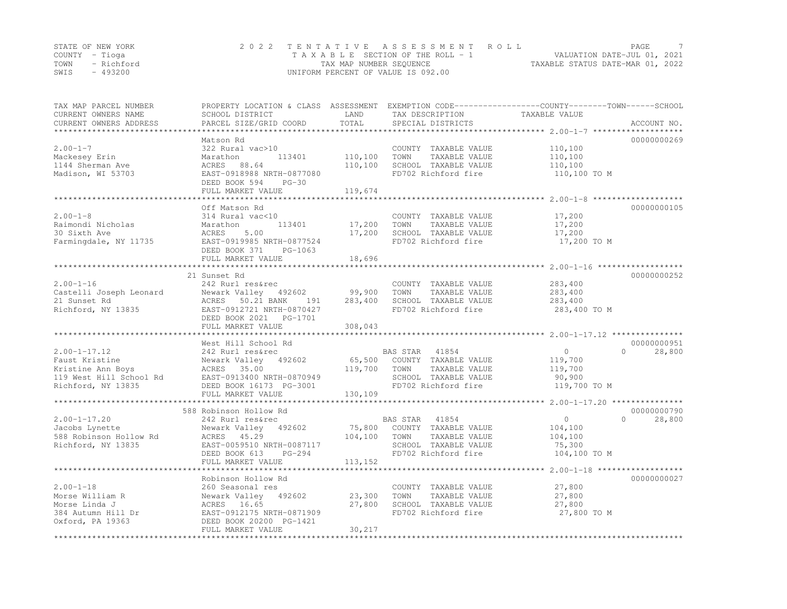|      | STATE OF NEW YORK | 2022 TENTATIVE ASSESSMENT ROLL     | PAGE                             |  |
|------|-------------------|------------------------------------|----------------------------------|--|
|      | COUNTY – Tioga    | TAXABLE SECTION OF THE ROLL - 1    | VALUATION DATE-JUL 01, 2021      |  |
| TOWN | - Richford        | TAX MAP NUMBER SEOUENCE            | TAXABLE STATUS DATE-MAR 01, 2022 |  |
| SWIS | $-493200$         | UNIFORM PERCENT OF VALUE IS 092.00 |                                  |  |

| TAX MAP PARCEL NUMBER<br>CURRENT OWNERS NAME<br>CURRENT OWNERS ADDRESS | PROPERTY LOCATION & CLASS ASSESSMENT<br>SCHOOL DISTRICT<br>PARCEL SIZE/GRID COORD | LAND<br>TOTAL | TAX DESCRIPTION<br>SPECIAL DISTRICTS        | EXEMPTION CODE-----------------COUNTY-------TOWN------SCHOOL<br>TAXABLE VALUE | ACCOUNT NO.        |
|------------------------------------------------------------------------|-----------------------------------------------------------------------------------|---------------|---------------------------------------------|-------------------------------------------------------------------------------|--------------------|
| *********************                                                  |                                                                                   |               |                                             |                                                                               |                    |
|                                                                        | Matson Rd                                                                         |               |                                             |                                                                               | 00000000269        |
| $2.00 - 1 - 7$                                                         | 322 Rural vac>10                                                                  |               | COUNTY TAXABLE VALUE                        | 110,100                                                                       |                    |
| Mackesey Erin                                                          | Marathon<br>113401                                                                | 110,100       | TOWN<br>TAXABLE VALUE                       | 110,100                                                                       |                    |
| 1144 Sherman Ave                                                       | ACRES<br>88.64                                                                    | 110,100       | SCHOOL TAXABLE VALUE<br>FD702 Richford fire | 110,100                                                                       |                    |
| Madison, WI 53703                                                      | EAST-0918988 NRTH-0877080<br>DEED BOOK 594<br>$PG-30$                             |               |                                             | 110,100 TO M                                                                  |                    |
|                                                                        | FULL MARKET VALUE                                                                 | 119,674       |                                             |                                                                               |                    |
|                                                                        |                                                                                   |               |                                             |                                                                               |                    |
|                                                                        | Off Matson Rd                                                                     |               |                                             |                                                                               | 00000000105        |
| $2.00 - 1 - 8$                                                         | 314 Rural vac<10                                                                  |               | COUNTY TAXABLE VALUE                        | 17,200                                                                        |                    |
| Raimondi Nicholas                                                      | 113401<br>Marathon                                                                | 17,200        | TOWN<br>TAXABLE VALUE                       | 17,200                                                                        |                    |
| 30 Sixth Ave                                                           | 5.00<br>ACRES                                                                     | 17,200        | SCHOOL TAXABLE VALUE                        | 17,200                                                                        |                    |
| Farmingdale, NY 11735                                                  | EAST-0919985 NRTH-0877524                                                         |               | FD702 Richford fire                         | 17,200 TO M                                                                   |                    |
|                                                                        | DEED BOOK 371<br>PG-1063                                                          |               |                                             |                                                                               |                    |
|                                                                        | FULL MARKET VALUE                                                                 | 18,696        |                                             |                                                                               |                    |
|                                                                        |                                                                                   |               |                                             |                                                                               |                    |
|                                                                        | 21 Sunset Rd                                                                      |               |                                             |                                                                               | 00000000252        |
| $2.00 - 1 - 16$                                                        | 242 Rurl res&rec                                                                  |               | COUNTY TAXABLE VALUE                        | 283,400                                                                       |                    |
| Castelli Joseph Leonard                                                | Newark Valley 492602                                                              | 99,900        | TOWN<br>TAXABLE VALUE                       | 283,400                                                                       |                    |
| 21 Sunset Rd                                                           | ACRES<br>50.21 BANK<br>191                                                        | 283,400       | SCHOOL TAXABLE VALUE<br>FD702 Richford fire | 283,400                                                                       |                    |
| Richford, NY 13835                                                     | EAST-0912721 NRTH-0870427<br>DEED BOOK 2021    PG-1701                            |               |                                             | 283,400 TO M                                                                  |                    |
|                                                                        | FULL MARKET VALUE                                                                 | 308,043       |                                             |                                                                               |                    |
|                                                                        |                                                                                   |               |                                             |                                                                               |                    |
|                                                                        | West Hill School Rd                                                               |               |                                             |                                                                               | 00000000951        |
| $2.00 - 1 - 17.12$                                                     | 242 Rurl res&rec                                                                  |               | BAS STAR 41854                              | $\circ$                                                                       | 28,800<br>$\Omega$ |
| Faust Kristine                                                         | Newark Valley 492602                                                              | 65,500        | COUNTY TAXABLE VALUE                        | 119,700                                                                       |                    |
| Kristine Ann Boys                                                      | 35.00<br>ACRES                                                                    | 119,700       | TOWN<br>TAXABLE VALUE                       | 119,700                                                                       |                    |
| 119 West Hill School Rd                                                | EAST-0913400 NRTH-0870949                                                         |               | SCHOOL TAXABLE VALUE                        | 90,900                                                                        |                    |
| Richford, NY 13835                                                     | DEED BOOK 16173 PG-3001                                                           |               | FD702 Richford fire                         | 119,700 TO M                                                                  |                    |
|                                                                        | FULL MARKET VALUE                                                                 | 130,109       |                                             |                                                                               |                    |
|                                                                        |                                                                                   |               |                                             |                                                                               |                    |
|                                                                        | 588 Robinson Hollow Rd                                                            |               |                                             |                                                                               | 00000000790        |
| $2.00 - 1 - 17.20$                                                     | 242 Rurl res&rec                                                                  |               | BAS STAR<br>41854                           | $\circ$                                                                       | 28,800<br>$\cap$   |
| Jacobs Lynette                                                         | Newark Valley<br>492602                                                           | 75,800        | COUNTY TAXABLE VALUE                        | 104,100                                                                       |                    |
| 588 Robinson Hollow Rd                                                 | ACRES 45.29                                                                       | 104,100       | TOWN<br>TAXABLE VALUE                       | 104,100                                                                       |                    |
| Richford, NY 13835                                                     | EAST-0059510 NRTH-0087117                                                         |               | SCHOOL TAXABLE VALUE                        | 75,300                                                                        |                    |
|                                                                        | PG-294<br>DEED BOOK 613<br>FULL MARKET VALUE                                      | 113,152       | FD702 Richford fire                         | 104,100 TO M                                                                  |                    |
|                                                                        |                                                                                   |               |                                             |                                                                               |                    |
|                                                                        | Robinson Hollow Rd                                                                |               |                                             |                                                                               | 00000000027        |
| $2.00 - 1 - 18$                                                        | 260 Seasonal res                                                                  |               | COUNTY TAXABLE VALUE                        | 27,800                                                                        |                    |
| Morse William R                                                        | Newark Valley 492602                                                              | 23,300        | TOWN<br>TAXABLE VALUE                       | 27,800                                                                        |                    |
| Morse Linda J                                                          | ACRES 16.65                                                                       | 27,800        | SCHOOL TAXABLE VALUE                        | 27,800                                                                        |                    |
| 384 Autumn Hill Dr                                                     | EAST-0912175 NRTH-0871909                                                         |               | FD702 Richford fire                         | 27,800 TO M                                                                   |                    |
| Oxford, PA 19363                                                       | DEED BOOK 20200 PG-1421                                                           |               |                                             |                                                                               |                    |
|                                                                        | FULL MARKET VALUE                                                                 | 30,217        |                                             |                                                                               |                    |
|                                                                        |                                                                                   |               |                                             |                                                                               |                    |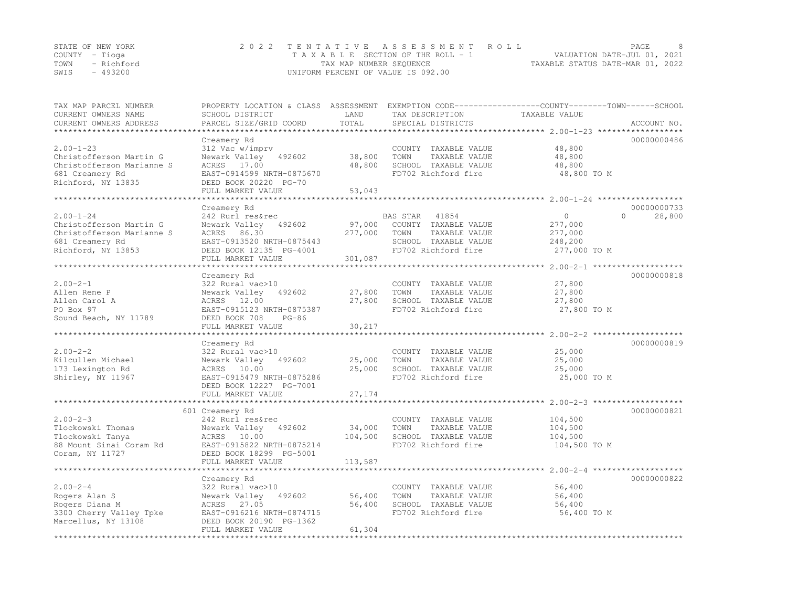|      | STATE OF NEW YORK | 2022 TENTATIVE ASSESSMENT ROLL                                 | PAGE |  |
|------|-------------------|----------------------------------------------------------------|------|--|
|      | COUNTY – Tioga    | VALUATION DATE-JUL 01, 2021<br>TAXABLE SECTION OF THE ROLL - 1 |      |  |
| TOWN | - Richford        | TAXABLE STATUS DATE-MAR 01, 2022<br>TAX MAP NUMBER SEQUENCE    |      |  |
| SWIS | - 493200          | UNIFORM PERCENT OF VALUE IS 092.00                             |      |  |

| TAX MAP PARCEL NUMBER<br>CURRENT OWNERS NAME | PROPERTY LOCATION & CLASS ASSESSMENT EXEMPTION CODE----------------COUNTY-------TOWN-----SCHOOL<br>SCHOOL DISTRICT | LAND                   | TAX DESCRIPTION                        | TAXABLE VALUE                              |                         |
|----------------------------------------------|--------------------------------------------------------------------------------------------------------------------|------------------------|----------------------------------------|--------------------------------------------|-------------------------|
| CURRENT OWNERS ADDRESS                       | PARCEL SIZE/GRID COORD                                                                                             | TOTAL                  | SPECIAL DISTRICTS                      |                                            | ACCOUNT NO.             |
| ****************                             |                                                                                                                    |                        |                                        |                                            |                         |
|                                              | Creamery Rd                                                                                                        |                        |                                        |                                            | 00000000486             |
| $2.00 - 1 - 23$                              | 312 Vac w/imprv                                                                                                    |                        | COUNTY TAXABLE VALUE                   | 48,800                                     |                         |
| Christofferson Martin G                      | Newark Valley 492602                                                                                               | 38,800                 | TAXABLE VALUE<br>TOWN                  | 48,800                                     |                         |
| Christofferson Marianne S                    | ACRES 17.00                                                                                                        | 48,800                 | SCHOOL TAXABLE VALUE                   | 48,800                                     |                         |
| 681 Creamery Rd                              | EAST-0914599 NRTH-0875670                                                                                          |                        | FD702 Richford fire                    | 48,800 TO M                                |                         |
| Richford, NY 13835                           | DEED BOOK 20220 PG-70                                                                                              |                        |                                        |                                            |                         |
|                                              | FULL MARKET VALUE<br>*******************                                                                           | 53,043<br>************ |                                        |                                            |                         |
|                                              |                                                                                                                    |                        |                                        | ************ 2.00-1-24 ******************* |                         |
| $2.00 - 1 - 24$                              | Creamery Rd<br>242 Rurl res&rec                                                                                    |                        |                                        | $\Omega$                                   | 00000000733<br>$\Omega$ |
| Christofferson Martin G                      | Newark Valley 492602                                                                                               | 97,000                 | BAS STAR 41854<br>COUNTY TAXABLE VALUE |                                            | 28,800                  |
| Christofferson Marianne S                    |                                                                                                                    |                        |                                        | 277,000                                    |                         |
|                                              | ACRES 86.30                                                                                                        | 277,000                | TOWN<br>TAXABLE VALUE                  | 277,000                                    |                         |
| 681 Creamery Rd                              | EAST-0913520 NRTH-0875443                                                                                          |                        | SCHOOL TAXABLE VALUE                   | 248,200                                    |                         |
| Richford, NY 13853                           | DEED BOOK 12135 PG-4001                                                                                            |                        | FD702 Richford fire                    | 277,000 TO M                               |                         |
|                                              | FULL MARKET VALUE                                                                                                  | 301,087                |                                        |                                            |                         |
|                                              |                                                                                                                    |                        |                                        |                                            |                         |
| $2.00 - 2 - 1$                               | Creamery Rd<br>322 Rural vac>10                                                                                    |                        | COUNTY TAXABLE VALUE                   | 27,800                                     | 00000000818             |
|                                              |                                                                                                                    |                        | TOWN                                   |                                            |                         |
| Allen Rene P                                 | 492602<br>Newark Valley                                                                                            | 27,800                 | TAXABLE VALUE                          | 27,800                                     |                         |
| Allen Carol A                                | ACRES 12.00                                                                                                        | 27,800                 | SCHOOL TAXABLE VALUE                   | 27,800                                     |                         |
| PO Box 97                                    | EAST-0915123 NRTH-0875387                                                                                          |                        | FD702 Richford fire                    | 27,800 TO M                                |                         |
| Sound Beach, NY 11789                        | DEED BOOK 708<br>$PG-86$                                                                                           |                        |                                        |                                            |                         |
|                                              | FULL MARKET VALUE                                                                                                  | 30,217                 |                                        |                                            |                         |
|                                              | Creamery Rd                                                                                                        |                        |                                        |                                            | 00000000819             |
| $2.00 - 2 - 2$                               | 322 Rural vac>10                                                                                                   |                        | COUNTY TAXABLE VALUE                   | 25,000                                     |                         |
| Kilcullen Michael                            | Newark Valley 492602                                                                                               | 25,000                 | TOWN<br>TAXABLE VALUE                  | 25,000                                     |                         |
| 173 Lexington Rd                             | ACRES 10.00                                                                                                        | 25,000                 | SCHOOL TAXABLE VALUE                   | 25,000                                     |                         |
| Shirley, NY 11967                            | EAST-0915479 NRTH-0875286                                                                                          |                        | FD702 Richford fire                    | 25,000 TO M                                |                         |
|                                              | DEED BOOK 12227 PG-7001                                                                                            |                        |                                        |                                            |                         |
|                                              | FULL MARKET VALUE                                                                                                  | 27,174                 |                                        |                                            |                         |
|                                              |                                                                                                                    |                        |                                        |                                            |                         |
|                                              | 601 Creamery Rd                                                                                                    |                        |                                        |                                            | 00000000821             |
| $2.00 - 2 - 3$                               | 242 Rurl res&rec                                                                                                   |                        | COUNTY TAXABLE VALUE                   | 104,500                                    |                         |
| Tlockowski Thomas                            | Newark Valley<br>492602                                                                                            | 34,000                 | TOWN<br>TAXABLE VALUE                  | 104,500                                    |                         |
| Tlockowski Tanya                             | ACRES 10.00                                                                                                        | 104,500                | SCHOOL TAXABLE VALUE                   | 104,500                                    |                         |
| 88 Mount Sinai Coram Rd                      | EAST-0915822 NRTH-0875214                                                                                          |                        | FD702 Richford fire                    | 104,500 TO M                               |                         |
| Coram, NY 11727                              | DEED BOOK 18299 PG-5001                                                                                            |                        |                                        |                                            |                         |
|                                              | FULL MARKET VALUE                                                                                                  | 113,587                |                                        |                                            |                         |
|                                              |                                                                                                                    |                        |                                        |                                            |                         |
|                                              | Creamery Rd                                                                                                        |                        |                                        |                                            | 00000000822             |
| $2.00 - 2 - 4$                               | 322 Rural vac>10                                                                                                   |                        | COUNTY TAXABLE VALUE                   | 56,400                                     |                         |
| Rogers Alan S                                | Newark Valley 492602                                                                                               | 56,400                 | TOWN<br>TAXABLE VALUE                  | 56,400                                     |                         |
| Rogers Diana M                               | ACRES 27.05                                                                                                        | 56,400                 | SCHOOL TAXABLE VALUE                   | 56,400                                     |                         |
| 3300 Cherry Valley Tpke                      | EAST-0916216 NRTH-0874715                                                                                          |                        | FD702 Richford fire                    | 56,400 TO M                                |                         |
| Marcellus, NY 13108                          | DEED BOOK 20190 PG-1362                                                                                            |                        |                                        |                                            |                         |
|                                              | FULL MARKET VALUE                                                                                                  | 61,304                 |                                        |                                            |                         |
|                                              |                                                                                                                    |                        |                                        |                                            |                         |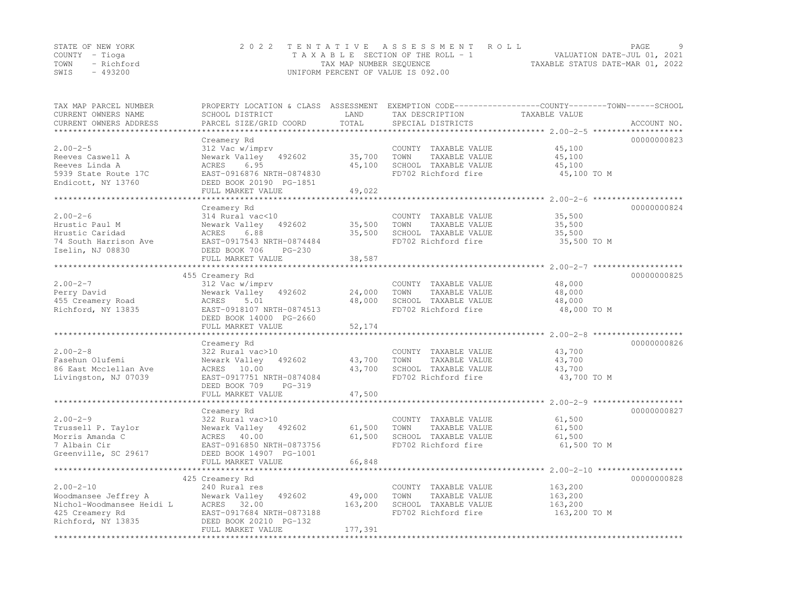|                | STATE OF NEW YORK | 2022 TENTATIVE ASSESSMENT ROLL                                 | PAGE |  |
|----------------|-------------------|----------------------------------------------------------------|------|--|
| COUNTY – Tioga |                   | VALUATION DATE-JUL 01, 2021<br>TAXABLE SECTION OF THE ROLL - 1 |      |  |
|                | TOWN - Richford   | TAXABLE STATUS DATE-MAR 01, 2022<br>TAX MAP NUMBER SEQUENCE    |      |  |
| SWIS           | - 493200          | UNIFORM PERCENT OF VALUE IS 092.00                             |      |  |

| TAX MAP PARCEL NUMBER<br>CURRENT OWNERS NAME               | PROPERTY LOCATION & CLASS ASSESSMENT EXEMPTION CODE----------------COUNTY-------TOWN------SCHOOL<br>SCHOOL DISTRICT | LAND    | TAX DESCRIPTION                               | TAXABLE VALUE      |             |
|------------------------------------------------------------|---------------------------------------------------------------------------------------------------------------------|---------|-----------------------------------------------|--------------------|-------------|
| CURRENT OWNERS ADDRESS                                     | PARCEL SIZE/GRID COORD                                                                                              | TOTAL   | SPECIAL DISTRICTS                             |                    | ACCOUNT NO. |
|                                                            |                                                                                                                     |         |                                               |                    | 00000000823 |
| $2.00 - 2 - 5$                                             | Creamery Rd<br>312 Vac w/imprv                                                                                      |         | COUNTY TAXABLE VALUE                          | 45,100             |             |
| Reeves Caswell A                                           | Newark Valley 492602                                                                                                | 35,700  | TOWN<br>TAXABLE VALUE                         | 45,100             |             |
| Reeves Linda A                                             | ACRES<br>6.95                                                                                                       | 45,100  | SCHOOL TAXABLE VALUE                          | 45,100             |             |
| 5939 State Route 17C                                       | EAST-0916876 NRTH-0874830                                                                                           |         | FD702 Richford fire                           | 45,100 TO M        |             |
| Endicott, NY 13760                                         | DEED BOOK 20190 PG-1851                                                                                             |         |                                               |                    |             |
|                                                            | FULL MARKET VALUE                                                                                                   | 49,022  |                                               |                    |             |
|                                                            |                                                                                                                     |         |                                               |                    |             |
|                                                            | Creamery Rd                                                                                                         |         |                                               |                    | 00000000824 |
| $2.00 - 2 - 6$                                             | 314 Rural vac<10                                                                                                    |         | COUNTY TAXABLE VALUE                          | 35,500             |             |
| Hrustic Paul M                                             | Newark Valley 492602                                                                                                | 35,500  | TOWN<br>TAXABLE VALUE                         | 35,500             |             |
| Hrustic Caridad                                            | 6.88<br>ACRES                                                                                                       | 35,500  | SCHOOL TAXABLE VALUE                          | 35,500             |             |
| 74 South Harrison Ave                                      | EAST-0917543 NRTH-0874484                                                                                           |         | FD702 Richford fire                           | 35,500 TO M        |             |
| Iselin, NJ 08830                                           | DEED BOOK 706<br>PG-230                                                                                             |         |                                               |                    |             |
|                                                            | FULL MARKET VALUE                                                                                                   | 38,587  |                                               |                    |             |
|                                                            |                                                                                                                     |         |                                               |                    |             |
|                                                            | 455 Creamery Rd                                                                                                     |         |                                               |                    | 00000000825 |
| $2.00 - 2 - 7$                                             | 312 Vac w/imprv                                                                                                     |         | COUNTY TAXABLE VALUE                          | 48,000             |             |
| Perry David                                                | Newark Valley 492602                                                                                                | 24,000  | TOWN<br>TAXABLE VALUE                         | 48,000             |             |
| 455 Creamery Road                                          | ACRES<br>5.01                                                                                                       | 48,000  | SCHOOL TAXABLE VALUE                          | 48,000             |             |
| Richford, NY 13835                                         | EAST-0918107 NRTH-0874513<br>DEED BOOK 14000 PG-2660                                                                |         | FD702 Richford fire                           | 48,000 TO M        |             |
|                                                            | FULL MARKET VALUE                                                                                                   | 52,174  |                                               |                    |             |
|                                                            |                                                                                                                     |         |                                               |                    |             |
|                                                            | Creamery Rd                                                                                                         |         |                                               |                    | 00000000826 |
| $2.00 - 2 - 8$                                             | 322 Rural vac>10                                                                                                    |         | COUNTY TAXABLE VALUE                          | 43,700             |             |
| Fasehun Olufemi                                            | Newark Valley 492602                                                                                                | 43,700  | TOWN<br>TAXABLE VALUE                         | 43,700             |             |
| 86 East Mcclellan Ave                                      | 10.00<br>ACRES                                                                                                      | 43,700  | SCHOOL TAXABLE VALUE                          | 43,700             |             |
| Livingston, NJ 07039                                       | EAST-0917751 NRTH-0874084                                                                                           |         | FD702 Richford fire                           | 43,700 TO M        |             |
|                                                            | DEED BOOK 709<br>PG-319                                                                                             |         |                                               |                    |             |
|                                                            | FULL MARKET VALUE                                                                                                   | 47,500  |                                               |                    |             |
|                                                            |                                                                                                                     |         |                                               |                    |             |
|                                                            | Creamery Rd                                                                                                         |         |                                               |                    | 00000000827 |
| $2.00 - 2 - 9$                                             | 322 Rural vac>10                                                                                                    |         | COUNTY TAXABLE VALUE                          | 61,500             |             |
| Trussell P. Taylor                                         | Newark Valley 492602                                                                                                | 61,500  | TOWN<br>TAXABLE VALUE                         | 61,500             |             |
| Morris Amanda C                                            | ACRES 40.00                                                                                                         | 61,500  | SCHOOL TAXABLE VALUE                          | 61,500             |             |
| 7 Albain Cir                                               | EAST-0916850 NRTH-0873756                                                                                           |         | FD702 Richford fire                           | 61,500 TO M        |             |
| Greenville, SC 29617                                       | DEED BOOK 14907 PG-1001                                                                                             |         |                                               |                    |             |
|                                                            | FULL MARKET VALUE                                                                                                   | 66,848  |                                               |                    |             |
|                                                            |                                                                                                                     |         |                                               |                    | 00000000828 |
|                                                            | 425 Creamery Rd                                                                                                     |         |                                               |                    |             |
| $2.00 - 2 - 10$                                            | 240 Rural res<br>Newark Valley 492602                                                                               | 49,000  | COUNTY TAXABLE VALUE<br>TOWN<br>TAXABLE VALUE | 163,200<br>163,200 |             |
| -----<br>Woodmansee Jeffrey A<br>Nichol-Woodmansee Heidi L | ACRES 32.00                                                                                                         | 163,200 | SCHOOL TAXABLE VALUE                          | 163,200            |             |
| 425 Creamery Rd                                            | EAST-0917684 NRTH-0873188                                                                                           |         | FD702 Richford fire                           | 163,200 TO M       |             |
| Richford, NY 13835                                         | DEED BOOK 20210 PG-132                                                                                              |         |                                               |                    |             |
|                                                            | FULL MARKET VALUE                                                                                                   | 177,391 |                                               |                    |             |
|                                                            |                                                                                                                     |         |                                               |                    |             |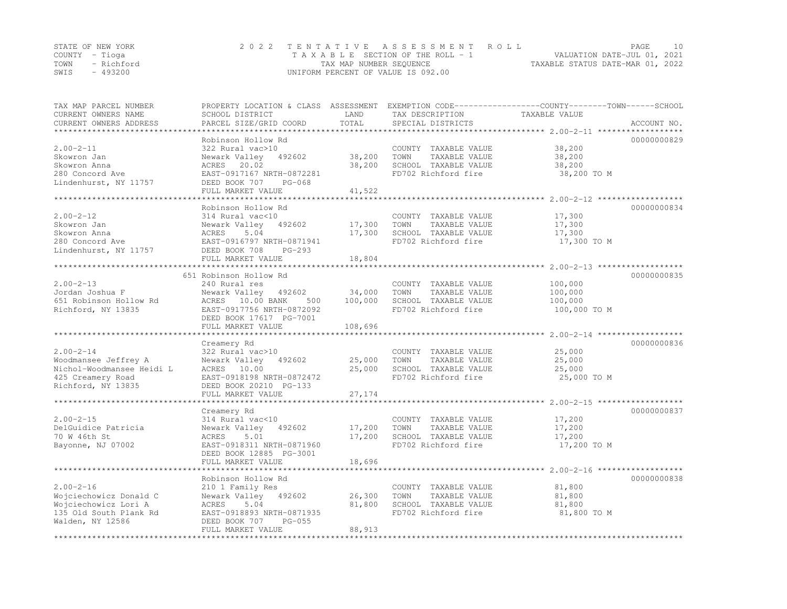|                | STATE OF NEW YORK | 2022 TENTATIVE ASSESSMENT ROLL                              | PAGE                        | 10 |
|----------------|-------------------|-------------------------------------------------------------|-----------------------------|----|
| COUNTY – Tioga |                   | T A X A B L E SECTION OF THE ROLL - 1                       | VALUATION DATE-JUL 01, 2021 |    |
|                | TOWN - Richford   | TAXABLE STATUS DATE-MAR 01, 2022<br>TAX MAP NUMBER SEQUENCE |                             |    |
| SWIS           | - 493200          | UNIFORM PERCENT OF VALUE IS 092.00                          |                             |    |

| TAX MAP PARCEL NUMBER<br>CURRENT OWNERS NAME<br>CURRENT OWNERS ADDRESS                                             | PROPERTY LOCATION & CLASS ASSESSMENT<br>SCHOOL DISTRICT<br>PARCEL SIZE/GRID COORD                                                                                                                     | LAND<br>TOTAL                | TAX DESCRIPTION<br>SPECIAL DISTRICTS                                                         | EXEMPTION CODE-----------------COUNTY-------TOWN------SCHOOL<br>TAXABLE VALUE<br>ACCOUNT NO. |
|--------------------------------------------------------------------------------------------------------------------|-------------------------------------------------------------------------------------------------------------------------------------------------------------------------------------------------------|------------------------------|----------------------------------------------------------------------------------------------|----------------------------------------------------------------------------------------------|
| ********************<br>$2.00 - 2 - 11$<br>Skowron Jan<br>Skowron Anna<br>280 Concord Ave<br>Lindenhurst, NY 11757 | Robinson Hollow Rd<br>322 Rural vac>10<br>Newark Valley<br>492602<br>ACRES 20.02<br>EAST-0917167 NRTH-0872281<br>DEED BOOK 707<br>$PG-068$<br>FULL MARKET VALUE<br>********************************** | 38,200<br>38,200<br>41,522   | COUNTY TAXABLE VALUE<br>TOWN<br>TAXABLE VALUE<br>SCHOOL TAXABLE VALUE<br>FD702 Richford fire | 00000000829<br>38,200<br>38,200<br>38,200<br>38,200 TO M                                     |
| $2.00 - 2 - 12$<br>Skowron Jan<br>Skowron Anna<br>280 Concord Ave<br>Lindenhurst, NY 11757                         | Robinson Hollow Rd<br>314 Rural vac<10<br>Newark Valley 492602<br>5.04<br>ACRES<br>EAST-0916797 NRTH-0871941<br>DEED BOOK 708<br>$PG-293$<br>FULL MARKET VALUE                                        | 17,300<br>17,300<br>18,804   | COUNTY TAXABLE VALUE<br>TAXABLE VALUE<br>TOWN<br>SCHOOL TAXABLE VALUE<br>FD702 Richford fire | 00000000834<br>17,300<br>17,300<br>17,300<br>17,300 TO M                                     |
| $2.00 - 2 - 13$<br>Jordan Joshua F<br>651 Robinson Hollow Rd<br>Richford, NY 13835                                 | 651 Robinson Hollow Rd<br>240 Rural res<br>Newark Valley<br>492602<br>ACRES 10.00 BANK<br>500<br>EAST-0917756 NRTH-0872092<br>DEED BOOK 17617 PG-7001<br>FULL MARKET VALUE                            | 34,000<br>100,000<br>108,696 | COUNTY TAXABLE VALUE<br>TOWN<br>TAXABLE VALUE<br>SCHOOL TAXABLE VALUE<br>FD702 Richford fire | 00000000835<br>100,000<br>100,000<br>100,000<br>100,000 TO M                                 |
| $2.00 - 2 - 14$<br>Woodmansee Jeffrey A<br>Nichol-Woodmansee Heidi L<br>425 Creamery Road<br>Richford, NY 13835    | Creamery Rd<br>322 Rural vac>10<br>492602<br>Newark Valley<br>ACRES<br>10.00<br>EAST-0918198 NRTH-0872472<br>DEED BOOK 20210 PG-133<br>FULL MARKET VALUE                                              | 25,000<br>25,000<br>27,174   | COUNTY TAXABLE VALUE<br>TAXABLE VALUE<br>TOWN<br>SCHOOL TAXABLE VALUE<br>FD702 Richford fire | 00000000836<br>25,000<br>25,000<br>25,000<br>25,000 TO M                                     |
| $2.00 - 2 - 15$<br>DelGuidice Patricia<br>70 W 46th St<br>Bayonne, NJ 07002                                        | Creamery Rd<br>314 Rural vac<10<br>Newark Valley<br>492602<br>ACRES<br>5.01<br>EAST-0918311 NRTH-0871960<br>DEED BOOK 12885 PG-3001<br>FULL MARKET VALUE<br>****************************              | 17,200<br>17,200<br>18,696   | COUNTY TAXABLE VALUE<br>TOWN<br>TAXABLE VALUE<br>SCHOOL TAXABLE VALUE<br>FD702 Richford fire | 00000000837<br>17,200<br>17,200<br>17,200<br>17,200 TO M                                     |
| $2.00 - 2 - 16$<br>Wojciechowicz Donald C<br>Wojciechowicz Lori A<br>135 Old South Plank Rd<br>Walden, NY 12586    | Robinson Hollow Rd<br>210 1 Family Res<br>Newark Valley 492602<br>ACRES<br>5.04<br>EAST-0918893 NRTH-0871935<br>DEED BOOK 707<br>$PG-055$<br>FULL MARKET VALUE                                        | 26,300<br>81,800<br>88,913   | COUNTY TAXABLE VALUE<br>TAXABLE VALUE<br>TOWN<br>SCHOOL TAXABLE VALUE<br>FD702 Richford fire | 00000000838<br>81,800<br>81,800<br>81,800<br>81,800 TO M                                     |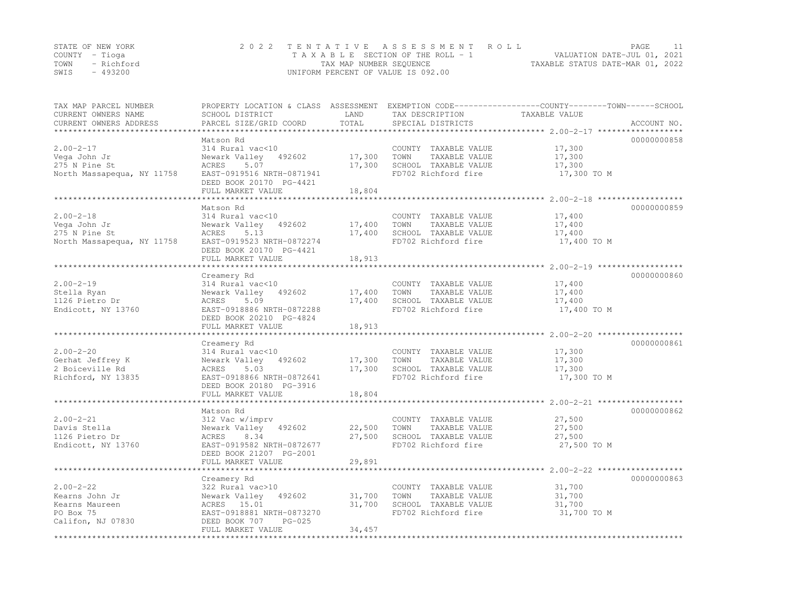|      | STATE OF NEW YORK | 2022 TENTATIVE ASSESSMENT ROLL                                 | PAGE |  |
|------|-------------------|----------------------------------------------------------------|------|--|
|      | COUNTY – Tioga    | VALUATION DATE-JUL 01, 2021<br>TAXABLE SECTION OF THE ROLL - 1 |      |  |
| TOWN | - Richford        | TAXABLE STATUS DATE-MAR 01, 2022<br>TAX MAP NUMBER SEQUENCE    |      |  |
| SWIS | $-493200$         | UNIFORM PERCENT OF VALUE IS 092.00                             |      |  |

| TAX MAP PARCEL NUMBER<br>CURRENT OWNERS NAME<br>CURRENT OWNERS ADDRESS         | SCHOOL DISTRICT<br>PARCEL SIZE/GRID COORD                                                                                                                | LAND<br>TOTAL              | TAX DESCRIPTION<br>SPECIAL DISTRICTS                                                         | PROPERTY LOCATION & CLASS ASSESSMENT EXEMPTION CODE----------------COUNTY-------TOWN-----SCHOOL<br>TAXABLE VALUE<br>ACCOUNT NO. |
|--------------------------------------------------------------------------------|----------------------------------------------------------------------------------------------------------------------------------------------------------|----------------------------|----------------------------------------------------------------------------------------------|---------------------------------------------------------------------------------------------------------------------------------|
|                                                                                |                                                                                                                                                          | **********                 |                                                                                              |                                                                                                                                 |
| $2.00 - 2 - 17$<br>Vega John Jr<br>275 N Pine St<br>North Massapequa, NY 11758 | Matson Rd<br>314 Rural vac<10<br>Newark Valley<br>492602<br>ACRES<br>5.07<br>EAST-0919516 NRTH-0871941                                                   | 17,300<br>17,300           | COUNTY TAXABLE VALUE<br>TAXABLE VALUE<br>TOWN<br>SCHOOL TAXABLE VALUE<br>FD702 Richford fire | 00000000858<br>17,300<br>17,300<br>17,300<br>17,300 TO M                                                                        |
|                                                                                | DEED BOOK 20170 PG-4421<br>FULL MARKET VALUE                                                                                                             | 18,804                     |                                                                                              |                                                                                                                                 |
|                                                                                | **********************                                                                                                                                   |                            |                                                                                              |                                                                                                                                 |
|                                                                                | Matson Rd                                                                                                                                                |                            |                                                                                              | 00000000859                                                                                                                     |
| $2.00 - 2 - 18$<br>Vega John Jr<br>275 N Pine St<br>North Massapequa, NY 11758 | 314 Rural vac<10<br>Newark Valley<br>492602<br>5.13<br>ACRES<br>EAST-0919523 NRTH-0872274<br>DEED BOOK 20170 PG-4421                                     | 17,400<br>17,400           | COUNTY TAXABLE VALUE<br>TAXABLE VALUE<br>TOWN<br>SCHOOL TAXABLE VALUE<br>FD702 Richford fire | 17,400<br>17,400<br>17,400<br>17,400 TO M                                                                                       |
|                                                                                | FULL MARKET VALUE                                                                                                                                        | 18,913                     |                                                                                              |                                                                                                                                 |
|                                                                                |                                                                                                                                                          |                            |                                                                                              | 00000000860                                                                                                                     |
| $2.00 - 2 - 19$<br>Stella Ryan<br>1126 Pietro Dr<br>Endicott, NY 13760         | Creamery Rd<br>314 Rural vac<10<br>Newark Valley<br>492602<br>5.09<br>ACRES<br>EAST-0918886 NRTH-0872288<br>DEED BOOK 20210 PG-4824<br>FULL MARKET VALUE | 17,400<br>17,400<br>18,913 | COUNTY TAXABLE VALUE<br>TOWN<br>TAXABLE VALUE<br>SCHOOL TAXABLE VALUE<br>FD702 Richford fire | 17,400<br>17,400<br>17,400<br>17,400 TO M                                                                                       |
|                                                                                |                                                                                                                                                          |                            |                                                                                              |                                                                                                                                 |
| $2.00 - 2 - 20$<br>Gerhat Jeffrey K<br>2 Boiceville Rd<br>Richford, NY 13835   | Creamery Rd<br>314 Rural vac<10<br>Newark Valley<br>492602<br>ACRES<br>5.03<br>EAST-0918866 NRTH-0872641<br>DEED BOOK 20180 PG-3916<br>FULL MARKET VALUE | 17,300<br>17,300<br>18,804 | COUNTY TAXABLE VALUE<br>TOWN<br>TAXABLE VALUE<br>SCHOOL TAXABLE VALUE<br>FD702 Richford fire | 00000000861<br>17,300<br>17,300<br>17,300<br>17,300 TO M                                                                        |
|                                                                                |                                                                                                                                                          |                            |                                                                                              |                                                                                                                                 |
| $2.00 - 2 - 21$<br>Davis Stella<br>1126 Pietro Dr<br>Endicott, NY 13760        | Matson Rd<br>312 Vac w/imprv<br>Newark Valley<br>492602<br>ACRES<br>8.34<br>EAST-0919582 NRTH-0872677<br>DEED BOOK 21207 PG-2001                         | 22,500<br>27,500           | COUNTY TAXABLE VALUE<br>TOWN<br>TAXABLE VALUE<br>SCHOOL TAXABLE VALUE<br>FD702 Richford fire | 00000000862<br>27,500<br>27,500<br>27,500<br>27,500 TO M                                                                        |
|                                                                                | FULL MARKET VALUE<br>***********************                                                                                                             | 29,891                     |                                                                                              |                                                                                                                                 |
| $2.00 - 2 - 22$<br>Kearns John Jr<br>Kearns Maureen<br>PO Box 75               | Creamery Rd<br>322 Rural vac>10<br>Newark Valley<br>492602<br>ACRES 15.01<br>EAST-0918881 NRTH-0873270                                                   | 31,700<br>31,700           | COUNTY TAXABLE VALUE<br>TAXABLE VALUE<br>TOWN<br>SCHOOL TAXABLE VALUE<br>FD702 Richford fire | 00000000863<br>31,700<br>31,700<br>31,700<br>31,700 TO M                                                                        |
| Califon, NJ 07830                                                              | DEED BOOK 707<br>$PG-025$<br>FULL MARKET VALUE                                                                                                           | 34,457                     |                                                                                              |                                                                                                                                 |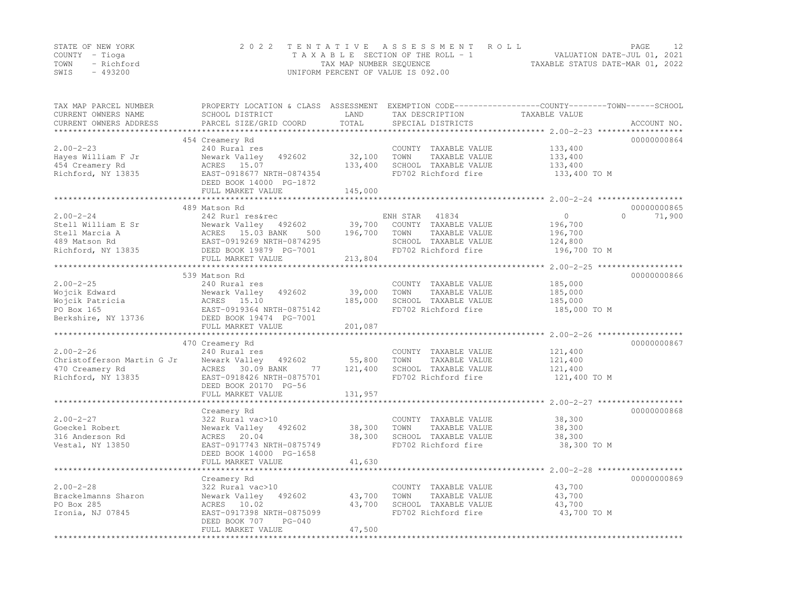|      | STATE OF NEW YORK | 2022 TENTATIVE ASSESSMENT ROLL     | PAGE                             | 12. |
|------|-------------------|------------------------------------|----------------------------------|-----|
|      | COUNTY – Tioga    | TAXABLE SECTION OF THE ROLL - 1    | VALUATION DATE-JUL 01, 2021      |     |
|      | TOWN - Richford   | TAX MAP NUMBER SEQUENCE            | TAXABLE STATUS DATE-MAR 01, 2022 |     |
| SWIS | - 493200          | UNIFORM PERCENT OF VALUE IS 092.00 |                                  |     |

| TAX MAP PARCEL NUMBER<br>CURRENT OWNERS NAME<br>CURRENT OWNERS ADDRESS                                                                                | SCHOOL DISTRICT<br>PARCEL SIZE/GRID COORD        | LAND<br>TOTAL | TAX DESCRIPTION<br>SPECIAL DISTRICTS | PROPERTY LOCATION & CLASS ASSESSMENT EXEMPTION CODE----------------COUNTY-------TOWN------SCHOOL<br>TAXABLE VALUE<br>ACCOUNT NO. |
|-------------------------------------------------------------------------------------------------------------------------------------------------------|--------------------------------------------------|---------------|--------------------------------------|----------------------------------------------------------------------------------------------------------------------------------|
|                                                                                                                                                       |                                                  |               |                                      |                                                                                                                                  |
|                                                                                                                                                       | 454 Creamery Rd                                  |               |                                      | 00000000864                                                                                                                      |
| $2.00 - 2 - 23$                                                                                                                                       | 240 Rural res                                    |               | COUNTY TAXABLE VALUE                 | 133,400                                                                                                                          |
| Hayes William F Jr                                                                                                                                    | Newark Valley 492602                             | 32,100        | TAXABLE VALUE<br>TOWN                | 133,400                                                                                                                          |
| 454 Creamery Rd                                                                                                                                       | ACRES 15.07                                      | 133,400       | SCHOOL TAXABLE VALUE                 | 133,400                                                                                                                          |
| Richford, NY 13835                                                                                                                                    | EAST-0918677 NRTH-0874354                        |               | FD702 Richford fire                  | 133,400 TO M                                                                                                                     |
|                                                                                                                                                       | DEED BOOK 14000 PG-1872                          |               |                                      |                                                                                                                                  |
|                                                                                                                                                       | FULL MARKET VALUE                                | 145,000       |                                      |                                                                                                                                  |
|                                                                                                                                                       |                                                  |               |                                      |                                                                                                                                  |
|                                                                                                                                                       | 489 Matson Rd                                    |               |                                      | 00000000865                                                                                                                      |
| $2.00 - 2 - 24$                                                                                                                                       | 242 Rurl res&rec                                 |               | ENH STAR 41834                       | $\overline{0}$<br>$\Omega$<br>71,900                                                                                             |
| Stell William E Sr                                                                                                                                    | Newark Valley 492602 39,700 COUNTY TAXABLE VALUE |               |                                      | 196,700                                                                                                                          |
|                                                                                                                                                       |                                                  | $500$ 196,700 | TOWN<br>TAXABLE VALUE                | 196,700                                                                                                                          |
|                                                                                                                                                       |                                                  |               | SCHOOL TAXABLE VALUE                 | 124,800                                                                                                                          |
| Stell William E Sr<br>Stell Marcia A (ACRES 15.03 BANK 500<br>489 Matson Rd (BAST-0919269 NRTH-0874295<br>Richford, NY 13835 (DEED BOOK 19879 PG-7001 |                                                  |               | FD702 Richford fire                  | 196,700 TO M                                                                                                                     |
|                                                                                                                                                       | FULL MARKET VALUE                                | 213,804       |                                      |                                                                                                                                  |
|                                                                                                                                                       |                                                  |               |                                      |                                                                                                                                  |
|                                                                                                                                                       | 539 Matson Rd                                    |               |                                      | 00000000866                                                                                                                      |
| $2.00 - 2 - 25$                                                                                                                                       | 240 Rural res                                    |               | COUNTY TAXABLE VALUE                 | 185,000                                                                                                                          |
|                                                                                                                                                       | Newark Valley 492602                             | 39,000        | TAXABLE VALUE<br>TOWN                | 185,000                                                                                                                          |
|                                                                                                                                                       | ACRES 15.10                                      | 185,000       | SCHOOL TAXABLE VALUE                 | 185,000                                                                                                                          |
| Wojcik Edward<br>Wojcik Patricia<br>PO Box 165<br>PO Box 165                                                                                          | EAST-0919364 NRTH-0875142                        |               | FD702 Richford fire                  | 185,000 TO M                                                                                                                     |
| Berkshire, NY 13736                                                                                                                                   | DEED BOOK 19474 PG-7001                          |               |                                      |                                                                                                                                  |
|                                                                                                                                                       | FULL MARKET VALUE                                | 201,087       |                                      |                                                                                                                                  |
|                                                                                                                                                       |                                                  |               |                                      | ******************** 2.00-2-26 *****************                                                                                 |
|                                                                                                                                                       | 470 Creamery Rd                                  |               |                                      | 00000000867                                                                                                                      |
| $2.00 - 2 - 26$                                                                                                                                       | 240 Rural res                                    |               | COUNTY TAXABLE VALUE                 | 121,400                                                                                                                          |
| Christofferson Martin G Jr Mewark Valley 492602                                                                                                       |                                                  | 55,800        | TOWN<br>TAXABLE VALUE                | 121,400                                                                                                                          |
| 470 Creamery Rd                                                                                                                                       | ACRES 30.09 BANK<br>77                           | 121,400       | SCHOOL TAXABLE VALUE                 | 121,400                                                                                                                          |
| Richford, NY 13835                                                                                                                                    | EAST-0918426 NRTH-0875701                        |               | FD702 Richford fire                  | 121,400 TO M                                                                                                                     |
|                                                                                                                                                       | DEED BOOK 20170 PG-56                            |               |                                      |                                                                                                                                  |
|                                                                                                                                                       | FULL MARKET VALUE                                | 131,957       |                                      |                                                                                                                                  |
|                                                                                                                                                       | ***********************                          | ************  |                                      | ************************ 2.00-2-27 *******************                                                                           |
|                                                                                                                                                       | Creamery Rd                                      |               |                                      | 00000000868                                                                                                                      |
| $2.00 - 2 - 27$                                                                                                                                       | 322 Rural vac>10                                 |               | COUNTY TAXABLE VALUE                 | 38,300                                                                                                                           |
| Goeckel Robert                                                                                                                                        | Newark Valley 492602                             | 38,300        | TOWN<br>TAXABLE VALUE                | 38,300                                                                                                                           |
| 316 Anderson Rd                                                                                                                                       | ACRES 20.04                                      | 38,300        | SCHOOL TAXABLE VALUE                 | 38,300                                                                                                                           |
| Vestal, NY 13850                                                                                                                                      | EAST-0917743 NRTH-0875749                        |               | FD702 Richford fire                  | 38,300 TO M                                                                                                                      |
|                                                                                                                                                       | DEED BOOK 14000 PG-1658                          |               |                                      |                                                                                                                                  |
|                                                                                                                                                       | FULL MARKET VALUE                                | 41,630        |                                      |                                                                                                                                  |
|                                                                                                                                                       |                                                  |               |                                      |                                                                                                                                  |
|                                                                                                                                                       | Creamery Rd                                      |               |                                      | 00000000869                                                                                                                      |
| $2.00 - 2 - 28$                                                                                                                                       | 322 Rural vac>10                                 |               | COUNTY TAXABLE VALUE                 | 43,700                                                                                                                           |
| Brackelmanns Sharon                                                                                                                                   | Newark Valley 492602                             | 43,700        | TAXABLE VALUE<br>TOWN                | 43,700                                                                                                                           |
| PO Box 285                                                                                                                                            | ACRES 10.02                                      | 43,700        | SCHOOL TAXABLE VALUE                 | 43,700                                                                                                                           |
| Ironia, NJ 07845                                                                                                                                      | EAST-0917398 NRTH-0875099                        |               | FD702 Richford fire                  | 43,700 TO M                                                                                                                      |
|                                                                                                                                                       | DEED BOOK 707<br>$PG-040$                        |               |                                      |                                                                                                                                  |
|                                                                                                                                                       | FULL MARKET VALUE                                | 47,500        |                                      |                                                                                                                                  |
|                                                                                                                                                       |                                                  |               |                                      |                                                                                                                                  |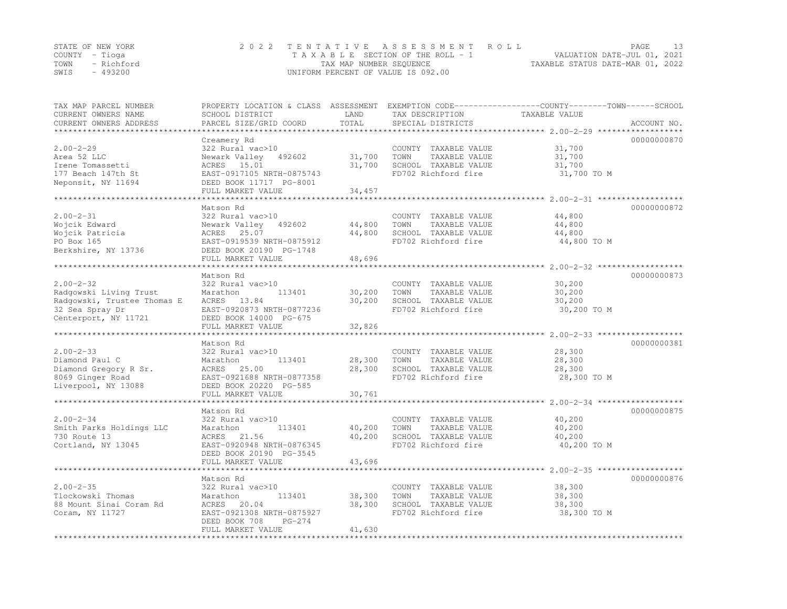|      | STATE OF NEW YORK | 2022 TENTATIVE ASSESSMENT ROLL     | PAGE                             |  |
|------|-------------------|------------------------------------|----------------------------------|--|
|      | COUNTY – Tioga    | TAXABLE SECTION OF THE ROLL - 1    | VALUATION DATE-JUL 01, 2021      |  |
|      | TOWN - Richford   | TAX MAP NUMBER SEQUENCE            | TAXABLE STATUS DATE-MAR 01, 2022 |  |
| SWIS | - 493200          | UNIFORM PERCENT OF VALUE IS 092.00 |                                  |  |

| TAX MAP PARCEL NUMBER<br>CURRENT OWNERS NAME<br>CURRENT OWNERS ADDRESS                                              | PROPERTY LOCATION & CLASS ASSESSMENT<br>SCHOOL DISTRICT<br>PARCEL SIZE/GRID COORD                                                                    | LAND<br>TOTAL              | TAX DESCRIPTION<br>SPECIAL DISTRICTS                                                         | EXEMPTION CODE-----------------COUNTY-------TOWN------SCHOOL<br>TAXABLE VALUE<br>ACCOUNT NO. |
|---------------------------------------------------------------------------------------------------------------------|------------------------------------------------------------------------------------------------------------------------------------------------------|----------------------------|----------------------------------------------------------------------------------------------|----------------------------------------------------------------------------------------------|
| $2.00 - 2 - 29$<br>Area 52 LLC<br>Irene Tomassetti<br>177 Beach 147th St<br>Neponsit, NY 11694                      | Creamery Rd<br>322 Rural vac>10<br>Newark Valley 492602<br>ACRES 15.01<br>EAST-0917105 NRTH-0875743<br>DEED BOOK 11717 PG-8001<br>FULL MARKET VALUE  | 31,700<br>31,700<br>34,457 | COUNTY TAXABLE VALUE<br>TOWN<br>TAXABLE VALUE<br>SCHOOL TAXABLE VALUE<br>FD702 Richford fire | 00000000870<br>31,700<br>31,700<br>31,700<br>31,700 TO M                                     |
| $2.00 - 2 - 31$<br>Wojcik Edward<br>Wojcik Patricia<br>PO Box 165<br>Berkshire, NY 13736                            | Matson Rd<br>322 Rural vac>10<br>Newark Valley 492602<br>ACRES 25.07<br>EAST-0919539 NRTH-0875912<br>DEED BOOK 20190 PG-1748<br>FULL MARKET VALUE    | 44,800<br>44,800<br>48,696 | COUNTY TAXABLE VALUE<br>TOWN<br>TAXABLE VALUE<br>SCHOOL TAXABLE VALUE<br>FD702 Richford fire | 00000000872<br>44,800<br>44,800<br>44,800<br>44,800 TO M                                     |
| $2.00 - 2 - 32$<br>Radgowski Living Trust<br>Radgowski, Trustee Thomas E<br>32 Sea Spray Dr<br>Centerport, NY 11721 | Matson Rd<br>322 Rural vac>10<br>113401<br>Marathon<br>ACRES 13.84<br>EAST-0920873 NRTH-0877236<br>DEED BOOK 14000 PG-675<br>FULL MARKET VALUE       | 30,200<br>30,200<br>32,826 | COUNTY TAXABLE VALUE<br>TOWN<br>TAXABLE VALUE<br>SCHOOL TAXABLE VALUE<br>FD702 Richford fire | 00000000873<br>30,200<br>30,200<br>30,200<br>30,200 TO M                                     |
| $2.00 - 2 - 33$<br>Diamond Paul C<br>Diamond Gregory R Sr.<br>8069 Ginger Road<br>Liverpool, NY 13088               | Matson Rd<br>322 Rural vac>10<br>113401<br>Marathon<br>ACRES<br>25.00<br>EAST-0921688 NRTH-0877358<br>DEED BOOK 20220 PG-585<br>FULL MARKET VALUE    | 28,300<br>28,300<br>30,761 | COUNTY TAXABLE VALUE<br>TOWN<br>TAXABLE VALUE<br>SCHOOL TAXABLE VALUE<br>FD702 Richford fire | 00000000381<br>28,300<br>28,300<br>28,300<br>28,300 TO M                                     |
| $2.00 - 2 - 34$<br>Smith Parks Holdings LLC<br>730 Route 13<br>Cortland, NY 13045                                   | Matson Rd<br>322 Rural vac>10<br>Marathon<br>113401<br>ACRES 21.56<br>EAST-0920948 NRTH-0876345<br>DEED BOOK 20190 PG-3545<br>FULL MARKET VALUE      | 40,200<br>40,200<br>43,696 | COUNTY TAXABLE VALUE<br>TOWN<br>TAXABLE VALUE<br>SCHOOL TAXABLE VALUE<br>FD702 Richford fire | 00000000875<br>40,200<br>40,200<br>40,200<br>40,200 TO M                                     |
| $2.00 - 2 - 35$<br>Tlockowski Thomas<br>88 Mount Sinai Coram Rd<br>Coram, NY 11727                                  | Matson Rd<br>322 Rural vac>10<br>Marathon<br>113401<br>ACRES<br>20.04<br>EAST-0921308 NRTH-0875927<br>DEED BOOK 708<br>$PG-274$<br>FULL MARKET VALUE | 38,300<br>38,300<br>41,630 | COUNTY TAXABLE VALUE<br>TOWN<br>TAXABLE VALUE<br>SCHOOL TAXABLE VALUE<br>FD702 Richford fire | 00000000876<br>38,300<br>38,300<br>38,300<br>38,300 TO M                                     |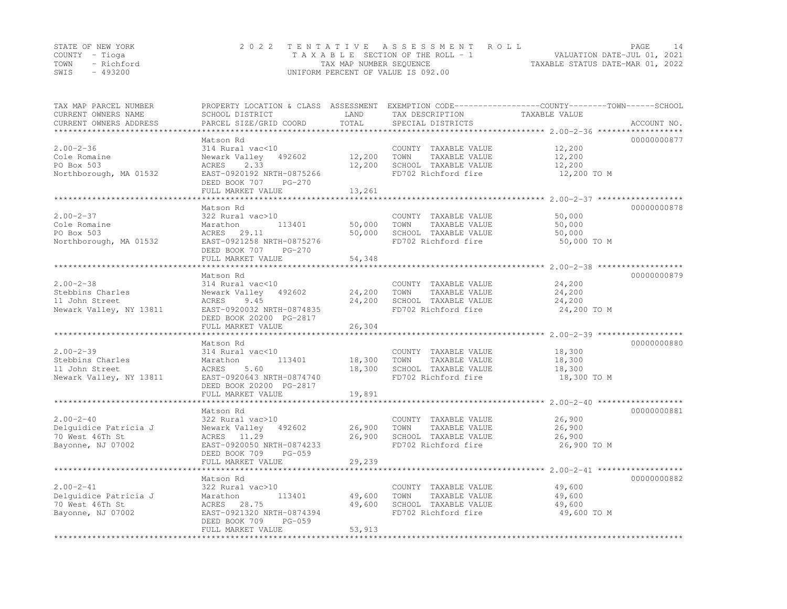|      | STATE OF NEW YORK | 2022 TENTATIVE ASSESSMENT ROLL     | PAGE                             |  |
|------|-------------------|------------------------------------|----------------------------------|--|
|      | COUNTY – Tioga    | TAXABLE SECTION OF THE ROLL - 1    | VALUATION DATE-JUL 01, 2021      |  |
|      | TOWN - Richford   | TAX MAP NUMBER SEOUENCE            | TAXABLE STATUS DATE-MAR 01, 2022 |  |
| SWIS | - 493200          | UNIFORM PERCENT OF VALUE IS 092.00 |                                  |  |

| TAX MAP PARCEL NUMBER<br>CURRENT OWNERS NAME<br>CURRENT OWNERS ADDRESS           | PROPERTY LOCATION & CLASS ASSESSMENT<br>SCHOOL DISTRICT<br>PARCEL SIZE/GRID COORD                                                                      | LAND<br>TOTAL              | TAX DESCRIPTION<br>SPECIAL DISTRICTS                                                         | EXEMPTION CODE-----------------COUNTY-------TOWN------SCHOOL<br>TAXABLE VALUE<br>ACCOUNT NO. |
|----------------------------------------------------------------------------------|--------------------------------------------------------------------------------------------------------------------------------------------------------|----------------------------|----------------------------------------------------------------------------------------------|----------------------------------------------------------------------------------------------|
| *********************                                                            |                                                                                                                                                        |                            |                                                                                              |                                                                                              |
| $2.00 - 2 - 36$<br>Cole Romaine<br>PO Box 503<br>Northborough, MA 01532          | Matson Rd<br>314 Rural vac<10<br>Newark Valley 492602<br>ACRES<br>2.33<br>EAST-0920192 NRTH-0875266<br>DEED BOOK 707<br>$PG-270$<br>FULL MARKET VALUE  | 12,200<br>12,200<br>13,261 | COUNTY TAXABLE VALUE<br>TOWN<br>TAXABLE VALUE<br>SCHOOL TAXABLE VALUE<br>FD702 Richford fire | 00000000877<br>12,200<br>12,200<br>12,200<br>12,200 TO M                                     |
|                                                                                  | ***********************                                                                                                                                |                            |                                                                                              |                                                                                              |
| $2.00 - 2 - 37$<br>Cole Romaine<br>PO Box 503<br>Northborough, MA 01532          | Matson Rd<br>322 Rural vac>10<br>Marathon<br>113401<br>ACRES 29.11<br>EAST-0921258 NRTH-0875276<br>DEED BOOK 707<br>PG-270<br>FULL MARKET VALUE        | 50,000<br>50,000<br>54,348 | COUNTY TAXABLE VALUE<br>TAXABLE VALUE<br>TOWN<br>SCHOOL TAXABLE VALUE<br>FD702 Richford fire | 00000000878<br>50,000<br>50,000<br>50,000<br>50,000 TO M                                     |
|                                                                                  |                                                                                                                                                        |                            |                                                                                              |                                                                                              |
| $2.00 - 2 - 38$<br>Stebbins Charles<br>11 John Street<br>Newark Valley, NY 13811 | Matson Rd<br>314 Rural vac<10<br>Newark Valley<br>492602<br>ACRES<br>9.45<br>EAST-0920032 NRTH-0874835<br>DEED BOOK 20200 PG-2817<br>FULL MARKET VALUE | 24,200<br>24,200<br>26,304 | COUNTY TAXABLE VALUE<br>TOWN<br>TAXABLE VALUE<br>SCHOOL TAXABLE VALUE<br>FD702 Richford fire | 00000000879<br>24,200<br>24,200<br>24,200<br>24,200 TO M                                     |
|                                                                                  |                                                                                                                                                        |                            |                                                                                              | ******************************** 2.00-2-39 ******************                                |
| $2.00 - 2 - 39$<br>Stebbins Charles<br>11 John Street<br>Newark Valley, NY 13811 | Matson Rd<br>314 Rural vac<10<br>113401<br>Marathon<br>ACRES<br>5.60<br>EAST-0920643 NRTH-0874740<br>DEED BOOK 20200 PG-2817<br>FULL MARKET VALUE      | 18,300<br>18,300<br>19,891 | COUNTY TAXABLE VALUE<br>TAXABLE VALUE<br>TOWN<br>SCHOOL TAXABLE VALUE<br>FD702 Richford fire | 00000000880<br>18,300<br>18,300<br>18,300<br>18,300 TO M                                     |
|                                                                                  |                                                                                                                                                        |                            |                                                                                              |                                                                                              |
| $2.00 - 2 - 40$<br>Delquidice Patricia J<br>70 West 46Th St<br>Bayonne, NJ 07002 | Matson Rd<br>322 Rural vac>10<br>Newark Valley<br>492602<br>ACRES 11.29<br>EAST-0920050 NRTH-0874233<br>DEED BOOK 709<br>PG-059<br>FULL MARKET VALUE   | 26,900<br>26,900<br>29,239 | COUNTY TAXABLE VALUE<br>TOWN<br>TAXABLE VALUE<br>SCHOOL TAXABLE VALUE<br>FD702 Richford fire | 00000000881<br>26,900<br>26,900<br>26,900<br>26,900 TO M                                     |
|                                                                                  | **********************                                                                                                                                 | * * * * * * * * * * * *    |                                                                                              |                                                                                              |
| $2.00 - 2 - 41$<br>Delquidice Patricia J<br>70 West 46Th St<br>Bayonne, NJ 07002 | Matson Rd<br>322 Rural vac>10<br>Marathon<br>113401<br>ACRES 28.75<br>EAST-0921320 NRTH-0874394<br>DEED BOOK 709<br>$PG-059$<br>FULL MARKET VALUE      | 49,600<br>49,600<br>53,913 | COUNTY TAXABLE VALUE<br>TOWN<br>TAXABLE VALUE<br>SCHOOL TAXABLE VALUE<br>FD702 Richford fire | 00000000882<br>49,600<br>49,600<br>49,600<br>49,600 TO M                                     |
|                                                                                  |                                                                                                                                                        |                            |                                                                                              |                                                                                              |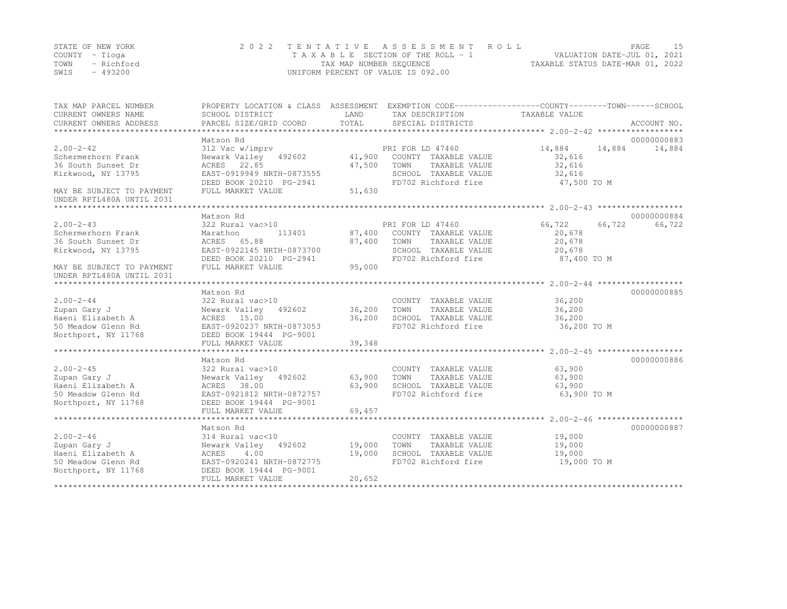|      | STATE OF NEW YORK | 2022 TENTATIVE ASSESSMENT ROLL     | PAGE.                            |
|------|-------------------|------------------------------------|----------------------------------|
|      | COUNTY – Tioga    | TAXABLE SECTION OF THE ROLL - 1    | VALUATION DATE-JUL 01, 2021      |
| TOWN | - Richford        | TAX MAP NUMBER SEQUENCE            | TAXABLE STATUS DATE-MAR 01, 2022 |
| SWIS | - 493200          | UNIFORM PERCENT OF VALUE IS 092.00 |                                  |

| TAX MAP PARCEL NUMBER<br>CURRENT OWNERS NAME | PROPERTY LOCATION & CLASS ASSESSMENT<br>SCHOOL DISTRICT | LAND             | EXEMPTION CODE-----------------COUNTY-------TOWN------SCHOOL<br>TAX DESCRIPTION | TAXABLE VALUE                                     |             |
|----------------------------------------------|---------------------------------------------------------|------------------|---------------------------------------------------------------------------------|---------------------------------------------------|-------------|
| CURRENT OWNERS ADDRESS                       | PARCEL SIZE/GRID COORD                                  | TOTAL            | SPECIAL DISTRICTS                                                               |                                                   | ACCOUNT NO. |
|                                              |                                                         |                  |                                                                                 |                                                   |             |
|                                              | Matson Rd                                               |                  |                                                                                 |                                                   | 00000000883 |
| $2.00 - 2 - 42$                              | 312 Vac w/imprv                                         |                  | PRI FOR LD 47460                                                                | 14,884<br>14,884                                  | 14,884      |
| Schermerhorn Frank                           | Newark Valley 492602<br>22.85                           | 41,900<br>47,500 | COUNTY TAXABLE VALUE                                                            | 32,616                                            |             |
| 36 South Sunset Dr<br>Kirkwood, NY 13795     | ACRES<br>EAST-0919949 NRTH-0873555                      |                  | TOWN<br>TAXABLE VALUE<br>SCHOOL TAXABLE VALUE                                   | 32,616<br>32,616                                  |             |
|                                              | DEED BOOK 20210 PG-2941                                 |                  | FD702 Richford fire                                                             | 47,500 TO M                                       |             |
| MAY BE SUBJECT TO PAYMENT                    | FULL MARKET VALUE                                       | 51,630           |                                                                                 |                                                   |             |
| UNDER RPTL480A UNTIL 2031                    |                                                         |                  |                                                                                 |                                                   |             |
|                                              |                                                         |                  |                                                                                 |                                                   |             |
|                                              | Matson Rd                                               |                  |                                                                                 |                                                   | 00000000884 |
| $2.00 - 2 - 43$                              | 322 Rural vac>10                                        |                  | PRI FOR LD 47460                                                                | 66,722<br>66,722                                  | 66,722      |
| Schermerhorn Frank                           | Marathon<br>113401                                      | 87,400           | COUNTY TAXABLE VALUE                                                            | 20,678                                            |             |
| 36 South Sunset Dr                           | ACRES<br>65.88                                          | 87,400           | TOWN<br>TAXABLE VALUE                                                           | 20,678                                            |             |
| Kirkwood, NY 13795                           | EAST-0922145 NRTH-0873700                               |                  | SCHOOL TAXABLE VALUE                                                            | 20,678                                            |             |
|                                              | DEED BOOK 20210 PG-2941                                 |                  | FD702 Richford fire                                                             | 87,400 TO M                                       |             |
| MAY BE SUBJECT TO PAYMENT                    | FULL MARKET VALUE                                       | 95,000           |                                                                                 |                                                   |             |
| UNDER RPTL480A UNTIL 2031                    |                                                         |                  |                                                                                 |                                                   |             |
|                                              |                                                         |                  |                                                                                 |                                                   |             |
|                                              | Matson Rd                                               |                  |                                                                                 |                                                   | 00000000885 |
| $2.00 - 2 - 44$                              | 322 Rural vac>10                                        |                  | COUNTY TAXABLE VALUE                                                            | 36,200                                            |             |
| Zupan Gary J                                 | Newark Valley 492602                                    | 36,200           | TOWN<br>TAXABLE VALUE                                                           | 36,200                                            |             |
| Haeni Elizabeth A                            | ACRES 15.00                                             | 36,200           | SCHOOL TAXABLE VALUE                                                            | 36,200                                            |             |
| 50 Meadow Glenn Rd                           | EAST-0920237 NRTH-0873053                               |                  | FD702 Richford fire                                                             | 36,200 TO M                                       |             |
| Northport, NY 11768                          | DEED BOOK 19444 PG-9001                                 |                  |                                                                                 |                                                   |             |
|                                              | FULL MARKET VALUE                                       | 39,348           |                                                                                 |                                                   |             |
|                                              |                                                         |                  |                                                                                 |                                                   |             |
|                                              | Matson Rd                                               |                  |                                                                                 |                                                   | 00000000886 |
| $2.00 - 2 - 45$                              | 322 Rural vac>10                                        |                  | COUNTY TAXABLE VALUE<br>TOWN                                                    | 63,900                                            |             |
| Zupan Gary J<br>Haeni Elizabeth A            | Newark Valley<br>492602<br>ACRES 38.00                  | 63,900<br>63,900 | TAXABLE VALUE<br>SCHOOL TAXABLE VALUE                                           | 63,900<br>63,900                                  |             |
| 50 Meadow Glenn Rd                           | EAST-0921812 NRTH-0872757                               |                  | FD702 Richford fire                                                             | 63,900 TO M                                       |             |
| Northport, NY 11768                          | DEED BOOK 19444 PG-9001                                 |                  |                                                                                 |                                                   |             |
|                                              | FULL MARKET VALUE                                       | 69,457           |                                                                                 |                                                   |             |
|                                              | *************************                               |                  |                                                                                 | ******************** 2.00-2-46 ****************** |             |
|                                              | Matson Rd                                               |                  |                                                                                 |                                                   | 00000000887 |
| $2.00 - 2 - 46$                              | 314 Rural vac<10                                        |                  | COUNTY TAXABLE VALUE                                                            | 19,000                                            |             |
| Zupan Gary J                                 | Newark Valley<br>492602                                 | 19,000           | TOWN<br>TAXABLE VALUE                                                           | 19,000                                            |             |
| Haeni Elizabeth A                            | 4.00<br>ACRES                                           | 19,000           | SCHOOL TAXABLE VALUE                                                            | 19,000                                            |             |
| 50 Meadow Glenn Rd                           | EAST-0920241 NRTH-0872775                               |                  | FD702 Richford fire                                                             | 19,000 TO M                                       |             |
| Northport, NY 11768                          | DEED BOOK 19444 PG-9001                                 |                  |                                                                                 |                                                   |             |
|                                              | FULL MARKET VALUE                                       | 20,652           |                                                                                 |                                                   |             |
| ********************                         |                                                         |                  |                                                                                 |                                                   |             |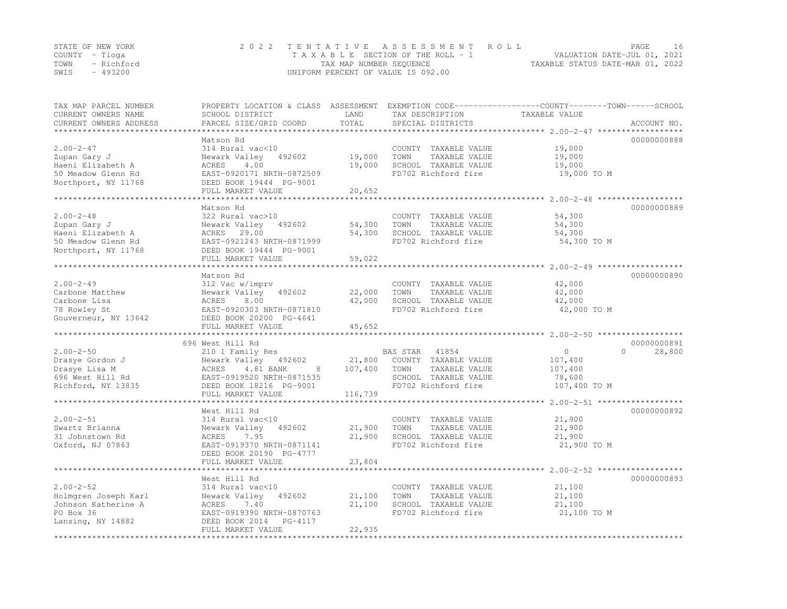| STATE OF NEW YORK |          | 2022 TENTATIVE ASSESSMENT ROLL                                 | PAGE |  |
|-------------------|----------|----------------------------------------------------------------|------|--|
| COUNTY – Tioga    |          | VALUATION DATE-JUL 01, 2021<br>TAXABLE SECTION OF THE ROLL - 1 |      |  |
| TOWN - Richford   |          | TAXABLE STATUS DATE-MAR 01, 2022<br>TAX MAP NUMBER SEOUENCE    |      |  |
| SWIS              | - 493200 | UNIFORM PERCENT OF VALUE IS 092.00                             |      |  |

| TAX MAP PARCEL NUMBER<br>CURRENT OWNERS NAME<br>CURRENT OWNERS ADDRESS | PROPERTY LOCATION & CLASS ASSESSMENT<br>SCHOOL DISTRICT<br>PARCEL SIZE/GRID COORD | LAND<br>TOTAL    | TAX DESCRIPTION<br>SPECIAL DISTRICTS          | EXEMPTION CODE-----------------COUNTY-------TOWN------SCHOOL<br>TAXABLE VALUE | ACCOUNT NO. |
|------------------------------------------------------------------------|-----------------------------------------------------------------------------------|------------------|-----------------------------------------------|-------------------------------------------------------------------------------|-------------|
|                                                                        |                                                                                   |                  |                                               |                                                                               |             |
|                                                                        | Matson Rd                                                                         |                  |                                               |                                                                               | 00000000888 |
| $2.00 - 2 - 47$                                                        | 314 Rural vac<10                                                                  |                  | COUNTY TAXABLE VALUE                          | 19,000                                                                        |             |
| Zupan Gary J<br>Haeni Elizabeth A                                      | Newark Valley<br>492602<br>ACRES<br>4.00                                          | 19,000<br>19,000 | TOWN<br>TAXABLE VALUE<br>SCHOOL TAXABLE VALUE | 19,000                                                                        |             |
| 50 Meadow Glenn Rd                                                     | EAST-0920171 NRTH-0872509                                                         |                  | FD702 Richford fire                           | 19,000<br>19,000 TO M                                                         |             |
| Northport, NY 11768                                                    | DEED BOOK 19444 PG-9001                                                           |                  |                                               |                                                                               |             |
|                                                                        | FULL MARKET VALUE                                                                 | 20,652           |                                               |                                                                               |             |
|                                                                        |                                                                                   |                  |                                               |                                                                               |             |
|                                                                        | Matson Rd                                                                         |                  |                                               |                                                                               | 00000000889 |
| $2.00 - 2 - 48$                                                        | 322 Rural vac>10                                                                  |                  | COUNTY TAXABLE VALUE                          | 54,300                                                                        |             |
| Zupan Gary J                                                           | Newark Valley 492602                                                              | 54,300           | TOWN<br>TAXABLE VALUE                         | 54,300                                                                        |             |
| Haeni Elizabeth A                                                      | ACRES 29.00                                                                       | 54,300           | SCHOOL TAXABLE VALUE                          | 54,300                                                                        |             |
| 50 Meadow Glenn Rd                                                     | EAST-0921243 NRTH-0871999                                                         |                  | FD702 Richford fire                           | 54,300 TO M                                                                   |             |
| Northport, NY 11768                                                    | DEED BOOK 19444 PG-9001                                                           |                  |                                               |                                                                               |             |
|                                                                        | FULL MARKET VALUE                                                                 | 59,022           |                                               |                                                                               |             |
|                                                                        |                                                                                   |                  |                                               |                                                                               |             |
|                                                                        | Matson Rd                                                                         |                  |                                               |                                                                               | 00000000890 |
| $2.00 - 2 - 49$                                                        | 312 Vac w/imprv                                                                   |                  | COUNTY TAXABLE VALUE                          | 42,000                                                                        |             |
| Carbone Matthew                                                        | Newark Valley<br>492602                                                           | 22,000           | TAXABLE VALUE<br>TOWN                         | 42,000                                                                        |             |
| Carbone Lisa                                                           | ACRES<br>8.00                                                                     | 42,000           | SCHOOL TAXABLE VALUE                          | 42,000                                                                        |             |
| 78 Rowley St                                                           | EAST-0920303 NRTH-0871810                                                         |                  | FD702 Richford fire                           | 42,000 TO M                                                                   |             |
| Gouverneur, NY 13642                                                   | DEED BOOK 20200 PG-4641<br>FULL MARKET VALUE                                      |                  |                                               |                                                                               |             |
|                                                                        |                                                                                   | 45,652           |                                               |                                                                               |             |
|                                                                        | 696 West Hill Rd                                                                  |                  |                                               |                                                                               | 00000000891 |
| $2.00 - 2 - 50$                                                        | 210 1 Family Res                                                                  |                  | BAS STAR<br>41854                             | $\circ$<br>$\cap$                                                             | 28,800      |
| Drasye Gordon J                                                        | Newark Valley 492602                                                              | 21,800           | COUNTY TAXABLE VALUE                          | 107,400                                                                       |             |
| Drasye Lisa M                                                          | 4.81 BANK<br>ACRES<br>8                                                           | 107,400          | TOWN<br>TAXABLE VALUE                         | 107,400                                                                       |             |
| 696 West Hill Rd                                                       | EAST-0919520 NRTH-0871535                                                         |                  | SCHOOL TAXABLE VALUE                          | 78,600                                                                        |             |
| Richford, NY 13835                                                     | DEED BOOK 18216 PG-9001                                                           |                  | FD702 Richford fire                           | 107,400 TO M                                                                  |             |
|                                                                        | FULL MARKET VALUE                                                                 | 116,739          |                                               |                                                                               |             |
|                                                                        |                                                                                   |                  |                                               |                                                                               |             |
|                                                                        | West Hill Rd                                                                      |                  |                                               |                                                                               | 00000000892 |
| $2.00 - 2 - 51$                                                        | 314 Rural vac<10                                                                  |                  | COUNTY TAXABLE VALUE                          | 21,900                                                                        |             |
| Swartz Brianna                                                         | Newark Valley<br>492602                                                           | 21,900           | TOWN<br>TAXABLE VALUE                         | 21,900                                                                        |             |
| 31 Johnstown Rd                                                        | ACRES<br>7.95                                                                     | 21,900           | SCHOOL TAXABLE VALUE                          | 21,900                                                                        |             |
| Oxford, NJ 07863                                                       | EAST-0919370 NRTH-0871141                                                         |                  | FD702 Richford fire                           | 21,900 TO M                                                                   |             |
|                                                                        | DEED BOOK 20190 PG-4777                                                           |                  |                                               |                                                                               |             |
|                                                                        | FULL MARKET VALUE                                                                 | 23,804           |                                               |                                                                               |             |
|                                                                        |                                                                                   |                  |                                               |                                                                               |             |
|                                                                        | West Hill Rd                                                                      |                  |                                               |                                                                               | 00000000893 |
| $2.00 - 2 - 52$                                                        | 314 Rural vac<10                                                                  |                  | COUNTY TAXABLE VALUE                          | 21,100                                                                        |             |
| Holmgren Joseph Karl                                                   | Newark Valley<br>492602                                                           | 21,100           | TAXABLE VALUE<br>TOWN                         | 21,100                                                                        |             |
| Johnson Katherine A                                                    | ACRES<br>7.40                                                                     | 21,100           | SCHOOL TAXABLE VALUE                          | 21,100                                                                        |             |
| PO Box 36                                                              | EAST-0919390 NRTH-0870763                                                         |                  | FD702 Richford fire                           | 21,100 TO M                                                                   |             |
| Lansing, NY 14882                                                      | DEED BOOK 2014<br>PG-4117                                                         |                  |                                               |                                                                               |             |
|                                                                        | FULL MARKET VALUE                                                                 | 22,935           |                                               |                                                                               |             |
|                                                                        |                                                                                   |                  |                                               |                                                                               |             |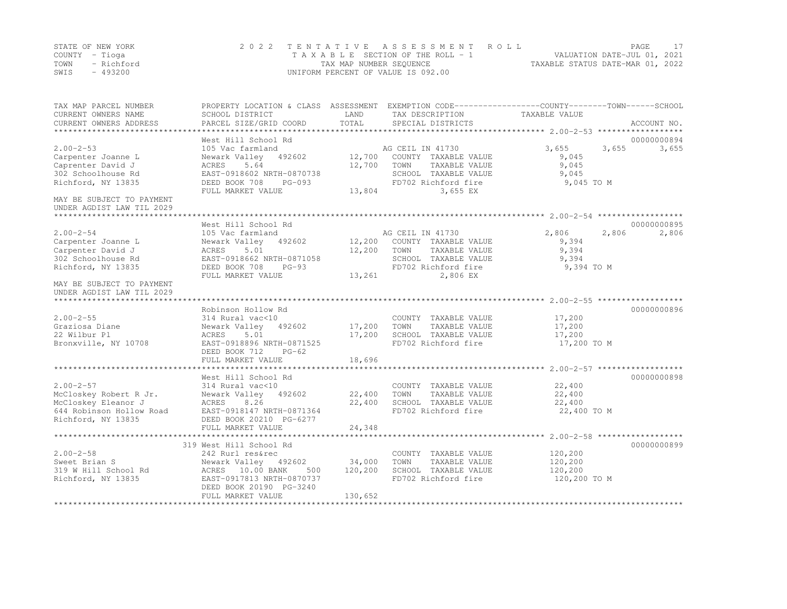| STATE OF NEW YORK<br>COUNTY - Tioga<br>- Richford<br>TOWN<br>$-493200$<br>SWIS | 2 0 2 2                                                                                        | TAX MAP NUMBER SEQUENCE | TENTATIVE ASSESSMENT ROLL<br>UNIFORM PERCENT OF VALUE IS 092.00 |                    | PAGE<br>17<br>VALUATION DATE-JUL 01, 2021<br>TAXABLE STATUS DATE-MAR 01, 2022 |
|--------------------------------------------------------------------------------|------------------------------------------------------------------------------------------------|-------------------------|-----------------------------------------------------------------|--------------------|-------------------------------------------------------------------------------|
| TAX MAP PARCEL NUMBER                                                          | PROPERTY LOCATION & CLASS ASSESSMENT EXEMPTION CODE---------------COUNTY-------TOWN-----SCHOOL |                         |                                                                 |                    |                                                                               |
| CURRENT OWNERS NAME                                                            | SCHOOL DISTRICT                                                                                | LAND                    | TAX DESCRIPTION                                                 | TAXABLE VALUE      |                                                                               |
| CURRENT OWNERS ADDRESS                                                         | PARCEL SIZE/GRID COORD                                                                         | TOTAL                   | SPECIAL DISTRICTS                                               |                    | ACCOUNT NO.                                                                   |
|                                                                                | West Hill School Rd                                                                            |                         |                                                                 |                    | 00000000894                                                                   |
| $2.00 - 2 - 53$                                                                | 105 Vac farmland                                                                               |                         | AG CEIL IN 41730                                                | 3,655              | 3,655<br>3,655                                                                |
| Carpenter Joanne L                                                             | Newark Valley 492602                                                                           |                         | 12,700 COUNTY TAXABLE VALUE                                     | 9,045              |                                                                               |
| Caprenter David J                                                              | 5.64<br>ACRES                                                                                  | 12,700                  | TAXABLE VALUE<br>TOWN                                           | 9,045              |                                                                               |
| 302 Schoolhouse Rd                                                             | EAST-0918602 NRTH-0870738                                                                      |                         | SCHOOL TAXABLE VALUE                                            | 9,045              |                                                                               |
| Richford, NY 13835                                                             | DEED BOOK 708<br>PG-093                                                                        |                         | FD702 Richford fire                                             | 9,045 TO M         |                                                                               |
|                                                                                | FULL MARKET VALUE                                                                              |                         | 13,804<br>3,655 EX                                              |                    |                                                                               |
| MAY BE SUBJECT TO PAYMENT<br>UNDER AGDIST LAW TIL 2029                         |                                                                                                |                         |                                                                 |                    |                                                                               |
|                                                                                | West Hill School Rd                                                                            |                         |                                                                 |                    | 00000000895                                                                   |
| $2.00 - 2 - 54$                                                                | 105 Vac farmland                                                                               |                         | AG CEIL IN 41730                                                | 2,806              | 2,806<br>2,806                                                                |
| Carpenter Joanne L                                                             | Newark Valley 492602                                                                           |                         | 12,200 COUNTY TAXABLE VALUE                                     | 9,394              |                                                                               |
| Carpenter David J                                                              | ACRES<br>5.01                                                                                  | 12,200 TOWN             | TAXABLE VALUE                                                   | 9,394              |                                                                               |
| 302 Schoolhouse Rd                                                             | EAST-0918662 NRTH-0871058                                                                      |                         | SCHOOL TAXABLE VALUE                                            | 9.394              |                                                                               |
| Richford, NY 13835                                                             | DEED BOOK 708 PG-93                                                                            |                         | FD702 Richford fire                                             | 9,394 TO M         |                                                                               |
|                                                                                | FULL MARKET VALUE                                                                              | 13,261                  | 2,806 EX                                                        |                    |                                                                               |
| MAY BE SUBJECT TO PAYMENT                                                      |                                                                                                |                         |                                                                 |                    |                                                                               |
| UNDER AGDIST LAW TIL 2029                                                      |                                                                                                |                         |                                                                 |                    |                                                                               |
|                                                                                | Robinson Hollow Rd                                                                             |                         |                                                                 |                    | 00000000896                                                                   |
| $2.00 - 2 - 55$                                                                | 314 Rural vac<10                                                                               |                         | COUNTY TAXABLE VALUE                                            | 17,200             |                                                                               |
| Graziosa Diane                                                                 | Newark Valley 492602                                                                           | 17,200                  | TOWN<br>TAXABLE VALUE                                           | 17,200             |                                                                               |
| 22 Wilbur Pl                                                                   | 5.01<br>ACRES                                                                                  |                         | 17,200 SCHOOL TAXABLE VALUE                                     | 17,200             |                                                                               |
| Bronxville, NY 10708                                                           | EAST-0918896 NRTH-0871525                                                                      |                         | FD702 Richford fire                                             | 17,200 TO M        |                                                                               |
|                                                                                | DEED BOOK 712<br>$PG-62$                                                                       |                         |                                                                 |                    |                                                                               |
|                                                                                | FULL MARKET VALUE                                                                              | 18,696                  |                                                                 |                    |                                                                               |
|                                                                                | West Hill School Rd                                                                            |                         |                                                                 |                    | 00000000898                                                                   |
| $2.00 - 2 - 57$                                                                | 314 Rural vac<10                                                                               |                         | COUNTY TAXABLE VALUE                                            | 22,400             |                                                                               |
| McCloskey Robert R Jr.                                                         | Newark Valley 492602                                                                           | 22,400                  | TOWN<br>TAXABLE VALUE                                           | 22,400             |                                                                               |
| McCloskey Eleanor J                                                            | ACRES<br>8.26                                                                                  |                         | 22,400 SCHOOL TAXABLE VALUE                                     | 22,400             |                                                                               |
| 644 Robinson Hollow Road                                                       | EAST-0918147 NRTH-0871364                                                                      |                         | FD702 Richford fire                                             | 22,400 TO M        |                                                                               |
| Richford, NY 13835                                                             | DEED BOOK 20210 PG-6277                                                                        |                         |                                                                 |                    |                                                                               |
|                                                                                | FULL MARKET VALUE                                                                              | 24,348                  |                                                                 |                    |                                                                               |
|                                                                                |                                                                                                |                         |                                                                 |                    |                                                                               |
|                                                                                | 319 West Hill School Rd                                                                        |                         |                                                                 |                    | 00000000899                                                                   |
| $2.00 - 2 - 58$<br>Sweet Brian S                                               | 242 Rurl res&rec<br>Newark Valley 492602                                                       | 34,000                  | COUNTY TAXABLE VALUE<br>TOWN<br>TAXABLE VALUE                   | 120,200<br>120,200 |                                                                               |
| 319 W Hill School Rd                                                           | ACRES 10.00 BANK<br>500                                                                        |                         | 120,200 SCHOOL TAXABLE VALUE                                    | 120,200            |                                                                               |
| Richford, NY 13835                                                             | EAST-0917813 NRTH-0870737                                                                      |                         | FD702 Richford fire                                             | 120,200 TO M       |                                                                               |
|                                                                                | DEED BOOK 20190 PG-3240<br>FULL MARKET VALUE                                                   | 130,652                 |                                                                 |                    |                                                                               |
|                                                                                |                                                                                                |                         |                                                                 |                    |                                                                               |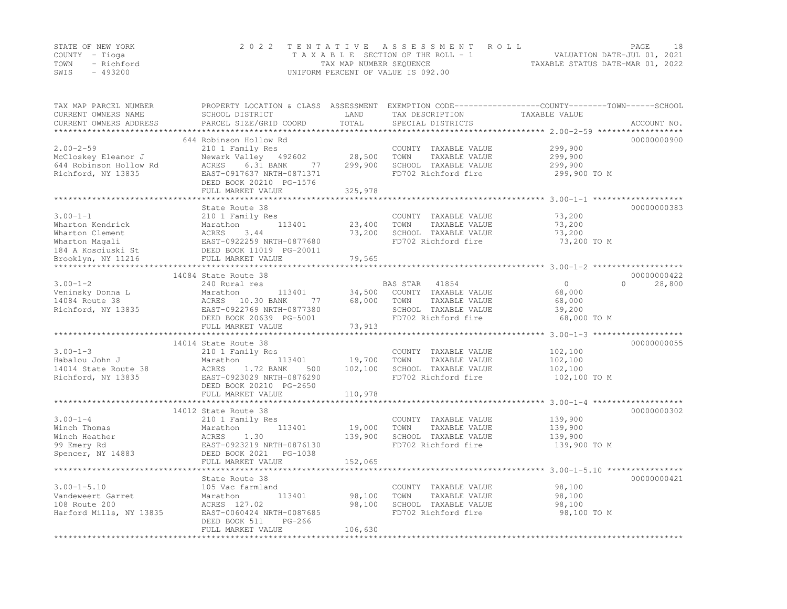|      | STATE OF NEW YORK | 2022 TENTATIVE ASSESSMENT ROLL                                 | PAGE | 18 |
|------|-------------------|----------------------------------------------------------------|------|----|
|      | COUNTY – Tioga    | VALUATION DATE-JUL 01, 2021<br>TAXABLE SECTION OF THE ROLL - 1 |      |    |
|      | TOWN - Richford   | TAXABLE STATUS DATE-MAR 01, 2022<br>TAX MAP NUMBER SEQUENCE    |      |    |
| SWIS | - 493200          | UNIFORM PERCENT OF VALUE IS 092.00                             |      |    |

| TAX MAP PARCEL NUMBER<br>CURRENT OWNERS NAME<br>CURRENT OWNERS ADDRESS | SCHOOL DISTRICT<br>PARCEL SIZE/GRID COORD                           | LAND<br>TOTAL     | TAX DESCRIPTION<br>SPECIAL DISTRICTS          | PROPERTY LOCATION & CLASS ASSESSMENT EXEMPTION CODE----------------COUNTY-------TOWN-----SCHOOL<br>TAXABLE VALUE<br>ACCOUNT NO. |
|------------------------------------------------------------------------|---------------------------------------------------------------------|-------------------|-----------------------------------------------|---------------------------------------------------------------------------------------------------------------------------------|
| *************************                                              |                                                                     |                   |                                               |                                                                                                                                 |
|                                                                        | 644 Robinson Hollow Rd                                              |                   |                                               | 00000000900                                                                                                                     |
| $2.00 - 2 - 59$                                                        | 210 1 Family Res                                                    |                   | COUNTY TAXABLE VALUE                          | 299,900                                                                                                                         |
| McCloskey Eleanor J                                                    | Newark Valley 492602                                                | 28,500            | TOWN<br>TAXABLE VALUE                         | 299,900                                                                                                                         |
| 644 Robinson Hollow Rd                                                 | 6.31 BANK<br>ACRES<br>77                                            | 299,900           | SCHOOL TAXABLE VALUE                          | 299,900                                                                                                                         |
| Richford, NY 13835                                                     | EAST-0917637 NRTH-0871371                                           |                   | FD702 Richford fire                           | 299,900 TO M                                                                                                                    |
|                                                                        | DEED BOOK 20210 PG-1576<br>FULL MARKET VALUE                        | 325,978           |                                               |                                                                                                                                 |
|                                                                        |                                                                     |                   |                                               |                                                                                                                                 |
|                                                                        | State Route 38                                                      |                   |                                               | 00000000383                                                                                                                     |
| $3.00 - 1 - 1$                                                         | 210 1 Family Res                                                    |                   | COUNTY TAXABLE VALUE                          | 73,200                                                                                                                          |
| Wharton Kendrick                                                       | 113401<br>Marathon                                                  | 23,400            | TAXABLE VALUE<br>TOWN                         | 73,200                                                                                                                          |
| Wharton Clement                                                        |                                                                     | 73,200            | SCHOOL TAXABLE VALUE                          | 73,200                                                                                                                          |
| Wharton Magali                                                         |                                                                     |                   | FD702 Richford fire                           | 73,200 TO M                                                                                                                     |
| 184 A Kosciuski St                                                     | ACRES 3.44<br>EAST-0922259 NRTH-0877680<br>DEED BOOK 11019 PG-20011 |                   |                                               |                                                                                                                                 |
| Brooklyn, NY 11216                                                     | FULL MARKET VALUE                                                   | 79,565            |                                               |                                                                                                                                 |
|                                                                        |                                                                     |                   |                                               |                                                                                                                                 |
|                                                                        | 14084 State Route 38                                                |                   |                                               | 00000000422                                                                                                                     |
| $3.00 - 1 - 2$                                                         | 240 Rural res                                                       |                   | BAS STAR<br>41854                             | $\overline{0}$<br>$\Omega$<br>28,800                                                                                            |
| Veninsky Donna L                                                       | 113401<br>Marathon                                                  | 34,500            | COUNTY TAXABLE VALUE                          | 68,000                                                                                                                          |
| 14084 Route 38                                                         | ACRES 10.30 BANK<br>77                                              | 68,000            | TAXABLE VALUE<br>TOWN                         | 68,000                                                                                                                          |
| Richford, NY 13835                                                     | EAST-0922769 NRTH-0877380                                           |                   | SCHOOL TAXABLE VALUE                          | 39,200                                                                                                                          |
|                                                                        | DEED BOOK 20639 PG-5001                                             |                   | FD702 Richford fire                           | 68,000 TO M                                                                                                                     |
|                                                                        | FULL MARKET VALUE                                                   | 73,913            |                                               |                                                                                                                                 |
|                                                                        |                                                                     |                   |                                               |                                                                                                                                 |
|                                                                        | 14014 State Route 38                                                |                   |                                               | 00000000055                                                                                                                     |
| $3.00 - 1 - 3$                                                         | 210 1 Family Res                                                    |                   | COUNTY TAXABLE VALUE                          | 102,100                                                                                                                         |
| Habalou John J<br>14014 State Route 38                                 | Marathon<br>113401<br>1.72 BANK<br>ACRES<br>500                     | 19,700<br>102,100 | TOWN<br>TAXABLE VALUE<br>SCHOOL TAXABLE VALUE | 102,100<br>102,100                                                                                                              |
| Richford, NY 13835                                                     | EAST-0923029 NRTH-0876290                                           |                   | FD702 Richford fire                           | 102,100 TO M                                                                                                                    |
|                                                                        | DEED BOOK 20210 PG-2650                                             |                   |                                               |                                                                                                                                 |
|                                                                        | FULL MARKET VALUE                                                   | 110,978           |                                               |                                                                                                                                 |
|                                                                        |                                                                     |                   |                                               |                                                                                                                                 |
|                                                                        | 14012 State Route 38                                                |                   |                                               | 00000000302                                                                                                                     |
| $3.00 - 1 - 4$                                                         | 210 1 Family Res                                                    |                   | COUNTY TAXABLE VALUE                          | 139,900                                                                                                                         |
| Winch Thomas                                                           | Marathon<br>113401                                                  | 19,000            | TOWN<br>TAXABLE VALUE                         | 139,900                                                                                                                         |
| Winch Heather                                                          | 1.30<br>ACRES                                                       | 139,900           | SCHOOL TAXABLE VALUE                          | 139,900                                                                                                                         |
| 99 Emery Rd                                                            | EAST-0923219 NRTH-0876130                                           |                   | FD702 Richford fire                           | 139,900 TO M                                                                                                                    |
| Spencer, NY 14883                                                      | DEED BOOK 2021<br>PG-1038                                           |                   |                                               |                                                                                                                                 |
|                                                                        | FULL MARKET VALUE                                                   | 152,065           |                                               |                                                                                                                                 |
|                                                                        |                                                                     |                   |                                               |                                                                                                                                 |
|                                                                        | State Route 38                                                      |                   |                                               | 00000000421                                                                                                                     |
| $3.00 - 1 - 5.10$                                                      | 105 Vac farmland                                                    |                   | COUNTY TAXABLE VALUE                          | 98,100                                                                                                                          |
| Vandeweert Garret                                                      | 113401<br>Marathon                                                  | 98,100            | TOWN<br>TAXABLE VALUE                         | 98,100                                                                                                                          |
| 108 Route 200                                                          | ACRES 127.02                                                        | 98,100            | SCHOOL TAXABLE VALUE                          | 98,100                                                                                                                          |
| Harford Mills, NY 13835                                                | EAST-0060424 NRTH-0087685                                           |                   | FD702 Richford fire                           | 98,100 TO M                                                                                                                     |
|                                                                        | DEED BOOK 511<br>$PG-266$                                           |                   |                                               |                                                                                                                                 |
|                                                                        | FULL MARKET VALUE                                                   | 106,630           |                                               |                                                                                                                                 |
|                                                                        |                                                                     |                   |                                               |                                                                                                                                 |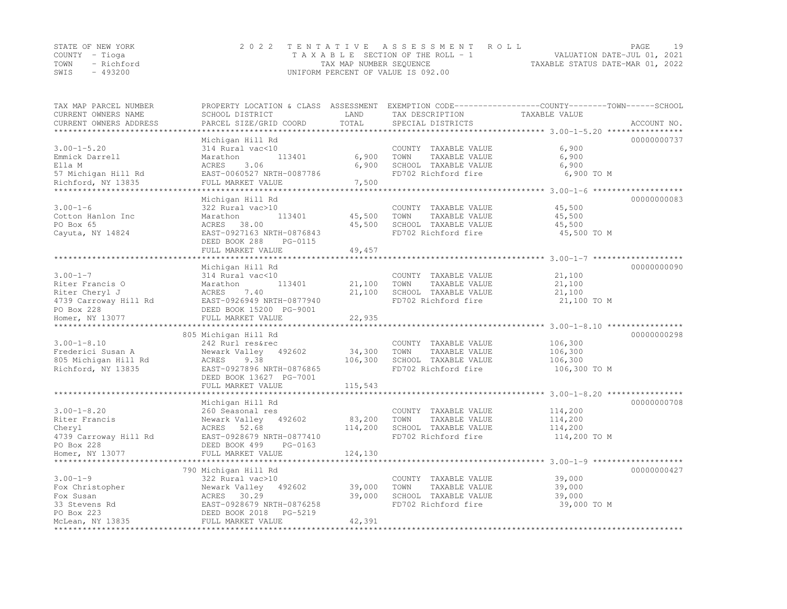|      | STATE OF NEW YORK | 2022 TENTATIVE ASSESSMENT ROLL        |                                  | PAGE |  |
|------|-------------------|---------------------------------------|----------------------------------|------|--|
|      | COUNTY – Tioga    | T A X A B L E SECTION OF THE ROLL - 1 | VALUATION DATE-JUL 01, 2021      |      |  |
|      | TOWN - Richford   | TAX MAP NUMBER SEQUENCE               | TAXABLE STATUS DATE-MAR 01, 2022 |      |  |
| SWIS | - 493200          | UNIFORM PERCENT OF VALUE IS 092.00    |                                  |      |  |

| TAX MAP PARCEL NUMBER      | PROPERTY LOCATION & CLASS ASSESSMENT EXEMPTION CODE----------------COUNTY-------TOWN------SCHOOL |         |                       |               |             |
|----------------------------|--------------------------------------------------------------------------------------------------|---------|-----------------------|---------------|-------------|
| CURRENT OWNERS NAME        | SCHOOL DISTRICT                                                                                  | LAND    | TAX DESCRIPTION       | TAXABLE VALUE |             |
| CURRENT OWNERS ADDRESS     | PARCEL SIZE/GRID COORD                                                                           | TOTAL   | SPECIAL DISTRICTS     |               | ACCOUNT NO. |
| ************************** |                                                                                                  |         |                       |               |             |
|                            | Michigan Hill Rd                                                                                 |         |                       |               | 00000000737 |
| $3.00 - 1 - 5.20$          | 314 Rural vac<10                                                                                 |         | COUNTY TAXABLE VALUE  | 6,900         |             |
| Emmick Darrell             | 113401<br>Marathon                                                                               | 6,900   | TOWN<br>TAXABLE VALUE | 6,900         |             |
| Ella M                     | ACRES<br>3.06                                                                                    | 6,900   | SCHOOL TAXABLE VALUE  | 6,900         |             |
| 57 Michigan Hill Rd        | EAST-0060527 NRTH-0087786                                                                        |         | FD702 Richford fire   | 6,900 TO M    |             |
| Richford, NY 13835         | FULL MARKET VALUE                                                                                | 7,500   |                       |               |             |
| *************************  |                                                                                                  |         |                       |               |             |
|                            | Michigan Hill Rd                                                                                 |         |                       |               | 00000000083 |
| $3.00 - 1 - 6$             | 322 Rural vac>10                                                                                 |         | COUNTY TAXABLE VALUE  | 45,500        |             |
| Cotton Hanlon Inc          | Marathon<br>113401                                                                               | 45,500  | TOWN<br>TAXABLE VALUE | 45,500        |             |
| PO Box 65                  | ACRES 38.00                                                                                      | 45,500  | SCHOOL TAXABLE VALUE  | 45,500        |             |
| Cayuta, NY 14824           | EAST-0927163 NRTH-0876843                                                                        |         | FD702 Richford fire   | 45,500 TO M   |             |
|                            | DEED BOOK 288<br>PG-0115                                                                         | 49,457  |                       |               |             |
|                            | FULL MARKET VALUE                                                                                |         |                       |               |             |
|                            | Michigan Hill Rd                                                                                 |         |                       |               | 00000000090 |
| $3.00 - 1 - 7$             | 314 Rural vac<10                                                                                 |         | COUNTY TAXABLE VALUE  | 21,100        |             |
| Riter Francis O            | 113401<br>Marathon                                                                               | 21,100  | TOWN<br>TAXABLE VALUE | 21,100        |             |
| Riter Cheryl J             | ACRES<br>7.40                                                                                    | 21,100  | SCHOOL TAXABLE VALUE  | 21,100        |             |
| 4739 Carroway Hill Rd      | EAST-0926949 NRTH-0877940                                                                        |         | FD702 Richford fire   | 21,100 TO M   |             |
| PO Box 228                 | DEED BOOK 15200 PG-9001                                                                          |         |                       |               |             |
| Homer, NY 13077            | FULL MARKET VALUE                                                                                | 22,935  |                       |               |             |
|                            |                                                                                                  |         |                       |               |             |
|                            | 805 Michigan Hill Rd                                                                             |         |                       |               | 00000000298 |
| $3.00 - 1 - 8.10$          | 242 Rurl res&rec                                                                                 |         | COUNTY TAXABLE VALUE  | 106,300       |             |
| Frederici Susan A          | Newark Valley 492602                                                                             | 34,300  | TOWN<br>TAXABLE VALUE | 106,300       |             |
| 805 Michigan Hill Rd       | ACRES<br>9.38                                                                                    | 106,300 | SCHOOL TAXABLE VALUE  | 106,300       |             |
| Richford, NY 13835         | EAST-0927896 NRTH-0876865                                                                        |         | FD702 Richford fire   | 106,300 TO M  |             |
|                            | DEED BOOK 13627 PG-7001                                                                          |         |                       |               |             |
|                            | FULL MARKET VALUE                                                                                | 115,543 |                       |               |             |
|                            | ***********************                                                                          |         |                       |               |             |
|                            | Michigan Hill Rd                                                                                 |         |                       |               | 00000000708 |
| $3.00 - 1 - 8.20$          | 260 Seasonal res                                                                                 |         | COUNTY TAXABLE VALUE  | 114,200       |             |
| Riter Francis              | Newark Valley 492602                                                                             | 83,200  | TOWN<br>TAXABLE VALUE | 114,200       |             |
| Cheryl                     | ACRES 52.68                                                                                      | 114,200 | SCHOOL TAXABLE VALUE  | 114,200       |             |
| 4739 Carroway Hill Rd      | EAST-0928679 NRTH-0877410                                                                        |         | FD702 Richford fire   | 114,200 TO M  |             |
| PO Box 228                 | DEED BOOK 499<br>PG-0163                                                                         |         |                       |               |             |
| Homer, NY 13077            | FULL MARKET VALUE                                                                                | 124,130 |                       |               |             |
|                            |                                                                                                  |         |                       |               |             |
|                            | 790 Michigan Hill Rd                                                                             |         |                       |               | 00000000427 |
| $3.00 - 1 - 9$             | 322 Rural vac>10                                                                                 |         | COUNTY TAXABLE VALUE  | 39,000        |             |
| Fox Christopher            | Newark Valley<br>492602                                                                          | 39,000  | TOWN<br>TAXABLE VALUE | 39,000        |             |
| Fox Susan                  | ACRES 30.29                                                                                      | 39,000  | SCHOOL TAXABLE VALUE  | 39,000        |             |
| 33 Stevens Rd              | EAST-0928679 NRTH-0876258                                                                        |         | FD702 Richford fire   | 39,000 TO M   |             |
| PO Box 223                 | DEED BOOK 2018<br>PG-5219                                                                        |         |                       |               |             |
| McLean, NY 13835           | FULL MARKET VALUE                                                                                | 42,391  |                       |               |             |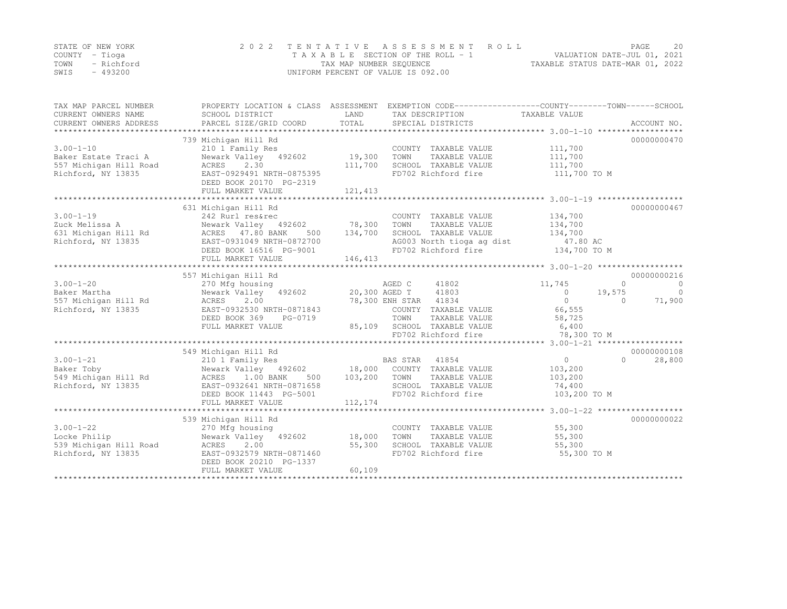|                | STATE OF NEW YORK | 2022 TENTATIVE ASSESSMENT ROLL     |                                  | PAGE | 2.0 |
|----------------|-------------------|------------------------------------|----------------------------------|------|-----|
| COUNTY – Tioqa |                   | TAXABLE SECTION OF THE ROLL - 1    | VALUATION DATE-JUL 01, 2021      |      |     |
|                | TOWN - Richford   | TAX MAP NUMBER SEQUENCE            | TAXABLE STATUS DATE-MAR 01, 2022 |      |     |
| SWIS           | - 493200          | UNIFORM PERCENT OF VALUE IS 092.00 |                                  |      |     |

| TAX MAP PARCEL NUMBER<br>CURRENT OWNERS NAME<br>CURRENT OWNERS ADDRESS | SCHOOL DISTRICT<br>PARCEL SIZE/GRID COORD            | LAND<br>TOTAL | PROPERTY LOCATION & CLASS ASSESSMENT EXEMPTION CODE---------------COUNTY-------TOWN-----SCHOOL<br>TAX DESCRIPTION TAXABLE VALUE<br>SPECIAL DISTRICTS |                          | ACCOUNT NO.                    |
|------------------------------------------------------------------------|------------------------------------------------------|---------------|------------------------------------------------------------------------------------------------------------------------------------------------------|--------------------------|--------------------------------|
|                                                                        | 739 Michigan Hill Rd                                 |               |                                                                                                                                                      |                          | 00000000470                    |
| $3.00 - 1 - 10$                                                        |                                                      |               |                                                                                                                                                      |                          |                                |
|                                                                        | 210 1 Family Res                                     |               | COUNTY TAXABLE VALUE                                                                                                                                 | 111,700                  |                                |
| Baker Estate Traci A                                                   | Newark Valley 492602                                 | 19,300        | TOWN<br>TAXABLE VALUE                                                                                                                                | 111,700                  |                                |
| 557 Michigan Hill Road                                                 | ACRES 2.30                                           | 111,700       | SCHOOL TAXABLE VALUE                                                                                                                                 | 111,700                  |                                |
| Richford, NY 13835                                                     | EAST-0929491 NRTH-0875395<br>DEED BOOK 20170 PG-2319 |               | FD702 Richford fire                                                                                                                                  | 111,700 TO M             |                                |
|                                                                        | FULL MARKET VALUE                                    | 121,413       |                                                                                                                                                      |                          |                                |
|                                                                        |                                                      |               |                                                                                                                                                      |                          |                                |
|                                                                        | 631 Michigan Hill Rd                                 |               |                                                                                                                                                      |                          | 00000000467                    |
| $3.00 - 1 - 19$                                                        | 242 Rurl res&rec                                     |               | COUNTY TAXABLE VALUE                                                                                                                                 | 134,700                  |                                |
| Zuck Melissa A                                                         | Newark Valley 492602 78,300                          |               | TOWN<br>TAXABLE VALUE                                                                                                                                | 134,700                  |                                |
| 631 Michigan Hill Rd                                                   | ACRES 47.80 BANK<br>500                              | 134,700       | SCHOOL TAXABLE VALUE                                                                                                                                 | 134,700                  |                                |
| Richford, NY 13835                                                     | EAST-0931049 NRTH-0872700                            |               | AG003 North tioga ag dist                                                                                                                            | 47.80 AC                 |                                |
|                                                                        | DEED BOOK 16516 PG-9001                              |               | FD702 Richford fire                                                                                                                                  | $134,700$ TO M           |                                |
|                                                                        | FULL MARKET VALUE                                    | 146,413       |                                                                                                                                                      |                          |                                |
|                                                                        |                                                      |               |                                                                                                                                                      |                          |                                |
|                                                                        | 557 Michigan Hill Rd                                 |               |                                                                                                                                                      |                          | 00000000216                    |
| $3.00 - 1 - 20$                                                        | 270 Mfg housing                                      |               | AGED C<br>41802                                                                                                                                      | 11,745                   | $\mathbf{0}$<br>$\overline{0}$ |
| Baker Martha                                                           | Newark Valley 492602                                 |               | 20,300 AGED T 41803                                                                                                                                  | $\overline{0}$<br>19,575 | $\bigcirc$                     |
| 557 Michigan Hill Rd                                                   | 2.00<br>ACRES                                        |               | 78,300 ENH STAR 41834                                                                                                                                | $\overline{0}$           | 71,900<br>$\Omega$             |
| Richford, NY 13835                                                     | EAST-0932530 NRTH-0871843                            |               | COUNTY TAXABLE VALUE                                                                                                                                 | 66,555                   |                                |
|                                                                        | DEED BOOK 369<br>PG-0719                             |               | TOWN<br>TAXABLE VALUE                                                                                                                                | 58,725                   |                                |
|                                                                        | FULL MARKET VALUE                                    |               | 85,109 SCHOOL TAXABLE VALUE                                                                                                                          | 6,400                    |                                |
|                                                                        |                                                      |               | FD702 Richford fire                                                                                                                                  | 78,300 TO M              |                                |
|                                                                        |                                                      |               |                                                                                                                                                      |                          |                                |
|                                                                        | 549 Michigan Hill Rd                                 |               |                                                                                                                                                      |                          | 00000000108                    |
| $3.00 - 1 - 21$                                                        | 210 1 Family Res                                     |               | BAS STAR 41854                                                                                                                                       | $\overline{0}$           | 28,800<br>$\cap$               |
| Baker Toby                                                             | Newark Valley 492602 18,000 COUNTY TAXABLE VALUE     |               |                                                                                                                                                      | 103,200                  |                                |
|                                                                        | ACRES 1.00 BANK<br>500                               | 103,200       | TOWN                                                                                                                                                 | 103,200                  |                                |
| 549 Michigan Hill Rd                                                   |                                                      |               | TAXABLE VALUE                                                                                                                                        |                          |                                |
| Richford, NY 13835                                                     | EAST-0932641 NRTH-0871658                            |               | SCHOOL TAXABLE VALUE                                                                                                                                 | 74,400                   |                                |
|                                                                        | DEED BOOK 11443 PG-5001                              |               | FD702 Richford fire                                                                                                                                  | 103,200 TO M             |                                |
|                                                                        | FULL MARKET VALUE                                    | 112,174       |                                                                                                                                                      |                          |                                |
|                                                                        |                                                      |               |                                                                                                                                                      |                          |                                |
|                                                                        | 539 Michigan Hill Rd                                 |               |                                                                                                                                                      |                          | 00000000022                    |
| $3.00 - 1 - 22$                                                        | 270 Mfg housing                                      |               | COUNTY TAXABLE VALUE                                                                                                                                 | 55,300                   |                                |
| Locke Philip                                                           | Newark Valley 492602 18,000                          |               | TOWN<br>TAXABLE VALUE                                                                                                                                | 55,300                   |                                |
| 539 Michigan Hill Road                                                 | ACRES 2.00                                           | 55,300        | SCHOOL TAXABLE VALUE                                                                                                                                 | 55,300                   |                                |
| Richford, NY 13835                                                     | EAST-0932579 NRTH-0871460<br>DEED BOOK 20210 PG-1337 |               | FD702 Richford fire                                                                                                                                  | 55,300 TO M              |                                |
|                                                                        | FULL MARKET VALUE                                    | 60,109        |                                                                                                                                                      |                          |                                |
|                                                                        |                                                      |               |                                                                                                                                                      |                          |                                |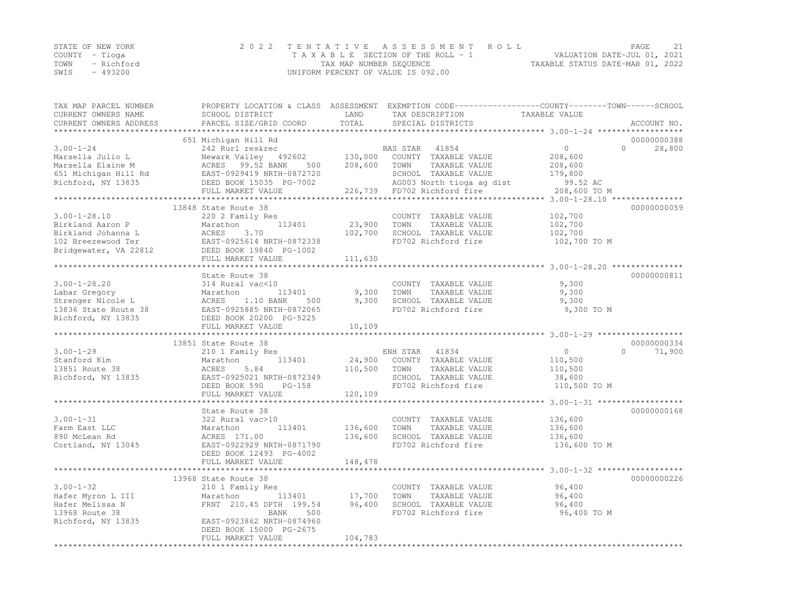|      | STATE OF NEW YORK | 2022 TENTATIVE ASSESSMENT ROLL                              | PAGE                        | 2.1 |
|------|-------------------|-------------------------------------------------------------|-----------------------------|-----|
|      | COUNTY – Tioga    | T A X A B L E SECTION OF THE ROLL - 1                       | VALUATION DATE-JUL 01, 2021 |     |
|      | TOWN - Richford   | TAXABLE STATUS DATE-MAR 01, 2022<br>TAX MAP NUMBER SEQUENCE |                             |     |
| SWIS | - 493200          | UNIFORM PERCENT OF VALUE IS 092.00                          |                             |     |

| TAX MAP PARCEL NUMBER                                             | PROPERTY LOCATION & CLASS ASSESSMENT EXEMPTION CODE----------------COUNTY-------TOWN-----SCHOOL |               |                             |                                                       |             |
|-------------------------------------------------------------------|-------------------------------------------------------------------------------------------------|---------------|-----------------------------|-------------------------------------------------------|-------------|
| CURRENT OWNERS NAME                                               | SCHOOL DISTRICT                                                                                 | LAND          | TAX DESCRIPTION             | TAXABLE VALUE                                         |             |
| CURRENT OWNERS ADDRESS                                            | PARCEL SIZE/GRID COORD                                                                          | TOTAL         | SPECIAL DISTRICTS           |                                                       | ACCOUNT NO. |
|                                                                   |                                                                                                 |               |                             |                                                       | 00000000388 |
|                                                                   | 651 Michigan Hill Rd                                                                            |               |                             | $\Omega$<br>$\bigcap$                                 |             |
| $3.00 - 1 - 24$                                                   | 242 Rurl res&rec                                                                                |               | BAS STAR 41854              |                                                       | 28,800      |
| Marsella Julio L                                                  | Newark Valley 492602                                                                            | 130,000       | COUNTY TAXABLE VALUE        | 208,600                                               |             |
| Marsella Elaine M                                                 | ACRES 99.52 BANK<br>500                                                                         | 208,600       | TOWN<br>TAXABLE VALUE       | 208,600                                               |             |
| 651 Michigan Hill Rd                                              | EAST-0929419 NRTH-0872720                                                                       |               | SCHOOL TAXABLE VALUE        | 179,800                                               |             |
| Richford, NY 13835                                                | DEED BOOK 15035 PG-7002                                                                         |               | AG003 North tioga ag dist   | 99.52 AC                                              |             |
|                                                                   | FULL MARKET VALUE                                                                               |               | 226,739 FD702 Richford fire | 208,600 TO M                                          |             |
|                                                                   |                                                                                                 |               |                             |                                                       |             |
|                                                                   | 13848 State Route 38                                                                            |               |                             |                                                       | 00000000059 |
| $3.00 - 1 - 28.10$                                                | 220 2 Family Res                                                                                |               | COUNTY TAXABLE VALUE        | 102,700                                               |             |
| Birkland Aaron P                                                  | Marathon<br>113401                                                                              | 23,900        | TOWN<br>TAXABLE VALUE       | 102,700                                               |             |
|                                                                   | ACRES<br>3.70                                                                                   | 102,700       | SCHOOL TAXABLE VALUE        | 102,700                                               |             |
|                                                                   | EAST-0925614 NRTH-0872338                                                                       |               | FD702 Richford fire         | 102,700 TO M                                          |             |
| Birkland Johanna L<br>102 Breezewood Ter<br>Bridgewater, VA 22812 | DEED BOOK 19840 PG-1002                                                                         |               |                             |                                                       |             |
|                                                                   | FULL MARKET VALUE                                                                               | 111,630       |                             |                                                       |             |
|                                                                   |                                                                                                 |               |                             |                                                       |             |
|                                                                   | State Route 38                                                                                  |               |                             |                                                       | 00000000811 |
| $3.00 - 1 - 28.20$                                                | 314 Rural vac<10                                                                                |               | COUNTY TAXABLE VALUE        | 9,300                                                 |             |
| Labar Gregory                                                     | 113401<br>Marathon                                                                              | 9,300         | TOWN<br>TAXABLE VALUE       | 9,300                                                 |             |
| Strenger Nicole L                                                 | ACRES<br>1.10 BANK<br>500                                                                       | 9,300         | SCHOOL TAXABLE VALUE        | 9,300                                                 |             |
| 13836 State Route 38                                              | EAST-0925885 NRTH-0872065                                                                       |               | FD702 Richford fire         | 9,300 TO M                                            |             |
| Richford, NY 13835                                                | DEED BOOK 20200 PG-5225                                                                         |               |                             |                                                       |             |
|                                                                   | FULL MARKET VALUE                                                                               | 10,109        |                             |                                                       |             |
|                                                                   | **************************                                                                      | ************* |                             | *********************** 3.00-1-29 ******************* |             |
|                                                                   | 13851 State Route 38                                                                            |               |                             |                                                       | 00000000334 |
| $3.00 - 1 - 29$                                                   | 210 1 Family Res                                                                                |               | ENH STAR<br>41834           | $\circ$<br>$\Omega$                                   | 71,900      |
| Stanford Kim                                                      | Marathon<br>113401                                                                              | 24,900        | COUNTY TAXABLE VALUE        | 110,500                                               |             |
| 13851 Route 38                                                    | 5.84<br>ACRES                                                                                   | 110,500       | TOWN<br>TAXABLE VALUE       | 110,500                                               |             |
| Richford, NY 13835                                                | EAST-0925021 NRTH-0872349                                                                       |               | SCHOOL TAXABLE VALUE        | 38,600                                                |             |
|                                                                   | DEED BOOK 590<br>$PG-158$                                                                       |               | FD702 Richford fire         | 110,500 TO M                                          |             |
|                                                                   | FULL MARKET VALUE                                                                               | 120,109       |                             |                                                       |             |
|                                                                   |                                                                                                 |               |                             |                                                       |             |
|                                                                   | State Route 38                                                                                  |               |                             |                                                       | 00000000168 |
| $3.00 - 1 - 31$                                                   | 322 Rural vac>10                                                                                |               | COUNTY TAXABLE VALUE        | 136,600                                               |             |
| Farm East LLC                                                     | 113401                                                                                          |               | TOWN<br>TAXABLE VALUE       |                                                       |             |
|                                                                   | Marathon                                                                                        | 136,600       |                             | 136,600                                               |             |
| 890 McLean Rd                                                     | ACRES 171.00                                                                                    | 136,600       | SCHOOL TAXABLE VALUE        | 136,600                                               |             |
| Cortland, NY 13045                                                | EAST-0922929 NRTH-0871790                                                                       |               | FD702 Richford fire         | 136,600 TO M                                          |             |
|                                                                   | DEED BOOK 12493 PG-4002                                                                         |               |                             |                                                       |             |
|                                                                   | FULL MARKET VALUE                                                                               | 148,478       |                             |                                                       |             |
|                                                                   |                                                                                                 |               |                             |                                                       |             |
|                                                                   | 13968 State Route 38                                                                            |               |                             |                                                       | 00000000226 |
| $3.00 - 1 - 32$                                                   | 210 1 Family Res                                                                                |               | COUNTY TAXABLE VALUE        | 96,400                                                |             |
| Hafer Myron L III                                                 | Marathon<br>113401                                                                              | 17,700        | TAXABLE VALUE<br>TOWN       | 96,400                                                |             |
| Hafer Melissa N                                                   | FRNT 210.45 DPTH 199.54                                                                         | 96,400        | SCHOOL TAXABLE VALUE        | 96,400                                                |             |
| 13968 Route 38                                                    | 500<br>BANK                                                                                     |               | FD702 Richford fire         | 96,400 TO M                                           |             |
| Richford, NY 13835                                                | EAST-0923862 NRTH-0874960                                                                       |               |                             |                                                       |             |
|                                                                   | DEED BOOK 15000 PG-2675                                                                         |               |                             |                                                       |             |
|                                                                   | FULL MARKET VALUE                                                                               | 104,783       |                             |                                                       |             |
|                                                                   |                                                                                                 |               |                             |                                                       |             |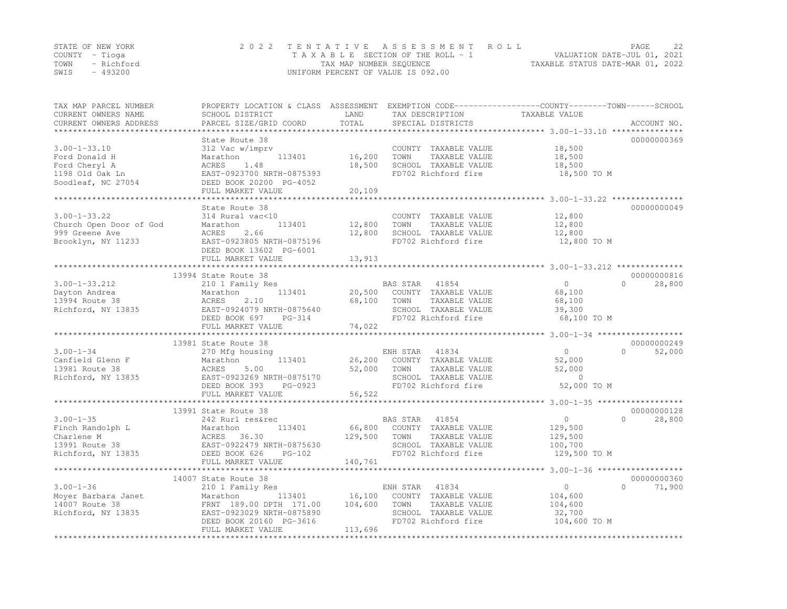| STATE OF NEW YORK | 2022 TENTATIVE ASSESSMENT ROLL     | 22<br>PAGE                       |
|-------------------|------------------------------------|----------------------------------|
| COUNTY – Tioga    | TAXABLE SECTION OF THE ROLL - 1    | VALUATION DATE-JUL 01, 2021      |
| TOWN - Richford   | TAX MAP NUMBER SEQUENCE            | TAXABLE STATUS DATE-MAR 01, 2022 |
| $-493200$<br>SWIS | UNIFORM PERCENT OF VALUE IS 092.00 |                                  |

| TAX MAP PARCEL NUMBER<br>CURRENT OWNERS NAME<br>CURRENT OWNERS ADDRESS | PROPERTY LOCATION & CLASS ASSESSMENT EXEMPTION CODE----------------COUNTY-------TOWN-----SCHOOL<br>SCHOOL DISTRICT<br>PARCEL SIZE/GRID COORD | LAND<br>TOTAL | TAX DESCRIPTION<br>SPECIAL DISTRICTS | TAXABLE VALUE  | ACCOUNT NO.         |
|------------------------------------------------------------------------|----------------------------------------------------------------------------------------------------------------------------------------------|---------------|--------------------------------------|----------------|---------------------|
| ***********************                                                |                                                                                                                                              |               |                                      |                |                     |
|                                                                        | State Route 38                                                                                                                               |               |                                      |                | 00000000369         |
| $3.00 - 1 - 33.10$                                                     | 312 Vac w/imprv                                                                                                                              |               | COUNTY TAXABLE VALUE                 | 18,500         |                     |
| Ford Donald H                                                          | Marathon<br>113401                                                                                                                           | 16,200        | TAXABLE VALUE<br>TOWN                | 18,500         |                     |
| Ford Cheryl A                                                          | ACRES<br>1.48                                                                                                                                | 18,500        | SCHOOL TAXABLE VALUE                 | 18,500         |                     |
| 1198 Old Oak Ln                                                        | EAST-0923700 NRTH-0875393                                                                                                                    |               | FD702 Richford fire                  | 18,500 TO M    |                     |
| Soodleaf, NC 27054                                                     | DEED BOOK 20200 PG-4052<br>FULL MARKET VALUE                                                                                                 | 20,109        |                                      |                |                     |
|                                                                        |                                                                                                                                              |               |                                      |                |                     |
|                                                                        | State Route 38                                                                                                                               |               |                                      |                | 00000000049         |
| $3.00 - 1 - 33.22$                                                     | 314 Rural vac<10                                                                                                                             |               | COUNTY TAXABLE VALUE                 | 12,800         |                     |
| Church Open Door of God                                                | Marathon<br>113401                                                                                                                           | 12,800        | TOWN<br>TAXABLE VALUE                | 12,800         |                     |
| 999 Greene Ave                                                         | 2.66<br>ACRES                                                                                                                                | 12,800        | SCHOOL TAXABLE VALUE                 | 12,800         |                     |
| Brooklyn, NY 11233                                                     | EAST-0923805 NRTH-0875196                                                                                                                    |               | FD702 Richford fire                  | 12,800 TO M    |                     |
|                                                                        | DEED BOOK 13602 PG-6001                                                                                                                      |               |                                      |                |                     |
|                                                                        | FULL MARKET VALUE                                                                                                                            | 13,913        |                                      |                |                     |
|                                                                        |                                                                                                                                              |               |                                      |                |                     |
|                                                                        | 13994 State Route 38                                                                                                                         |               |                                      |                | 00000000816         |
| $3.00 - 1 - 33.212$                                                    | 210 1 Family Res                                                                                                                             |               | BAS STAR<br>41854                    | $\circ$        | $\Omega$<br>28,800  |
| Dayton Andrea                                                          | 113401<br>Marathon                                                                                                                           | 20,500        | COUNTY TAXABLE VALUE                 | 68,100         |                     |
| 13994 Route 38                                                         | ACRES<br>2.10                                                                                                                                | 68,100        | TOWN<br>TAXABLE VALUE                | 68,100         |                     |
| Richford, NY 13835                                                     | EAST-0924079 NRTH-0875640                                                                                                                    |               | SCHOOL TAXABLE VALUE                 | 39,300         |                     |
|                                                                        | DEED BOOK 697<br>PG-314                                                                                                                      |               | FD702 Richford fire                  | 68,100 TO M    |                     |
|                                                                        | FULL MARKET VALUE                                                                                                                            | 74,022        |                                      |                |                     |
|                                                                        | 13981 State Route 38                                                                                                                         |               |                                      |                | 00000000249         |
| $3.00 - 1 - 34$                                                        | 270 Mfg housing                                                                                                                              |               | ENH STAR 41834                       | $\overline{0}$ | $\bigcap$<br>52,000 |
| Canfield Glenn F                                                       | 113401<br>Marathon                                                                                                                           | 26,200        | COUNTY TAXABLE VALUE                 | 52,000         |                     |
| 13981 Route 38                                                         | 5.00<br>ACRES                                                                                                                                | 52,000        | TOWN<br>TAXABLE VALUE                | 52,000         |                     |
| Richford, NY 13835                                                     | EAST-0923269 NRTH-0875170                                                                                                                    |               | SCHOOL TAXABLE VALUE                 | $\overline{0}$ |                     |
|                                                                        | DEED BOOK 393<br>PG-0923                                                                                                                     |               | FD702 Richford fire                  | 52,000 TO M    |                     |
|                                                                        | FULL MARKET VALUE                                                                                                                            | 56,522        |                                      |                |                     |
|                                                                        |                                                                                                                                              |               |                                      |                |                     |
|                                                                        | 13991 State Route 38                                                                                                                         |               |                                      |                | 00000000128         |
| $3.00 - 1 - 35$                                                        | 242 Rurl res&rec                                                                                                                             |               | 41854<br>BAS STAR                    | $\overline{0}$ | $\Omega$<br>28,800  |
| Finch Randolph L                                                       | 113401<br>Marathon                                                                                                                           |               | 66,800 COUNTY TAXABLE VALUE          | 129,500        |                     |
| Charlene M                                                             | ACRES<br>36.30                                                                                                                               | 129,500       | TOWN<br>TAXABLE VALUE                | 129,500        |                     |
| 13991 Route 38                                                         | EAST-0922479 NRTH-0875630                                                                                                                    |               | SCHOOL TAXABLE VALUE                 | 100,700        |                     |
| Richford, NY 13835                                                     | DEED BOOK 626<br>$PG-102$                                                                                                                    |               | FD702 Richford fire                  | 129,500 TO M   |                     |
|                                                                        | FULL MARKET VALUE                                                                                                                            | 140,761       |                                      |                |                     |
|                                                                        |                                                                                                                                              |               |                                      |                |                     |
|                                                                        | 14007 State Route 38                                                                                                                         |               |                                      |                | 00000000360         |
| $3.00 - 1 - 36$                                                        | 210 1 Family Res                                                                                                                             |               | ENH STAR<br>41834                    | $\circ$        | $\Omega$<br>71,900  |
| Moyer Barbara Janet                                                    | 113401<br>Marathon                                                                                                                           | 16,100        | COUNTY TAXABLE VALUE                 | 104,600        |                     |
| 14007 Route 38                                                         | FRNT 189.00 DPTH 171.00                                                                                                                      | 104,600       | TOWN<br>TAXABLE VALUE                | 104,600        |                     |
| Richford, NY 13835                                                     | EAST-0923029 NRTH-0875890                                                                                                                    |               | SCHOOL TAXABLE VALUE                 | 32,700         |                     |
|                                                                        | DEED BOOK 20160 PG-3616                                                                                                                      |               | FD702 Richford fire                  | 104,600 TO M   |                     |
|                                                                        | FULL MARKET VALUE                                                                                                                            | 113,696       |                                      |                |                     |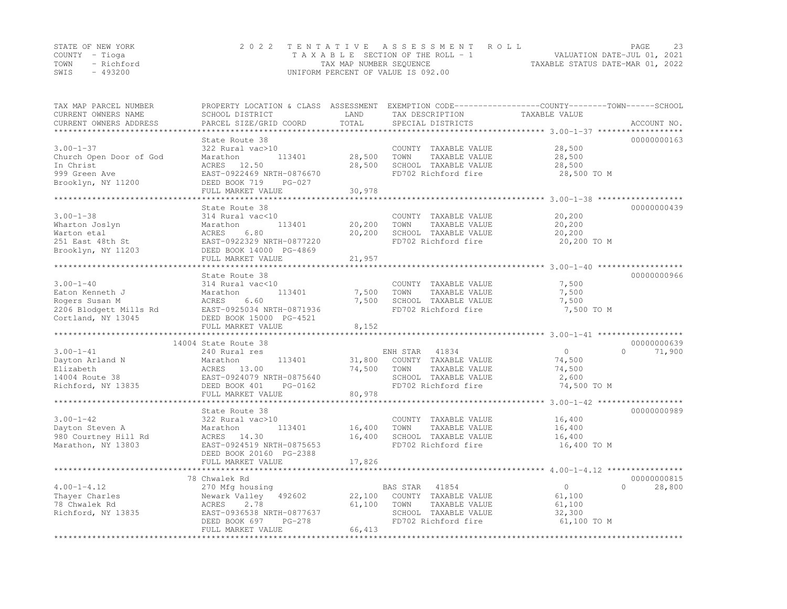|      | STATE OF NEW YORK | 2022 TENTATIVE ASSESSMENT ROLL        | PAGE                             | -23 |
|------|-------------------|---------------------------------------|----------------------------------|-----|
|      | COUNTY – Tioga    | T A X A B L E SECTION OF THE ROLL - 1 | VALUATION DATE-JUL 01, 2021      |     |
|      | TOWN - Richford   | TAX MAP NUMBER SEQUENCE               | TAXABLE STATUS DATE-MAR 01, 2022 |     |
| SWIS | - 493200          | UNIFORM PERCENT OF VALUE IS 092.00    |                                  |     |

| CURRENT OWNERS ADDRESS<br>PARCEL SIZE/GRID COORD<br>SPECIAL DISTRICTS<br>*********************                     |                     |
|--------------------------------------------------------------------------------------------------------------------|---------------------|
|                                                                                                                    |                     |
| State Route 38                                                                                                     | 00000000163         |
| $3.00 - 1 - 37$<br>322 Rural vac>10<br>28,500<br>COUNTY TAXABLE VALUE                                              |                     |
| 28,500<br>Church Open Door of God<br>Marathon<br>113401<br>TOWN<br>TAXABLE VALUE<br>28,500                         |                     |
| In Christ<br>ACRES 12.50<br>28,500<br>SCHOOL TAXABLE VALUE<br>28,500                                               |                     |
| 999 Green Ave<br>EAST-0922469 NRTH-0876670<br>FD702 Richford fire<br>28,500 TO M                                   |                     |
| DEED BOOK 719<br>Brooklyn, NY 11200<br>$PG-027$                                                                    |                     |
| FULL MARKET VALUE<br>30,978                                                                                        |                     |
|                                                                                                                    |                     |
| State Route 38                                                                                                     | 00000000439         |
| $3.00 - 1 - 38$<br>314 Rural vac<10<br>20,200<br>COUNTY TAXABLE VALUE<br>113401<br>TOWN<br>TAXABLE VALUE<br>20,200 |                     |
| Wharton Joslyn<br>20,200<br>Marathon<br>Warton etal<br>6.80<br>20,200<br>SCHOOL TAXABLE VALUE<br>ACRES             |                     |
| 20,200                                                                                                             |                     |
| FD702 Richford fire<br>251 East 48th St<br>EAST-0922329 NRTH-0877220<br>20,200 TO M<br>DEED BOOK 14000 PG-4869     |                     |
| Brooklyn, NY 11203<br>FULL MARKET VALUE                                                                            |                     |
| 21,957                                                                                                             |                     |
| State Route 38                                                                                                     | 00000000966         |
| $3.00 - 1 - 40$<br>314 Rural vac<10<br>COUNTY TAXABLE VALUE<br>7,500                                               |                     |
| 7,500<br>Eaton Kenneth J<br>Marathon<br>113401<br>7,500<br>TOWN<br>TAXABLE VALUE                                   |                     |
| ACRES<br>7,500<br>SCHOOL TAXABLE VALUE<br>7,500<br>Rogers Susan M<br>6.60                                          |                     |
| 2206 Blodgett Mills Rd<br>EAST-0925034 NRTH-0871936<br>FD702 Richford fire<br>7,500 TO M                           |                     |
| Cortland, NY 13045<br>DEED BOOK 15000 PG-4521                                                                      |                     |
| 8,152<br>FULL MARKET VALUE                                                                                         |                     |
| ********************                                                                                               |                     |
| 14004 State Route 38                                                                                               | 00000000639         |
| $3.00 - 1 - 41$<br>240 Rural res<br>ENH STAR<br>41834<br>$\Omega$                                                  | $\bigcap$<br>71,900 |
| 113401<br>31,800<br>COUNTY TAXABLE VALUE<br>74,500<br>Dayton Arland N<br>Marathon                                  |                     |
| 13.00<br>74,500<br>TOWN<br>TAXABLE VALUE<br>Elizabeth<br>ACRES<br>74,500                                           |                     |
| 14004 Route 38<br>EAST-0924079 NRTH-0875640<br>SCHOOL TAXABLE VALUE<br>2,600                                       |                     |
| Richford, NY 13835<br>FD702 Richford fire<br>74,500 TO M<br>DEED BOOK 401<br>PG-0162                               |                     |
| 80,978<br>FULL MARKET VALUE                                                                                        |                     |
|                                                                                                                    |                     |
| State Route 38                                                                                                     | 00000000989         |
| $3.00 - 1 - 42$<br>322 Rural vac>10<br>COUNTY TAXABLE VALUE<br>16,400                                              |                     |
| Dayton Steven A<br>16,400<br>TOWN<br>TAXABLE VALUE<br>Marathon<br>113401<br>16,400                                 |                     |
| 16,400<br>980 Courtney Hill Rd<br>ACRES 14.30<br>SCHOOL TAXABLE VALUE<br>16,400                                    |                     |
| FD702 Richford fire<br>Marathon, NY 13803<br>EAST-0924519 NRTH-0875653<br>16,400 TO M                              |                     |
| DEED BOOK 20160 PG-2388                                                                                            |                     |
| FULL MARKET VALUE<br>17,826                                                                                        |                     |
|                                                                                                                    |                     |
| 78 Chwalek Rd                                                                                                      | 00000000815         |
| $4.00 - 1 - 4.12$<br>$\circ$<br>270 Mfg housing<br>BAS STAR<br>41854                                               | $\Omega$<br>28,800  |
| Thayer Charles<br>Newark Valley<br>22,100<br>COUNTY TAXABLE VALUE<br>61,100<br>492602                              |                     |
| 78 Chwalek Rd<br>2.78<br>61,100<br>TOWN<br>TAXABLE VALUE<br>ACRES<br>61,100                                        |                     |
| EAST-0936538 NRTH-0877637<br>SCHOOL TAXABLE VALUE<br>Richford, NY 13835<br>32,300                                  |                     |
| FD702 Richford fire<br>DEED BOOK 697<br>61,100 TO M<br>$PG-278$                                                    |                     |
| FULL MARKET VALUE<br>66,413<br>***************************                                                         |                     |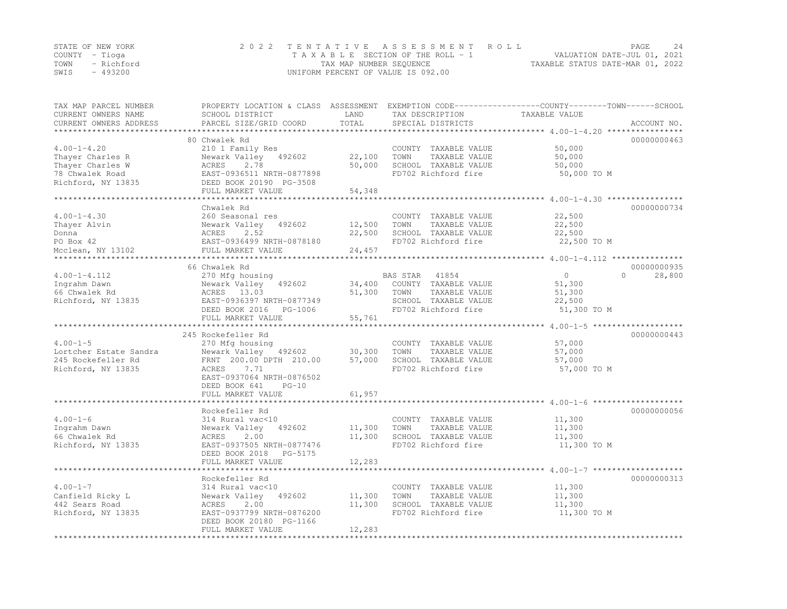|      | STATE OF NEW YORK | 2022 TENTATIVE ASSESSMENT ROLL     |                                  | PAGE | 2.4 |
|------|-------------------|------------------------------------|----------------------------------|------|-----|
|      | COUNTY – Tioga    | TAXABLE SECTION OF THE ROLL - 1    | VALUATION DATE-JUL 01, 2021      |      |     |
|      | TOWN - Richford   | TAX MAP NUMBER SEQUENCE            | TAXABLE STATUS DATE-MAR 01, 2022 |      |     |
| SWIS | - 493200          | UNIFORM PERCENT OF VALUE IS 092.00 |                                  |      |     |

| TAX MAP PARCEL NUMBER<br>CURRENT OWNERS NAME   | PROPERTY LOCATION & CLASS ASSESSMENT<br>SCHOOL DISTRICT | LAND       | TAX DESCRIPTION       | EXEMPTION CODE-----------------COUNTY-------TOWN------SCHOOL<br>TAXABLE VALUE |
|------------------------------------------------|---------------------------------------------------------|------------|-----------------------|-------------------------------------------------------------------------------|
| CURRENT OWNERS ADDRESS<br>******************** | PARCEL SIZE/GRID COORD                                  | TOTAL      | SPECIAL DISTRICTS     | ACCOUNT NO.                                                                   |
|                                                | 80 Chwalek Rd                                           |            |                       | 00000000463                                                                   |
| $4.00 - 1 - 4.20$                              | 210 1 Family Res                                        |            | COUNTY TAXABLE VALUE  | 50,000                                                                        |
| Thayer Charles R                               | Newark Valley<br>492602                                 | 22,100     | TOWN<br>TAXABLE VALUE | 50,000                                                                        |
| Thayer Charles W                               | ACRES<br>2.78                                           | 50,000     | SCHOOL TAXABLE VALUE  | 50,000                                                                        |
| 78 Chwalek Road                                | EAST-0936511 NRTH-0877898                               |            | FD702 Richford fire   | 50,000 TO M                                                                   |
| Richford, NY 13835                             | DEED BOOK 20190 PG-3508                                 |            |                       |                                                                               |
|                                                | FULL MARKET VALUE                                       | 54,348     |                       |                                                                               |
|                                                | ********************                                    |            |                       | *********** 4.00-1-4.30 *************                                         |
|                                                | Chwalek Rd                                              |            |                       | 00000000734                                                                   |
| $4.00 - 1 - 4.30$                              | 260 Seasonal res                                        |            | COUNTY TAXABLE VALUE  | 22,500                                                                        |
| Thayer Alvin                                   | Newark Valley<br>492602                                 | 12,500     | TAXABLE VALUE<br>TOWN | 22,500                                                                        |
| Donna                                          | ACRES<br>2.52                                           | 22,500     | SCHOOL TAXABLE VALUE  | 22,500                                                                        |
| PO Box 42                                      | EAST-0936499 NRTH-0878180                               |            | FD702 Richford fire   | 22,500 TO M                                                                   |
| Mcclean, NY 13102                              | FULL MARKET VALUE                                       | 24,457     |                       |                                                                               |
| **********************                         | **************************                              |            |                       |                                                                               |
|                                                | 66 Chwalek Rd                                           |            |                       | 00000000935                                                                   |
| $4.00 - 1 - 4.112$                             | 270 Mfg housing                                         |            | 41854<br>BAS STAR     | $\Omega$<br>$\circ$<br>28,800                                                 |
| Ingrahm Dawn                                   | Newark Valley<br>492602                                 | 34,400     | COUNTY TAXABLE VALUE  | 51,300                                                                        |
| 66 Chwalek Rd                                  | ACRES 13.03                                             | 51,300     | TOWN<br>TAXABLE VALUE | 51,300                                                                        |
| Richford, NY 13835                             | EAST-0936397 NRTH-0877349                               |            | SCHOOL TAXABLE VALUE  | 22,500                                                                        |
|                                                | DEED BOOK 2016<br>PG-1006                               |            | FD702 Richford fire   | 51,300 TO M                                                                   |
|                                                | FULL MARKET VALUE                                       | 55,761     |                       |                                                                               |
|                                                | ***********************                                 |            |                       | ************************* 4.00-1-5 ********************                       |
|                                                | 245 Rockefeller Rd                                      |            |                       | 00000000443                                                                   |
| $4.00 - 1 - 5$                                 | 270 Mfg housing                                         |            | COUNTY TAXABLE VALUE  | 57,000                                                                        |
| Lortcher Estate Sandra                         | Newark Valley<br>492602                                 | 30,300     | TOWN<br>TAXABLE VALUE | 57,000                                                                        |
| 245 Rockefeller Rd                             | FRNT 200.00 DPTH 210.00                                 | 57,000     | SCHOOL TAXABLE VALUE  | 57,000                                                                        |
| Richford, NY 13835                             | ACRES<br>7.71                                           |            | FD702 Richford fire   | 57,000 TO M                                                                   |
|                                                | EAST-0937064 NRTH-0876502                               |            |                       |                                                                               |
|                                                | DEED BOOK 641<br>$PG-10$                                |            |                       |                                                                               |
|                                                | FULL MARKET VALUE                                       | 61,957     |                       |                                                                               |
|                                                | ******************                                      |            |                       | $4.00 - 1 - 6$                                                                |
|                                                | Rockefeller Rd                                          |            |                       | 00000000056                                                                   |
| $4.00 - 1 - 6$                                 | 314 Rural vac<10                                        |            | COUNTY TAXABLE VALUE  | 11,300                                                                        |
| Ingrahm Dawn                                   | Newark Valley<br>492602                                 | 11,300     | TOWN<br>TAXABLE VALUE | 11,300                                                                        |
| 66 Chwalek Rd                                  | ACRES<br>2.00                                           | 11,300     | SCHOOL TAXABLE VALUE  | 11,300                                                                        |
| Richford, NY 13835                             | EAST-0937505 NRTH-0877476                               |            | FD702 Richford fire   | 11,300 TO M                                                                   |
|                                                | DEED BOOK 2018<br>PG-5175                               |            |                       |                                                                               |
|                                                | FULL MARKET VALUE                                       | 12,283     |                       |                                                                               |
|                                                | ***********************                                 | ********** |                       | ******************************** 4.00-1-7 *******************                 |
|                                                | Rockefeller Rd                                          |            |                       | 00000000313                                                                   |
| $4.00 - 1 - 7$                                 | 314 Rural vac<10                                        |            | COUNTY TAXABLE VALUE  | 11,300                                                                        |
| Canfield Ricky L                               | Newark Valley<br>492602                                 | 11,300     | TAXABLE VALUE<br>TOWN | 11,300                                                                        |
| 442 Sears Road                                 | ACRES<br>2.00                                           | 11,300     | SCHOOL TAXABLE VALUE  | 11,300                                                                        |
| Richford, NY 13835                             | EAST-0937799 NRTH-0876200                               |            | FD702 Richford fire   | 11,300 TO M                                                                   |
|                                                | DEED BOOK 20180 PG-1166                                 |            |                       |                                                                               |
|                                                | FULL MARKET VALUE                                       | 12,283     |                       |                                                                               |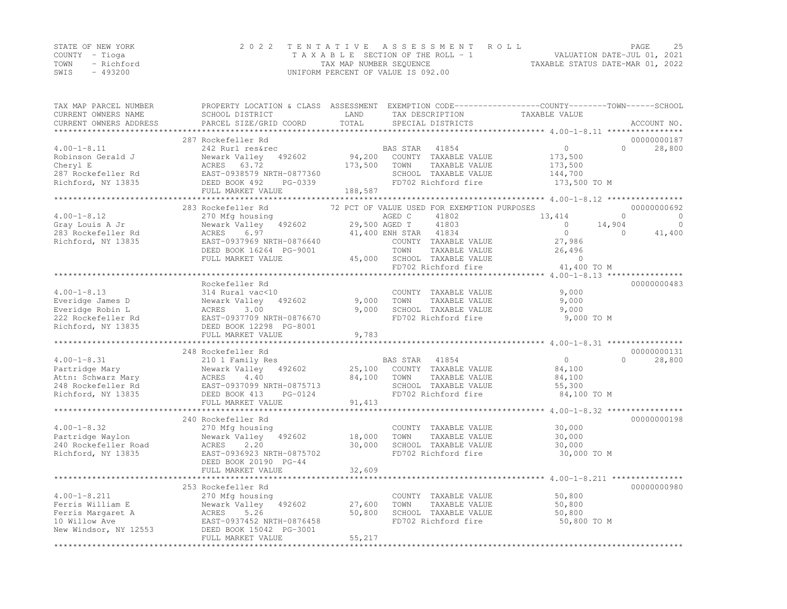|      | STATE OF NEW YORK | 2022 TENTATIVE ASSESSMENT ROLL                                 | PAGE | 2.5 |
|------|-------------------|----------------------------------------------------------------|------|-----|
|      | COUNTY – Tioga    | VALUATION DATE-JUL 01, 2021<br>TAXABLE SECTION OF THE ROLL - 1 |      |     |
|      | TOWN - Richford   | TAXABLE STATUS DATE-MAR 01, 2022<br>TAX MAP NUMBER SEQUENCE    |      |     |
| SWIS | - 493200          | UNIFORM PERCENT OF VALUE IS 092.00                             |      |     |

| TAX MAP PARCEL NUMBER  | PROPERTY LOCATION & CLASS ASSESSMENT |                | EXEMPTION CODE-----------------COUNTY-------TOWN------SCHOOL |                                                                     |          |              |
|------------------------|--------------------------------------|----------------|--------------------------------------------------------------|---------------------------------------------------------------------|----------|--------------|
| CURRENT OWNERS NAME    | SCHOOL DISTRICT                      | LAND           | TAX DESCRIPTION                                              | TAXABLE VALUE                                                       |          |              |
| CURRENT OWNERS ADDRESS | PARCEL SIZE/GRID COORD               | TOTAL          | SPECIAL DISTRICTS                                            |                                                                     |          | ACCOUNT NO.  |
|                        |                                      |                |                                                              |                                                                     |          |              |
|                        | 287 Rockefeller Rd                   |                |                                                              |                                                                     |          | 00000000187  |
| $4.00 - 1 - 8.11$      | 242 Rurl res&rec                     |                | BAS STAR<br>41854                                            | $\circ$                                                             | $\Omega$ | 28,800       |
| Robinson Gerald J      | Newark Valley<br>492602              | 94,200         | COUNTY TAXABLE VALUE                                         | 173,500                                                             |          |              |
| Cheryl E               | ACRES<br>63.72                       | 173,500        | TOWN<br>TAXABLE VALUE                                        | 173,500                                                             |          |              |
| 287 Rockefeller Rd     | EAST-0938579 NRTH-0877360            |                | SCHOOL TAXABLE VALUE                                         | 144,700                                                             |          |              |
| Richford, NY 13835     | DEED BOOK 492<br>PG-0339             |                | FD702 Richford fire                                          | 173,500 TO M                                                        |          |              |
|                        | FULL MARKET VALUE                    | 188,587        |                                                              |                                                                     |          |              |
|                        |                                      |                |                                                              | *************************4.00-1-8.12 ******************             |          |              |
|                        | 283 Rockefeller Rd                   |                | 72 PCT OF VALUE USED FOR EXEMPTION PURPOSES                  |                                                                     |          | 00000000692  |
| $4.00 - 1 - 8.12$      | 270 Mfg housing                      |                | 41802<br>AGED C                                              | 13,414                                                              | $\Omega$ | $\Omega$     |
| Gray Louis A Jr        | Newark Valley<br>492602              |                | 29,500 AGED T<br>41803                                       | $\circ$                                                             | 14,904   | $\mathbf{0}$ |
| 283 Rockefeller Rd     | ACRES<br>6.97                        |                | 41,400 ENH STAR<br>41834                                     | $\circ$                                                             | $\Omega$ | 41,400       |
| Richford, NY 13835     | EAST-0937969 NRTH-0876640            |                | COUNTY TAXABLE VALUE                                         | 27,986                                                              |          |              |
|                        | DEED BOOK 16264 PG-9001              |                | TOWN<br>TAXABLE VALUE                                        | 26,496                                                              |          |              |
|                        | FULL MARKET VALUE                    | 45,000         | SCHOOL TAXABLE VALUE                                         | $\overline{0}$                                                      |          |              |
|                        |                                      |                | FD702 Richford fire                                          | 41,400 TO M                                                         |          |              |
|                        |                                      |                |                                                              | $4.00 - 1 - 8.13$ **                                                |          |              |
|                        | Rockefeller Rd                       |                |                                                              |                                                                     |          | 00000000483  |
| $4.00 - 1 - 8.13$      | 314 Rural vac<10                     |                | COUNTY TAXABLE VALUE                                         | 9,000                                                               |          |              |
| Everidge James D       | Newark Valley<br>492602              | 9,000          | TAXABLE VALUE<br>TOWN                                        | 9,000                                                               |          |              |
| Everidge Robin L       | ACRES<br>3.00                        | 9,000          | SCHOOL TAXABLE VALUE                                         | 9,000                                                               |          |              |
| 222 Rockefeller Rd     | EAST-0937709 NRTH-0876670            |                | FD702 Richford fire                                          | 9,000 TO M                                                          |          |              |
| Richford, NY 13835     | DEED BOOK 12298 PG-8001              |                |                                                              |                                                                     |          |              |
|                        | FULL MARKET VALUE                    | 9,783          |                                                              |                                                                     |          |              |
|                        |                                      |                |                                                              |                                                                     |          |              |
|                        | 248 Rockefeller Rd                   |                |                                                              |                                                                     |          | 00000000131  |
| $4.00 - 1 - 8.31$      | 210 1 Family Res                     |                | BAS STAR<br>41854                                            | $\circ$                                                             | $\Omega$ | 28,800       |
| Partridge Mary         | Newark Valley 492602                 | 25,100         | COUNTY TAXABLE VALUE                                         | 84,100                                                              |          |              |
| Attn: Schwarz Mary     | ACRES<br>4.40                        | 84,100         | TAXABLE VALUE<br>TOWN                                        | 84,100                                                              |          |              |
| 248 Rockefeller Rd     | EAST-0937099 NRTH-0875713            |                | SCHOOL TAXABLE VALUE                                         | 55,300                                                              |          |              |
|                        | DEED BOOK 413<br>PG-0124             |                | FD702 Richford fire                                          |                                                                     |          |              |
| Richford, NY 13835     | FULL MARKET VALUE                    | 91,413         |                                                              | 84,100 TO M                                                         |          |              |
|                        | ***********************              |                |                                                              | ************************************* 4.00-1-8.32 ***************** |          |              |
|                        | 240 Rockefeller Rd                   |                |                                                              |                                                                     |          | 00000000198  |
|                        |                                      |                |                                                              |                                                                     |          |              |
| $4.00 - 1 - 8.32$      | 270 Mfg housing                      |                | COUNTY TAXABLE VALUE                                         | 30,000                                                              |          |              |
| Partridge Waylon       | Newark Valley<br>492602              | 18,000         | TOWN<br>TAXABLE VALUE                                        | 30,000                                                              |          |              |
| 240 Rockefeller Road   | 2.20<br>ACRES                        | 30,000         | SCHOOL TAXABLE VALUE                                         | 30,000                                                              |          |              |
| Richford, NY 13835     | EAST-0936923 NRTH-0875702            |                | FD702 Richford fire                                          | 30,000 TO M                                                         |          |              |
|                        | DEED BOOK 20190 PG-44                |                |                                                              |                                                                     |          |              |
|                        | FULL MARKET VALUE                    | 32,609         |                                                              |                                                                     |          |              |
|                        | *********************                |                |                                                              | ******** $4.00 - 1 - 8.211$ ***************                         |          |              |
|                        | 253 Rockefeller Rd                   |                |                                                              |                                                                     |          | 00000000980  |
| $4.00 - 1 - 8.211$     | 270 Mfg housing                      |                | COUNTY TAXABLE VALUE                                         | 50,800                                                              |          |              |
| Ferris William E       | Newark Valley<br>492602              | 27,600         | TOWN<br>TAXABLE VALUE                                        | 50,800                                                              |          |              |
| Ferris Margaret A      | ACRES<br>5.26                        | 50,800         | SCHOOL TAXABLE VALUE                                         | 50,800                                                              |          |              |
| 10 Willow Ave          | EAST-0937452 NRTH-0876458            |                | FD702 Richford fire                                          | 50,800 TO M                                                         |          |              |
| New Windsor, NY 12553  | DEED BOOK 15042 PG-3001              |                |                                                              |                                                                     |          |              |
|                        | FULL MARKET VALUE                    | 55,217         |                                                              |                                                                     |          |              |
|                        | *******************************      | ************** |                                                              |                                                                     |          |              |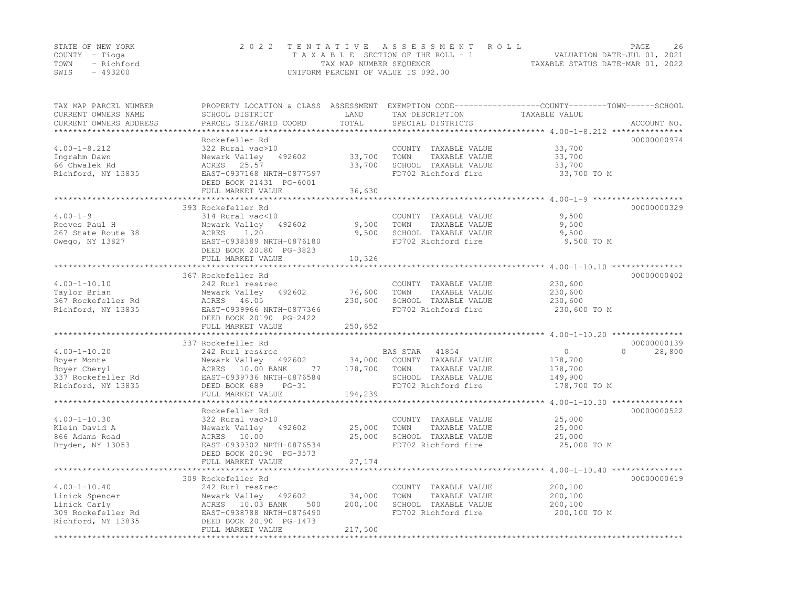| STATE OF NEW YORK |            | 2022 TENTATIVE ASSESSMENT ROLL     |                         |  |                                  | PAGE                        | 26 |
|-------------------|------------|------------------------------------|-------------------------|--|----------------------------------|-----------------------------|----|
| COUNTY – Tioga    |            | TAXABLE SECTION OF THE ROLL - 1    |                         |  |                                  | VALUATION DATE-JUL 01, 2021 |    |
| TOWN              | - Richford |                                    | TAX MAP NUMBER SEQUENCE |  | TAXABLE STATUS DATE-MAR 01, 2022 |                             |    |
| SWIS              | $-493200$  | UNIFORM PERCENT OF VALUE IS 092.00 |                         |  |                                  |                             |    |

| TAX MAP PARCEL NUMBER<br>CURRENT OWNERS NAME<br>CURRENT OWNERS ADDRESS                           | PROPERTY LOCATION & CLASS ASSESSMENT<br>SCHOOL DISTRICT<br>PARCEL SIZE/GRID COORD                                                                                            | LAND<br>TOTAL                | TAX DESCRIPTION<br>SPECIAL DISTRICTS                                                                              | EXEMPTION CODE-----------------COUNTY-------TOWN------SCHOOL<br>TAXABLE VALUE<br>ACCOUNT NO. |  |
|--------------------------------------------------------------------------------------------------|------------------------------------------------------------------------------------------------------------------------------------------------------------------------------|------------------------------|-------------------------------------------------------------------------------------------------------------------|----------------------------------------------------------------------------------------------|--|
| *********************                                                                            |                                                                                                                                                                              |                              |                                                                                                                   |                                                                                              |  |
| $4.00 - 1 - 8.212$<br>Ingrahm Dawn<br>66 Chwalek Rd<br>Richford, NY 13835                        | Rockefeller Rd<br>322 Rural vac>10<br>Newark Valley<br>492602<br>ACRES 25.57<br>EAST-0937168 NRTH-0877597<br>DEED BOOK 21431 PG-6001                                         | 33,700<br>33,700             | COUNTY TAXABLE VALUE<br>TOWN<br>TAXABLE VALUE<br>SCHOOL TAXABLE VALUE<br>FD702 Richford fire                      | 00000000974<br>33,700<br>33,700<br>33,700<br>33,700 TO M                                     |  |
|                                                                                                  | FULL MARKET VALUE                                                                                                                                                            | 36,630                       |                                                                                                                   |                                                                                              |  |
|                                                                                                  | ************************                                                                                                                                                     |                              |                                                                                                                   |                                                                                              |  |
| $4.00 - 1 - 9$<br>Reeves Paul H<br>267 State Route 38<br>Owego, NY 13827                         | 393 Rockefeller Rd<br>314 Rural vac<10<br>492602<br>Newark Valley<br>1.20<br>ACRES<br>EAST-0938389 NRTH-0876180<br>DEED BOOK 20180 PG-3823                                   | 9,500<br>9,500               | COUNTY TAXABLE VALUE<br>TAXABLE VALUE<br>TOWN<br>SCHOOL TAXABLE VALUE<br>FD702 Richford fire                      | 00000000329<br>9,500<br>9,500<br>9,500<br>9,500 TO M                                         |  |
|                                                                                                  | FULL MARKET VALUE                                                                                                                                                            | 10,326                       |                                                                                                                   |                                                                                              |  |
|                                                                                                  | 367 Rockefeller Rd                                                                                                                                                           |                              |                                                                                                                   | 00000000402                                                                                  |  |
| $4.00 - 1 - 10.10$<br>Taylor Brian<br>367 Rockefeller Rd<br>Richford, NY 13835                   | 242 Rurl res&rec<br>Newark Valley<br>492602<br>ACRES 46.05<br>EAST-0939966 NRTH-0877366<br>DEED BOOK 20190 PG-2422<br>FULL MARKET VALUE                                      | 76,600<br>230,600<br>250,652 | COUNTY TAXABLE VALUE<br>TOWN<br>TAXABLE VALUE<br>SCHOOL TAXABLE VALUE<br>FD702 Richford fire                      | 230,600<br>230,600<br>230,600<br>230,600 TO M                                                |  |
|                                                                                                  |                                                                                                                                                                              |                              |                                                                                                                   |                                                                                              |  |
|                                                                                                  | 337 Rockefeller Rd                                                                                                                                                           |                              |                                                                                                                   | 00000000139                                                                                  |  |
| $4.00 - 1 - 10.20$<br>Boyer Monte<br>Boyer Cheryl<br>337 Rockefeller Rd<br>Richford, NY 13835    | 242 Rurl res&rec<br>Newark Valley<br>492602<br>ACRES<br>10.00 BANK<br>77<br>EAST-0939736 NRTH-0876584<br>DEED BOOK 689<br>$PG-31$                                            | 34,000<br>178,700            | BAS STAR<br>41854<br>COUNTY TAXABLE VALUE<br>TAXABLE VALUE<br>TOWN<br>SCHOOL TAXABLE VALUE<br>FD702 Richford fire | $\circ$<br>$\bigcap$<br>28,800<br>178,700<br>178,700<br>149,900<br>178,700 TO M              |  |
|                                                                                                  | FULL MARKET VALUE                                                                                                                                                            | 194,239                      |                                                                                                                   | ***** $4.00 - 1 - 10.30$ ****************                                                    |  |
| $4.00 - 1 - 10.30$<br>Klein David A<br>866 Adams Road<br>Dryden, NY 13053                        | Rockefeller Rd<br>322 Rural vac>10<br>Newark Valley<br>492602<br>ACRES 10.00<br>EAST-0939302 NRTH-0876534<br>DEED BOOK 20190 PG-3573<br>FULL MARKET VALUE                    | 25,000<br>25,000<br>27,174   | COUNTY TAXABLE VALUE<br>TAXABLE VALUE<br>TOWN<br>SCHOOL TAXABLE VALUE<br>FD702 Richford fire                      | 00000000522<br>25,000<br>25,000<br>25,000<br>25,000 TO M                                     |  |
|                                                                                                  | **********************                                                                                                                                                       |                              |                                                                                                                   | ********** $4.00 - 1 - 10.40$ ***                                                            |  |
| $4.00 - 1 - 10.40$<br>Linick Spencer<br>Linick Carly<br>309 Rockefeller Rd<br>Richford, NY 13835 | 309 Rockefeller Rd<br>242 Rurl res&rec<br>Newark Valley<br>492602<br>10.03 BANK<br>ACRES<br>500<br>EAST-0938788 NRTH-0876490<br>DEED BOOK 20190 PG-1473<br>FULL MARKET VALUE | 34,000<br>200,100<br>217,500 | COUNTY TAXABLE VALUE<br>TOWN<br>TAXABLE VALUE<br>SCHOOL TAXABLE VALUE<br>FD702 Richford fire                      | 00000000619<br>200,100<br>200,100<br>200,100<br>200,100 TO M                                 |  |
|                                                                                                  |                                                                                                                                                                              |                              |                                                                                                                   |                                                                                              |  |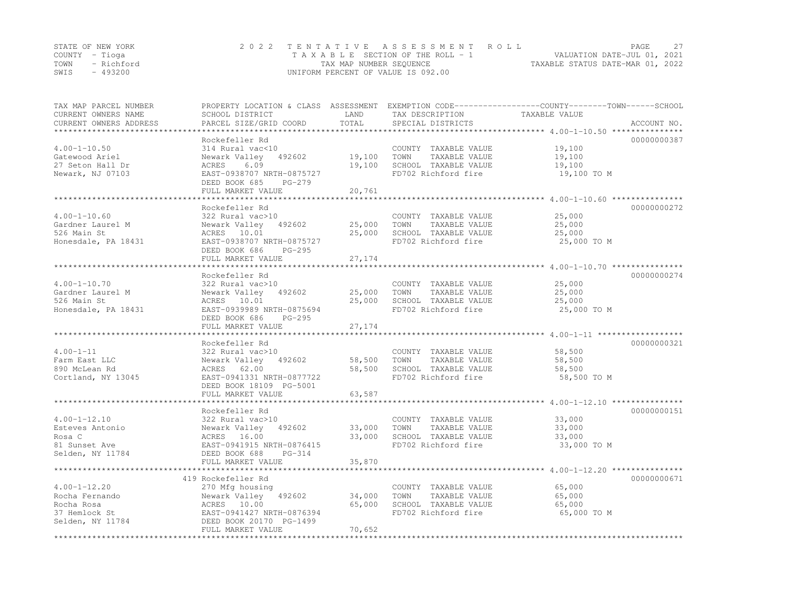|      | STATE OF NEW YORK | 2022 TENTATIVE ASSESSMENT ROLL        | 27<br>PAGE                       |
|------|-------------------|---------------------------------------|----------------------------------|
|      | COUNTY – Tioga    | T A X A B L E SECTION OF THE ROLL - 1 | VALUATION DATE-JUL 01, 2021      |
| TOWN | - Richford        | TAX MAP NUMBER SEOUENCE               | TAXABLE STATUS DATE-MAR 01, 2022 |
| SWIS | $-493200$         | UNIFORM PERCENT OF VALUE IS 092.00    |                                  |

| TAX MAP PARCEL NUMBER<br>CURRENT OWNERS NAME | PROPERTY LOCATION & CLASS ASSESSMENT<br>SCHOOL DISTRICT | LAND                     | EXEMPTION CODE-----------------COUNTY-------TOWN------SCHOOL<br>TAX DESCRIPTION | TAXABLE VALUE    |             |
|----------------------------------------------|---------------------------------------------------------|--------------------------|---------------------------------------------------------------------------------|------------------|-------------|
| CURRENT OWNERS ADDRESS                       | PARCEL SIZE/GRID COORD                                  | TOTAL<br>$*************$ | SPECIAL DISTRICTS                                                               |                  | ACCOUNT NO. |
|                                              | Rockefeller Rd                                          |                          |                                                                                 |                  | 00000000387 |
| $4.00 - 1 - 10.50$                           | 314 Rural vac<10                                        |                          | COUNTY TAXABLE VALUE                                                            | 19,100           |             |
| Gatewood Ariel                               | Newark Valley 492602                                    | 19,100                   | TOWN<br>TAXABLE VALUE                                                           | 19,100           |             |
| 27 Seton Hall Dr                             | ACRES<br>6.09                                           | 19,100                   | SCHOOL TAXABLE VALUE                                                            | 19,100           |             |
| Newark, NJ 07103                             | EAST-0938707 NRTH-0875727                               |                          | FD702 Richford fire                                                             | 19,100 TO M      |             |
|                                              | DEED BOOK 685<br>PG-279                                 |                          |                                                                                 |                  |             |
|                                              | FULL MARKET VALUE                                       | 20,761                   |                                                                                 |                  |             |
|                                              | **********************                                  | **************           |                                                                                 |                  |             |
|                                              | Rockefeller Rd                                          |                          |                                                                                 |                  | 00000000272 |
| $4.00 - 1 - 10.60$                           | 322 Rural vac>10                                        |                          | COUNTY TAXABLE VALUE                                                            | 25,000           |             |
| Gardner Laurel M                             | Newark Valley 492602                                    | 25,000                   | TAXABLE VALUE<br>TOWN                                                           | 25,000           |             |
| 526 Main St                                  | ACRES 10.01                                             | 25,000                   | SCHOOL TAXABLE VALUE                                                            | 25,000           |             |
| Honesdale, PA 18431                          | EAST-0938707 NRTH-0875727                               |                          | FD702 Richford fire                                                             | 25,000 TO M      |             |
|                                              | DEED BOOK 686<br>$PG-295$<br>FULL MARKET VALUE          | 27, 174                  |                                                                                 |                  |             |
|                                              |                                                         |                          |                                                                                 |                  |             |
|                                              | Rockefeller Rd                                          |                          |                                                                                 |                  | 00000000274 |
| $4.00 - 1 - 10.70$                           | 322 Rural vac>10                                        |                          | COUNTY TAXABLE VALUE                                                            | 25,000           |             |
| Gardner Laurel M                             | Newark Valley<br>492602                                 | 25,000                   | TOWN<br>TAXABLE VALUE                                                           | 25,000           |             |
| 526 Main St                                  | ACRES 10.01                                             | 25,000                   | SCHOOL TAXABLE VALUE                                                            | 25,000           |             |
| Honesdale, PA 18431                          | EAST-0939989 NRTH-0875694                               |                          | FD702 Richford fire                                                             | 25,000 TO M      |             |
|                                              | DEED BOOK 686<br>$PG-295$                               |                          |                                                                                 |                  |             |
|                                              | FULL MARKET VALUE                                       | 27, 174                  |                                                                                 |                  |             |
|                                              |                                                         |                          |                                                                                 |                  |             |
| $4.00 - 1 - 11$                              | Rockefeller Rd<br>322 Rural vac>10                      |                          |                                                                                 |                  | 00000000321 |
| Farm East LLC                                | Newark Valley 492602                                    | 58,500                   | COUNTY TAXABLE VALUE<br>TOWN<br>TAXABLE VALUE                                   | 58,500<br>58,500 |             |
| 890 McLean Rd                                | ACRES 62.00                                             | 58,500                   | SCHOOL TAXABLE VALUE                                                            | 58,500           |             |
| Cortland, NY 13045                           | EAST-0941331 NRTH-0877722                               |                          | FD702 Richford fire                                                             | 58,500 TO M      |             |
|                                              | DEED BOOK 18109 PG-5001                                 |                          |                                                                                 |                  |             |
|                                              | FULL MARKET VALUE                                       | 63,587                   |                                                                                 |                  |             |
|                                              |                                                         |                          |                                                                                 |                  |             |
|                                              | Rockefeller Rd                                          |                          |                                                                                 |                  | 00000000151 |
| $4.00 - 1 - 12.10$                           | 322 Rural vac>10                                        |                          | COUNTY TAXABLE VALUE                                                            | 33,000           |             |
| Esteves Antonio                              | Newark Valley<br>492602                                 | 33,000                   | TOWN<br>TAXABLE VALUE                                                           | 33,000           |             |
| Rosa C                                       | ACRES 16.00                                             | 33,000                   | SCHOOL TAXABLE VALUE                                                            | 33,000           |             |
| 81 Sunset Ave                                | EAST-0941915 NRTH-0876415                               |                          | FD702 Richford fire                                                             | 33,000 TO M      |             |
| Selden, NY 11784                             | DEED BOOK 688<br>$PG-314$                               |                          |                                                                                 |                  |             |
|                                              | FULL MARKET VALUE                                       | 35,870                   |                                                                                 |                  |             |
|                                              | 419 Rockefeller Rd                                      |                          |                                                                                 |                  | 00000000671 |
| $4.00 - 1 - 12.20$                           | 270 Mfg housing                                         |                          | COUNTY TAXABLE VALUE                                                            | 65,000           |             |
| Rocha Fernando                               | Newark Valley 492602                                    | 34,000                   | TOWN<br>TAXABLE VALUE                                                           | 65,000           |             |
| Rocha Rosa                                   | ACRES 10.00                                             | 65,000                   | SCHOOL TAXABLE VALUE                                                            | 65,000           |             |
| 37 Hemlock St                                | EAST-0941427 NRTH-0876394                               |                          | FD702 Richford fire                                                             | 65,000 TO M      |             |
| Selden, NY 11784                             | DEED BOOK 20170 PG-1499                                 |                          |                                                                                 |                  |             |
|                                              | FULL MARKET VALUE                                       | 70,652                   |                                                                                 |                  |             |
|                                              |                                                         |                          |                                                                                 |                  |             |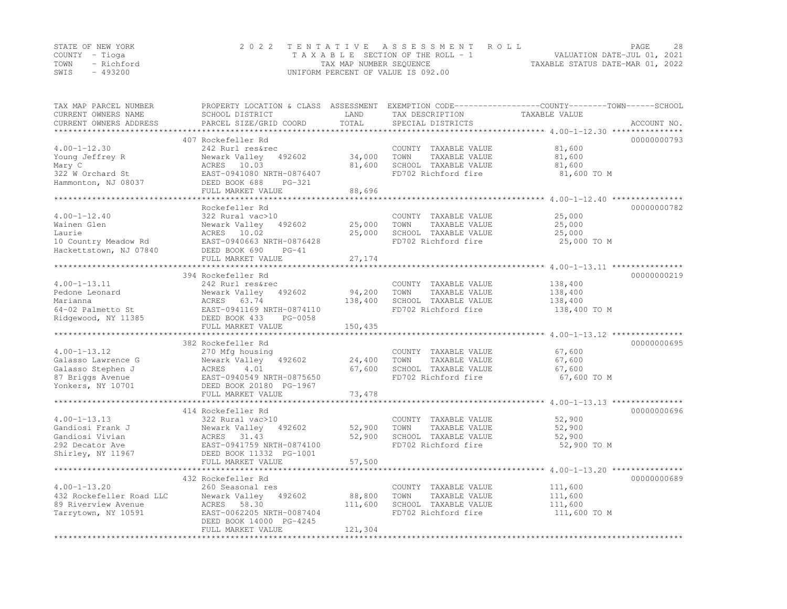|      | STATE OF NEW YORK | 2022 TENTATIVE ASSESSMENT ROLL     | PAGE                             | 2.8 |
|------|-------------------|------------------------------------|----------------------------------|-----|
|      | COUNTY – Tioga    | TAXABLE SECTION OF THE ROLL - 1    | VALUATION DATE-JUL 01, 2021      |     |
| TOWN | - Richford        | TAX MAP NUMBER SEQUENCE            | TAXABLE STATUS DATE-MAR 01, 2022 |     |
| SWIS | - 493200          | UNIFORM PERCENT OF VALUE IS 092.00 |                                  |     |

| TAX MAP PARCEL NUMBER<br>CURRENT OWNERS NAME<br>CURRENT OWNERS ADDRESS                                 | PROPERTY LOCATION & CLASS ASSESSMENT<br>SCHOOL DISTRICT<br>PARCEL SIZE/GRID COORD                                                                                                              | LAND<br>TOTAL<br>*******************   | TAX DESCRIPTION<br>SPECIAL DISTRICTS                                                         | EXEMPTION CODE-----------------COUNTY-------TOWN------SCHOOL<br>TAXABLE VALUE<br>ACCOUNT NO.                                    |
|--------------------------------------------------------------------------------------------------------|------------------------------------------------------------------------------------------------------------------------------------------------------------------------------------------------|----------------------------------------|----------------------------------------------------------------------------------------------|---------------------------------------------------------------------------------------------------------------------------------|
| $4.00 - 1 - 12.30$<br>Young Jeffrey R<br>Mary C<br>322 W Orchard St<br>Hammonton, NJ 08037             | 407 Rockefeller Rd<br>242 Rurl res&rec<br>Newark Valley<br>492602<br>ACRES 10.03<br>EAST-0941080 NRTH-0876407<br>DEED BOOK 688<br>$PG-321$<br>FULL MARKET VALUE                                | 34,000<br>81,600<br>88,696             | COUNTY TAXABLE VALUE<br>TOWN<br>TAXABLE VALUE<br>SCHOOL TAXABLE VALUE<br>FD702 Richford fire | ********************************* 4.00-1-12.30 ****************<br>00000000793<br>81,600<br>81,600<br>81,600<br>81,600 TO M     |
| $4.00 - 1 - 12.40$<br>Wainen Glen<br>Laurie<br>10 Country Meadow Rd<br>Hackettstown, NJ 07840          | Rockefeller Rd<br>322 Rural vac>10<br>492602<br>Newark Valley<br>ACRES 10.02<br>EAST-0940663 NRTH-0876428<br>DEED BOOK 690<br>$PG-41$<br>FULL MARKET VALUE                                     | 25,000<br>25,000<br>27,174             | COUNTY TAXABLE VALUE<br>TAXABLE VALUE<br>TOWN<br>SCHOOL TAXABLE VALUE<br>FD702 Richford fire | 00000000782<br>25,000<br>25,000<br>25,000<br>25,000 TO M<br>**************************************4.00-1-13.11 **************** |
| $4.00 - 1 - 13.11$<br>Pedone Leonard<br>Marianna<br>64-02 Palmetto St<br>Ridgewood, NY 11385           | 394 Rockefeller Rd<br>242 Rurl res&rec<br>492602<br>Newark Valley<br>ACRES 63.74<br>EAST-0941169 NRTH-0874110<br>DEED BOOK 433<br>PG-0058<br>FULL MARKET VALUE                                 | 94,200<br>138,400<br>150,435           | COUNTY TAXABLE VALUE<br>TOWN<br>TAXABLE VALUE<br>SCHOOL TAXABLE VALUE<br>FD702 Richford fire | 00000000219<br>138,400<br>138,400<br>138,400<br>138,400 TO M                                                                    |
| $4.00 - 1 - 13.12$<br>Galasso Lawrence G<br>Galasso Stephen J<br>87 Briggs Avenue<br>Yonkers, NY 10701 | 382 Rockefeller Rd<br>270 Mfg housing<br>Newark Valley<br>492602<br>4.01<br>ACRES<br>EAST-0940549 NRTH-0875650<br>DEED BOOK 20180 PG-1967<br>FULL MARKET VALUE<br>**************************** | 24,400<br>67,600<br>73,478<br>******** | COUNTY TAXABLE VALUE<br>TOWN<br>TAXABLE VALUE<br>SCHOOL TAXABLE VALUE<br>FD702 Richford fire | 00000000695<br>67,600<br>67,600<br>67,600<br>67,600 TO M                                                                        |
| $4.00 - 1 - 13.13$<br>Gandiosi Frank J<br>Gandiosi Vivian<br>292 Decator Ave<br>Shirley, NY 11967      | 414 Rockefeller Rd<br>322 Rural vac>10<br>Newark Valley<br>492602<br>ACRES 31.43<br>EAST-0941759 NRTH-0874100<br>DEED BOOK 11332 PG-1001<br>FULL MARKET VALUE                                  | 52,900<br>52,900<br>57,500             | COUNTY TAXABLE VALUE<br>TOWN<br>TAXABLE VALUE<br>SCHOOL TAXABLE VALUE<br>FD702 Richford fire | 00000000696<br>52,900<br>52,900<br>52,900<br>52,900 TO M                                                                        |
| $4.00 - 1 - 13.20$<br>432 Rockefeller Road LLC<br>89 Riverview Avenue<br>Tarrytown, NY 10591           | 432 Rockefeller Rd<br>260 Seasonal res<br>Newark Valley<br>492602<br>ACRES 58.30<br>EAST-0062205 NRTH-0087404<br>DEED BOOK 14000 PG-4245<br>FULL MARKET VALUE                                  | 88,800<br>111,600<br>121,304           | COUNTY TAXABLE VALUE<br>TOWN<br>TAXABLE VALUE<br>SCHOOL TAXABLE VALUE<br>FD702 Richford fire | 00000000689<br>111,600<br>111,600<br>111,600<br>111,600 TO M                                                                    |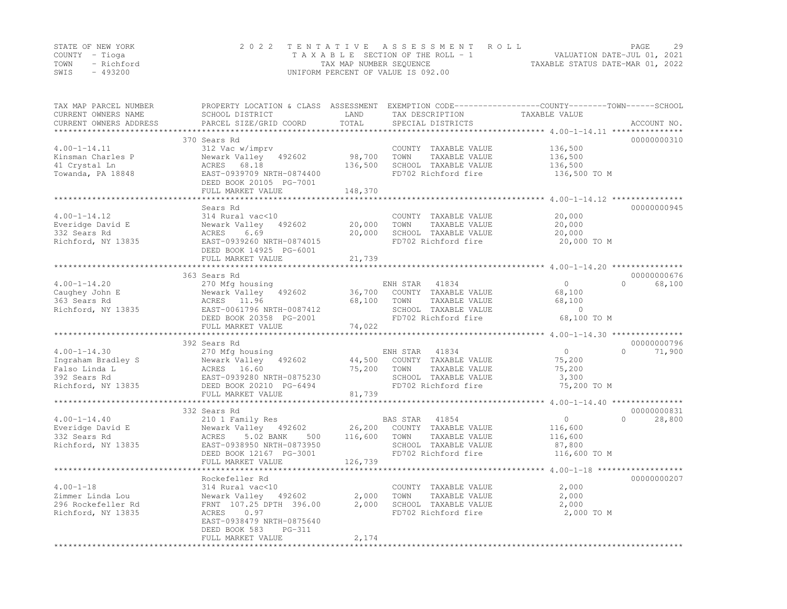|      | STATE OF NEW YORK | 2022 TENTATIVE ASSESSMENT ROLL                                 | PAGE | 29 |
|------|-------------------|----------------------------------------------------------------|------|----|
|      | COUNTY – Tioga    | VALUATION DATE-JUL 01, 2021<br>TAXABLE SECTION OF THE ROLL - 1 |      |    |
|      | TOWN - Richford   | TAXABLE STATUS DATE-MAR 01, 2022<br>TAX MAP NUMBER SEQUENCE    |      |    |
| SWIS | - 493200          | UNIFORM PERCENT OF VALUE IS 092.00                             |      |    |

| TAX MAP PARCEL NUMBER<br>CURRENT OWNERS NAME<br>CURRENT OWNERS ADDRESS | PROPERTY LOCATION & CLASS ASSESSMENT<br>SCHOOL DISTRICT<br>PARCEL SIZE/GRID COORD | LAND<br>TOTAL   | TAX DESCRIPTION<br>SPECIAL DISTRICTS | EXEMPTION CODE-----------------COUNTY-------TOWN------SCHOOL<br>TAXABLE VALUE    | ACCOUNT NO. |
|------------------------------------------------------------------------|-----------------------------------------------------------------------------------|-----------------|--------------------------------------|----------------------------------------------------------------------------------|-------------|
|                                                                        |                                                                                   | * * * * * * * * |                                      | *********** $4.00 - 1 - 14.11$ ********                                          |             |
|                                                                        | 370 Sears Rd                                                                      |                 |                                      |                                                                                  | 00000000310 |
| $4.00 - 1 - 14.11$                                                     | 312 Vac w/imprv                                                                   |                 | COUNTY TAXABLE VALUE                 | 136,500                                                                          |             |
| Kinsman Charles P                                                      | Newark Valley 492602                                                              | 98,700          | TOWN<br>TAXABLE VALUE                | 136,500                                                                          |             |
| 41 Crystal Ln                                                          | ACRES 68.18                                                                       | 136,500         | SCHOOL TAXABLE VALUE                 | 136,500                                                                          |             |
| Towanda, PA 18848                                                      | EAST-0939709 NRTH-0874400                                                         |                 | FD702 Richford fire                  | 136,500 TO M                                                                     |             |
|                                                                        | DEED BOOK 20105 PG-7001                                                           |                 |                                      |                                                                                  |             |
|                                                                        | FULL MARKET VALUE                                                                 | 148,370         |                                      |                                                                                  |             |
|                                                                        | Sears Rd                                                                          |                 |                                      |                                                                                  | 00000000945 |
| $4.00 - 1 - 14.12$                                                     | 314 Rural vac<10                                                                  |                 | COUNTY TAXABLE VALUE                 | 20,000                                                                           |             |
| Everidge David E                                                       | Newark Valley<br>492602                                                           | 20,000          | TOWN<br>TAXABLE VALUE                | 20,000                                                                           |             |
| 332 Sears Rd                                                           | ACRES<br>6.69                                                                     | 20,000          | SCHOOL TAXABLE VALUE                 | 20,000                                                                           |             |
| Richford, NY 13835                                                     | EAST-0939260 NRTH-0874015                                                         |                 | FD702 Richford fire                  | 20,000 TO M                                                                      |             |
|                                                                        | DEED BOOK 14925 PG-6001                                                           |                 |                                      |                                                                                  |             |
|                                                                        | FULL MARKET VALUE                                                                 | 21,739          |                                      |                                                                                  |             |
|                                                                        | *****************************                                                     |                 |                                      |                                                                                  |             |
|                                                                        | 363 Sears Rd                                                                      |                 |                                      |                                                                                  | 00000000676 |
| $4.00 - 1 - 14.20$                                                     | 270 Mfg housing                                                                   |                 | ENH STAR<br>41834                    | $\Omega$<br>$\Omega$                                                             | 68,100      |
| Caughey John E                                                         | Newark Valley 492602                                                              | 36,700          | COUNTY TAXABLE VALUE                 | 68,100                                                                           |             |
| 363 Sears Rd                                                           | ACRES 11.96                                                                       | 68,100          | TOWN<br>TAXABLE VALUE                | 68,100                                                                           |             |
| Richford, NY 13835                                                     | EAST-0061796 NRTH-0087412                                                         |                 | SCHOOL TAXABLE VALUE                 | $\Omega$                                                                         |             |
|                                                                        | DEED BOOK 20358 PG-2001                                                           |                 | FD702 Richford fire                  | 68,100 TO M                                                                      |             |
|                                                                        | FULL MARKET VALUE                                                                 | 74,022          |                                      |                                                                                  |             |
|                                                                        |                                                                                   | **********      |                                      | ************************************* 4.00-1-14.30 ***************************** |             |
|                                                                        | 392 Sears Rd                                                                      |                 |                                      |                                                                                  | 00000000796 |
| $4.00 - 1 - 14.30$                                                     | 270 Mfg housing                                                                   |                 | ENH STAR<br>41834                    | $\circ$<br>$\Omega$                                                              | 71,900      |
| Ingraham Bradley S                                                     | Newark Valley 492602                                                              | 44,500          | COUNTY TAXABLE VALUE                 | 75,200                                                                           |             |
| Falso Linda L                                                          | ACRES 16.60                                                                       | 75,200          | TAXABLE VALUE<br>TOWN                | 75,200                                                                           |             |
| 392 Sears Rd                                                           | EAST-0939280 NRTH-0875230                                                         |                 | SCHOOL TAXABLE VALUE                 | 3,300                                                                            |             |
| Richford, NY 13835                                                     | DEED BOOK 20210 PG-6494                                                           |                 | FD702 Richford fire                  | 75,200 TO M                                                                      |             |
|                                                                        | FULL MARKET VALUE                                                                 | 81,739          |                                      |                                                                                  |             |
|                                                                        | 332 Sears Rd                                                                      |                 |                                      |                                                                                  | 00000000831 |
| $4.00 - 1 - 14.40$                                                     | 210 1 Family Res                                                                  |                 | BAS STAR<br>41854                    | $\Omega$<br>$\circ$                                                              | 28,800      |
| Everidge David E                                                       | Newark Valley 492602                                                              | 26,200          | COUNTY TAXABLE VALUE                 | 116,600                                                                          |             |
| 332 Sears Rd                                                           | 5.02 BANK<br>ACRES<br>500                                                         | 116,600         | TOWN<br>TAXABLE VALUE                | 116,600                                                                          |             |
| Richford, NY 13835                                                     | EAST-0938950 NRTH-0873950                                                         |                 | SCHOOL TAXABLE VALUE                 | 87,800                                                                           |             |
|                                                                        | DEED BOOK 12167 PG-3001                                                           |                 | FD702 Richford fire                  | 116,600 TO M                                                                     |             |
|                                                                        | FULL MARKET VALUE                                                                 | 126,739         |                                      |                                                                                  |             |
|                                                                        |                                                                                   |                 |                                      | *********** 4.00-1-18 ****                                                       |             |
|                                                                        | Rockefeller Rd                                                                    |                 |                                      |                                                                                  | 00000000207 |
| $4.00 - 1 - 18$                                                        | 314 Rural vac<10                                                                  |                 | COUNTY TAXABLE VALUE                 | 2,000                                                                            |             |
| Zimmer Linda Lou                                                       | Newark Valley 492602                                                              | 2,000           | TOWN<br>TAXABLE VALUE                | 2,000                                                                            |             |
| 296 Rockefeller Rd                                                     | FRNT 107.25 DPTH 396.00                                                           | 2,000           | SCHOOL TAXABLE VALUE                 | 2,000                                                                            |             |
| Richford, NY 13835                                                     | ACRES<br>0.97                                                                     |                 | FD702 Richford fire                  | 2,000 TO M                                                                       |             |
|                                                                        | EAST-0938479 NRTH-0875640                                                         |                 |                                      |                                                                                  |             |
|                                                                        | DEED BOOK 583<br>$PG-311$                                                         |                 |                                      |                                                                                  |             |
|                                                                        | FULL MARKET VALUE                                                                 | 2,174           |                                      |                                                                                  |             |
|                                                                        | **************************************                                            |                 |                                      |                                                                                  |             |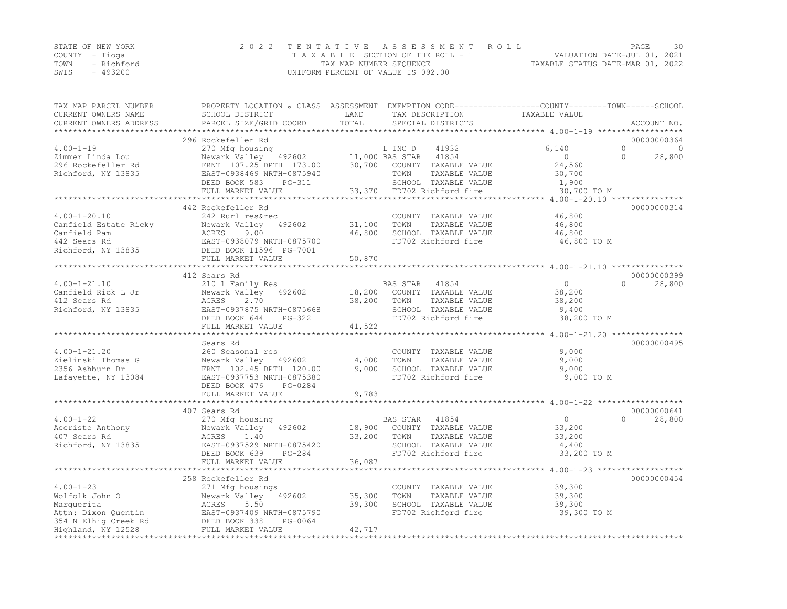|      | STATE OF NEW YORK | 2022 TENTATIVE ASSESSMENT ROLL                              | PAGE                        | 30 |
|------|-------------------|-------------------------------------------------------------|-----------------------------|----|
|      | COUNTY – Tioga    | T A X A B L E SECTION OF THE ROLL - 1                       | VALUATION DATE-JUL 01, 2021 |    |
|      | TOWN - Richford   | TAXABLE STATUS DATE-MAR 01, 2022<br>TAX MAP NUMBER SEQUENCE |                             |    |
| SWIS | - 493200          | UNIFORM PERCENT OF VALUE IS 092.00                          |                             |    |

| TAX MAP PARCEL NUMBER<br>CURRENT OWNERS NAME | PROPERTY LOCATION & CLASS ASSESSMENT EXEMPTION CODE-----------------COUNTY-------TOWN------SCHOOL<br>SCHOOL DISTRICT                                                                                                                                                                         | LAND             | TAX DESCRIPTION                                         | TAXABLE VALUE                                                     |                     |
|----------------------------------------------|----------------------------------------------------------------------------------------------------------------------------------------------------------------------------------------------------------------------------------------------------------------------------------------------|------------------|---------------------------------------------------------|-------------------------------------------------------------------|---------------------|
| CURRENT OWNERS ADDRESS                       | PARCEL SIZE/GRID COORD                                                                                                                                                                                                                                                                       | TOTAL            | SPECIAL DISTRICTS                                       |                                                                   | ACCOUNT NO.         |
|                                              |                                                                                                                                                                                                                                                                                              |                  |                                                         |                                                                   |                     |
|                                              | 296 Rockefeller Rd                                                                                                                                                                                                                                                                           |                  |                                                         |                                                                   | 00000000364         |
| $4.00 - 1 - 19$                              | 270 Mfg housing<br>Newark Valley 192602 11,000 BAS STAR 11854                                                                                                                                                                                                                                |                  |                                                         | 6,140                                                             | $\overline{0}$<br>0 |
| Zimmer Linda Lou                             |                                                                                                                                                                                                                                                                                              |                  |                                                         | $\sim$ 0                                                          | $\Omega$<br>28,800  |
| 296 Rockefeller Rd                           | FRNT 107.25 DPTH 173.00 30,700 COUNTY TAXABLE VALUE<br>Richford, NY 13835 EAST-0938469 NRTH-0875940                                                                                                                                                                                          |                  | TOWN                                                    | 24,560                                                            |                     |
|                                              | DEED BOOK 583 PG-311                                                                                                                                                                                                                                                                         |                  | TAXABLE VALUE<br>SCHOOL TAXABLE VALUE                   | 30,700<br>1,900                                                   |                     |
|                                              | FULL MARKET VALUE                                                                                                                                                                                                                                                                            |                  | -311 SCHOOL TAXABLE VALUE<br>33,370 FD702 Richford fire | 30,700 TO M                                                       |                     |
|                                              |                                                                                                                                                                                                                                                                                              |                  |                                                         |                                                                   |                     |
|                                              | 442 Rockefeller Rd                                                                                                                                                                                                                                                                           |                  |                                                         |                                                                   | 00000000314         |
| $4.00 - 1 - 20.10$                           | 242 Rurl res&rec                                                                                                                                                                                                                                                                             |                  | COUNTY TAXABLE VALUE                                    | 46,800                                                            |                     |
|                                              |                                                                                                                                                                                                                                                                                              | 31,100           | TAXABLE VALUE<br>TOWN                                   | 46,800                                                            |                     |
|                                              |                                                                                                                                                                                                                                                                                              | 46,800           | SCHOOL TAXABLE VALUE                                    | 46,800                                                            |                     |
|                                              |                                                                                                                                                                                                                                                                                              |                  | FD702 Richford fire                                     | 46,800 TO M                                                       |                     |
|                                              |                                                                                                                                                                                                                                                                                              |                  |                                                         |                                                                   |                     |
|                                              | Canfield Estate Ricky<br>Canfield Pam<br>2002<br>Canfield Pam<br>2002<br>2002<br>2008<br>2007<br>2009<br>2007<br>2007<br>2007<br>2007<br>2007<br>2007<br>2007<br>2007<br>2007<br>2007<br>2007<br>2007<br>2007<br>2007<br>2007<br>2007<br>2007<br>2007<br>2007<br>2007<br>2007<br>2007<br>200 | 50,870           |                                                         |                                                                   |                     |
|                                              | ******************************                                                                                                                                                                                                                                                               |                  |                                                         |                                                                   |                     |
|                                              | 412 Sears Rd                                                                                                                                                                                                                                                                                 |                  |                                                         |                                                                   | 00000000399         |
| $4.00 - 1 - 21.10$                           | 210 1 Family Res                                                                                                                                                                                                                                                                             |                  | BAS STAR 41854                                          | $\bigcirc$                                                        | $\Omega$<br>28,800  |
|                                              | Canfield Rick L Jr<br>210 Newark Valley 492602<br>412 Sears Rd<br>Richford, NY 13835<br>2.70<br>Richford, NY 13835<br>EAST-0937875 NRTH-0875668                                                                                                                                              |                  | 18,200 COUNTY TAXABLE VALUE                             | 38,200                                                            |                     |
|                                              |                                                                                                                                                                                                                                                                                              | 38,200 TOWN      | TAXABLE VALUE                                           | 38,200                                                            |                     |
|                                              |                                                                                                                                                                                                                                                                                              |                  | SCHOOL TAXABLE VALUE                                    | 9,400                                                             |                     |
|                                              | DEED BOOK 644 PG-322                                                                                                                                                                                                                                                                         |                  | FD702 Richford fire                                     | 38,200 TO M                                                       |                     |
|                                              | FULL MARKET VALUE                                                                                                                                                                                                                                                                            | 41,522           |                                                         | ************************************4.00-1-21.20 **************** |                     |
|                                              | Sears Rd                                                                                                                                                                                                                                                                                     |                  |                                                         |                                                                   | 00000000495         |
| $4.00 - 1 - 21.20$                           | 260 Seasonal res                                                                                                                                                                                                                                                                             |                  | COUNTY TAXABLE VALUE                                    | 9,000                                                             |                     |
|                                              |                                                                                                                                                                                                                                                                                              | 4,000            | TOWN<br>TAXABLE VALUE                                   | 9,000                                                             |                     |
|                                              |                                                                                                                                                                                                                                                                                              | 9,000            | SCHOOL TAXABLE VALUE                                    | 9,000                                                             |                     |
|                                              | Zielinski Thomas G<br>2356 Ashburn Dr<br>Lafayette, NY 13084<br>EAST-0937753 NRTH-0875380                                                                                                                                                                                                    |                  | FD702 Richford fire                                     | 9,000 TO M                                                        |                     |
|                                              | DEED BOOK 476<br>PG-0284                                                                                                                                                                                                                                                                     |                  |                                                         |                                                                   |                     |
|                                              | FULL MARKET VALUE                                                                                                                                                                                                                                                                            | 9,783            |                                                         |                                                                   |                     |
|                                              | ************************                                                                                                                                                                                                                                                                     |                  |                                                         | ******************* 4.00-1-22 **************                      |                     |
|                                              | 407 Sears Rd                                                                                                                                                                                                                                                                                 |                  |                                                         |                                                                   | 00000000641         |
| $4.00 - 1 - 22$                              | 270 Mfg housing                                                                                                                                                                                                                                                                              |                  | BAS STAR 41854<br>18,900 COUNTY TAXABLE VALUE           | $\overline{0}$                                                    | $\Omega$<br>28,800  |
|                                              |                                                                                                                                                                                                                                                                                              |                  |                                                         | 33,200                                                            |                     |
|                                              | Accrisite Anthony<br>Accrisic Anthony<br>1.40<br>Richford, NY 13835<br>EAST-0937529 NRTH-0875420                                                                                                                                                                                             | 33,200 TOWN      | TAXABLE VALUE                                           | 33,200                                                            |                     |
|                                              |                                                                                                                                                                                                                                                                                              |                  | SCHOOL TAXABLE VALUE                                    | 4,400                                                             |                     |
|                                              | PG-284<br>DEED BOOK 639                                                                                                                                                                                                                                                                      |                  | FD702 Richford fire                                     | 33,200 TO M                                                       |                     |
|                                              | FULL MARKET VALUE                                                                                                                                                                                                                                                                            | 36,087           |                                                         |                                                                   |                     |
|                                              |                                                                                                                                                                                                                                                                                              |                  |                                                         |                                                                   |                     |
|                                              | 258 Rockefeller Rd                                                                                                                                                                                                                                                                           |                  |                                                         |                                                                   | 00000000454         |
|                                              |                                                                                                                                                                                                                                                                                              |                  | COUNTY TAXABLE VALUE<br>TOWN                            | 39,300                                                            |                     |
|                                              |                                                                                                                                                                                                                                                                                              | 35,300<br>39,300 | TAXABLE VALUE<br>SCHOOL TAXABLE VALUE                   | 39,300<br>39,300                                                  |                     |
|                                              |                                                                                                                                                                                                                                                                                              |                  | FD702 Richford fire                                     | 39,300 TO M                                                       |                     |
|                                              |                                                                                                                                                                                                                                                                                              |                  |                                                         |                                                                   |                     |
|                                              |                                                                                                                                                                                                                                                                                              | 42,717           |                                                         |                                                                   |                     |
| *************                                |                                                                                                                                                                                                                                                                                              |                  |                                                         |                                                                   |                     |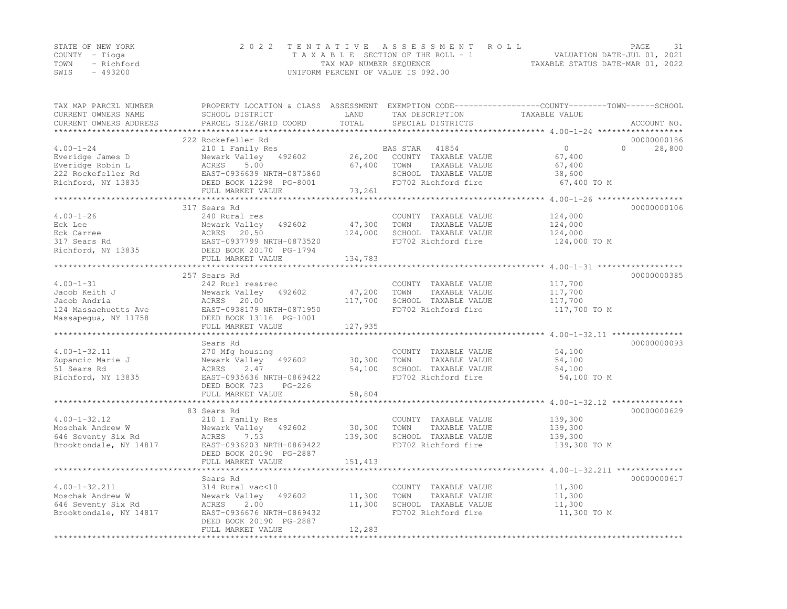| STATE OF NEW YORK |            | 2022 TENTATIVE ASSESSMENT ROLL     | PAGE                             |  |
|-------------------|------------|------------------------------------|----------------------------------|--|
| COUNTY – Tioga    |            | TAXABLE SECTION OF THE ROLL - 1    | VALUATION DATE-JUL 01, 2021      |  |
| TOWN              | - Richford | TAX MAP NUMBER SEQUENCE            | TAXABLE STATUS DATE-MAR 01, 2022 |  |
| SWIS              | $-493200$  | UNIFORM PERCENT OF VALUE IS 092.00 |                                  |  |

| TAX MAP PARCEL NUMBER<br>CURRENT OWNERS NAME<br>CURRENT OWNERS ADDRESS | SCHOOL DISTRICT<br>PARCEL SIZE/GRID COORD                                               | LAND<br>TOTAL     | TAX DESCRIPTION<br>SPECIAL DISTRICTS                                                         | PROPERTY LOCATION & CLASS ASSESSMENT EXEMPTION CODE----------------COUNTY-------TOWN-----SCHOOL<br>TAXABLE VALUE | ACCOUNT NO.           |
|------------------------------------------------------------------------|-----------------------------------------------------------------------------------------|-------------------|----------------------------------------------------------------------------------------------|------------------------------------------------------------------------------------------------------------------|-----------------------|
|                                                                        |                                                                                         |                   |                                                                                              |                                                                                                                  |                       |
| $4.00 - 1 - 24$<br>Everidge James D<br>Everidge Robin L                | 222 Rockefeller Rd<br>210 1 Family Res<br>Newark Valley<br>492602<br>ACRES<br>5.00      | 26,200<br>67,400  | BAS STAR<br>41854<br>COUNTY TAXABLE VALUE<br>TOWN<br>TAXABLE VALUE                           | $\circ$<br>$\Omega$<br>67,400<br>67,400                                                                          | 00000000186<br>28,800 |
| 222 Rockefeller Rd<br>Richford, NY 13835                               | EAST-0936639 NRTH-0875860<br>DEED BOOK 12298 PG-8001                                    |                   | SCHOOL TAXABLE VALUE<br>FD702 Richford fire                                                  | 38,600<br>67,400 TO M                                                                                            |                       |
|                                                                        | FULL MARKET VALUE                                                                       | 73,261            |                                                                                              |                                                                                                                  |                       |
|                                                                        | 317 Sears Rd                                                                            |                   |                                                                                              |                                                                                                                  | 00000000106           |
| $4.00 - 1 - 26$<br>Eck Lee<br>Eck Carree<br>317 Sears Rd               | 240 Rural res<br>Newark Valley<br>492602<br>20.50<br>ACRES<br>EAST-0937799 NRTH-0873520 | 47,300<br>124,000 | COUNTY TAXABLE VALUE<br>TAXABLE VALUE<br>TOWN<br>SCHOOL TAXABLE VALUE<br>FD702 Richford fire | 124,000<br>124,000<br>124,000<br>124,000 TO M                                                                    |                       |
| Richford, NY 13835                                                     | DEED BOOK 20170 PG-1794<br>FULL MARKET VALUE                                            | 134,783           |                                                                                              |                                                                                                                  |                       |
|                                                                        |                                                                                         |                   |                                                                                              |                                                                                                                  |                       |
|                                                                        | 257 Sears Rd                                                                            |                   |                                                                                              |                                                                                                                  | 00000000385           |
| $4.00 - 1 - 31$<br>Jacob Keith J<br>Jacob Andria                       | 242 Rurl res&rec<br>Newark Valley<br>492602<br>ACRES<br>20.00                           | 47,200<br>117,700 | COUNTY TAXABLE VALUE<br>TOWN<br>TAXABLE VALUE<br>SCHOOL TAXABLE VALUE                        | 117,700<br>117,700<br>117,700                                                                                    |                       |
| 124 Massachuetts Ave<br>Massapegua, NY 11758                           | EAST-0938179 NRTH-0871950<br>DEED BOOK 13116 PG-1001<br>FULL MARKET VALUE               | 127,935           | FD702 Richford fire                                                                          | 117,700 TO M                                                                                                     |                       |
|                                                                        |                                                                                         |                   |                                                                                              |                                                                                                                  |                       |
|                                                                        | Sears Rd                                                                                |                   |                                                                                              |                                                                                                                  | 00000000093           |
| $4.00 - 1 - 32.11$                                                     | 270 Mfg housing                                                                         |                   | COUNTY TAXABLE VALUE                                                                         | 54,100                                                                                                           |                       |
| Zupancic Marie J                                                       | Newark Valley<br>492602                                                                 | 30,300            | TAXABLE VALUE<br>TOWN                                                                        | 54,100                                                                                                           |                       |
| 51 Sears Rd<br>Richford, NY 13835                                      | 2.47<br>ACRES<br>EAST-0935636 NRTH-0869422                                              | 54,100            | SCHOOL TAXABLE VALUE<br>FD702 Richford fire                                                  | 54,100<br>54,100 TO M                                                                                            |                       |
|                                                                        | DEED BOOK 723<br>$PG-226$<br>FULL MARKET VALUE                                          | 58,804            |                                                                                              |                                                                                                                  |                       |
|                                                                        |                                                                                         |                   |                                                                                              | ***********************************4.00-1-32.12 ****************                                                 |                       |
|                                                                        | 83 Sears Rd                                                                             |                   |                                                                                              |                                                                                                                  | 00000000629           |
| $4.00 - 1 - 32.12$<br>Moschak Andrew W                                 | 210 1 Family Res<br>Newark Valley 492602                                                | 30,300            | COUNTY TAXABLE VALUE<br>TOWN<br>TAXABLE VALUE                                                | 139,300<br>139,300                                                                                               |                       |
| 646 Seventy Six Rd<br>Brooktondale, NY 14817                           | ACRES<br>7.53<br>EAST-0936203 NRTH-0869422<br>DEED BOOK 20190 PG-2887                   | 139,300           | SCHOOL TAXABLE VALUE<br>FD702 Richford fire                                                  | 139,300<br>139,300 TO M                                                                                          |                       |
|                                                                        | FULL MARKET VALUE                                                                       | 151,413           |                                                                                              |                                                                                                                  |                       |
|                                                                        | ***********************                                                                 | *************     |                                                                                              | ************************************* 4.00-1-32.211 ***************                                              |                       |
|                                                                        | Sears Rd                                                                                |                   |                                                                                              |                                                                                                                  | 00000000617           |
| $4.00 - 1 - 32.211$                                                    | 314 Rural vac<10                                                                        |                   | COUNTY TAXABLE VALUE                                                                         | 11,300                                                                                                           |                       |
| Moschak Andrew W                                                       | Newark Valley<br>492602                                                                 | 11,300            | TOWN<br>TAXABLE VALUE                                                                        | 11,300                                                                                                           |                       |
| 646 Seventy Six Rd<br>Brooktondale, NY 14817                           | 2.00<br>ACRES<br>EAST-0936676 NRTH-0869432<br>DEED BOOK 20190 PG-2887                   | 11,300            | SCHOOL TAXABLE VALUE<br>FD702 Richford fire                                                  | 11,300<br>11,300 TO M                                                                                            |                       |
|                                                                        | FULL MARKET VALUE                                                                       | 12,283            |                                                                                              |                                                                                                                  |                       |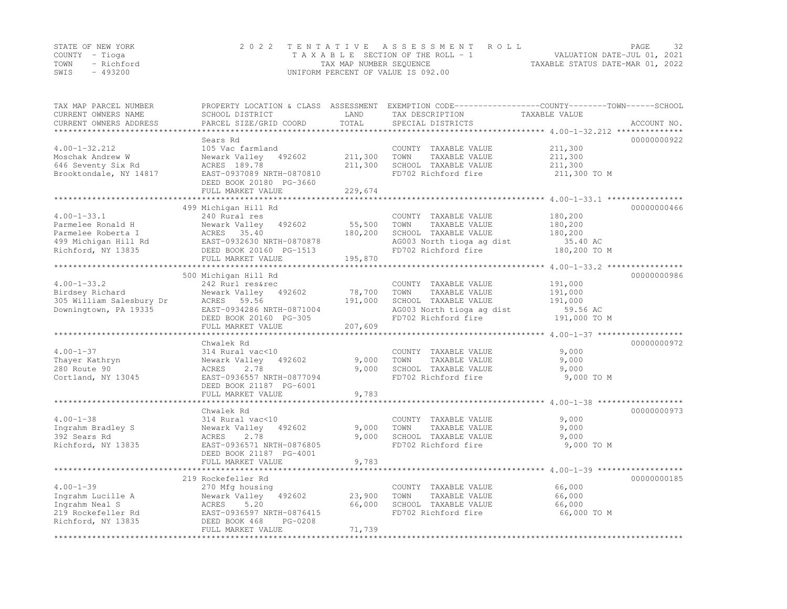| STATE OF NEW YORK |          | 2022 TENTATIVE ASSESSMENT ROLL     |                         |  |                                  | PAGE | 32 |
|-------------------|----------|------------------------------------|-------------------------|--|----------------------------------|------|----|
| COUNTY – Tioga    |          | TAXABLE SECTION OF THE ROLL - 1    |                         |  | VALUATION DATE-JUL 01, 2021      |      |    |
| TOWN - Richford   |          |                                    | TAX MAP NUMBER SEQUENCE |  | TAXABLE STATUS DATE-MAR 01, 2022 |      |    |
| SWIS              | - 493200 | UNIFORM PERCENT OF VALUE IS 092.00 |                         |  |                                  |      |    |

| TAX MAP PARCEL NUMBER<br>CURRENT OWNERS NAME | PROPERTY LOCATION & CLASS ASSESSMENT<br>SCHOOL DISTRICT | LAND           | EXEMPTION CODE-----------------COUNTY-------TOWN------SCHOOL<br>TAX DESCRIPTION | TAXABLE VALUE            |             |
|----------------------------------------------|---------------------------------------------------------|----------------|---------------------------------------------------------------------------------|--------------------------|-------------|
| CURRENT OWNERS ADDRESS                       | PARCEL SIZE/GRID COORD                                  | TOTAL          | SPECIAL DISTRICTS                                                               |                          | ACCOUNT NO. |
|                                              | Sears Rd                                                |                |                                                                                 |                          | 00000000922 |
| $4.00 - 1 - 32.212$                          | 105 Vac farmland                                        |                | COUNTY TAXABLE VALUE                                                            | 211,300                  |             |
| Moschak Andrew W                             | Newark Valley 492602                                    | 211,300        | TOWN<br>TAXABLE VALUE                                                           | 211,300                  |             |
| 646 Seventy Six Rd                           | ACRES 189.78                                            | 211,300        | SCHOOL TAXABLE VALUE                                                            | 211,300                  |             |
| Brooktondale, NY 14817                       | EAST-0937089 NRTH-0870810                               |                | FD702 Richford fire                                                             | 211,300 TO M             |             |
|                                              | DEED BOOK 20180 PG-3660                                 |                |                                                                                 |                          |             |
|                                              | FULL MARKET VALUE                                       | 229,674        |                                                                                 |                          |             |
|                                              |                                                         |                |                                                                                 |                          |             |
|                                              | 499 Michigan Hill Rd                                    |                |                                                                                 |                          | 00000000466 |
| $4.00 - 1 - 33.1$                            | 240 Rural res                                           |                | COUNTY TAXABLE VALUE                                                            | 180,200                  |             |
| Parmelee Ronald H                            | 492602<br>Newark Valley                                 | 55,500         | TAXABLE VALUE<br>TOWN                                                           | 180,200                  |             |
| Parmelee Roberta I                           | ACRES 35.40                                             | 180,200        | SCHOOL TAXABLE VALUE                                                            | 180,200                  |             |
| 499 Michigan Hill Rd<br>Richford, NY 13835   | EAST-0932630 NRTH-0870878<br>DEED BOOK 20160 PG-1513    |                | AG003 North tioga ag dist<br>FD702 Richford fire                                | 35.40 AC<br>180,200 TO M |             |
|                                              | FULL MARKET VALUE                                       | 195,870        |                                                                                 |                          |             |
|                                              |                                                         |                |                                                                                 |                          |             |
|                                              | 500 Michigan Hill Rd                                    |                |                                                                                 |                          | 00000000986 |
| $4.00 - 1 - 33.2$                            | 242 Rurl res&rec                                        |                | COUNTY TAXABLE VALUE                                                            | 191,000                  |             |
| Birdsey Richard                              | Newark Valley 492602                                    | 78,700         | TAXABLE VALUE<br>TOWN                                                           | 191,000                  |             |
| 305 William Salesbury Dr                     | ACRES 59.56                                             | 191,000        | SCHOOL TAXABLE VALUE                                                            | 191,000                  |             |
| Downingtown, PA 19335                        | EAST-0934286 NRTH-0871004                               |                | AG003 North tioga ag dist                                                       | 59.56 AC                 |             |
|                                              | DEED BOOK 20160 PG-305                                  |                | FD702 Richford fire                                                             | 191,000 TO M             |             |
|                                              | FULL MARKET VALUE                                       | 207,609        |                                                                                 |                          |             |
|                                              |                                                         |                |                                                                                 |                          |             |
|                                              | Chwalek Rd                                              |                |                                                                                 |                          | 00000000972 |
| $4.00 - 1 - 37$                              | 314 Rural vac<10                                        |                | COUNTY TAXABLE VALUE                                                            | 9,000                    |             |
| Thayer Kathryn<br>280 Route 90               | Newark Valley 492602<br>2.78<br>ACRES                   | 9,000<br>9,000 | TOWN<br>TAXABLE VALUE<br>SCHOOL TAXABLE VALUE                                   | 9,000<br>9,000           |             |
| Cortland, NY 13045                           | EAST-0936557 NRTH-0877094                               |                | FD702 Richford fire                                                             | 9,000 TO M               |             |
|                                              | DEED BOOK 21187 PG-6001                                 |                |                                                                                 |                          |             |
|                                              | FULL MARKET VALUE                                       | 9,783          |                                                                                 |                          |             |
|                                              |                                                         |                |                                                                                 |                          |             |
|                                              | Chwalek Rd                                              |                |                                                                                 |                          | 00000000973 |
| $4.00 - 1 - 38$                              | 314 Rural vac<10                                        |                | COUNTY TAXABLE VALUE                                                            | 9,000                    |             |
| Ingrahm Bradley S                            | Newark Valley<br>492602                                 | 9,000          | TAXABLE VALUE<br>TOWN                                                           | 9,000                    |             |
| 392 Sears Rd                                 | 2.78<br>ACRES                                           | 9,000          | SCHOOL TAXABLE VALUE                                                            | 9,000                    |             |
| Richford, NY 13835                           | EAST-0936571 NRTH-0876805                               |                | FD702 Richford fire                                                             | 9,000 TO M               |             |
|                                              | DEED BOOK 21187 PG-4001                                 |                |                                                                                 |                          |             |
|                                              | FULL MARKET VALUE                                       | 9,783          |                                                                                 |                          |             |
|                                              | 219 Rockefeller Rd                                      |                |                                                                                 |                          | 00000000185 |
| $4.00 - 1 - 39$                              | 270 Mfg housing                                         |                | COUNTY TAXABLE VALUE                                                            | 66,000                   |             |
| Ingrahm Lucille A                            | Newark Valley 492602                                    | 23,900         | TOWN<br>TAXABLE VALUE                                                           | 66,000                   |             |
| Ingrahm Neal S                               | ACRES<br>5.20                                           | 66,000         | SCHOOL TAXABLE VALUE                                                            | 66,000                   |             |
| 219 Rockefeller Rd                           | EAST-0936597 NRTH-0876415                               |                | FD702 Richford fire                                                             | 66,000 TO M              |             |
| Richford, NY 13835                           | DEED BOOK 468<br>$PG-0208$                              |                |                                                                                 |                          |             |
|                                              | FULL MARKET VALUE                                       | 71,739         |                                                                                 |                          |             |
|                                              |                                                         |                |                                                                                 |                          |             |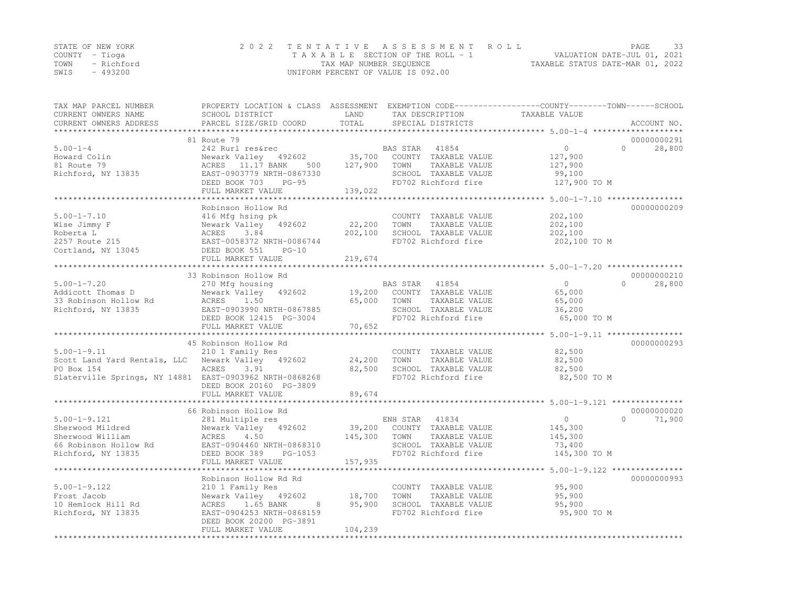|      | STATE OF NEW YORK | 2022 TENTATIVE ASSESSMENT ROLL     | PAGE.                            | -33 |
|------|-------------------|------------------------------------|----------------------------------|-----|
|      | COUNTY – Tioga    | TAXABLE SECTION OF THE ROLL - 1    | VALUATION DATE-JUL 01, 2021      |     |
|      | TOWN - Richford   | TAX MAP NUMBER SEQUENCE            | TAXABLE STATUS DATE-MAR 01, 2022 |     |
| SWIS | - 493200          | UNIFORM PERCENT OF VALUE IS 092.00 |                                  |     |

| TAX MAP PARCEL NUMBER<br>CURRENT OWNERS NAME            | SCHOOL DISTRICT                              | LAND                   | TAX DESCRIPTION       | PROPERTY LOCATION & CLASS ASSESSMENT EXEMPTION CODE----------------COUNTY-------TOWN------SCHOOL<br>TAXABLE VALUE |             |
|---------------------------------------------------------|----------------------------------------------|------------------------|-----------------------|-------------------------------------------------------------------------------------------------------------------|-------------|
| CURRENT OWNERS ADDRESS                                  | PARCEL SIZE/GRID COORD                       | TOTAL                  | SPECIAL DISTRICTS     |                                                                                                                   | ACCOUNT NO. |
|                                                         | 81 Route 79                                  |                        |                       |                                                                                                                   | 00000000291 |
| $5.00 - 1 - 4$                                          | 242 Rurl res&rec                             |                        | 41854<br>BAS STAR     | $\overline{0}$<br>$\Omega$                                                                                        | 28,800      |
| Howard Colin                                            | Newark Valley 492602                         | 35,700                 | COUNTY TAXABLE VALUE  | 127,900                                                                                                           |             |
| 81 Route 79                                             | ACRES 11.17 BANK<br>500                      | 127,900                | TOWN<br>TAXABLE VALUE | 127,900                                                                                                           |             |
| Richford, NY 13835                                      | EAST-0903779 NRTH-0867330                    |                        | SCHOOL TAXABLE VALUE  | 99,100                                                                                                            |             |
|                                                         | DEED BOOK 703<br>$PG-95$                     |                        | FD702 Richford fire   | 127,900 TO M                                                                                                      |             |
|                                                         | FULL MARKET VALUE                            | 139,022                |                       |                                                                                                                   |             |
|                                                         | ******************************               | ********************** |                       | ************** 5.00-1-7.10 *****************                                                                      |             |
|                                                         | Robinson Hollow Rd                           |                        |                       |                                                                                                                   | 00000000209 |
| $5.00 - 1 - 7.10$                                       | 416 Mfg hsing pk                             |                        | COUNTY TAXABLE VALUE  | 202,100                                                                                                           |             |
| Wise Jimmy F                                            | Newark Valley 492602                         | 22,200                 | TAXABLE VALUE<br>TOWN | 202,100                                                                                                           |             |
| Roberta L                                               | ACRES<br>3.84                                | 202,100                | SCHOOL TAXABLE VALUE  | 202,100                                                                                                           |             |
| 2257 Route 215<br>Cortland, NY 13045 DEED BOOK 551      | EAST-0058372 NRTH-0086744                    |                        | FD702 Richford fire   | 202,100 TO M                                                                                                      |             |
|                                                         | $PG-10$                                      |                        |                       |                                                                                                                   |             |
|                                                         | FULL MARKET VALUE<br>*********************** | 219,674                |                       |                                                                                                                   |             |
|                                                         |                                              |                        |                       |                                                                                                                   | 00000000210 |
| $5.00 - 1 - 7.20$                                       | 33 Robinson Hollow Rd                        |                        | BAS STAR 41854        | $\overline{0}$<br>$\Omega$                                                                                        | 28,800      |
| Addicott Thomas D                                       | 270 Mfg housing<br>Newark Valley 492602      | 19,200                 | COUNTY TAXABLE VALUE  | 65,000                                                                                                            |             |
| 33 Robinson Hollow Rd                                   | 1.50<br>ACRES                                | 65,000                 | TOWN<br>TAXABLE VALUE | 65,000                                                                                                            |             |
| Richford, NY 13835                                      | EAST-0903990 NRTH-0867885                    |                        | SCHOOL TAXABLE VALUE  | 36,200                                                                                                            |             |
|                                                         | DEED BOOK 12415 PG-3004                      |                        | FD702 Richford fire   | 65,000 TO M                                                                                                       |             |
|                                                         | FULL MARKET VALUE                            | 70,652                 |                       |                                                                                                                   |             |
|                                                         | **************************                   |                        |                       | ******************************** 5.00-1-9.11 *****************                                                    |             |
|                                                         | 45 Robinson Hollow Rd                        |                        |                       |                                                                                                                   | 00000000293 |
| $5.00 - 1 - 9.11$                                       | 210 1 Family Res                             |                        | COUNTY TAXABLE VALUE  | 82,500                                                                                                            |             |
| Scott Land Yard Rentals, LLC Newark Valley 492602       |                                              | 24,200                 | TOWN<br>TAXABLE VALUE | 82,500                                                                                                            |             |
| PO Box 154                                              | ACRES<br>3.91                                | 82,500                 | SCHOOL TAXABLE VALUE  | 82,500                                                                                                            |             |
| Slaterville Springs, NY 14881 EAST-0903962 NRTH-0868268 |                                              |                        | FD702 Richford fire   | 82,500 TO M                                                                                                       |             |
|                                                         | DEED BOOK 20160 PG-3809                      |                        |                       |                                                                                                                   |             |
|                                                         | FULL MARKET VALUE                            | 89,674                 |                       |                                                                                                                   |             |
|                                                         |                                              |                        |                       |                                                                                                                   |             |
|                                                         | 66 Robinson Hollow Rd                        |                        |                       |                                                                                                                   | 00000000020 |
| $5.00 - 1 - 9.121$                                      | 281 Multiple res                             |                        | 41834<br>ENH STAR     | $\overline{0}$<br>$\Omega$                                                                                        | 71,900      |
| Sherwood Mildred                                        | Newark Valley 492602                         | 39,200                 | COUNTY TAXABLE VALUE  | 145,300                                                                                                           |             |
| Sherwood William                                        | ACRES 4.50                                   | 145,300                | TAXABLE VALUE<br>TOWN | 145,300                                                                                                           |             |
| 66 Robinson Hollow Rd                                   | EAST-0904460 NRTH-0868310                    |                        | SCHOOL TAXABLE VALUE  | 73,400                                                                                                            |             |
| Richford, NY 13835                                      | DEED BOOK 389 PG-1053                        |                        | FD702 Richford fire   | 145,300 TO M                                                                                                      |             |
|                                                         | FULL MARKET VALUE                            | 157,935                |                       | *************** 5.00-1-9.122 ****************                                                                     |             |
|                                                         | Robinson Hollow Rd Rd                        |                        |                       |                                                                                                                   | 00000000993 |
| $5.00 - 1 - 9.122$                                      | 210 1 Family Res                             |                        | COUNTY TAXABLE VALUE  | 95,900                                                                                                            |             |
| Frost Jacob                                             | Newark Valley 492602                         | 18,700                 | TOWN<br>TAXABLE VALUE | 95,900                                                                                                            |             |
| 10 Hemlock Hill Rd                                      | ACRES<br>1.65 BANK<br>8                      | 95,900                 | SCHOOL TAXABLE VALUE  | 95,900                                                                                                            |             |
| Richford, NY 13835                                      | EAST-0904253 NRTH-0868159                    |                        | FD702 Richford fire   | 95,900 TO M                                                                                                       |             |
|                                                         | DEED BOOK 20200 PG-3891                      |                        |                       |                                                                                                                   |             |
|                                                         | FULL MARKET VALUE                            | 104,239                |                       |                                                                                                                   |             |
|                                                         |                                              |                        |                       |                                                                                                                   |             |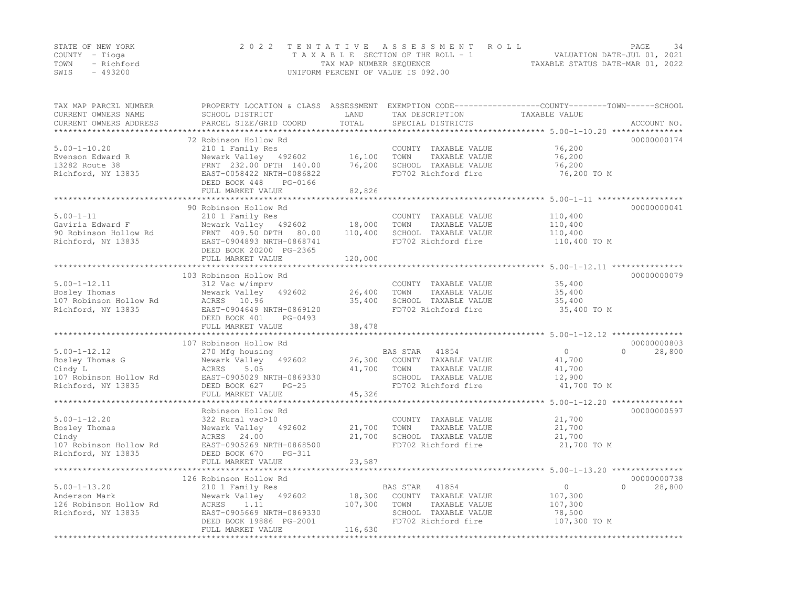|      | STATE OF NEW YORK | 2022 TENTATIVE ASSESSMENT ROLL                                 | PAGE | 34 |
|------|-------------------|----------------------------------------------------------------|------|----|
|      | COUNTY – Tioga    | VALUATION DATE-JUL 01, 2021<br>TAXABLE SECTION OF THE ROLL - 1 |      |    |
| TOWN | - Richford        | TAXABLE STATUS DATE-MAR 01, 2022<br>TAX MAP NUMBER SEQUENCE    |      |    |
| SWIS | $-493200$         | UNIFORM PERCENT OF VALUE IS 092.00                             |      |    |

| TAX MAP PARCEL NUMBER<br>CURRENT OWNERS NAME<br>CURRENT OWNERS ADDRESS                           | SCHOOL DISTRICT<br>PARCEL SIZE/GRID COORD                                                                                                                           | LAND<br>TOTAL                | TAX DESCRIPTION<br>SPECIAL DISTRICTS                                                                              | PROPERTY LOCATION & CLASS ASSESSMENT EXEMPTION CODE----------------COUNTY-------TOWN-----SCHOOL<br>TAXABLE VALUE<br>ACCOUNT NO. |
|--------------------------------------------------------------------------------------------------|---------------------------------------------------------------------------------------------------------------------------------------------------------------------|------------------------------|-------------------------------------------------------------------------------------------------------------------|---------------------------------------------------------------------------------------------------------------------------------|
| ******************                                                                               |                                                                                                                                                                     |                              |                                                                                                                   |                                                                                                                                 |
| $5.00 - 1 - 10.20$<br>Evenson Edward R<br>13282 Route 38<br>Richford, NY 13835                   | 72 Robinson Hollow Rd<br>210 1 Family Res<br>Newark Valley 492602<br>FRNT 232.00 DPTH 140.00<br>EAST-0058422 NRTH-0086822<br>DEED BOOK 448<br>PG-0166               | 16,100<br>76,200             | COUNTY TAXABLE VALUE<br>TOWN<br>TAXABLE VALUE<br>SCHOOL TAXABLE VALUE<br>FD702 Richford fire                      | 00000000174<br>76,200<br>76,200<br>76,200<br>76,200 TO M                                                                        |
|                                                                                                  | FULL MARKET VALUE                                                                                                                                                   | 82,826                       |                                                                                                                   |                                                                                                                                 |
| $5.00 - 1 - 11$<br>Gaviria Edward F<br>90 Robinson Hollow Rd<br>Richford, NY 13835               | 90 Robinson Hollow Rd<br>210 1 Family Res<br>Newark Valley 492602<br>FRNT 409.50 DPTH<br>80.00<br>EAST-0904893 NRTH-0868741<br>DEED BOOK 20200 PG-2365              | 18,000<br>110,400            | COUNTY TAXABLE VALUE<br>TOWN<br>TAXABLE VALUE<br>SCHOOL TAXABLE VALUE<br>FD702 Richford fire                      | 00000000041<br>110,400<br>110,400<br>110,400<br>110,400 TO M                                                                    |
|                                                                                                  | FULL MARKET VALUE                                                                                                                                                   | 120,000                      |                                                                                                                   |                                                                                                                                 |
|                                                                                                  | 103 Robinson Hollow Rd                                                                                                                                              |                              |                                                                                                                   | ************************************5.00-1-12.11 **************<br>00000000079                                                  |
| $5.00 - 1 - 12.11$<br>Bosley Thomas<br>107 Robinson Hollow Rd<br>Richford, NY 13835              | 312 Vac w/imprv<br>Newark Valley<br>492602<br>ACRES 10.96<br>EAST-0904649 NRTH-0869120<br>DEED BOOK 401<br>PG-0493<br>FULL MARKET VALUE                             | 26,400<br>35,400<br>38,478   | COUNTY TAXABLE VALUE<br>TAXABLE VALUE<br>TOWN<br>SCHOOL TAXABLE VALUE<br>FD702 Richford fire                      | 35,400<br>35,400<br>35,400<br>35,400 TO M                                                                                       |
|                                                                                                  |                                                                                                                                                                     |                              |                                                                                                                   |                                                                                                                                 |
|                                                                                                  | 107 Robinson Hollow Rd                                                                                                                                              |                              |                                                                                                                   | 00000000803                                                                                                                     |
| $5.00 - 1 - 12.12$<br>Bosley Thomas G<br>Cindy L<br>107 Robinson Hollow Rd<br>Richford, NY 13835 | 270 Mfg housing<br>Newark Valley<br>492602<br>5.05<br>ACRES<br>EAST-0905029 NRTH-0869330<br>DEED BOOK 627<br>$PG-25$<br>FULL MARKET VALUE                           | 26,300<br>41,700<br>45,326   | 41854<br>BAS STAR<br>COUNTY TAXABLE VALUE<br>TAXABLE VALUE<br>TOWN<br>SCHOOL TAXABLE VALUE<br>FD702 Richford fire | $\circ$<br>$\Omega$<br>28,800<br>41,700<br>41,700<br>12,900<br>41,700 TO M                                                      |
|                                                                                                  | **************************                                                                                                                                          |                              |                                                                                                                   | ******************************* 5.00-1-12.20 ***************                                                                    |
| $5.00 - 1 - 12.20$<br>Bosley Thomas<br>Cindy<br>107 Robinson Hollow Rd<br>Richford, NY 13835     | Robinson Hollow Rd<br>322 Rural vac>10<br>Newark Valley<br>492602<br>ACRES 24.00<br>EAST-0905269 NRTH-0868500<br>DEED BOOK 670<br>$PG-311$                          | 21,700<br>21,700             | COUNTY TAXABLE VALUE<br>TOWN<br>TAXABLE VALUE<br>SCHOOL TAXABLE VALUE<br>FD702 Richford fire                      | 00000000597<br>21,700<br>21,700<br>21,700<br>21,700 TO M                                                                        |
|                                                                                                  | FULL MARKET VALUE<br>************************                                                                                                                       | 23,587                       |                                                                                                                   |                                                                                                                                 |
|                                                                                                  |                                                                                                                                                                     |                              |                                                                                                                   | 00000000738                                                                                                                     |
| $5.00 - 1 - 13.20$<br>Anderson Mark<br>126 Robinson Hollow Rd<br>Richford, NY 13835              | 126 Robinson Hollow Rd<br>210 1 Family Res<br>Newark Valley<br>492602<br>ACRES<br>1.11<br>EAST-0905669 NRTH-0869330<br>DEED BOOK 19886 PG-2001<br>FULL MARKET VALUE | 18,300<br>107,300<br>116,630 | BAS STAR<br>41854<br>COUNTY TAXABLE VALUE<br>TOWN<br>TAXABLE VALUE<br>SCHOOL TAXABLE VALUE<br>FD702 Richford fire | $\circ$<br>$\Omega$<br>28,800<br>107,300<br>107,300<br>78,500<br>107,300 TO M                                                   |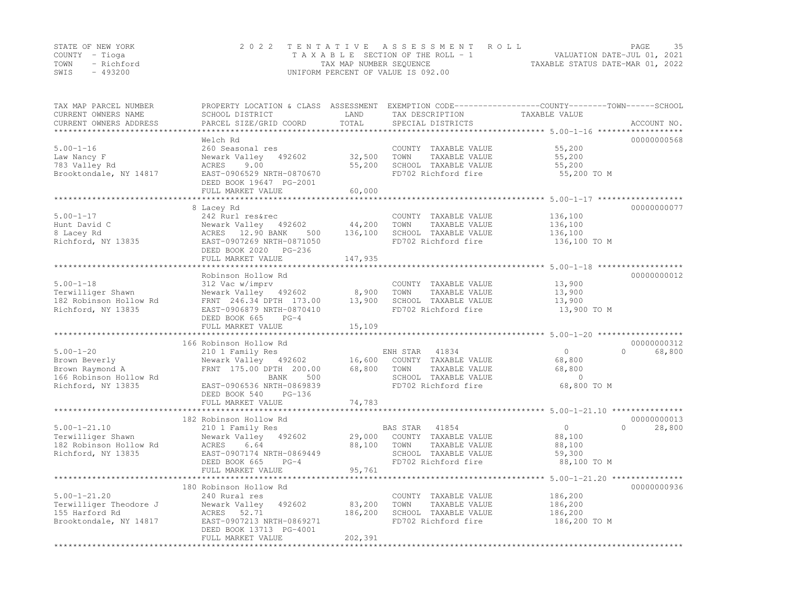| STATE OF NEW YORK | 2022 TENTATIVE ASSESSMENT ROLL                                 | PAGE | -35 |
|-------------------|----------------------------------------------------------------|------|-----|
| COUNTY – Tioga    | VALUATION DATE-JUL 01, 2021<br>TAXABLE SECTION OF THE ROLL - 1 |      |     |
| TOWN - Richford   | TAXABLE STATUS DATE-MAR 01, 2022<br>TAX MAP NUMBER SEOUENCE    |      |     |
| - 493200<br>SWIS  | UNIFORM PERCENT OF VALUE IS 092.00                             |      |     |

| TAX MAP PARCEL NUMBER<br>CURRENT OWNERS NAME<br>CURRENT OWNERS ADDRESS                   | SCHOOL DISTRICT<br>PARCEL SIZE/GRID COORD                                                                                                             | LAND<br>TOTAL              | TAX DESCRIPTION<br>SPECIAL DISTRICTS                                                                              | PROPERTY LOCATION & CLASS ASSESSMENT EXEMPTION CODE----------------COUNTY-------TOWN------SCHOOL<br>TAXABLE VALUE<br>ACCOUNT NO. |
|------------------------------------------------------------------------------------------|-------------------------------------------------------------------------------------------------------------------------------------------------------|----------------------------|-------------------------------------------------------------------------------------------------------------------|----------------------------------------------------------------------------------------------------------------------------------|
| *********************                                                                    |                                                                                                                                                       |                            |                                                                                                                   |                                                                                                                                  |
| $5.00 - 1 - 16$<br>Law Nancy F<br>783 Valley Rd<br>Brooktondale, NY 14817                | Welch Rd<br>260 Seasonal res<br>Newark Valley<br>492602<br>9.00<br>ACRES<br>EAST-0906529 NRTH-0870670<br>DEED BOOK 19647 PG-2001<br>FULL MARKET VALUE | 32,500<br>55,200<br>60,000 | COUNTY TAXABLE VALUE<br>TOWN<br>TAXABLE VALUE<br>SCHOOL TAXABLE VALUE<br>FD702 Richford fire                      | 00000000568<br>55,200<br>55,200<br>55,200<br>55,200 TO M                                                                         |
|                                                                                          |                                                                                                                                                       |                            |                                                                                                                   | ****************************** 5.00-1-17 *****************                                                                       |
| $5.00 - 1 - 17$<br>Hunt David C<br>8 Lacey Rd<br>Richford, NY 13835                      | 8 Lacey Rd<br>242 Rurl res&rec<br>Newark Valley 492602<br>ACRES 12.90 BANK<br>500<br>EAST-0907269 NRTH-0871050<br>DEED BOOK 2020 PG-236               | 44,200<br>136,100          | COUNTY TAXABLE VALUE<br>TOWN<br>TAXABLE VALUE<br>SCHOOL TAXABLE VALUE<br>FD702 Richford fire                      | 00000000077<br>136,100<br>136,100<br>136,100<br>136,100 TO M                                                                     |
|                                                                                          | FULL MARKET VALUE                                                                                                                                     | 147,935                    |                                                                                                                   |                                                                                                                                  |
|                                                                                          | Robinson Hollow Rd                                                                                                                                    |                            |                                                                                                                   | 00000000012                                                                                                                      |
| $5.00 - 1 - 18$<br>Terwilliger Shawn<br>182 Robinson Hollow Rd<br>Richford, NY 13835     | 312 Vac w/imprv<br>Newark Valley 492602<br>FRNT 246.34 DPTH 173.00<br>EAST-0906879 NRTH-0870410<br>DEED BOOK 665<br>$PG-4$<br>FULL MARKET VALUE       | 8,900<br>13,900<br>15,109  | COUNTY TAXABLE VALUE<br>TOWN<br>TAXABLE VALUE<br>SCHOOL TAXABLE VALUE<br>FD702 Richford fire                      | 13,900<br>13,900<br>13,900<br>13,900 TO M                                                                                        |
|                                                                                          | **********************                                                                                                                                | ********                   |                                                                                                                   | ******************* 5.00-1-20 *******************                                                                                |
| $5.00 - 1 - 20$<br>Brown Beverly<br>Brown Raymond A<br>166 Robinson Hollow Rd            | 166 Robinson Hollow Rd<br>210 1 Family Res<br>Newark Valley 492602<br>FRNT 175.00 DPTH 200.00<br>500<br>BANK                                          | 16,600<br>68,800           | ENH STAR<br>41834<br>COUNTY TAXABLE VALUE<br>TOWN<br>TAXABLE VALUE<br>SCHOOL TAXABLE VALUE                        | 00000000312<br>$\circ$<br>$\Omega$<br>68,800<br>68,800<br>68,800<br>$\circ$                                                      |
| Richford, NY 13835                                                                       | EAST-0906536 NRTH-0869839<br>DEED BOOK 540<br>$PG-136$<br>FULL MARKET VALUE                                                                           | 74,783                     | FD702 Richford fire                                                                                               | 68,800 TO M                                                                                                                      |
|                                                                                          | **************************                                                                                                                            |                            |                                                                                                                   |                                                                                                                                  |
| $5.00 - 1 - 21.10$<br>Terwilliger Shawn<br>182 Robinson Hollow Rd<br>Richford, NY 13835  | 182 Robinson Hollow Rd<br>210 1 Family Res<br>Newark Valley 492602<br>6.64<br>ACRES<br>EAST-0907174 NRTH-0869449<br>DEED BOOK 665<br>$PG-4$           | 29,000<br>88,100           | BAS STAR<br>41854<br>COUNTY TAXABLE VALUE<br>TAXABLE VALUE<br>TOWN<br>SCHOOL TAXABLE VALUE<br>FD702 Richford fire | 00000000013<br>28,800<br>$\circ$<br>$\Omega$<br>88,100<br>88,100<br>59,300<br>88,100 TO M                                        |
|                                                                                          | FULL MARKET VALUE                                                                                                                                     | 95,761                     |                                                                                                                   |                                                                                                                                  |
|                                                                                          | .                                                                                                                                                     |                            |                                                                                                                   | ******** 5.00-1-21.20 *************                                                                                              |
| $5.00 - 1 - 21.20$<br>Terwilliger Theodore J<br>155 Harford Rd<br>Brooktondale, NY 14817 | 180 Robinson Hollow Rd<br>240 Rural res<br>Newark Valley<br>492602<br>ACRES 52.71<br>EAST-0907213 NRTH-0869271                                        | 83,200<br>186,200          | COUNTY TAXABLE VALUE<br>TAXABLE VALUE<br>TOWN<br>SCHOOL TAXABLE VALUE<br>FD702 Richford fire                      | 00000000936<br>186,200<br>186,200<br>186,200<br>186,200 TO M                                                                     |
| **********************                                                                   | DEED BOOK 13713 PG-4001<br>FULL MARKET VALUE                                                                                                          | 202,391                    |                                                                                                                   |                                                                                                                                  |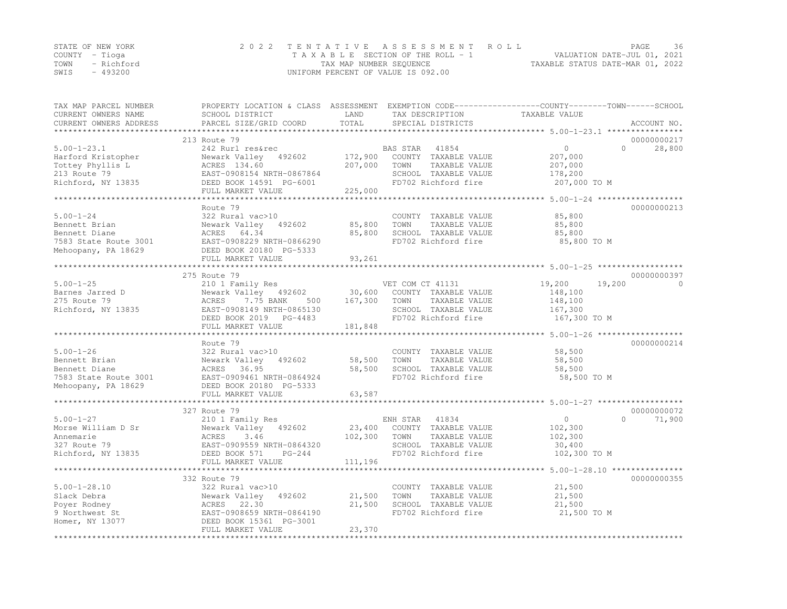| STATE OF NEW YORK  | 2022 TENTATIVE ASSESSMENT ROLL     |                                  | PAGE                        | - 36 |
|--------------------|------------------------------------|----------------------------------|-----------------------------|------|
| COUNTY – Tioga     | TAXABLE SECTION OF THE ROLL - 1    |                                  | VALUATION DATE-JUL 01, 2021 |      |
| TOWN<br>- Richford | TAX MAP NUMBER SEQUENCE            | TAXABLE STATUS DATE-MAR 01, 2022 |                             |      |
| $-493200$<br>SWIS  | UNIFORM PERCENT OF VALUE IS 092.00 |                                  |                             |      |

| TAX MAP PARCEL NUMBER<br>CURRENT OWNERS NAME<br>CURRENT OWNERS ADDRESS | PROPERTY LOCATION & CLASS ASSESSMENT EXEMPTION CODE----------------COUNTY-------TOWN-----SCHOOL<br>SCHOOL DISTRICT<br>PARCEL SIZE/GRID COORD | LAND<br>TOTAL    | TAX DESCRIPTION<br>SPECIAL DISTRICTS          | TAXABLE VALUE    | ACCOUNT NO.        |
|------------------------------------------------------------------------|----------------------------------------------------------------------------------------------------------------------------------------------|------------------|-----------------------------------------------|------------------|--------------------|
| **********************                                                 |                                                                                                                                              |                  |                                               |                  |                    |
|                                                                        | 213 Route 79                                                                                                                                 |                  |                                               |                  | 00000000217        |
| $5.00 - 1 - 23.1$                                                      | 242 Rurl res&rec                                                                                                                             |                  | BAS STAR<br>41854                             | $\circ$          | $\Omega$<br>28,800 |
| Harford Kristopher                                                     | Newark Valley 492602                                                                                                                         | 172,900          | COUNTY TAXABLE VALUE                          | 207,000          |                    |
| Tottey Phyllis L                                                       | ACRES 134.60                                                                                                                                 | 207,000          | TOWN<br>TAXABLE VALUE                         | 207,000          |                    |
| 213 Route 79                                                           | EAST-0908154 NRTH-0867864                                                                                                                    |                  | SCHOOL TAXABLE VALUE                          | 178,200          |                    |
| Richford, NY 13835                                                     | DEED BOOK 14591 PG-6001                                                                                                                      |                  | FD702 Richford fire                           | 207,000 TO M     |                    |
|                                                                        | FULL MARKET VALUE                                                                                                                            | 225,000          |                                               |                  |                    |
|                                                                        |                                                                                                                                              |                  |                                               |                  |                    |
|                                                                        | Route 79                                                                                                                                     |                  |                                               |                  | 00000000213        |
| $5.00 - 1 - 24$                                                        | 322 Rural vac>10                                                                                                                             |                  | COUNTY TAXABLE VALUE                          | 85,800           |                    |
| Bennett Brian                                                          | Newark Valley<br>492602                                                                                                                      | 85,800           | TOWN<br>TAXABLE VALUE                         | 85,800           |                    |
| Bennett Diane                                                          | ACRES 64.34                                                                                                                                  | 85,800           | SCHOOL TAXABLE VALUE                          | 85,800           |                    |
| 7583 State Route 3001                                                  | EAST-0908229 NRTH-0866290                                                                                                                    |                  | FD702 Richford fire                           | 85,800 TO M      |                    |
| Mehoopany, PA 18629                                                    | DEED BOOK 20180 PG-5333                                                                                                                      |                  |                                               |                  |                    |
|                                                                        | FULL MARKET VALUE                                                                                                                            | 93,261           |                                               |                  |                    |
|                                                                        |                                                                                                                                              |                  |                                               |                  |                    |
|                                                                        | 275 Route 79                                                                                                                                 |                  |                                               |                  | 00000000397        |
| $5.00 - 1 - 25$                                                        | 210 1 Family Res                                                                                                                             |                  | VET COM CT 41131                              | 19,200<br>19,200 | $\Omega$           |
| Barnes Jarred D                                                        | Newark Valley 492602                                                                                                                         | 30,600           | COUNTY TAXABLE VALUE                          | 148,100          |                    |
| 275 Route 79                                                           | ACRES<br>7.75 BANK<br>500                                                                                                                    | 167,300          | TOWN<br>TAXABLE VALUE                         | 148,100          |                    |
| Richford, NY 13835                                                     | EAST-0908149 NRTH-0865130                                                                                                                    |                  | SCHOOL TAXABLE VALUE                          | 167,300          |                    |
|                                                                        | DEED BOOK 2019 PG-4483                                                                                                                       |                  | FD702 Richford fire                           | 167,300 TO M     |                    |
|                                                                        | FULL MARKET VALUE                                                                                                                            | 181,848          |                                               |                  |                    |
|                                                                        |                                                                                                                                              |                  |                                               |                  |                    |
|                                                                        | Route 79                                                                                                                                     |                  |                                               |                  | 00000000214        |
| $5.00 - 1 - 26$                                                        | 322 Rural vac>10                                                                                                                             |                  | COUNTY TAXABLE VALUE                          | 58,500           |                    |
| Bennett Brian                                                          | Newark Valley 492602                                                                                                                         | 58,500           | TOWN<br>TAXABLE VALUE                         | 58,500           |                    |
| Bennett Diane                                                          | ACRES<br>36.95                                                                                                                               | 58,500           | SCHOOL TAXABLE VALUE                          | 58,500           |                    |
| 7583 State Route 3001                                                  | EAST-0909461 NRTH-0864924                                                                                                                    |                  | FD702 Richford fire                           | 58,500 TO M      |                    |
| Mehoopany, PA 18629                                                    | DEED BOOK 20180 PG-5333                                                                                                                      |                  |                                               |                  |                    |
|                                                                        | FULL MARKET VALUE                                                                                                                            | 63,587           |                                               |                  |                    |
|                                                                        | 327 Route 79                                                                                                                                 |                  |                                               |                  | 00000000072        |
|                                                                        |                                                                                                                                              |                  |                                               |                  | $\Omega$           |
| $5.00 - 1 - 27$                                                        | 210 1 Family Res                                                                                                                             |                  | 41834<br>ENH STAR                             | $\overline{0}$   | 71,900             |
| Morse William D Sr                                                     | Newark Valley 492602                                                                                                                         | 23,400           | COUNTY TAXABLE VALUE                          | 102,300          |                    |
| Annemarie                                                              | ACRES<br>3.46                                                                                                                                | 102,300          | TOWN<br>TAXABLE VALUE                         | 102,300          |                    |
| 327 Route 79                                                           | EAST-0909559 NRTH-0864320                                                                                                                    |                  | SCHOOL TAXABLE VALUE                          | 30,400           |                    |
| Richford, NY 13835                                                     | DEED BOOK 571<br>$PG-244$                                                                                                                    |                  | FD702 Richford fire                           | 102,300 TO M     |                    |
|                                                                        | FULL MARKET VALUE                                                                                                                            | 111,196          |                                               |                  |                    |
|                                                                        | 332 Route 79                                                                                                                                 |                  |                                               |                  | 00000000355        |
|                                                                        |                                                                                                                                              |                  |                                               |                  |                    |
| $5.00 - 1 - 28.10$<br>Slack Debra                                      | 322 Rural vac>10<br>492602                                                                                                                   |                  | COUNTY TAXABLE VALUE<br>TOWN<br>TAXABLE VALUE | 21,500<br>21,500 |                    |
|                                                                        | Newark Valley<br>ACRES 22.30                                                                                                                 | 21,500<br>21,500 | SCHOOL TAXABLE VALUE                          |                  |                    |
| Poyer Rodney                                                           | EAST-0908659 NRTH-0864190                                                                                                                    |                  | FD702 Richford fire                           | 21,500           |                    |
| 9 Northwest St<br>Homer, NY 13077                                      | DEED BOOK 15361 PG-3001                                                                                                                      |                  |                                               | 21,500 TO M      |                    |
|                                                                        | FULL MARKET VALUE                                                                                                                            | 23,370           |                                               |                  |                    |
|                                                                        |                                                                                                                                              |                  |                                               |                  |                    |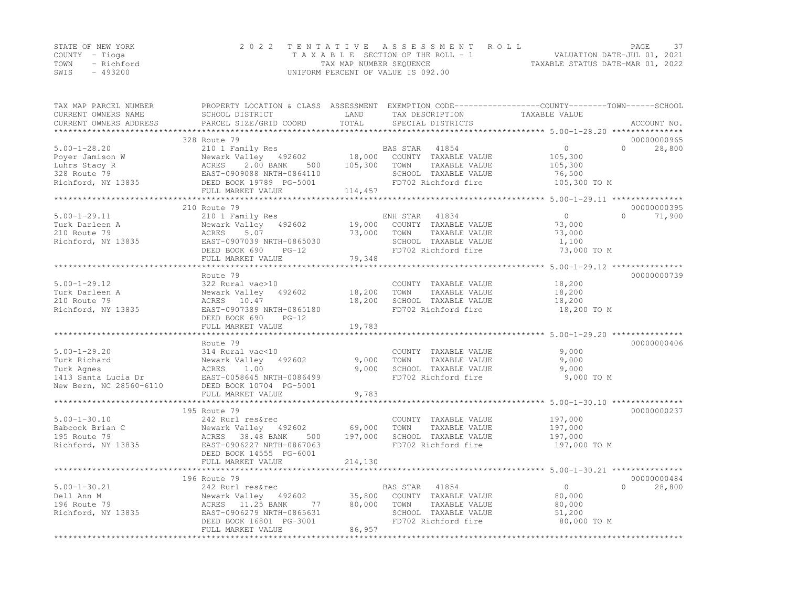|      | STATE OF NEW YORK | 2022 TENTATIVE ASSESSMENT ROLL     | PAGE                             | -37 |
|------|-------------------|------------------------------------|----------------------------------|-----|
|      | COUNTY – Tioga    | TAXABLE SECTION OF THE ROLL - 1    | VALUATION DATE-JUL 01, 2021      |     |
|      | TOWN - Richford   | TAX MAP NUMBER SEQUENCE            | TAXABLE STATUS DATE-MAR 01, 2022 |     |
| SWIS | - 493200          | UNIFORM PERCENT OF VALUE IS 092.00 |                                  |     |

| TAX MAP PARCEL NUMBER<br>CURRENT OWNERS NAME<br>CURRENT OWNERS ADDRESS | SCHOOL DISTRICT<br>PARCEL SIZE/GRID COORD    | LAND<br>TOTAL | TAX DESCRIPTION<br>SPECIAL DISTRICTS        | PROPERTY LOCATION & CLASS ASSESSMENT EXEMPTION CODE----------------COUNTY-------TOWN-----SCHOOL<br>TAXABLE VALUE<br>ACCOUNT NO. |  |
|------------------------------------------------------------------------|----------------------------------------------|---------------|---------------------------------------------|---------------------------------------------------------------------------------------------------------------------------------|--|
| *******************                                                    |                                              |               |                                             |                                                                                                                                 |  |
|                                                                        | 328 Route 79                                 |               |                                             | 00000000965                                                                                                                     |  |
| $5.00 - 1 - 28.20$                                                     | 210 1 Family Res                             |               | BAS STAR<br>41854                           | $\circ$<br>$\Omega$<br>28,800                                                                                                   |  |
| Poyer Jamison W                                                        | Newark Valley 492602                         | 18,000        | COUNTY TAXABLE VALUE                        | 105,300                                                                                                                         |  |
| Luhrs Stacy R                                                          | ACRES<br>2.00 BANK<br>500                    | 105,300       | TAXABLE VALUE<br>TOWN                       | 105,300                                                                                                                         |  |
| 328 Route 79                                                           | EAST-0909088 NRTH-0864110                    |               | SCHOOL TAXABLE VALUE                        | 76,500                                                                                                                          |  |
| Richford, NY 13835                                                     | DEED BOOK 19789 PG-5001                      |               | FD702 Richford fire                         | 105,300 TO M                                                                                                                    |  |
|                                                                        | FULL MARKET VALUE                            | 114,457       |                                             |                                                                                                                                 |  |
|                                                                        | ************************                     |               |                                             |                                                                                                                                 |  |
|                                                                        | 210 Route 79                                 |               |                                             | 00000000395                                                                                                                     |  |
| $5.00 - 1 - 29.11$                                                     | 210 1 Family Res                             |               | ENH STAR<br>41834                           | $\circ$<br>$\Omega$<br>71,900                                                                                                   |  |
| Turk Darleen A                                                         | Newark Valley 492602                         | 19,000        | COUNTY TAXABLE VALUE                        | 73,000                                                                                                                          |  |
| 210 Route 79                                                           | 5.07<br>ACRES                                | 73,000        | TOWN<br>TAXABLE VALUE                       | 73,000                                                                                                                          |  |
| Richford, NY 13835                                                     | EAST-0907039 NRTH-0865030                    |               | SCHOOL TAXABLE VALUE                        | 1,100                                                                                                                           |  |
|                                                                        | DEED BOOK 690<br>$PG-12$                     |               | FD702 Richford fire                         | 73,000 TO M                                                                                                                     |  |
|                                                                        | FULL MARKET VALUE                            | 79,348        |                                             |                                                                                                                                 |  |
|                                                                        |                                              |               |                                             |                                                                                                                                 |  |
|                                                                        | Route 79                                     |               |                                             | 00000000739                                                                                                                     |  |
| $5.00 - 1 - 29.12$                                                     | 322 Rural vac>10                             |               | COUNTY TAXABLE VALUE                        | 18,200                                                                                                                          |  |
| Turk Darleen A                                                         | Newark Valley<br>492602                      | 18,200        | TOWN<br>TAXABLE VALUE                       | 18,200                                                                                                                          |  |
| 210 Route 79                                                           | ACRES 10.47                                  | 18,200        | SCHOOL TAXABLE VALUE                        | 18,200                                                                                                                          |  |
| Richford, NY 13835                                                     | EAST-0907389 NRTH-0865180                    |               | FD702 Richford fire                         | 18,200 TO M                                                                                                                     |  |
|                                                                        | DEED BOOK 690<br>$PG-12$                     |               |                                             |                                                                                                                                 |  |
|                                                                        | FULL MARKET VALUE                            | 19,783        |                                             |                                                                                                                                 |  |
|                                                                        |                                              |               |                                             | 00000000406                                                                                                                     |  |
|                                                                        | Route 79                                     |               |                                             |                                                                                                                                 |  |
| $5.00 - 1 - 29.20$<br>Turk Richard                                     | 314 Rural vac<10                             |               | COUNTY TAXABLE VALUE                        | 9,000                                                                                                                           |  |
|                                                                        | Newark Valley 492602                         | 9,000         | TOWN<br>TAXABLE VALUE                       | 9,000                                                                                                                           |  |
| Turk Agnes<br>1413 Santa Lucia Dr                                      | ACRES<br>1.00<br>EAST-0058645 NRTH-0086499   | 9,000         | SCHOOL TAXABLE VALUE<br>FD702 Richford fire | 9,000<br>9,000 TO M                                                                                                             |  |
| New Bern, NC 28560-6110                                                |                                              |               |                                             |                                                                                                                                 |  |
|                                                                        | DEED BOOK 10704 PG-5001<br>FULL MARKET VALUE | 9,783         |                                             |                                                                                                                                 |  |
|                                                                        |                                              |               |                                             |                                                                                                                                 |  |
|                                                                        | 195 Route 79                                 |               |                                             | 00000000237                                                                                                                     |  |
| $5.00 - 1 - 30.10$                                                     | 242 Rurl res&rec                             |               | COUNTY TAXABLE VALUE                        | 197,000                                                                                                                         |  |
| Babcock Brian C                                                        | Newark Valley 492602                         | 69,000        | TAXABLE VALUE<br>TOWN                       | 197,000                                                                                                                         |  |
| 195 Route 79                                                           | ACRES 38.48 BANK<br>500                      | 197,000       | SCHOOL TAXABLE VALUE                        | 197,000                                                                                                                         |  |
| Richford, NY 13835                                                     | EAST-0906227 NRTH-0867063                    |               | FD702 Richford fire                         | 197,000 TO M                                                                                                                    |  |
|                                                                        | DEED BOOK 14555 PG-6001                      |               |                                             |                                                                                                                                 |  |
|                                                                        | FULL MARKET VALUE                            | 214,130       |                                             |                                                                                                                                 |  |
|                                                                        |                                              |               |                                             |                                                                                                                                 |  |
|                                                                        | 196 Route 79                                 |               |                                             | 00000000484                                                                                                                     |  |
| $5.00 - 1 - 30.21$                                                     | 242 Rurl res&rec                             |               | 41854<br>BAS STAR                           | $\circ$<br>$\bigcap$<br>28,800                                                                                                  |  |
| Dell Ann M                                                             | Newark Valley 492602                         | 35,800        | COUNTY TAXABLE VALUE                        | 80,000                                                                                                                          |  |
| 196 Route 79                                                           | ACRES 11.25 BANK<br>77                       | 80,000        | TOWN<br>TAXABLE VALUE                       | 80,000                                                                                                                          |  |
| Richford, NY 13835                                                     | EAST-0906279 NRTH-0865631                    |               | SCHOOL TAXABLE VALUE                        | 51,200                                                                                                                          |  |
|                                                                        | DEED BOOK 16801 PG-3001                      |               | FD702 Richford fire                         | 80,000 TO M                                                                                                                     |  |
|                                                                        | FULL MARKET VALUE                            | 86,957        |                                             |                                                                                                                                 |  |
|                                                                        |                                              |               |                                             |                                                                                                                                 |  |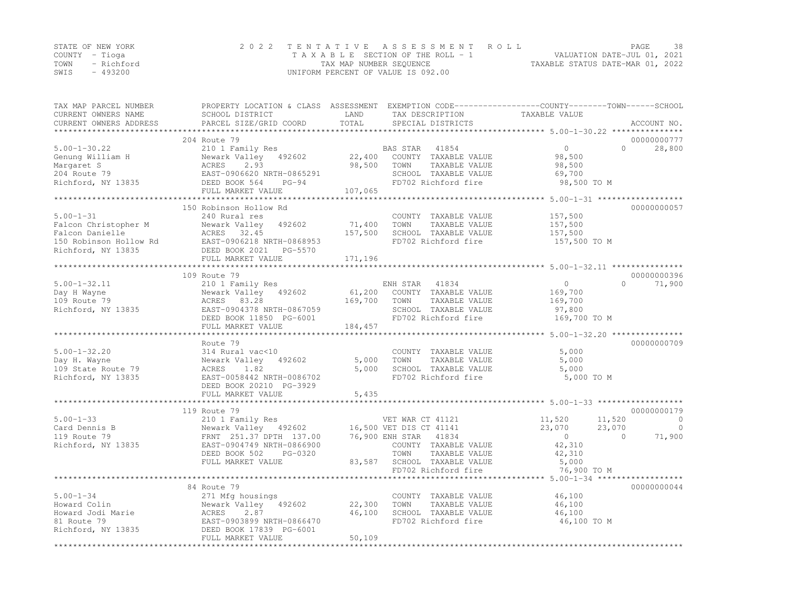| STATE OF NEW YORK |            | 2022 TENTATIVE ASSESSMENT ROLL                                 | PAGE | 38 |
|-------------------|------------|----------------------------------------------------------------|------|----|
| COUNTY – Tioga    |            | VALUATION DATE-JUL 01, 2021<br>TAXABLE SECTION OF THE ROLL - 1 |      |    |
| TOWN              | - Richford | TAXABLE STATUS DATE-MAR 01, 2022<br>TAX MAP NUMBER SEQUENCE    |      |    |
| SWIS              | $-493200$  | UNIFORM PERCENT OF VALUE IS 092.00                             |      |    |

| TAX MAP PARCEL NUMBER<br>CURRENT OWNERS NAME | PROPERTY LOCATION & CLASS ASSESSMENT EXEMPTION CODE----------------COUNTY-------TOWN-----SCHOOL<br>SCHOOL DISTRICT | LAND                                       | TAX DESCRIPTION                                                 | TAXABLE VALUE                                        |                    |
|----------------------------------------------|--------------------------------------------------------------------------------------------------------------------|--------------------------------------------|-----------------------------------------------------------------|------------------------------------------------------|--------------------|
| CURRENT OWNERS ADDRESS                       | PARCEL SIZE/GRID COORD                                                                                             | TOTAL<br>* * * * * * * * * * * * * * * * * | SPECIAL DISTRICTS                                               | ********************** 5.00-1-30.22 **************** | ACCOUNT NO.        |
|                                              | 204 Route 79                                                                                                       |                                            |                                                                 |                                                      | 00000000777        |
| $5.00 - 1 - 30.22$                           | 210 1 Family Res                                                                                                   |                                            | BAS STAR<br>41854                                               | $\circ$                                              | $\Omega$<br>28,800 |
| Genung William H                             | Newark Valley<br>492602                                                                                            | 22,400                                     | COUNTY TAXABLE VALUE                                            | 98,500                                               |                    |
| Margaret S                                   | ACRES<br>2.93                                                                                                      | 98,500                                     | TOWN<br>TAXABLE VALUE                                           | 98,500                                               |                    |
| 204 Route 79                                 | EAST-0906620 NRTH-0865291                                                                                          |                                            | SCHOOL TAXABLE VALUE                                            | 69,700                                               |                    |
| Richford, NY 13835                           | DEED BOOK 564<br>$PG-94$                                                                                           |                                            | FD702 Richford fire                                             | 98,500 TO M                                          |                    |
|                                              | FULL MARKET VALUE                                                                                                  | 107,065                                    |                                                                 |                                                      |                    |
|                                              |                                                                                                                    |                                            |                                                                 |                                                      |                    |
|                                              | 150 Robinson Hollow Rd                                                                                             |                                            |                                                                 |                                                      | 00000000057        |
| $5.00 - 1 - 31$                              | 240 Rural res                                                                                                      |                                            | COUNTY TAXABLE VALUE                                            | 157,500                                              |                    |
| Falcon Christopher M                         | 492602<br>Newark Valley                                                                                            | 71,400                                     | TOWN<br>TAXABLE VALUE                                           | 157,500                                              |                    |
| Falcon Danielle                              | ACRES 32.45                                                                                                        | 157,500                                    | SCHOOL TAXABLE VALUE                                            | 157,500                                              |                    |
| 150 Robinson Hollow Rd                       | EAST-0906218 NRTH-0868953                                                                                          |                                            | FD702 Richford fire                                             | 157,500 TO M                                         |                    |
| Richford, NY 13835                           |                                                                                                                    |                                            |                                                                 |                                                      |                    |
| **********************                       | FULL MARKET VALUE                                                                                                  | 171,196                                    |                                                                 |                                                      |                    |
|                                              | 109 Route 79                                                                                                       |                                            |                                                                 |                                                      | 00000000396        |
| $5.00 - 1 - 32.11$                           | 210 1 Family Res                                                                                                   |                                            | ENH STAR<br>41834                                               | $\circ$                                              | $\Omega$<br>71,900 |
| Day H Wayne                                  | Newark Valley 492602                                                                                               | 61,200                                     | COUNTY TAXABLE VALUE                                            | 169,700                                              |                    |
| 109 Route 79                                 | 83.28<br>ACRES                                                                                                     | 169,700                                    | TAXABLE VALUE<br>TOWN                                           | 169,700                                              |                    |
| Richford, NY 13835                           | EAST-0904378 NRTH-0867059                                                                                          |                                            | SCHOOL TAXABLE VALUE                                            | 97,800                                               |                    |
|                                              | DEED BOOK 11850 PG-6001                                                                                            |                                            | FD702 Richford fire                                             | 169,700 TO M                                         |                    |
|                                              | FULL MARKET VALUE                                                                                                  | 184,457                                    |                                                                 |                                                      |                    |
|                                              |                                                                                                                    |                                            |                                                                 | ********** 5.00-1-32.20 *************                |                    |
|                                              | Route 79                                                                                                           |                                            |                                                                 |                                                      | 00000000709        |
| $5.00 - 1 - 32.20$                           | 314 Rural vac<10                                                                                                   |                                            | COUNTY TAXABLE VALUE                                            | 5,000                                                |                    |
| Day H. Wayne                                 | Newark Valley<br>492602                                                                                            | 5,000                                      | TAXABLE VALUE<br>TOWN                                           | 5,000                                                |                    |
| 109 State Route 79                           | ACRES<br>1.82                                                                                                      | 5,000                                      | SCHOOL TAXABLE VALUE                                            | 5,000                                                |                    |
| Richford, NY 13835                           | EAST-0058442 NRTH-0086702                                                                                          |                                            | FD702 Richford fire                                             | 5,000 TO M                                           |                    |
|                                              | DEED BOOK 20210 PG-3929                                                                                            |                                            |                                                                 |                                                      |                    |
|                                              | FULL MARKET VALUE                                                                                                  | 5,435                                      |                                                                 |                                                      |                    |
|                                              |                                                                                                                    |                                            |                                                                 |                                                      |                    |
|                                              | 119 Route 79                                                                                                       |                                            |                                                                 |                                                      | 00000000179        |
| $5.00 - 1 - 33$                              | 210 1 Family Res                                                                                                   |                                            | VET WAR CT 41121                                                | 11,520                                               | 11,520<br>0        |
| Card Dennis B                                | Newark Valley 492602                                                                                               |                                            | 16,500 VET DIS CT 41141                                         | 23,070                                               | 23,070<br>$\circ$  |
| 119 Route 79                                 | FRNT 251.37 DPTH 137.00                                                                                            |                                            | 76,900 ENH STAR 41834                                           | $\overline{0}$                                       | 71,900<br>$\Omega$ |
| Richford, NY 13835                           | EAST-0904749 NRTH-0866900                                                                                          |                                            | COUNTY TAXABLE VALUE                                            | 42,310                                               |                    |
|                                              | DEED BOOK 502<br>PG-0320                                                                                           |                                            | TOWN<br>TAXABLE VALUE                                           | 42,310                                               |                    |
|                                              | FULL MARKET VALUE                                                                                                  | 83,587                                     | SCHOOL TAXABLE VALUE                                            | 5,000                                                |                    |
|                                              | *********************************                                                                                  |                                            | FD702 Richford fire                                             | 76,900 TO M                                          |                    |
|                                              |                                                                                                                    |                                            | ********************************** 5.00–1–34 ****************** |                                                      |                    |
| $5.00 - 1 - 34$                              | 84 Route 79                                                                                                        |                                            | COUNTY TAXABLE VALUE                                            | 46,100                                               | 00000000044        |
|                                              | 271 Mfg housings                                                                                                   |                                            | TOWN                                                            |                                                      |                    |
| Howard Colin<br>Howard Jodi Marie            | Newark Valley 492602<br>ACRES<br>2.87                                                                              | 22,300<br>46,100                           | TAXABLE VALUE<br>SCHOOL TAXABLE VALUE                           | 46,100<br>46,100                                     |                    |
| 81 Route 79                                  | EAST-0903899 NRTH-0866470                                                                                          |                                            | FD702 Richford fire                                             | 46,100 TO M                                          |                    |
| Richford, NY 13835                           | DEED BOOK 17839 PG-6001                                                                                            |                                            |                                                                 |                                                      |                    |
|                                              | FULL MARKET VALUE                                                                                                  | 50,109                                     |                                                                 |                                                      |                    |
|                                              |                                                                                                                    |                                            |                                                                 |                                                      |                    |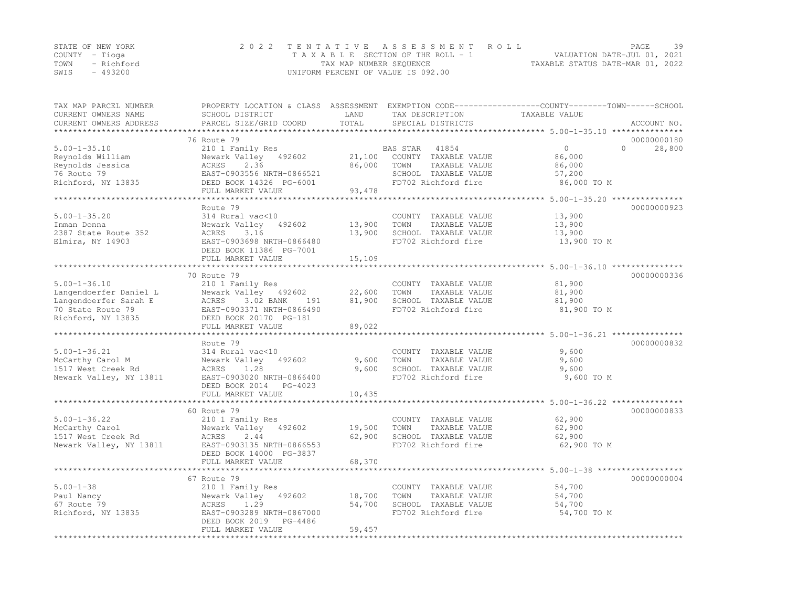|      | STATE OF NEW YORK | 2022 TENTATIVE ASSESSMENT ROLL     | PAGE.                            | 39 |
|------|-------------------|------------------------------------|----------------------------------|----|
|      | COUNTY – Tioga    | TAXABLE SECTION OF THE ROLL - 1    | VALUATION DATE-JUL 01, 2021      |    |
|      | TOWN - Richford   | TAX MAP NUMBER SEQUENCE            | TAXABLE STATUS DATE-MAR 01, 2022 |    |
| SWIS | - 493200          | UNIFORM PERCENT OF VALUE IS 092.00 |                                  |    |

| TAX MAP PARCEL NUMBER                         | PROPERTY LOCATION & CLASS ASSESSMENT EXEMPTION CODE----------------COUNTY-------TOWN-----SCHOOL | LAND                     |                                      | TAXABLE VALUE                                                     |          |             |
|-----------------------------------------------|-------------------------------------------------------------------------------------------------|--------------------------|--------------------------------------|-------------------------------------------------------------------|----------|-------------|
| CURRENT OWNERS NAME<br>CURRENT OWNERS ADDRESS | SCHOOL DISTRICT<br>PARCEL SIZE/GRID COORD                                                       | TOTAL                    | TAX DESCRIPTION<br>SPECIAL DISTRICTS |                                                                   |          | ACCOUNT NO. |
|                                               |                                                                                                 |                          |                                      |                                                                   |          |             |
|                                               | 76 Route 79                                                                                     |                          |                                      |                                                                   |          | 00000000180 |
| $5.00 - 1 - 35.10$                            | 210 1 Family Res                                                                                |                          | BAS STAR<br>41854                    | $\Omega$                                                          | $\Omega$ | 28,800      |
| Reynolds William                              | Newark Valley 492602                                                                            | 21,100                   | COUNTY TAXABLE VALUE                 | 86,000                                                            |          |             |
| Reynolds Jessica                              | ACRES<br>2.36                                                                                   | 86,000                   | TOWN<br>TAXABLE VALUE                | 86,000                                                            |          |             |
| 76 Route 79                                   | EAST-0903556 NRTH-0866521                                                                       |                          | SCHOOL TAXABLE VALUE                 | 57,200                                                            |          |             |
| Richford, NY 13835                            | DEED BOOK 14326 PG-6001                                                                         |                          | FD702 Richford fire                  | 86,000 TO M                                                       |          |             |
|                                               | FULL MARKET VALUE                                                                               | 93,478                   |                                      |                                                                   |          |             |
|                                               | *****************                                                                               |                          |                                      | ******** 5.00-1-35.20 ****************                            |          |             |
|                                               | Route 79                                                                                        |                          |                                      |                                                                   |          | 00000000923 |
| $5.00 - 1 - 35.20$                            | 314 Rural vac<10                                                                                |                          | COUNTY TAXABLE VALUE                 | 13,900                                                            |          |             |
| Inman Donna                                   | 492602<br>Newark Valley                                                                         | 13,900                   | TAXABLE VALUE<br>TOWN                | 13,900                                                            |          |             |
| 2387 State Route 352                          | ACRES<br>3.16                                                                                   | 13,900                   | SCHOOL TAXABLE VALUE                 | 13,900                                                            |          |             |
| Elmira, NY 14903                              | EAST-0903698 NRTH-0866480                                                                       |                          | FD702 Richford fire                  | 13,900 TO M                                                       |          |             |
|                                               | DEED BOOK 11386 PG-7001                                                                         |                          |                                      |                                                                   |          |             |
|                                               | FULL MARKET VALUE                                                                               | 15,109                   |                                      |                                                                   |          |             |
|                                               | *****************************                                                                   |                          |                                      | ******************************* 5.00-1-36.10 **************       |          |             |
|                                               | 70 Route 79                                                                                     |                          |                                      |                                                                   |          | 00000000336 |
| $5.00 - 1 - 36.10$                            | 210 1 Family Res                                                                                |                          | COUNTY TAXABLE VALUE                 | 81,900                                                            |          |             |
| Langendoerfer Daniel L                        | Newark Valley 492602                                                                            | 22,600                   | TOWN<br>TAXABLE VALUE                | 81,900                                                            |          |             |
| Langendoerfer Sarah E                         | ACRES<br>3.02 BANK<br>191                                                                       | 81,900                   | SCHOOL TAXABLE VALUE                 | 81,900                                                            |          |             |
| 70 State Route 79                             | EAST-0903371 NRTH-0866490                                                                       |                          | FD702 Richford fire                  | 81,900 TO M                                                       |          |             |
| Richford, NY 13835                            | DEED BOOK 20170 PG-181                                                                          |                          |                                      |                                                                   |          |             |
|                                               | FULL MARKET VALUE                                                                               | 89,022                   |                                      |                                                                   |          |             |
|                                               |                                                                                                 |                          |                                      |                                                                   |          |             |
|                                               | Route 79                                                                                        |                          |                                      |                                                                   |          | 00000000832 |
| $5.00 - 1 - 36.21$                            | 314 Rural vac<10                                                                                |                          | COUNTY TAXABLE VALUE                 | 9,600                                                             |          |             |
| McCarthy Carol M                              | Newark Valley<br>492602                                                                         | 9,600                    | TOWN<br>TAXABLE VALUE                | 9,600                                                             |          |             |
| 1517 West Creek Rd                            | 1.28<br>ACRES                                                                                   | 9,600                    | SCHOOL TAXABLE VALUE                 | 9,600                                                             |          |             |
| Newark Valley, NY 13811                       | EAST-0903020 NRTH-0866400                                                                       |                          | FD702 Richford fire                  | 9,600 TO M                                                        |          |             |
|                                               | DEED BOOK 2014<br>PG-4023                                                                       |                          |                                      |                                                                   |          |             |
|                                               | FULL MARKET VALUE                                                                               | 10,435<br>************** |                                      |                                                                   |          |             |
|                                               |                                                                                                 |                          |                                      | *********************************** 5.00-1-36.22 **************** |          |             |
|                                               | 60 Route 79                                                                                     |                          |                                      |                                                                   |          | 00000000833 |
| $5.00 - 1 - 36.22$                            | 210 1 Family Res                                                                                |                          | COUNTY TAXABLE VALUE                 | 62,900                                                            |          |             |
| McCarthy Carol                                | Newark Valley<br>492602                                                                         | 19,500                   | TOWN<br>TAXABLE VALUE                | 62,900                                                            |          |             |
| 1517 West Creek Rd                            | ACRES<br>2.44                                                                                   | 62,900                   | SCHOOL TAXABLE VALUE                 | 62,900                                                            |          |             |
| Newark Valley, NY 13811                       | EAST-0903135 NRTH-0866553                                                                       |                          | FD702 Richford fire                  | 62,900 TO M                                                       |          |             |
|                                               | DEED BOOK 14000 PG-3837                                                                         |                          |                                      |                                                                   |          |             |
|                                               | FULL MARKET VALUE                                                                               | 68,370                   |                                      |                                                                   |          |             |
|                                               |                                                                                                 |                          |                                      |                                                                   |          | 00000000004 |
| $5.00 - 1 - 38$                               | 67 Route 79                                                                                     |                          |                                      | 54,700                                                            |          |             |
|                                               | 210 1 Family Res                                                                                |                          | COUNTY TAXABLE VALUE                 |                                                                   |          |             |
| Paul Nancy<br>67 Route 79                     | Newark Valley<br>492602                                                                         | 18,700<br>54,700         | TOWN<br>TAXABLE VALUE                | 54,700                                                            |          |             |
|                                               | ACRES<br>1.29                                                                                   |                          | SCHOOL TAXABLE VALUE                 | 54,700                                                            |          |             |
| Richford, NY 13835                            | EAST-0903289 NRTH-0867000<br>DEED BOOK 2019<br>PG-4486                                          |                          | FD702 Richford fire                  | 54,700 TO M                                                       |          |             |
|                                               | FULL MARKET VALUE                                                                               | 59,457                   |                                      |                                                                   |          |             |
|                                               |                                                                                                 |                          |                                      |                                                                   |          |             |
|                                               |                                                                                                 |                          |                                      |                                                                   |          |             |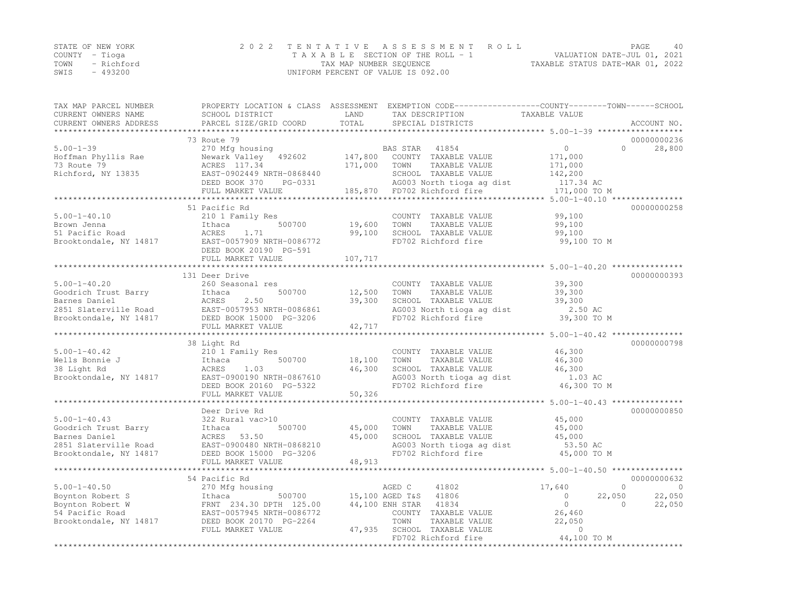| STATE OF NEW YORK |          | 2022 TENTATIVE ASSESSMENT ROLL                                 | PAGE | 40 |
|-------------------|----------|----------------------------------------------------------------|------|----|
| COUNTY – Tioga    |          | VALUATION DATE-JUL 01, 2021<br>TAXABLE SECTION OF THE ROLL - 1 |      |    |
| TOWN - Richford   |          | TAXABLE STATUS DATE-MAR 01, 2022<br>TAX MAP NUMBER SEQUENCE    |      |    |
| SWIS              | - 493200 | UNIFORM PERCENT OF VALUE IS 092.00                             |      |    |

| TAX MAP PARCEL NUMBER<br>CURRENT OWNERS NAME | SCHOOL DISTRICT              | LAND    | PROPERTY LOCATION & CLASS ASSESSMENT EXEMPTION CODE----------------COUNTY-------TOWN-----SCHOOL<br>TAX DESCRIPTION | TAXABLE VALUE                                  |                      |
|----------------------------------------------|------------------------------|---------|--------------------------------------------------------------------------------------------------------------------|------------------------------------------------|----------------------|
| CURRENT OWNERS ADDRESS                       | PARCEL SIZE/GRID COORD       | TOTAL   | SPECIAL DISTRICTS                                                                                                  |                                                | ACCOUNT NO.          |
| ***********************                      | **************************** |         |                                                                                                                    |                                                |                      |
|                                              | 73 Route 79                  |         |                                                                                                                    |                                                | 00000000236          |
| $5.00 - 1 - 39$                              | 270 Mfg housing              |         | BAS STAR<br>41854                                                                                                  | $\bigcirc$                                     | $\bigcap$<br>28,800  |
| Hoffman Phyllis Rae                          | Newark Valley 492602         | 147,800 | COUNTY TAXABLE VALUE                                                                                               | 171,000                                        |                      |
| 73 Route 79                                  | ACRES 117.34                 | 171,000 | TOWN<br>TAXABLE VALUE                                                                                              | 171,000                                        |                      |
| Richford, NY 13835                           | EAST-0902449 NRTH-0868440    |         | SCHOOL TAXABLE VALUE                                                                                               | 142,200                                        |                      |
|                                              | DEED BOOK 370<br>PG-0331     |         | AG003 North tioga ag dist                                                                                          | 117.34 AC                                      |                      |
|                                              | FULL MARKET VALUE            |         | 185,870 FD702 Richford fire                                                                                        | 171,000 TO M                                   |                      |
|                                              | ***********************      |         |                                                                                                                    |                                                |                      |
|                                              | 51 Pacific Rd                |         |                                                                                                                    |                                                | 00000000258          |
| $5.00 - 1 - 40.10$                           | 210 1 Family Res             |         | COUNTY TAXABLE VALUE                                                                                               | 99,100                                         |                      |
| Brown Jenna                                  | 500700<br>Ithaca             | 19,600  | TOWN<br>TAXABLE VALUE                                                                                              | 99,100                                         |                      |
| 51 Pacific Road                              | ACRES<br>1.71                | 99,100  | SCHOOL TAXABLE VALUE                                                                                               | 99,100                                         |                      |
| Brooktondale, NY 14817                       | EAST-0057909 NRTH-0086772    |         | FD702 Richford fire                                                                                                | 99,100 TO M                                    |                      |
|                                              | DEED BOOK 20190 PG-591       |         |                                                                                                                    |                                                |                      |
|                                              | FULL MARKET VALUE            | 107,717 |                                                                                                                    |                                                |                      |
|                                              |                              |         |                                                                                                                    |                                                |                      |
|                                              | 131 Deer Drive               |         |                                                                                                                    |                                                | 00000000393          |
| $5.00 - 1 - 40.20$                           | 260 Seasonal res             |         | COUNTY TAXABLE VALUE                                                                                               | 39,300                                         |                      |
| Goodrich Trust Barry                         | 500700<br>Ithaca             | 12,500  | TAXABLE VALUE<br>TOWN                                                                                              | 39,300                                         |                      |
| Barnes Daniel                                | 2.50<br>ACRES                | 39,300  | SCHOOL TAXABLE VALUE                                                                                               | 39,300                                         |                      |
| 2851 Slaterville Road                        | EAST-0057953 NRTH-0086861    |         | AG003 North tioga ag dist                                                                                          | 2.50 AC                                        |                      |
| Brooktondale, NY 14817                       | DEED BOOK 15000 PG-3206      |         | FD702 Richford fire                                                                                                | 39,300 TO M                                    |                      |
|                                              | FULL MARKET VALUE            | 42,717  |                                                                                                                    |                                                |                      |
|                                              |                              |         |                                                                                                                    | ******************* 5.00-1-40.42 ************* |                      |
|                                              | 38 Light Rd                  |         |                                                                                                                    |                                                | 00000000798          |
| $5.00 - 1 - 40.42$                           | 210 1 Family Res             |         | COUNTY TAXABLE VALUE                                                                                               | 46,300                                         |                      |
| Wells Bonnie J                               | Ithaca<br>500700             | 18,100  | TAXABLE VALUE<br>TOWN                                                                                              | 46,300                                         |                      |
| 38 Light Rd                                  | ACRES<br>1.03                | 46,300  | SCHOOL TAXABLE VALUE                                                                                               | 46,300                                         |                      |
| Brooktondale, NY 14817                       | EAST-0900190 NRTH-0867610    |         | AG003 North tioga ag dist                                                                                          | 1.03 AC                                        |                      |
|                                              | DEED BOOK 20160 PG-5322      |         | FD702 Richford fire                                                                                                | 46,300 TO M                                    |                      |
|                                              | FULL MARKET VALUE            | 50,326  |                                                                                                                    |                                                |                      |
|                                              |                              |         |                                                                                                                    |                                                |                      |
|                                              | Deer Drive Rd                |         |                                                                                                                    |                                                | 00000000850          |
| $5.00 - 1 - 40.43$                           | 322 Rural vac>10             |         | COUNTY TAXABLE VALUE                                                                                               | 45,000                                         |                      |
| Goodrich Trust Barry                         | 500700<br>Ithaca             | 45,000  | TOWN<br>TAXABLE VALUE                                                                                              | 45,000                                         |                      |
| Barnes Daniel                                | ACRES 53.50                  | 45,000  | SCHOOL TAXABLE VALUE                                                                                               | 45,000                                         |                      |
| 2851 Slaterville Road                        | EAST-0900480 NRTH-0868210    |         | AG003 North tioga ag dist                                                                                          | 53.50 AC                                       |                      |
| Brooktondale, NY 14817                       | DEED BOOK 15000 PG-3206      |         | FD702 Richford fire                                                                                                | 45,000 TO M                                    |                      |
|                                              | FULL MARKET VALUE            | 48,913  |                                                                                                                    |                                                |                      |
|                                              | *********************        |         |                                                                                                                    |                                                |                      |
|                                              | 54 Pacific Rd                |         |                                                                                                                    |                                                | 00000000632          |
| $5.00 - 1 - 40.50$                           | 270 Mfg housing              |         | AGED C<br>41802                                                                                                    | 17,640                                         | $\Omega$<br>$\Omega$ |
| Boynton Robert S                             | Ithaca<br>500700             |         | 41806<br>15,100 AGED T&S                                                                                           | $\circ$<br>22,050                              | 22,050               |
| Boynton Robert W                             | FRNT 234.30 DPTH 125.00      |         | 44,100 ENH STAR<br>41834                                                                                           | $\overline{0}$                                 | 22,050<br>$\Omega$   |
| 54 Pacific Road                              | EAST-0057945 NRTH-0086772    |         | COUNTY TAXABLE VALUE                                                                                               | 26,460                                         |                      |
| Brooktondale, NY 14817                       | DEED BOOK 20170 PG-2264      |         | TOWN<br>TAXABLE VALUE                                                                                              | 22,050                                         |                      |
|                                              | FULL MARKET VALUE            |         | 47,935 SCHOOL TAXABLE VALUE                                                                                        | $\mathbf{0}$                                   |                      |
|                                              |                              |         | FD702 Richford fire                                                                                                | 44,100 TO M                                    |                      |
|                                              |                              |         | ***************************                                                                                        | * * * * * * * * * * * * * * * * * *            |                      |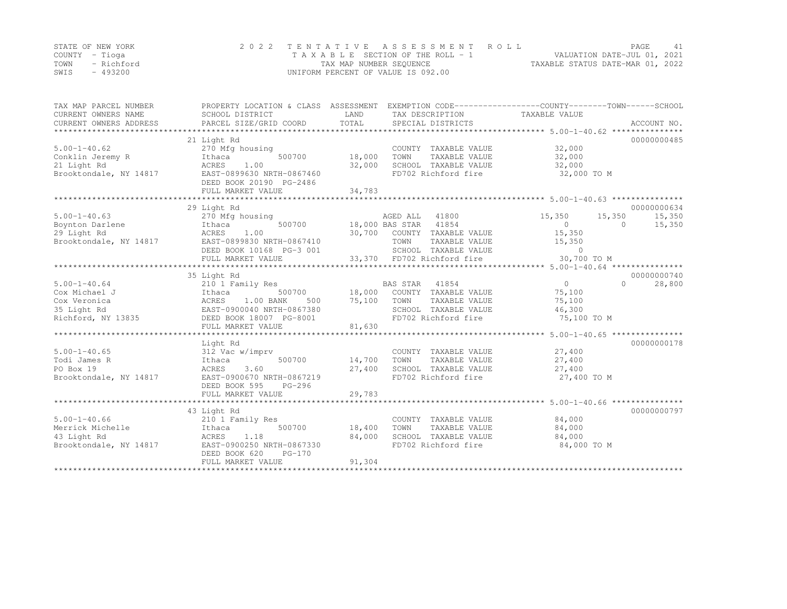|      | STATE OF NEW YORK | 2022 TENTATIVE ASSESSMENT ROLL     | PAGE.                            |  |
|------|-------------------|------------------------------------|----------------------------------|--|
|      | COUNTY – Tioga    | TAXABLE SECTION OF THE ROLL - 1    | VALUATION DATE-JUL 01, 2021      |  |
| TOWN | - Richford        | TAX MAP NUMBER SEQUENCE            | TAXABLE STATUS DATE-MAR 01, 2022 |  |
| SWIS | - 493200          | UNIFORM PERCENT OF VALUE IS 092.00 |                                  |  |

| TAX MAP PARCEL NUMBER<br>CURRENT OWNERS NAME<br>CURRENT OWNERS ADDRESS | PROPERTY LOCATION & CLASS ASSESSMENT<br>SCHOOL DISTRICT<br>PARCEL SIZE/GRID COORD | LAND<br>TOTAL         | TAX DESCRIPTION<br>SPECIAL DISTRICTS        | EXEMPTION CODE-----------------COUNTY-------TOWN------SCHOOL<br>TAXABLE VALUE<br>********************************* 5.00-1-40.62 *************** | ACCOUNT NO. |
|------------------------------------------------------------------------|-----------------------------------------------------------------------------------|-----------------------|---------------------------------------------|-------------------------------------------------------------------------------------------------------------------------------------------------|-------------|
|                                                                        | 21 Light Rd                                                                       |                       |                                             |                                                                                                                                                 | 00000000485 |
| $5.00 - 1 - 40.62$                                                     | 270 Mfg housing                                                                   |                       | COUNTY TAXABLE VALUE                        | 32,000                                                                                                                                          |             |
| Conklin Jeremy R                                                       | 500700<br>Ithaca                                                                  | 18,000                | TOWN<br>TAXABLE VALUE                       | 32,000                                                                                                                                          |             |
| 21 Light Rd                                                            | ACRES<br>1.00                                                                     | 32,000                | SCHOOL TAXABLE VALUE                        | 32,000                                                                                                                                          |             |
| Brooktondale, NY 14817                                                 | EAST-0899630 NRTH-0867460<br>DEED BOOK 20190 PG-2486<br>FULL MARKET VALUE         | 34,783                | FD702 Richford fire                         | 32,000 TO M                                                                                                                                     |             |
|                                                                        |                                                                                   |                       |                                             |                                                                                                                                                 |             |
|                                                                        | 29 Light Rd                                                                       |                       |                                             |                                                                                                                                                 | 00000000634 |
| $5.00 - 1 - 40.63$                                                     | 270 Mfg housing                                                                   |                       | 41800<br>AGED ALL                           | 15,350<br>15,350                                                                                                                                | 15,350      |
| Boynton Darlene                                                        | 500700<br>Ithaca                                                                  |                       | 18,000 BAS STAR 41854                       | $\Omega$<br>$\Omega$                                                                                                                            | 15,350      |
| 29 Light Rd                                                            | 1.00<br>ACRES                                                                     |                       | 30,700 COUNTY TAXABLE VALUE                 | 15,350                                                                                                                                          |             |
| Brooktondale, NY 14817                                                 | EAST-0899830 NRTH-0867410                                                         |                       | TOWN<br>TAXABLE VALUE                       | 15,350                                                                                                                                          |             |
|                                                                        | DEED BOOK 10168 PG-3 001                                                          |                       | SCHOOL TAXABLE VALUE                        | $\overline{0}$                                                                                                                                  |             |
|                                                                        | FULL MARKET VALUE                                                                 |                       | 33,370 FD702 Richford fire                  | 30,700 TO M                                                                                                                                     |             |
|                                                                        |                                                                                   |                       |                                             |                                                                                                                                                 |             |
|                                                                        | 35 Light Rd                                                                       |                       |                                             |                                                                                                                                                 | 00000000740 |
| $5.00 - 1 - 40.64$                                                     | 210 1 Family Res                                                                  |                       | BAS STAR<br>41854                           | $\overline{0}$<br>$\Omega$                                                                                                                      | 28,800      |
| Cox Michael J                                                          | 500700<br>Ithaca                                                                  | 18,000                | COUNTY TAXABLE VALUE                        | 75,100                                                                                                                                          |             |
| Cox Veronica                                                           | 1.00 BANK<br>ACRES<br>500                                                         | 75,100                | TOWN<br>TAXABLE VALUE                       | 75,100                                                                                                                                          |             |
| 35 Light Rd                                                            | EAST-0900040 NRTH-0867380                                                         |                       | SCHOOL TAXABLE VALUE                        | 46,300                                                                                                                                          |             |
| Richford, NY 13835                                                     | DEED BOOK 18007 PG-8001                                                           |                       | FD702 Richford fire                         | 75,100 TO M                                                                                                                                     |             |
|                                                                        | FULL MARKET VALUE<br>**********************                                       | 81,630<br>*********** |                                             |                                                                                                                                                 |             |
|                                                                        |                                                                                   |                       |                                             | ************** 5.00-1-40.65 ****************                                                                                                    | 00000000178 |
|                                                                        | Light Rd                                                                          |                       |                                             |                                                                                                                                                 |             |
| $5.00 - 1 - 40.65$                                                     | 312 Vac w/imprv                                                                   |                       | COUNTY TAXABLE VALUE<br>TOWN                | 27,400                                                                                                                                          |             |
| Todi James R                                                           | Ithaca<br>500700                                                                  | 14,700                | TAXABLE VALUE                               | 27,400                                                                                                                                          |             |
| PO Box 19                                                              | 3.60<br>ACRES<br>EAST-0900670 NRTH-0867219                                        | 27,400                | SCHOOL TAXABLE VALUE<br>FD702 Richford fire | 27,400<br>27,400 TO M                                                                                                                           |             |
| Brooktondale, NY 14817                                                 | PG-296<br>DEED BOOK 595                                                           |                       |                                             |                                                                                                                                                 |             |
|                                                                        | FULL MARKET VALUE                                                                 | 29,783                |                                             |                                                                                                                                                 |             |
|                                                                        |                                                                                   |                       |                                             |                                                                                                                                                 |             |
|                                                                        | 43 Light Rd                                                                       |                       |                                             |                                                                                                                                                 | 00000000797 |
| $5.00 - 1 - 40.66$                                                     | 210 1 Family Res                                                                  |                       | COUNTY TAXABLE VALUE                        | 84,000                                                                                                                                          |             |
| Merrick Michelle                                                       | 500700<br>Ithaca                                                                  | 18,400                | TOWN<br>TAXABLE VALUE                       | 84,000                                                                                                                                          |             |
| 43 Light Rd                                                            | 1.18<br>ACRES                                                                     | 84,000                | SCHOOL TAXABLE VALUE                        | 84,000                                                                                                                                          |             |
| Brooktondale, NY 14817                                                 | EAST-0900250 NRTH-0867330                                                         |                       | FD702 Richford fire                         | 84,000 TO M                                                                                                                                     |             |
|                                                                        | DEED BOOK 620<br>$PG-170$                                                         |                       |                                             |                                                                                                                                                 |             |
|                                                                        | FULL MARKET VALUE                                                                 | 91,304                |                                             |                                                                                                                                                 |             |
|                                                                        |                                                                                   |                       |                                             |                                                                                                                                                 |             |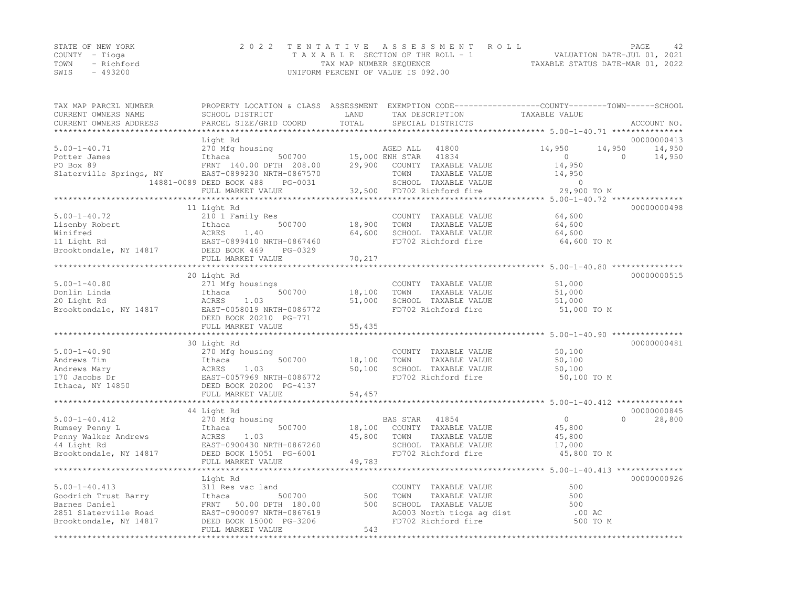|                | STATE OF NEW YORK | 2022 TENTATIVE ASSESSMENT ROLL     |                                  | PAGE | 42 |
|----------------|-------------------|------------------------------------|----------------------------------|------|----|
| COUNTY – Tioga |                   | TAXABLE SECTION OF THE ROLL - 1    | VALUATION DATE-JUL 01, 2021      |      |    |
| TOWN           | - Richford        | TAX MAP NUMBER SEQUENCE            | TAXABLE STATUS DATE-MAR 01, 2022 |      |    |
| SWIS           | $-493200$         | UNIFORM PERCENT OF VALUE IS 092.00 |                                  |      |    |

| TAX MAP PARCEL NUMBER              |                                      |                  | PROPERTY LOCATION & CLASS ASSESSMENT EXEMPTION CODE-----------------COUNTY-------TOWN-----SCHOOL |                                                                |                     |
|------------------------------------|--------------------------------------|------------------|--------------------------------------------------------------------------------------------------|----------------------------------------------------------------|---------------------|
| CURRENT OWNERS NAME                | SCHOOL DISTRICT                      | LAND             | TAX DESCRIPTION                                                                                  | TAXABLE VALUE                                                  |                     |
| CURRENT OWNERS ADDRESS             | PARCEL SIZE/GRID COORD               | TOTAL            | SPECIAL DISTRICTS                                                                                |                                                                | ACCOUNT NO.         |
|                                    |                                      |                  |                                                                                                  |                                                                |                     |
|                                    | Light Rd                             |                  |                                                                                                  |                                                                | 00000000413         |
| $5.00 - 1 - 40.71$                 | 270 Mfg housing                      |                  | AGED ALL<br>41800                                                                                | 14,950<br>14,950                                               | 14,950              |
| Potter James                       | Ithaca<br>500700                     |                  | 15,000 ENH STAR<br>41834                                                                         | $\circ$                                                        | $\Omega$<br>14,950  |
| PO Box 89                          | FRNT 140.00 DPTH 208.00              | 29,900           | COUNTY TAXABLE VALUE                                                                             | 14,950                                                         |                     |
| Slaterville Springs, NY            | EAST-0899230 NRTH-0867570            |                  | TOWN<br>TAXABLE VALUE                                                                            | 14,950                                                         |                     |
|                                    | 14881-0089 DEED BOOK 488<br>PG-0031  |                  | SCHOOL TAXABLE VALUE                                                                             | $\Omega$                                                       |                     |
|                                    | FULL MARKET VALUE                    |                  | 32,500 FD702 Richford fire                                                                       | 29,900 TO M                                                    |                     |
|                                    | *************************            |                  |                                                                                                  |                                                                |                     |
|                                    | 11 Light Rd                          |                  |                                                                                                  |                                                                | 00000000498         |
| $5.00 - 1 - 40.72$                 | 210 1 Family Res                     |                  | COUNTY TAXABLE VALUE                                                                             | 64,600                                                         |                     |
| Lisenby Robert                     | 500700<br>Ithaca                     | 18,900           | TOWN<br>TAXABLE VALUE                                                                            | 64,600                                                         |                     |
| Winifred                           | ACRES<br>1.40                        | 64,600           | SCHOOL TAXABLE VALUE                                                                             | 64,600                                                         |                     |
|                                    | EAST-0899410 NRTH-0867460            |                  | FD702 Richford fire                                                                              | 64,600 TO M                                                    |                     |
|                                    | PG-0329                              |                  |                                                                                                  |                                                                |                     |
|                                    | FULL MARKET VALUE                    | 70,217           |                                                                                                  | ********************************* 5.00-1-40.80 **************  |                     |
|                                    |                                      |                  |                                                                                                  |                                                                |                     |
|                                    | 20 Light Rd                          |                  | COUNTY TAXABLE VALUE                                                                             |                                                                | 00000000515         |
| $5.00 - 1 - 40.80$<br>Donlin Linda | 271 Mfg housings<br>Ithaca<br>500700 |                  | TAXABLE VALUE<br>TOWN                                                                            | 51,000                                                         |                     |
|                                    | 1.03                                 | 18,100<br>51,000 | SCHOOL TAXABLE VALUE                                                                             | 51,000                                                         |                     |
| 20 Light Rd                        | ACRES<br>EAST-0058019 NRTH-0086772   |                  | FD702 Richford fire                                                                              | 51,000<br>51,000 TO M                                          |                     |
| Brooktondale, NY 14817             | DEED BOOK 20210 PG-771               |                  |                                                                                                  |                                                                |                     |
|                                    | FULL MARKET VALUE                    | 55,435           |                                                                                                  |                                                                |                     |
|                                    |                                      |                  |                                                                                                  |                                                                |                     |
|                                    | 30 Light Rd                          |                  |                                                                                                  |                                                                | 00000000481         |
| $5.00 - 1 - 40.90$                 | 270 Mfg housing                      |                  | COUNTY TAXABLE VALUE                                                                             | 50,100                                                         |                     |
| Andrews Tim                        | 500700<br>Ithaca                     | 18,100           | TAXABLE VALUE<br>TOWN                                                                            | 50,100                                                         |                     |
| Andrews Mary                       | ACRES<br>1.03                        | 50,100           | SCHOOL TAXABLE VALUE                                                                             | 50,100                                                         |                     |
| 170 Jacobs Dr                      | EAST-0057969 NRTH-0086772            |                  | FD702 Richford fire                                                                              | 50,100 TO M                                                    |                     |
| Ithaca, NY 14850                   | DEED BOOK 20200 PG-4137              |                  |                                                                                                  |                                                                |                     |
|                                    | FULL MARKET VALUE                    | 54,457           |                                                                                                  |                                                                |                     |
|                                    | ***************************          | ***********      |                                                                                                  | ******************************** 5.00-1-40.412 *************** |                     |
|                                    | 44 Light Rd                          |                  |                                                                                                  |                                                                | 00000000845         |
| $5.00 - 1 - 40.412$                | 270 Mfg housing                      |                  | BAS STAR<br>41854                                                                                | $\overline{0}$                                                 | $\bigcap$<br>28,800 |
| Rumsey Penny L                     | Ithaca<br>500700                     | 18,100           | COUNTY TAXABLE VALUE                                                                             | 45,800                                                         |                     |
| Penny Walker Andrews               | ACRES<br>1.03                        | 45,800           | TAXABLE VALUE<br>TOWN                                                                            | 45,800                                                         |                     |
| 44 Light Rd                        | EAST-0900430 NRTH-0867260            |                  | SCHOOL TAXABLE VALUE                                                                             | 17,000                                                         |                     |
| Brooktondale, NY 14817             | DEED BOOK 15051 PG-6001              |                  | FD702 Richford fire                                                                              | 45,800 TO M                                                    |                     |
|                                    | FULL MARKET VALUE                    | 49,783           |                                                                                                  |                                                                |                     |
|                                    |                                      |                  |                                                                                                  |                                                                |                     |
|                                    | Light Rd                             |                  |                                                                                                  |                                                                | 00000000926         |
| $5.00 - 1 - 40.413$                | 311 Res vac land                     |                  | COUNTY TAXABLE VALUE                                                                             | 500                                                            |                     |
| Goodrich Trust Barry               | 500700<br>Ithaca                     | 500              | TOWN<br>TAXABLE VALUE                                                                            | 500                                                            |                     |
| Barnes Daniel                      | FRNT 50.00 DPTH 180.00               | 500              | SCHOOL TAXABLE VALUE                                                                             | 500                                                            |                     |
| 2851 Slaterville Road              | EAST-0900097 NRTH-0867619            |                  | AG003 North tioga ag dist                                                                        | .00 AC                                                         |                     |
| Brooktondale, NY 14817             | DEED BOOK 15000 PG-3206              |                  | FD702 Richford fire                                                                              | 500 TO M                                                       |                     |
|                                    | FULL MARKET VALUE                    | 543              |                                                                                                  |                                                                |                     |
|                                    |                                      |                  |                                                                                                  |                                                                |                     |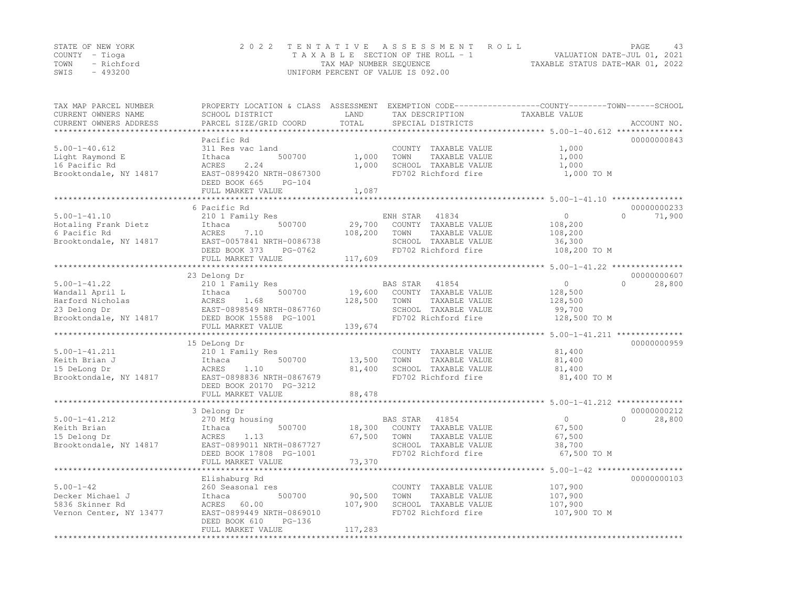|      | STATE OF NEW YORK | 2022 TENTATIVE ASSESSMENT ROLL                                 | PAGE |  |
|------|-------------------|----------------------------------------------------------------|------|--|
|      | COUNTY – Tioga    | VALUATION DATE-JUL 01, 2021<br>TAXABLE SECTION OF THE ROLL - 1 |      |  |
| TOWN | - Richford        | TAXABLE STATUS DATE-MAR 01, 2022<br>TAX MAP NUMBER SEQUENCE    |      |  |
| SWIS | $-493200$         | UNIFORM PERCENT OF VALUE IS 092.00                             |      |  |

| ********************<br>00000000843<br>Pacific Rd<br>$5.00 - 1 - 40.612$<br>311 Res vac land<br>1,000<br>COUNTY TAXABLE VALUE<br>1,000<br>TOWN<br>TAXABLE VALUE<br>1,000<br>Ithaca<br>500700<br>ACRES<br>2.24<br>1,000<br>SCHOOL TAXABLE VALUE<br>1,000<br>Brooktondale, NY 14817<br>EAST-0899420 NRTH-0867300<br>FD702 Richford fire<br>1,000 TO M<br>DEED BOOK 665<br>$PG-104$<br>FULL MARKET VALUE<br>1,087<br>*********************<br>6 Pacific Rd<br>00000000233<br>$5.00 - 1 - 41.10$<br>$\cap$<br>71,900<br>210 1 Family Res<br>$\circ$<br>ENH STAR<br>41834<br>Hotaling Frank Dietz<br>500700<br>29,700<br>COUNTY TAXABLE VALUE<br>108,200<br>Ithaca<br>6 Pacific Rd<br>ACRES<br>7.10<br>108,200<br>TOWN<br>TAXABLE VALUE<br>108,200<br>Brooktondale, NY 14817<br>EAST-0057841 NRTH-0086738<br>SCHOOL TAXABLE VALUE<br>36,300<br>DEED BOOK 373<br>FD702 Richford fire<br>108,200 TO M<br>PG-0762<br>FULL MARKET VALUE<br>117,609<br>******************************** 5.00-1-41.22 ****************<br>23 Delong Dr<br>00000000607<br>28,800<br>$5.00 - 1 - 41.22$<br>210 1 Family Res<br><b>BAS STAR</b><br>41854<br>$\circ$<br>$\cap$<br>Wandall April L<br>500700<br>19,600<br>COUNTY TAXABLE VALUE<br>128,500<br>Ithaca<br>128,500<br>ACRES<br>1.68<br>TOWN<br>TAXABLE VALUE<br>128,500<br>23 Delong Dr<br>EAST-0898549 NRTH-0867760<br>SCHOOL TAXABLE VALUE<br>99,700<br>FD702 Richford fire<br>Brooktondale, NY 14817<br>DEED BOOK 15588 PG-1001<br>128,500 TO M<br>139,674<br>FULL MARKET VALUE<br>**************<br>***********************<br>******************************** 5.00-1-41.211 **************<br>00000000959<br>15 DeLong Dr<br>$5.00 - 1 - 41.211$<br>81,400<br>210 1 Family Res<br>COUNTY TAXABLE VALUE<br>Keith Brian J<br>500700<br>13,500<br>TAXABLE VALUE<br>81,400<br>Ithaca<br>TOWN<br>15 DeLong Dr<br>1.10<br>81,400<br>SCHOOL TAXABLE VALUE<br>ACRES<br>81,400<br>Brooktondale, NY 14817<br>EAST-0898836 NRTH-0867679<br>FD702 Richford fire<br>81,400 TO M<br>DEED BOOK 20170 PG-3212<br>88,478<br>FULL MARKET VALUE<br>*********************<br>00000000212<br>3 Delong Dr<br>28,800<br>$5.00 - 1 - 41.212$<br>270 Mfg housing<br>BAS STAR<br>41854<br>$\circ$<br>$\Omega$<br>Keith Brian<br>500700<br>18,300<br>COUNTY TAXABLE VALUE<br>67,500<br>Ithaca<br>15 Delong Dr<br>ACRES<br>67,500<br>TAXABLE VALUE<br>67,500<br>1.13<br>TOWN<br>Brooktondale, NY 14817<br>EAST-0899011 NRTH-0867727<br>SCHOOL TAXABLE VALUE<br>38,700<br>FD702 Richford fire<br>67,500 TO M<br>DEED BOOK 17808 PG-1001<br>73,370<br>FULL MARKET VALUE<br>00000000103<br>Elishaburg Rd<br>107,900<br>260 Seasonal res<br>COUNTY TAXABLE VALUE<br>90,500<br>TOWN<br>TAXABLE VALUE<br>Ithaca<br>500700<br>107,900<br>5836 Skinner Rd<br>ACRES<br>60.00<br>107,900<br>SCHOOL TAXABLE VALUE<br>107,900<br>FD702 Richford fire<br>107,900 TO M<br>EAST-0899449 NRTH-0869010<br>DEED BOOK 610<br>PG-136<br>FULL MARKET VALUE<br>117,283<br>****************** | TAX MAP PARCEL NUMBER<br>CURRENT OWNERS NAME<br>CURRENT OWNERS ADDRESS | PROPERTY LOCATION & CLASS ASSESSMENT<br>SCHOOL DISTRICT<br>PARCEL SIZE/GRID COORD | LAND<br>TOTAL | TAX DESCRIPTION<br>SPECIAL DISTRICTS | EXEMPTION CODE-----------------COUNTY-------TOWN------SCHOOL<br>TAXABLE VALUE<br>ACCOUNT NO. |
|------------------------------------------------------------------------------------------------------------------------------------------------------------------------------------------------------------------------------------------------------------------------------------------------------------------------------------------------------------------------------------------------------------------------------------------------------------------------------------------------------------------------------------------------------------------------------------------------------------------------------------------------------------------------------------------------------------------------------------------------------------------------------------------------------------------------------------------------------------------------------------------------------------------------------------------------------------------------------------------------------------------------------------------------------------------------------------------------------------------------------------------------------------------------------------------------------------------------------------------------------------------------------------------------------------------------------------------------------------------------------------------------------------------------------------------------------------------------------------------------------------------------------------------------------------------------------------------------------------------------------------------------------------------------------------------------------------------------------------------------------------------------------------------------------------------------------------------------------------------------------------------------------------------------------------------------------------------------------------------------------------------------------------------------------------------------------------------------------------------------------------------------------------------------------------------------------------------------------------------------------------------------------------------------------------------------------------------------------------------------------------------------------------------------------------------------------------------------------------------------------------------------------------------------------------------------------------------------------------------------------------------------------------------------------------------------------------------------------------------------------------------------------------------------------------------------------------------------------------------------------------------------------------------------------------------------------------------------------|------------------------------------------------------------------------|-----------------------------------------------------------------------------------|---------------|--------------------------------------|----------------------------------------------------------------------------------------------|
|                                                                                                                                                                                                                                                                                                                                                                                                                                                                                                                                                                                                                                                                                                                                                                                                                                                                                                                                                                                                                                                                                                                                                                                                                                                                                                                                                                                                                                                                                                                                                                                                                                                                                                                                                                                                                                                                                                                                                                                                                                                                                                                                                                                                                                                                                                                                                                                                                                                                                                                                                                                                                                                                                                                                                                                                                                                                                                                                                                              |                                                                        |                                                                                   |               |                                      |                                                                                              |
|                                                                                                                                                                                                                                                                                                                                                                                                                                                                                                                                                                                                                                                                                                                                                                                                                                                                                                                                                                                                                                                                                                                                                                                                                                                                                                                                                                                                                                                                                                                                                                                                                                                                                                                                                                                                                                                                                                                                                                                                                                                                                                                                                                                                                                                                                                                                                                                                                                                                                                                                                                                                                                                                                                                                                                                                                                                                                                                                                                              |                                                                        |                                                                                   |               |                                      |                                                                                              |
|                                                                                                                                                                                                                                                                                                                                                                                                                                                                                                                                                                                                                                                                                                                                                                                                                                                                                                                                                                                                                                                                                                                                                                                                                                                                                                                                                                                                                                                                                                                                                                                                                                                                                                                                                                                                                                                                                                                                                                                                                                                                                                                                                                                                                                                                                                                                                                                                                                                                                                                                                                                                                                                                                                                                                                                                                                                                                                                                                                              |                                                                        |                                                                                   |               |                                      |                                                                                              |
|                                                                                                                                                                                                                                                                                                                                                                                                                                                                                                                                                                                                                                                                                                                                                                                                                                                                                                                                                                                                                                                                                                                                                                                                                                                                                                                                                                                                                                                                                                                                                                                                                                                                                                                                                                                                                                                                                                                                                                                                                                                                                                                                                                                                                                                                                                                                                                                                                                                                                                                                                                                                                                                                                                                                                                                                                                                                                                                                                                              | Light Raymond E                                                        |                                                                                   |               |                                      |                                                                                              |
|                                                                                                                                                                                                                                                                                                                                                                                                                                                                                                                                                                                                                                                                                                                                                                                                                                                                                                                                                                                                                                                                                                                                                                                                                                                                                                                                                                                                                                                                                                                                                                                                                                                                                                                                                                                                                                                                                                                                                                                                                                                                                                                                                                                                                                                                                                                                                                                                                                                                                                                                                                                                                                                                                                                                                                                                                                                                                                                                                                              | 16 Pacific Rd                                                          |                                                                                   |               |                                      |                                                                                              |
|                                                                                                                                                                                                                                                                                                                                                                                                                                                                                                                                                                                                                                                                                                                                                                                                                                                                                                                                                                                                                                                                                                                                                                                                                                                                                                                                                                                                                                                                                                                                                                                                                                                                                                                                                                                                                                                                                                                                                                                                                                                                                                                                                                                                                                                                                                                                                                                                                                                                                                                                                                                                                                                                                                                                                                                                                                                                                                                                                                              |                                                                        |                                                                                   |               |                                      |                                                                                              |
|                                                                                                                                                                                                                                                                                                                                                                                                                                                                                                                                                                                                                                                                                                                                                                                                                                                                                                                                                                                                                                                                                                                                                                                                                                                                                                                                                                                                                                                                                                                                                                                                                                                                                                                                                                                                                                                                                                                                                                                                                                                                                                                                                                                                                                                                                                                                                                                                                                                                                                                                                                                                                                                                                                                                                                                                                                                                                                                                                                              |                                                                        |                                                                                   |               |                                      |                                                                                              |
|                                                                                                                                                                                                                                                                                                                                                                                                                                                                                                                                                                                                                                                                                                                                                                                                                                                                                                                                                                                                                                                                                                                                                                                                                                                                                                                                                                                                                                                                                                                                                                                                                                                                                                                                                                                                                                                                                                                                                                                                                                                                                                                                                                                                                                                                                                                                                                                                                                                                                                                                                                                                                                                                                                                                                                                                                                                                                                                                                                              |                                                                        |                                                                                   |               |                                      |                                                                                              |
|                                                                                                                                                                                                                                                                                                                                                                                                                                                                                                                                                                                                                                                                                                                                                                                                                                                                                                                                                                                                                                                                                                                                                                                                                                                                                                                                                                                                                                                                                                                                                                                                                                                                                                                                                                                                                                                                                                                                                                                                                                                                                                                                                                                                                                                                                                                                                                                                                                                                                                                                                                                                                                                                                                                                                                                                                                                                                                                                                                              |                                                                        |                                                                                   |               |                                      |                                                                                              |
|                                                                                                                                                                                                                                                                                                                                                                                                                                                                                                                                                                                                                                                                                                                                                                                                                                                                                                                                                                                                                                                                                                                                                                                                                                                                                                                                                                                                                                                                                                                                                                                                                                                                                                                                                                                                                                                                                                                                                                                                                                                                                                                                                                                                                                                                                                                                                                                                                                                                                                                                                                                                                                                                                                                                                                                                                                                                                                                                                                              |                                                                        |                                                                                   |               |                                      |                                                                                              |
|                                                                                                                                                                                                                                                                                                                                                                                                                                                                                                                                                                                                                                                                                                                                                                                                                                                                                                                                                                                                                                                                                                                                                                                                                                                                                                                                                                                                                                                                                                                                                                                                                                                                                                                                                                                                                                                                                                                                                                                                                                                                                                                                                                                                                                                                                                                                                                                                                                                                                                                                                                                                                                                                                                                                                                                                                                                                                                                                                                              |                                                                        |                                                                                   |               |                                      |                                                                                              |
|                                                                                                                                                                                                                                                                                                                                                                                                                                                                                                                                                                                                                                                                                                                                                                                                                                                                                                                                                                                                                                                                                                                                                                                                                                                                                                                                                                                                                                                                                                                                                                                                                                                                                                                                                                                                                                                                                                                                                                                                                                                                                                                                                                                                                                                                                                                                                                                                                                                                                                                                                                                                                                                                                                                                                                                                                                                                                                                                                                              |                                                                        |                                                                                   |               |                                      |                                                                                              |
|                                                                                                                                                                                                                                                                                                                                                                                                                                                                                                                                                                                                                                                                                                                                                                                                                                                                                                                                                                                                                                                                                                                                                                                                                                                                                                                                                                                                                                                                                                                                                                                                                                                                                                                                                                                                                                                                                                                                                                                                                                                                                                                                                                                                                                                                                                                                                                                                                                                                                                                                                                                                                                                                                                                                                                                                                                                                                                                                                                              |                                                                        |                                                                                   |               |                                      |                                                                                              |
|                                                                                                                                                                                                                                                                                                                                                                                                                                                                                                                                                                                                                                                                                                                                                                                                                                                                                                                                                                                                                                                                                                                                                                                                                                                                                                                                                                                                                                                                                                                                                                                                                                                                                                                                                                                                                                                                                                                                                                                                                                                                                                                                                                                                                                                                                                                                                                                                                                                                                                                                                                                                                                                                                                                                                                                                                                                                                                                                                                              |                                                                        |                                                                                   |               |                                      |                                                                                              |
|                                                                                                                                                                                                                                                                                                                                                                                                                                                                                                                                                                                                                                                                                                                                                                                                                                                                                                                                                                                                                                                                                                                                                                                                                                                                                                                                                                                                                                                                                                                                                                                                                                                                                                                                                                                                                                                                                                                                                                                                                                                                                                                                                                                                                                                                                                                                                                                                                                                                                                                                                                                                                                                                                                                                                                                                                                                                                                                                                                              |                                                                        |                                                                                   |               |                                      |                                                                                              |
|                                                                                                                                                                                                                                                                                                                                                                                                                                                                                                                                                                                                                                                                                                                                                                                                                                                                                                                                                                                                                                                                                                                                                                                                                                                                                                                                                                                                                                                                                                                                                                                                                                                                                                                                                                                                                                                                                                                                                                                                                                                                                                                                                                                                                                                                                                                                                                                                                                                                                                                                                                                                                                                                                                                                                                                                                                                                                                                                                                              |                                                                        |                                                                                   |               |                                      |                                                                                              |
|                                                                                                                                                                                                                                                                                                                                                                                                                                                                                                                                                                                                                                                                                                                                                                                                                                                                                                                                                                                                                                                                                                                                                                                                                                                                                                                                                                                                                                                                                                                                                                                                                                                                                                                                                                                                                                                                                                                                                                                                                                                                                                                                                                                                                                                                                                                                                                                                                                                                                                                                                                                                                                                                                                                                                                                                                                                                                                                                                                              |                                                                        |                                                                                   |               |                                      |                                                                                              |
|                                                                                                                                                                                                                                                                                                                                                                                                                                                                                                                                                                                                                                                                                                                                                                                                                                                                                                                                                                                                                                                                                                                                                                                                                                                                                                                                                                                                                                                                                                                                                                                                                                                                                                                                                                                                                                                                                                                                                                                                                                                                                                                                                                                                                                                                                                                                                                                                                                                                                                                                                                                                                                                                                                                                                                                                                                                                                                                                                                              |                                                                        |                                                                                   |               |                                      |                                                                                              |
|                                                                                                                                                                                                                                                                                                                                                                                                                                                                                                                                                                                                                                                                                                                                                                                                                                                                                                                                                                                                                                                                                                                                                                                                                                                                                                                                                                                                                                                                                                                                                                                                                                                                                                                                                                                                                                                                                                                                                                                                                                                                                                                                                                                                                                                                                                                                                                                                                                                                                                                                                                                                                                                                                                                                                                                                                                                                                                                                                                              |                                                                        |                                                                                   |               |                                      |                                                                                              |
|                                                                                                                                                                                                                                                                                                                                                                                                                                                                                                                                                                                                                                                                                                                                                                                                                                                                                                                                                                                                                                                                                                                                                                                                                                                                                                                                                                                                                                                                                                                                                                                                                                                                                                                                                                                                                                                                                                                                                                                                                                                                                                                                                                                                                                                                                                                                                                                                                                                                                                                                                                                                                                                                                                                                                                                                                                                                                                                                                                              | Harford Nicholas                                                       |                                                                                   |               |                                      |                                                                                              |
|                                                                                                                                                                                                                                                                                                                                                                                                                                                                                                                                                                                                                                                                                                                                                                                                                                                                                                                                                                                                                                                                                                                                                                                                                                                                                                                                                                                                                                                                                                                                                                                                                                                                                                                                                                                                                                                                                                                                                                                                                                                                                                                                                                                                                                                                                                                                                                                                                                                                                                                                                                                                                                                                                                                                                                                                                                                                                                                                                                              |                                                                        |                                                                                   |               |                                      |                                                                                              |
|                                                                                                                                                                                                                                                                                                                                                                                                                                                                                                                                                                                                                                                                                                                                                                                                                                                                                                                                                                                                                                                                                                                                                                                                                                                                                                                                                                                                                                                                                                                                                                                                                                                                                                                                                                                                                                                                                                                                                                                                                                                                                                                                                                                                                                                                                                                                                                                                                                                                                                                                                                                                                                                                                                                                                                                                                                                                                                                                                                              |                                                                        |                                                                                   |               |                                      |                                                                                              |
|                                                                                                                                                                                                                                                                                                                                                                                                                                                                                                                                                                                                                                                                                                                                                                                                                                                                                                                                                                                                                                                                                                                                                                                                                                                                                                                                                                                                                                                                                                                                                                                                                                                                                                                                                                                                                                                                                                                                                                                                                                                                                                                                                                                                                                                                                                                                                                                                                                                                                                                                                                                                                                                                                                                                                                                                                                                                                                                                                                              |                                                                        |                                                                                   |               |                                      |                                                                                              |
|                                                                                                                                                                                                                                                                                                                                                                                                                                                                                                                                                                                                                                                                                                                                                                                                                                                                                                                                                                                                                                                                                                                                                                                                                                                                                                                                                                                                                                                                                                                                                                                                                                                                                                                                                                                                                                                                                                                                                                                                                                                                                                                                                                                                                                                                                                                                                                                                                                                                                                                                                                                                                                                                                                                                                                                                                                                                                                                                                                              |                                                                        |                                                                                   |               |                                      |                                                                                              |
|                                                                                                                                                                                                                                                                                                                                                                                                                                                                                                                                                                                                                                                                                                                                                                                                                                                                                                                                                                                                                                                                                                                                                                                                                                                                                                                                                                                                                                                                                                                                                                                                                                                                                                                                                                                                                                                                                                                                                                                                                                                                                                                                                                                                                                                                                                                                                                                                                                                                                                                                                                                                                                                                                                                                                                                                                                                                                                                                                                              |                                                                        |                                                                                   |               |                                      |                                                                                              |
|                                                                                                                                                                                                                                                                                                                                                                                                                                                                                                                                                                                                                                                                                                                                                                                                                                                                                                                                                                                                                                                                                                                                                                                                                                                                                                                                                                                                                                                                                                                                                                                                                                                                                                                                                                                                                                                                                                                                                                                                                                                                                                                                                                                                                                                                                                                                                                                                                                                                                                                                                                                                                                                                                                                                                                                                                                                                                                                                                                              |                                                                        |                                                                                   |               |                                      |                                                                                              |
|                                                                                                                                                                                                                                                                                                                                                                                                                                                                                                                                                                                                                                                                                                                                                                                                                                                                                                                                                                                                                                                                                                                                                                                                                                                                                                                                                                                                                                                                                                                                                                                                                                                                                                                                                                                                                                                                                                                                                                                                                                                                                                                                                                                                                                                                                                                                                                                                                                                                                                                                                                                                                                                                                                                                                                                                                                                                                                                                                                              |                                                                        |                                                                                   |               |                                      |                                                                                              |
|                                                                                                                                                                                                                                                                                                                                                                                                                                                                                                                                                                                                                                                                                                                                                                                                                                                                                                                                                                                                                                                                                                                                                                                                                                                                                                                                                                                                                                                                                                                                                                                                                                                                                                                                                                                                                                                                                                                                                                                                                                                                                                                                                                                                                                                                                                                                                                                                                                                                                                                                                                                                                                                                                                                                                                                                                                                                                                                                                                              |                                                                        |                                                                                   |               |                                      |                                                                                              |
|                                                                                                                                                                                                                                                                                                                                                                                                                                                                                                                                                                                                                                                                                                                                                                                                                                                                                                                                                                                                                                                                                                                                                                                                                                                                                                                                                                                                                                                                                                                                                                                                                                                                                                                                                                                                                                                                                                                                                                                                                                                                                                                                                                                                                                                                                                                                                                                                                                                                                                                                                                                                                                                                                                                                                                                                                                                                                                                                                                              |                                                                        |                                                                                   |               |                                      |                                                                                              |
|                                                                                                                                                                                                                                                                                                                                                                                                                                                                                                                                                                                                                                                                                                                                                                                                                                                                                                                                                                                                                                                                                                                                                                                                                                                                                                                                                                                                                                                                                                                                                                                                                                                                                                                                                                                                                                                                                                                                                                                                                                                                                                                                                                                                                                                                                                                                                                                                                                                                                                                                                                                                                                                                                                                                                                                                                                                                                                                                                                              |                                                                        |                                                                                   |               |                                      |                                                                                              |
|                                                                                                                                                                                                                                                                                                                                                                                                                                                                                                                                                                                                                                                                                                                                                                                                                                                                                                                                                                                                                                                                                                                                                                                                                                                                                                                                                                                                                                                                                                                                                                                                                                                                                                                                                                                                                                                                                                                                                                                                                                                                                                                                                                                                                                                                                                                                                                                                                                                                                                                                                                                                                                                                                                                                                                                                                                                                                                                                                                              |                                                                        |                                                                                   |               |                                      |                                                                                              |
|                                                                                                                                                                                                                                                                                                                                                                                                                                                                                                                                                                                                                                                                                                                                                                                                                                                                                                                                                                                                                                                                                                                                                                                                                                                                                                                                                                                                                                                                                                                                                                                                                                                                                                                                                                                                                                                                                                                                                                                                                                                                                                                                                                                                                                                                                                                                                                                                                                                                                                                                                                                                                                                                                                                                                                                                                                                                                                                                                                              |                                                                        |                                                                                   |               |                                      |                                                                                              |
|                                                                                                                                                                                                                                                                                                                                                                                                                                                                                                                                                                                                                                                                                                                                                                                                                                                                                                                                                                                                                                                                                                                                                                                                                                                                                                                                                                                                                                                                                                                                                                                                                                                                                                                                                                                                                                                                                                                                                                                                                                                                                                                                                                                                                                                                                                                                                                                                                                                                                                                                                                                                                                                                                                                                                                                                                                                                                                                                                                              |                                                                        |                                                                                   |               |                                      |                                                                                              |
|                                                                                                                                                                                                                                                                                                                                                                                                                                                                                                                                                                                                                                                                                                                                                                                                                                                                                                                                                                                                                                                                                                                                                                                                                                                                                                                                                                                                                                                                                                                                                                                                                                                                                                                                                                                                                                                                                                                                                                                                                                                                                                                                                                                                                                                                                                                                                                                                                                                                                                                                                                                                                                                                                                                                                                                                                                                                                                                                                                              |                                                                        |                                                                                   |               |                                      |                                                                                              |
|                                                                                                                                                                                                                                                                                                                                                                                                                                                                                                                                                                                                                                                                                                                                                                                                                                                                                                                                                                                                                                                                                                                                                                                                                                                                                                                                                                                                                                                                                                                                                                                                                                                                                                                                                                                                                                                                                                                                                                                                                                                                                                                                                                                                                                                                                                                                                                                                                                                                                                                                                                                                                                                                                                                                                                                                                                                                                                                                                                              |                                                                        |                                                                                   |               |                                      |                                                                                              |
|                                                                                                                                                                                                                                                                                                                                                                                                                                                                                                                                                                                                                                                                                                                                                                                                                                                                                                                                                                                                                                                                                                                                                                                                                                                                                                                                                                                                                                                                                                                                                                                                                                                                                                                                                                                                                                                                                                                                                                                                                                                                                                                                                                                                                                                                                                                                                                                                                                                                                                                                                                                                                                                                                                                                                                                                                                                                                                                                                                              |                                                                        |                                                                                   |               |                                      |                                                                                              |
|                                                                                                                                                                                                                                                                                                                                                                                                                                                                                                                                                                                                                                                                                                                                                                                                                                                                                                                                                                                                                                                                                                                                                                                                                                                                                                                                                                                                                                                                                                                                                                                                                                                                                                                                                                                                                                                                                                                                                                                                                                                                                                                                                                                                                                                                                                                                                                                                                                                                                                                                                                                                                                                                                                                                                                                                                                                                                                                                                                              |                                                                        |                                                                                   |               |                                      |                                                                                              |
|                                                                                                                                                                                                                                                                                                                                                                                                                                                                                                                                                                                                                                                                                                                                                                                                                                                                                                                                                                                                                                                                                                                                                                                                                                                                                                                                                                                                                                                                                                                                                                                                                                                                                                                                                                                                                                                                                                                                                                                                                                                                                                                                                                                                                                                                                                                                                                                                                                                                                                                                                                                                                                                                                                                                                                                                                                                                                                                                                                              |                                                                        |                                                                                   |               |                                      |                                                                                              |
|                                                                                                                                                                                                                                                                                                                                                                                                                                                                                                                                                                                                                                                                                                                                                                                                                                                                                                                                                                                                                                                                                                                                                                                                                                                                                                                                                                                                                                                                                                                                                                                                                                                                                                                                                                                                                                                                                                                                                                                                                                                                                                                                                                                                                                                                                                                                                                                                                                                                                                                                                                                                                                                                                                                                                                                                                                                                                                                                                                              |                                                                        |                                                                                   |               |                                      |                                                                                              |
|                                                                                                                                                                                                                                                                                                                                                                                                                                                                                                                                                                                                                                                                                                                                                                                                                                                                                                                                                                                                                                                                                                                                                                                                                                                                                                                                                                                                                                                                                                                                                                                                                                                                                                                                                                                                                                                                                                                                                                                                                                                                                                                                                                                                                                                                                                                                                                                                                                                                                                                                                                                                                                                                                                                                                                                                                                                                                                                                                                              |                                                                        |                                                                                   |               |                                      |                                                                                              |
|                                                                                                                                                                                                                                                                                                                                                                                                                                                                                                                                                                                                                                                                                                                                                                                                                                                                                                                                                                                                                                                                                                                                                                                                                                                                                                                                                                                                                                                                                                                                                                                                                                                                                                                                                                                                                                                                                                                                                                                                                                                                                                                                                                                                                                                                                                                                                                                                                                                                                                                                                                                                                                                                                                                                                                                                                                                                                                                                                                              | $5.00 - 1 - 42$                                                        |                                                                                   |               |                                      |                                                                                              |
|                                                                                                                                                                                                                                                                                                                                                                                                                                                                                                                                                                                                                                                                                                                                                                                                                                                                                                                                                                                                                                                                                                                                                                                                                                                                                                                                                                                                                                                                                                                                                                                                                                                                                                                                                                                                                                                                                                                                                                                                                                                                                                                                                                                                                                                                                                                                                                                                                                                                                                                                                                                                                                                                                                                                                                                                                                                                                                                                                                              | Decker Michael J                                                       |                                                                                   |               |                                      |                                                                                              |
|                                                                                                                                                                                                                                                                                                                                                                                                                                                                                                                                                                                                                                                                                                                                                                                                                                                                                                                                                                                                                                                                                                                                                                                                                                                                                                                                                                                                                                                                                                                                                                                                                                                                                                                                                                                                                                                                                                                                                                                                                                                                                                                                                                                                                                                                                                                                                                                                                                                                                                                                                                                                                                                                                                                                                                                                                                                                                                                                                                              |                                                                        |                                                                                   |               |                                      |                                                                                              |
|                                                                                                                                                                                                                                                                                                                                                                                                                                                                                                                                                                                                                                                                                                                                                                                                                                                                                                                                                                                                                                                                                                                                                                                                                                                                                                                                                                                                                                                                                                                                                                                                                                                                                                                                                                                                                                                                                                                                                                                                                                                                                                                                                                                                                                                                                                                                                                                                                                                                                                                                                                                                                                                                                                                                                                                                                                                                                                                                                                              | Vernon Center, NY 13477                                                |                                                                                   |               |                                      |                                                                                              |
|                                                                                                                                                                                                                                                                                                                                                                                                                                                                                                                                                                                                                                                                                                                                                                                                                                                                                                                                                                                                                                                                                                                                                                                                                                                                                                                                                                                                                                                                                                                                                                                                                                                                                                                                                                                                                                                                                                                                                                                                                                                                                                                                                                                                                                                                                                                                                                                                                                                                                                                                                                                                                                                                                                                                                                                                                                                                                                                                                                              |                                                                        |                                                                                   |               |                                      |                                                                                              |
|                                                                                                                                                                                                                                                                                                                                                                                                                                                                                                                                                                                                                                                                                                                                                                                                                                                                                                                                                                                                                                                                                                                                                                                                                                                                                                                                                                                                                                                                                                                                                                                                                                                                                                                                                                                                                                                                                                                                                                                                                                                                                                                                                                                                                                                                                                                                                                                                                                                                                                                                                                                                                                                                                                                                                                                                                                                                                                                                                                              |                                                                        |                                                                                   |               |                                      |                                                                                              |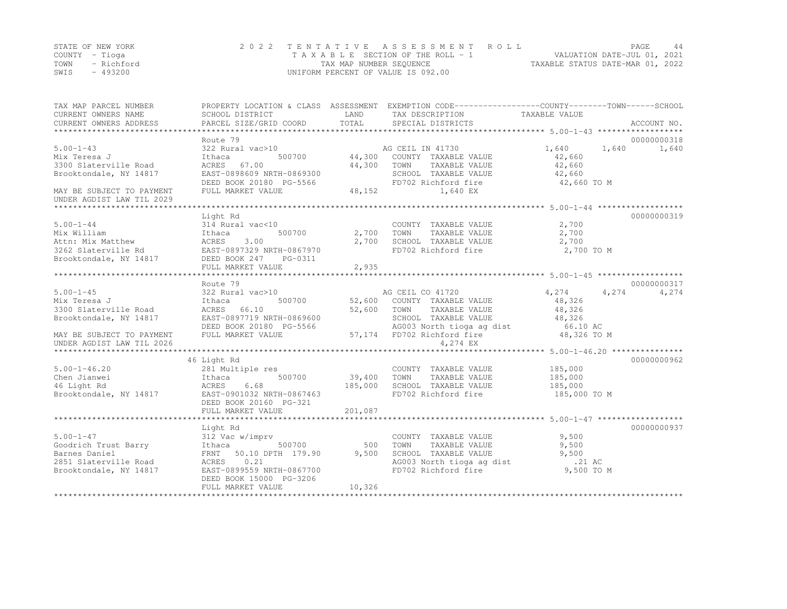|                | STATE OF NEW YORK | 2022 TENTATIVE ASSESSMENT ROLL                                 | PAGE | 44 |
|----------------|-------------------|----------------------------------------------------------------|------|----|
| COUNTY – Tioga |                   | VALUATION DATE-JUL 01, 2021<br>TAXABLE SECTION OF THE ROLL - 1 |      |    |
| TOWN           | - Richford        | TAXABLE STATUS DATE-MAR 01, 2022<br>TAX MAP NUMBER SEQUENCE    |      |    |
| SWIS           | $-493200$         | UNIFORM PERCENT OF VALUE IS 092.00                             |      |    |

| TAX MAP PARCEL NUMBER<br>CURRENT OWNERS NAME           | PROPERTY LOCATION & CLASS ASSESSMENT EXEMPTION CODE---------------COUNTY-------TOWN-----SCHOOL<br>SCHOOL DISTRICT | LAND        | TAX DESCRIPTION                                                   | TAXABLE VALUE         |             |
|--------------------------------------------------------|-------------------------------------------------------------------------------------------------------------------|-------------|-------------------------------------------------------------------|-----------------------|-------------|
| CURRENT OWNERS ADDRESS                                 | PARCEL SIZE/GRID COORD                                                                                            | TOTAL       | SPECIAL DISTRICTS                                                 |                       | ACCOUNT NO. |
|                                                        | Route 79                                                                                                          |             |                                                                   |                       | 00000000318 |
| $5.00 - 1 - 43$<br>Mix Teresa J                        | 322 Rural vac>10<br>500700<br>Ithaca                                                                              | 44,300      | AG CEIL IN 41730<br>COUNTY TAXABLE VALUE                          | 1,640 1,640<br>42,660 | 1,640       |
| 3300 Slaterville Road<br>Brooktondale, NY 14817        | ACRES 67.00<br>EAST-0898609 NRTH-0869300                                                                          | 44,300      | TOWN<br>TAXABLE VALUE<br>SCHOOL TAXABLE VALUE                     | 42,660<br>42,660      |             |
| MAY BE SUBJECT TO PAYMENT                              | DEED BOOK 20180 PG-5566<br>FULL MARKET VALUE                                                                      | 48,152      | FD702 Richford fire<br>1,640 EX                                   | 42,660 TO M           |             |
| UNDER AGDIST LAW TIL 2029                              |                                                                                                                   |             |                                                                   |                       |             |
|                                                        |                                                                                                                   |             |                                                                   |                       |             |
|                                                        | Light Rd                                                                                                          |             |                                                                   |                       | 00000000319 |
| $5.00 - 1 - 44$                                        | 314 Rural vac<10                                                                                                  |             | COUNTY TAXABLE VALUE                                              | 2,700                 |             |
| Mix William                                            | Ithaca<br>500700                                                                                                  | 2,700       | TAXABLE VALUE<br>TOWN                                             | 2,700                 |             |
| Attn: Mix Matthew                                      | 3.00<br>ACRES                                                                                                     | 2,700       | SCHOOL TAXABLE VALUE                                              | 2,700                 |             |
| 3262 Slaterville Rd                                    | EAST-0897329 NRTH-0867970                                                                                         |             | FD702 Richford fire                                               | 2,700 TO M            |             |
| Brooktondale, NY 14817                                 | DEED BOOK 247 PG-0311                                                                                             |             |                                                                   |                       |             |
|                                                        | FULL MARKET VALUE                                                                                                 | 2,935       |                                                                   |                       |             |
|                                                        |                                                                                                                   |             |                                                                   |                       |             |
|                                                        | Route 79                                                                                                          |             |                                                                   |                       | 00000000317 |
| $5.00 - 1 - 45$                                        | 322 Rural vac>10                                                                                                  |             | AG CEIL CO 41720                                                  | 4,274<br>4,274        | 4,274       |
| Mix Teresa J                                           | 500700<br>Ithaca                                                                                                  |             | 52,600 COUNTY TAXABLE VALUE                                       | 48,326                |             |
| 3300 Slaterville Road                                  | ACRES 66.10                                                                                                       | 52,600 TOWN | TAXABLE VALUE                                                     | 48,326                |             |
| Brooktondale, NY 14817                                 | EAST-0897719 NRTH-0869600                                                                                         |             | SCHOOL TAXABLE VALUE 48,326<br>AG003 North tioga ag dist 66.10 AC |                       |             |
|                                                        | DEED BOOK 20180 PG-5566<br>FULL MARKET VALUE                                                                      |             |                                                                   |                       |             |
| MAY BE SUBJECT TO PAYMENT<br>UNDER AGDIST LAW TIL 2026 |                                                                                                                   |             | 57,174 FD702 Richford fire<br>4,274 EX                            | 48,326 TO M           |             |
|                                                        |                                                                                                                   |             |                                                                   |                       |             |
|                                                        | 46 Light Rd                                                                                                       |             |                                                                   |                       | 00000000962 |
| $5.00 - 1 - 46.20$                                     | 281 Multiple res                                                                                                  |             | COUNTY TAXABLE VALUE                                              | 185,000               |             |
| Chen Jianwei                                           | 500700<br>Ithaca                                                                                                  | 39,400      | TOWN<br>TAXABLE VALUE                                             | 185,000               |             |
| 46 Light Rd                                            | 6.68<br>ACRES                                                                                                     | 185,000     | SCHOOL TAXABLE VALUE                                              | 185,000               |             |
| Brooktondale, NY 14817                                 | EAST-0901032 NRTH-0867463                                                                                         |             | FD702 Richford fire                                               | 185,000 TO M          |             |
|                                                        | DEED BOOK 20160 PG-321                                                                                            |             |                                                                   |                       |             |
|                                                        | FULL MARKET VALUE                                                                                                 | 201,087     |                                                                   |                       |             |
|                                                        |                                                                                                                   |             |                                                                   |                       |             |
|                                                        | Light Rd                                                                                                          |             |                                                                   |                       | 00000000937 |
| $5.00 - 1 - 47$                                        | 312 Vac w/imprv                                                                                                   |             | COUNTY TAXABLE VALUE                                              | 9,500                 |             |
| Goodrich Trust Barry                                   | 500700<br>Ithaca                                                                                                  | 500         | <b>TOWN</b><br>TAXABLE VALUE                                      | 9,500                 |             |
| Barnes Daniel                                          | FRNT 50.10 DPTH 179.90                                                                                            | 9,500       | SCHOOL TAXABLE VALUE                                              | 9,500                 |             |
| 2851 Slaterville Road                                  | ACRES<br>0.21                                                                                                     |             | SCHOOL TAXABLE VALUE<br>AG003 North tioga ag dist                 | .21 AC                |             |
| Brooktondale, NY 14817                                 | EAST-0899559 NRTH-0867700                                                                                         |             | FD702 Richford fire                                               | 9,500 TO M            |             |
|                                                        | DEED BOOK 15000 PG-3206                                                                                           | 10,326      |                                                                   |                       |             |
|                                                        | FULL MARKET VALUE                                                                                                 |             |                                                                   |                       |             |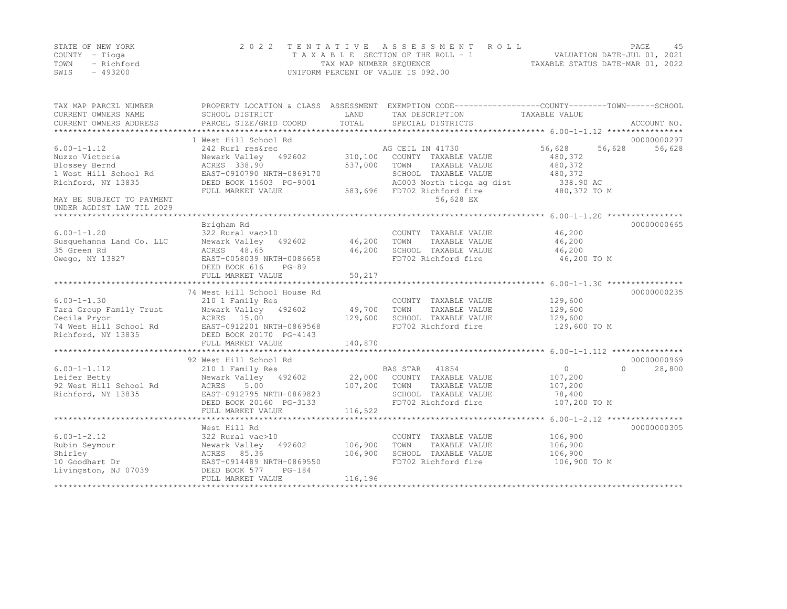|      | STATE OF NEW YORK | 2022 TENTATIVE ASSESSMENT ROLL                                 | PAGE |  |
|------|-------------------|----------------------------------------------------------------|------|--|
|      | COUNTY – Tioga    | VALUATION DATE-JUL 01, 2021<br>TAXABLE SECTION OF THE ROLL - 1 |      |  |
| TOWN | - Richford        | TAXABLE STATUS DATE-MAR 01, 2022<br>TAX MAP NUMBER SEQUENCE    |      |  |
| SWIS | - 493200          | UNIFORM PERCENT OF VALUE IS 092.00                             |      |  |

| TAX MAP PARCEL NUMBER<br>CURRENT OWNERS NAME<br>CURRENT OWNERS ADDRESS | SCHOOL DISTRICT<br>PARCEL SIZE/GRID COORD | LAND<br>TOTAL | PROPERTY LOCATION & CLASS ASSESSMENT EXEMPTION CODE----------------COUNTY-------TOWN-----SCHOOL<br>TAX DESCRIPTION<br>SPECIAL DISTRICTS | TAXABLE VALUE       | ACCOUNT NO. |
|------------------------------------------------------------------------|-------------------------------------------|---------------|-----------------------------------------------------------------------------------------------------------------------------------------|---------------------|-------------|
|                                                                        | 1 West Hill School Rd                     |               |                                                                                                                                         |                     | 00000000297 |
| $6.00 - 1 - 1.12$                                                      | 242 Rurl res&rec                          |               | AG CEIL IN 41730                                                                                                                        | 56,628<br>56,628    | 56,628      |
| Nuzzo Victoria                                                         | Newark Valley 492602                      | 310,100       | COUNTY TAXABLE VALUE                                                                                                                    | 480,372             |             |
| Blossey Bernd                                                          | ACRES 338.90                              | 537,000       | TOWN<br>TAXABLE VALUE                                                                                                                   | 480,372             |             |
| 1 West Hill School Rd                                                  | EAST-0910790 NRTH-0869170                 |               | SCHOOL TAXABLE VALUE                                                                                                                    | 480,372             |             |
| Richford, NY 13835                                                     | DEED BOOK 15603 PG-9001                   |               | AG003 North tioga ag dist                                                                                                               | 338.90 AC           |             |
|                                                                        | FULL MARKET VALUE                         | 583,696       | FD702 Richford fire                                                                                                                     | 480,372 TO M        |             |
| MAY BE SUBJECT TO PAYMENT                                              |                                           |               | 56,628 EX                                                                                                                               |                     |             |
| UNDER AGDIST LAW TIL 2029                                              |                                           |               |                                                                                                                                         |                     |             |
| *****************************                                          |                                           |               |                                                                                                                                         |                     |             |
|                                                                        | Brigham Rd                                |               |                                                                                                                                         |                     | 00000000665 |
| $6.00 - 1 - 1.20$                                                      | 322 Rural vac>10                          |               | COUNTY TAXABLE VALUE                                                                                                                    | 46,200              |             |
| Susquehanna Land Co. LLC                                               | Newark Valley<br>492602                   | 46,200        | TOWN<br>TAXABLE VALUE                                                                                                                   | 46,200              |             |
| 35 Green Rd                                                            | ACRES 48.65                               | 46,200        | SCHOOL TAXABLE VALUE                                                                                                                    | 46,200              |             |
| Owego, NY 13827                                                        | EAST-0058039 NRTH-0086658                 |               | FD702 Richford fire                                                                                                                     | 46,200 TO M         |             |
|                                                                        | DEED BOOK 616<br>$PG-89$                  |               |                                                                                                                                         |                     |             |
|                                                                        | FULL MARKET VALUE                         | 50,217        |                                                                                                                                         |                     |             |
|                                                                        |                                           |               |                                                                                                                                         |                     |             |
|                                                                        | 74 West Hill School House Rd              |               |                                                                                                                                         |                     | 00000000235 |
| $6.00 - 1 - 1.30$                                                      | 210 1 Family Res                          |               | COUNTY TAXABLE VALUE                                                                                                                    | 129,600             |             |
| Tara Group Family Trust                                                | Newark Valley 492602                      | 49,700        | TOWN<br>TAXABLE VALUE                                                                                                                   | 129,600             |             |
| Cecila Pryor                                                           | ACRES 15.00                               | 129,600       | SCHOOL TAXABLE VALUE                                                                                                                    | 129,600             |             |
| 74 West Hill School Rd                                                 | EAST-0912201 NRTH-0869568                 |               | FD702 Richford fire                                                                                                                     | 129,600 TO M        |             |
| Richford, NY 13835                                                     | DEED BOOK 20170 PG-4143                   |               |                                                                                                                                         |                     |             |
|                                                                        | FULL MARKET VALUE                         | 140,870       |                                                                                                                                         |                     |             |
|                                                                        |                                           |               |                                                                                                                                         |                     |             |
|                                                                        | 92 West Hill School Rd                    |               |                                                                                                                                         |                     | 00000000969 |
| $6.00 - 1 - 1.112$                                                     | 210 1 Family Res                          |               | BAS STAR<br>41854                                                                                                                       | $\circ$<br>$\Omega$ | 28,800      |
| Leifer Betty                                                           | Newark Valley<br>492602                   | 22,000        | COUNTY TAXABLE VALUE                                                                                                                    | 107,200             |             |
| 92 West Hill School Rd                                                 | 5.00<br>ACRES                             | 107,200       | TOWN<br>TAXABLE VALUE                                                                                                                   | 107,200             |             |
| Richford, NY 13835                                                     | EAST-0912795 NRTH-0869823                 |               | SCHOOL TAXABLE VALUE                                                                                                                    | 78,400              |             |
|                                                                        | DEED BOOK 20160 PG-3133                   |               | FD702 Richford fire                                                                                                                     | 107,200 TO M        |             |
|                                                                        | FULL MARKET VALUE                         | 116,522       |                                                                                                                                         |                     |             |
|                                                                        |                                           |               |                                                                                                                                         |                     |             |
|                                                                        | West Hill Rd                              |               |                                                                                                                                         |                     | 00000000305 |
| $6.00 - 1 - 2.12$                                                      | 322 Rural vac>10                          |               | COUNTY TAXABLE VALUE                                                                                                                    | 106,900             |             |
| Rubin Seymour                                                          | Newark Valley<br>492602                   | 106,900       | TOWN<br>TAXABLE VALUE                                                                                                                   | 106,900             |             |
| Shirley                                                                | ACRES<br>85.36                            | 106,900       | SCHOOL TAXABLE VALUE                                                                                                                    | 106,900             |             |
| 10 Goodhart Dr                                                         | EAST-0914489 NRTH-0869550                 |               | FD702 Richford fire                                                                                                                     | 106,900 TO M        |             |
| Livingston, NJ 07039                                                   | DEED BOOK 577<br>$PG-184$                 |               |                                                                                                                                         |                     |             |
|                                                                        | FULL MARKET VALUE                         | 116,196       |                                                                                                                                         |                     |             |
|                                                                        |                                           |               |                                                                                                                                         |                     |             |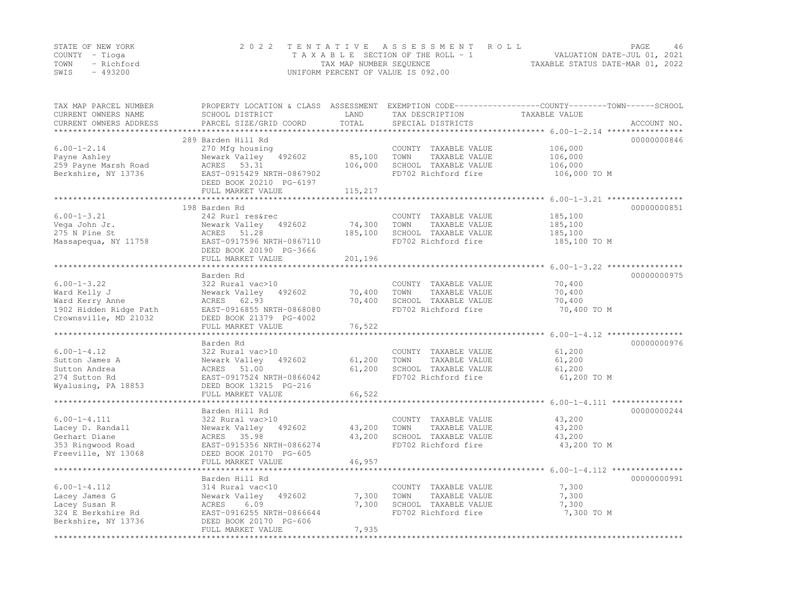|                | STATE OF NEW YORK | 2022 TENTATIVE ASSESSMENT ROLL                                 | <b>PAGE</b> | 46 |
|----------------|-------------------|----------------------------------------------------------------|-------------|----|
| COUNTY – Tioga |                   | VALUATION DATE-JUL 01, 2021<br>TAXABLE SECTION OF THE ROLL - 1 |             |    |
|                | TOWN - Richford   | TAXABLE STATUS DATE-MAR 01, 2022<br>TAX MAP NUMBER SEOUENCE    |             |    |
| SWIS           | - 493200          | UNIFORM PERCENT OF VALUE IS 092.00                             |             |    |

| TAX MAP PARCEL NUMBER<br>CURRENT OWNERS NAME<br>CURRENT OWNERS ADDRESS | PROPERTY LOCATION & CLASS ASSESSMENT<br>SCHOOL DISTRICT<br>PARCEL SIZE/GRID COORD | LAND<br>TOTAL | EXEMPTION CODE-----------------COUNTY-------TOWN------SCHOOL<br>TAX DESCRIPTION<br>SPECIAL DISTRICTS | TAXABLE VALUE                                         | ACCOUNT NO. |
|------------------------------------------------------------------------|-----------------------------------------------------------------------------------|---------------|------------------------------------------------------------------------------------------------------|-------------------------------------------------------|-------------|
|                                                                        |                                                                                   | ************* |                                                                                                      |                                                       |             |
|                                                                        | 289 Barden Hill Rd                                                                |               |                                                                                                      |                                                       | 00000000846 |
| $6.00 - 1 - 2.14$                                                      | 270 Mfg housing                                                                   |               | COUNTY TAXABLE VALUE                                                                                 | 106,000                                               |             |
| Payne Ashley                                                           | Newark Valley<br>492602                                                           | 85,100        | TOWN<br>TAXABLE VALUE                                                                                | 106,000                                               |             |
| 259 Payne Marsh Road<br>Berkshire, NY 13736                            | ACRES 53.31<br>EAST-0915429 NRTH-0867902                                          | 106,000       | SCHOOL TAXABLE VALUE<br>FD702 Richford fire                                                          | 106,000<br>106,000 TO M                               |             |
|                                                                        | DEED BOOK 20210 PG-6197                                                           |               |                                                                                                      |                                                       |             |
|                                                                        | FULL MARKET VALUE                                                                 | 115,217       |                                                                                                      |                                                       |             |
|                                                                        |                                                                                   |               |                                                                                                      |                                                       |             |
|                                                                        | 198 Barden Rd                                                                     |               |                                                                                                      |                                                       | 00000000851 |
| $6.00 - 1 - 3.21$                                                      | 242 Rurl res&rec                                                                  |               | COUNTY TAXABLE VALUE                                                                                 | 185,100                                               |             |
| Vega John Jr.                                                          | Newark Valley<br>492602                                                           | 74,300        | TAXABLE VALUE<br>TOWN                                                                                | 185,100                                               |             |
| 275 N Pine St                                                          | ACRES 51.28                                                                       | 185,100       | SCHOOL TAXABLE VALUE                                                                                 | 185,100                                               |             |
| Massapequa, NY 11758                                                   | EAST-0917596 NRTH-0867110                                                         |               | FD702 Richford fire                                                                                  | 185,100 TO M                                          |             |
|                                                                        | DEED BOOK 20190 PG-3666<br>FULL MARKET VALUE                                      | 201,196       |                                                                                                      |                                                       |             |
|                                                                        |                                                                                   |               |                                                                                                      |                                                       |             |
|                                                                        | Barden Rd                                                                         |               |                                                                                                      |                                                       | 00000000975 |
| $6.00 - 1 - 3.22$                                                      | 322 Rural vac>10                                                                  |               | COUNTY TAXABLE VALUE                                                                                 | 70,400                                                |             |
| Ward Kelly J                                                           | Newark Valley<br>492602                                                           | 70,400        | TOWN<br>TAXABLE VALUE                                                                                | 70,400                                                |             |
| Ward Kerry Anne                                                        | ACRES 62.93                                                                       | 70,400        | SCHOOL TAXABLE VALUE                                                                                 | 70,400                                                |             |
| 1902 Hidden Ridge Path                                                 | EAST-0916855 NRTH-0868080                                                         |               | FD702 Richford fire                                                                                  | 70,400 TO M                                           |             |
| Crownsville, MD 21032                                                  | DEED BOOK 21379 PG-4002                                                           |               |                                                                                                      |                                                       |             |
|                                                                        | FULL MARKET VALUE                                                                 | 76,522        |                                                                                                      |                                                       |             |
|                                                                        | Barden Rd                                                                         |               |                                                                                                      |                                                       | 00000000976 |
| $6.00 - 1 - 4.12$                                                      | 322 Rural vac>10                                                                  |               | COUNTY TAXABLE VALUE                                                                                 | 61,200                                                |             |
| Sutton James A                                                         | Newark Valley<br>492602                                                           | 61,200        | TAXABLE VALUE<br>TOWN                                                                                | 61,200                                                |             |
| Sutton Andrea                                                          | 51.00<br>ACRES                                                                    | 61,200        | SCHOOL TAXABLE VALUE                                                                                 | 61,200                                                |             |
| 274 Sutton Rd                                                          | EAST-0917524 NRTH-0866042                                                         |               | FD702 Richford fire                                                                                  | 61,200 TO M                                           |             |
| Wyalusing, PA 18853                                                    | DEED BOOK 13215 PG-216                                                            |               |                                                                                                      |                                                       |             |
|                                                                        | FULL MARKET VALUE<br>*************************                                    | 66,522        |                                                                                                      |                                                       |             |
|                                                                        |                                                                                   |               |                                                                                                      | *********************** 6.00-1-4.111 **************** | 00000000244 |
| $6.00 - 1 - 4.111$                                                     | Barden Hill Rd<br>322 Rural vac>10                                                |               |                                                                                                      | 43,200                                                |             |
| Lacey D. Randall                                                       | Newark Valley<br>492602                                                           | 43,200        | COUNTY TAXABLE VALUE<br>TOWN<br>TAXABLE VALUE                                                        | 43,200                                                |             |
| Gerhart Diane                                                          | ACRES 35.98                                                                       | 43,200        | SCHOOL TAXABLE VALUE                                                                                 | 43,200                                                |             |
| 353 Ringwood Road                                                      | EAST-0915356 NRTH-0866274                                                         |               | FD702 Richford fire                                                                                  | 43,200 TO M                                           |             |
| Freeville, NY 13068                                                    | DEED BOOK 20170 PG-605                                                            |               |                                                                                                      |                                                       |             |
|                                                                        | FULL MARKET VALUE                                                                 | 46,957        |                                                                                                      |                                                       |             |
|                                                                        | ***************************                                                       |               |                                                                                                      |                                                       |             |
|                                                                        | Barden Hill Rd                                                                    |               |                                                                                                      |                                                       | 00000000991 |
| $6.00 - 1 - 4.112$                                                     | 314 Rural vac<10                                                                  |               | COUNTY TAXABLE VALUE                                                                                 | 7,300                                                 |             |
| Lacey James G                                                          | Newark Valley<br>492602                                                           | 7,300         | TOWN<br>TAXABLE VALUE                                                                                | 7,300                                                 |             |
| Lacey Susan R<br>324 E Berkshire Rd                                    | ACRES<br>6.09<br>EAST-0916255 NRTH-0866644                                        | 7,300         | SCHOOL TAXABLE VALUE<br>FD702 Richford fire                                                          | 7,300<br>7,300 TO M                                   |             |
| Berkshire, NY 13736                                                    | DEED BOOK 20170 PG-606                                                            |               |                                                                                                      |                                                       |             |
|                                                                        | FULL MARKET VALUE                                                                 | 7,935         |                                                                                                      |                                                       |             |
|                                                                        |                                                                                   |               |                                                                                                      |                                                       |             |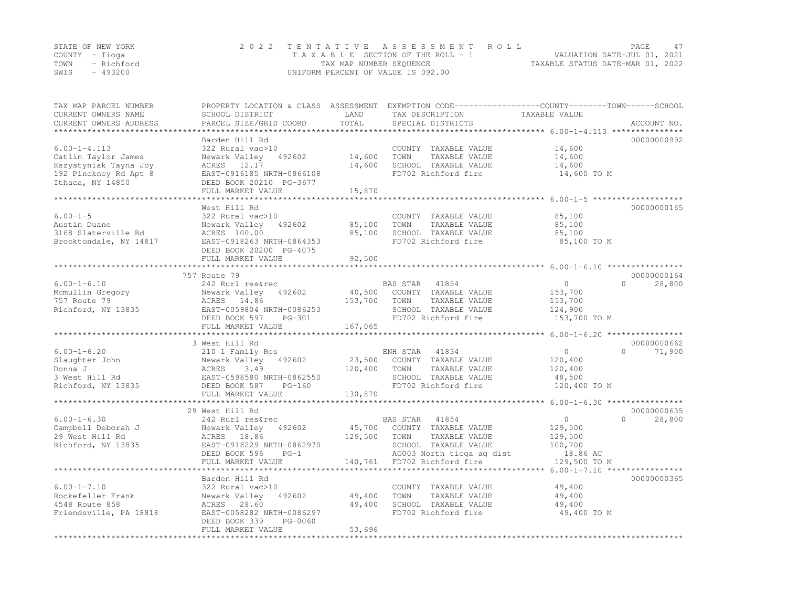| STATE OF NEW YORK | 2022 TENTATIVE ASSESSMENT ROLL     |                                  | PAGE. |  |
|-------------------|------------------------------------|----------------------------------|-------|--|
| COUNTY – Tioga    | TAXABLE SECTION OF THE ROLL - 1    | VALUATION DATE-JUL 01, 2021      |       |  |
| TOWN - Richford   | TAX MAP NUMBER SEOUENCE            | TAXABLE STATUS DATE-MAR 01, 2022 |       |  |
| - 493200<br>SWIS  | UNIFORM PERCENT OF VALUE IS 092.00 |                                  |       |  |

| Barden Hill Rd<br>00000000992<br>$6.00 - 1 - 4.113$<br>322 Rural vac>10<br>COUNTY TAXABLE VALUE<br>14,600<br>Catlin Taylor James<br>Newark Valley<br>14,600<br>TOWN<br>TAXABLE VALUE<br>14,600<br>492602<br>SCHOOL TAXABLE VALUE<br>Kszystyniak Tayna Joy<br>ACRES 12.17<br>14,600<br>14,600<br>EAST-0916185 NRTH-0866108<br>FD702 Richford fire<br>192 Pinckney Rd Apt 8<br>14,600 TO M<br>Ithaca, NY 14850<br>DEED BOOK 20210 PG-3677<br>FULL MARKET VALUE<br>15,870<br>************************<br>West Hill Rd<br>00000000165<br>322 Rural vac>10<br>85,100<br>COUNTY TAXABLE VALUE<br>Newark Valley<br>492602<br>85,100<br>TOWN<br>TAXABLE VALUE<br>85,100<br>ACRES 100.00<br>85,100<br>SCHOOL TAXABLE VALUE<br>85,100<br>Brooktondale, NY 14817<br>EAST-0918263 NRTH-0864353<br>FD702 Richford fire<br>85,100 TO M<br>DEED BOOK 20200 PG-4075<br>FULL MARKET VALUE<br>92,500<br>******************************* 6.00-1-6.10 *********<br>757 Route 79<br>00000000164<br>$6.00 - 1 - 6.10$<br>242 Rurl res&rec<br><b>BAS STAR</b><br>41854<br>$\circ$<br>$\Omega$<br>28,800<br>Mcmullin Gregory<br>Newark Valley<br>492602<br>40,500<br>COUNTY TAXABLE VALUE<br>153,700<br>757 Route 79<br>153,700<br>TAXABLE VALUE<br>ACRES 14.86<br>TOWN<br>153,700<br>Richford, NY 13835<br>EAST-0059804 NRTH-0086253<br>SCHOOL TAXABLE VALUE<br>124,900<br>FD702 Richford fire<br>DEED BOOK 597<br>153,700 TO M<br>$PG-301$<br>FULL MARKET VALUE<br>167,065<br>***********************<br>3 West Hill Rd<br>00000000662<br>210 1 Family Res<br>ENH STAR<br>41834<br>$\circ$<br>$\bigcap$<br>71,900<br>Newark Valley<br>23,500<br>COUNTY TAXABLE VALUE<br>492602<br>120,400<br>ACRES<br>3.49<br>120,400<br>TOWN<br>TAXABLE VALUE<br>120,400<br>EAST-0598580 NRTH-0862550<br>SCHOOL TAXABLE VALUE<br>48,500<br>FD702 Richford fire<br>DEED BOOK 587<br>120,400 TO M<br>$PG-160$<br>FULL MARKET VALUE<br>130,870<br>************************<br>*********************************** 6.00-1-6.30 ****************<br>29 West Hill Rd<br>00000000635<br>$6.00 - 1 - 6.30$<br>41854<br>$\circ$<br>$\Omega$<br>242 Rurl res&rec<br>BAS STAR<br>28,800<br>Campbell Deborah J<br>Newark Valley<br>492602<br>45,700<br>COUNTY TAXABLE VALUE<br>129,500<br>29 West Hill Rd<br>ACRES 18.86<br>129,500<br>TOWN<br>TAXABLE VALUE<br>129,500<br>Richford, NY 13835<br>EAST-0918229 NRTH-0862970<br>SCHOOL TAXABLE VALUE<br>100,700<br>AG003 North tioga ag dist<br>DEED BOOK 596<br>18.86 AC<br>$PG-1$<br>FULL MARKET VALUE<br>140,761<br>FD702 Richford fire<br>129,500 TO M<br>***********************<br>*** $6.00 - 1 - 7.10$ *****************<br>00000000365<br>Barden Hill Rd<br>322 Rural vac>10<br>49,400<br>COUNTY TAXABLE VALUE<br>49,400<br>TAXABLE VALUE<br>Newark Valley<br>492602<br>TOWN<br>49,400<br>4548 Route 858<br>ACRES 28.60<br>49,400<br>SCHOOL TAXABLE VALUE<br>49,400<br>Friendsville, PA 18818<br>EAST-0058282 NRTH-0086297<br>FD702 Richford fire<br>49,400 TO M<br>DEED BOOK 339<br>PG-0060<br>FULL MARKET VALUE<br>53,696 | TAX MAP PARCEL NUMBER<br>CURRENT OWNERS NAME<br>CURRENT OWNERS ADDRESS | PROPERTY LOCATION & CLASS ASSESSMENT<br>SCHOOL DISTRICT<br>PARCEL SIZE/GRID COORD | LAND<br>TOTAL | TAX DESCRIPTION<br>SPECIAL DISTRICTS | EXEMPTION CODE-----------------COUNTY-------TOWN------SCHOOL<br>TAXABLE VALUE | ACCOUNT NO. |
|-----------------------------------------------------------------------------------------------------------------------------------------------------------------------------------------------------------------------------------------------------------------------------------------------------------------------------------------------------------------------------------------------------------------------------------------------------------------------------------------------------------------------------------------------------------------------------------------------------------------------------------------------------------------------------------------------------------------------------------------------------------------------------------------------------------------------------------------------------------------------------------------------------------------------------------------------------------------------------------------------------------------------------------------------------------------------------------------------------------------------------------------------------------------------------------------------------------------------------------------------------------------------------------------------------------------------------------------------------------------------------------------------------------------------------------------------------------------------------------------------------------------------------------------------------------------------------------------------------------------------------------------------------------------------------------------------------------------------------------------------------------------------------------------------------------------------------------------------------------------------------------------------------------------------------------------------------------------------------------------------------------------------------------------------------------------------------------------------------------------------------------------------------------------------------------------------------------------------------------------------------------------------------------------------------------------------------------------------------------------------------------------------------------------------------------------------------------------------------------------------------------------------------------------------------------------------------------------------------------------------------------------------------------------------------------------------------------------------------------------------------------------------------------------------------------------------------------------------------------------------------------------------------------------------------------------------------------------------------------------------------------------------------------|------------------------------------------------------------------------|-----------------------------------------------------------------------------------|---------------|--------------------------------------|-------------------------------------------------------------------------------|-------------|
|                                                                                                                                                                                                                                                                                                                                                                                                                                                                                                                                                                                                                                                                                                                                                                                                                                                                                                                                                                                                                                                                                                                                                                                                                                                                                                                                                                                                                                                                                                                                                                                                                                                                                                                                                                                                                                                                                                                                                                                                                                                                                                                                                                                                                                                                                                                                                                                                                                                                                                                                                                                                                                                                                                                                                                                                                                                                                                                                                                                                                                   | **************                                                         |                                                                                   |               |                                      |                                                                               |             |
|                                                                                                                                                                                                                                                                                                                                                                                                                                                                                                                                                                                                                                                                                                                                                                                                                                                                                                                                                                                                                                                                                                                                                                                                                                                                                                                                                                                                                                                                                                                                                                                                                                                                                                                                                                                                                                                                                                                                                                                                                                                                                                                                                                                                                                                                                                                                                                                                                                                                                                                                                                                                                                                                                                                                                                                                                                                                                                                                                                                                                                   |                                                                        |                                                                                   |               |                                      |                                                                               |             |
|                                                                                                                                                                                                                                                                                                                                                                                                                                                                                                                                                                                                                                                                                                                                                                                                                                                                                                                                                                                                                                                                                                                                                                                                                                                                                                                                                                                                                                                                                                                                                                                                                                                                                                                                                                                                                                                                                                                                                                                                                                                                                                                                                                                                                                                                                                                                                                                                                                                                                                                                                                                                                                                                                                                                                                                                                                                                                                                                                                                                                                   |                                                                        |                                                                                   |               |                                      |                                                                               |             |
|                                                                                                                                                                                                                                                                                                                                                                                                                                                                                                                                                                                                                                                                                                                                                                                                                                                                                                                                                                                                                                                                                                                                                                                                                                                                                                                                                                                                                                                                                                                                                                                                                                                                                                                                                                                                                                                                                                                                                                                                                                                                                                                                                                                                                                                                                                                                                                                                                                                                                                                                                                                                                                                                                                                                                                                                                                                                                                                                                                                                                                   |                                                                        |                                                                                   |               |                                      |                                                                               |             |
|                                                                                                                                                                                                                                                                                                                                                                                                                                                                                                                                                                                                                                                                                                                                                                                                                                                                                                                                                                                                                                                                                                                                                                                                                                                                                                                                                                                                                                                                                                                                                                                                                                                                                                                                                                                                                                                                                                                                                                                                                                                                                                                                                                                                                                                                                                                                                                                                                                                                                                                                                                                                                                                                                                                                                                                                                                                                                                                                                                                                                                   |                                                                        |                                                                                   |               |                                      |                                                                               |             |
|                                                                                                                                                                                                                                                                                                                                                                                                                                                                                                                                                                                                                                                                                                                                                                                                                                                                                                                                                                                                                                                                                                                                                                                                                                                                                                                                                                                                                                                                                                                                                                                                                                                                                                                                                                                                                                                                                                                                                                                                                                                                                                                                                                                                                                                                                                                                                                                                                                                                                                                                                                                                                                                                                                                                                                                                                                                                                                                                                                                                                                   |                                                                        |                                                                                   |               |                                      |                                                                               |             |
|                                                                                                                                                                                                                                                                                                                                                                                                                                                                                                                                                                                                                                                                                                                                                                                                                                                                                                                                                                                                                                                                                                                                                                                                                                                                                                                                                                                                                                                                                                                                                                                                                                                                                                                                                                                                                                                                                                                                                                                                                                                                                                                                                                                                                                                                                                                                                                                                                                                                                                                                                                                                                                                                                                                                                                                                                                                                                                                                                                                                                                   |                                                                        |                                                                                   |               |                                      |                                                                               |             |
|                                                                                                                                                                                                                                                                                                                                                                                                                                                                                                                                                                                                                                                                                                                                                                                                                                                                                                                                                                                                                                                                                                                                                                                                                                                                                                                                                                                                                                                                                                                                                                                                                                                                                                                                                                                                                                                                                                                                                                                                                                                                                                                                                                                                                                                                                                                                                                                                                                                                                                                                                                                                                                                                                                                                                                                                                                                                                                                                                                                                                                   |                                                                        |                                                                                   |               |                                      |                                                                               |             |
|                                                                                                                                                                                                                                                                                                                                                                                                                                                                                                                                                                                                                                                                                                                                                                                                                                                                                                                                                                                                                                                                                                                                                                                                                                                                                                                                                                                                                                                                                                                                                                                                                                                                                                                                                                                                                                                                                                                                                                                                                                                                                                                                                                                                                                                                                                                                                                                                                                                                                                                                                                                                                                                                                                                                                                                                                                                                                                                                                                                                                                   |                                                                        |                                                                                   |               |                                      |                                                                               |             |
|                                                                                                                                                                                                                                                                                                                                                                                                                                                                                                                                                                                                                                                                                                                                                                                                                                                                                                                                                                                                                                                                                                                                                                                                                                                                                                                                                                                                                                                                                                                                                                                                                                                                                                                                                                                                                                                                                                                                                                                                                                                                                                                                                                                                                                                                                                                                                                                                                                                                                                                                                                                                                                                                                                                                                                                                                                                                                                                                                                                                                                   | $6.00 - 1 - 5$                                                         |                                                                                   |               |                                      |                                                                               |             |
|                                                                                                                                                                                                                                                                                                                                                                                                                                                                                                                                                                                                                                                                                                                                                                                                                                                                                                                                                                                                                                                                                                                                                                                                                                                                                                                                                                                                                                                                                                                                                                                                                                                                                                                                                                                                                                                                                                                                                                                                                                                                                                                                                                                                                                                                                                                                                                                                                                                                                                                                                                                                                                                                                                                                                                                                                                                                                                                                                                                                                                   | Austin Duane                                                           |                                                                                   |               |                                      |                                                                               |             |
|                                                                                                                                                                                                                                                                                                                                                                                                                                                                                                                                                                                                                                                                                                                                                                                                                                                                                                                                                                                                                                                                                                                                                                                                                                                                                                                                                                                                                                                                                                                                                                                                                                                                                                                                                                                                                                                                                                                                                                                                                                                                                                                                                                                                                                                                                                                                                                                                                                                                                                                                                                                                                                                                                                                                                                                                                                                                                                                                                                                                                                   | 3168 Slaterville Rd                                                    |                                                                                   |               |                                      |                                                                               |             |
|                                                                                                                                                                                                                                                                                                                                                                                                                                                                                                                                                                                                                                                                                                                                                                                                                                                                                                                                                                                                                                                                                                                                                                                                                                                                                                                                                                                                                                                                                                                                                                                                                                                                                                                                                                                                                                                                                                                                                                                                                                                                                                                                                                                                                                                                                                                                                                                                                                                                                                                                                                                                                                                                                                                                                                                                                                                                                                                                                                                                                                   |                                                                        |                                                                                   |               |                                      |                                                                               |             |
|                                                                                                                                                                                                                                                                                                                                                                                                                                                                                                                                                                                                                                                                                                                                                                                                                                                                                                                                                                                                                                                                                                                                                                                                                                                                                                                                                                                                                                                                                                                                                                                                                                                                                                                                                                                                                                                                                                                                                                                                                                                                                                                                                                                                                                                                                                                                                                                                                                                                                                                                                                                                                                                                                                                                                                                                                                                                                                                                                                                                                                   |                                                                        |                                                                                   |               |                                      |                                                                               |             |
|                                                                                                                                                                                                                                                                                                                                                                                                                                                                                                                                                                                                                                                                                                                                                                                                                                                                                                                                                                                                                                                                                                                                                                                                                                                                                                                                                                                                                                                                                                                                                                                                                                                                                                                                                                                                                                                                                                                                                                                                                                                                                                                                                                                                                                                                                                                                                                                                                                                                                                                                                                                                                                                                                                                                                                                                                                                                                                                                                                                                                                   |                                                                        |                                                                                   |               |                                      |                                                                               |             |
|                                                                                                                                                                                                                                                                                                                                                                                                                                                                                                                                                                                                                                                                                                                                                                                                                                                                                                                                                                                                                                                                                                                                                                                                                                                                                                                                                                                                                                                                                                                                                                                                                                                                                                                                                                                                                                                                                                                                                                                                                                                                                                                                                                                                                                                                                                                                                                                                                                                                                                                                                                                                                                                                                                                                                                                                                                                                                                                                                                                                                                   |                                                                        |                                                                                   |               |                                      |                                                                               |             |
|                                                                                                                                                                                                                                                                                                                                                                                                                                                                                                                                                                                                                                                                                                                                                                                                                                                                                                                                                                                                                                                                                                                                                                                                                                                                                                                                                                                                                                                                                                                                                                                                                                                                                                                                                                                                                                                                                                                                                                                                                                                                                                                                                                                                                                                                                                                                                                                                                                                                                                                                                                                                                                                                                                                                                                                                                                                                                                                                                                                                                                   |                                                                        |                                                                                   |               |                                      |                                                                               |             |
|                                                                                                                                                                                                                                                                                                                                                                                                                                                                                                                                                                                                                                                                                                                                                                                                                                                                                                                                                                                                                                                                                                                                                                                                                                                                                                                                                                                                                                                                                                                                                                                                                                                                                                                                                                                                                                                                                                                                                                                                                                                                                                                                                                                                                                                                                                                                                                                                                                                                                                                                                                                                                                                                                                                                                                                                                                                                                                                                                                                                                                   |                                                                        |                                                                                   |               |                                      |                                                                               |             |
|                                                                                                                                                                                                                                                                                                                                                                                                                                                                                                                                                                                                                                                                                                                                                                                                                                                                                                                                                                                                                                                                                                                                                                                                                                                                                                                                                                                                                                                                                                                                                                                                                                                                                                                                                                                                                                                                                                                                                                                                                                                                                                                                                                                                                                                                                                                                                                                                                                                                                                                                                                                                                                                                                                                                                                                                                                                                                                                                                                                                                                   |                                                                        |                                                                                   |               |                                      |                                                                               |             |
|                                                                                                                                                                                                                                                                                                                                                                                                                                                                                                                                                                                                                                                                                                                                                                                                                                                                                                                                                                                                                                                                                                                                                                                                                                                                                                                                                                                                                                                                                                                                                                                                                                                                                                                                                                                                                                                                                                                                                                                                                                                                                                                                                                                                                                                                                                                                                                                                                                                                                                                                                                                                                                                                                                                                                                                                                                                                                                                                                                                                                                   |                                                                        |                                                                                   |               |                                      |                                                                               |             |
|                                                                                                                                                                                                                                                                                                                                                                                                                                                                                                                                                                                                                                                                                                                                                                                                                                                                                                                                                                                                                                                                                                                                                                                                                                                                                                                                                                                                                                                                                                                                                                                                                                                                                                                                                                                                                                                                                                                                                                                                                                                                                                                                                                                                                                                                                                                                                                                                                                                                                                                                                                                                                                                                                                                                                                                                                                                                                                                                                                                                                                   |                                                                        |                                                                                   |               |                                      |                                                                               |             |
|                                                                                                                                                                                                                                                                                                                                                                                                                                                                                                                                                                                                                                                                                                                                                                                                                                                                                                                                                                                                                                                                                                                                                                                                                                                                                                                                                                                                                                                                                                                                                                                                                                                                                                                                                                                                                                                                                                                                                                                                                                                                                                                                                                                                                                                                                                                                                                                                                                                                                                                                                                                                                                                                                                                                                                                                                                                                                                                                                                                                                                   |                                                                        |                                                                                   |               |                                      |                                                                               |             |
|                                                                                                                                                                                                                                                                                                                                                                                                                                                                                                                                                                                                                                                                                                                                                                                                                                                                                                                                                                                                                                                                                                                                                                                                                                                                                                                                                                                                                                                                                                                                                                                                                                                                                                                                                                                                                                                                                                                                                                                                                                                                                                                                                                                                                                                                                                                                                                                                                                                                                                                                                                                                                                                                                                                                                                                                                                                                                                                                                                                                                                   |                                                                        |                                                                                   |               |                                      |                                                                               |             |
|                                                                                                                                                                                                                                                                                                                                                                                                                                                                                                                                                                                                                                                                                                                                                                                                                                                                                                                                                                                                                                                                                                                                                                                                                                                                                                                                                                                                                                                                                                                                                                                                                                                                                                                                                                                                                                                                                                                                                                                                                                                                                                                                                                                                                                                                                                                                                                                                                                                                                                                                                                                                                                                                                                                                                                                                                                                                                                                                                                                                                                   |                                                                        |                                                                                   |               |                                      |                                                                               |             |
|                                                                                                                                                                                                                                                                                                                                                                                                                                                                                                                                                                                                                                                                                                                                                                                                                                                                                                                                                                                                                                                                                                                                                                                                                                                                                                                                                                                                                                                                                                                                                                                                                                                                                                                                                                                                                                                                                                                                                                                                                                                                                                                                                                                                                                                                                                                                                                                                                                                                                                                                                                                                                                                                                                                                                                                                                                                                                                                                                                                                                                   | $6.00 - 1 - 6.20$                                                      |                                                                                   |               |                                      |                                                                               |             |
|                                                                                                                                                                                                                                                                                                                                                                                                                                                                                                                                                                                                                                                                                                                                                                                                                                                                                                                                                                                                                                                                                                                                                                                                                                                                                                                                                                                                                                                                                                                                                                                                                                                                                                                                                                                                                                                                                                                                                                                                                                                                                                                                                                                                                                                                                                                                                                                                                                                                                                                                                                                                                                                                                                                                                                                                                                                                                                                                                                                                                                   | Slaughter John                                                         |                                                                                   |               |                                      |                                                                               |             |
|                                                                                                                                                                                                                                                                                                                                                                                                                                                                                                                                                                                                                                                                                                                                                                                                                                                                                                                                                                                                                                                                                                                                                                                                                                                                                                                                                                                                                                                                                                                                                                                                                                                                                                                                                                                                                                                                                                                                                                                                                                                                                                                                                                                                                                                                                                                                                                                                                                                                                                                                                                                                                                                                                                                                                                                                                                                                                                                                                                                                                                   | Donna J                                                                |                                                                                   |               |                                      |                                                                               |             |
|                                                                                                                                                                                                                                                                                                                                                                                                                                                                                                                                                                                                                                                                                                                                                                                                                                                                                                                                                                                                                                                                                                                                                                                                                                                                                                                                                                                                                                                                                                                                                                                                                                                                                                                                                                                                                                                                                                                                                                                                                                                                                                                                                                                                                                                                                                                                                                                                                                                                                                                                                                                                                                                                                                                                                                                                                                                                                                                                                                                                                                   | 3 West Hill Rd                                                         |                                                                                   |               |                                      |                                                                               |             |
|                                                                                                                                                                                                                                                                                                                                                                                                                                                                                                                                                                                                                                                                                                                                                                                                                                                                                                                                                                                                                                                                                                                                                                                                                                                                                                                                                                                                                                                                                                                                                                                                                                                                                                                                                                                                                                                                                                                                                                                                                                                                                                                                                                                                                                                                                                                                                                                                                                                                                                                                                                                                                                                                                                                                                                                                                                                                                                                                                                                                                                   | Richford, NY 13835                                                     |                                                                                   |               |                                      |                                                                               |             |
|                                                                                                                                                                                                                                                                                                                                                                                                                                                                                                                                                                                                                                                                                                                                                                                                                                                                                                                                                                                                                                                                                                                                                                                                                                                                                                                                                                                                                                                                                                                                                                                                                                                                                                                                                                                                                                                                                                                                                                                                                                                                                                                                                                                                                                                                                                                                                                                                                                                                                                                                                                                                                                                                                                                                                                                                                                                                                                                                                                                                                                   |                                                                        |                                                                                   |               |                                      |                                                                               |             |
|                                                                                                                                                                                                                                                                                                                                                                                                                                                                                                                                                                                                                                                                                                                                                                                                                                                                                                                                                                                                                                                                                                                                                                                                                                                                                                                                                                                                                                                                                                                                                                                                                                                                                                                                                                                                                                                                                                                                                                                                                                                                                                                                                                                                                                                                                                                                                                                                                                                                                                                                                                                                                                                                                                                                                                                                                                                                                                                                                                                                                                   |                                                                        |                                                                                   |               |                                      |                                                                               |             |
|                                                                                                                                                                                                                                                                                                                                                                                                                                                                                                                                                                                                                                                                                                                                                                                                                                                                                                                                                                                                                                                                                                                                                                                                                                                                                                                                                                                                                                                                                                                                                                                                                                                                                                                                                                                                                                                                                                                                                                                                                                                                                                                                                                                                                                                                                                                                                                                                                                                                                                                                                                                                                                                                                                                                                                                                                                                                                                                                                                                                                                   |                                                                        |                                                                                   |               |                                      |                                                                               |             |
|                                                                                                                                                                                                                                                                                                                                                                                                                                                                                                                                                                                                                                                                                                                                                                                                                                                                                                                                                                                                                                                                                                                                                                                                                                                                                                                                                                                                                                                                                                                                                                                                                                                                                                                                                                                                                                                                                                                                                                                                                                                                                                                                                                                                                                                                                                                                                                                                                                                                                                                                                                                                                                                                                                                                                                                                                                                                                                                                                                                                                                   |                                                                        |                                                                                   |               |                                      |                                                                               |             |
|                                                                                                                                                                                                                                                                                                                                                                                                                                                                                                                                                                                                                                                                                                                                                                                                                                                                                                                                                                                                                                                                                                                                                                                                                                                                                                                                                                                                                                                                                                                                                                                                                                                                                                                                                                                                                                                                                                                                                                                                                                                                                                                                                                                                                                                                                                                                                                                                                                                                                                                                                                                                                                                                                                                                                                                                                                                                                                                                                                                                                                   |                                                                        |                                                                                   |               |                                      |                                                                               |             |
|                                                                                                                                                                                                                                                                                                                                                                                                                                                                                                                                                                                                                                                                                                                                                                                                                                                                                                                                                                                                                                                                                                                                                                                                                                                                                                                                                                                                                                                                                                                                                                                                                                                                                                                                                                                                                                                                                                                                                                                                                                                                                                                                                                                                                                                                                                                                                                                                                                                                                                                                                                                                                                                                                                                                                                                                                                                                                                                                                                                                                                   |                                                                        |                                                                                   |               |                                      |                                                                               |             |
|                                                                                                                                                                                                                                                                                                                                                                                                                                                                                                                                                                                                                                                                                                                                                                                                                                                                                                                                                                                                                                                                                                                                                                                                                                                                                                                                                                                                                                                                                                                                                                                                                                                                                                                                                                                                                                                                                                                                                                                                                                                                                                                                                                                                                                                                                                                                                                                                                                                                                                                                                                                                                                                                                                                                                                                                                                                                                                                                                                                                                                   |                                                                        |                                                                                   |               |                                      |                                                                               |             |
|                                                                                                                                                                                                                                                                                                                                                                                                                                                                                                                                                                                                                                                                                                                                                                                                                                                                                                                                                                                                                                                                                                                                                                                                                                                                                                                                                                                                                                                                                                                                                                                                                                                                                                                                                                                                                                                                                                                                                                                                                                                                                                                                                                                                                                                                                                                                                                                                                                                                                                                                                                                                                                                                                                                                                                                                                                                                                                                                                                                                                                   |                                                                        |                                                                                   |               |                                      |                                                                               |             |
|                                                                                                                                                                                                                                                                                                                                                                                                                                                                                                                                                                                                                                                                                                                                                                                                                                                                                                                                                                                                                                                                                                                                                                                                                                                                                                                                                                                                                                                                                                                                                                                                                                                                                                                                                                                                                                                                                                                                                                                                                                                                                                                                                                                                                                                                                                                                                                                                                                                                                                                                                                                                                                                                                                                                                                                                                                                                                                                                                                                                                                   |                                                                        |                                                                                   |               |                                      |                                                                               |             |
|                                                                                                                                                                                                                                                                                                                                                                                                                                                                                                                                                                                                                                                                                                                                                                                                                                                                                                                                                                                                                                                                                                                                                                                                                                                                                                                                                                                                                                                                                                                                                                                                                                                                                                                                                                                                                                                                                                                                                                                                                                                                                                                                                                                                                                                                                                                                                                                                                                                                                                                                                                                                                                                                                                                                                                                                                                                                                                                                                                                                                                   |                                                                        |                                                                                   |               |                                      |                                                                               |             |
|                                                                                                                                                                                                                                                                                                                                                                                                                                                                                                                                                                                                                                                                                                                                                                                                                                                                                                                                                                                                                                                                                                                                                                                                                                                                                                                                                                                                                                                                                                                                                                                                                                                                                                                                                                                                                                                                                                                                                                                                                                                                                                                                                                                                                                                                                                                                                                                                                                                                                                                                                                                                                                                                                                                                                                                                                                                                                                                                                                                                                                   | $6.00 - 1 - 7.10$                                                      |                                                                                   |               |                                      |                                                                               |             |
|                                                                                                                                                                                                                                                                                                                                                                                                                                                                                                                                                                                                                                                                                                                                                                                                                                                                                                                                                                                                                                                                                                                                                                                                                                                                                                                                                                                                                                                                                                                                                                                                                                                                                                                                                                                                                                                                                                                                                                                                                                                                                                                                                                                                                                                                                                                                                                                                                                                                                                                                                                                                                                                                                                                                                                                                                                                                                                                                                                                                                                   | Rockefeller Frank                                                      |                                                                                   |               |                                      |                                                                               |             |
|                                                                                                                                                                                                                                                                                                                                                                                                                                                                                                                                                                                                                                                                                                                                                                                                                                                                                                                                                                                                                                                                                                                                                                                                                                                                                                                                                                                                                                                                                                                                                                                                                                                                                                                                                                                                                                                                                                                                                                                                                                                                                                                                                                                                                                                                                                                                                                                                                                                                                                                                                                                                                                                                                                                                                                                                                                                                                                                                                                                                                                   |                                                                        |                                                                                   |               |                                      |                                                                               |             |
|                                                                                                                                                                                                                                                                                                                                                                                                                                                                                                                                                                                                                                                                                                                                                                                                                                                                                                                                                                                                                                                                                                                                                                                                                                                                                                                                                                                                                                                                                                                                                                                                                                                                                                                                                                                                                                                                                                                                                                                                                                                                                                                                                                                                                                                                                                                                                                                                                                                                                                                                                                                                                                                                                                                                                                                                                                                                                                                                                                                                                                   |                                                                        |                                                                                   |               |                                      |                                                                               |             |
|                                                                                                                                                                                                                                                                                                                                                                                                                                                                                                                                                                                                                                                                                                                                                                                                                                                                                                                                                                                                                                                                                                                                                                                                                                                                                                                                                                                                                                                                                                                                                                                                                                                                                                                                                                                                                                                                                                                                                                                                                                                                                                                                                                                                                                                                                                                                                                                                                                                                                                                                                                                                                                                                                                                                                                                                                                                                                                                                                                                                                                   |                                                                        |                                                                                   |               |                                      |                                                                               |             |
|                                                                                                                                                                                                                                                                                                                                                                                                                                                                                                                                                                                                                                                                                                                                                                                                                                                                                                                                                                                                                                                                                                                                                                                                                                                                                                                                                                                                                                                                                                                                                                                                                                                                                                                                                                                                                                                                                                                                                                                                                                                                                                                                                                                                                                                                                                                                                                                                                                                                                                                                                                                                                                                                                                                                                                                                                                                                                                                                                                                                                                   |                                                                        |                                                                                   |               |                                      |                                                                               |             |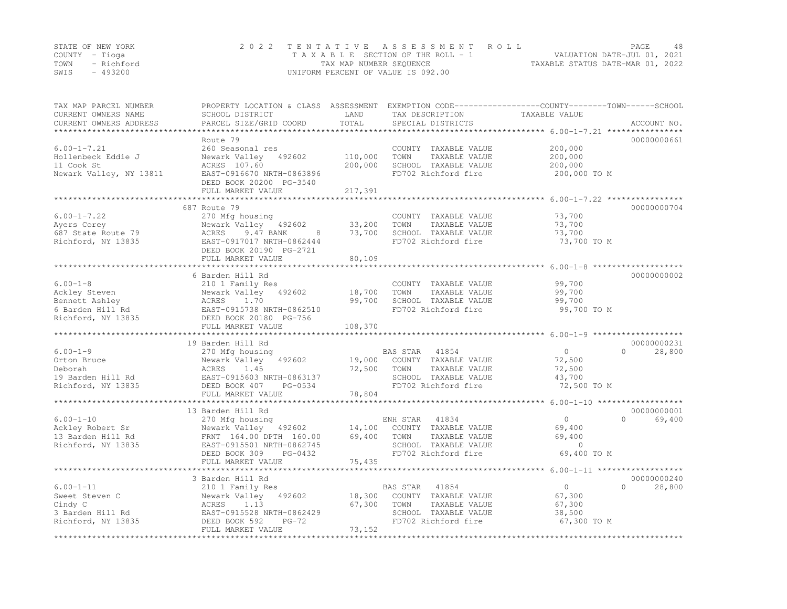| STATE OF NEW YORK | 2022 TENTATIVE ASSESSMENT ROLL                              | <b>PAGE</b>                 | 48 |
|-------------------|-------------------------------------------------------------|-----------------------------|----|
| COUNTY – Tioga    | TAXABLE SECTION OF THE ROLL - 1                             | VALUATION DATE-JUL 01, 2021 |    |
| TOWN - Richford   | TAXABLE STATUS DATE-MAR 01, 2022<br>TAX MAP NUMBER SEOUENCE |                             |    |
| - 493200<br>SWIS  | UNIFORM PERCENT OF VALUE IS 092.00                          |                             |    |

| TAX MAP PARCEL NUMBER<br>CURRENT OWNERS NAME<br>CURRENT OWNERS ADDRESS | PROPERTY LOCATION & CLASS ASSESSMENT<br>SCHOOL DISTRICT<br>PARCEL SIZE/GRID COORD | LAND<br>TOTAL       | EXEMPTION CODE-----------------COUNTY-------TOWN------SCHOOL<br>TAX DESCRIPTION<br>SPECIAL DISTRICTS | TAXABLE VALUE                                      | ACCOUNT NO.                       |
|------------------------------------------------------------------------|-----------------------------------------------------------------------------------|---------------------|------------------------------------------------------------------------------------------------------|----------------------------------------------------|-----------------------------------|
|                                                                        |                                                                                   | * * * * * * * * * * |                                                                                                      |                                                    |                                   |
|                                                                        | Route 79                                                                          |                     |                                                                                                      |                                                    | 00000000661                       |
| $6.00 - 1 - 7.21$                                                      | 260 Seasonal res                                                                  |                     | COUNTY TAXABLE VALUE                                                                                 | 200,000                                            |                                   |
| Hollenbeck Eddie J                                                     | Newark Valley 492602                                                              | 110,000             | TOWN<br>TAXABLE VALUE                                                                                | 200,000                                            |                                   |
| 11 Cook St                                                             | ACRES 107.60                                                                      | 200,000             | SCHOOL TAXABLE VALUE                                                                                 | 200,000                                            |                                   |
| Newark Valley, NY 13811                                                | EAST-0916670 NRTH-0863896                                                         |                     | FD702 Richford fire                                                                                  | 200,000 TO M                                       |                                   |
|                                                                        | DEED BOOK 20200 PG-3540                                                           |                     |                                                                                                      |                                                    |                                   |
|                                                                        | FULL MARKET VALUE                                                                 | 217,391             |                                                                                                      |                                                    |                                   |
|                                                                        | 687 Route 79                                                                      |                     |                                                                                                      |                                                    | 00000000704                       |
| $6.00 - 1 - 7.22$                                                      | 270 Mfg housing                                                                   |                     | COUNTY TAXABLE VALUE                                                                                 | 73,700                                             |                                   |
| Ayers Corey                                                            | Newark Valley 492602                                                              | 33,200              | TAXABLE VALUE<br>TOWN                                                                                | 73,700                                             |                                   |
| 687 State Route 79                                                     | 9.47 BANK<br>8<br>ACRES                                                           | 73,700              | SCHOOL TAXABLE VALUE                                                                                 | 73,700                                             |                                   |
| Richford, NY 13835                                                     | EAST-0917017 NRTH-0862444                                                         |                     | FD702 Richford fire                                                                                  | 73,700 TO M                                        |                                   |
|                                                                        | DEED BOOK 20190 PG-2721                                                           |                     |                                                                                                      |                                                    |                                   |
|                                                                        | FULL MARKET VALUE                                                                 | 80,109              |                                                                                                      |                                                    |                                   |
|                                                                        |                                                                                   |                     |                                                                                                      | ******************************** 6.00-1-8 ******** |                                   |
|                                                                        | 6 Barden Hill Rd                                                                  |                     |                                                                                                      |                                                    | 00000000002                       |
| $6.00 - 1 - 8$                                                         | 210 1 Family Res                                                                  |                     | COUNTY TAXABLE VALUE                                                                                 | 99,700                                             |                                   |
| Ackley Steven                                                          | Newark Valley<br>492602                                                           | 18,700              | TOWN<br>TAXABLE VALUE                                                                                | 99,700                                             |                                   |
| Bennett Ashley                                                         | ACRES<br>1.70                                                                     | 99,700              | SCHOOL TAXABLE VALUE                                                                                 | 99,700                                             |                                   |
| 6 Barden Hill Rd                                                       | EAST-0915738 NRTH-0862510                                                         |                     | FD702 Richford fire                                                                                  | 99,700 TO M                                        |                                   |
| Richford, NY 13835                                                     | DEED BOOK 20180 PG-756                                                            |                     |                                                                                                      |                                                    |                                   |
|                                                                        | FULL MARKET VALUE                                                                 | 108,370             |                                                                                                      |                                                    |                                   |
|                                                                        | 19 Barden Hill Rd                                                                 |                     |                                                                                                      |                                                    | 00000000231                       |
| $6.00 - 1 - 9$                                                         | 270 Mfg housing                                                                   |                     | BAS STAR<br>41854                                                                                    | $\circ$                                            | $\bigcap$<br>28,800               |
| Orton Bruce                                                            | Newark Valley<br>492602                                                           | 19,000              | COUNTY TAXABLE VALUE                                                                                 | 72,500                                             |                                   |
| Deborah                                                                | 1.45<br>ACRES                                                                     | 72,500              | TOWN<br>TAXABLE VALUE                                                                                | 72,500                                             |                                   |
| 19 Barden Hill Rd                                                      | EAST-0915603 NRTH-0863137                                                         |                     | SCHOOL TAXABLE VALUE                                                                                 | 43,700                                             |                                   |
| Richford, NY 13835                                                     | DEED BOOK 407<br>PG-0534                                                          |                     | FD702 Richford fire                                                                                  | 72,500 TO M                                        |                                   |
|                                                                        | FULL MARKET VALUE                                                                 | 78,804              |                                                                                                      |                                                    |                                   |
|                                                                        |                                                                                   |                     |                                                                                                      | ******************* 6.00-1-10 *******************  |                                   |
|                                                                        | 13 Barden Hill Rd                                                                 |                     |                                                                                                      |                                                    | 00000000001                       |
| $6.00 - 1 - 10$                                                        | 270 Mfg housing                                                                   |                     | ENH STAR<br>41834                                                                                    | $\Omega$                                           | $\Omega$<br>69,400                |
| Ackley Robert Sr                                                       | Newark Valley 492602                                                              | 14,100              | COUNTY TAXABLE VALUE                                                                                 | 69,400                                             |                                   |
| 13 Barden Hill Rd                                                      | FRNT 164.00 DPTH 160.00                                                           | 69,400              | TOWN<br>TAXABLE VALUE                                                                                | 69,400                                             |                                   |
| Richford, NY 13835                                                     | EAST-0915501 NRTH-0862745                                                         |                     | SCHOOL TAXABLE VALUE                                                                                 | $\Omega$                                           |                                   |
|                                                                        | DEED BOOK 309<br>PG-0432                                                          |                     | FD702 Richford fire                                                                                  | 69,400 TO M                                        |                                   |
|                                                                        | FULL MARKET VALUE<br>************************                                     | 75,435              |                                                                                                      |                                                    |                                   |
|                                                                        |                                                                                   |                     |                                                                                                      |                                                    |                                   |
| $6.00 - 1 - 11$                                                        | 3 Barden Hill Rd                                                                  |                     | 41854                                                                                                | $\circ$                                            | 00000000240<br>$\Omega$<br>28,800 |
| Sweet Steven C                                                         | 210 1 Family Res<br>Newark Valley<br>492602                                       | 18,300              | BAS STAR<br>COUNTY TAXABLE VALUE                                                                     | 67,300                                             |                                   |
| Cindy C                                                                | ACRES<br>1.13                                                                     | 67,300              | TOWN<br>TAXABLE VALUE                                                                                | 67,300                                             |                                   |
| 3 Barden Hill Rd                                                       | EAST-0915528 NRTH-0862429                                                         |                     | SCHOOL TAXABLE VALUE                                                                                 | 38,500                                             |                                   |
| Richford, NY 13835                                                     | DEED BOOK 592<br>$PG-72$                                                          |                     | FD702 Richford fire                                                                                  | 67,300 TO M                                        |                                   |
|                                                                        | FULL MARKET VALUE                                                                 | 73,152              |                                                                                                      |                                                    |                                   |
|                                                                        |                                                                                   |                     |                                                                                                      |                                                    |                                   |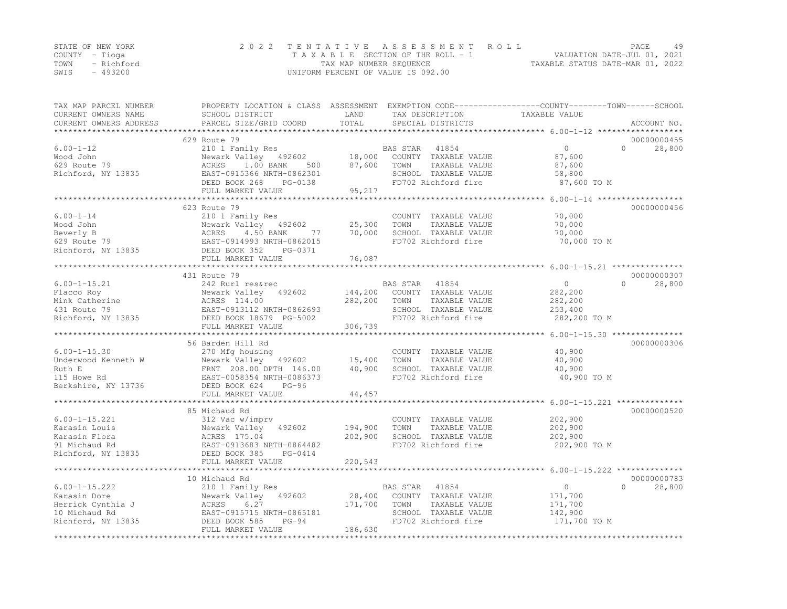|      | STATE OF NEW YORK | 2022 TENTATIVE ASSESSMENT ROLL     | PAGE.                            | 49 |
|------|-------------------|------------------------------------|----------------------------------|----|
|      | COUNTY – Tioga    | TAXABLE SECTION OF THE ROLL - 1    | VALUATION DATE-JUL 01, 2021      |    |
|      | TOWN - Richford   | TAX MAP NUMBER SEQUENCE            | TAXABLE STATUS DATE-MAR 01, 2022 |    |
| SWIS | - 493200          | UNIFORM PERCENT OF VALUE IS 092.00 |                                  |    |

| TAX MAP PARCEL NUMBER<br>CURRENT OWNERS NAME      | PROPERTY LOCATION & CLASS ASSESSMENT EXEMPTION CODE----------------COUNTY-------TOWN------SCHOOL<br>SCHOOL DISTRICT | LAND                  | TAX DESCRIPTION                               | TAXABLE VALUE                                                  |           |             |
|---------------------------------------------------|---------------------------------------------------------------------------------------------------------------------|-----------------------|-----------------------------------------------|----------------------------------------------------------------|-----------|-------------|
| CURRENT OWNERS ADDRESS                            | PARCEL SIZE/GRID COORD                                                                                              | TOTAL                 | SPECIAL DISTRICTS                             |                                                                |           | ACCOUNT NO. |
| *******************                               |                                                                                                                     |                       |                                               |                                                                |           |             |
|                                                   | 629 Route 79                                                                                                        |                       |                                               |                                                                |           | 00000000455 |
| $6.00 - 1 - 12$                                   | 210 1 Family Res                                                                                                    |                       | BAS STAR<br>41854                             | $\circ$                                                        | $\Omega$  | 28,800      |
| Wood John                                         | Newark Valley 492602                                                                                                | 18,000                | COUNTY TAXABLE VALUE                          | 87,600                                                         |           |             |
| 629 Route 79                                      | ACRES 1.00 BANK<br>500                                                                                              | 87,600                | TOWN<br>TAXABLE VALUE                         | 87,600                                                         |           |             |
| Richford, NY 13835                                | EAST-0915366 NRTH-0862301                                                                                           |                       | SCHOOL TAXABLE VALUE                          | 58,800                                                         |           |             |
|                                                   | DEED BOOK 268<br>PG-0138                                                                                            |                       | FD702 Richford fire                           | 87,600 TO M                                                    |           |             |
|                                                   | FULL MARKET VALUE                                                                                                   | 95,217                |                                               |                                                                |           |             |
|                                                   |                                                                                                                     |                       |                                               | ************* 6.00-1-14 *******************                    |           |             |
|                                                   | 623 Route 79                                                                                                        |                       |                                               |                                                                |           | 00000000456 |
| $6.00 - 1 - 14$                                   | 210 1 Family Res                                                                                                    |                       | COUNTY TAXABLE VALUE                          | 70,000                                                         |           |             |
| Wood John                                         | Newark Valley 492602                                                                                                | $\frac{25}{70}$ , 300 | TAXABLE VALUE<br>TOWN                         | 70,000                                                         |           |             |
| Beverly B                                         | 4.50 BANK<br>ACRES<br>77                                                                                            | 70,000                | SCHOOL TAXABLE VALUE                          | 70,000                                                         |           |             |
| -------<br>629 Route 79<br>Richford, NY 13835     | EAST-0914993 NRTH-0862015                                                                                           |                       | FD702 Richford fire                           | 70,000 TO M                                                    |           |             |
|                                                   | EAST-0914993 N<br>DEED BOOK 352<br>PG-0371                                                                          |                       |                                               |                                                                |           |             |
|                                                   | FULL MARKET VALUE                                                                                                   | 76,087                |                                               |                                                                |           |             |
|                                                   |                                                                                                                     |                       |                                               |                                                                |           |             |
|                                                   | 431 Route 79                                                                                                        |                       |                                               |                                                                |           | 00000000307 |
| $6.00 - 1 - 15.21$                                | 242 Rurl res&rec                                                                                                    |                       | BAS STAR<br>41854                             | $\circ$                                                        | $\Omega$  | 28,800      |
| Flacco Roy<br>Flacco $\sim_{Y}$<br>Mink Catherine | Newark Valley 492602                                                                                                | 144,200               | COUNTY TAXABLE VALUE                          | 282,200                                                        |           |             |
|                                                   | ACRES 114.00                                                                                                        | 282,200               | TOWN<br>TAXABLE VALUE                         | 282,200                                                        |           |             |
| 431 Route 79                                      | EAST-0913112 NRTH-0862693                                                                                           |                       | SCHOOL TAXABLE VALUE                          | 253,400                                                        |           |             |
| Richford, NY 13835                                | DEED BOOK 18679 PG-5002                                                                                             |                       | FD702 Richford fire                           | 282,200 TO M                                                   |           |             |
|                                                   | FULL MARKET VALUE                                                                                                   | 306,739               |                                               |                                                                |           |             |
|                                                   |                                                                                                                     |                       |                                               |                                                                |           |             |
|                                                   | 56 Barden Hill Rd                                                                                                   |                       |                                               |                                                                |           | 00000000306 |
| $6.00 - 1 - 15.30$                                | 270 Mfg housing                                                                                                     |                       | COUNTY TAXABLE VALUE                          | 40,900                                                         |           |             |
| Underwood Kenneth W                               | Newark Valley 492602                                                                                                | 15,400                | TAXABLE VALUE<br>TOWN                         | 40,900                                                         |           |             |
| Ruth E                                            | FRNT 208.00 DPTH 146.00                                                                                             | 40,900                | SCHOOL TAXABLE VALUE                          | 40,900                                                         |           |             |
| 115 Howe Rd                                       | EAST-0058354 NRTH-0086373                                                                                           |                       | FD702 Richford fire                           | 40,900 TO M                                                    |           |             |
| Berkshire, NY 13736                               | DEED BOOK 624<br>$PG-96$                                                                                            |                       |                                               |                                                                |           |             |
|                                                   | FULL MARKET VALUE<br>***************************                                                                    | 44,457                |                                               |                                                                |           |             |
|                                                   |                                                                                                                     |                       |                                               | ******************************** 6.00-1-15.221 *************** |           |             |
|                                                   | 85 Michaud Rd                                                                                                       |                       |                                               |                                                                |           | 00000000520 |
| $6.00 - 1 - 15.221$                               | 312 Vac w/imprv                                                                                                     |                       | COUNTY TAXABLE VALUE                          | 202,900                                                        |           |             |
| Karasin Louis                                     | Newark Valley 492602                                                                                                | 194,900               | TOWN<br>TAXABLE VALUE                         | 202,900                                                        |           |             |
| Karasin Flora                                     | ACRES 175.04                                                                                                        | 202,900               | SCHOOL TAXABLE VALUE                          | 202,900                                                        |           |             |
| 91 Michaud Rd                                     | EAST-0913683 NRTH-0864482                                                                                           |                       | FD702 Richford fire                           | 202,900 TO M                                                   |           |             |
| Richford, NY 13835                                | DEED BOOK 385<br>PG-0414                                                                                            | 220,543               |                                               |                                                                |           |             |
|                                                   | FULL MARKET VALUE                                                                                                   |                       |                                               |                                                                |           |             |
|                                                   | 10 Michaud Rd                                                                                                       |                       |                                               |                                                                |           | 00000000783 |
| $6.00 - 1 - 15.222$                               |                                                                                                                     |                       | BAS STAR<br>41854                             | $\overline{0}$                                                 | $\bigcap$ | 28,800      |
|                                                   | 210 1 Family Res                                                                                                    | 28,400                |                                               |                                                                |           |             |
| Karasin Dore<br>Herrick Cynthia J                 | Newark Valley 492602<br>ACRES<br>6.27                                                                               | 171,700               | COUNTY TAXABLE VALUE<br>TOWN<br>TAXABLE VALUE | 171,700<br>171,700                                             |           |             |
| 10 Michaud Rd                                     | EAST-0915715 NRTH-0865181                                                                                           |                       | SCHOOL TAXABLE VALUE                          | 142,900                                                        |           |             |
| Richford, NY 13835                                | DEED BOOK 585<br>$PG-94$                                                                                            |                       | FD702 Richford fire                           | 171,700 TO M                                                   |           |             |
|                                                   | FULL MARKET VALUE                                                                                                   | 186,630               |                                               |                                                                |           |             |
|                                                   |                                                                                                                     |                       |                                               |                                                                |           |             |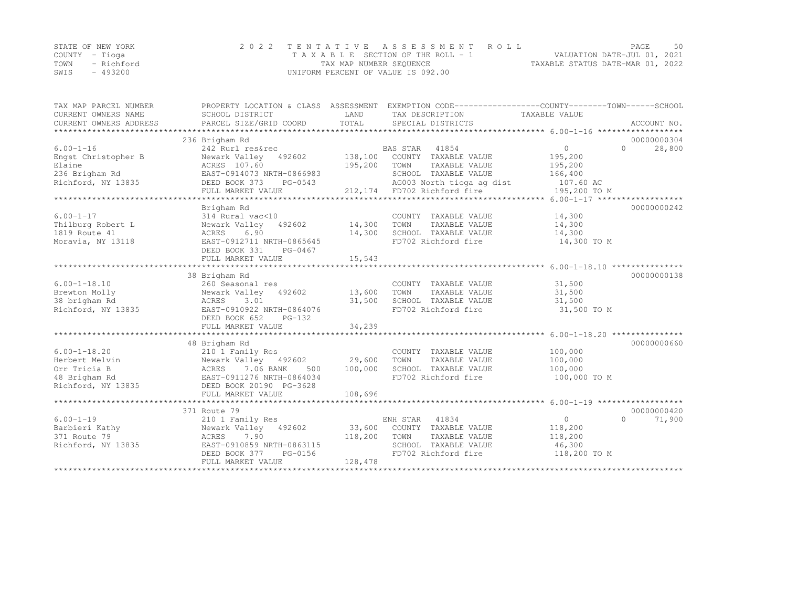|      | STATE OF NEW YORK | 2022 TENTATIVE ASSESSMENT ROLL        | PAGE                             | 50 |
|------|-------------------|---------------------------------------|----------------------------------|----|
|      | COUNTY – Tioga    | T A X A B L E SECTION OF THE ROLL - 1 | VALUATION DATE-JUL 01, 2021      |    |
|      | TOWN - Richford   | TAX MAP NUMBER SEQUENCE               | TAXABLE STATUS DATE-MAR 01, 2022 |    |
| SWIS | - 493200          | UNIFORM PERCENT OF VALUE IS 092.00    |                                  |    |

| TAX MAP PARCEL NUMBER  | PROPERTY LOCATION & CLASS ASSESSMENT EXEMPTION CODE----------------COUNTY-------TOWN------SCHOOL |             |                                     |                |                    |
|------------------------|--------------------------------------------------------------------------------------------------|-------------|-------------------------------------|----------------|--------------------|
| CURRENT OWNERS NAME    | SCHOOL DISTRICT                                                                                  | LAND        | TAX DESCRIPTION                     | TAXABLE VALUE  |                    |
| CURRENT OWNERS ADDRESS |                                                                                                  |             |                                     |                |                    |
|                        |                                                                                                  |             |                                     |                |                    |
|                        | 236 Brigham Rd                                                                                   |             |                                     |                | 00000000304        |
| $6.00 - 1 - 16$        | 242 Rurl res&rec                                                                                 |             | BAS STAR 41854                      | $\overline{0}$ | 28,800<br>$\Omega$ |
| Engst Christopher B    | 492602 138,100<br>Newark Valley                                                                  |             | COUNTY TAXABLE VALUE                | 195,200        |                    |
| Elaine                 | ACRES 107.60                                                                                     | 195,200     | TOWN<br>TAXABLE VALUE               | 195,200        |                    |
| 236 Brigham Rd         | EAST-0914073 NRTH-0866983                                                                        |             | SCHOOL TAXABLE VALUE                | 166,400        |                    |
| Richford, NY 13835     | DEED BOOK 373                                                                                    | $PG-0543$   | AG003 North tioga ag dist 107.60 AC |                |                    |
|                        | FULL MARKET VALUE                                                                                |             | 212,174 FD702 Richford fire         | 195,200 TO M   |                    |
|                        |                                                                                                  |             |                                     |                |                    |
|                        | Brigham Rd                                                                                       |             |                                     |                | 00000000242        |
| $6.00 - 1 - 17$        | 314 Rural vac<10                                                                                 |             | COUNTY TAXABLE VALUE                | 14,300         |                    |
| Thilburg Robert L      | Newark Valley 492602                                                                             | 14,300      | TOWN<br>TAXABLE VALUE               | 14,300         |                    |
| 1819 Route 41          | ACRES<br>6.90                                                                                    | 14,300      | SCHOOL TAXABLE VALUE                | 14,300         |                    |
| Moravia, NY 13118      | EAST-0912711 NRTH-0865645                                                                        |             | FD702 Richford fire                 | 14,300 TO M    |                    |
|                        | DEED BOOK 331<br>PG-0467                                                                         |             |                                     |                |                    |
|                        | FULL MARKET VALUE                                                                                | 15,543      |                                     |                |                    |
|                        |                                                                                                  |             |                                     |                |                    |
|                        | 38 Brigham Rd                                                                                    |             |                                     |                | 00000000138        |
| $6.00 - 1 - 18.10$     | 260 Seasonal res                                                                                 |             | COUNTY TAXABLE VALUE                | 31,500         |                    |
| Brewton Molly          | Newark Valley 492602 13,600                                                                      |             | TOWN<br>TAXABLE VALUE               | 31,500         |                    |
| 38 brigham Rd          | ACRES<br>3.01                                                                                    | 31,500      | SCHOOL TAXABLE VALUE                | 31,500         |                    |
| Richford, NY 13835     | EAST-0910922 NRTH-0864076                                                                        |             | FD702 Richford fire                 | 31,500 TO M    |                    |
|                        | DEED BOOK 652<br>PG-132                                                                          |             |                                     |                |                    |
|                        | FULL MARKET VALUE                                                                                | 34,239      |                                     |                |                    |
|                        |                                                                                                  |             |                                     |                |                    |
|                        | 48 Brigham Rd                                                                                    |             |                                     |                | 00000000660        |
| $6.00 - 1 - 18.20$     | 210 1 Family Res                                                                                 |             | COUNTY TAXABLE VALUE                | 100,000        |                    |
| Herbert Melvin         | Newark Valley 492602 29,600                                                                      |             | TOWN<br>TAXABLE VALUE               | 100,000        |                    |
| Orr Tricia B           |                                                                                                  | 500 100,000 | SCHOOL TAXABLE VALUE                | 100,000        |                    |
| 48 Brigham Rd          | ACRES (.00 DAM)<br>EAST-0911276 NRTH-0864034<br>CLEAST CO190 PG-3628                             |             | FD702 Richford fire                 | 100,000 TO M   |                    |
|                        |                                                                                                  |             |                                     |                |                    |
|                        | FULL MARKET VALUE                                                                                | 108,696     |                                     |                |                    |
|                        |                                                                                                  |             |                                     |                |                    |
|                        | 371 Route 79                                                                                     |             |                                     |                | 00000000420        |
| $6.00 - 1 - 19$        | 210 1 Family Res                                                                                 |             | ENH STAR 41834                      | $\overline{0}$ | 71,900<br>$\cap$   |
| Barbieri Kathy         | Newark Valley 492602                                                                             |             | 33,600 COUNTY TAXABLE VALUE         | 118,200        |                    |
| 371 Route 79           | 7.90<br>ACRES                                                                                    | 118,200     | TOWN<br>TAXABLE VALUE               | 118,200        |                    |
| Richford, NY 13835     | EAST-0910859 NRTH-0863115                                                                        |             | SCHOOL TAXABLE VALUE 46,300         |                |                    |
|                        | DEED BOOK 377<br>PG-0156                                                                         |             | FD702 Richford fire                 | 118,200 TO M   |                    |
|                        | FULL MARKET VALUE                                                                                | 128,478     |                                     |                |                    |
|                        |                                                                                                  |             |                                     |                |                    |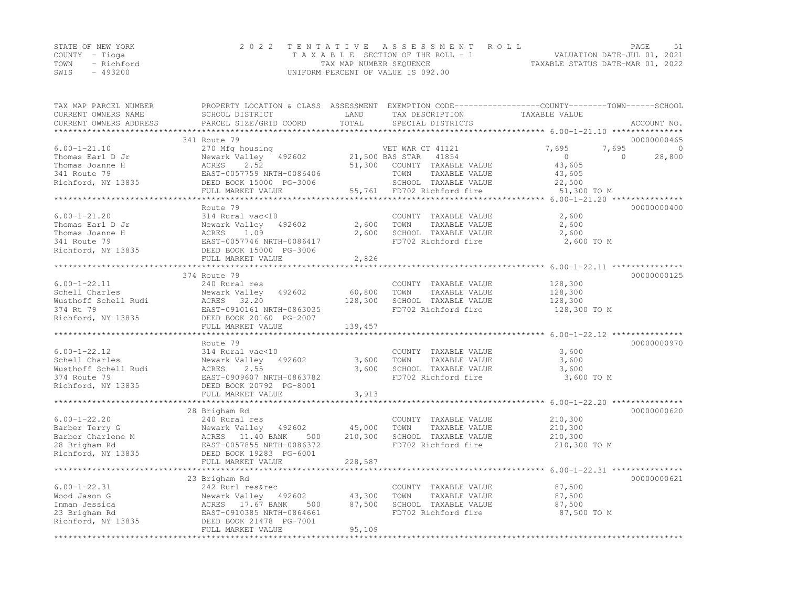|      | STATE OF NEW YORK | 2022 TENTATIVE ASSESSMENT ROLL     | PAGE                             |
|------|-------------------|------------------------------------|----------------------------------|
|      | COUNTY – Tioga    | TAXABLE SECTION OF THE ROLL - 1    | VALUATION DATE-JUL 01, 2021      |
|      | TOWN - Richford   | TAX MAP NUMBER SEQUENCE            | TAXABLE STATUS DATE-MAR 01, 2022 |
| SWIS | - 493200          | UNIFORM PERCENT OF VALUE IS 092.00 |                                  |

| TAX MAP PARCEL NUMBER<br>CURRENT OWNERS NAME | PROPERTY LOCATION & CLASS ASSESSMENT EXEMPTION CODE----------------COUNTY-------TOWN------SCHOOL<br>SCHOOL DISTRICT                                                                               | LAND    | TAX DESCRIPTION                               | TAXABLE VALUE         |                    |
|----------------------------------------------|---------------------------------------------------------------------------------------------------------------------------------------------------------------------------------------------------|---------|-----------------------------------------------|-----------------------|--------------------|
| CURRENT OWNERS ADDRESS                       | PARCEL SIZE/GRID COORD                                                                                                                                                                            | TOTAL   | SPECIAL DISTRICTS                             |                       | ACCOUNT NO.        |
|                                              |                                                                                                                                                                                                   |         |                                               |                       |                    |
|                                              | 341 Route 79                                                                                                                                                                                      |         |                                               |                       | 00000000465        |
| $6.00 - 1 - 21.10$                           | 270 Mfg housing<br>Newark Valley 492602                                                                                                                                                           |         | VET WAR CT 41121                              | 7,695<br>7,695        | $\Omega$           |
| Thomas Earl D Jr                             |                                                                                                                                                                                                   |         | 21,500 BAS STAR 41854                         | $\overline{0}$        | $\Omega$<br>28,800 |
| Thomas Joanne H                              | ACRES 2.52<br>ACKES 2.32<br>EAST-0057759 NRTH-0086406<br>DEED BOOK 15000 PG-3006                                                                                                                  |         | 51,300 COUNTY TAXABLE VALUE                   | 43,605                |                    |
| 341 Route 79<br>Richford, NY 13835           |                                                                                                                                                                                                   |         | TOWN<br>TAXABLE VALUE<br>SCHOOL TAXABLE VALUE | 43,605                |                    |
|                                              | FULL MARKET VALUE                                                                                                                                                                                 |         | 55,761 FD702 Richford fire                    | 22,500<br>51,300 TO M |                    |
|                                              |                                                                                                                                                                                                   |         |                                               |                       |                    |
|                                              | Route 79                                                                                                                                                                                          |         |                                               |                       | 00000000400        |
| $6.00 - 1 - 21.20$                           | 314 Rural vac<10                                                                                                                                                                                  |         | COUNTY TAXABLE VALUE                          | 2,600                 |                    |
|                                              |                                                                                                                                                                                                   | 2,600   | TOWN<br>TAXABLE VALUE                         | 2,600                 |                    |
|                                              |                                                                                                                                                                                                   | 2,600   | SCHOOL TAXABLE VALUE                          | 2,600                 |                    |
|                                              |                                                                                                                                                                                                   |         | FD702 Richford fire                           | 2,600 TO M            |                    |
|                                              | Thomas Earl D Jr<br>Thomas Joanne H<br>341 Route 79<br>2602 Thomas Joanne H<br>341 Route 79<br>2602 EAST-0057746 NRTH-0086417<br>2602 EAST-0057746 NRTH-0086417<br>2607 EAST-0057746 NRTH-0086417 |         |                                               |                       |                    |
|                                              | FULL MARKET VALUE                                                                                                                                                                                 | 2,826   |                                               |                       |                    |
|                                              |                                                                                                                                                                                                   |         |                                               |                       |                    |
|                                              | 374 Route 79                                                                                                                                                                                      |         |                                               |                       | 00000000125        |
| $6.00 - 1 - 22.11$                           | 240 Rural res                                                                                                                                                                                     |         | COUNTY TAXABLE VALUE                          | 128,300               |                    |
|                                              |                                                                                                                                                                                                   | 60,800  | TAXABLE VALUE<br>TOWN                         | 128,300               |                    |
|                                              |                                                                                                                                                                                                   | 128,300 | SCHOOL TAXABLE VALUE                          | 128,300               |                    |
|                                              |                                                                                                                                                                                                   |         | FD702 Richford fire                           | 128,300 TO M          |                    |
|                                              | Cohell Charles<br>Wusthoff Schell Rudi<br>Mewark Valley 492602<br>Wusthoff Schell Rudi<br>MCRES 32.20<br>374 Rt 79<br>EAST-0910161 NRTH-0863035<br>Richford, NY 13835<br>DEED BOOK 20160 PG-2007  |         |                                               |                       |                    |
|                                              | FULL MARKET VALUE                                                                                                                                                                                 | 139,457 |                                               |                       |                    |
|                                              |                                                                                                                                                                                                   |         |                                               |                       |                    |
|                                              | Route 79                                                                                                                                                                                          |         |                                               |                       | 00000000970        |
| $6.00 - 1 - 22.12$                           | 314 Rural vac<10                                                                                                                                                                                  |         | COUNTY TAXABLE VALUE                          | 3,600                 |                    |
| Schell Charles                               | Newark Valley 492602                                                                                                                                                                              | 3,600   | TAXABLE VALUE<br>TOWN                         | 3,600                 |                    |
| Wusthoff Schell Rudi                         | 2.55<br>ACRES                                                                                                                                                                                     | 3,600   | SCHOOL TAXABLE VALUE                          | 3,600                 |                    |
| 374 Route 79                                 | EAST-0909607 NRTH-0863782                                                                                                                                                                         |         | FD702 Richford fire                           | 3,600 TO M            |                    |
| Richford, NY 13835                           | DEED BOOK 20792 PG-8001                                                                                                                                                                           |         |                                               |                       |                    |
|                                              | FULL MARKET VALUE                                                                                                                                                                                 | 3,913   |                                               |                       |                    |
|                                              |                                                                                                                                                                                                   |         |                                               |                       |                    |
| $6.00 - 1 - 22.20$                           | 28 Brigham Rd                                                                                                                                                                                     |         |                                               |                       | 00000000620        |
|                                              | 240 Rural res                                                                                                                                                                                     | 45,000  | COUNTY TAXABLE VALUE<br>TOWN<br>TAXABLE VALUE | 210,300<br>210,300    |                    |
|                                              |                                                                                                                                                                                                   | 210,300 | SCHOOL TAXABLE VALUE                          | 210,300               |                    |
|                                              | Barber Terry G<br>Barber Charlene M<br>28 Brigham Rd<br>28 Brigham Rd<br>28 Brigham Rd<br>28 Brigham Rd<br>28 Brigham Rd<br>28 Brigham Rd<br>28 Brigham Rd                                        |         | FD702 Richford fire                           | 210,300 TO M          |                    |
|                                              | Richford, NY 13835 DEED BOOK 19283 PG-6001                                                                                                                                                        |         |                                               |                       |                    |
|                                              | FULL MARKET VALUE                                                                                                                                                                                 | 228,587 |                                               |                       |                    |
|                                              |                                                                                                                                                                                                   |         |                                               |                       |                    |
|                                              | 23 Brigham Rd                                                                                                                                                                                     |         |                                               |                       | 00000000621        |
| $6.00 - 1 - 22.31$                           | 242 Rurl res&rec                                                                                                                                                                                  |         | COUNTY TAXABLE VALUE                          | 87,500                |                    |
| Wood Jason G                                 |                                                                                                                                                                                                   |         | TOWN<br>TAXABLE VALUE                         | 87,500                |                    |
| Inman Jessica                                |                                                                                                                                                                                                   |         | SCHOOL TAXABLE VALUE                          | 87,500                |                    |
|                                              |                                                                                                                                                                                                   |         | FD702 Richford fire                           | 87,500 TO M           |                    |
| 23 Brigham Rd<br>Richford, NY 13835          | Newark Valley 492602 43,300<br>ACRES 17.67 BANK 500 87,500<br>EAST-0910385 NRTH-0864661<br>DEED BOOK 21478 PG-7001                                                                                |         |                                               |                       |                    |
|                                              | FULL MARKET VALUE                                                                                                                                                                                 | 95,109  |                                               |                       |                    |
|                                              |                                                                                                                                                                                                   |         |                                               |                       |                    |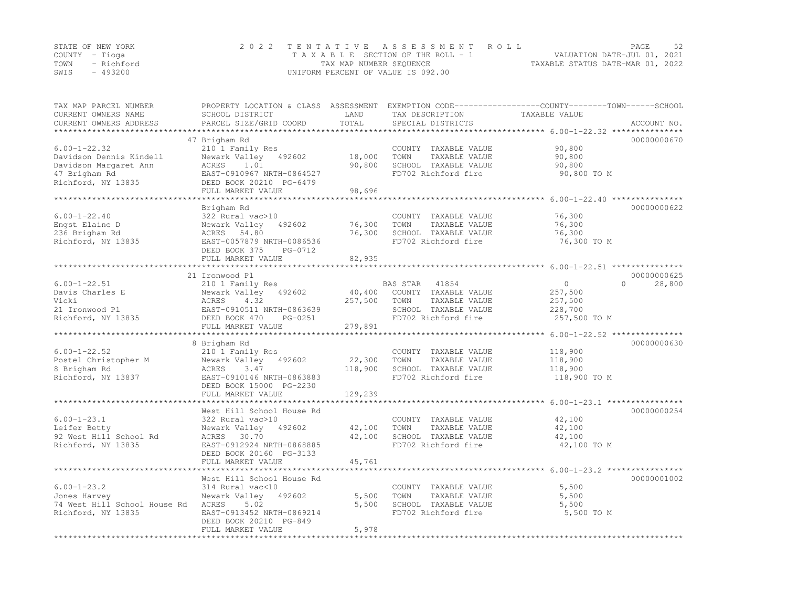|      | STATE OF NEW YORK | 2022 TENTATIVE ASSESSMENT ROLL        | PAGE                             | -52 |
|------|-------------------|---------------------------------------|----------------------------------|-----|
|      | COUNTY – Tioga    | T A X A B L E SECTION OF THE ROLL - 1 | VALUATION DATE-JUL 01, 2021      |     |
|      | TOWN - Richford   | TAX MAP NUMBER SEQUENCE               | TAXABLE STATUS DATE-MAR 01, 2022 |     |
| SWIS | - 493200          | UNIFORM PERCENT OF VALUE IS 092.00    |                                  |     |

| TAX MAP PARCEL NUMBER<br>CURRENT OWNERS NAME<br>SCHOOL DISTRICT<br>CURRENT OWNERS ADDRESS<br>PARCEL SIZE/GRID COORD | LAND<br>TOTAL     | TAX DESCRIPTION<br>SPECIAL DISTRICTS | PROPERTY LOCATION & CLASS ASSESSMENT EXEMPTION CODE----------------COUNTY-------TOWN-----SCHOOL<br>TAXABLE VALUE<br>ACCOUNT NO. |
|---------------------------------------------------------------------------------------------------------------------|-------------------|--------------------------------------|---------------------------------------------------------------------------------------------------------------------------------|
|                                                                                                                     |                   |                                      |                                                                                                                                 |
| 47 Brigham Rd<br>$6.00 - 1 - 22.32$<br>210 1 Family Res                                                             |                   | COUNTY TAXABLE VALUE                 | 00000000670<br>90,800                                                                                                           |
| Davidson Dennis Kindell<br>Newark Valley 492602                                                                     | 18,000            | TOWN<br>TAXABLE VALUE                | 90,800                                                                                                                          |
| ACRES<br>Davidson Margaret Ann<br>1.01                                                                              | 90,800            | SCHOOL TAXABLE VALUE                 | 90,800                                                                                                                          |
| EAST-0910967 NRTH-0864527<br>47 Brigham Rd                                                                          |                   | FD702 Richford fire                  | 90,800 TO M                                                                                                                     |
| Richford, NY 13835<br>DEED BOOK 20210 PG-6479                                                                       |                   |                                      |                                                                                                                                 |
| FULL MARKET VALUE                                                                                                   | 98,696            |                                      |                                                                                                                                 |
|                                                                                                                     |                   |                                      |                                                                                                                                 |
| Brigham Rd                                                                                                          |                   |                                      | 00000000622                                                                                                                     |
| $6.00 - 1 - 22.40$<br>322 Rural vac>10                                                                              |                   | COUNTY TAXABLE VALUE                 | 76,300                                                                                                                          |
| Engst Elaine D<br>Newark Valley<br>492602                                                                           | 76,300            | TOWN<br>TAXABLE VALUE                | 76,300                                                                                                                          |
| 236 Brigham Rd<br>ACRES 54.80                                                                                       | 76,300            | SCHOOL TAXABLE VALUE                 | 76,300                                                                                                                          |
| Richford, NY 13835<br>EAST-0057879 NRTH-0086536                                                                     |                   | FD702 Richford fire                  | 76,300 TO M                                                                                                                     |
| DEED BOOK 375<br>FULL MARKET VALUE                                                                                  | PG-0712<br>82,935 |                                      |                                                                                                                                 |
|                                                                                                                     |                   |                                      |                                                                                                                                 |
| 21 Ironwood Pl                                                                                                      |                   |                                      | 00000000625                                                                                                                     |
| $6.00 - 1 - 22.51$<br>210 1 Family Res                                                                              |                   | BAS STAR<br>41854                    | $\circ$<br>$\Omega$<br>28,800                                                                                                   |
| Davis Charles E<br>Newark Valley 492602                                                                             | 40,400            | COUNTY TAXABLE VALUE                 | 257,500                                                                                                                         |
| 4.32<br>Vicki<br>ACRES                                                                                              | 257,500           | TAXABLE VALUE<br>TOWN                | 257,500                                                                                                                         |
| 21 Ironwood Pl<br>EAST-0910511 NRTH-0863639                                                                         |                   | SCHOOL TAXABLE VALUE                 | 228,700                                                                                                                         |
| Richford, NY 13835<br>DEED BOOK 470                                                                                 | PG-0251           | FD702 Richford fire                  | 257,500 TO M                                                                                                                    |
| FULL MARKET VALUE                                                                                                   | 279,891           |                                      |                                                                                                                                 |
|                                                                                                                     |                   |                                      |                                                                                                                                 |
| 8 Brigham Rd                                                                                                        |                   |                                      | 00000000630                                                                                                                     |
| $6.00 - 1 - 22.52$<br>210 1 Family Res                                                                              |                   | COUNTY TAXABLE VALUE                 | 118,900                                                                                                                         |
| Postel Christopher M<br>Newark Valley 492602                                                                        | 22,300            | TOWN<br>TAXABLE VALUE                | 118,900                                                                                                                         |
| 3.47<br>8 Brigham Rd<br>ACRES                                                                                       | 118,900           | SCHOOL TAXABLE VALUE                 | 118,900                                                                                                                         |
| Richford, NY 13837<br>EAST-0910146 NRTH-0863883                                                                     |                   | FD702 Richford fire                  | 118,900 TO M                                                                                                                    |
| DEED BOOK 15000 PG-2230                                                                                             |                   |                                      |                                                                                                                                 |
| FULL MARKET VALUE                                                                                                   | 129,239           |                                      |                                                                                                                                 |
| West Hill School House Rd                                                                                           |                   |                                      | 00000000254                                                                                                                     |
| $6.00 - 1 - 23.1$<br>322 Rural vac>10                                                                               |                   | COUNTY TAXABLE VALUE                 | 42,100                                                                                                                          |
| Leifer Betty<br>Newark Valley<br>492602                                                                             | 42,100            | TOWN<br>TAXABLE VALUE                | 42,100                                                                                                                          |
| 92 West Hill School Rd<br>ACRES 30.70                                                                               | 42,100            | SCHOOL TAXABLE VALUE                 | 42,100                                                                                                                          |
| Richford, NY 13835<br>EAST-0912924 NRTH-0868885                                                                     |                   | FD702 Richford fire                  | 42,100 TO M                                                                                                                     |
| DEED BOOK 20160 PG-3133                                                                                             |                   |                                      |                                                                                                                                 |
| FULL MARKET VALUE                                                                                                   | 45,761            |                                      |                                                                                                                                 |
|                                                                                                                     |                   |                                      |                                                                                                                                 |
| West Hill School House Rd                                                                                           |                   |                                      | 00000001002                                                                                                                     |
| $6.00 - 1 - 23.2$<br>314 Rural vac<10                                                                               |                   | COUNTY TAXABLE VALUE                 | 5,500                                                                                                                           |
| Jones Harvey<br>Newark Valley 492602                                                                                | 5,500             | TAXABLE VALUE<br>TOWN                | 5,500                                                                                                                           |
| 74 West Hill School House Rd ACRES<br>5.02                                                                          | 5,500             | SCHOOL TAXABLE VALUE                 | 5,500                                                                                                                           |
| Richford, NY 13835<br>EAST-0913452 NRTH-0869214                                                                     |                   | FD702 Richford fire                  | 5,500 TO M                                                                                                                      |
| DEED BOOK 20210 PG-849                                                                                              |                   |                                      |                                                                                                                                 |
| FULL MARKET VALUE                                                                                                   | 5,978             |                                      |                                                                                                                                 |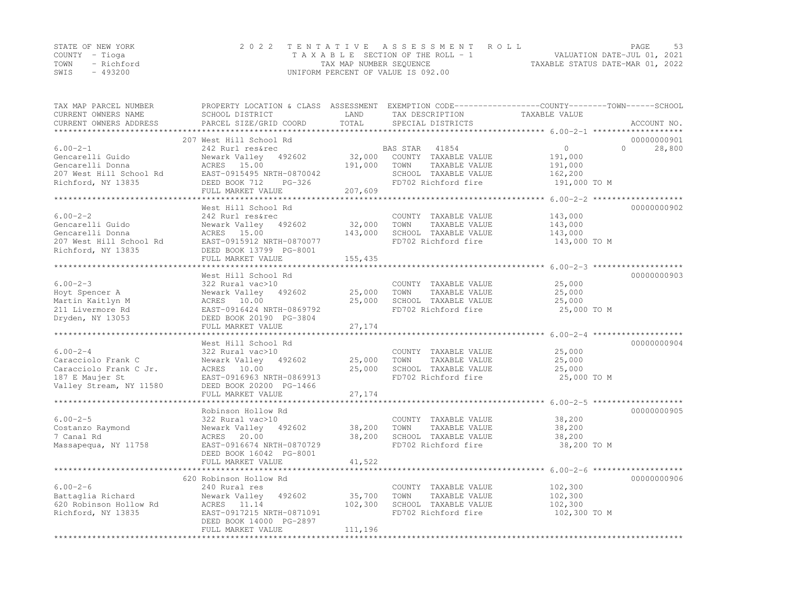| STATE OF NEW YORK  | 2022 TENTATIVE ASSESSMENT ROLL     | - 53<br>PAGE                     |
|--------------------|------------------------------------|----------------------------------|
| COUNTY – Tioga     | TAXABLE SECTION OF THE ROLL - 1    | VALUATION DATE-JUL 01, 2021      |
| TOWN<br>- Richford | TAX MAP NUMBER SEQUENCE            | TAXABLE STATUS DATE-MAR 01, 2022 |
| $-493200$<br>SWIS  | UNIFORM PERCENT OF VALUE IS 092.00 |                                  |

| TAX MAP PARCEL NUMBER<br>CURRENT OWNERS NAME<br>CURRENT OWNERS ADDRESS                                       | PROPERTY LOCATION & CLASS ASSESSMENT EXEMPTION CODE----------------COUNTY-------TOWN-----SCHOOL<br>SCHOOL DISTRICT<br>PARCEL SIZE/GRID COORD                      | LAND<br>TOTAL                | TAX DESCRIPTION<br>SPECIAL DISTRICTS                                                                              | TAXABLE VALUE                                            | ACCOUNT NO.                       |
|--------------------------------------------------------------------------------------------------------------|-------------------------------------------------------------------------------------------------------------------------------------------------------------------|------------------------------|-------------------------------------------------------------------------------------------------------------------|----------------------------------------------------------|-----------------------------------|
|                                                                                                              |                                                                                                                                                                   |                              |                                                                                                                   |                                                          |                                   |
| $6.00 - 2 - 1$<br>Gencarelli Guido<br>Gencarelli Donna<br>207 West Hill School Rd<br>Richford, NY 13835      | 207 West Hill School Rd<br>242 Rurl res&rec<br>Newark Valley 492602<br>ACRES 15.00<br>EAST-0915495 NRTH-0870042<br>DEED BOOK 712<br>$PG-326$<br>FULL MARKET VALUE | 32,000<br>191,000<br>207,609 | BAS STAR<br>41854<br>COUNTY TAXABLE VALUE<br>TOWN<br>TAXABLE VALUE<br>SCHOOL TAXABLE VALUE<br>FD702 Richford fire | $\circ$<br>191,000<br>191,000<br>162,200<br>191,000 TO M | 00000000901<br>28,800<br>$\Omega$ |
|                                                                                                              | West Hill School Rd                                                                                                                                               |                              |                                                                                                                   |                                                          | 00000000902                       |
| $6.00 - 2 - 2$<br>Gencarelli Guido<br>Gencarelli Donna<br>207 West Hill School Rd<br>Richford, NY 13835      | 242 Rurl res&rec<br>Newark Valley 492602<br>ACRES 15.00<br>EAST-0915912 NRTH-0870077<br>DEED BOOK 13799 PG-8001                                                   | 32,000<br>143,000            | COUNTY TAXABLE VALUE<br>TAXABLE VALUE<br>TOWN<br>SCHOOL TAXABLE VALUE<br>FD702 Richford fire                      | 143,000<br>143,000<br>143,000<br>143,000 TO M            |                                   |
|                                                                                                              | FULL MARKET VALUE                                                                                                                                                 | 155,435                      |                                                                                                                   |                                                          |                                   |
|                                                                                                              | West Hill School Rd                                                                                                                                               |                              |                                                                                                                   |                                                          | 00000000903                       |
| $6.00 - 2 - 3$<br>Hoyt Spencer A<br>Martin Kaitlyn M<br>211 Livermore Rd<br>Dryden, NY 13053                 | 322 Rural vac>10<br>Newark Valley 492602<br>ACRES 10.00<br>EAST-0916424 NRTH-0869792<br>DEED BOOK 20190 PG-3804<br>FULL MARKET VALUE                              | 25,000<br>25,000<br>27,174   | COUNTY TAXABLE VALUE<br>TAXABLE VALUE<br>TOWN<br>SCHOOL TAXABLE VALUE<br>FD702 Richford fire                      | 25,000<br>25,000<br>25,000<br>25,000 TO M                |                                   |
|                                                                                                              |                                                                                                                                                                   |                              |                                                                                                                   |                                                          |                                   |
| $6.00 - 2 - 4$<br>Caracciolo Frank C<br>Caracciolo Frank C Jr.<br>187 E Maujer St<br>Valley Stream, NY 11580 | West Hill School Rd<br>322 Rural vac>10<br>Newark Valley 492602<br>ACRES 10.00<br>EAST-0916963 NRTH-0869913<br>DEED BOOK 20200 PG-1466                            | 25,000<br>25,000             | COUNTY TAXABLE VALUE<br>TAXABLE VALUE<br>TOWN<br>SCHOOL TAXABLE VALUE<br>FD702 Richford fire                      | 25,000<br>25,000<br>25,000<br>25,000 TO M                | 00000000904                       |
|                                                                                                              | FULL MARKET VALUE<br>*********************                                                                                                                        | 27,174                       |                                                                                                                   | *********** 6.00-2-5 *****************                   |                                   |
| $6.00 - 2 - 5$<br>Costanzo Raymond<br>7 Canal Rd<br>Massapequa, NY 11758                                     | Robinson Hollow Rd<br>322 Rural vac>10<br>Newark Valley<br>492602<br>ACRES 20.00<br>EAST-0916674 NRTH-0870729<br>DEED BOOK 16042 PG-8001<br>FULL MARKET VALUE     | 38,200<br>38,200<br>41,522   | COUNTY TAXABLE VALUE<br>TOWN<br>TAXABLE VALUE<br>SCHOOL TAXABLE VALUE<br>FD702 Richford fire                      | 38,200<br>38,200<br>38,200<br>38,200 TO M                | 00000000905                       |
|                                                                                                              |                                                                                                                                                                   |                              |                                                                                                                   |                                                          |                                   |
| $6.00 - 2 - 6$<br>Battaglia Richard<br>620 Robinson Hollow Rd<br>Richford, NY 13835                          | 620 Robinson Hollow Rd<br>240 Rural res<br>492602<br>Newark Valley<br>ACRES 11.14<br>EAST-0917215 NRTH-0871091<br>DEED BOOK 14000 PG-2897<br>FULL MARKET VALUE    | 35,700<br>102,300<br>111,196 | COUNTY TAXABLE VALUE<br>TAXABLE VALUE<br>TOWN<br>SCHOOL TAXABLE VALUE<br>FD702 Richford fire                      | 102,300<br>102,300<br>102,300<br>102,300 TO M            | 00000000906                       |
|                                                                                                              |                                                                                                                                                                   |                              |                                                                                                                   |                                                          |                                   |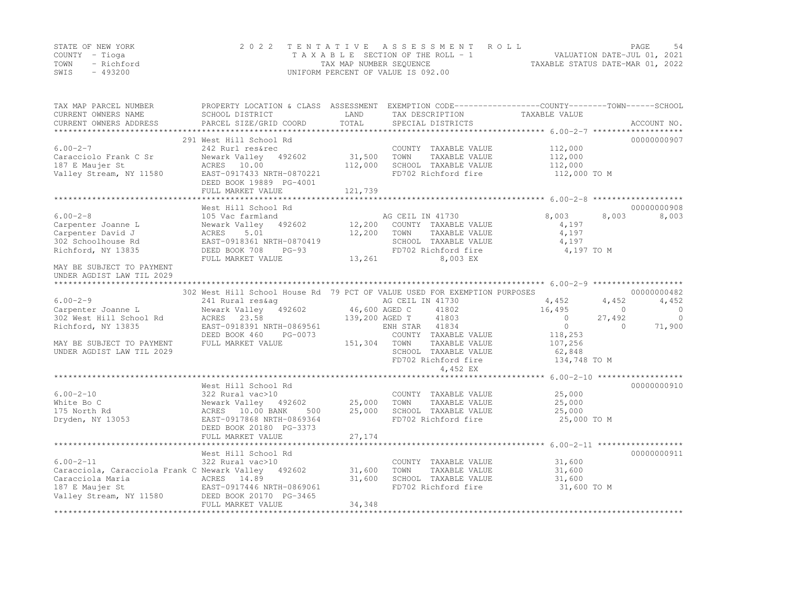|      | STATE OF NEW YORK | 2022 TENTATIVE ASSESSMENT ROLL     | 54<br>PAGE                       |
|------|-------------------|------------------------------------|----------------------------------|
|      | COUNTY – Tioga    | TAXABLE SECTION OF THE ROLL - 1    | VALUATION DATE-JUL 01, 2021      |
| TOWN | - Richford        | TAX MAP NUMBER SEQUENCE            | TAXABLE STATUS DATE-MAR 01, 2022 |
| SWIS | - 493200          | UNIFORM PERCENT OF VALUE IS 092.00 |                                  |

| TAX MAP PARCEL NUMBER<br>CURRENT OWNERS NAME<br>CURRENT OWNERS ADDRESS | PROPERTY LOCATION & CLASS ASSESSMENT EXEMPTION CODE----------------COUNTY-------TOWN------SCHOOL<br>SCHOOL DISTRICT<br>PARCEL SIZE/GRID COORD | LAND<br>TOTAL  | TAX DESCRIPTION<br>SPECIAL DISTRICTS | TAXABLE VALUE                          | ACCOUNT NO.        |
|------------------------------------------------------------------------|-----------------------------------------------------------------------------------------------------------------------------------------------|----------------|--------------------------------------|----------------------------------------|--------------------|
|                                                                        |                                                                                                                                               |                |                                      |                                        |                    |
|                                                                        | 291 West Hill School Rd                                                                                                                       |                |                                      |                                        | 00000000907        |
| $6.00 - 2 - 7$                                                         | 242 Rurl res&rec                                                                                                                              |                | COUNTY TAXABLE VALUE                 | 112,000                                |                    |
| Caracciolo Frank C Sr                                                  | Newark Valley 492602                                                                                                                          | 31,500         | TOWN<br>TAXABLE VALUE                | 112,000                                |                    |
| 187 E Maujer St                                                        | ACRES 10.00                                                                                                                                   | 112,000        | SCHOOL TAXABLE VALUE                 | 112,000                                |                    |
| Valley Stream, NY 11580                                                | EAST-0917433 NRTH-0870221                                                                                                                     |                | FD702 Richford fire                  | 112,000 TO M                           |                    |
|                                                                        | DEED BOOK 19889 PG-4001                                                                                                                       |                |                                      |                                        |                    |
|                                                                        | FULL MARKET VALUE                                                                                                                             | 121,739        |                                      |                                        |                    |
|                                                                        | West Hill School Rd                                                                                                                           |                |                                      |                                        | 00000000908        |
| $6.00 - 2 - 8$                                                         | 105 Vac farmland                                                                                                                              |                | AG CEIL IN 41730                     | 8,003                                  | 8,003<br>8,003     |
| Carpenter Joanne L                                                     | Newark Valley 492602                                                                                                                          | 12,200         | COUNTY TAXABLE VALUE                 | 4,197                                  |                    |
| Carpenter David J                                                      | 5.01<br>ACRES                                                                                                                                 | 12,200         | TOWN<br>TAXABLE VALUE                | 4,197                                  |                    |
| 302 Schoolhouse Rd                                                     | EAST-0918361 NRTH-0870419                                                                                                                     |                | SCHOOL TAXABLE VALUE                 | 4,197                                  |                    |
| Richford, NY 13835                                                     | DEED BOOK 708<br>PG-93                                                                                                                        |                | FD702 Richford fire                  | 4,197 TO M                             |                    |
|                                                                        | FULL MARKET VALUE                                                                                                                             | 13,261         | 8,003 EX                             |                                        |                    |
| MAY BE SUBJECT TO PAYMENT                                              |                                                                                                                                               |                |                                      |                                        |                    |
| UNDER AGDIST LAW TIL 2029                                              |                                                                                                                                               |                |                                      |                                        |                    |
|                                                                        |                                                                                                                                               |                |                                      |                                        |                    |
|                                                                        | 302 West Hill School House Rd 79 PCT OF VALUE USED FOR EXEMPTION PURPOSES                                                                     |                |                                      |                                        | 00000000482        |
| $6.00 - 2 - 9$                                                         | 241 Rural res&aq                                                                                                                              |                | AG CEIL IN 41730                     | 4,452                                  | 4,452<br>4,452     |
| Carpenter Joanne L                                                     | Newark Valley 492602                                                                                                                          | 46,600 AGED C  | 41802                                | 16,495                                 | $\circ$<br>$\circ$ |
| 302 West Hill School Rd                                                | ACRES 23.58                                                                                                                                   | 139,200 AGED T | 41803                                | $\Omega$                               | 27,492<br>$\Omega$ |
| Richford, NY 13835                                                     | EAST-0918391 NRTH-0869561                                                                                                                     |                | ENH STAR 41834                       | $\circ$                                | 71,900<br>$\Omega$ |
|                                                                        | DEED BOOK 460<br>PG-0073                                                                                                                      |                | COUNTY TAXABLE VALUE                 | 118,253                                |                    |
| MAY BE SUBJECT TO PAYMENT                                              | FULL MARKET VALUE                                                                                                                             | 151,304 TOWN   | TAXABLE VALUE                        | 107,256                                |                    |
| UNDER AGDIST LAW TIL 2029                                              |                                                                                                                                               |                | SCHOOL TAXABLE VALUE                 | 62,848                                 |                    |
|                                                                        |                                                                                                                                               |                | FD702 Richford fire                  | 134,748 TO M                           |                    |
|                                                                        |                                                                                                                                               |                | 4,452 EX                             |                                        |                    |
|                                                                        |                                                                                                                                               |                |                                      | ******** 6.00-2-10 ******************* |                    |
|                                                                        | West Hill School Rd                                                                                                                           |                |                                      |                                        | 00000000910        |
| $6.00 - 2 - 10$                                                        | 322 Rural vac>10                                                                                                                              |                | COUNTY TAXABLE VALUE                 | 25,000                                 |                    |
| White Bo C                                                             | Newark Valley 492602                                                                                                                          | 25,000         | TOWN<br>TAXABLE VALUE                | 25,000                                 |                    |
| 175 North Rd                                                           | ACRES 10.00 BANK<br>500                                                                                                                       | 25,000         | SCHOOL TAXABLE VALUE                 | 25,000                                 |                    |
| Dryden, NY 13053                                                       | EAST-0917868 NRTH-0869364                                                                                                                     |                | FD702 Richford fire                  | 25,000 TO M                            |                    |
|                                                                        | DEED BOOK 20180 PG-3373                                                                                                                       |                |                                      |                                        |                    |
|                                                                        | FULL MARKET VALUE                                                                                                                             | 27,174         |                                      |                                        |                    |
|                                                                        | West Hill School Rd                                                                                                                           |                |                                      |                                        | 00000000911        |
| $6.00 - 2 - 11$                                                        | 322 Rural vac>10                                                                                                                              |                | COUNTY TAXABLE VALUE                 | 31,600                                 |                    |
| Caracciola, Caracciola Frank C Newark Valley 492602                    |                                                                                                                                               | 31,600         | TOWN<br>TAXABLE VALUE                | 31,600                                 |                    |
| Caracciola Maria                                                       | ACRES 14.89                                                                                                                                   | 31,600         | SCHOOL TAXABLE VALUE                 | 31,600                                 |                    |
| 187 E Maujer St                                                        | EAST-0917446 NRTH-0869061                                                                                                                     |                | FD702 Richford fire                  | 31,600 TO M                            |                    |
| Valley Stream, NY 11580                                                | DEED BOOK 20170 PG-3465                                                                                                                       |                |                                      |                                        |                    |
|                                                                        | FULL MARKET VALUE                                                                                                                             | 34,348         |                                      |                                        |                    |
|                                                                        |                                                                                                                                               |                |                                      |                                        |                    |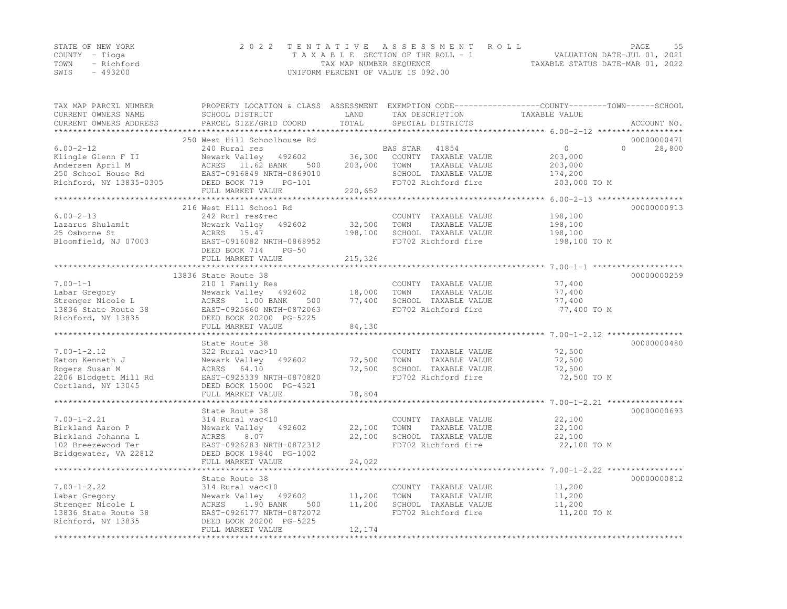|      | STATE OF NEW YORK | 2022 TENTATIVE ASSESSMENT ROLL                                 | PAGE | - 55 |
|------|-------------------|----------------------------------------------------------------|------|------|
|      | COUNTY – Tioga    | VALUATION DATE-JUL 01, 2021<br>TAXABLE SECTION OF THE ROLL - 1 |      |      |
| TOWN | - Richford        | TAXABLE STATUS DATE-MAR 01, 2022<br>TAX MAP NUMBER SEQUENCE    |      |      |
| SWIS | $-493200$         | UNIFORM PERCENT OF VALUE IS 092.00                             |      |      |

| TAX MAP PARCEL NUMBER<br>CURRENT OWNERS NAME<br>CURRENT OWNERS ADDRESS | SCHOOL DISTRICT<br>PARCEL SIZE/GRID COORD      | LAND<br>TOTAL | TAX DESCRIPTION<br>SPECIAL DISTRICTS          | PROPERTY LOCATION & CLASS ASSESSMENT EXEMPTION CODE----------------COUNTY-------TOWN-----SCHOOL<br>TAXABLE VALUE<br>ACCOUNT NO. |
|------------------------------------------------------------------------|------------------------------------------------|---------------|-----------------------------------------------|---------------------------------------------------------------------------------------------------------------------------------|
| **********************                                                 |                                                |               |                                               |                                                                                                                                 |
| $6.00 - 2 - 12$                                                        | 250 West Hill Schoolhouse Rd<br>240 Rural res  |               | BAS STAR<br>41854                             | 00000000471<br>$\circ$<br>$\Omega$<br>28,800                                                                                    |
| Klingle Glenn F II                                                     | Newark Valley 492602                           | 36,300        | COUNTY TAXABLE VALUE                          | 203,000                                                                                                                         |
| Andersen April M                                                       | ACRES 11.62 BANK<br>500                        | 203,000       | TAXABLE VALUE<br>TOWN                         | 203,000                                                                                                                         |
| 250 School House Rd                                                    | EAST-0916849 NRTH-0869010                      |               | SCHOOL TAXABLE VALUE                          | 174,200                                                                                                                         |
| Richford, NY 13835-0305                                                | DEED BOOK 719<br>$PG-101$<br>FULL MARKET VALUE | 220,652       | FD702 Richford fire                           | 203,000 TO M                                                                                                                    |
|                                                                        |                                                |               |                                               |                                                                                                                                 |
|                                                                        | 216 West Hill School Rd                        |               |                                               | 00000000913                                                                                                                     |
| $6.00 - 2 - 13$                                                        | 242 Rurl res&rec                               |               | COUNTY TAXABLE VALUE                          | 198,100                                                                                                                         |
| Lazarus Shulamit                                                       | Newark Valley<br>492602                        | 32,500        | TOWN<br>TAXABLE VALUE                         | 198,100                                                                                                                         |
| 25 Osborne St                                                          | ACRES 15.47                                    | 198,100       | SCHOOL TAXABLE VALUE                          | 198,100                                                                                                                         |
| Bloomfield, NJ 07003                                                   | EAST-0916082 NRTH-0868952                      |               | FD702 Richford fire                           | 198,100 TO M                                                                                                                    |
|                                                                        | DEED BOOK 714<br>$PG-50$                       |               |                                               |                                                                                                                                 |
|                                                                        | FULL MARKET VALUE                              | 215,326       |                                               |                                                                                                                                 |
|                                                                        |                                                |               |                                               |                                                                                                                                 |
| $7.00 - 1 - 1$                                                         | 13836 State Route 38<br>210 1 Family Res       |               | COUNTY TAXABLE VALUE                          | 00000000259<br>77,400                                                                                                           |
| Labar Gregory                                                          | Newark Valley 492602                           | 18,000        | TAXABLE VALUE<br>TOWN                         | 77,400                                                                                                                          |
| Strenger Nicole L                                                      | ACRES<br>1.00 BANK<br>500                      | 77,400        | SCHOOL TAXABLE VALUE                          | 77,400                                                                                                                          |
| 13836 State Route 38                                                   | EAST-0925660 NRTH-0872063                      |               | FD702 Richford fire                           | 77,400 TO M                                                                                                                     |
| Richford, NY 13835                                                     | DEED BOOK 20200 PG-5225                        |               |                                               |                                                                                                                                 |
|                                                                        | FULL MARKET VALUE                              | 84,130        |                                               |                                                                                                                                 |
|                                                                        |                                                |               |                                               |                                                                                                                                 |
|                                                                        | State Route 38                                 |               |                                               | 00000000480                                                                                                                     |
| $7.00 - 1 - 2.12$                                                      | 322 Rural vac>10                               |               | COUNTY TAXABLE VALUE                          | 72,500                                                                                                                          |
| Eaton Kenneth J                                                        | Newark Valley<br>492602                        | 72,500        | TOWN<br>TAXABLE VALUE                         | 72,500                                                                                                                          |
| Rogers Susan M                                                         | 64.10<br>ACRES                                 | 72,500        | SCHOOL TAXABLE VALUE                          | 72,500                                                                                                                          |
| 2206 Blodgett Mill Rd                                                  | EAST-0925339 NRTH-0870820                      |               | FD702 Richford fire                           | 72,500 TO M                                                                                                                     |
| Cortland, NY 13045                                                     | DEED BOOK 15000 PG-4521                        |               |                                               |                                                                                                                                 |
|                                                                        | FULL MARKET VALUE                              | 78,804        |                                               |                                                                                                                                 |
|                                                                        |                                                |               |                                               |                                                                                                                                 |
|                                                                        | State Route 38                                 |               |                                               | 00000000693                                                                                                                     |
| $7.00 - 1 - 2.21$<br>Birkland Aaron P                                  | 314 Rural vac<10<br>Newark Valley<br>492602    | 22,100        | COUNTY TAXABLE VALUE<br>TOWN<br>TAXABLE VALUE | 22,100<br>22,100                                                                                                                |
| Birkland Johanna L                                                     | ACRES<br>8.07                                  | 22,100        | SCHOOL TAXABLE VALUE                          | 22,100                                                                                                                          |
| 102 Breezewood Ter                                                     | EAST-0926283 NRTH-0872312                      |               | FD702 Richford fire                           | 22,100 TO M                                                                                                                     |
| Bridgewater, VA 22812                                                  | DEED BOOK 19840 PG-1002                        |               |                                               |                                                                                                                                 |
|                                                                        | FULL MARKET VALUE                              | 24,022        |                                               |                                                                                                                                 |
|                                                                        |                                                |               |                                               |                                                                                                                                 |
|                                                                        | State Route 38                                 |               |                                               | 00000000812                                                                                                                     |
| $7.00 - 1 - 2.22$                                                      | 314 Rural vac<10                               |               | COUNTY TAXABLE VALUE                          | 11,200                                                                                                                          |
| Labar Gregory                                                          | Newark Valley<br>492602                        | 11,200        | TOWN<br>TAXABLE VALUE                         | 11,200                                                                                                                          |
| Strenger Nicole L                                                      | ACRES<br>1.90 BANK<br>500                      | 11,200        | SCHOOL TAXABLE VALUE                          | 11,200                                                                                                                          |
| 13836 State Route 38                                                   | EAST-0926177 NRTH-0872072                      |               | FD702 Richford fire                           | 11,200 TO M                                                                                                                     |
| Richford, NY 13835                                                     | DEED BOOK 20200 PG-5225                        |               |                                               |                                                                                                                                 |
|                                                                        | FULL MARKET VALUE                              | 12,174        |                                               |                                                                                                                                 |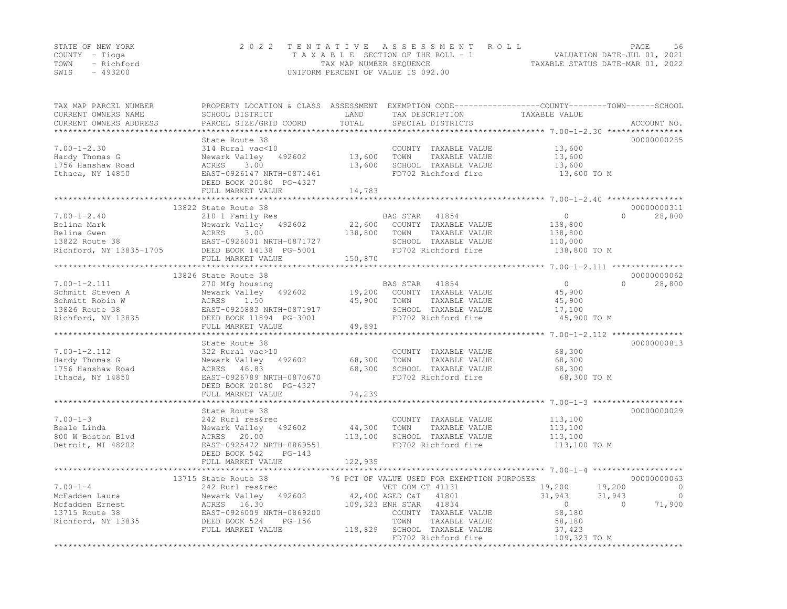|      | STATE OF NEW YORK | 2022 TENTATIVE ASSESSMENT ROLL     | PAGE.                            | .56 |
|------|-------------------|------------------------------------|----------------------------------|-----|
|      | COUNTY – Tioga    | TAXABLE SECTION OF THE ROLL - 1    | VALUATION DATE-JUL 01, 2021      |     |
|      | TOWN - Richford   | TAX MAP NUMBER SEQUENCE            | TAXABLE STATUS DATE-MAR 01, 2022 |     |
| SWIS | - 493200          | UNIFORM PERCENT OF VALUE IS 092.00 |                                  |     |

| TAX MAP PARCEL NUMBER<br>CURRENT OWNERS NAME<br>CURRENT OWNERS ADDRESS                            | PROPERTY LOCATION & CLASS ASSESSMENT<br>SCHOOL DISTRICT<br>PARCEL SIZE/GRID COORD                                                                           | LAND<br>TOTAL                | EXEMPTION CODE-----------------COUNTY-------TOWN------SCHOOL<br>TAX DESCRIPTION<br>SPECIAL DISTRICTS              | TAXABLE VALUE<br>************ 7.00-1-2.30 *****          | ACCOUNT NO.                                             |
|---------------------------------------------------------------------------------------------------|-------------------------------------------------------------------------------------------------------------------------------------------------------------|------------------------------|-------------------------------------------------------------------------------------------------------------------|----------------------------------------------------------|---------------------------------------------------------|
| $7.00 - 1 - 2.30$<br>Hardy Thomas G<br>1756 Hanshaw Road<br>Ithaca, NY 14850                      | State Route 38<br>314 Rural vac<10<br>Newark Valley<br>492602<br>ACRES<br>3.00<br>EAST-0926147 NRTH-0871461<br>DEED BOOK 20180 PG-4327<br>FULL MARKET VALUE | 13,600<br>13,600<br>14,783   | COUNTY TAXABLE VALUE<br>TOWN<br>TAXABLE VALUE<br>SCHOOL TAXABLE VALUE<br>FD702 Richford fire                      | 13,600<br>13,600<br>13,600<br>13,600 TO M                | 00000000285                                             |
|                                                                                                   | 13822 State Route 38                                                                                                                                        |                              |                                                                                                                   |                                                          | 00000000311                                             |
| $7.00 - 1 - 2.40$<br>Belina Mark<br>Belina Gwen<br>13822 Route 38<br>Richford, NY 13835-1705      | 210 1 Family Res<br>Newark Valley 492602<br>ACRES<br>3.00<br>EAST-0926001 NRTH-0871727<br>DEED BOOK 14138 PG-5001                                           | 22,600<br>138,800            | 41854<br>BAS STAR<br>COUNTY TAXABLE VALUE<br>TOWN<br>TAXABLE VALUE<br>SCHOOL TAXABLE VALUE<br>FD702 Richford fire | $\circ$<br>138,800<br>138,800<br>110,000<br>138,800 TO M | $\Omega$<br>28,800                                      |
|                                                                                                   | FULL MARKET VALUE<br>***********************                                                                                                                | 150,870                      |                                                                                                                   |                                                          |                                                         |
|                                                                                                   | 13826 State Route 38                                                                                                                                        |                              |                                                                                                                   |                                                          | 00000000062                                             |
| $7.00 - 1 - 2.111$<br>Schmitt Steven A<br>Schmitt Robin W<br>13826 Route 38<br>Richford, NY 13835 | 270 Mfg housing<br>Newark Valley<br>492602<br>ACRES<br>1.50<br>EAST-0925883 NRTH-0871917<br>DEED BOOK 11894 PG-3001<br>FULL MARKET VALUE                    | 19,200<br>45,900<br>49,891   | 41854<br>BAS STAR<br>COUNTY TAXABLE VALUE<br>TOWN<br>TAXABLE VALUE<br>SCHOOL TAXABLE VALUE<br>FD702 Richford fire | $\circ$<br>45,900<br>45,900<br>17,100<br>45,900 TO M     | $\Omega$<br>28,800                                      |
|                                                                                                   |                                                                                                                                                             |                              |                                                                                                                   |                                                          |                                                         |
| $7.00 - 1 - 2.112$<br>Hardy Thomas G<br>1756 Hanshaw Road<br>Ithaca, NY 14850                     | State Route 38<br>322 Rural vac>10<br>Newark Valley<br>492602<br>ACRES 46.83<br>EAST-0926789 NRTH-0870670<br>DEED BOOK 20180 PG-4327                        | 68,300<br>68,300             | COUNTY TAXABLE VALUE<br>TOWN<br>TAXABLE VALUE<br>SCHOOL TAXABLE VALUE<br>FD702 Richford fire                      | 68,300<br>68,300<br>68,300<br>68,300 TO M                | 00000000813                                             |
|                                                                                                   | FULL MARKET VALUE                                                                                                                                           | 74,239                       |                                                                                                                   |                                                          |                                                         |
|                                                                                                   | ***********************<br>State Route 38                                                                                                                   |                              |                                                                                                                   |                                                          | 00000000029                                             |
| $7.00 - 1 - 3$<br>Beale Linda<br>800 W Boston Blvd<br>Detroit, MI 48202                           | 242 Rurl res&rec<br>492602<br>Newark Valley<br>ACRES<br>20.00<br>EAST-0925472 NRTH-0869551<br>DEED BOOK 542<br>$PG-143$<br>FULL MARKET VALUE                | 44,300<br>113,100<br>122,935 | COUNTY TAXABLE VALUE<br>TOWN<br>TAXABLE VALUE<br>SCHOOL TAXABLE VALUE<br>FD702 Richford fire                      | 113,100<br>113,100<br>113,100<br>113,100 TO M            |                                                         |
|                                                                                                   |                                                                                                                                                             |                              |                                                                                                                   |                                                          |                                                         |
| $7.00 - 1 - 4$<br>McFadden Laura                                                                  | 13715 State Route 38<br>242 Rurl res&rec<br>Newark Valley<br>492602                                                                                         |                              | 76 PCT OF VALUE USED FOR EXEMPTION PURPOSES<br>VET COM CT 41131<br>42,400 AGED C&T<br>41801                       | 19,200<br>31,943                                         | 00000000063<br>19,200<br>$\Omega$<br>31,943<br>$\Omega$ |
| Mcfadden Ernest<br>13715 Route 38<br>Richford, NY 13835                                           | 16.30<br>ACRES<br>EAST-0926009 NRTH-0869200<br>DEED BOOK 524<br>$PG-156$<br>FULL MARKET VALUE                                                               | 118,829                      | 109,323 ENH STAR<br>41834<br>COUNTY TAXABLE VALUE<br>TOWN<br>TAXABLE VALUE<br>SCHOOL TAXABLE VALUE                | $\circ$<br>58,180<br>58,180<br>37,423                    | $\Omega$<br>71,900                                      |
|                                                                                                   |                                                                                                                                                             |                              | FD702 Richford fire                                                                                               | 109,323 TO M<br>*****************                        |                                                         |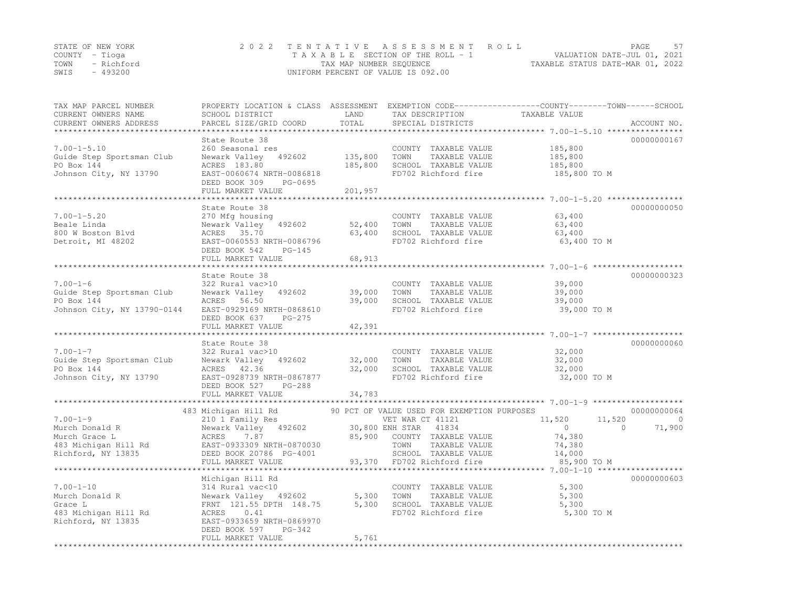|      | STATE OF NEW YORK | 2022 TENTATIVE ASSESSMENT ROLL                                       | PAGE | - 57 |
|------|-------------------|----------------------------------------------------------------------|------|------|
|      | COUNTY – Tioga    | VALUATION DATE-JUL 01, 2021<br>T A X A B L E SECTION OF THE ROLL - 1 |      |      |
|      | TOWN - Richford   | TAXABLE STATUS DATE-MAR 01, 2022<br>TAX MAP NUMBER SEQUENCE          |      |      |
| SWIS | - 493200          | UNIFORM PERCENT OF VALUE IS 092.00                                   |      |      |

| TAX MAP PARCEL NUMBER<br>CURRENT OWNERS NAME<br>CURRENT OWNERS ADDRESS                          | SCHOOL DISTRICT<br>PARCEL SIZE/GRID COORD                                                                                                                   | LAND<br>TOTAL                 | TAX DESCRIPTION<br>SPECIAL DISTRICTS                                                                                                             | PROPERTY LOCATION & CLASS ASSESSMENT EXEMPTION CODE----------------COUNTY-------TOWN-----SCHOOL<br>TAXABLE VALUE | ACCOUNT NO.       |
|-------------------------------------------------------------------------------------------------|-------------------------------------------------------------------------------------------------------------------------------------------------------------|-------------------------------|--------------------------------------------------------------------------------------------------------------------------------------------------|------------------------------------------------------------------------------------------------------------------|-------------------|
|                                                                                                 |                                                                                                                                                             |                               |                                                                                                                                                  |                                                                                                                  |                   |
| $7.00 - 1 - 5.10$<br>Guide Step Sportsman Club<br>PO Box 144<br>Johnson City, NY 13790          | State Route 38<br>260 Seasonal res<br>Newark Valley<br>492602<br>ACRES 183.80<br>EAST-0060674 NRTH-0086818<br>DEED BOOK 309<br>PG-0695<br>FULL MARKET VALUE | 135,800<br>185,800<br>201,957 | COUNTY TAXABLE VALUE<br>TOWN<br>TAXABLE VALUE<br>SCHOOL TAXABLE VALUE<br>FD702 Richford fire                                                     | 185,800<br>185,800<br>185,800<br>185,800 TO M                                                                    | 00000000167       |
|                                                                                                 |                                                                                                                                                             |                               |                                                                                                                                                  |                                                                                                                  |                   |
| $7.00 - 1 - 5.20$<br>Beale Linda<br>800 W Boston Blvd<br>Detroit, MI 48202                      | State Route 38<br>270 Mfg housing<br>Newark Valley<br>492602<br>ACRES 35.70<br>EAST-0060553 NRTH-0086796<br>DEED BOOK 542<br>$PG-145$<br>FULL MARKET VALUE  | 52,400<br>63,400<br>68,913    | COUNTY TAXABLE VALUE<br>TOWN<br>TAXABLE VALUE<br>SCHOOL TAXABLE VALUE<br>FD702 Richford fire                                                     | 63,400<br>63,400<br>63,400<br>63,400 TO M                                                                        | 00000000050       |
|                                                                                                 |                                                                                                                                                             |                               |                                                                                                                                                  |                                                                                                                  |                   |
|                                                                                                 | State Route 38                                                                                                                                              |                               |                                                                                                                                                  |                                                                                                                  | 00000000323       |
| $7.00 - 1 - 6$<br>Guide Step Sportsman Club<br>PO Box 144<br>Johnson City, NY 13790-0144        | 322 Rural vac>10<br>Newark Valley 492602<br>ACRES 56.50<br>EAST-0929169 NRTH-0868610<br>DEED BOOK 637<br>$PG-275$                                           | 39,000<br>39,000              | COUNTY TAXABLE VALUE<br>TOWN<br>TAXABLE VALUE<br>SCHOOL TAXABLE VALUE<br>FD702 Richford fire                                                     | 39,000<br>39,000<br>39,000<br>39,000 TO M                                                                        |                   |
|                                                                                                 | FULL MARKET VALUE<br>**********************                                                                                                                 | 42,391<br>*********           |                                                                                                                                                  |                                                                                                                  |                   |
| $7.00 - 1 - 7$<br>Guide Step Sportsman Club<br>PO Box 144<br>Johnson City, NY 13790             | State Route 38<br>322 Rural vac>10<br>Newark Valley<br>492602<br>ACRES 42.36<br>EAST-0928739 NRTH-0867877<br>DEED BOOK 527<br>PG-288                        | 32,000<br>32,000              | COUNTY TAXABLE VALUE<br>TOWN<br>TAXABLE VALUE<br>SCHOOL TAXABLE VALUE<br>FD702 Richford fire                                                     | 32,000<br>32,000<br>32,000<br>32,000 TO M                                                                        | 00000000060       |
|                                                                                                 | FULL MARKET VALUE                                                                                                                                           | 34,783                        |                                                                                                                                                  |                                                                                                                  |                   |
|                                                                                                 | 483 Michigan Hill Rd                                                                                                                                        |                               | 90 PCT OF VALUE USED FOR EXEMPTION PURPOSES                                                                                                      |                                                                                                                  | 00000000064       |
| $7.00 - 1 - 9$<br>Murch Donald R<br>Murch Grace L<br>483 Michigan Hill Rd<br>Richford, NY 13835 | 210 1 Family Res<br>Newark Valley 492602<br>ACRES<br>7.87<br>EAST-0933309 NRTH-0870030<br>DEED BOOK 20786 PG-4001<br>FULL MARKET VALUE                      | 85,900                        | VET WAR CT 41121<br>30,800 ENH STAR 41834<br>COUNTY TAXABLE VALUE<br>TOWN<br>TAXABLE VALUE<br>SCHOOL TAXABLE VALUE<br>93,370 FD702 Richford fire | 11,520<br>11,520<br>$\circ$<br>$\Omega$<br>74,380<br>74,380<br>14,000<br>85,900 TO M                             | $\circ$<br>71,900 |
|                                                                                                 |                                                                                                                                                             |                               |                                                                                                                                                  |                                                                                                                  |                   |
| $7.00 - 1 - 10$<br>Murch Donald R<br>Grace L<br>483 Michigan Hill Rd<br>Richford, NY 13835      | Michigan Hill Rd<br>314 Rural vac<10<br>Newark Valley 492602<br>FRNT 121.55 DPTH 148.75<br>0.41<br>ACRES<br>EAST-0933659 NRTH-0869970                       | 5,300<br>5,300                | COUNTY TAXABLE VALUE<br>TOWN<br>TAXABLE VALUE<br>SCHOOL TAXABLE VALUE<br>FD702 Richford fire                                                     | 5,300<br>5,300<br>5,300<br>5,300 TO M                                                                            | 00000000603       |
|                                                                                                 | DEED BOOK 597<br>$PG-342$<br>FULL MARKET VALUE                                                                                                              | 5,761                         |                                                                                                                                                  |                                                                                                                  |                   |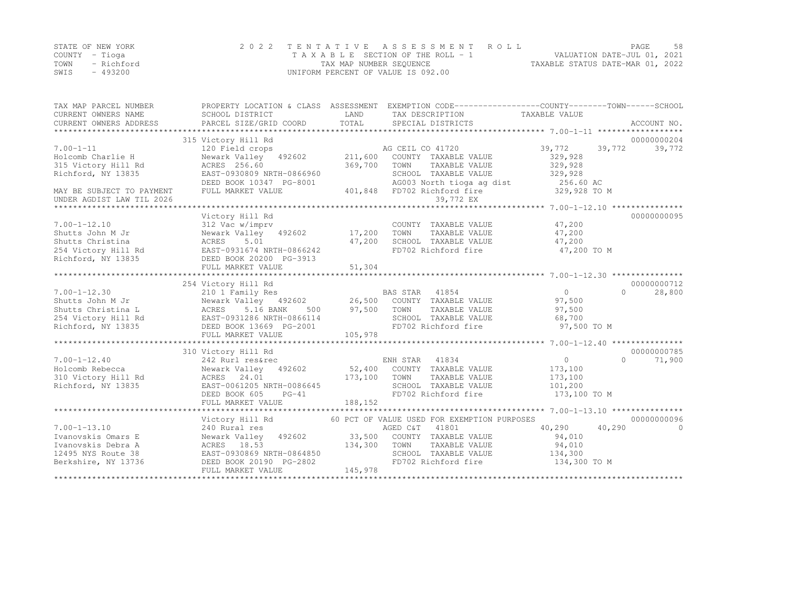|      | STATE OF NEW YORK | 2022 TENTATIVE ASSESSMENT ROLL     | PAGE.                            | .58 |
|------|-------------------|------------------------------------|----------------------------------|-----|
|      | COUNTY – Tioga    | TAXABLE SECTION OF THE ROLL - 1    | VALUATION DATE-JUL 01, 2021      |     |
|      | TOWN - Richford   | TAX MAP NUMBER SEQUENCE            | TAXABLE STATUS DATE-MAR 01, 2022 |     |
| SWIS | - 493200          | UNIFORM PERCENT OF VALUE IS 092.00 |                                  |     |

| TAX MAP PARCEL NUMBER     | PROPERTY LOCATION & CLASS ASSESSMENT EXEMPTION CODE-----------------COUNTY-------TOWN------SCHOOL |               |                                             |               |                     |
|---------------------------|---------------------------------------------------------------------------------------------------|---------------|---------------------------------------------|---------------|---------------------|
| CURRENT OWNERS NAME       | SCHOOL DISTRICT<br>PARCEL SIZE/GRID COORD                                                         | LAND<br>TOTAL | TAX DESCRIPTION                             | TAXABLE VALUE |                     |
| CURRENT OWNERS ADDRESS    |                                                                                                   |               | SPECIAL DISTRICTS                           |               | ACCOUNT NO.         |
|                           | 315 Victory Hill Rd                                                                               |               |                                             |               | 00000000204         |
| $7.00 - 1 - 11$           | 120 Field crops                                                                                   |               | AG CEIL CO 41720                            | 39,772        | 39,772<br>39,772    |
| Holcomb Charlie H         | Newark Valley 492602                                                                              | 211,600       | COUNTY TAXABLE VALUE                        | 329,928       |                     |
| 315 Victory Hill Rd       | ACRES 256.60                                                                                      | 369,700       | TOWN<br>TAXABLE VALUE                       | 329,928       |                     |
| Richford, NY 13835        | EAST-0930809 NRTH-0866960                                                                         |               | SCHOOL TAXABLE VALUE                        | 329,928       |                     |
|                           | DEED BOOK 10347 PG-8001                                                                           |               | AG003 North tioga ag dist                   | 256.60 AC     |                     |
| MAY BE SUBJECT TO PAYMENT | FULL MARKET VALUE                                                                                 |               | 401,848 FD702 Richford fire                 | 329,928 TO M  |                     |
| UNDER AGDIST LAW TIL 2026 |                                                                                                   |               | 39,772 EX                                   |               |                     |
|                           |                                                                                                   |               |                                             |               |                     |
|                           | Victory Hill Rd                                                                                   |               |                                             |               | 00000000095         |
| $7.00 - 1 - 12.10$        | 312 Vac w/imprv                                                                                   |               | COUNTY TAXABLE VALUE                        | 47,200        |                     |
| Shutts John M Jr          | Newark Valley 492602                                                                              | 17,200        | TOWN<br>TAXABLE VALUE                       | 47,200        |                     |
| Shutts Christina          | ACRES<br>5.01                                                                                     | 47,200        | SCHOOL TAXABLE VALUE                        | 47,200        |                     |
| 254 Victory Hill Rd       | EAST-0931674 NRTH-0866242                                                                         |               | FD702 Richford fire                         | 47,200 TO M   |                     |
| Richford, NY 13835        | DEED BOOK 20200 PG-3913                                                                           |               |                                             |               |                     |
|                           | FULL MARKET VALUE                                                                                 | 51,304        |                                             |               |                     |
|                           |                                                                                                   |               |                                             |               |                     |
|                           | 254 Victory Hill Rd                                                                               |               |                                             |               | 00000000712         |
| $7.00 - 1 - 12.30$        | 210 1 Family Res                                                                                  |               | BAS STAR 41854                              | 0             | $\Omega$<br>28,800  |
| Shutts John M Jr          | Newark Valley 492602 26,500 COUNTY TAXABLE VALUE                                                  |               |                                             | 97,500        |                     |
| Shutts Christina L        | ACRES<br>5.16 BANK<br>500                                                                         | 97,500        | TOWN<br>TAXABLE VALUE                       | 97,500        |                     |
| 254 Victory Hill Rd       | EAST-0931286 NRTH-0866114                                                                         |               | SCHOOL TAXABLE VALUE                        | 68,700        |                     |
| Richford, NY 13835        | DEED BOOK 13669 PG-2001                                                                           |               | FD702 Richford fire                         | 97,500 TO M   |                     |
|                           | FULL MARKET VALUE                                                                                 | 105,978       |                                             |               |                     |
|                           |                                                                                                   |               |                                             |               |                     |
|                           | 310 Victory Hill Rd                                                                               |               |                                             |               | 00000000785         |
| $7.00 - 1 - 12.40$        | 242 Rurl res&rec                                                                                  |               | ENH STAR 41834                              | $\circ$       | $\bigcap$<br>71,900 |
| Holcomb Rebecca           | Newark Valley 492602                                                                              |               | 52,400 COUNTY TAXABLE VALUE                 | 173,100       |                     |
| 310 Victory Hill Rd       | ACRES 24.01                                                                                       | 173,100       | TOWN<br>TAXABLE VALUE                       | 173,100       |                     |
| Richford, NY 13835        | EAST-0061205 NRTH-0086645                                                                         |               | SCHOOL TAXABLE VALUE                        | 101,200       |                     |
|                           | DEED BOOK 605<br>$PG-41$                                                                          |               | FD702 Richford fire                         | 173,100 TO M  |                     |
|                           | FULL MARKET VALUE                                                                                 | 188,152       |                                             |               |                     |
|                           |                                                                                                   |               |                                             |               |                     |
|                           | Victory Hill Rd                                                                                   |               | 60 PCT OF VALUE USED FOR EXEMPTION PURPOSES |               | 00000000096         |
| $7.00 - 1 - 13.10$        | 240 Rural res                                                                                     |               | AGED C&T<br>41801                           | 40,290        | 40,290<br>$\Omega$  |
| Ivanovskis Omars E        | Newark Valley 492602 33,500                                                                       |               | COUNTY TAXABLE VALUE                        | 94,010        |                     |
| Ivanovskis Debra A        | ACRES 18.53                                                                                       | 134,300       | TOWN<br>TAXABLE VALUE                       | 94,010        |                     |
| 12495 NYS Route 38        | EAST-0930869 NRTH-0864850                                                                         |               | SCHOOL TAXABLE VALUE                        | 134,300       |                     |
| Berkshire, NY 13736       | DEED BOOK 20190 PG-2802                                                                           | 145,978       | FD702 Richford fire                         | 134,300 TO M  |                     |
|                           | FULL MARKET VALUE                                                                                 |               |                                             |               |                     |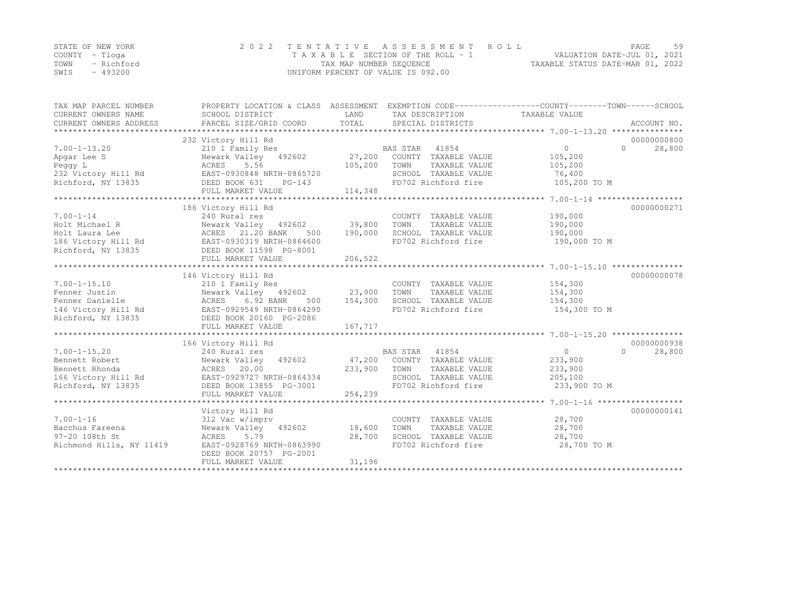|                | STATE OF NEW YORK | 2022 TENTATIVE ASSESSMENT ROLL     |                                  | PAGE | 59 |
|----------------|-------------------|------------------------------------|----------------------------------|------|----|
| COUNTY – Tioga |                   | TAXABLE SECTION OF THE ROLL - 1    | VALUATION DATE-JUL 01, 2021      |      |    |
| TOWN           | - Richford        | TAX MAP NUMBER SEQUENCE            | TAXABLE STATUS DATE-MAR 01, 2022 |      |    |
| SWIS           | $-493200$         | UNIFORM PERCENT OF VALUE IS 092.00 |                                  |      |    |

| TAX MAP PARCEL NUMBER<br>CURRENT OWNERS NAME<br>CURRENT OWNERS ADDRESS | PROPERTY LOCATION & CLASS ASSESSMENT<br>SCHOOL DISTRICT<br>PARCEL SIZE/GRID COORD | LAND<br>TOTAL | TAX DESCRIPTION<br>SPECIAL DISTRICTS | EXEMPTION CODE-----------------COUNTY-------TOWN------SCHOOL<br>TAXABLE VALUE<br>ACCOUNT NO. |  |
|------------------------------------------------------------------------|-----------------------------------------------------------------------------------|---------------|--------------------------------------|----------------------------------------------------------------------------------------------|--|
|                                                                        |                                                                                   |               |                                      |                                                                                              |  |
|                                                                        | 232 Victory Hill Rd                                                               |               |                                      | 00000000800                                                                                  |  |
| $7.00 - 1 - 13.20$                                                     | 210 1 Family Res                                                                  |               | BAS STAR 41854                       | 28,800<br>$\overline{0}$<br>$\Omega$                                                         |  |
| Apgar Lee S                                                            | Newark Valley 492602 27,200                                                       |               | COUNTY TAXABLE VALUE                 | 105,200                                                                                      |  |
| Peqqy L                                                                | ACRES 5.56                                                                        | 105,200       | TOWN<br>TAXABLE VALUE                | 105,200                                                                                      |  |
| 232 Victory Hill Rd                                                    | EAST-0930848 NRTH-0865720                                                         |               | SCHOOL TAXABLE VALUE                 | 76,400                                                                                       |  |
| Richford, NY 13835                                                     | DEED BOOK 631<br>$PG-143$<br>FULL MARKET VALUE                                    | 114,348       | FD702 Richford fire                  | 105,200 TO M                                                                                 |  |
| *************************                                              |                                                                                   |               |                                      |                                                                                              |  |
|                                                                        | 186 Victory Hill Rd                                                               |               |                                      | 00000000271                                                                                  |  |
| $7.00 - 1 - 14$                                                        | 240 Rural res                                                                     |               | COUNTY TAXABLE VALUE                 | 190,000                                                                                      |  |
| Holt Michael R                                                         | Newark Valley 492602 39,800                                                       |               | TAXABLE VALUE<br>TOWN                | 190,000                                                                                      |  |
| Holt Laura Lee                                                         | ACRES 21.20 BANK<br>500                                                           | 190,000       | SCHOOL TAXABLE VALUE                 | 190,000                                                                                      |  |
| 186 Victory Hill Rd                                                    | EAST-0930319 NRTH-0864600                                                         |               | FD702 Richford fire                  | 190,000 TO M                                                                                 |  |
| Richford, NY 13835                                                     | DEED BOOK 11598 PG-8001                                                           |               |                                      |                                                                                              |  |
|                                                                        | FULL MARKET VALUE                                                                 | 206,522       |                                      |                                                                                              |  |
|                                                                        |                                                                                   |               |                                      |                                                                                              |  |
|                                                                        | 146 Victory Hill Rd                                                               |               |                                      | 00000000078                                                                                  |  |
| $7.00 - 1 - 15.10$                                                     | 210 1 Family Res                                                                  |               | COUNTY TAXABLE VALUE                 | 154,300                                                                                      |  |
| Fenner Justin                                                          | Newark Valley 492602 23,900                                                       |               | TOWN<br>TAXABLE VALUE                | 154,300                                                                                      |  |
| Fenner Danielle                                                        |                                                                                   | 154,300       | SCHOOL TAXABLE VALUE                 | 154,300                                                                                      |  |
| 146 Victory Hill Rd                                                    |                                                                                   |               | FD702 Richford fire                  | 154,300 TO M                                                                                 |  |
| Richford, NY 13835                                                     | ACRES 6.92 DANN<br>EAST-0929549 NRTH-0864290<br>5 DEED BOOK 20160 PG-2086         |               |                                      |                                                                                              |  |
|                                                                        | FULL MARKET VALUE                                                                 | 167,717       |                                      |                                                                                              |  |
|                                                                        |                                                                                   |               |                                      |                                                                                              |  |
|                                                                        | 166 Victory Hill Rd                                                               |               |                                      | 00000000938                                                                                  |  |
| $7.00 - 1 - 15.20$                                                     | 240 Rural res                                                                     |               | BAS STAR 41854                       | $\overline{0}$<br>$\Omega$<br>28,800                                                         |  |
| Bennett Robert                                                         | Newark Valley 492602                                                              |               | 47,200 COUNTY TAXABLE VALUE          | 233,900                                                                                      |  |
| Bennett Rhonda                                                         | ACRES 20.00                                                                       | 233,900       | TOWN<br>TAXABLE VALUE                | 233,900                                                                                      |  |
| 166 Victory Hill Rd                                                    | EAST-0929727 NRTH-0864334                                                         |               | SCHOOL TAXABLE VALUE                 | 205,100                                                                                      |  |
| Richford, NY 13835                                                     | DEED BOOK 13855 PG-3001                                                           |               | FD702 Richford fire 233,900 TO M     |                                                                                              |  |
|                                                                        | FULL MARKET VALUE                                                                 | 254,239       |                                      |                                                                                              |  |
|                                                                        |                                                                                   |               |                                      |                                                                                              |  |
|                                                                        | Victory Hill Rd                                                                   |               |                                      | 00000000141                                                                                  |  |
| $7.00 - 1 - 16$                                                        | 312 Vac w/imprv                                                                   |               | COUNTY TAXABLE VALUE                 | 28,700                                                                                       |  |
| Bacchus Fareena                                                        | Newark Valley 492602                                                              | 18,600        | TOWN<br>TAXABLE VALUE                | 28,700                                                                                       |  |
| 97-20 108th St                                                         | ACRES<br>5.79                                                                     | 28,700        | SCHOOL TAXABLE VALUE                 | 28,700                                                                                       |  |
| Richmond Hills, NY 11419                                               | EAST-0928769 NRTH-0863990                                                         |               | FD702 Richford fire                  | 28,700 TO M                                                                                  |  |
|                                                                        | DEED BOOK 20757 PG-2001                                                           |               |                                      |                                                                                              |  |
|                                                                        | FULL MARKET VALUE                                                                 | 31,196        |                                      |                                                                                              |  |
|                                                                        |                                                                                   |               |                                      |                                                                                              |  |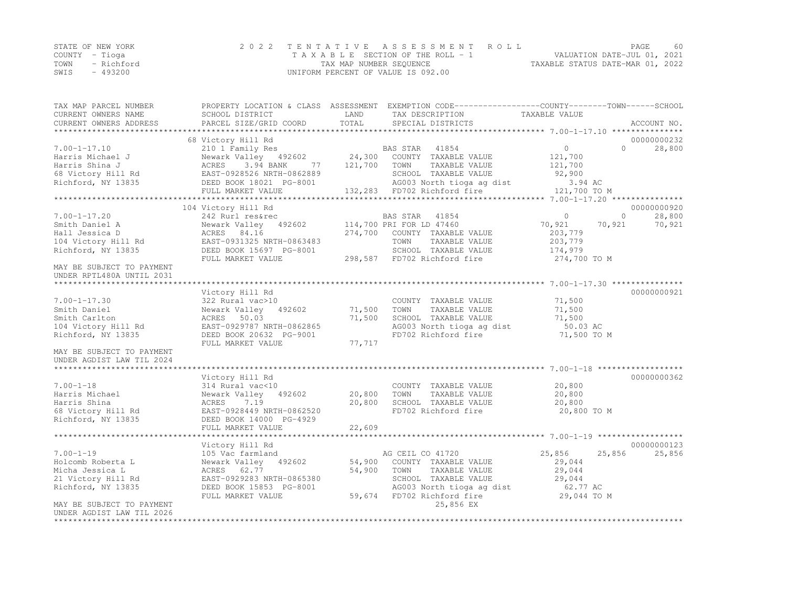|      | STATE OF NEW YORK | 2022 TENTATIVE ASSESSMENT ROLL     |                                  | PAGE                        | 60 |
|------|-------------------|------------------------------------|----------------------------------|-----------------------------|----|
|      | COUNTY – Tioqa    | TAXABLE SECTION OF THE ROLL - 1    |                                  | VALUATION DATE-JUL 01, 2021 |    |
|      | TOWN - Richford   | TAX MAP NUMBER SEQUENCE            | TAXABLE STATUS DATE-MAR 01, 2022 |                             |    |
| SWIS | - 493200          | UNIFORM PERCENT OF VALUE IS 092.00 |                                  |                             |    |

| TAX MAP PARCEL NUMBER                                  |                           |         | PROPERTY LOCATION & CLASS ASSESSMENT EXEMPTION CODE-----------------COUNTY-------TOWN------SCHOOL |                      |             |
|--------------------------------------------------------|---------------------------|---------|---------------------------------------------------------------------------------------------------|----------------------|-------------|
| CURRENT OWNERS NAME                                    | SCHOOL DISTRICT           | LAND    | TAX DESCRIPTION                                                                                   | TAXABLE VALUE        |             |
| CURRENT OWNERS ADDRESS                                 | PARCEL SIZE/GRID COORD    | TOTAL   | SPECIAL DISTRICTS                                                                                 |                      | ACCOUNT NO. |
| **************************                             |                           |         |                                                                                                   |                      |             |
|                                                        | 68 Victory Hill Rd        |         |                                                                                                   |                      | 00000000232 |
| $7.00 - 1 - 17.10$                                     | 210 1 Family Res          |         | BAS STAR 41854                                                                                    | $\circ$<br>$\bigcap$ | 28,800      |
| Harris Michael J                                       | Newark Valley 492602      |         | 24,300 COUNTY TAXABLE VALUE                                                                       | 121,700              |             |
| Harris Shina J                                         | ACRES<br>3.94 BANK<br>77  | 121,700 | TOWN<br>TAXABLE VALUE                                                                             | 121,700              |             |
| 68 Victory Hill Rd                                     | EAST-0928526 NRTH-0862889 |         | SCHOOL TAXABLE VALUE                                                                              | 92,900               |             |
| Richford, NY 13835                                     | DEED BOOK 18021 PG-8001   |         | AG003 North tioga ag dist                                                                         | 3.94 AC              |             |
|                                                        | FULL MARKET VALUE         |         | 132,283 FD702 Richford fire                                                                       | 121,700 TO M         |             |
|                                                        |                           |         |                                                                                                   |                      |             |
|                                                        | 104 Victory Hill Rd       |         |                                                                                                   |                      | 00000000920 |
| $7.00 - 1 - 17.20$                                     | 242 Rurl res&rec          |         | BAS STAR<br>41854                                                                                 | $\Omega$<br>$\Omega$ | 28,800      |
| Smith Daniel A                                         | Newark Valley 492602      |         | 114,700 PRI FOR LD 47460                                                                          | 70,921<br>70,921     | 70,921      |
| Hall Jessica D                                         | ACRES 84.16               | 274,700 | COUNTY TAXABLE VALUE                                                                              | 203,779              |             |
| 104 Victory Hill Rd                                    | EAST-0931325 NRTH-0863483 |         | TOWN<br>TAXABLE VALUE                                                                             | 203,779              |             |
| Richford, NY 13835                                     | DEED BOOK 15697 PG-8001   |         | SCHOOL TAXABLE VALUE                                                                              | 174,979              |             |
|                                                        | FULL MARKET VALUE         |         | 298,587 FD702 Richford fire                                                                       | 274,700 TO M         |             |
| MAY BE SUBJECT TO PAYMENT<br>UNDER RPTL480A UNTIL 2031 |                           |         |                                                                                                   |                      |             |
|                                                        |                           |         |                                                                                                   |                      |             |
|                                                        | Victory Hill Rd           |         |                                                                                                   |                      | 00000000921 |
| $7.00 - 1 - 17.30$                                     | 322 Rural vac>10          |         | COUNTY TAXABLE VALUE                                                                              | 71,500               |             |
| Smith Daniel                                           | Newark Valley 492602      | 71,500  | TOWN<br>TAXABLE VALUE                                                                             | 71,500               |             |
| Smith Carlton                                          | ACRES 50.03               | 71,500  | SCHOOL TAXABLE VALUE                                                                              | 71,500               |             |
| 104 Victory Hill Rd                                    | EAST-0929787 NRTH-0862865 |         | AG003 North tioga ag dist                                                                         | 50.03 AC             |             |
| Richford, NY 13835                                     | DEED BOOK 20632 PG-9001   |         | FD702 Richford fire                                                                               | 71,500 TO M          |             |
|                                                        | FULL MARKET VALUE         | 77,717  |                                                                                                   |                      |             |
| MAY BE SUBJECT TO PAYMENT                              |                           |         |                                                                                                   |                      |             |
| UNDER AGDIST LAW TIL 2024                              |                           |         |                                                                                                   |                      |             |
|                                                        |                           |         |                                                                                                   |                      |             |
|                                                        | Victory Hill Rd           |         |                                                                                                   |                      | 00000000362 |
| $7.00 - 1 - 18$                                        | 314 Rural vac<10          |         | COUNTY TAXABLE VALUE                                                                              | 20,800               |             |
| Harris Michael                                         | Newark Valley 492602      | 20,800  | TOWN<br>TAXABLE VALUE                                                                             | 20,800               |             |
| Harris Shina                                           | ACRES<br>7.19             | 20,800  | SCHOOL TAXABLE VALUE                                                                              | 20,800               |             |
| 68 Victory Hill Rd                                     | EAST-0928449 NRTH-0862520 |         | FD702 Richford fire                                                                               | 20,800 TO M          |             |
| Richford, NY 13835                                     | DEED BOOK 14000 PG-4929   |         |                                                                                                   |                      |             |
|                                                        | FULL MARKET VALUE         | 22,609  |                                                                                                   |                      |             |
|                                                        |                           |         |                                                                                                   |                      |             |
|                                                        | Victory Hill Rd           |         |                                                                                                   |                      | 00000000123 |
| $7.00 - 1 - 19$                                        | 105 Vac farmland          |         | AG CEIL CO 41720                                                                                  | 25,856<br>25,856     | 25,856      |
| Holcomb Roberta L                                      | Newark Valley 492602      |         | 54,900 COUNTY TAXABLE VALUE                                                                       | 29,044               |             |
| Micha Jessica L                                        | ACRES 62.77               | 54,900  | TOWN<br>TAXABLE VALUE                                                                             | 29,044               |             |
| 21 Victory Hill Rd                                     | EAST-0929283 NRTH-0865380 |         | SCHOOL TAXABLE VALUE                                                                              | 29,044               |             |
| Richford, NY 13835                                     | DEED BOOK 15853 PG-8001   |         | AG003 North tioga ag dist                                                                         | 62.77 AC             |             |
|                                                        | FULL MARKET VALUE         | 59,674  | FD702 Richford fire                                                                               | 29,044 TO M          |             |
| MAY BE SUBJECT TO PAYMENT                              |                           |         | 25,856 EX                                                                                         |                      |             |
| UNDER AGDIST LAW TIL 2026<br>**********************    |                           |         |                                                                                                   |                      |             |
|                                                        |                           |         |                                                                                                   |                      |             |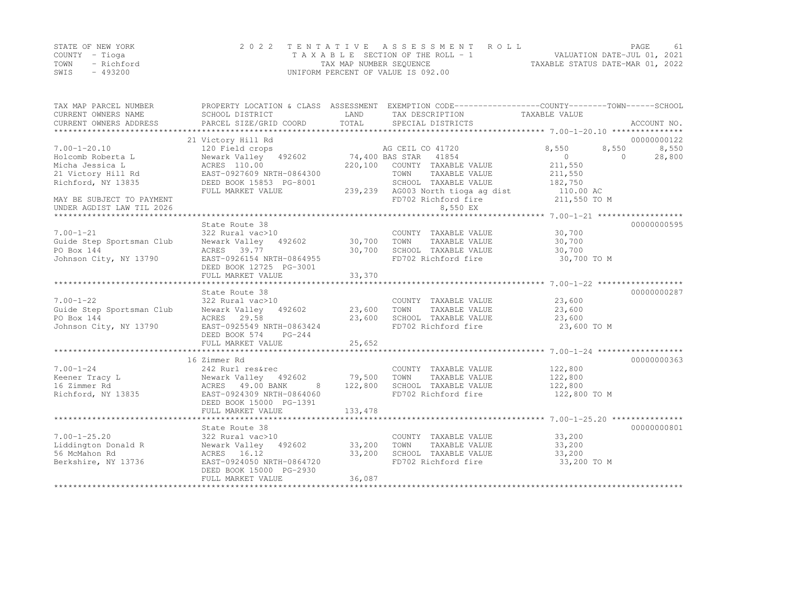|      | STATE OF NEW YORK | 2022 TENTATIVE ASSESSMENT ROLL     | PAGE                             | 61 |
|------|-------------------|------------------------------------|----------------------------------|----|
|      | COUNTY – Tioga    | TAXABLE SECTION OF THE ROLL - 1    | VALUATION DATE-JUL 01, 2021      |    |
| TOWN | - Richford        | TAX MAP NUMBER SEQUENCE            | TAXABLE STATUS DATE-MAR 01, 2022 |    |
| SWIS | - 493200          | UNIFORM PERCENT OF VALUE IS 092.00 |                                  |    |

| TAX MAP PARCEL NUMBER<br>CURRENT OWNERS NAME<br>CURRENT OWNERS ADDRESS | SCHOOL DISTRICT<br>PARCEL SIZE/GRID COORD | LAND<br>TOTAL | PROPERTY LOCATION & CLASS ASSESSMENT EXEMPTION CODE----------------COUNTY-------TOWN------SCHOOL<br>TAX DESCRIPTION<br>SPECIAL DISTRICTS | TAXABLE VALUE        | ACCOUNT NO. |
|------------------------------------------------------------------------|-------------------------------------------|---------------|------------------------------------------------------------------------------------------------------------------------------------------|----------------------|-------------|
|                                                                        | 21 Victory Hill Rd                        |               |                                                                                                                                          |                      | 00000000122 |
| $7.00 - 1 - 20.10$                                                     | 120 Field crops                           |               | AG CEIL CO 41720                                                                                                                         | 8,550<br>8,550       | 8,550       |
| Holcomb Roberta L                                                      | Newark Valley 492602                      |               | 74,400 BAS STAR 41854                                                                                                                    | $\Omega$<br>$\Omega$ | 28,800      |
| Micha Jessica L                                                        | ACRES 110.00                              | 220,100       | COUNTY TAXABLE VALUE                                                                                                                     | 211,550              |             |
| 21 Victory Hill Rd                                                     | EAST-0927609 NRTH-0864300                 |               | TAXABLE VALUE<br>TOWN                                                                                                                    | 211,550              |             |
| Richford, NY 13835                                                     | DEED BOOK 15853 PG-8001                   |               | SCHOOL TAXABLE VALUE                                                                                                                     | 182,750              |             |
|                                                                        | FULL MARKET VALUE                         |               | 239,239 AG003 North tioga ag dist                                                                                                        | 110.00 AC            |             |
| MAY BE SUBJECT TO PAYMENT                                              |                                           |               | FD702 Richford fire                                                                                                                      | 211,550 TO M         |             |
| UNDER AGDIST LAW TIL 2026                                              |                                           |               | 8,550 EX                                                                                                                                 |                      |             |
|                                                                        |                                           |               |                                                                                                                                          |                      |             |
|                                                                        | State Route 38                            |               |                                                                                                                                          |                      | 00000000595 |
| $7.00 - 1 - 21$                                                        | 322 Rural vac>10                          |               | COUNTY TAXABLE VALUE                                                                                                                     | 30,700               |             |
| Guide Step Sportsman Club                                              | Newark Valley 492602 30,700               |               | TOWN<br>TAXABLE VALUE                                                                                                                    | 30,700               |             |
| PO Box 144                                                             | ACRES 39.77                               | 30,700        | SCHOOL TAXABLE VALUE                                                                                                                     | 30,700               |             |
| Johnson City, NY 13790                                                 | EAST-0926154 NRTH-0864955                 |               | FD702 Richford fire                                                                                                                      | 30,700 TO M          |             |
|                                                                        | DEED BOOK 12725 PG-3001                   |               |                                                                                                                                          |                      |             |
|                                                                        | FULL MARKET VALUE                         | 33,370        |                                                                                                                                          |                      |             |
|                                                                        |                                           |               |                                                                                                                                          |                      |             |
|                                                                        | State Route 38                            |               |                                                                                                                                          |                      | 00000000287 |
| $7.00 - 1 - 22$                                                        | 322 Rural vac>10                          | 23,600        | COUNTY TAXABLE VALUE<br>TOWN                                                                                                             | 23,600               |             |
| Guide Step Sportsman Club<br>PO Box 144                                | Newark Valley 492602<br>ACRES 29.58       | 23,600        | TAXABLE VALUE<br>SCHOOL TAXABLE VALUE                                                                                                    | 23,600<br>23,600     |             |
| Johnson City, NY 13790                                                 | EAST-0925549 NRTH-0863424                 |               | FD702 Richford fire                                                                                                                      | 23,600 TO M          |             |
|                                                                        | DEED BOOK 574<br>$PG-244$                 |               |                                                                                                                                          |                      |             |
|                                                                        | FULL MARKET VALUE                         | 25,652        |                                                                                                                                          |                      |             |
|                                                                        |                                           |               |                                                                                                                                          |                      |             |
|                                                                        | 16 Zimmer Rd                              |               |                                                                                                                                          |                      | 00000000363 |
| $7.00 - 1 - 24$                                                        | 242 Rurl res&rec                          |               | COUNTY TAXABLE VALUE                                                                                                                     | 122,800              |             |
| Keener Tracy L                                                         | Newark Valley 492602                      | 79,500        | TOWN<br>TAXABLE VALUE                                                                                                                    | 122,800              |             |
| 16 Zimmer Rd                                                           | ACRES 49.00 BANK<br>8                     | 122,800       | SCHOOL TAXABLE VALUE                                                                                                                     | 122,800              |             |
| Richford, NY 13835                                                     | EAST-0924309 NRTH-0864060                 |               | FD702 Richford fire                                                                                                                      | 122,800 TO M         |             |
|                                                                        | DEED BOOK 15000 PG-1391                   |               |                                                                                                                                          |                      |             |
|                                                                        | FULL MARKET VALUE                         | 133,478       |                                                                                                                                          |                      |             |
|                                                                        |                                           |               |                                                                                                                                          |                      |             |
|                                                                        | State Route 38                            |               |                                                                                                                                          |                      | 00000000801 |
| $7.00 - 1 - 25.20$                                                     | 322 Rural vac>10                          |               | COUNTY TAXABLE VALUE                                                                                                                     | 33,200               |             |
| Liddington Donald R                                                    | Newark Valley 492602                      | 33,200        | TAXABLE VALUE<br>TOWN                                                                                                                    | 33,200               |             |
| 56 McMahon Rd                                                          | ACRES 16.12                               | 33,200        | SCHOOL TAXABLE VALUE                                                                                                                     | 33,200               |             |
| Berkshire, NY 13736                                                    | EAST-0924050 NRTH-0864720                 |               | FD702 Richford fire                                                                                                                      | 33,200 TO M          |             |
|                                                                        | DEED BOOK 15000 PG-2930                   |               |                                                                                                                                          |                      |             |
|                                                                        | FULL MARKET VALUE                         | 36,087        |                                                                                                                                          |                      |             |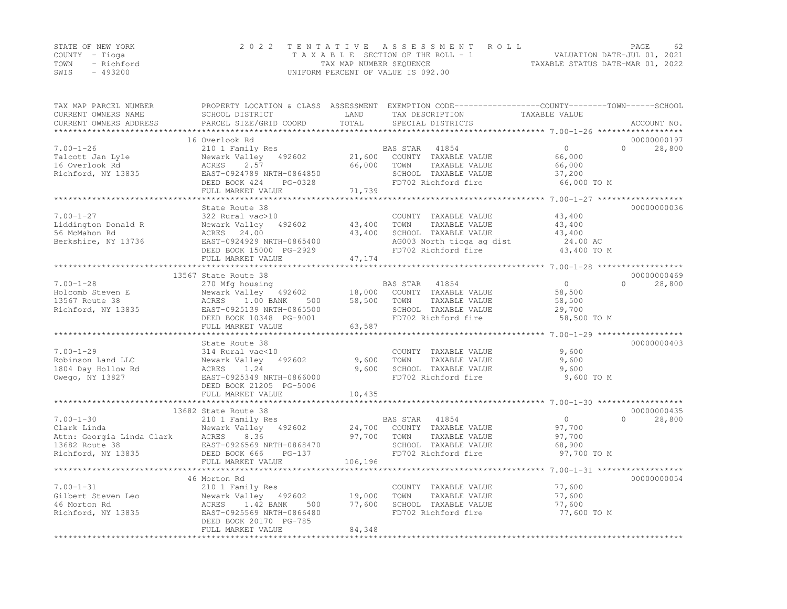|      | STATE OF NEW YORK | 2022 TENTATIVE ASSESSMENT ROLL                                 | PAGE | 62 |
|------|-------------------|----------------------------------------------------------------|------|----|
|      | COUNTY – Tioga    | VALUATION DATE-JUL 01, 2021<br>TAXABLE SECTION OF THE ROLL - 1 |      |    |
| TOWN | - Richford        | TAXABLE STATUS DATE-MAR 01, 2022<br>TAX MAP NUMBER SEQUENCE    |      |    |
| SWIS | $-493200$         | UNIFORM PERCENT OF VALUE IS 092.00                             |      |    |

| TAX MAP PARCEL NUMBER                                                                                            | PROPERTY LOCATION & CLASS ASSESSMENT EXEMPTION CODE-----------------COUNTY-------TOWN------SCHOOL | LAND    |                                                  | TAXABLE VALUE  |                    |
|------------------------------------------------------------------------------------------------------------------|---------------------------------------------------------------------------------------------------|---------|--------------------------------------------------|----------------|--------------------|
| CURRENT OWNERS NAME<br>CURRENT OWNERS ADDRESS                                                                    | SCHOOL DISTRICT<br>PARCEL SIZE/GRID COORD                                                         | TOTAL   | TAX DESCRIPTION<br>SPECIAL DISTRICTS             |                | ACCOUNT NO.        |
| *************************                                                                                        |                                                                                                   |         |                                                  |                |                    |
|                                                                                                                  | 16 Overlook Rd                                                                                    |         |                                                  |                | 00000000197        |
| $7.00 - 1 - 26$                                                                                                  | 210 1 Family Res                                                                                  |         | BAS STAR<br>41854                                | $\Omega$       | $\Omega$<br>28,800 |
| Talcott Jan Lyle                                                                                                 | Newark Valley 492602                                                                              | 21,600  | COUNTY TAXABLE VALUE                             | 66,000         |                    |
| 16 Overlook Rd                                                                                                   | ACRES<br>2.57                                                                                     | 66,000  | TAXABLE VALUE<br>TOWN                            | 66,000         |                    |
| Richford, NY 13835                                                                                               | EAST-0924789 NRTH-0864850                                                                         |         | SCHOOL TAXABLE VALUE                             | 37,200         |                    |
|                                                                                                                  | DEED BOOK 424<br>PG-0328                                                                          |         | FD702 Richford fire                              | 66,000 TO M    |                    |
|                                                                                                                  | FULL MARKET VALUE                                                                                 | 71,739  |                                                  |                |                    |
|                                                                                                                  | **************************************                                                            |         |                                                  |                |                    |
|                                                                                                                  | State Route 38                                                                                    |         |                                                  |                | 00000000036        |
| $7.00 - 1 - 27$                                                                                                  | 322 Rural vac>10                                                                                  |         | COUNTY TAXABLE VALUE                             | 43,400         |                    |
| Liddington Donald R                                                                                              | Newark Valley 492602                                                                              | 43,400  | TAXABLE VALUE<br>TOWN                            | 43,400         |                    |
| 56 McMahon Rd                                                                                                    | ACRES 24.00                                                                                       | 43,400  | SCHOOL TAXABLE VALUE                             | 43,400         |                    |
| Berkshire, NY 13736                                                                                              | EAST-0924929 NRTH-0865400                                                                         |         |                                                  | 24.00 AC       |                    |
|                                                                                                                  | DEED BOOK 15000 PG-2929                                                                           |         | AG003 North tioga ag dist<br>FD702 Richford fire | 43,400 TO M    |                    |
|                                                                                                                  | FULL MARKET VALUE                                                                                 | 47,174  |                                                  |                |                    |
|                                                                                                                  |                                                                                                   |         |                                                  |                |                    |
|                                                                                                                  | 13567 State Route 38                                                                              |         |                                                  |                | 00000000469        |
| $7.00 - 1 - 28$                                                                                                  | 270 Mfg housing                                                                                   |         | BAS STAR 41854                                   | $\overline{0}$ | 28,800<br>$\cap$   |
| Holcomb Steven E                                                                                                 | Newark Valley 492602                                                                              | 18,000  | COUNTY TAXABLE VALUE                             | 58,500         |                    |
| 13567 Route 38                                                                                                   | ACRES 1.00 BANK<br>500                                                                            | 58,500  | TOWN<br>TAXABLE VALUE                            | 58,500         |                    |
| Richford, NY 13835                                                                                               | EAST-0925139 NRTH-0865500                                                                         |         | SCHOOL TAXABLE VALUE                             | 29,700         |                    |
|                                                                                                                  | DEED BOOK 10348 PG-9001                                                                           |         | FD702 Richford fire                              | 58,500 TO M    |                    |
|                                                                                                                  | FULL MARKET VALUE                                                                                 | 63,587  |                                                  |                |                    |
|                                                                                                                  |                                                                                                   |         |                                                  |                |                    |
|                                                                                                                  | State Route 38                                                                                    |         |                                                  |                | 00000000403        |
| $7.00 - 1 - 29$                                                                                                  | 314 Rural vac<10                                                                                  |         | COUNTY TAXABLE VALUE                             | 9,600          |                    |
| Robinson Land LLC                                                                                                | Newark Valley 492602                                                                              | 9,600   | TOWN<br>TAXABLE VALUE                            | 9,600          |                    |
| 1804 Day Hollow Rd                                                                                               | 1.24<br>ACRES                                                                                     | 9,600   | SCHOOL TAXABLE VALUE                             | 9,600          |                    |
| Owego, NY 13827                                                                                                  | EAST-0925349 NRTH-0866000                                                                         |         | FD702 Richford fire                              | 9,600 TO M     |                    |
|                                                                                                                  | DEED BOOK 21205 PG-5006                                                                           |         |                                                  |                |                    |
|                                                                                                                  | FULL MARKET VALUE                                                                                 | 10,435  |                                                  |                |                    |
|                                                                                                                  |                                                                                                   |         |                                                  |                |                    |
|                                                                                                                  | 13682 State Route 38                                                                              |         |                                                  |                | 00000000435        |
| $7.00 - 1 - 30$                                                                                                  | 210 1 Family Res                                                                                  |         | BAS STAR<br>41854                                | $\overline{0}$ | $\Omega$<br>28,800 |
|                                                                                                                  |                                                                                                   |         | 24,700 COUNTY TAXABLE VALUE                      | 97,700         |                    |
|                                                                                                                  |                                                                                                   | 97,700  | TOWN<br>TAXABLE VALUE                            | 97,700         |                    |
| Clark Linda<br>Attn: Georgia Linda Clark<br>13682 Route 38<br>13682 Route 38<br>13682 Route 38<br>13682 Route 38 |                                                                                                   |         | SCHOOL TAXABLE VALUE                             | 68,900         |                    |
| Richford, NY 13835 DEED BOOK 666                                                                                 | PG-137                                                                                            |         | FD702 Richford fire                              | 97,700 TO M    |                    |
|                                                                                                                  | FULL MARKET VALUE                                                                                 | 106,196 |                                                  |                |                    |
|                                                                                                                  |                                                                                                   |         |                                                  |                |                    |
|                                                                                                                  | 46 Morton Rd                                                                                      |         |                                                  |                | 00000000054        |
| $7.00 - 1 - 31$                                                                                                  | 210 1 Family Res                                                                                  |         | COUNTY TAXABLE VALUE                             | 77,600         |                    |
| Gilbert Steven Leo                                                                                               | Newark Valley 492602                                                                              | 19,000  | TAXABLE VALUE<br>TOWN                            | 77,600         |                    |
| 46 Morton Rd                                                                                                     | ACRES 1.42 BANK<br>500                                                                            | 77,600  | SCHOOL TAXABLE VALUE                             | 77,600         |                    |
| Richford, NY 13835                                                                                               | EAST-0925569 NRTH-0866480                                                                         |         | FD702 Richford fire                              | 77,600 TO M    |                    |
|                                                                                                                  | DEED BOOK 20170 PG-785                                                                            |         |                                                  |                |                    |
|                                                                                                                  | FULL MARKET VALUE                                                                                 | 84,348  |                                                  |                |                    |
|                                                                                                                  |                                                                                                   |         |                                                  |                |                    |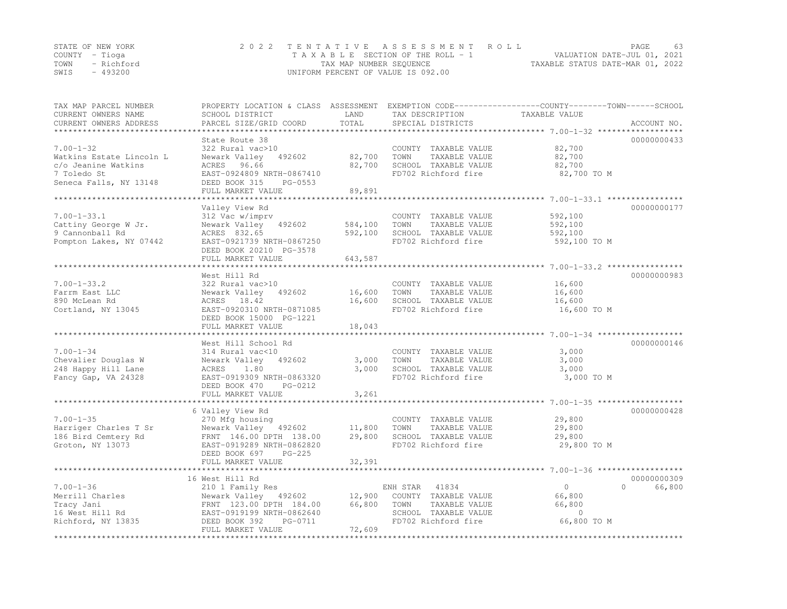| STATE OF NEW YORK |           | 2022 TENTATIVE ASSESSMENT ROLL                                 | PAGE | 63 |
|-------------------|-----------|----------------------------------------------------------------|------|----|
| COUNTY – Tioga    |           | VALUATION DATE-JUL 01, 2021<br>TAXABLE SECTION OF THE ROLL - 1 |      |    |
| TOWN - Richford   |           | TAXABLE STATUS DATE-MAR 01, 2022<br>TAX MAP NUMBER SEOUENCE    |      |    |
| SWIS              | $-493200$ | UNIFORM PERCENT OF VALUE IS 092.00                             |      |    |

| TAX MAP PARCEL NUMBER<br>CURRENT OWNERS NAME | SCHOOL DISTRICT                          | LAND      | TAX DESCRIPTION                             | PROPERTY LOCATION & CLASS ASSESSMENT EXEMPTION CODE----------------COUNTY-------TOWN------SCHOOL<br>TAXABLE VALUE |
|----------------------------------------------|------------------------------------------|-----------|---------------------------------------------|-------------------------------------------------------------------------------------------------------------------|
| CURRENT OWNERS ADDRESS                       | PARCEL SIZE/GRID COORD                   | TOTAL     | SPECIAL DISTRICTS                           | ACCOUNT NO.                                                                                                       |
|                                              |                                          | ********* |                                             | ******************************* 7.00-1-32 ******                                                                  |
|                                              | State Route 38                           |           |                                             | 00000000433                                                                                                       |
| $7.00 - 1 - 32$                              | 322 Rural vac>10                         |           | COUNTY TAXABLE VALUE                        | 82,700                                                                                                            |
| Watkins Estate Lincoln L                     | Newark Valley<br>492602                  | 82,700    | TOWN<br>TAXABLE VALUE                       | 82,700                                                                                                            |
| c/o Jeanine Watkins<br>7 Toledo St           | ACRES 96.66<br>EAST-0924809 NRTH-0867410 | 82,700    | SCHOOL TAXABLE VALUE<br>FD702 Richford fire | 82,700<br>82,700 TO M                                                                                             |
| Seneca Falls, NY 13148                       | DEED BOOK 315<br>PG-0553                 |           |                                             |                                                                                                                   |
|                                              | FULL MARKET VALUE                        | 89,891    |                                             |                                                                                                                   |
|                                              |                                          |           |                                             |                                                                                                                   |
|                                              | Valley View Rd                           |           |                                             | 00000000177                                                                                                       |
| $7.00 - 1 - 33.1$                            | 312 Vac w/imprv                          |           | COUNTY TAXABLE VALUE                        | 592,100                                                                                                           |
| Cattiny George W Jr.                         | 492602<br>Newark Valley                  | 584,100   | TOWN<br>TAXABLE VALUE                       | 592,100                                                                                                           |
| 9 Cannonball Rd                              | ACRES 832.65                             | 592,100   | SCHOOL TAXABLE VALUE                        | 592,100                                                                                                           |
| Pompton Lakes, NY 07442                      | EAST-0921739 NRTH-0867250                |           | FD702 Richford fire                         | 592,100 TO M                                                                                                      |
|                                              | DEED BOOK 20210 PG-3578                  |           |                                             |                                                                                                                   |
|                                              | FULL MARKET VALUE                        | 643,587   |                                             |                                                                                                                   |
|                                              |                                          |           |                                             |                                                                                                                   |
|                                              | West Hill Rd                             |           |                                             | 00000000983                                                                                                       |
| $7.00 - 1 - 33.2$                            | 322 Rural vac>10                         |           | COUNTY TAXABLE VALUE                        | 16,600                                                                                                            |
| Farrm East LLC                               | Newark Valley<br>492602                  | 16,600    | TAXABLE VALUE<br>TOWN                       | 16,600                                                                                                            |
| 890 McLean Rd<br>Cortland, NY 13045          | ACRES 18.42<br>EAST-0920310 NRTH-0871085 | 16,600    | SCHOOL TAXABLE VALUE<br>FD702 Richford fire | 16,600<br>16,600 TO M                                                                                             |
|                                              | DEED BOOK 15000 PG-1221                  |           |                                             |                                                                                                                   |
|                                              | FULL MARKET VALUE                        | 18,043    |                                             |                                                                                                                   |
|                                              |                                          |           |                                             |                                                                                                                   |
|                                              | West Hill School Rd                      |           |                                             | 00000000146                                                                                                       |
| $7.00 - 1 - 34$                              | 314 Rural vac<10                         |           | COUNTY TAXABLE VALUE                        | 3,000                                                                                                             |
| Chevalier Douglas W                          | Newark Valley<br>492602                  | 3,000     | TOWN<br>TAXABLE VALUE                       | 3,000                                                                                                             |
| 248 Happy Hill Lane                          | ACRES<br>1.80                            | 3,000     | SCHOOL TAXABLE VALUE                        | 3,000                                                                                                             |
| Fancy Gap, VA 24328                          | EAST-0919309 NRTH-0863320                |           | FD702 Richford fire                         | 3,000 TO M                                                                                                        |
|                                              | DEED BOOK 470<br>PG-0212                 |           |                                             |                                                                                                                   |
|                                              | FULL MARKET VALUE                        | 3,261     |                                             |                                                                                                                   |
|                                              |                                          |           |                                             | 00000000428                                                                                                       |
| $7.00 - 1 - 35$                              | 6 Valley View Rd                         |           | COUNTY TAXABLE VALUE                        | 29,800                                                                                                            |
| Harriger Charles T Sr                        | 270 Mfg housing<br>Newark Valley 492602  | 11,800    | TOWN<br>TAXABLE VALUE                       | 29,800                                                                                                            |
| 186 Bird Cemtery Rd                          | FRNT 146.00 DPTH 138.00                  | 29,800    | SCHOOL TAXABLE VALUE                        | 29,800                                                                                                            |
| Groton, NY 13073                             | EAST-0919289 NRTH-0862820                |           | FD702 Richford fire                         | 29,800 TO M                                                                                                       |
|                                              | $PG-225$<br>DEED BOOK 697                |           |                                             |                                                                                                                   |
|                                              | FULL MARKET VALUE                        | 32,391    |                                             |                                                                                                                   |
|                                              |                                          |           |                                             |                                                                                                                   |
|                                              | 16 West Hill Rd                          |           |                                             | 00000000309                                                                                                       |
| $7.00 - 1 - 36$                              | 210 1 Family Res                         |           | 41834<br>ENH STAR                           | $\Omega$<br>$\mathbf{0}$<br>66,800                                                                                |
| Merrill Charles                              | Newark Valley 492602                     | 12,900    | COUNTY TAXABLE VALUE                        | 66,800                                                                                                            |
| Tracy Jani                                   | FRNT 123.00 DPTH 184.00                  | 66,800    | TAXABLE VALUE<br>TOWN                       | 66,800                                                                                                            |
| 16 West Hill Rd                              | EAST-0919199 NRTH-0862640                |           | SCHOOL TAXABLE VALUE                        | $\circ$                                                                                                           |
| Richford, NY 13835                           | DEED BOOK 392<br>PG-0711                 |           | FD702 Richford fire                         | 66,800 TO M                                                                                                       |
|                                              | FULL MARKET VALUE                        | 72,609    |                                             |                                                                                                                   |
|                                              |                                          |           |                                             |                                                                                                                   |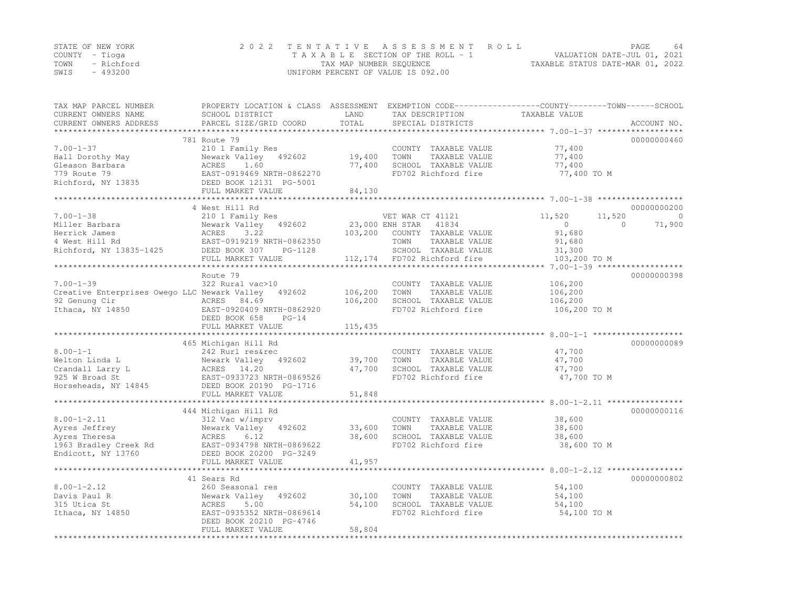|                | STATE OF NEW YORK | 2022 TENTATIVE ASSESSMENT ROLL     |                                  | PAGE                        | 64 |
|----------------|-------------------|------------------------------------|----------------------------------|-----------------------------|----|
| COUNTY – Tioga |                   | TAXABLE SECTION OF THE ROLL - 1    |                                  | VALUATION DATE-JUL 01, 2021 |    |
| TOWN           | - Richford        | TAX MAP NUMBER SEQUENCE            | TAXABLE STATUS DATE-MAR 01, 2022 |                             |    |
| SWIS           | - 493200          | UNIFORM PERCENT OF VALUE IS 092.00 |                                  |                             |    |

| TAX MAP PARCEL NUMBER<br>CURRENT OWNERS NAME           | PROPERTY LOCATION & CLASS ASSESSMENT<br>SCHOOL DISTRICT   | LAND<br>TOTAL    | TAX DESCRIPTION                                                       | EXEMPTION CODE-----------------COUNTY-------TOWN------SCHOOL<br>TAXABLE VALUE |                         |
|--------------------------------------------------------|-----------------------------------------------------------|------------------|-----------------------------------------------------------------------|-------------------------------------------------------------------------------|-------------------------|
| CURRENT OWNERS ADDRESS<br>*********************        | PARCEL SIZE/GRID COORD                                    |                  | SPECIAL DISTRICTS                                                     |                                                                               | ACCOUNT NO.             |
|                                                        | 781 Route 79                                              |                  |                                                                       |                                                                               | 00000000460             |
| $7.00 - 1 - 37$<br>Hall Dorothy May<br>Gleason Barbara | 210 1 Family Res<br>Newark Valley 492602<br>ACRES<br>1.60 | 19,400<br>77,400 | COUNTY TAXABLE VALUE<br>TOWN<br>TAXABLE VALUE<br>SCHOOL TAXABLE VALUE | 77,400<br>77,400<br>77,400                                                    |                         |
| 779 Route 79<br>Richford, NY 13835                     | EAST-0919469 NRTH-0862270<br>DEED BOOK 12131 PG-5001      |                  | FD702 Richford fire                                                   | 77,400 TO M                                                                   |                         |
|                                                        | FULL MARKET VALUE                                         | 84,130           |                                                                       |                                                                               |                         |
|                                                        | *********************                                     |                  |                                                                       |                                                                               |                         |
| $7.00 - 1 - 38$                                        | 4 West Hill Rd                                            |                  |                                                                       |                                                                               | 00000000200<br>$\Omega$ |
| Miller Barbara                                         | 210 1 Family Res<br>Newark Valley<br>492602               | 23,000 ENH STAR  | VET WAR CT 41121<br>41834                                             | 11,520<br>11,520<br>$\circ$<br>$\Omega$                                       | 71,900                  |
| Herrick James                                          | ACRES<br>3.22                                             | 103,200          | COUNTY TAXABLE VALUE                                                  | 91,680                                                                        |                         |
| 4 West Hill Rd                                         | EAST-0919219 NRTH-0862350                                 |                  | TOWN<br>TAXABLE VALUE                                                 | 91,680                                                                        |                         |
| Richford, NY 13835-1425                                | DEED BOOK 307<br>PG-1128                                  |                  | SCHOOL TAXABLE VALUE                                                  | 31,300                                                                        |                         |
|                                                        | FULL MARKET VALUE                                         |                  | 112,174 FD702 Richford fire                                           | 103,200 TO M                                                                  |                         |
|                                                        |                                                           |                  |                                                                       |                                                                               |                         |
|                                                        | Route 79                                                  |                  |                                                                       |                                                                               | 00000000398             |
| $7.00 - 1 - 39$                                        | 322 Rural vac>10                                          |                  | COUNTY TAXABLE VALUE                                                  | 106,200                                                                       |                         |
| Creative Enterprises Owego LLC Newark Valley           | 492602                                                    | 106,200          | TAXABLE VALUE<br>TOWN                                                 | 106,200                                                                       |                         |
| 92 Genung Cir<br>Ithaca, NY 14850                      | ACRES 84.69<br>EAST-0920409 NRTH-0862920                  | 106,200          | SCHOOL TAXABLE VALUE<br>FD702 Richford fire                           | 106,200<br>106,200 TO M                                                       |                         |
|                                                        | DEED BOOK 658<br>$PG-14$                                  |                  |                                                                       |                                                                               |                         |
|                                                        | FULL MARKET VALUE                                         | 115,435          |                                                                       |                                                                               |                         |
|                                                        | *******************************                           |                  |                                                                       |                                                                               |                         |
|                                                        | 465 Michigan Hill Rd                                      |                  |                                                                       |                                                                               | 00000000089             |
| $8.00 - 1 - 1$                                         | 242 Rurl res&rec                                          |                  | COUNTY TAXABLE VALUE                                                  | 47,700                                                                        |                         |
| Welton Linda L                                         | Newark Valley 492602                                      | 39,700           | TOWN<br>TAXABLE VALUE                                                 | 47,700                                                                        |                         |
| Crandall Larry L                                       | ACRES 14.20                                               | 47,700           | SCHOOL TAXABLE VALUE                                                  | 47,700                                                                        |                         |
| 925 W Broad St                                         | EAST-0933723 NRTH-0869526                                 |                  | FD702 Richford fire                                                   | 47,700 TO M                                                                   |                         |
| Horseheads, NY 14845                                   | DEED BOOK 20190 PG-1716<br>FULL MARKET VALUE              | 51,848           |                                                                       |                                                                               |                         |
|                                                        |                                                           | ***************  |                                                                       |                                                                               |                         |
|                                                        | 444 Michigan Hill Rd                                      |                  |                                                                       |                                                                               | 00000000116             |
| $8.00 - 1 - 2.11$                                      | 312 Vac w/imprv                                           |                  | COUNTY TAXABLE VALUE                                                  | 38,600                                                                        |                         |
| Ayres Jeffrey                                          | Newark Valley 492602                                      | 33,600           | TOWN<br>TAXABLE VALUE                                                 | 38,600                                                                        |                         |
| Ayres Theresa                                          | ACRES<br>6.12                                             | 38,600           | SCHOOL TAXABLE VALUE                                                  | 38,600                                                                        |                         |
| 1963 Bradley Creek Rd                                  | EAST-0934798 NRTH-0869622                                 |                  | FD702 Richford fire                                                   | 38,600 TO M                                                                   |                         |
| Endicott, NY 13760                                     | DEED BOOK 20200 PG-3249                                   |                  |                                                                       |                                                                               |                         |
|                                                        | FULL MARKET VALUE<br>***********************              | 41,957           |                                                                       |                                                                               |                         |
|                                                        | 41 Sears Rd                                               |                  |                                                                       |                                                                               | 00000000802             |
| $8.00 - 1 - 2.12$                                      | 260 Seasonal res                                          |                  | COUNTY TAXABLE VALUE                                                  | 54,100                                                                        |                         |
| Davis Paul R                                           | Newark Valley<br>492602                                   | 30,100           | TAXABLE VALUE<br>TOWN                                                 | 54,100                                                                        |                         |
| 315 Utica St                                           | ACRES<br>5.00                                             | 54,100           | SCHOOL TAXABLE VALUE                                                  | 54,100                                                                        |                         |
| Ithaca, NY 14850                                       | EAST-0935352 NRTH-0869614<br>DEED BOOK 20210 PG-4746      |                  | FD702 Richford fire                                                   | 54,100 TO M                                                                   |                         |
|                                                        | FULL MARKET VALUE                                         | 58,804           |                                                                       |                                                                               |                         |
|                                                        |                                                           |                  |                                                                       |                                                                               |                         |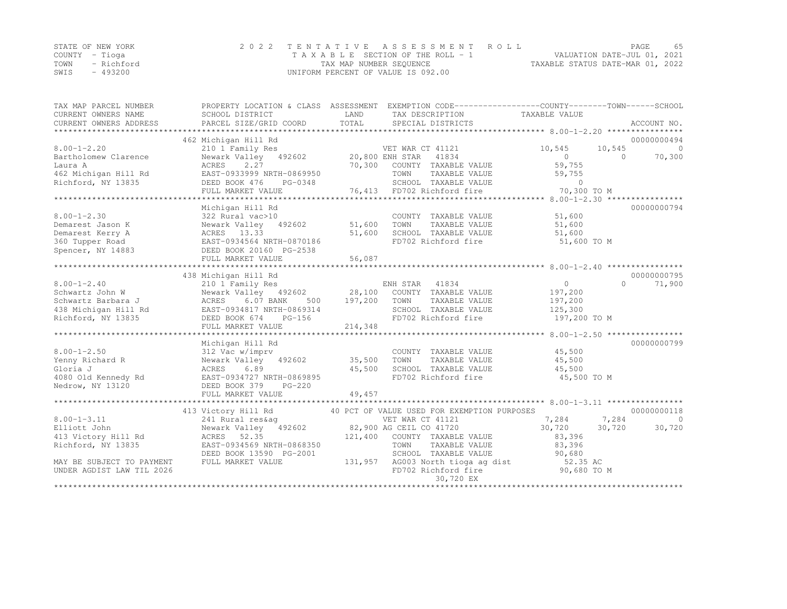| STATE OF NEW YORK |            | 2022 TENTATIVE ASSESSMENT ROLL |                                    |  |                                  | PAGE                        | 65 |
|-------------------|------------|--------------------------------|------------------------------------|--|----------------------------------|-----------------------------|----|
| COUNTY – Tioga    |            |                                | TAXABLE SECTION OF THE ROLL - 1    |  |                                  | VALUATION DATE-JUL 01, 2021 |    |
| TOWN              | - Richford |                                | TAX MAP NUMBER SEQUENCE            |  | TAXABLE STATUS DATE-MAR 01, 2022 |                             |    |
| SWIS              | $-493200$  |                                | UNIFORM PERCENT OF VALUE IS 092.00 |  |                                  |                             |    |

| TAX MAP PARCEL NUMBER     |                                                                                                                                                                                                                               |         | PROPERTY LOCATION & CLASS ASSESSMENT EXEMPTION CODE---------------COUNTY-------TOWN-----SCHOOL |                |           |                |
|---------------------------|-------------------------------------------------------------------------------------------------------------------------------------------------------------------------------------------------------------------------------|---------|------------------------------------------------------------------------------------------------|----------------|-----------|----------------|
| CURRENT OWNERS NAME       | SCHOOL DISTRICT                                                                                                                                                                                                               | LAND    | TAX DESCRIPTION                                                                                | TAXABLE VALUE  |           |                |
| CURRENT OWNERS ADDRESS    | PARCEL SIZE/GRID COORD                                                                                                                                                                                                        | TOTAL   | SPECIAL DISTRICTS                                                                              |                |           | ACCOUNT NO.    |
|                           |                                                                                                                                                                                                                               |         |                                                                                                |                |           |                |
|                           | 462 Michigan Hill Rd                                                                                                                                                                                                          |         |                                                                                                |                |           | 00000000494    |
| $8.00 - 1 - 2.20$         | 210 1 Family Res WET WAR CT 41121<br>Newark Valley 492602 20,800 ENH STAR 41834                                                                                                                                               |         |                                                                                                | 10,545         | 10,545    | $\bigcirc$     |
| Bartholomew Clarence      |                                                                                                                                                                                                                               |         |                                                                                                | $\overline{0}$ | $\Omega$  | 70,300         |
| Laura A                   | 2.27<br>ACRES                                                                                                                                                                                                                 |         | 70,300 COUNTY TAXABLE VALUE                                                                    | 59,755         |           |                |
| 462 Michigan Hill Rd      | EAST-0933999 NRTH-0869950                                                                                                                                                                                                     |         | TOWN<br>TAXABLE VALUE                                                                          | 59,755         |           |                |
| Richford, NY 13835        | DEED BOOK 476<br>PG-0348                                                                                                                                                                                                      |         |                                                                                                | $\Omega$       |           |                |
|                           | FULL MARKET VALUE                                                                                                                                                                                                             |         | SCHOOL TAXABLE VALUE<br>76,413 FD702 Richford fire                                             | 70,300 TO M    |           |                |
|                           |                                                                                                                                                                                                                               |         |                                                                                                |                |           |                |
|                           | Michigan Hill Rd                                                                                                                                                                                                              |         |                                                                                                |                |           | 00000000794    |
| $8.00 - 1 - 2.30$         | 322 Rural vac>10                                                                                                                                                                                                              |         | COUNTY TAXABLE VALUE                                                                           | 51,600         |           |                |
| Demarest Jason K          | Newark Valley 492602                                                                                                                                                                                                          | 51,600  | TOWN<br>TAXABLE VALUE                                                                          | 51,600         |           |                |
| Demarest Kerry A          | Newark Valley<br>ACRES 13.33                                                                                                                                                                                                  | 51,600  | SCHOOL TAXABLE VALUE                                                                           | 51,600         |           |                |
| 360 Tupper Road           | EAST-0934564 NRTH-0870186                                                                                                                                                                                                     |         | FD702 Richford fire                                                                            | 51,600 TO M    |           |                |
| Spencer, NY 14883         | DEED BOOK 20160 PG-2538                                                                                                                                                                                                       |         |                                                                                                |                |           |                |
|                           |                                                                                                                                                                                                                               |         |                                                                                                |                |           |                |
|                           |                                                                                                                                                                                                                               |         |                                                                                                |                |           |                |
|                           | 438 Michigan Hill Rd                                                                                                                                                                                                          |         |                                                                                                |                |           | 00000000795    |
| $8.00 - 1 - 2.40$         | 210 1 Family Res                                                                                                                                                                                                              |         | ENH STAR 41834                                                                                 | $\overline{0}$ | $\bigcap$ | 71,900         |
| Schwartz John W           | Newark Valley 492602 28,100 COUNTY TAXABLE VALUE                                                                                                                                                                              |         |                                                                                                | 197,200        |           |                |
| Schwartz Barbara J        | ACRES 6.07 BANK<br>500                                                                                                                                                                                                        | 197,200 | TOWN<br>TAXABLE VALUE                                                                          | 197,200        |           |                |
| 438 Michigan Hill Rd      | EAST-0934817 NRTH-0869314                                                                                                                                                                                                     |         | SCHOOL TAXABLE VALUE                                                                           | 125,300        |           |                |
| Richford, NY 13835        | DEED BOOK 674<br>PG-156                                                                                                                                                                                                       |         | FD702 Richford fire                                                                            | 197,200 TO M   |           |                |
|                           | FULL MARKET VALUE                                                                                                                                                                                                             | 214,348 |                                                                                                |                |           |                |
|                           |                                                                                                                                                                                                                               |         |                                                                                                |                |           |                |
|                           | Michigan Hill Rd                                                                                                                                                                                                              |         |                                                                                                |                |           | 00000000799    |
| $8.00 - 1 - 2.50$         |                                                                                                                                                                                                                               |         | COUNTY TAXABLE VALUE 45,500                                                                    |                |           |                |
|                           | 312 Vac w/imprv                                                                                                                                                                                                               |         |                                                                                                |                |           |                |
| Yenny Richard R           | Newark Valley 492602 35,500                                                                                                                                                                                                   |         | TOWN<br>TAXABLE VALUE                                                                          | 45,500         |           |                |
| Gloria J                  | 6.89<br>ACRES                                                                                                                                                                                                                 | 45,500  | SCHOOL TAXABLE VALUE<br>FD702 Richford fire                                                    | 45,500         |           |                |
| 4080 Old Kennedy Rd       | EAST-0934727 NRTH-0869895                                                                                                                                                                                                     |         |                                                                                                | 45,500 TO M    |           |                |
| Nedrow, NY 13120          | DEED BOOK 379<br>$PG-220$                                                                                                                                                                                                     |         |                                                                                                |                |           |                |
|                           |                                                                                                                                                                                                                               |         |                                                                                                |                |           |                |
|                           |                                                                                                                                                                                                                               |         |                                                                                                |                |           |                |
|                           | 413 Victory Hill Rd                                                                                                                                                                                                           |         | 40 PCT OF VALUE USED FOR EXEMPTION PURPOSES                                                    |                |           | 00000000118    |
| $8.00 - 1 - 3.11$         | 241 Rural res&ag<br>VET WAR CT 41121 Newark Valley 492602 (241 Rural res&ag (241 Rural Passache Valley 2016)<br>Newark Valley 492602 (262 Passache Valley 2017 Passache Valley 2017 Passache Valley 2018 Passache Valley Vall |         | VET WAR CT 41121                                                                               | 7,284 7,284    |           | $\overline{0}$ |
| Elliott John              |                                                                                                                                                                                                                               |         |                                                                                                | 30,720 30,720  |           | 30,720         |
| 413 Victory Hill Rd       | ACRES 52.35                                                                                                                                                                                                                   |         | 121,400 COUNTY TAXABLE VALUE                                                                   | 83,396         |           |                |
| Richford, NY 13835        | EAST-0934569 NRTH-0868350                                                                                                                                                                                                     |         | TOWN<br>TAXABLE VALUE                                                                          | 83,396         |           |                |
|                           | DEED BOOK 13590 PG-2001                                                                                                                                                                                                       |         | SCHOOL TAXABLE VALUE                                                                           | 90,680         |           |                |
| MAY BE SUBJECT TO PAYMENT | FULL MARKET VALUE                                                                                                                                                                                                             |         | 131,957 AG003 North tioga ag dist 52.35 AC<br>FD702 Richford fire 90,680 TO M                  |                |           |                |
| UNDER AGDIST LAW TIL 2026 |                                                                                                                                                                                                                               |         |                                                                                                |                |           |                |
|                           |                                                                                                                                                                                                                               |         | 30,720 EX                                                                                      |                |           |                |
|                           |                                                                                                                                                                                                                               |         |                                                                                                |                |           |                |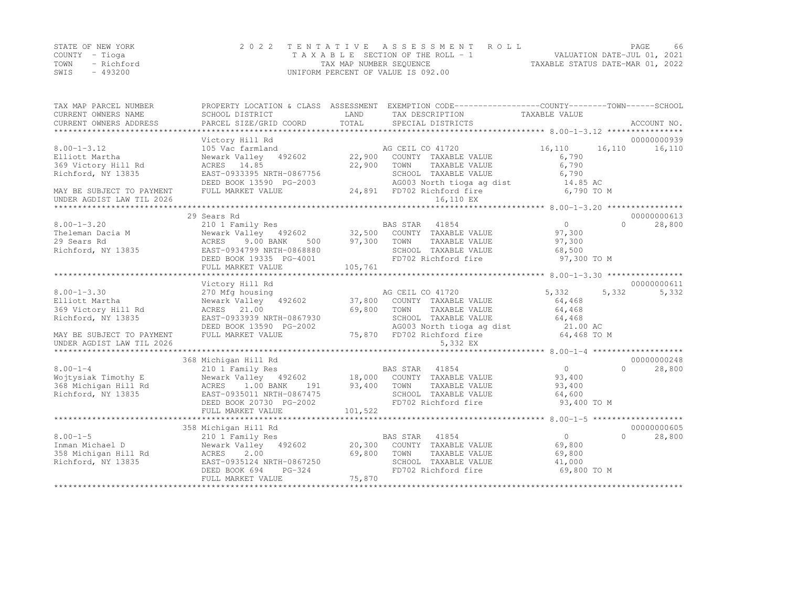|      | STATE OF NEW YORK | 2022 TENTATIVE ASSESSMENT ROLL     | PAGE.                            | 66 |
|------|-------------------|------------------------------------|----------------------------------|----|
|      | COUNTY – Tioga    | TAXABLE SECTION OF THE ROLL - 1    | VALUATION DATE-JUL 01, 2021      |    |
|      | TOWN - Richford   | TAX MAP NUMBER SEQUENCE            | TAXABLE STATUS DATE-MAR 01, 2022 |    |
| SWIS | - 493200          | UNIFORM PERCENT OF VALUE IS 092.00 |                                  |    |

| TAX MAP PARCEL NUMBER     |                                                                                                                                                                                                                                                                                                                                                                                                                                                              |            | PROPERTY LOCATION & CLASS ASSESSMENT EXEMPTION CODE---------------COUNTY-------TOWN-----SCHOOL |                   |                     |
|---------------------------|--------------------------------------------------------------------------------------------------------------------------------------------------------------------------------------------------------------------------------------------------------------------------------------------------------------------------------------------------------------------------------------------------------------------------------------------------------------|------------|------------------------------------------------------------------------------------------------|-------------------|---------------------|
| CURRENT OWNERS NAME       | SCHOOL DISTRICT                                                                                                                                                                                                                                                                                                                                                                                                                                              | LAND       | TAX DESCRIPTION                                                                                | TAXABLE VALUE     |                     |
|                           | $\begin{minipage}{0.5cm} \begin{minipage}{0.5cm} \begin{minipage}{0.5cm} \begin{minipage}{0.5cm} \begin{minipage}{0.5cm} \begin{minipage}{0.5cm} \begin{minipage}{0.5cm} \begin{minipage}{0.5cm} \begin{minipage}{0.5cm} \begin{minipage}{0.5cm} \begin{minipage}{0.5cm} \begin{minipage}{0.5cm} \begin{minipage}{0.5cm} \begin{minipage}{0.5cm} \begin{minipage}{0.5cm} \begin{minipage}{0.5cm} \begin{minipage}{0.5cm} \begin{minipage}{0.5cm} \begin{min$ |            |                                                                                                |                   |                     |
|                           |                                                                                                                                                                                                                                                                                                                                                                                                                                                              |            |                                                                                                |                   |                     |
|                           | Victory Hill Rd                                                                                                                                                                                                                                                                                                                                                                                                                                              |            |                                                                                                |                   | 00000000939         |
| $8.00 - 1 - 3.12$         | 105 Vac farmland                                                                                                                                                                                                                                                                                                                                                                                                                                             |            | AG CEIL CO 41720                                                                               | 16,110            | 16,110<br>16,110    |
| Elliott Martha            | Newark Valley 492602                                                                                                                                                                                                                                                                                                                                                                                                                                         | 22,900     | COUNTY TAXABLE VALUE                                                                           | 6,790             |                     |
| 369 Victory Hill Rd       | ACRES 14.85                                                                                                                                                                                                                                                                                                                                                                                                                                                  | 22,900     | TOWN<br>TAXABLE VALUE                                                                          | 6,790             |                     |
| Richford, NY 13835        | EAST-0933395 NRTH-0867756                                                                                                                                                                                                                                                                                                                                                                                                                                    |            | SCHOOL TAXABLE VALUE                                                                           | 6,790             |                     |
|                           | DEED BOOK 13590 PG-2003                                                                                                                                                                                                                                                                                                                                                                                                                                      |            | AG003 North tioga ag dist<br>FD702 Richford fire                                               | 14.85 AC          |                     |
| MAY BE SUBJECT TO PAYMENT | FULL MARKET VALUE                                                                                                                                                                                                                                                                                                                                                                                                                                            |            | 24,891 FD702 Richford fire                                                                     | 6,790 TO M        |                     |
| UNDER AGDIST LAW TIL 2026 |                                                                                                                                                                                                                                                                                                                                                                                                                                                              |            | 16,110 EX                                                                                      |                   |                     |
|                           |                                                                                                                                                                                                                                                                                                                                                                                                                                                              |            |                                                                                                |                   |                     |
|                           | 29 Sears Rd                                                                                                                                                                                                                                                                                                                                                                                                                                                  |            |                                                                                                |                   | 00000000613         |
| $8.00 - 1 - 3.20$         | 210 1 Family Res                                                                                                                                                                                                                                                                                                                                                                                                                                             |            | BAS STAR 41854                                                                                 | 0                 | $\bigcap$<br>28,800 |
| Theleman Dacia M          | Newark Valley 492602 32,500 COUNTY TAXABLE VALUE                                                                                                                                                                                                                                                                                                                                                                                                             |            |                                                                                                | 97,300            |                     |
| 29 Sears Rd               | 9.00 BANK<br>ACRES<br>500                                                                                                                                                                                                                                                                                                                                                                                                                                    | 97,300     | TOWN<br>TAXABLE VALUE                                                                          | 97,300            |                     |
| Richford, NY 13835        | EAST-0934799 NRTH-0868880                                                                                                                                                                                                                                                                                                                                                                                                                                    |            | SCHOOL TAXABLE VALUE                                                                           | 68,500            |                     |
|                           | DEED BOOK 19335 PG-4001                                                                                                                                                                                                                                                                                                                                                                                                                                      |            | FD702 Richford fire                                                                            | 97,300 TO M       |                     |
|                           | FULL MARKET VALUE                                                                                                                                                                                                                                                                                                                                                                                                                                            | 105,761    |                                                                                                |                   |                     |
|                           |                                                                                                                                                                                                                                                                                                                                                                                                                                                              |            |                                                                                                |                   |                     |
|                           | Victory Hill Rd                                                                                                                                                                                                                                                                                                                                                                                                                                              |            |                                                                                                |                   | 00000000611         |
| $8.00 - 1 - 3.30$         | 270 Mfg housing                                                                                                                                                                                                                                                                                                                                                                                                                                              |            | AG CEIL CO 41720                                                                               | 5,332             | 5,332<br>5,332      |
| Elliott Martha            | Newark Valley 492602                                                                                                                                                                                                                                                                                                                                                                                                                                         |            | 37,800 COUNTY TAXABLE VALUE                                                                    | 64,468            |                     |
| 369 Victory Hill Rd       | ACRES 21.00                                                                                                                                                                                                                                                                                                                                                                                                                                                  | 69,800     | TOWN<br>TAXABLE VALUE                                                                          | 64,468            |                     |
| Richford, NY 13835        | EAST-0933939 NRTH-0867930                                                                                                                                                                                                                                                                                                                                                                                                                                    |            | SCHOOL TAXABLE VALUE                                                                           | 64,468            |                     |
|                           | DEED BOOK 13590 PG-2002                                                                                                                                                                                                                                                                                                                                                                                                                                      |            | AG003 North tioga ag dist 21.00 AC                                                             |                   |                     |
| MAY BE SUBJECT TO PAYMENT | FULL MARKET VALUE                                                                                                                                                                                                                                                                                                                                                                                                                                            |            | 75,870 FD702 Richford fire                                                                     | 64,468 TO M       |                     |
| UNDER AGDIST LAW TIL 2026 |                                                                                                                                                                                                                                                                                                                                                                                                                                                              |            | 5,332 EX                                                                                       |                   |                     |
|                           |                                                                                                                                                                                                                                                                                                                                                                                                                                                              |            |                                                                                                |                   |                     |
|                           | 368 Michigan Hill Rd                                                                                                                                                                                                                                                                                                                                                                                                                                         |            |                                                                                                |                   | 00000000248         |
| $8.00 - 1 - 4$            | 210 1 Family Res                                                                                                                                                                                                                                                                                                                                                                                                                                             |            | BAS STAR 41854                                                                                 | $\overline{0}$    | $\bigcap$<br>28,800 |
| Wojtysiak Timothy E       | Newark Valley 492602 18,000 COUNTY TAXABLE VALUE                                                                                                                                                                                                                                                                                                                                                                                                             |            |                                                                                                | 93,400            |                     |
| 368 Michigan Hill Rd      | ACRES 1.00 BANK                                                                                                                                                                                                                                                                                                                                                                                                                                              | 191 93,400 | TOWN<br>TAXABLE VALUE                                                                          | 93,400            |                     |
| Richford, NY 13835        | EAST-0935011 NRTH-0867475                                                                                                                                                                                                                                                                                                                                                                                                                                    |            | SCHOOL TAXABLE VALUE                                                                           | 64,600            |                     |
|                           | DEED BOOK 20730 PG-2002                                                                                                                                                                                                                                                                                                                                                                                                                                      |            | FD702 Richford fire                                                                            | 93,400 TO M       |                     |
|                           | FULL MARKET VALUE                                                                                                                                                                                                                                                                                                                                                                                                                                            | 101,522    |                                                                                                |                   |                     |
|                           |                                                                                                                                                                                                                                                                                                                                                                                                                                                              |            |                                                                                                |                   |                     |
|                           | 358 Michigan Hill Rd                                                                                                                                                                                                                                                                                                                                                                                                                                         |            |                                                                                                |                   | 00000000605         |
| $8.00 - 1 - 5$            | 210 1 Family Res                                                                                                                                                                                                                                                                                                                                                                                                                                             |            | BAS STAR 41854                                                                                 | $0 \qquad \qquad$ | $\bigcap$<br>28,800 |
| Inman Michael D           | Newark Valley 492602 20,300 COUNTY TAXABLE VALUE                                                                                                                                                                                                                                                                                                                                                                                                             |            |                                                                                                | 69,800            |                     |
| 358 Michigan Hill Rd      | 2.00<br>ACRES                                                                                                                                                                                                                                                                                                                                                                                                                                                | 69,800     | TOWN<br>TAXABLE VALUE                                                                          | 69,800            |                     |
| Richford, NY 13835        | EAST-0935124 NRTH-0867250                                                                                                                                                                                                                                                                                                                                                                                                                                    |            | SCHOOL TAXABLE VALUE                                                                           | 41,000            |                     |
|                           | PG-324<br>DEED BOOK 694                                                                                                                                                                                                                                                                                                                                                                                                                                      |            | FD702 Richford fire                                                                            | 69,800 TO M       |                     |
|                           | FULL MARKET VALUE                                                                                                                                                                                                                                                                                                                                                                                                                                            | 75,870     |                                                                                                |                   |                     |
|                           |                                                                                                                                                                                                                                                                                                                                                                                                                                                              |            |                                                                                                |                   |                     |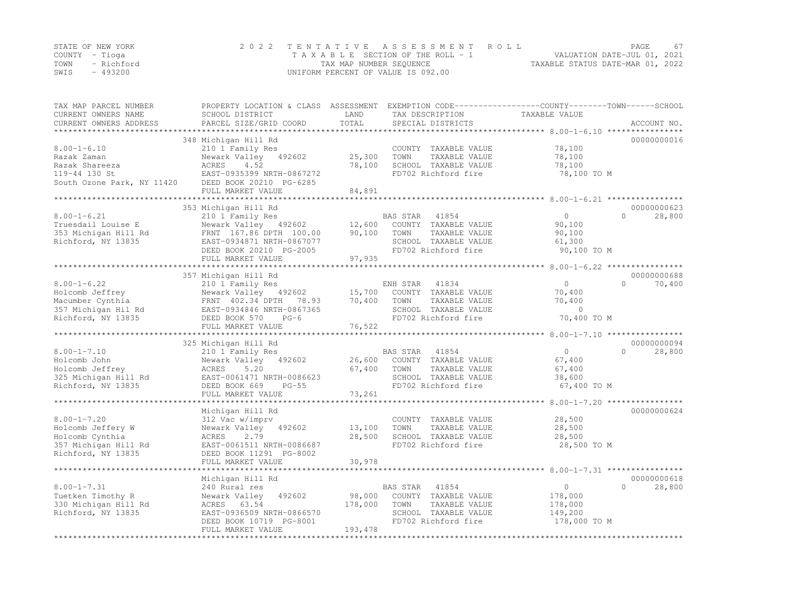|                | STATE OF NEW YORK | 2022 TENTATIVE ASSESSMENT ROLL                                 | <b>PAGE</b> | 67 |
|----------------|-------------------|----------------------------------------------------------------|-------------|----|
| COUNTY – Tioga |                   | VALUATION DATE-JUL 01, 2021<br>TAXABLE SECTION OF THE ROLL - 1 |             |    |
|                | TOWN - Richford   | TAXABLE STATUS DATE-MAR 01, 2022<br>TAX MAP NUMBER SEOUENCE    |             |    |
| SWIS           | - 493200          | UNIFORM PERCENT OF VALUE IS 092.00                             |             |    |

| TAX MAP PARCEL NUMBER<br>CURRENT OWNERS NAME<br>CURRENT OWNERS ADDRESS | PROPERTY LOCATION & CLASS ASSESSMENT<br>SCHOOL DISTRICT<br>PARCEL SIZE/GRID COORD | LAND<br>TOTAL    | TAX DESCRIPTION<br>SPECIAL DISTRICTS | EXEMPTION CODE-----------------COUNTY-------TOWN------SCHOOL<br>TAXABLE VALUE | ACCOUNT NO.             |
|------------------------------------------------------------------------|-----------------------------------------------------------------------------------|------------------|--------------------------------------|-------------------------------------------------------------------------------|-------------------------|
|                                                                        |                                                                                   |                  |                                      |                                                                               |                         |
|                                                                        | 348 Michigan Hill Rd                                                              |                  |                                      |                                                                               | 00000000016             |
| $8.00 - 1 - 6.10$                                                      | 210 1 Family Res                                                                  |                  | COUNTY TAXABLE VALUE                 | 78,100                                                                        |                         |
| Razak Zaman                                                            | Newark Valley 492602                                                              | 25,300           | TOWN<br>TAXABLE VALUE                | 78,100                                                                        |                         |
| Razak Shareeza                                                         | ACRES<br>4.52                                                                     | 78,100           | SCHOOL TAXABLE VALUE                 | 78,100                                                                        |                         |
| 119-44 130 St                                                          | EAST-0935399 NRTH-0867272                                                         |                  | FD702 Richford fire                  | 78,100 TO M                                                                   |                         |
| South Ozone Park, NY 11420                                             | DEED BOOK 20210 PG-6285                                                           |                  |                                      |                                                                               |                         |
|                                                                        | FULL MARKET VALUE                                                                 | 84,891           |                                      |                                                                               |                         |
|                                                                        |                                                                                   |                  |                                      |                                                                               | 00000000623             |
|                                                                        | 353 Michigan Hill Rd                                                              |                  |                                      | $\circ$                                                                       | $\Omega$                |
| $8.00 - 1 - 6.21$                                                      | 210 1 Family Res                                                                  |                  | BAS STAR<br>41854                    |                                                                               | 28,800                  |
| Truesdail Louise E                                                     | Newark Valley 492602                                                              | 12,600           | COUNTY TAXABLE VALUE                 | 90,100                                                                        |                         |
| 353 Michigan Hill Rd                                                   | FRNT 167.86 DPTH 100.00                                                           | 90,100           | TOWN<br>TAXABLE VALUE                | 90,100                                                                        |                         |
| Richford, NY 13835                                                     | EAST-0934871 NRTH-0867077                                                         |                  | SCHOOL TAXABLE VALUE                 | 61,300                                                                        |                         |
|                                                                        | DEED BOOK 20210 PG-2005                                                           |                  | FD702 Richford fire                  | 90,100 TO M                                                                   |                         |
|                                                                        | FULL MARKET VALUE                                                                 | 97,935           |                                      |                                                                               |                         |
|                                                                        |                                                                                   |                  |                                      |                                                                               |                         |
| $8.00 - 1 - 6.22$                                                      | 357 Michigan Hill Rd                                                              |                  |                                      | $\circ$                                                                       | 00000000688<br>$\Omega$ |
|                                                                        | 210 1 Family Res                                                                  |                  | ENH STAR<br>41834                    |                                                                               | 70,400                  |
| Holcomb Jeffrey                                                        | Newark Valley 492602                                                              | 15,700           | COUNTY TAXABLE VALUE                 | 70,400                                                                        |                         |
| Macumber Cynthia                                                       | FRNT 402.34 DPTH<br>78.93                                                         | 70,400           | TOWN<br>TAXABLE VALUE                | 70,400<br>$\Omega$                                                            |                         |
| 357 Michigan Hil Rd                                                    | EAST-0934846 NRTH-0867365                                                         |                  | SCHOOL TAXABLE VALUE                 |                                                                               |                         |
| Richford, NY 13835                                                     | DEED BOOK 570<br>$PG-6$                                                           |                  | FD702 Richford fire                  | 70,400 TO M                                                                   |                         |
| *******************                                                    | FULL MARKET VALUE                                                                 | 76,522           |                                      |                                                                               |                         |
|                                                                        | 325 Michigan Hill Rd                                                              |                  |                                      |                                                                               | 00000000094             |
| $8.00 - 1 - 7.10$                                                      | 210 1 Family Res                                                                  |                  | 41854<br>BAS STAR                    | $\Omega$                                                                      | 28,800<br>$\bigcap$     |
| Holcomb John                                                           | Newark Valley 492602                                                              | 26,600           | COUNTY TAXABLE VALUE                 | 67,400                                                                        |                         |
| Holcomb Jeffrey                                                        | 5.20<br>ACRES                                                                     | 67,400           | TOWN<br>TAXABLE VALUE                | 67,400                                                                        |                         |
| 325 Michigan Hill Rd                                                   | EAST-0061471 NRTH-0086623                                                         |                  | SCHOOL TAXABLE VALUE                 | 38,600                                                                        |                         |
| Richford, NY 13835                                                     | DEED BOOK 669<br>$PG-55$                                                          |                  | FD702 Richford fire                  | 67,400 TO M                                                                   |                         |
|                                                                        | FULL MARKET VALUE                                                                 | 73,261           |                                      |                                                                               |                         |
|                                                                        |                                                                                   |                  |                                      |                                                                               |                         |
|                                                                        | Michigan Hill Rd                                                                  |                  |                                      |                                                                               | 00000000624             |
| $8.00 - 1 - 7.20$                                                      | 312 Vac w/imprv                                                                   |                  | COUNTY TAXABLE VALUE                 | 28,500                                                                        |                         |
| Holcomb Jeffery W                                                      | 492602<br>Newark Valley                                                           | 13,100           | TOWN<br>TAXABLE VALUE                | 28,500                                                                        |                         |
| Holcomb Cynthia                                                        | 2.79<br>ACRES                                                                     | 28,500           | SCHOOL TAXABLE VALUE                 | 28,500                                                                        |                         |
| 357 Michigan Hill Rd                                                   | EAST-0061511 NRTH-0086687                                                         |                  | FD702 Richford fire                  | 28,500 TO M                                                                   |                         |
| Richford, NY 13835                                                     | DEED BOOK 11291 PG-8002                                                           |                  |                                      |                                                                               |                         |
|                                                                        | FULL MARKET VALUE                                                                 | 30,978           |                                      |                                                                               |                         |
|                                                                        |                                                                                   |                  |                                      |                                                                               |                         |
|                                                                        | Michigan Hill Rd                                                                  |                  |                                      |                                                                               | 00000000618             |
| $8.00 - 1 - 7.31$                                                      | 240 Rural res                                                                     |                  | BAS STAR<br>41854                    | $\circ$                                                                       | $\Omega$<br>28,800      |
| Tuetken Timothy R                                                      | Newark Valley<br>492602                                                           | 98,000           | COUNTY TAXABLE VALUE                 | 178,000                                                                       |                         |
| 330 Michigan Hill Rd                                                   | ACRES 63.54                                                                       | 178,000          | TOWN<br>TAXABLE VALUE                | 178,000                                                                       |                         |
| Richford, NY 13835                                                     | EAST-0936509 NRTH-0866570                                                         |                  | SCHOOL TAXABLE VALUE                 | 149,200                                                                       |                         |
|                                                                        | DEED BOOK 10719 PG-8001                                                           |                  | FD702 Richford fire                  | 178,000 TO M                                                                  |                         |
|                                                                        | FULL MARKET VALUE                                                                 | 193,478          |                                      |                                                                               |                         |
|                                                                        | ***********************                                                           | **************** |                                      |                                                                               |                         |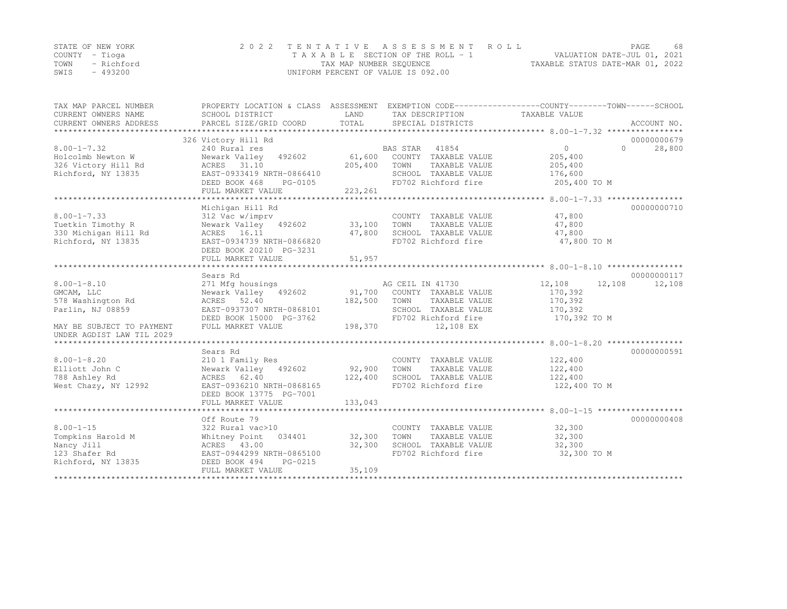|      | STATE OF NEW YORK | 2022 TENTATIVE ASSESSMENT ROLL     | PAGE.                            | 68 |
|------|-------------------|------------------------------------|----------------------------------|----|
|      | COUNTY – Tioga    | TAXABLE SECTION OF THE ROLL - 1    | VALUATION DATE-JUL 01, 2021      |    |
| TOWN | - Richford        | TAX MAP NUMBER SEQUENCE            | TAXABLE STATUS DATE-MAR 01, 2022 |    |
| SWIS | - 493200          | UNIFORM PERCENT OF VALUE IS 092.00 |                                  |    |

| TAX MAP PARCEL NUMBER     | PROPERTY LOCATION & CLASS ASSESSMENT EXEMPTION CODE----------------COUNTY-------TOWN-----SCHOOL |         |                                             |                         |                    |
|---------------------------|-------------------------------------------------------------------------------------------------|---------|---------------------------------------------|-------------------------|--------------------|
| CURRENT OWNERS NAME       | SCHOOL DISTRICT                                                                                 | LAND    | TAX DESCRIPTION                             | TAXABLE VALUE           |                    |
| CURRENT OWNERS ADDRESS    | PARCEL SIZE/GRID COORD                                                                          | TOTAL   | SPECIAL DISTRICTS                           |                         | ACCOUNT NO.        |
|                           |                                                                                                 |         |                                             |                         |                    |
|                           | 326 Victory Hill Rd                                                                             |         |                                             |                         | 00000000679        |
| $8.00 - 1 - 7.32$         | 240 Rural res                                                                                   |         | BAS STAR 41854                              | $\overline{0}$          | 28,800<br>$\Omega$ |
| Holcolmb Newton W         | Newark Valley 492602                                                                            | 61,600  | COUNTY TAXABLE VALUE                        | 205,400                 |                    |
| 326 Victory Hill Rd       | ACRES 31.10                                                                                     | 205,400 | TOWN<br>TAXABLE VALUE                       | 205,400                 |                    |
| Richford, NY 13835        | EAST-0933419 NRTH-0866410                                                                       |         | SCHOOL TAXABLE VALUE                        | 176,600                 |                    |
|                           | DEED BOOK 468<br>PG-0105                                                                        |         | FD702 Richford fire                         | 205,400 TO M            |                    |
|                           | FULL MARKET VALUE                                                                               | 223,261 |                                             |                         |                    |
|                           |                                                                                                 |         |                                             |                         |                    |
|                           | Michigan Hill Rd                                                                                |         |                                             |                         | 00000000710        |
| $8.00 - 1 - 7.33$         | 312 Vac w/imprv                                                                                 |         | COUNTY TAXABLE VALUE                        | 47,800                  |                    |
| Tuetkin Timothy R         | Newark Valley 492602 33,100                                                                     |         | TOWN<br>TAXABLE VALUE                       | 47,800                  |                    |
| 330 Michigan Hill Rd      | ACRES 16.11                                                                                     | 47,800  | SCHOOL TAXABLE VALUE                        | 47,800                  |                    |
| Richford, NY 13835        | EAST-0934739 NRTH-0866820                                                                       |         | FD702 Richford fire                         | 47,800 TO M             |                    |
|                           | DEED BOOK 20210 PG-3231                                                                         |         |                                             |                         |                    |
|                           | FULL MARKET VALUE                                                                               | 51,957  |                                             |                         |                    |
|                           |                                                                                                 |         |                                             |                         |                    |
|                           | Sears Rd                                                                                        |         |                                             |                         | 00000000117        |
| $8.00 - 1 - 8.10$         | 271 Mfg housings                                                                                |         | AG CEIL IN 41730                            | 12,108<br>12,108        | 12,108             |
| GMCAM, LLC                | Newark Valley 492602                                                                            |         | 91,700 COUNTY TAXABLE VALUE                 | 170,392                 |                    |
| 578 Washington Rd         | ACRES 52.40                                                                                     | 182,500 | TOWN<br>TAXABLE VALUE                       | 170,392                 |                    |
| Parlin, NJ 08859          | EAST-0937307 NRTH-0868101<br>DEED BOOK 15000 PG-3762                                            |         | SCHOOL TAXABLE VALUE<br>FD702 Richford fire | 170,392<br>170,392 TO M |                    |
|                           | FULL MARKET VALUE                                                                               | 198,370 |                                             |                         |                    |
| MAY BE SUBJECT TO PAYMENT |                                                                                                 |         | 12,108 EX                                   |                         |                    |
| UNDER AGDIST LAW TIL 2029 |                                                                                                 |         |                                             |                         |                    |
|                           | Sears Rd                                                                                        |         |                                             |                         | 00000000591        |
| $8.00 - 1 - 8.20$         | 210 1 Family Res                                                                                |         | COUNTY TAXABLE VALUE                        | 122,400                 |                    |
| Elliott John C            | Newark Valley 492602                                                                            | 92,900  | TAXABLE VALUE<br>TOWN                       | 122,400                 |                    |
| 788 Ashley Rd             | ACRES 62.40                                                                                     | 122,400 | SCHOOL TAXABLE VALUE                        | 122,400                 |                    |
| West Chazy, NY 12992      | EAST-0936210 NRTH-0868165                                                                       |         | FD702 Richford fire                         | 122,400 TO M            |                    |
|                           | DEED BOOK 13775 PG-7001                                                                         |         |                                             |                         |                    |
|                           | FULL MARKET VALUE                                                                               | 133,043 |                                             |                         |                    |
|                           |                                                                                                 |         |                                             |                         |                    |
|                           | Off Route 79                                                                                    |         |                                             |                         | 00000000408        |
| $8.00 - 1 - 15$           | 322 Rural vac>10                                                                                |         | COUNTY TAXABLE VALUE                        | 32,300                  |                    |
| Tompkins Harold M         | 034401 32,300<br>Whitney Point                                                                  |         | TOWN<br>TAXABLE VALUE                       | 32,300                  |                    |
| Nancy Jill                | ACRES 43.00                                                                                     | 32,300  | SCHOOL TAXABLE VALUE                        | 32,300                  |                    |
| 123 Shafer Rd             | EAST-0944299 NRTH-0865100                                                                       |         | FD702 Richford fire                         | 32,300 TO M             |                    |
| Richford, NY 13835        | PG-0215<br>DEED BOOK 494                                                                        |         |                                             |                         |                    |
|                           | FULL MARKET VALUE                                                                               | 35,109  |                                             |                         |                    |
|                           |                                                                                                 |         |                                             |                         |                    |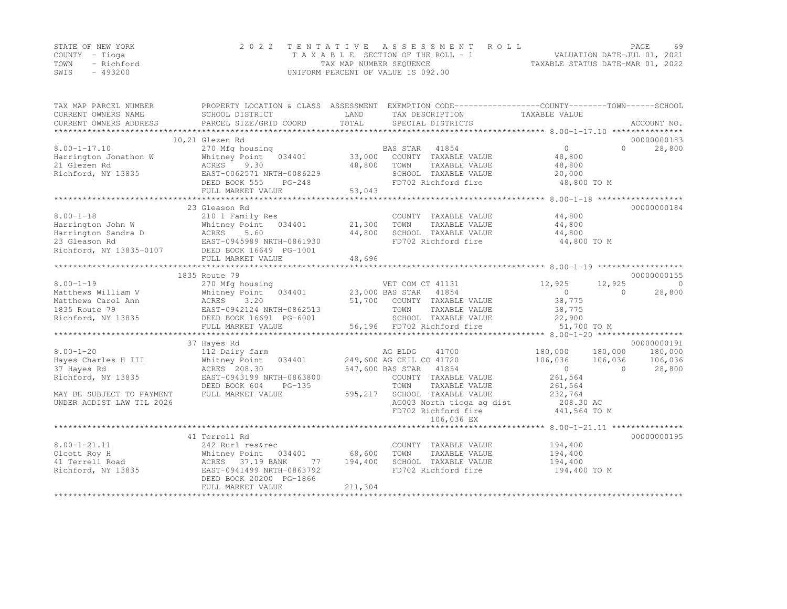|      | STATE OF NEW YORK | 2022 TENTATIVE ASSESSMENT ROLL     | PAGE.                            | 69 |
|------|-------------------|------------------------------------|----------------------------------|----|
|      | COUNTY – Tioga    | TAXABLE SECTION OF THE ROLL - 1    | VALUATION DATE-JUL 01, 2021      |    |
|      | TOWN - Richford   | TAX MAP NUMBER SEQUENCE            | TAXABLE STATUS DATE-MAR 01, 2022 |    |
| SWIS | - 493200          | UNIFORM PERCENT OF VALUE IS 092.00 |                                  |    |

| TAX MAP PARCEL NUMBER     |                                                 |            | PROPERTY LOCATION & CLASS ASSESSMENT EXEMPTION CODE---------------COUNTY-------TOWN-----SCHOOL |                   |                          |
|---------------------------|-------------------------------------------------|------------|------------------------------------------------------------------------------------------------|-------------------|--------------------------|
| CURRENT OWNERS NAME       | SCHOOL DISTRICT                                 | LAND       | TAX DESCRIPTION                                                                                | TAXABLE VALUE     |                          |
| CURRENT OWNERS ADDRESS    | PARCEL SIZE/GRID COORD                          | TOTAL      | SPECIAL DISTRICTS                                                                              |                   | ACCOUNT NO.              |
|                           |                                                 |            |                                                                                                |                   |                          |
|                           | 10,21 Glezen Rd                                 |            |                                                                                                |                   | 00000000183              |
| $8.00 - 1 - 17.10$        | 270 Mfg housing                                 |            | BAS STAR 41854                                                                                 | $0 \qquad \qquad$ | $\Omega$<br>28,800       |
| Harrington Jonathon W     | Whitney Point 034401                            | 33,000     | COUNTY TAXABLE VALUE                                                                           | 48,800            |                          |
| 21 Glezen Rd              | ACRES<br>9.30                                   | 48,800     | TOWN<br>TAXABLE VALUE                                                                          | 48,800            |                          |
| Richford, NY 13835        | EAST-0062571 NRTH-0086229                       |            | SCHOOL TAXABLE VALUE                                                                           | 20,000            |                          |
|                           | DEED BOOK 555<br>$PG-248$                       |            | FD702 Richford fire                                                                            | 48,800 TO M       |                          |
|                           | FULL MARKET VALUE                               | 53,043     |                                                                                                |                   |                          |
|                           |                                                 |            |                                                                                                |                   |                          |
|                           | 23 Gleason Rd                                   |            |                                                                                                |                   | 00000000184              |
| $8.00 - 1 - 18$           | 210 1 Family Res                                |            | COUNTY TAXABLE VALUE                                                                           | 44,800            |                          |
| Harrington John W         | 034401 21,300<br>Whitney Point                  |            | TOWN<br>TAXABLE VALUE                                                                          | 44,800            |                          |
| Harrington Sandra D       |                                                 | 44,800     | SCHOOL TAXABLE VALUE                                                                           | 44,800            |                          |
| 23 Gleason Rd             | D<br>RAST-0945989 NRTH-0861930                  |            | FD702 Richford fire                                                                            | 44,800 TO M       |                          |
|                           | Richford, NY 13835-0107 DEED BOOK 16649 PG-1001 |            |                                                                                                |                   |                          |
|                           | FULL MARKET VALUE                               | 48,696     |                                                                                                |                   |                          |
|                           |                                                 |            |                                                                                                |                   |                          |
|                           | 1835 Route 79                                   |            |                                                                                                |                   | 00000000155              |
| $8.00 - 1 - 19$           | 270 Mfg housing                                 |            | VET COM CT 41131                                                                               | 12,925            | 12,925<br>$\overline{0}$ |
| Matthews William V        | Whitney Point 034401                            |            | 23,000 BAS STAR<br>41854                                                                       | $\sim$ 0          | 28,800<br>$\Omega$       |
| Matthews Carol Ann        | <b>ACRES</b><br>3.20                            |            | 51,700 COUNTY TAXABLE VALUE                                                                    | 38,775            |                          |
| 1835 Route 79             | EAST-0942124 NRTH-0862513                       |            | TOWN<br>TAXABLE VALUE                                                                          | 38,775            |                          |
| Richford, NY 13835        | DEED BOOK 16691 PG-6001                         |            | SCHOOL TAXABLE VALUE                                                                           | 22,900            |                          |
|                           | FULL MARKET VALUE                               |            | 56,196 FD702 Richford fire                                                                     | 51,700 TO M       |                          |
|                           |                                                 |            |                                                                                                |                   |                          |
|                           | 37 Hayes Rd                                     |            |                                                                                                |                   | 00000000191              |
| $8.00 - 1 - 20$           | 112 Dairy farm                                  |            | AG BLDG<br>41700                                                                               | 180,000           | 180,000<br>180,000       |
| Hayes Charles H III       | Whitney Point 034401                            |            | 249,600 AG CEIL CO 41720                                                                       | 106,036           | 106,036<br>106,036       |
| 37 Hayes Rd               | ACRES 208.30                                    |            | 547,600 BAS STAR 41854                                                                         | $\overline{0}$    | 28,800<br>$\Omega$       |
| Richford, NY 13835        | EAST-0943199 NRTH-0863800                       |            | COUNTY TAXABLE VALUE                                                                           | 261,564           |                          |
|                           | DEED BOOK 604<br>$PG-135$                       |            | TOWN<br>TAXABLE VALUE                                                                          | 261,564           |                          |
| MAY BE SUBJECT TO PAYMENT | FULL MARKET VALUE                               | 595,217    | SCHOOL TAXABLE VALUE                                                                           | 232,764           |                          |
| UNDER AGDIST LAW TIL 2026 |                                                 |            | AG003 North tioga ag dist                                                                      | 208.30 AC         |                          |
|                           |                                                 |            | FD702 Richford fire                                                                            | $441,564$ TO M    |                          |
|                           |                                                 |            | 106,036 EX                                                                                     |                   |                          |
|                           |                                                 |            |                                                                                                |                   |                          |
|                           | 41 Terrell Rd                                   |            |                                                                                                |                   | 00000000195              |
| $8.00 - 1 - 21.11$        | 242 Rurl res&rec                                |            | COUNTY TAXABLE VALUE                                                                           | 194,400           |                          |
| Olcott Roy H              | Whitney Point 034401                            | 68,600     | TOWN<br>TAXABLE VALUE                                                                          | 194,400           |                          |
| 41 Terrell Road           | ACRES 37.19 BANK                                | 77 194,400 | SCHOOL TAXABLE VALUE                                                                           | 194,400           |                          |
| Richford, NY 13835        | EAST-0941499 NRTH-0863792                       |            | FD702 Richford fire                                                                            | 194,400 TO M      |                          |
|                           | DEED BOOK 20200 PG-1866                         |            |                                                                                                |                   |                          |
|                           | FULL MARKET VALUE                               | 211,304    |                                                                                                |                   |                          |
|                           |                                                 |            |                                                                                                |                   |                          |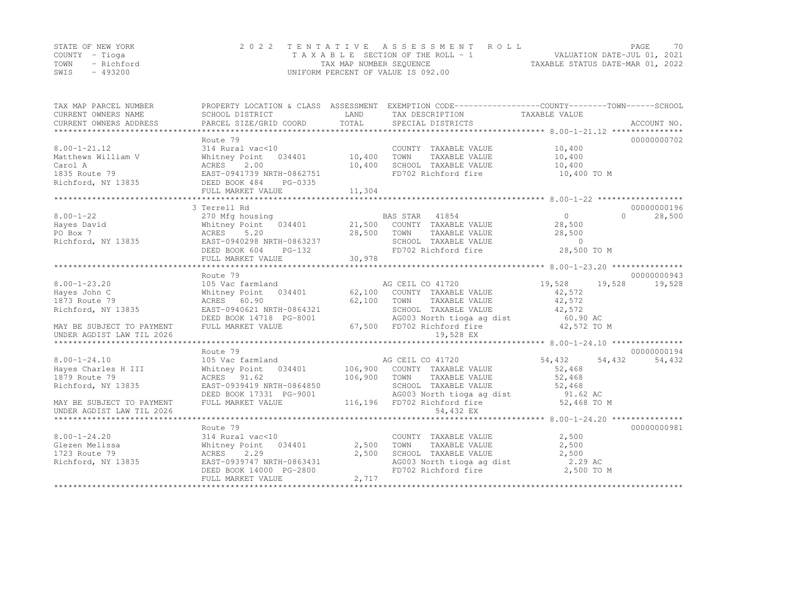|      | STATE OF NEW YORK | 2022 TENTATIVE ASSESSMENT ROLL                              | PAGE                        | 70 |
|------|-------------------|-------------------------------------------------------------|-----------------------------|----|
|      | COUNTY – Tioga    | T A X A B L E SECTION OF THE ROLL - 1                       | VALUATION DATE-JUL 01, 2021 |    |
|      | TOWN - Richford   | TAXABLE STATUS DATE-MAR 01, 2022<br>TAX MAP NUMBER SEQUENCE |                             |    |
| SWIS | - 493200          | UNIFORM PERCENT OF VALUE IS 092.00                          |                             |    |

| TAX MAP PARCEL NUMBER<br>CURRENT OWNERS NAME | SCHOOL DISTRICT                                  | LAND    | PROPERTY LOCATION & CLASS ASSESSMENT EXEMPTION CODE----------------COUNTY-------TOWN------SCHOOL<br>TAX DESCRIPTION TAXABLE VALUE |                |          |             |
|----------------------------------------------|--------------------------------------------------|---------|-----------------------------------------------------------------------------------------------------------------------------------|----------------|----------|-------------|
| CURRENT OWNERS ADDRESS                       | PARCEL SIZE/GRID COORD                           | TOTAL   | SPECIAL DISTRICTS                                                                                                                 |                |          | ACCOUNT NO. |
|                                              | Route 79                                         |         |                                                                                                                                   |                |          | 00000000702 |
| $8.00 - 1 - 21.12$                           | 314 Rural vac<10                                 |         | COUNTY TAXABLE VALUE                                                                                                              | 10,400         |          |             |
| Matthews William V                           | Whitney Point 034401                             | 10,400  | TOWN<br>TAXABLE VALUE                                                                                                             | 10,400         |          |             |
| Carol A                                      | ACRES<br>2.00                                    | 10,400  | SCHOOL TAXABLE VALUE                                                                                                              | 10,400         |          |             |
| 1835 Route 79                                | EAST-0941739 NRTH-0862751                        |         | FD702 Richford fire                                                                                                               | 10,400 TO M    |          |             |
| Richford, NY 13835                           | DEED BOOK 484<br>PG-0335                         |         |                                                                                                                                   |                |          |             |
|                                              | FULL MARKET VALUE                                | 11,304  |                                                                                                                                   |                |          |             |
|                                              |                                                  |         |                                                                                                                                   |                |          |             |
|                                              | 3 Terrell Rd                                     |         |                                                                                                                                   |                |          | 00000000196 |
| $8.00 - 1 - 22$                              | 270 Mfg housing                                  |         | BAS STAR 41854                                                                                                                    | $\overline{0}$ | $\Omega$ | 28,500      |
| Hayes David                                  | Whitney Point 034401                             |         | 21,500 COUNTY TAXABLE VALUE                                                                                                       | 28,500         |          |             |
| PO Box 7                                     | 5.20<br>ACRES                                    | 28,500  | TOWN<br>TOWN     TAXABLE VALUE<br>SCHOOL   TAXABLE VALUE                                                                          | 28,500         |          |             |
| Richford, NY 13835                           | EAST-0940298 NRTH-0863237                        |         |                                                                                                                                   | $\bigcap$      |          |             |
|                                              | DEED BOOK 604<br>$PG-132$                        |         | FD702 Richford fire                                                                                                               | 28,500 TO M    |          |             |
|                                              | FULL MARKET VALUE                                | 30,978  |                                                                                                                                   |                |          |             |
|                                              |                                                  |         |                                                                                                                                   |                |          | 00000000943 |
| $8.00 - 1 - 23.20$                           | Route 79<br>105 Vac farmland                     |         | AG CEIL CO 41720                                                                                                                  | 19,528         | 19,528   |             |
| Hayes John C                                 | Whitney Point 034401 62,100 COUNTY TAXABLE VALUE |         |                                                                                                                                   | 42,572         |          | 19,528      |
| 1873 Route 79                                | ACRES 60.90                                      | 62,100  | TOWN<br>TAXABLE VALUE                                                                                                             | 42,572         |          |             |
| Richford, NY 13835                           | EAST-0940621 NRTH-0864321                        |         | SCHOOL TAXABLE VALUE                                                                                                              | 42,572         |          |             |
|                                              | DEED BOOK 14718 PG-8001                          |         |                                                                                                                                   |                |          |             |
| MAY BE SUBJECT TO PAYMENT                    | FULL MARKET VALUE                                |         | AG003 North tioga ag dist 60.90 AC<br>67,500 FD702 Richford fire                                                                  | 42,572 TO M    |          |             |
| UNDER AGDIST LAW TIL 2026                    |                                                  |         | 19,528 EX                                                                                                                         |                |          |             |
|                                              |                                                  |         |                                                                                                                                   |                |          |             |
|                                              | Route 79                                         |         |                                                                                                                                   |                |          | 00000000194 |
| $8.00 - 1 - 24.10$                           | 105 Vac farmland                                 |         | AG CEIL CO 41720                                                                                                                  | 54,432 54,432  |          | 54,432      |
| Hayes Charles H III                          | Whitney Point 034401                             |         | 106,900 COUNTY TAXABLE VALUE                                                                                                      | 52,468         |          |             |
| 1879 Route 79                                | ACRES 91.62                                      | 106,900 | TOWN<br>TAXABLE VALUE                                                                                                             | 52,468         |          |             |
| Richford, NY 13835                           | EAST-0939419 NRTH-0864850                        |         | SCHOOL TAXABLE VALUE                                                                                                              | 52,468         |          |             |
|                                              | DEED BOOK 17331 PG-9001                          |         | AG003 North tioga ag dist                                                                                                         | 91.62 AC       |          |             |
| MAY BE SUBJECT TO PAYMENT                    | FULL MARKET VALUE                                |         | 116,196 FD702 Richford fire                                                                                                       | 52,468 TO M    |          |             |
| UNDER AGDIST LAW TIL 2026                    |                                                  |         | 54,432 EX                                                                                                                         |                |          |             |
|                                              |                                                  |         |                                                                                                                                   |                |          |             |
|                                              | Route 79                                         |         |                                                                                                                                   |                |          | 00000000981 |
| $8.00 - 1 - 24.20$                           | 314 Rural vac<10                                 |         | COUNTY TAXABLE VALUE                                                                                                              | 2,500          |          |             |
| Glezen Melissa                               | Whitney Point 034401                             | 2,500   | TOWN<br>TAXABLE VALUE                                                                                                             | 2,500          |          |             |
| 1723 Route 79                                | ACRES<br>2.29                                    | 2,500   | SCHOOL TAXABLE VALUE                                                                                                              | 2,500          |          |             |
| Richford, NY 13835                           | EAST-0939747 NRTH-0863431                        |         | AG003 North tioga ag dist                                                                                                         | 2.29 AC        |          |             |
|                                              | DEED BOOK 14000 PG-2800                          |         | FD702 Richford fire                                                                                                               | 2,500 TO M     |          |             |
|                                              | FULL MARKET VALUE                                | 2,717   |                                                                                                                                   |                |          |             |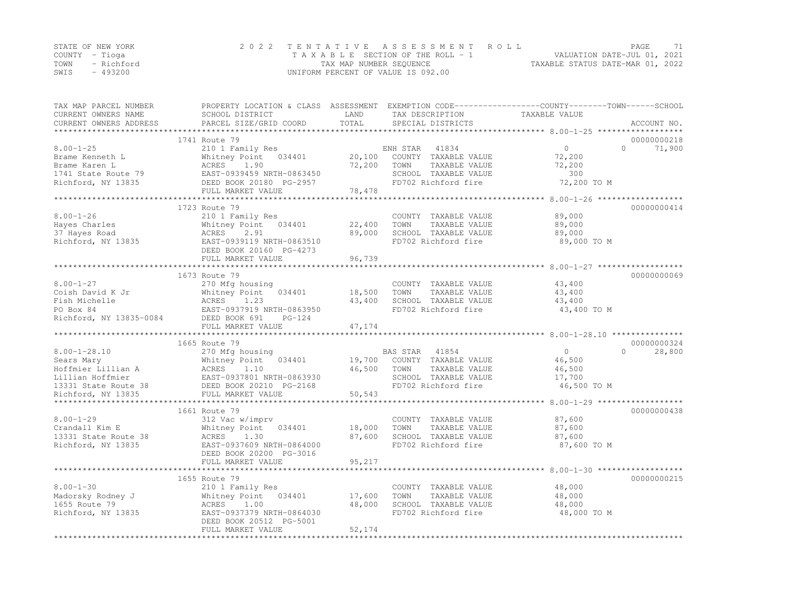|      | STATE OF NEW YORK | 2022 TENTATIVE ASSESSMENT ROLL                                 | PAGE. | 71 |
|------|-------------------|----------------------------------------------------------------|-------|----|
|      | COUNTY – Tioga    | VALUATION DATE-JUL 01, 2021<br>TAXABLE SECTION OF THE ROLL - 1 |       |    |
| TOWN | - Richford        | TAXABLE STATUS DATE-MAR 01, 2022<br>TAX MAP NUMBER SEQUENCE    |       |    |
| SWIS | - 493200          | UNIFORM PERCENT OF VALUE IS 092.00                             |       |    |

| TAX MAP PARCEL NUMBER<br>CURRENT OWNERS NAME | PROPERTY LOCATION & CLASS ASSESSMENT EXEMPTION CODE-----------------COUNTY-------TOWN------SCHOOL<br>SCHOOL DISTRICT | LAND   | TAX DESCRIPTION       | TAXABLE VALUE                                               |                    |
|----------------------------------------------|----------------------------------------------------------------------------------------------------------------------|--------|-----------------------|-------------------------------------------------------------|--------------------|
| CURRENT OWNERS ADDRESS                       | PARCEL SIZE/GRID COORD                                                                                               | TOTAL  | SPECIAL DISTRICTS     |                                                             | ACCOUNT NO.        |
| *******************                          |                                                                                                                      |        |                       |                                                             |                    |
|                                              | 1741 Route 79                                                                                                        |        |                       |                                                             | 00000000218        |
| $8.00 - 1 - 25$                              | 210 1 Family Res                                                                                                     |        | ENH STAR<br>41834     | $\Omega$                                                    | $\Omega$<br>71,900 |
| Brame Kenneth L                              | Whitney Point 034401                                                                                                 | 20,100 | COUNTY TAXABLE VALUE  | 72,200                                                      |                    |
| Brame Karen L                                | ACRES<br>1.90                                                                                                        | 72,200 | TOWN<br>TAXABLE VALUE | 72,200                                                      |                    |
| 1741 State Route 79                          | EAST-0939459 NRTH-0863450                                                                                            |        | SCHOOL TAXABLE VALUE  | 300                                                         |                    |
| Richford, NY 13835                           | DEED BOOK 20180 PG-2957                                                                                              |        | FD702 Richford fire   | 72,200 TO M                                                 |                    |
|                                              | FULL MARKET VALUE                                                                                                    | 78,478 |                       | *********** 8.00-1-26                                       |                    |
|                                              | 1723 Route 79                                                                                                        |        |                       |                                                             | 00000000414        |
| $8.00 - 1 - 26$                              | 210 1 Family Res                                                                                                     |        | COUNTY TAXABLE VALUE  | 89,000                                                      |                    |
| Hayes Charles                                | Whitney Point 034401                                                                                                 | 22,400 | TOWN<br>TAXABLE VALUE | 89,000                                                      |                    |
| 37 Hayes Road                                | 2.91<br>ACRES                                                                                                        | 89,000 | SCHOOL TAXABLE VALUE  | 89,000                                                      |                    |
| Richford, NY 13835                           | EAST-0939119 NRTH-0863510                                                                                            |        | FD702 Richford fire   | 89,000 TO M                                                 |                    |
|                                              | DEED BOOK 20160 PG-4273                                                                                              |        |                       |                                                             |                    |
|                                              | FULL MARKET VALUE                                                                                                    | 96,739 |                       |                                                             |                    |
|                                              | ************************                                                                                             |        |                       | ********************************* 8.00-1-27 *************** |                    |
|                                              | 1673 Route 79                                                                                                        |        |                       |                                                             | 00000000069        |
| $8.00 - 1 - 27$                              | 270 Mfg housing                                                                                                      |        | COUNTY TAXABLE VALUE  | 43,400                                                      |                    |
| Coish David K Jr                             | Whitney Point 034401                                                                                                 | 18,500 | TOWN<br>TAXABLE VALUE | 43,400                                                      |                    |
| Fish Michelle                                | ACRES<br>1.23                                                                                                        | 43,400 | SCHOOL TAXABLE VALUE  | 43,400                                                      |                    |
| PO Box 84                                    | EAST-0937919 NRTH-0863950                                                                                            |        | FD702 Richford fire   | 43,400 TO M                                                 |                    |
| Richford, NY 13835-0084                      | DEED BOOK 691<br>$PG-124$                                                                                            |        |                       |                                                             |                    |
|                                              | FULL MARKET VALUE                                                                                                    | 47,174 |                       |                                                             |                    |
|                                              |                                                                                                                      |        |                       |                                                             |                    |
|                                              | 1665 Route 79                                                                                                        |        |                       |                                                             | 00000000324        |
| $8.00 - 1 - 28.10$                           | 270 Mfg housing                                                                                                      |        | BAS STAR 41854        | $\overline{0}$                                              | $\Omega$<br>28,800 |
| Sears Mary                                   | Whitney Point 034401                                                                                                 | 19,700 | COUNTY TAXABLE VALUE  | 46,500                                                      |                    |
| Hoffmier Lillian A                           |                                                                                                                      | 46,500 | TOWN<br>TAXABLE VALUE | 46,500                                                      |                    |
| Lillian Hoffmier                             | EAST-0937801 NRTH-0863930                                                                                            |        | SCHOOL TAXABLE VALUE  | 17,700                                                      |                    |
| 13331 State Route 38<br>Richford, NY 13835   |                                                                                                                      | 50,543 | FD702 Richford fire   | 46,500 TO M                                                 |                    |
| *********************                        | ACRES<br>EAST-0937801 NRTH-0863956<br>DEED BOOK 20210 PG-2168<br>EULL MARKET VALUE<br>****************************   |        |                       |                                                             |                    |
|                                              | 1661 Route 79                                                                                                        |        |                       |                                                             | 00000000438        |
| $8.00 - 1 - 29$                              | 312 Vac w/imprv                                                                                                      |        | COUNTY TAXABLE VALUE  | 87,600                                                      |                    |
| Crandall Kim E                               | Whitney Point 034401                                                                                                 | 18,000 | TOWN<br>TAXABLE VALUE | 87,600                                                      |                    |
| 13331 State Route 38                         | ACRES<br>1.30                                                                                                        | 87,600 | SCHOOL TAXABLE VALUE  | 87,600                                                      |                    |
| Richford, NY 13835                           | EAST-0937609 NRTH-0864000                                                                                            |        | FD702 Richford fire   | 87,600 TO M                                                 |                    |
|                                              | DEED BOOK 20200 PG-3016                                                                                              |        |                       |                                                             |                    |
|                                              | FULL MARKET VALUE                                                                                                    | 95,217 |                       |                                                             |                    |
|                                              |                                                                                                                      |        |                       |                                                             |                    |
|                                              | 1655 Route 79                                                                                                        |        |                       |                                                             | 00000000215        |
| $8.00 - 1 - 30$                              | 210 1 Family Res                                                                                                     |        | COUNTY TAXABLE VALUE  | 48,000                                                      |                    |
| Madorsky Rodney J                            | Whitney Point 034401                                                                                                 | 17,600 | TOWN<br>TAXABLE VALUE | 48,000                                                      |                    |
| 1655 Route 79                                | ACRES 1.00                                                                                                           | 48,000 | SCHOOL TAXABLE VALUE  | 48,000                                                      |                    |
| Richford, NY 13835                           | EAST-0937379 NRTH-0864030                                                                                            |        | FD702 Richford fire   | 48,000 TO M                                                 |                    |
|                                              | DEED BOOK 20512 PG-5001                                                                                              |        |                       |                                                             |                    |
|                                              | FULL MARKET VALUE                                                                                                    | 52,174 |                       |                                                             |                    |
|                                              |                                                                                                                      |        |                       |                                                             |                    |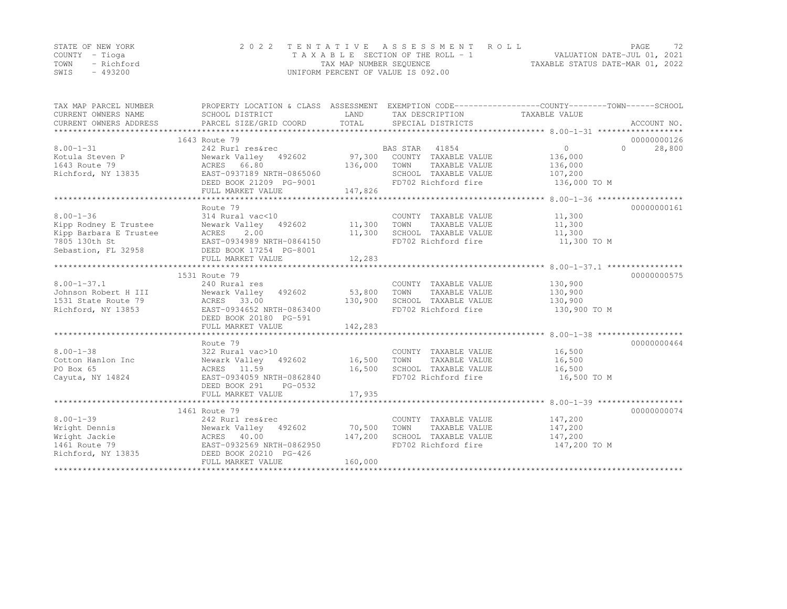|      | STATE OF NEW YORK | 2022 TENTATIVE ASSESSMENT ROLL                                 | PAGE. | 72 |
|------|-------------------|----------------------------------------------------------------|-------|----|
|      | COUNTY – Tioga    | VALUATION DATE-JUL 01, 2021<br>TAXABLE SECTION OF THE ROLL - 1 |       |    |
| TOWN | - Richford        | TAXABLE STATUS DATE-MAR 01, 2022<br>TAX MAP NUMBER SEQUENCE    |       |    |
| SWIS | - 493200          | UNIFORM PERCENT OF VALUE IS 092.00                             |       |    |

| TAX MAP PARCEL NUMBER<br>CURRENT OWNERS NAME | SCHOOL DISTRICT                              | LAND    | TAX DESCRIPTION       | PROPERTY LOCATION & CLASS ASSESSMENT EXEMPTION CODE---------------COUNTY-------TOWN-----SCHOOL<br>TAXABLE VALUE |
|----------------------------------------------|----------------------------------------------|---------|-----------------------|-----------------------------------------------------------------------------------------------------------------|
|                                              |                                              |         |                       |                                                                                                                 |
|                                              | 1643 Route 79                                |         |                       | 00000000126                                                                                                     |
| $8.00 - 1 - 31$                              | 242 Rurl res&rec                             |         | BAS STAR 41854        | 28,800<br>$\circ$<br>$\Omega$                                                                                   |
| Kotula Steven P                              | Newark Valley 492602 97,300                  |         | COUNTY TAXABLE VALUE  | 136,000                                                                                                         |
| 1643 Route 79                                | ACRES 66.80                                  | 136,000 | TOWN<br>TAXABLE VALUE | 136,000                                                                                                         |
| Richford, NY 13835                           | EAST-0937189 NRTH-0865060                    |         | SCHOOL TAXABLE VALUE  | 107,200                                                                                                         |
|                                              | DEED BOOK 21209 PG-9001<br>FULL MARKET VALUE | 147,826 | FD702 Richford fire   | 136,000 TO M                                                                                                    |
|                                              |                                              |         |                       |                                                                                                                 |
|                                              | Route 79                                     |         |                       | 00000000161                                                                                                     |
| $8.00 - 1 - 36$                              | 314 Rural vac<10                             |         | COUNTY TAXABLE VALUE  | 11,300                                                                                                          |
| Kipp Rodney E Trustee                        | Newark Valley 492602                         | 11,300  | TAXABLE VALUE<br>TOWN | 11,300                                                                                                          |
| Kipp Barbara E Trustee                       | 2.00<br>ACRES                                | 11,300  | SCHOOL TAXABLE VALUE  | 11,300                                                                                                          |
| 7805 130th St                                | EAST-0934989 NRTH-0864150                    |         | FD702 Richford fire   | 11,300 TO M                                                                                                     |
| Sebastion, FL 32958                          | DEED BOOK 17254 PG-8001                      |         |                       |                                                                                                                 |
|                                              | FULL MARKET VALUE                            | 12,283  |                       |                                                                                                                 |
|                                              |                                              |         |                       |                                                                                                                 |
|                                              | 1531 Route 79                                |         |                       | 00000000575                                                                                                     |
| $8.00 - 1 - 37.1$                            | 240 Rural res                                |         | COUNTY TAXABLE VALUE  | 130,900                                                                                                         |
| Johnson Robert H III                         | Newark Valley 492602                         | 53,800  | TOWN<br>TAXABLE VALUE | 130,900                                                                                                         |
| 1531 State Route 79                          | ACRES 33.00                                  | 130,900 | SCHOOL TAXABLE VALUE  | 130,900                                                                                                         |
| Richford, NY 13853                           | EAST-0934652 NRTH-0863400                    |         | FD702 Richford fire   | 130,900 TO M                                                                                                    |
|                                              | DEED BOOK 20180 PG-591                       |         |                       |                                                                                                                 |
|                                              | FULL MARKET VALUE                            | 142,283 |                       |                                                                                                                 |
|                                              |                                              |         |                       |                                                                                                                 |
|                                              | Route 79                                     |         |                       | 00000000464                                                                                                     |
| $8.00 - 1 - 38$                              | 322 Rural vac>10                             |         | COUNTY TAXABLE VALUE  | 16,500                                                                                                          |
| Cotton Hanlon Inc                            | Newark Valley 492602 16,500                  |         | TOWN<br>TAXABLE VALUE | 16,500                                                                                                          |
| PO Box 65                                    | ACRES 11.59                                  | 16,500  | SCHOOL TAXABLE VALUE  | 16,500                                                                                                          |
| Cayuta, NY 14824                             | EAST-0934059 NRTH-0862840                    |         | FD702 Richford fire   | 16,500 TO M                                                                                                     |
|                                              | DEED BOOK 291<br>PG-0532                     |         |                       |                                                                                                                 |
|                                              | FULL MARKET VALUE                            | 17,935  |                       |                                                                                                                 |
|                                              |                                              |         |                       |                                                                                                                 |
|                                              | 1461 Route 79                                |         |                       | 00000000074                                                                                                     |
| $8.00 - 1 - 39$                              | 242 Rurl res&rec                             |         | COUNTY TAXABLE VALUE  | 147,200                                                                                                         |
| Wright Dennis                                | Newark Valley 492602                         | 70,500  | TOWN<br>TAXABLE VALUE | 147,200                                                                                                         |
| Wright Jackie                                | ACRES 40.00                                  | 147,200 | SCHOOL TAXABLE VALUE  | 147,200                                                                                                         |
| 1461 Route 79                                | EAST-0932569 NRTH-0862950                    |         | FD702 Richford fire   | 147,200 TO M                                                                                                    |
| Richford, NY 13835                           | DEED BOOK 20210 PG-426                       |         |                       |                                                                                                                 |
|                                              | FULL MARKET VALUE                            | 160,000 |                       |                                                                                                                 |
|                                              |                                              |         |                       |                                                                                                                 |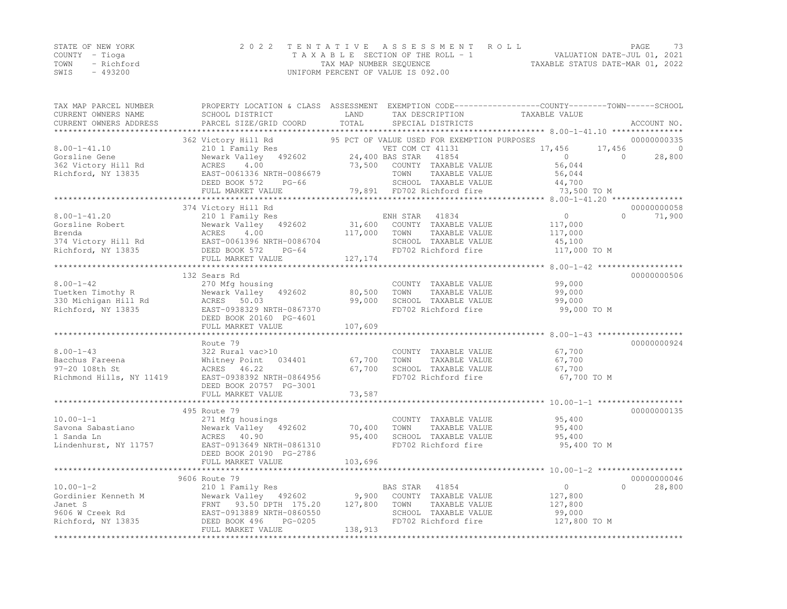|      | STATE OF NEW YORK | 2022 TENTATIVE ASSESSMENT ROLL     |                                  | PAGE. | 73 |
|------|-------------------|------------------------------------|----------------------------------|-------|----|
|      | COUNTY – Tioga    | TAXABLE SECTION OF THE ROLL - 1    | VALUATION DATE-JUL 01, 2021      |       |    |
| TOWN | - Richford        | TAX MAP NUMBER SEQUENCE            | TAXABLE STATUS DATE-MAR 01, 2022 |       |    |
| SWIS | $-493200$         | UNIFORM PERCENT OF VALUE IS 092.00 |                                  |       |    |

| TAX MAP PARCEL NUMBER<br>CURRENT OWNERS NAME<br>CURRENT OWNERS ADDRESS | SCHOOL DISTRICT<br>PARCEL SIZE/GRID COORD     | LAND<br>TOTAL    | TAX DESCRIPTION                               | PROPERTY LOCATION & CLASS ASSESSMENT EXEMPTION CODE----------------COUNTY-------TOWN------SCHOOL<br>TAXABLE VALUE<br>ACCOUNT NO. |
|------------------------------------------------------------------------|-----------------------------------------------|------------------|-----------------------------------------------|----------------------------------------------------------------------------------------------------------------------------------|
| *************************                                              |                                               |                  | SPECIAL DISTRICTS                             |                                                                                                                                  |
|                                                                        | 362 Victory Hill Rd                           |                  | 95 PCT OF VALUE USED FOR EXEMPTION PURPOSES   | 00000000335                                                                                                                      |
| $8.00 - 1 - 41.10$                                                     | 210 1 Family Res                              |                  | VET COM CT 41131                              | 17,456<br>17,456                                                                                                                 |
| Gorsline Gene                                                          | Newark Valley 492602                          |                  | 24,400 BAS STAR<br>41854                      | $\bigcirc$<br>$\Omega$<br>28,800                                                                                                 |
| 362 Victory Hill Rd                                                    | ACRES<br>4.00                                 | 73,500           | COUNTY TAXABLE VALUE                          | 56,044                                                                                                                           |
| Richford, NY 13835                                                     | EAST-0061336 NRTH-0086679                     |                  | TOWN<br>TAXABLE VALUE                         | 56,044                                                                                                                           |
|                                                                        | $PG-66$<br>DEED BOOK 572                      |                  | SCHOOL TAXABLE VALUE                          | 44,700                                                                                                                           |
|                                                                        | FULL MARKET VALUE                             |                  | 79,891 FD702 Richford fire                    | 73,500 TO M                                                                                                                      |
|                                                                        |                                               |                  |                                               |                                                                                                                                  |
|                                                                        | 374 Victory Hill Rd                           |                  |                                               | 00000000058                                                                                                                      |
| $8.00 - 1 - 41.20$                                                     | 210 1 Family Res                              |                  | 41834<br>ENH STAR                             | $\Omega$<br>$\Omega$<br>71,900                                                                                                   |
| Gorsline Robert                                                        | Newark Valley 492602                          | 31,600           | COUNTY TAXABLE VALUE                          | 117,000                                                                                                                          |
| Brenda                                                                 | ACRES<br>4.00                                 | 117,000          | TOWN<br>TAXABLE VALUE                         | 117,000                                                                                                                          |
| 374 Victory Hill Rd                                                    | EAST-0061396 NRTH-0086704                     |                  | SCHOOL TAXABLE VALUE                          | 45,100                                                                                                                           |
| Richford, NY 13835                                                     | DEED BOOK 572<br>$PG-64$                      |                  | FD702 Richford fire                           | 117,000 TO M                                                                                                                     |
|                                                                        | FULL MARKET VALUE                             | 127, 174         |                                               |                                                                                                                                  |
|                                                                        |                                               |                  |                                               |                                                                                                                                  |
| $8.00 - 1 - 42$                                                        | 132 Sears Rd                                  |                  |                                               | 00000000506                                                                                                                      |
| Tuetken Timothy R                                                      | 270 Mfg housing                               |                  | COUNTY TAXABLE VALUE<br>TOWN<br>TAXABLE VALUE | 99,000                                                                                                                           |
|                                                                        | Newark Valley 492602                          | 80,500<br>99,000 | SCHOOL TAXABLE VALUE                          | 99,000<br>99,000                                                                                                                 |
| 330 Michigan Hill Rd<br>Richford, NY 13835                             | ACRES<br>50.03<br>EAST-0938329 NRTH-0867370   |                  | FD702 Richford fire                           | 99,000 TO M                                                                                                                      |
|                                                                        | DEED BOOK 20160 PG-4601                       |                  |                                               |                                                                                                                                  |
|                                                                        | FULL MARKET VALUE                             | 107,609          |                                               |                                                                                                                                  |
|                                                                        |                                               |                  |                                               |                                                                                                                                  |
|                                                                        | Route 79                                      |                  |                                               | 00000000924                                                                                                                      |
| $8.00 - 1 - 43$                                                        | 322 Rural vac>10                              |                  | COUNTY TAXABLE VALUE                          | 67,700                                                                                                                           |
| Bacchus Fareena                                                        | Whitney Point<br>034401                       | 67,700           | TOWN<br>TAXABLE VALUE                         | 67,700                                                                                                                           |
| 97-20 108th St                                                         | ACRES 46.22                                   | 67,700           | SCHOOL TAXABLE VALUE                          | 67,700                                                                                                                           |
| Richmond Hills, NY 11419                                               | EAST-0938392 NRTH-0864956                     |                  | FD702 Richford fire                           | 67,700 TO M                                                                                                                      |
|                                                                        | DEED BOOK 20757 PG-3001                       |                  |                                               |                                                                                                                                  |
|                                                                        | FULL MARKET VALUE                             | 73,587           |                                               |                                                                                                                                  |
|                                                                        |                                               |                  |                                               |                                                                                                                                  |
|                                                                        | 495 Route 79                                  |                  |                                               | 00000000135                                                                                                                      |
| $10.00 - 1 - 1$                                                        | 271 Mfg housings                              |                  | COUNTY TAXABLE VALUE                          | 95,400                                                                                                                           |
| Savona Sabastiano                                                      | Newark Valley 492602                          | 70,400           | TOWN<br>TAXABLE VALUE                         | 95,400                                                                                                                           |
| 1 Sanda Ln                                                             | ACRES 40.90                                   | 95,400           | SCHOOL TAXABLE VALUE                          | 95,400                                                                                                                           |
| Lindenhurst, NY 11757                                                  | EAST-0913649 NRTH-0861310                     |                  | FD702 Richford fire                           | 95,400 TO M                                                                                                                      |
|                                                                        | DEED BOOK 20190 PG-2786                       |                  |                                               |                                                                                                                                  |
|                                                                        | FULL MARKET VALUE                             | 103,696          |                                               |                                                                                                                                  |
|                                                                        |                                               |                  |                                               |                                                                                                                                  |
|                                                                        | 9606 Route 79                                 |                  |                                               | 00000000046                                                                                                                      |
| $10.00 - 1 - 2$                                                        | 210 1 Family Res                              |                  | 41854<br>BAS STAR                             | $\circ$<br>$\Omega$<br>28,800                                                                                                    |
| Gordinier Kenneth M                                                    | Newark Valley 492602                          | 9,900            | COUNTY TAXABLE VALUE                          | 127,800                                                                                                                          |
| Janet S                                                                | FRNT 93.50 DPTH 175.20                        | 127,800          | TAXABLE VALUE<br>TOWN                         | 127,800                                                                                                                          |
| 9606 W Creek Rd                                                        | EAST-0913889 NRTH-0860550                     |                  | SCHOOL TAXABLE VALUE<br>FD702 Richford fire   | 99,000                                                                                                                           |
| Richford, NY 13835                                                     | DEED BOOK 496<br>PG-0205<br>FULL MARKET VALUE | 138,913          |                                               | 127,800 TO M                                                                                                                     |
|                                                                        |                                               |                  |                                               |                                                                                                                                  |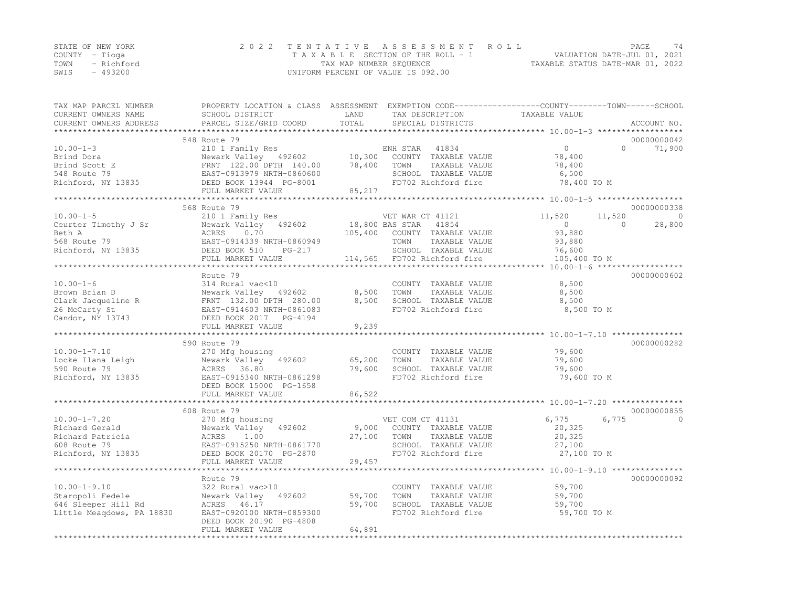|      | STATE OF NEW YORK | 2022 TENTATIVE ASSESSMENT ROLL     |                                  | PAGE                        | 74 |
|------|-------------------|------------------------------------|----------------------------------|-----------------------------|----|
|      | COUNTY – Tioga    | TAXABLE SECTION OF THE ROLL - 1    |                                  | VALUATION DATE-JUL 01, 2021 |    |
| TOWN | - Richford        | TAX MAP NUMBER SEQUENCE            | TAXABLE STATUS DATE-MAR 01, 2022 |                             |    |
| SWIS | - 493200          | UNIFORM PERCENT OF VALUE IS 092.00 |                                  |                             |    |

| TAX MAP PARCEL NUMBER<br>CURRENT OWNERS NAME<br>CURRENT OWNERS ADDRESS                         | PROPERTY LOCATION & CLASS ASSESSMENT EXEMPTION CODE----------------COUNTY-------TOWN-----SCHOOL<br>SCHOOL DISTRICT<br>PARCEL SIZE/GRID COORD                     | LAND<br>TOTAL               | TAX DESCRIPTION<br>SPECIAL DISTRICTS                                                                                              | TAXABLE VALUE                                                          |                    | ACCOUNT NO.           |
|------------------------------------------------------------------------------------------------|------------------------------------------------------------------------------------------------------------------------------------------------------------------|-----------------------------|-----------------------------------------------------------------------------------------------------------------------------------|------------------------------------------------------------------------|--------------------|-----------------------|
|                                                                                                |                                                                                                                                                                  |                             |                                                                                                                                   |                                                                        |                    |                       |
| $10.00 - 1 - 3$<br>Brind Dora<br>Brind Scott E<br>548 Route 79<br>Richford, NY 13835           | 548 Route 79<br>210 1 Family Res<br>Newark Valley 492602<br>FRNT 122.00 DPTH 140.00<br>EAST-0913979 NRTH-0860600<br>DEED BOOK 13944 PG-8001<br>FULL MARKET VALUE | 10, 300<br>78,400<br>85,217 | 41834<br>ENH STAR<br>COUNTY TAXABLE VALUE<br>TAXABLE VALUE<br>TOWN<br>SCHOOL TAXABLE VALUE<br>FD702 Richford fire                 | $\circ$<br>78,400<br>78,400<br>6,500<br>78,400 TO M                    | $\mathbf{0}$       | 00000000042<br>71,900 |
|                                                                                                |                                                                                                                                                                  |                             |                                                                                                                                   |                                                                        |                    |                       |
|                                                                                                | 568 Route 79                                                                                                                                                     |                             |                                                                                                                                   |                                                                        |                    | 00000000338           |
| $10.00 - 1 - 5$<br>Ceurter Timothy J Sr<br>Beth A<br>568 Route 79<br>Richford, NY 13835        | 210 1 Family Res<br>Newark Valley 492602<br>0.70<br>ACRES<br>EAST-0914339 NRTH-0860949<br>DEED BOOK 510<br>PG-217<br>FULL MARKET VALUE                           | 18,800 BAS STAR<br>105,400  | VET WAR CT 41121<br>41854<br>COUNTY TAXABLE VALUE<br>TOWN<br>TAXABLE VALUE<br>SCHOOL TAXABLE VALUE<br>114,565 FD702 Richford fire | 11,520<br>$\overline{0}$<br>93,880<br>93,880<br>76,600<br>105,400 TO M | 11,520<br>$\Omega$ | $\circ$<br>28,800     |
|                                                                                                | Route 79                                                                                                                                                         |                             |                                                                                                                                   |                                                                        |                    | 00000000602           |
| $10.00 - 1 - 6$<br>Brown Brian D<br>Clark Jacqueline R<br>26 McCarty St<br>Candor, NY 13743    | 314 Rural vac<10<br>Newark Valley 492602<br>FRNT 132.00 DPTH 280.00<br>EAST-0914603 NRTH-0861083<br>DEED BOOK 2017    PG-4194<br>FULL MARKET VALUE               | 8,500<br>8,500<br>9,239     | COUNTY TAXABLE VALUE<br>TAXABLE VALUE<br>TOWN<br>SCHOOL TAXABLE VALUE<br>FD702 Richford fire                                      | 8,500<br>8,500<br>8,500<br>8,500 TO M                                  |                    |                       |
|                                                                                                |                                                                                                                                                                  |                             |                                                                                                                                   |                                                                        |                    |                       |
| $10.00 - 1 - 7.10$<br>Locke Ilana Leigh<br>590 Route 79<br>Richford, NY 13835                  | 590 Route 79<br>270 Mfg housing<br>Newark Valley 492602<br>36.80<br>ACRES<br>EAST-0915340 NRTH-0861298<br>DEED BOOK 15000 PG-1658<br>FULL MARKET VALUE           | 65,200<br>79,600<br>86,522  | COUNTY TAXABLE VALUE<br>TOWN<br>TAXABLE VALUE<br>SCHOOL TAXABLE VALUE<br>FD702 Richford fire                                      | 79,600<br>79,600<br>79,600<br>79,600 TO M                              |                    | 00000000282           |
|                                                                                                | 608 Route 79                                                                                                                                                     |                             |                                                                                                                                   |                                                                        |                    | 00000000855           |
| $10.00 - 1 - 7.20$<br>Richard Gerald<br>Richard Patricia<br>608 Route 79<br>Richford, NY 13835 | 270 Mfg housing<br>Newark Valley 492602<br>ACRES<br>1.00<br>EAST-0915250 NRTH-0861770<br>DEED BOOK 20170 PG-2870<br>FULL MARKET VALUE                            | 9,000<br>27,100<br>29,457   | VET COM CT 41131<br>COUNTY TAXABLE VALUE<br>TOWN<br>TAXABLE VALUE<br>SCHOOL TAXABLE VALUE<br>FD702 Richford fire                  | 6,775<br>20,325<br>20,325<br>27,100<br>27,100 TO M                     | 6,775              | $\Omega$              |
|                                                                                                | *************************************                                                                                                                            |                             |                                                                                                                                   |                                                                        |                    |                       |
| $10.00 - 1 - 9.10$<br>Staropoli Fedele<br>646 Sleeper Hill Rd<br>Little Meagdows, PA 18830     | Route 79<br>322 Rural vac>10<br>Newark Valley<br>492602<br>ACRES 46.17<br>EAST-0920100 NRTH-0859300<br>DEED BOOK 20190 PG-4808<br>FULL MARKET VALUE              | 59,700<br>59,700<br>64,891  | COUNTY TAXABLE VALUE<br>TOWN<br>TAXABLE VALUE<br>SCHOOL TAXABLE VALUE<br>FD702 Richford fire                                      | 59,700<br>59,700<br>59,700<br>59,700 TO M                              |                    | 00000000092           |
|                                                                                                |                                                                                                                                                                  |                             |                                                                                                                                   |                                                                        |                    |                       |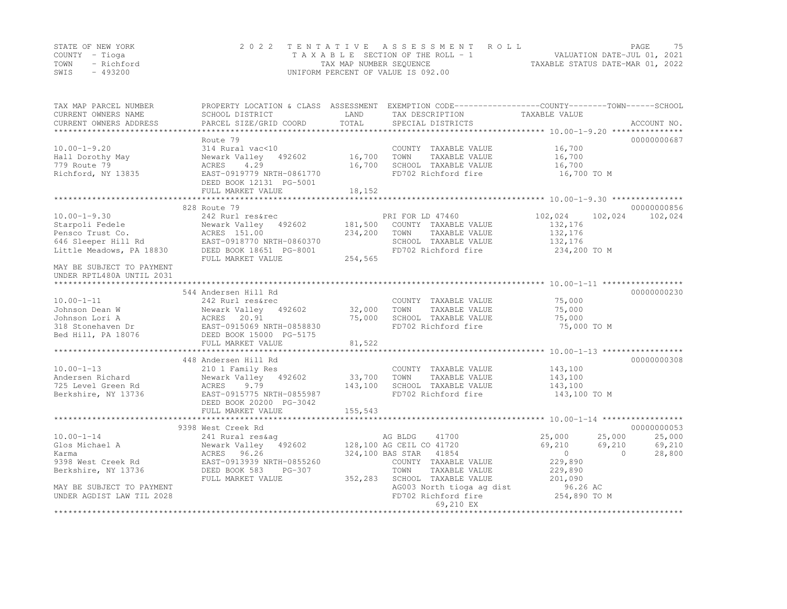|      | STATE OF NEW YORK | 2022 TENTATIVE ASSESSMENT ROLL     | PAGE.                            | 75 |
|------|-------------------|------------------------------------|----------------------------------|----|
|      | COUNTY – Tioga    | TAXABLE SECTION OF THE ROLL - 1    | VALUATION DATE-JUL 01, 2021      |    |
| TOWN | - Richford        | TAX MAP NUMBER SEQUENCE            | TAXABLE STATUS DATE-MAR 01, 2022 |    |
| SWIS | - 493200          | UNIFORM PERCENT OF VALUE IS 092.00 |                                  |    |

| TAX MAP PARCEL NUMBER<br>CURRENT OWNERS NAME | SCHOOL DISTRICT                                      | LAND    | PROPERTY LOCATION & CLASS ASSESSMENT EXEMPTION CODE---------------COUNTY-------TOWN-----SCHOOL<br>TAX DESCRIPTION | TAXABLE VALUE          |             |
|----------------------------------------------|------------------------------------------------------|---------|-------------------------------------------------------------------------------------------------------------------|------------------------|-------------|
| CURRENT OWNERS ADDRESS                       | PARCEL SIZE/GRID COORD                               | TOTAL   | SPECIAL DISTRICTS                                                                                                 |                        | ACCOUNT NO. |
|                                              |                                                      |         |                                                                                                                   |                        |             |
|                                              | Route 79                                             |         |                                                                                                                   |                        | 00000000687 |
| $10.00 - 1 - 9.20$                           | 314 Rural vac<10                                     |         | COUNTY TAXABLE VALUE                                                                                              | 16,700                 |             |
| Hall Dorothy May                             | Newark Valley 492602                                 | 16,700  | TOWN<br>TAXABLE VALUE                                                                                             | 16,700                 |             |
| 779 Route 79                                 | 4.29<br>ACRES                                        | 16,700  | SCHOOL TAXABLE VALUE                                                                                              | 16,700                 |             |
| Richford, NY 13835                           | EAST-0919779 NRTH-0861770                            |         | FD702 Richford fire                                                                                               | 16,700 TO M            |             |
|                                              | DEED BOOK 12131 PG-5001                              | 18,152  |                                                                                                                   |                        |             |
|                                              | FULL MARKET VALUE                                    |         |                                                                                                                   |                        |             |
|                                              | 828 Route 79                                         |         |                                                                                                                   |                        | 00000000856 |
| $10.00 - 1 - 9.30$                           | 242 Rurl res&rec                                     |         | PRI FOR LD 47460                                                                                                  | 102,024<br>102,024     | 102,024     |
| Starpoli Fedele                              | Newark Valley 492602                                 | 181,500 | COUNTY TAXABLE VALUE                                                                                              | 132,176                |             |
| Pensco Trust Co.                             | ACRES 151.00                                         | 234,200 | TOWN<br>TAXABLE VALUE                                                                                             | 132,176                |             |
| 646 Sleeper Hill Rd                          | EAST-0918770 NRTH-0860370                            |         | SCHOOL TAXABLE VALUE                                                                                              | 132,176                |             |
| Little Meadows, PA 18830                     | DEED BOOK 18651 PG-8001                              |         | FD702 Richford fire                                                                                               | 234,200 TO M           |             |
|                                              | FULL MARKET VALUE                                    | 254,565 |                                                                                                                   |                        |             |
| MAY BE SUBJECT TO PAYMENT                    |                                                      |         |                                                                                                                   |                        |             |
| UNDER RPTL480A UNTIL 2031                    |                                                      |         |                                                                                                                   |                        |             |
|                                              |                                                      |         |                                                                                                                   |                        | 00000000230 |
| $10.00 - 1 - 11$                             | 544 Andersen Hill Rd<br>242 Rurl res&rec             |         | COUNTY TAXABLE VALUE                                                                                              | 75,000                 |             |
| Johnson Dean W                               | Newark Valley 492602                                 | 32,000  | TOWN<br>TAXABLE VALUE                                                                                             | 75,000                 |             |
| Johnson Lori A                               | ACRES 20.91                                          | 75,000  | SCHOOL TAXABLE VALUE                                                                                              | 75,000                 |             |
| 318 Stonehaven Dr                            | EAST-0915069 NRTH-0858830                            |         | FD702 Richford fire                                                                                               | 75,000 TO M            |             |
| Bed Hill, PA 18076                           | DEED BOOK 15000 PG-5175                              |         |                                                                                                                   |                        |             |
|                                              | FULL MARKET VALUE                                    | 81,522  |                                                                                                                   |                        |             |
|                                              |                                                      |         |                                                                                                                   |                        |             |
|                                              | 448 Andersen Hill Rd                                 |         |                                                                                                                   |                        | 00000000308 |
| $10.00 - 1 - 13$                             | 210 1 Family Res                                     |         | COUNTY TAXABLE VALUE                                                                                              | 143,100                |             |
| Andersen Richard                             | Newark Valley 492602                                 | 33,700  | TOWN<br>TAXABLE VALUE                                                                                             | 143,100                |             |
| 725 Level Green Rd                           | 9.79<br>ACRES                                        | 143,100 | SCHOOL TAXABLE VALUE                                                                                              | 143,100                |             |
| Berkshire, NY 13736                          | EAST-0915775 NRTH-0855987<br>DEED BOOK 20200 PG-3042 |         | FD702 Richford fire                                                                                               | 143,100 TO M           |             |
|                                              | FULL MARKET VALUE                                    | 155,543 |                                                                                                                   |                        |             |
|                                              |                                                      |         |                                                                                                                   |                        |             |
|                                              | 9398 West Creek Rd                                   |         |                                                                                                                   |                        | 00000000053 |
| $10.00 - 1 - 14$                             | 241 Rural res&aq                                     |         | AG BLDG<br>41700                                                                                                  | 25,000<br>25,000       | 25,000      |
| Glos Michael A                               | Newark Valley 492602                                 |         | 128,100 AG CEIL CO 41720                                                                                          | 69,210<br>69,210       | 69,210      |
| Karma                                        | ACRES 96.26                                          |         | 324,100 BAS STAR 41854                                                                                            | $\bigcirc$<br>$\Omega$ | 28,800      |
| 9398 West Creek Rd                           | EAST-0913939 NRTH-0855260                            |         | COUNTY TAXABLE VALUE                                                                                              | 229,890                |             |
| Berkshire, NY 13736                          | DEED BOOK 583<br>PG-307                              |         | TOWN<br>TAXABLE VALUE                                                                                             | 229,890                |             |
|                                              | FULL MARKET VALUE                                    | 352,283 | SCHOOL TAXABLE VALUE                                                                                              | 201,090                |             |
| MAY BE SUBJECT TO PAYMENT                    |                                                      |         | AG003 North tioga ag dist                                                                                         | 96.26 AC               |             |
| UNDER AGDIST LAW TIL 2028                    |                                                      |         | FD702 Richford fire                                                                                               | 254,890 TO M           |             |
|                                              |                                                      |         | 69,210 EX                                                                                                         |                        |             |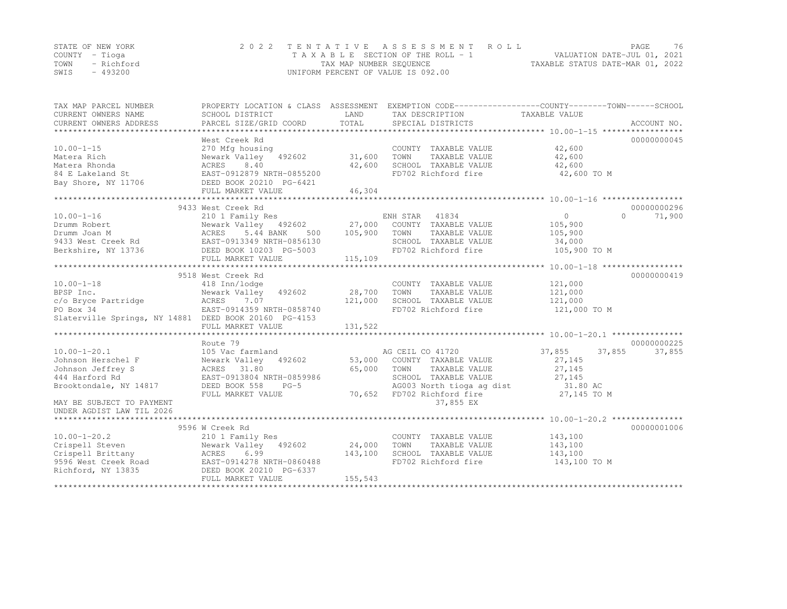|      | STATE OF NEW YORK | 2022 TENTATIVE ASSESSMENT ROLL     | PAGE.                            | 76 |
|------|-------------------|------------------------------------|----------------------------------|----|
|      | COUNTY – Tioga    | TAXABLE SECTION OF THE ROLL - 1    | VALUATION DATE-JUL 01, 2021      |    |
|      | TOWN - Richford   | TAX MAP NUMBER SEQUENCE            | TAXABLE STATUS DATE-MAR 01, 2022 |    |
| SWIS | - 493200          | UNIFORM PERCENT OF VALUE IS 092.00 |                                  |    |

| TAX MAP PARCEL NUMBER<br>CURRENT OWNERS NAME                                                                                                                                                        | SCHOOL DISTRICT                                                                                    | LAND     | PROPERTY LOCATION & CLASS ASSESSMENT EXEMPTION CODE----------------COUNTY-------TOWN------SCHOOL<br>TAX DESCRIPTION | TAXABLE VALUE              |             |
|-----------------------------------------------------------------------------------------------------------------------------------------------------------------------------------------------------|----------------------------------------------------------------------------------------------------|----------|---------------------------------------------------------------------------------------------------------------------|----------------------------|-------------|
| CURRENT OWNERS ADDRESS                                                                                                                                                                              | PARCEL SIZE/GRID COORD                                                                             | TOTAL    | SPECIAL DISTRICTS                                                                                                   |                            | ACCOUNT NO. |
|                                                                                                                                                                                                     | West Creek Rd                                                                                      |          |                                                                                                                     |                            | 00000000045 |
| $10.00 - 1 - 15$                                                                                                                                                                                    | 270 Mfg housing                                                                                    |          | COUNTY TAXABLE VALUE                                                                                                | 42,600                     |             |
| Matera Rich                                                                                                                                                                                         | Newark Valley 492602                                                                               | 31,600   | TAXABLE VALUE<br>TOWN                                                                                               | 42,600                     |             |
| Matera Rhonda                                                                                                                                                                                       | ACRES<br>8.40                                                                                      | 42,600   | SCHOOL TAXABLE VALUE                                                                                                | 42,600                     |             |
| 84 E Lakeland St                                                                                                                                                                                    | EAST-0912879 NRTH-0855200                                                                          |          | FD702 Richford fire                                                                                                 | 42,600 TO M                |             |
| Bay Shore, NY 11706                                                                                                                                                                                 | DEED BOOK 20210 PG-6421                                                                            |          |                                                                                                                     |                            |             |
|                                                                                                                                                                                                     | FULL MARKET VALUE                                                                                  | 46,304   |                                                                                                                     |                            |             |
|                                                                                                                                                                                                     |                                                                                                    |          |                                                                                                                     |                            |             |
|                                                                                                                                                                                                     | 9433 West Creek Rd                                                                                 |          |                                                                                                                     |                            | 00000000296 |
| $10.00 - 1 - 16$                                                                                                                                                                                    | 210 1 Family Res                                                                                   |          | ENH STAR 41834                                                                                                      | $\overline{0}$<br>$\Omega$ | 71,900      |
|                                                                                                                                                                                                     | Newark Valley 492602 27,000 COUNTY TAXABLE VALUE<br>ACRES 5.44 BANK 500 105,900 TOWN TAXABLE VALUE |          |                                                                                                                     | 105,900                    |             |
|                                                                                                                                                                                                     |                                                                                                    |          | TAXABLE VALUE                                                                                                       | 105,900                    |             |
|                                                                                                                                                                                                     |                                                                                                    |          | SCHOOL TAXABLE VALUE                                                                                                | 34,000                     |             |
| Berkshire, NY 13736                                                                                                                                                                                 | DEED BOOK 10203 PG-5003                                                                            |          | FD702 Richford fire                                                                                                 | 105,900 TO M               |             |
|                                                                                                                                                                                                     | FULL MARKET VALUE                                                                                  | 115, 109 |                                                                                                                     |                            |             |
|                                                                                                                                                                                                     |                                                                                                    |          |                                                                                                                     |                            |             |
|                                                                                                                                                                                                     | 9518 West Creek Rd                                                                                 |          |                                                                                                                     |                            | 00000000419 |
| $10.00 - 1 - 18$                                                                                                                                                                                    | 418 Inn/lodge                                                                                      |          | COUNTY TAXABLE VALUE                                                                                                | 121,000                    |             |
| BPSP Inc.                                                                                                                                                                                           | 492602<br>Newark Valley                                                                            | 28,700   | TOWN<br>TAXABLE VALUE                                                                                               | 121,000                    |             |
| $c$ /o Bryce Partridge $ACRES$ 7.07<br>PO Box 34 $EST-0914359 NRTH-0858740$                                                                                                                         |                                                                                                    | 121,000  | SCHOOL TAXABLE VALUE<br>FD702 Richford fire                                                                         | 121,000<br>121,000 TO M    |             |
| Slaterville Springs, NY 14881 DEED BOOK 20160 PG-4153                                                                                                                                               |                                                                                                    |          |                                                                                                                     |                            |             |
|                                                                                                                                                                                                     | FULL MARKET VALUE                                                                                  | 131,522  |                                                                                                                     |                            |             |
|                                                                                                                                                                                                     |                                                                                                    |          |                                                                                                                     |                            |             |
|                                                                                                                                                                                                     | Route 79                                                                                           |          |                                                                                                                     |                            | 00000000225 |
| $10.00 - 1 - 20.1$                                                                                                                                                                                  | 105 Vac farmland                                                                                   |          | AG CEIL CO 41720                                                                                                    | 37,855<br>37,855           | 37,855      |
| Johnson Herschel F                                                                                                                                                                                  | Newark Valley 492602 53,000 COUNTY TAXABLE VALUE                                                   |          |                                                                                                                     | 27,145                     |             |
| Johnson Jeffrey S                                                                                                                                                                                   | ACRES 31.80                                                                                        | 65,000   | TOWN<br>TAXABLE VALUE                                                                                               | 27,145                     |             |
| 444 Harford Rd                                                                                                                                                                                      | EAST-0913804 NRTH-0859986                                                                          |          | SCHOOL TAXABLE VALUE                                                                                                | 27, 145                    |             |
| Brooktondale, NY 14817                                                                                                                                                                              | DEED BOOK 558<br>$PG-5$                                                                            |          | AG003 North tioga ag dist 31.80 AC                                                                                  |                            |             |
|                                                                                                                                                                                                     | FULL MARKET VALUE                                                                                  |          | 70,652 FD702 Richford fire                                                                                          | 27,145 TO M                |             |
| MAY BE SUBJECT TO PAYMENT                                                                                                                                                                           |                                                                                                    |          | 37,855 EX                                                                                                           |                            |             |
| UNDER AGDIST LAW TIL 2026                                                                                                                                                                           |                                                                                                    |          |                                                                                                                     |                            |             |
|                                                                                                                                                                                                     |                                                                                                    |          |                                                                                                                     |                            |             |
|                                                                                                                                                                                                     | 9596 W Creek Rd                                                                                    |          |                                                                                                                     |                            | 00000001006 |
| $10.00 - 1 - 20.2$                                                                                                                                                                                  | 210 1 Family Res                                                                                   |          | COUNTY TAXABLE VALUE                                                                                                | 143,100                    |             |
| Crispell Steven                                                                                                                                                                                     | Newark Valley 492602                                                                               | 24,000   | TOWN<br>TAXABLE VALUE                                                                                               | 143,100                    |             |
|                                                                                                                                                                                                     |                                                                                                    | 143,100  | SCHOOL TAXABLE VALUE                                                                                                | 143,100                    |             |
|                                                                                                                                                                                                     |                                                                                                    |          | FD702 Richford fire                                                                                                 | 143,100 TO M               |             |
| Crispell Brittany<br>S596 West Creek Road<br>Pichford. NY 13835<br>Pichford. NY 13835<br>Pichford. NY 13835<br>Pichford. NY 13835<br>Pichford. NY 13835<br>Pichford. NY 13835<br>Pichford. NY 13835 |                                                                                                    |          |                                                                                                                     |                            |             |
|                                                                                                                                                                                                     | FULL MARKET VALUE                                                                                  | 155,543  |                                                                                                                     |                            |             |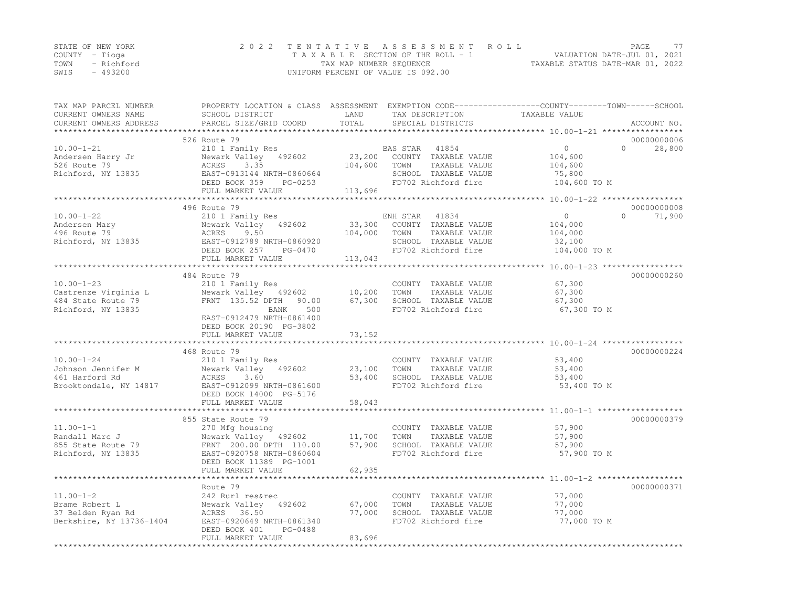|      | STATE OF NEW YORK | 2022 TENTATIVE ASSESSMENT ROLL     | PAGE.                            | 77 |
|------|-------------------|------------------------------------|----------------------------------|----|
|      | COUNTY – Tioga    | TAXABLE SECTION OF THE ROLL - 1    | VALUATION DATE-JUL 01, 2021      |    |
|      | TOWN - Richford   | TAX MAP NUMBER SEQUENCE            | TAXABLE STATUS DATE-MAR 01, 2022 |    |
| SWIS | - 493200          | UNIFORM PERCENT OF VALUE IS 092.00 |                                  |    |

| TAX MAP PARCEL NUMBER<br>CURRENT OWNERS NAME<br>CURRENT OWNERS ADDRESS | SCHOOL DISTRICT<br>PARCEL SIZE/GRID COORD   | LAND<br>TOTAL       | TAX DESCRIPTION<br>SPECIAL DISTRICTS          | PROPERTY LOCATION & CLASS ASSESSMENT EXEMPTION CODE----------------COUNTY-------TOWN------SCHOOL<br>TAXABLE VALUE<br>ACCOUNT NO. |        |
|------------------------------------------------------------------------|---------------------------------------------|---------------------|-----------------------------------------------|----------------------------------------------------------------------------------------------------------------------------------|--------|
|                                                                        |                                             | * * * * * * * * * * |                                               | ********************* 10.00-1-21 ******************                                                                              |        |
|                                                                        | 526 Route 79                                |                     |                                               | 00000000006                                                                                                                      |        |
| $10.00 - 1 - 21$                                                       | 210 1 Family Res                            |                     | BAS STAR<br>41854                             | $\circ$<br>$\Omega$                                                                                                              | 28,800 |
| Andersen Harry Jr                                                      | Newark Valley 492602                        | 23,200              | COUNTY TAXABLE VALUE                          | 104,600                                                                                                                          |        |
| 526 Route 79                                                           | ACRES<br>3.35                               | 104,600             | TOWN<br>TAXABLE VALUE                         | 104,600                                                                                                                          |        |
| Richford, NY 13835                                                     | EAST-0913144 NRTH-0860664                   |                     | SCHOOL TAXABLE VALUE                          | 75,800                                                                                                                           |        |
|                                                                        | DEED BOOK 359<br>PG-0253                    |                     | FD702 Richford fire                           | 104,600 TO M                                                                                                                     |        |
|                                                                        | FULL MARKET VALUE                           | 113,696             |                                               |                                                                                                                                  |        |
|                                                                        |                                             |                     |                                               |                                                                                                                                  |        |
|                                                                        | 496 Route 79                                |                     |                                               | 00000000008<br>$\Omega$                                                                                                          |        |
| $10.00 - 1 - 22$<br>Andersen Mary                                      | 210 1 Family Res<br>Newark Valley<br>492602 | 33,300              | ENH STAR<br>41834<br>COUNTY TAXABLE VALUE     | $\circ$<br>104,000                                                                                                               | 71,900 |
| 496 Route 79                                                           | ACRES<br>9.50                               | 104,000             | TOWN<br>TAXABLE VALUE                         | 104,000                                                                                                                          |        |
| Richford, NY 13835                                                     | EAST-0912789 NRTH-0860920                   |                     | SCHOOL TAXABLE VALUE                          | 32,100                                                                                                                           |        |
|                                                                        | DEED BOOK 257<br>PG-0470                    |                     | FD702 Richford fire                           | 104,000 TO M                                                                                                                     |        |
|                                                                        | FULL MARKET VALUE                           | 113,043             |                                               |                                                                                                                                  |        |
|                                                                        |                                             |                     |                                               |                                                                                                                                  |        |
|                                                                        | 484 Route 79                                |                     |                                               | 00000000260                                                                                                                      |        |
| $10.00 - 1 - 23$                                                       | 210 1 Family Res                            |                     | COUNTY TAXABLE VALUE                          | 67,300                                                                                                                           |        |
| Castrenze Virginia L                                                   | Newark Valley 492602                        | 10,200              | TAXABLE VALUE<br>TOWN                         | 67,300                                                                                                                           |        |
| 484 State Route 79                                                     | FRNT 135.52 DPTH<br>90.00                   | 67,300              | SCHOOL TAXABLE VALUE                          | 67,300                                                                                                                           |        |
| Richford, NY 13835                                                     | 500<br>BANK                                 |                     | FD702 Richford fire                           | 67,300 TO M                                                                                                                      |        |
|                                                                        | EAST-0912479 NRTH-0861400                   |                     |                                               |                                                                                                                                  |        |
|                                                                        | DEED BOOK 20190 PG-3802                     |                     |                                               |                                                                                                                                  |        |
|                                                                        | FULL MARKET VALUE<br>********************   | 73,152              |                                               |                                                                                                                                  |        |
|                                                                        |                                             |                     |                                               |                                                                                                                                  |        |
|                                                                        | 468 Route 79                                |                     |                                               | 00000000224                                                                                                                      |        |
| $10.00 - 1 - 24$<br>Johnson Jennifer M                                 | 210 1 Family Res                            |                     | COUNTY TAXABLE VALUE<br>TAXABLE VALUE<br>TOWN | 53,400                                                                                                                           |        |
| 461 Harford Rd                                                         | Newark Valley 492602<br>ACRES<br>3.60       | 23,100<br>53,400    | SCHOOL TAXABLE VALUE                          | 53,400<br>53,400                                                                                                                 |        |
| Brooktondale, NY 14817                                                 | EAST-0912099 NRTH-0861600                   |                     | FD702 Richford fire                           | 53,400 TO M                                                                                                                      |        |
|                                                                        | DEED BOOK 14000 PG-5176                     |                     |                                               |                                                                                                                                  |        |
|                                                                        | FULL MARKET VALUE                           | 58,043              |                                               |                                                                                                                                  |        |
|                                                                        |                                             |                     |                                               |                                                                                                                                  |        |
|                                                                        | 855 State Route 79                          |                     |                                               | 00000000379                                                                                                                      |        |
| $11.00 - 1 - 1$                                                        | 270 Mfg housing                             |                     | COUNTY TAXABLE VALUE                          | 57,900                                                                                                                           |        |
| Randall Marc J                                                         | Newark Valley 492602                        | 11,700              | TOWN<br>TAXABLE VALUE                         | 57,900                                                                                                                           |        |
| 855 State Route 79                                                     | FRNT 200.00 DPTH 110.00                     | 57,900              | SCHOOL TAXABLE VALUE                          | 57,900                                                                                                                           |        |
| Richford, NY 13835                                                     | EAST-0920758 NRTH-0860604                   |                     | FD702 Richford fire                           | 57,900 TO M                                                                                                                      |        |
|                                                                        | DEED BOOK 11389 PG-1001                     |                     |                                               |                                                                                                                                  |        |
|                                                                        | FULL MARKET VALUE                           | 62,935              |                                               |                                                                                                                                  |        |
|                                                                        |                                             |                     |                                               |                                                                                                                                  |        |
|                                                                        | Route 79                                    |                     |                                               | 00000000371                                                                                                                      |        |
| $11.00 - 1 - 2$                                                        | 242 Rurl res&rec                            |                     | COUNTY TAXABLE VALUE                          | 77,000                                                                                                                           |        |
| Brame Robert L<br>37 Belden Ryan Rd                                    | Newark Valley<br>492602<br>ACRES 36.50      | 67,000<br>77,000    | TOWN<br>TAXABLE VALUE<br>SCHOOL TAXABLE VALUE | 77,000<br>77,000                                                                                                                 |        |
| Berkshire, NY 13736-1404                                               | EAST-0920649 NRTH-0861340                   |                     | FD702 Richford fire                           | 77,000 TO M                                                                                                                      |        |
|                                                                        | PG-0488<br>DEED BOOK 401                    |                     |                                               |                                                                                                                                  |        |
|                                                                        | FULL MARKET VALUE                           | 83,696              |                                               |                                                                                                                                  |        |
|                                                                        |                                             |                     |                                               |                                                                                                                                  |        |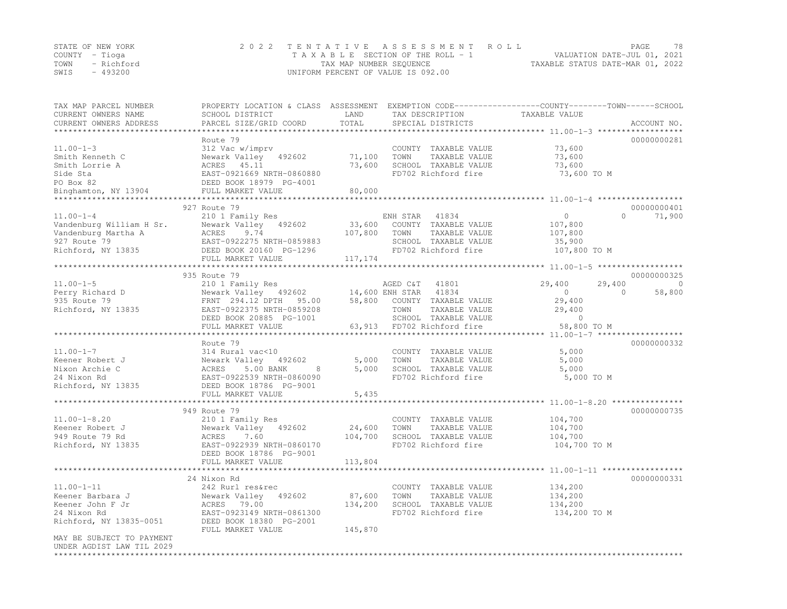|      | STATE OF NEW YORK | 2022 TENTATIVE ASSESSMENT ROLL                                 | PAGE. | 78 |
|------|-------------------|----------------------------------------------------------------|-------|----|
|      | COUNTY – Tioga    | VALUATION DATE-JUL 01, 2021<br>TAXABLE SECTION OF THE ROLL - 1 |       |    |
|      | TOWN - Richford   | TAXABLE STATUS DATE-MAR 01, 2022<br>TAX MAP NUMBER SEQUENCE    |       |    |
| SWIS | - 493200          | UNIFORM PERCENT OF VALUE IS 092.00                             |       |    |

| TAX MAP PARCEL NUMBER<br>CURRENT OWNERS NAME   | SCHOOL DISTRICT           | LAND          | TAX DESCRIPTION            | PROPERTY LOCATION & CLASS ASSESSMENT EXEMPTION CODE----------------COUNTY-------TOWN-----SCHOOL<br>TAXABLE VALUE |                          |
|------------------------------------------------|---------------------------|---------------|----------------------------|------------------------------------------------------------------------------------------------------------------|--------------------------|
| CURRENT OWNERS ADDRESS                         | PARCEL SIZE/GRID COORD    | TOTAL         | SPECIAL DISTRICTS          |                                                                                                                  | ACCOUNT NO.              |
|                                                | Route 79                  |               |                            |                                                                                                                  | 00000000281              |
| $11.00 - 1 - 3$                                | 312 Vac w/imprv           |               | COUNTY TAXABLE VALUE       | 73,600                                                                                                           |                          |
| Smith Kenneth C                                | Newark Valley 492602      | 71,100        | TAXABLE VALUE<br>TOWN      | 73,600                                                                                                           |                          |
| Smith Lorrie A                                 | ACRES 45.11               | 73,600        | SCHOOL TAXABLE VALUE       | 73,600                                                                                                           |                          |
| Side Sta                                       | EAST-0921669 NRTH-0860880 |               | FD702 Richford fire        | 73,600 TO M                                                                                                      |                          |
| PO Box 82                                      | DEED BOOK 18979 PG-4001   |               |                            |                                                                                                                  |                          |
| Binghamton, NY 13904                           | FULL MARKET VALUE         | 80,000        |                            |                                                                                                                  |                          |
|                                                | ***********************   |               |                            |                                                                                                                  |                          |
|                                                | 927 Route 79              |               |                            |                                                                                                                  | 00000000401              |
| $11.00 - 1 - 4$                                | 210 1 Family Res          |               | ENH STAR 41834             | $\circ$<br>$\Omega$                                                                                              | 71,900                   |
| Vandenburg William H Sr.                       | Newark Valley 492602      | 33,600        | COUNTY TAXABLE VALUE       | 107,800                                                                                                          |                          |
| Vandenburg Martha A                            | ACRES<br>9.74             | 107,800       | TOWN<br>TAXABLE VALUE      | 107,800                                                                                                          |                          |
| 927 Route 79                                   | EAST-0922275 NRTH-0859883 |               | SCHOOL TAXABLE VALUE       | 35,900                                                                                                           |                          |
| Richford, NY 13835                             | DEED BOOK 20160 PG-1296   |               | FD702 Richford fire        | 107,800 TO M                                                                                                     |                          |
|                                                | FULL MARKET VALUE         | 117,174       |                            |                                                                                                                  |                          |
|                                                |                           |               |                            |                                                                                                                  |                          |
|                                                | 935 Route 79              |               |                            |                                                                                                                  | 00000000325              |
| $11.00 - 1 - 5$                                | 210 1 Family Res          |               | AGED C&T<br>41801          | 29,400<br>29,400                                                                                                 | $\overline{\phantom{0}}$ |
| Perry Richard D                                | Newark Valley 492602      |               | 14,600 ENH STAR<br>41834   | $\overline{0}$<br>$\Omega$                                                                                       | 58,800                   |
| 935 Route 79                                   | FRNT 294.12 DPTH 95.00    | 58,800        | COUNTY TAXABLE VALUE       | 29,400                                                                                                           |                          |
| Richford, NY 13835                             | EAST-0922375 NRTH-0859208 |               | TOWN<br>TAXABLE VALUE      | 29,400                                                                                                           |                          |
|                                                | DEED BOOK 20885 PG-1001   |               | SCHOOL TAXABLE VALUE       | $\overline{0}$                                                                                                   |                          |
|                                                | FULL MARKET VALUE         |               | 63,913 FD702 Richford fire | 58,800 TO M                                                                                                      |                          |
|                                                | Route 79                  |               |                            | **************** 11.00-1-7 ******************                                                                    | 00000000332              |
| $11.00 - 1 - 7$                                | 314 Rural vac<10          |               | COUNTY TAXABLE VALUE       | 5,000                                                                                                            |                          |
| Keener Robert J                                | Newark Valley 492602      | 5,000         | TAXABLE VALUE<br>TOWN      | 5,000                                                                                                            |                          |
| Nixon Archie C                                 | ACRES<br>5.00 BANK<br>8   | 5,000         | SCHOOL TAXABLE VALUE       | 5,000                                                                                                            |                          |
| 24 Nixon Rd                                    | EAST-0922539 NRTH-0860090 |               | FD702 Richford fire        | 5,000 TO M                                                                                                       |                          |
| Richford, NY 13835                             | DEED BOOK 18786 PG-9001   |               |                            |                                                                                                                  |                          |
|                                                | FULL MARKET VALUE         | 5,435         |                            |                                                                                                                  |                          |
|                                                |                           | ************* |                            | ******************************** 11.00–1–8.20 ***************                                                    |                          |
|                                                | 949 Route 79              |               |                            |                                                                                                                  | 00000000735              |
| $11.00 - 1 - 8.20$                             | 210 1 Family Res          |               | COUNTY TAXABLE VALUE       | 104,700                                                                                                          |                          |
| Keener Robert J                                | Newark Valley 492602      | 24,600        | TOWN<br>TAXABLE VALUE      | 104,700                                                                                                          |                          |
| 949 Route 79 Rd                                | ACRES<br>7.60             | 104,700       | SCHOOL TAXABLE VALUE       | 104,700                                                                                                          |                          |
| Richford, NY 13835                             | EAST-0922939 NRTH-0860170 |               | FD702 Richford fire        | 104,700 TO M                                                                                                     |                          |
|                                                | DEED BOOK 18786 PG-9001   |               |                            |                                                                                                                  |                          |
|                                                | FULL MARKET VALUE         | 113,804       |                            |                                                                                                                  |                          |
|                                                |                           |               |                            |                                                                                                                  |                          |
|                                                | 24 Nixon Rd               |               |                            |                                                                                                                  | 00000000331              |
| $11.00 - 1 - 11$                               | 242 Rurl res&rec          |               | COUNTY TAXABLE VALUE       | 134,200                                                                                                          |                          |
| Keener Barbara J                               | Newark Valley 492602      | 87,600        | TOWN<br>TAXABLE VALUE      | 134,200                                                                                                          |                          |
| Keener John F Jr                               | ACRES 79.00               | 134,200       | SCHOOL TAXABLE VALUE       | 134,200                                                                                                          |                          |
| 24 Nixon Rd                                    | EAST-0923149 NRTH-0861300 |               | FD702 Richford fire        | 134,200 TO M                                                                                                     |                          |
| Richford, NY 13835-0051                        | DEED BOOK 18380 PG-2001   |               |                            |                                                                                                                  |                          |
|                                                | FULL MARKET VALUE         | 145,870       |                            |                                                                                                                  |                          |
| MAY BE SUBJECT TO PAYMENT                      |                           |               |                            |                                                                                                                  |                          |
| UNDER AGDIST LAW TIL 2029<br>***************** |                           |               |                            |                                                                                                                  |                          |
|                                                |                           |               |                            |                                                                                                                  |                          |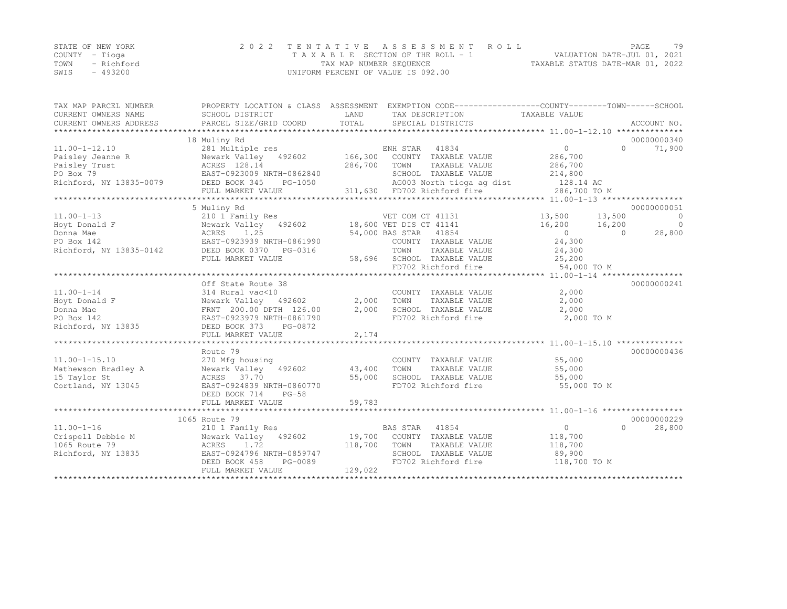|      | STATE OF NEW YORK | 2022 TENTATIVE ASSESSMENT ROLL     |                                  | PAGE. | 79 |
|------|-------------------|------------------------------------|----------------------------------|-------|----|
|      | COUNTY – Tioga    | TAXABLE SECTION OF THE ROLL - 1    | VALUATION DATE-JUL 01, 2021      |       |    |
| TOWN | - Richford        | TAX MAP NUMBER SEQUENCE            | TAXABLE STATUS DATE-MAR 01, 2022 |       |    |
| SWIS | $-493200$         | UNIFORM PERCENT OF VALUE IS 092.00 |                                  |       |    |

| TAX MAP PARCEL NUMBER                 |                                                  |         | PROPERTY LOCATION & CLASS ASSESSMENT EXEMPTION CODE----------------COUNTY-------TOWN-----SCHOOL |                |           |                |
|---------------------------------------|--------------------------------------------------|---------|-------------------------------------------------------------------------------------------------|----------------|-----------|----------------|
| CURRENT OWNERS NAME                   | SCHOOL DISTRICT                                  | LAND    | TAX DESCRIPTION                                                                                 | TAXABLE VALUE  |           |                |
|                                       |                                                  |         |                                                                                                 |                |           |                |
|                                       |                                                  |         |                                                                                                 |                |           |                |
|                                       | 18 Muliny Rd                                     |         |                                                                                                 |                |           | 00000000340    |
| $11.00 - 1 - 12.10$                   | 281 Multiple res                                 |         | ENH STAR<br>41834                                                                               | $\overline{0}$ | $\Omega$  | 71,900         |
| Paisley Jeanne R                      | Newark Valley 492602 166,300                     |         | COUNTY TAXABLE VALUE                                                                            | 286,700        |           |                |
| Paisley Trust                         | Newark Valley<br>ACRES 128.14                    | 286,700 | TOWN<br>TAXABLE VALUE                                                                           | 286,700        |           |                |
| PO Box 79                             | EAST-0923009 NRTH-0862840                        |         | SCHOOL TAXABLE VALUE                                                                            | 214,800        |           |                |
| Richford, NY 13835-0079 DEED BOOK 345 | PG-1050                                          |         |                                                                                                 |                |           |                |
|                                       | FULL MARKET VALUE                                |         |                                                                                                 | 286,700 TO M   |           |                |
|                                       |                                                  |         |                                                                                                 |                |           |                |
|                                       | 5 Muliny Rd                                      |         |                                                                                                 |                |           | 00000000051    |
| $11.00 - 1 - 13$                      | 210 1 Family Res                                 |         | VET COM CT 41131                                                                                | 13,500 13,500  |           | $\overline{0}$ |
| Hoyt Donald F                         | Newark Valley 492602 18,600 VET DIS CT 41141     |         |                                                                                                 | 16,200 16,200  |           | $\overline{0}$ |
| Donna Mae                             | ACRES 1.25                                       |         | 54,000 BAS STAR 41854                                                                           | $\overline{0}$ | $\bigcap$ | 28,800         |
| PO Box 142                            | EAST-0923939 NRTH-0861990                        |         | COUNTY TAXABLE VALUE                                                                            | 24,300         |           |                |
| Richford, NY 13835-0142               |                                                  |         | TOWN<br>TAXABLE VALUE                                                                           | 24,300         |           |                |
|                                       | FULL MARKET VALUE                                |         | 58,696 SCHOOL TAXABLE VALUE                                                                     | 25,200         |           |                |
|                                       |                                                  |         | FD702 Richford fire                                                                             | 54,000 TO M    |           |                |
|                                       |                                                  |         |                                                                                                 |                |           |                |
|                                       | Off State Route 38                               |         |                                                                                                 |                |           | 00000000241    |
| $11.00 - 1 - 14$                      | 314 Rural vac<10                                 |         | COUNTY TAXABLE VALUE                                                                            | 2,000          |           |                |
| Hoyt Donald F                         | Newark Valley 492602                             |         | 2,000 TOWN<br>TAXABLE VALUE                                                                     | 2,000          |           |                |
| Donna Mae                             | FRNT 200.00 DPTH 126.00                          | 2,000   | SCHOOL TAXABLE VALUE                                                                            | 2,000          |           |                |
| PO Box 142                            | EAST-0923979 NRTH-0861790                        |         | FD702 Richford fire                                                                             | 2,000 TO M     |           |                |
| Richford, NY 13835                    | DEED BOOK 373 PG-0872                            |         |                                                                                                 |                |           |                |
|                                       | FULL MARKET VALUE                                | 2,174   |                                                                                                 |                |           |                |
|                                       | Route 79                                         |         |                                                                                                 |                |           | 00000000436    |
| $11.00 - 1 - 15.10$                   | 270 Mfg housing                                  |         | COUNTY TAXABLE VALUE                                                                            | 55,000         |           |                |
| Mathewson Bradley A                   | Newark Valley 492602                             | 43,400  | TOWN<br>TAXABLE VALUE                                                                           | 55,000         |           |                |
| 15 Taylor St                          | ACRES 37.70                                      | 55,000  | SCHOOL TAXABLE VALUE                                                                            | 55,000         |           |                |
| Cortland, NY 13045                    | EAST-0924839 NRTH-0860770                        |         | FD702 Richford fire                                                                             | 55,000 TO M    |           |                |
|                                       | DEED BOOK 714<br>$PG-58$                         |         |                                                                                                 |                |           |                |
|                                       | FULL MARKET VALUE                                | 59,783  |                                                                                                 |                |           |                |
|                                       |                                                  |         |                                                                                                 |                |           |                |
|                                       | 1065 Route 79                                    |         |                                                                                                 |                |           | 00000000229    |
| $11.00 - 1 - 16$                      | 210 1 Family Res                                 |         | BAS STAR 41854                                                                                  | $\overline{0}$ | $\Omega$  | 28,800         |
| Crispell Debbie M                     | Newark Valley 492602 19,700 COUNTY TAXABLE VALUE |         |                                                                                                 | 118,700        |           |                |
| 1065 Route 79                         | ACRES 1.72                                       | 118,700 | TOWN<br>TAXABLE VALUE                                                                           | 118,700        |           |                |
| Richford, NY 13835                    | EAST-0924796 NRTH-0859747                        |         | SCHOOL TAXABLE VALUE                                                                            | 89,900         |           |                |
|                                       | DEED BOOK 458<br>PG-0089                         |         | FD702 Richford fire                                                                             | 118,700 TO M   |           |                |
|                                       | FULL MARKET VALUE                                | 129,022 |                                                                                                 |                |           |                |
|                                       |                                                  |         |                                                                                                 |                |           |                |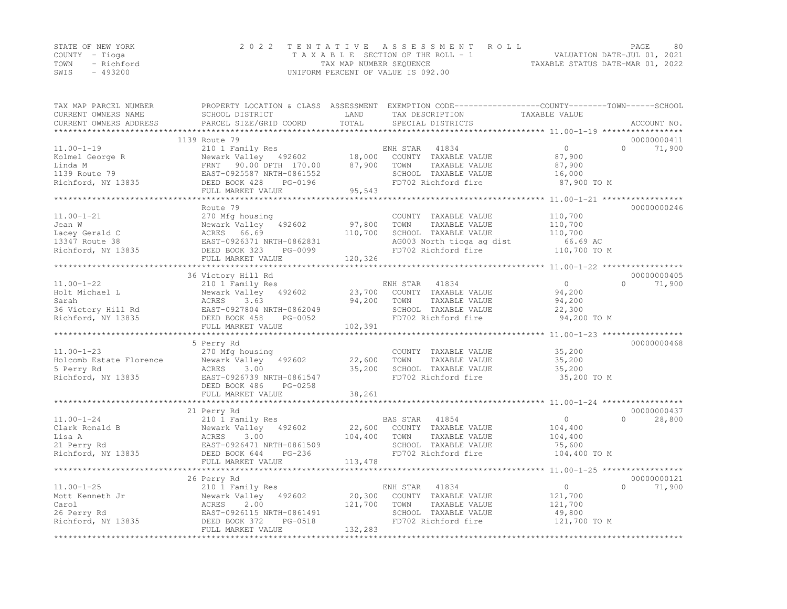| STATE OF NEW YORK |           | 2022 TENTATIVE ASSESSMENT ROLL                                 | PAGE | 80 |
|-------------------|-----------|----------------------------------------------------------------|------|----|
| COUNTY – Tioga    |           | VALUATION DATE-JUL 01, 2021<br>TAXABLE SECTION OF THE ROLL - 1 |      |    |
| TOWN - Richford   |           | TAXABLE STATUS DATE-MAR 01, 2022<br>TAX MAP NUMBER SEQUENCE    |      |    |
| SWIS              | $-493200$ | UNIFORM PERCENT OF VALUE IS 092.00                             |      |    |

| TAX MAP PARCEL NUMBER<br>CURRENT OWNERS NAME | PROPERTY LOCATION & CLASS ASSESSMENT EXEMPTION CODE-----------------COUNTY-------TOWN------SCHOOL<br>SCHOOL DISTRICT | LAND     | TAX DESCRIPTION                                                        | TAXABLE VALUE  |          |             |
|----------------------------------------------|----------------------------------------------------------------------------------------------------------------------|----------|------------------------------------------------------------------------|----------------|----------|-------------|
|                                              |                                                                                                                      | TOTAL    |                                                                        |                |          | ACCOUNT NO. |
|                                              |                                                                                                                      |          |                                                                        |                |          |             |
|                                              | 1139 Route 79                                                                                                        |          |                                                                        |                |          | 00000000411 |
| $11.00 - 1 - 19$                             | 210 1 Family Res                                                                                                     |          | ENH STAR<br>41834                                                      | $\overline{0}$ | $\Omega$ | 71,900      |
| Kolmel George R                              | Newark Valley 492602                                                                                                 | 18,000   | COUNTY TAXABLE VALUE                                                   | 87,900         |          |             |
| Linda M                                      | FRNT 90.00 DPTH 170.00                                                                                               | 87,900   | TAXABLE VALUE<br>TOWN                                                  | 87,900         |          |             |
|                                              | EAST-0925587 NRTH-0861552                                                                                            |          | SCHOOL TAXABLE VALUE                                                   | 16,000         |          |             |
| 1139 Route 79<br>Richford, NY 13835          | DEED BOOK 428<br>PG-0196                                                                                             |          | FD702 Richford fire                                                    | 87,900 TO M    |          |             |
|                                              | FULL MARKET VALUE                                                                                                    | 95,543   |                                                                        |                |          |             |
|                                              |                                                                                                                      |          |                                                                        |                |          |             |
|                                              | Route 79                                                                                                             |          |                                                                        |                |          | 00000000246 |
| $11.00 - 1 - 21$                             | 270 Mfg housing                                                                                                      |          | COUNTY TAXABLE VALUE                                                   | 110,700        |          |             |
| Jean W                                       | Newark Valley 492602                                                                                                 | 97,800   | TAXABLE VALUE<br>TOWN                                                  | 110,700        |          |             |
|                                              |                                                                                                                      | 110,700  | SCHOOL TAXABLE VALUE                                                   | 110,700        |          |             |
|                                              |                                                                                                                      |          | AG003 North tioga ag dist 66.69 AC<br>FD702 Richford fire 110,700 TO M |                |          |             |
|                                              | H-0862831<br>PG-0099                                                                                                 |          |                                                                        |                |          |             |
|                                              | FULL MARKET VALUE                                                                                                    | 120, 326 |                                                                        |                |          |             |
|                                              |                                                                                                                      |          |                                                                        |                |          |             |
|                                              | 36 Victory Hill Rd                                                                                                   |          |                                                                        |                |          | 00000000405 |
| $11.00 - 1 - 22$                             | 210 1 Family Res                                                                                                     |          | ENH STAR<br>41834                                                      | $\overline{0}$ | $\Omega$ | 71,900      |
| Holt Michael L                               | Newark Valley 492602                                                                                                 | 23,700   | COUNTY TAXABLE VALUE                                                   | 94,200         |          |             |
| Sarah                                        | 3.63<br>ACRES                                                                                                        | 94,200   | TOWN<br>TAXABLE VALUE                                                  | 94,200         |          |             |
|                                              |                                                                                                                      |          | SCHOOL TAXABLE VALUE                                                   | 22,300         |          |             |
|                                              | 36 Victory Hill Rd<br>Richford, NY 13835<br>DEED BOOK 458 PG-0052                                                    |          | FD702 Richford fire                                                    | 94,200 TO M    |          |             |
|                                              | FULL MARKET VALUE                                                                                                    | 102,391  |                                                                        |                |          |             |
|                                              |                                                                                                                      |          |                                                                        |                |          |             |
|                                              | 5 Perry Rd                                                                                                           |          |                                                                        |                |          | 00000000468 |
| $11.00 - 1 - 23$                             | 270 Mfg housing                                                                                                      |          | COUNTY TAXABLE VALUE                                                   | 35,200         |          |             |
| Holcomb Estate Florence                      | Newark Valley 492602                                                                                                 | 22,600   | TOWN<br>TAXABLE VALUE                                                  | 35,200         |          |             |
| 5 Perry Rd                                   | ACRES<br>3.00                                                                                                        | 35,200   | SCHOOL TAXABLE VALUE                                                   | 35,200         |          |             |
| Richford, NY 13835                           | EAST-0926739 NRTH-0861547                                                                                            |          | FD702 Richford fire                                                    | 35,200 TO M    |          |             |
|                                              | DEED BOOK 486<br>PG-0258                                                                                             |          |                                                                        |                |          |             |
|                                              | FULL MARKET VALUE                                                                                                    | 38,261   |                                                                        |                |          |             |
|                                              |                                                                                                                      |          |                                                                        |                |          |             |
|                                              | 21 Perry Rd                                                                                                          |          |                                                                        |                |          | 00000000437 |
| $11.00 - 1 - 24$                             | 210 1 Family Res                                                                                                     |          | 41854<br>BAS STAR                                                      | $\overline{0}$ | $\Omega$ | 28,800      |
|                                              | Newark Valley 492602                                                                                                 |          | 22,600 COUNTY TAXABLE VALUE                                            | 104,400        |          |             |
|                                              |                                                                                                                      | 104,400  | TOWN<br>TAXABLE VALUE                                                  | 104,400        |          |             |
|                                              | EAST-0926471 NRTH-0861509                                                                                            |          | SCHOOL TAXABLE VALUE                                                   | 75,600         |          |             |
|                                              | PG-236                                                                                                               |          | FD702 Richford fire                                                    | 104,400 TO M   |          |             |
|                                              | FULL MARKET VALUE                                                                                                    | 113,478  |                                                                        |                |          |             |
|                                              |                                                                                                                      |          |                                                                        |                |          |             |
|                                              | 26 Perry Rd                                                                                                          |          |                                                                        |                |          | 00000000121 |
| $11.00 - 1 - 25$                             | 210 1 Family Res                                                                                                     |          | 41834<br>ENH STAR                                                      | $\overline{0}$ | $\Omega$ | 71,900      |
| Mott Kenneth Jr                              | Newark Valley 492602                                                                                                 | 20,300   | COUNTY TAXABLE VALUE                                                   | 121,700        |          |             |
| Carol                                        | ACRES<br>2.00                                                                                                        | 121,700  | TOWN<br>TAXABLE VALUE                                                  | 121,700        |          |             |
| 26 Perry Rd                                  | EAST-0926115 NRTH-0861491                                                                                            |          | SCHOOL TAXABLE VALUE                                                   | 49,800         |          |             |
| Richford, NY 13835                           | DEED BOOK 372<br>PG-0518                                                                                             |          | FD702 Richford fire                                                    | 121,700 TO M   |          |             |
|                                              | FULL MARKET VALUE                                                                                                    | 132,283  |                                                                        |                |          |             |
|                                              |                                                                                                                      |          |                                                                        |                |          |             |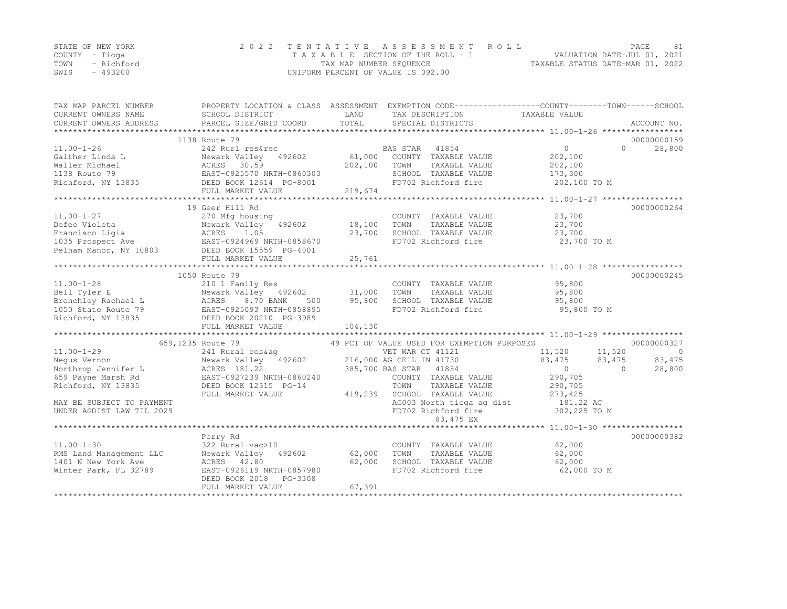|      | STATE OF NEW YORK | 2022 TENTATIVE ASSESSMENT ROLL     |                                  | PAGE                        | 81 |
|------|-------------------|------------------------------------|----------------------------------|-----------------------------|----|
|      | COUNTY – Tioqa    | TAXABLE SECTION OF THE ROLL - 1    |                                  | VALUATION DATE-JUL 01, 2021 |    |
|      | TOWN - Richford   | TAX MAP NUMBER SEQUENCE            | TAXABLE STATUS DATE-MAR 01, 2022 |                             |    |
| SWIS | - 493200          | UNIFORM PERCENT OF VALUE IS 092.00 |                                  |                             |    |

| TAX MAP PARCEL NUMBER                                                                                                                                                                                                                                                                                                                                                                                                                                                       |                                                           |         | PROPERTY LOCATION & CLASS ASSESSMENT EXEMPTION CODE---------------COUNTY-------TOWN-----SCHOOL |                |                     |
|-----------------------------------------------------------------------------------------------------------------------------------------------------------------------------------------------------------------------------------------------------------------------------------------------------------------------------------------------------------------------------------------------------------------------------------------------------------------------------|-----------------------------------------------------------|---------|------------------------------------------------------------------------------------------------|----------------|---------------------|
| CURRENT OWNERS NAME                                                                                                                                                                                                                                                                                                                                                                                                                                                         | SCHOOL DISTRICT                                           | LAND    | TAX DESCRIPTION                                                                                | TAXABLE VALUE  |                     |
| CURRENT OWNERS ADDRESS                                                                                                                                                                                                                                                                                                                                                                                                                                                      | PARCEL SIZE/GRID COORD                                    | TOTAL   | SPECIAL DISTRICTS                                                                              |                | ACCOUNT NO.         |
|                                                                                                                                                                                                                                                                                                                                                                                                                                                                             |                                                           |         |                                                                                                |                |                     |
|                                                                                                                                                                                                                                                                                                                                                                                                                                                                             | 1138 Route 79                                             |         |                                                                                                |                | 00000000159         |
| $11.00 - 1 - 26$                                                                                                                                                                                                                                                                                                                                                                                                                                                            | 242 Rurl res&rec                                          |         | BAS STAR 41854                                                                                 | $\overline{0}$ | 28,800<br>$\Omega$  |
| Gaither Linda L                                                                                                                                                                                                                                                                                                                                                                                                                                                             | Newark Valley 492602                                      | 61,000  | COUNTY TAXABLE VALUE                                                                           | 202,100        |                     |
| Waller Michael                                                                                                                                                                                                                                                                                                                                                                                                                                                              |                                                           | 202,100 | TOWN<br>TAXABLE VALUE                                                                          | 202,100        |                     |
| 1138 Route 79                                                                                                                                                                                                                                                                                                                                                                                                                                                               | ACRES 30.59<br>EAST-0925570 NRTH-0860303<br>COLAR PO-8001 |         | SCHOOL TAXABLE VALUE                                                                           | 173,300        |                     |
|                                                                                                                                                                                                                                                                                                                                                                                                                                                                             |                                                           |         | FD702 Richford fire                                                                            | 202,100 TO M   |                     |
|                                                                                                                                                                                                                                                                                                                                                                                                                                                                             | FULL MARKET VALUE                                         | 219,674 |                                                                                                |                |                     |
|                                                                                                                                                                                                                                                                                                                                                                                                                                                                             |                                                           |         |                                                                                                |                |                     |
|                                                                                                                                                                                                                                                                                                                                                                                                                                                                             | 19 Geer Hill Rd                                           |         |                                                                                                |                | 00000000264         |
| $11.00 - 1 - 27$                                                                                                                                                                                                                                                                                                                                                                                                                                                            | 270 Mfg housing                                           |         | COUNTY TAXABLE VALUE                                                                           | 23,700         |                     |
|                                                                                                                                                                                                                                                                                                                                                                                                                                                                             |                                                           | 18,100  | TOWN<br>TAXABLE VALUE                                                                          | 23,700         |                     |
| Defeo Violeta<br>Francisco Ligia<br>1035 Prospect Ave BAST-0924969 NRTH-0858670<br>Pelham Manor, NY 10803<br>2008 DEED BOOK 15559 PG-4001                                                                                                                                                                                                                                                                                                                                   |                                                           | 23,700  | SCHOOL TAXABLE VALUE                                                                           | 23,700         |                     |
|                                                                                                                                                                                                                                                                                                                                                                                                                                                                             |                                                           |         | FD702 Richford fire                                                                            | 23,700 TO M    |                     |
|                                                                                                                                                                                                                                                                                                                                                                                                                                                                             |                                                           |         |                                                                                                |                |                     |
|                                                                                                                                                                                                                                                                                                                                                                                                                                                                             | FULL MARKET VALUE                                         | 25,761  |                                                                                                |                |                     |
|                                                                                                                                                                                                                                                                                                                                                                                                                                                                             |                                                           |         |                                                                                                |                |                     |
|                                                                                                                                                                                                                                                                                                                                                                                                                                                                             | 1050 Route 79                                             |         |                                                                                                |                | 00000000245         |
| $11.00 - 1 - 28$                                                                                                                                                                                                                                                                                                                                                                                                                                                            | 210 1 Family Res                                          |         | COUNTY TAXABLE VALUE                                                                           | 95,800         |                     |
| Bell Tyler E<br>$\label{eq:2.1} \begin{array}{ccccc} \mathcal{A} & \mathcal{A} & \mathcal{A} & \mathcal{A} & \mathcal{A} & \mathcal{A} & \mathcal{A} & \mathcal{A} & \mathcal{A} & \mathcal{A} & \mathcal{A} & \mathcal{A} & \mathcal{A} & \mathcal{A} & \mathcal{A} & \mathcal{A} & \mathcal{A} & \mathcal{A} & \mathcal{A} & \mathcal{A} & \mathcal{A} & \mathcal{A} & \mathcal{A} & \mathcal{A} & \mathcal{A} & \mathcal{A} & \mathcal{A} & \mathcal{A} & \mathcal{A} &$ | Newark Valley 492602 31,000                               |         | TOWN<br>TAXABLE VALUE                                                                          | 95,800         |                     |
| Brenchley Rachael L                                                                                                                                                                                                                                                                                                                                                                                                                                                         | 8.70 BANK<br>ACRES<br>500                                 | 95,800  | SCHOOL TAXABLE VALUE                                                                           | 95,800         |                     |
| 1050 State Route 79                                                                                                                                                                                                                                                                                                                                                                                                                                                         | EAST-0925093 NRTH-0858895                                 |         | FD702 Richford fire                                                                            | 95,800 TO M    |                     |
| Richford, NY 13835                                                                                                                                                                                                                                                                                                                                                                                                                                                          | DEED BOOK 20210 PG-3989                                   |         |                                                                                                |                |                     |
|                                                                                                                                                                                                                                                                                                                                                                                                                                                                             | FULL MARKET VALUE                                         | 104,130 |                                                                                                |                |                     |
|                                                                                                                                                                                                                                                                                                                                                                                                                                                                             |                                                           |         |                                                                                                |                |                     |
|                                                                                                                                                                                                                                                                                                                                                                                                                                                                             | 659,1235 Route 79                                         |         | 49 PCT OF VALUE USED FOR EXEMPTION PURPOSES                                                    |                | 00000000327         |
| $11.00 - 1 - 29$                                                                                                                                                                                                                                                                                                                                                                                                                                                            | 241 Rural res&ag                                          |         | VET WAR CT 41121                                                                               | 11,520         | 11,520<br>$\circ$   |
| Nequs Vernon                                                                                                                                                                                                                                                                                                                                                                                                                                                                | Newark Valley 492602 216,000 AG CEIL IN 41730             |         |                                                                                                | 83,475         | 83,475<br>83,475    |
| Northrop Jennifer L                                                                                                                                                                                                                                                                                                                                                                                                                                                         | Newark Valley<br>ACRES 181.22                             |         | 385,700 BAS STAR 41854                                                                         | $\Omega$       | 28,800<br>$\bigcap$ |
| 659 Payne Marsh Rd                                                                                                                                                                                                                                                                                                                                                                                                                                                          | EAST-0927239 NRTH-0860240                                 |         | COUNTY TAXABLE VALUE                                                                           | 290,705        |                     |
| Richford, NY 13835                                                                                                                                                                                                                                                                                                                                                                                                                                                          | DEED BOOK 12315 PG-14                                     |         | TAXABLE VALUE<br>TOWN                                                                          | 290,705        |                     |
|                                                                                                                                                                                                                                                                                                                                                                                                                                                                             | FULL MARKET VALUE                                         | 419,239 | SCHOOL TAXABLE VALUE                                                                           | 273, 425       |                     |
| MAY BE SUBJECT TO PAYMENT                                                                                                                                                                                                                                                                                                                                                                                                                                                   |                                                           |         | AG003 North tioga ag dist                                                                      | 181.22 AC      |                     |
| UNDER AGDIST LAW TIL 2029                                                                                                                                                                                                                                                                                                                                                                                                                                                   |                                                           |         | FD702 Richford fire                                                                            | $302,225$ TO M |                     |
|                                                                                                                                                                                                                                                                                                                                                                                                                                                                             |                                                           |         | 83,475 EX                                                                                      |                |                     |
|                                                                                                                                                                                                                                                                                                                                                                                                                                                                             |                                                           |         |                                                                                                |                |                     |
|                                                                                                                                                                                                                                                                                                                                                                                                                                                                             | Perry Rd                                                  |         |                                                                                                |                | 00000000382         |
| $11.00 - 1 - 30$                                                                                                                                                                                                                                                                                                                                                                                                                                                            | 322 Rural vac>10                                          |         | COUNTY TAXABLE VALUE                                                                           | 62,000         |                     |
| RMS Land Management LLC                                                                                                                                                                                                                                                                                                                                                                                                                                                     | Newark Valley 492602                                      | 62,000  | TAXABLE VALUE<br>TOWN                                                                          | 62,000         |                     |
| 1401 N New York Ave                                                                                                                                                                                                                                                                                                                                                                                                                                                         | ACRES 42.80                                               | 62,000  | SCHOOL TAXABLE VALUE                                                                           | 62,000         |                     |
| Winter Park, FL 32789                                                                                                                                                                                                                                                                                                                                                                                                                                                       | EAST-0926119 NRTH-0857980                                 |         | FD702 Richford fire                                                                            | 62,000 TO M    |                     |
|                                                                                                                                                                                                                                                                                                                                                                                                                                                                             | DEED BOOK 2018<br>PG-3308                                 |         |                                                                                                |                |                     |
|                                                                                                                                                                                                                                                                                                                                                                                                                                                                             | FULL MARKET VALUE                                         | 67,391  |                                                                                                |                |                     |
|                                                                                                                                                                                                                                                                                                                                                                                                                                                                             |                                                           |         |                                                                                                |                |                     |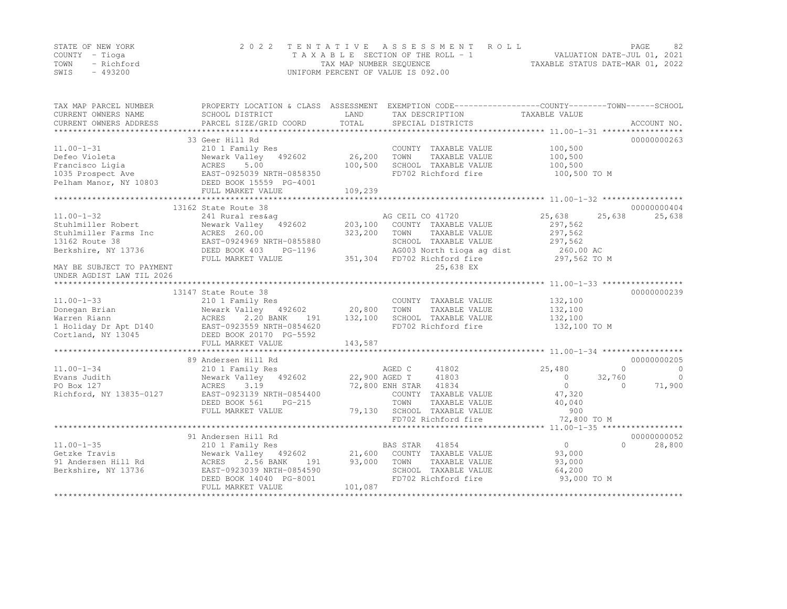|      | STATE OF NEW YORK | 2022 TENTATIVE ASSESSMENT ROLL     |                                  | PAGE                        | 82 |
|------|-------------------|------------------------------------|----------------------------------|-----------------------------|----|
|      | COUNTY – Tioga    | TAXABLE SECTION OF THE ROLL - 1    |                                  | VALUATION DATE-JUL 01, 2021 |    |
| TOWN | - Richford        | TAX MAP NUMBER SEQUENCE            | TAXABLE STATUS DATE-MAR 01, 2022 |                             |    |
| SWIS | - 493200          | UNIFORM PERCENT OF VALUE IS 092.00 |                                  |                             |    |

| TAX MAP PARCEL NUMBER<br>CURRENT OWNERS NAME<br>CURRENT OWNERS ADDRESS                                            | SCHOOL DISTRICT<br>PARCEL SIZE/GRID COORD                                                                                                                                                  | LAND<br>TOTAL                | PROPERTY LOCATION & CLASS ASSESSMENT EXEMPTION CODE---------------COUNTY-------TOWN-----SCHOOL<br>TAX DESCRIPTION<br>SPECIAL DISTRICTS                   | TAXABLE VALUE                                                                    | ACCOUNT NO.                                                        |
|-------------------------------------------------------------------------------------------------------------------|--------------------------------------------------------------------------------------------------------------------------------------------------------------------------------------------|------------------------------|----------------------------------------------------------------------------------------------------------------------------------------------------------|----------------------------------------------------------------------------------|--------------------------------------------------------------------|
| $11.00 - 1 - 31$<br>Defeo Violeta<br>Francisco Ligia<br>1035 Prospect Ave<br>Pelham Manor, NY 10803               | 33 Geer Hill Rd<br>210 1 Family Res<br>Newark Valley 492602<br>ACRES<br>5.00<br>EAST-0925039 NRTH-0858350<br>EAST-0925039 NAIL 000000<br>1803 DEED BOOK 15559 PG-4001<br>FULL MARKET VALUE | 26,200<br>100,500<br>109,239 | COUNTY TAXABLE VALUE<br>TOWN<br>TAXABLE VALUE<br>SCHOOL TAXABLE VALUE<br>FD702 Richford fire                                                             | 100,500<br>100,500<br>100,500<br>100,500 TO M                                    | 00000000263                                                        |
| $11.00 - 1 - 32$                                                                                                  | 13162 State Route 38<br>241 Rural res&ag                                                                                                                                                   |                              | AG CEIL CO 41720                                                                                                                                         | 25,638<br>25,638                                                                 | 00000000404<br>25,638                                              |
| Stuhlmiller Robert<br>Stuhlmiller Farms Inc<br>13162 Route 38<br>Berkshire, NY 13736<br>MAY BE SUBJECT TO PAYMENT | Newark Valley<br>492602<br>ACRES 260.00<br>EAST-0924969 NRTH-0855880<br>DEED BOOK 403<br>PG-1196<br>FULL MARKET VALUE                                                                      | 203,100<br>323,200           | COUNTY TAXABLE VALUE<br>TOWN<br>TAXABLE VALUE<br>SCHOOL TAXABLE VALUE<br>AG003 North tioga ag dist<br>351,304 FD702 Richford fire<br>25,638 EX           | 297,562<br>297,562<br>297,562<br>260.00 AC<br>297,562 TO M                       |                                                                    |
| UNDER AGDIST LAW TIL 2026                                                                                         | 13147 State Route 38                                                                                                                                                                       |                              |                                                                                                                                                          |                                                                                  | 00000000239                                                        |
| $11.00 - 1 - 33$<br>Donegan Brian<br>Warren Riann<br>1 Holiday Dr Apt D140<br>Cortland, NY 13045                  | 210 1 Family Res<br>Newark Valley 492602 20,800<br>ACRES<br>2.20 BANK<br>191<br>EAST-0923559 NRTH-0854620<br>DEED BOOK 20170 PG-5592<br>FULL MARKET VALUE                                  | 132,100<br>143,587           | COUNTY TAXABLE VALUE<br>TOWN<br>TAXABLE VALUE<br>SCHOOL TAXABLE VALUE<br>FD702 Richford fire                                                             | 132,100<br>132,100<br>132,100<br>132,100 TO M                                    |                                                                    |
|                                                                                                                   | 89 Andersen Hill Rd                                                                                                                                                                        |                              |                                                                                                                                                          |                                                                                  | 00000000205                                                        |
| $11.00 - 1 - 34$<br>Evans Judith<br>PO Box 127<br>Richford, NY 13835-0127                                         | 210 1 Family Res<br>Newark Valley 492602<br>ACRES<br>3.19<br>EAST-0923139 NRTH-0854400<br>DEED BOOK 561<br>$PG-215$<br>FULL MARKET VALUE                                                   | 22,900 AGED T                | 41802<br>AGED C<br>41803<br>72,800 ENH STAR 41834<br>COUNTY TAXABLE VALUE<br>TOWN<br>TAXABLE VALUE<br>79,130 SCHOOL TAXABLE VALUE<br>FD702 Richford fire | 25,480<br>32,760<br>$\circ$<br>$\circ$<br>47,320<br>40,040<br>900<br>72,800 TO M | $\circ$<br>$\overline{0}$<br>$\overline{0}$<br>71,900<br>$\bigcap$ |
|                                                                                                                   | 91 Andersen Hill Rd                                                                                                                                                                        |                              |                                                                                                                                                          |                                                                                  | 00000000052                                                        |
| $11.00 - 1 - 35$<br>Getzke Travis<br>91 Andersen Hill Rd<br>Berkshire, NY 13736                                   | 210 1 Family Res<br>Newark Valley 492602<br>191<br>ACRES<br>2.56 BANK<br>EAST-0923039 NRTH-0854590<br>DEED BOOK 14040 PG-8001<br>FULL MARKET VALUE                                         | 21,600<br>93,000<br>101,087  | BAS STAR 41854<br>COUNTY TAXABLE VALUE<br>TOWN<br>TAXABLE VALUE<br>SCHOOL TAXABLE VALUE<br>FD702 Richford fire                                           | 0<br>93,000<br>93,000<br>64,200<br>93,000 TO M                                   | 28,800<br>$\Omega$                                                 |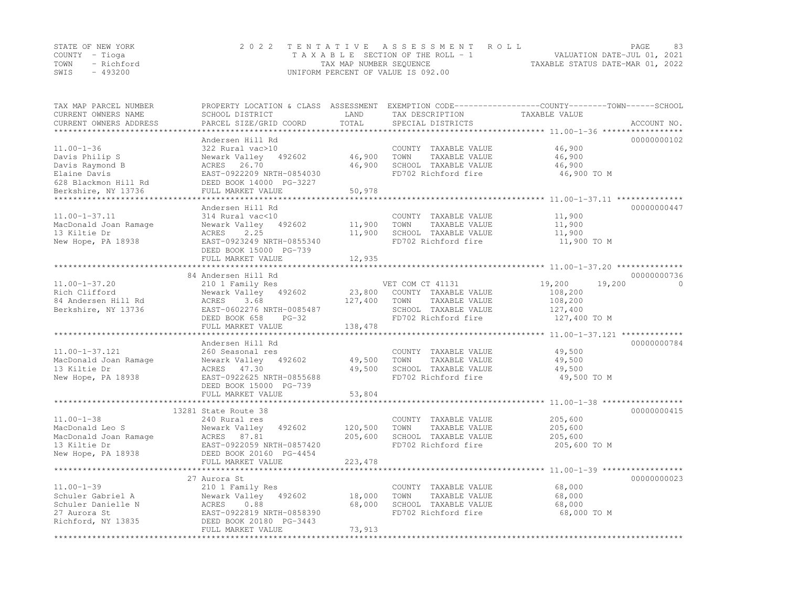| STATE OF NEW YORK |            | 2022 TENTATIVE ASSESSMENT ROLL                                 | PAGE | 83 |
|-------------------|------------|----------------------------------------------------------------|------|----|
| COUNTY – Tioga    |            | VALUATION DATE-JUL 01, 2021<br>TAXABLE SECTION OF THE ROLL - 1 |      |    |
| TOWN              | - Richford | TAXABLE STATUS DATE-MAR 01, 2022<br>TAX MAP NUMBER SEQUENCE    |      |    |
| SWIS              | $-493200$  | UNIFORM PERCENT OF VALUE IS 092.00                             |      |    |

| TAX MAP PARCEL NUMBER<br>CURRENT OWNERS NAME | PROPERTY LOCATION & CLASS ASSESSMENT<br>SCHOOL DISTRICT | LAND     | TAX DESCRIPTION                               | EXEMPTION CODE-----------------COUNTY-------TOWN------SCHOOL<br>TAXABLE VALUE |
|----------------------------------------------|---------------------------------------------------------|----------|-----------------------------------------------|-------------------------------------------------------------------------------|
| CURRENT OWNERS ADDRESS                       | PARCEL SIZE/GRID COORD                                  | TOTAL    | SPECIAL DISTRICTS                             | ACCOUNT NO.                                                                   |
|                                              | Andersen Hill Rd                                        |          |                                               | 00000000102                                                                   |
| $11.00 - 1 - 36$                             | 322 Rural vac>10                                        |          | COUNTY TAXABLE VALUE                          | 46,900                                                                        |
| Davis Philip S                               | Newark Valley 492602                                    | 46,900   | TOWN<br>TAXABLE VALUE                         | 46,900                                                                        |
| Davis Raymond B                              | ACRES 26.70                                             | 46,900   | SCHOOL TAXABLE VALUE                          | 46,900                                                                        |
| Elaine Davis                                 | EAST-0922209 NRTH-0854030                               |          | FD702 Richford fire                           | 46,900 TO M                                                                   |
| 628 Blackmon Hill Rd                         | DEED BOOK 14000 PG-3227                                 |          |                                               |                                                                               |
| Berkshire, NY 13736                          | FULL MARKET VALUE                                       | 50,978   |                                               |                                                                               |
| *****************                            |                                                         |          |                                               |                                                                               |
|                                              | Andersen Hill Rd                                        |          |                                               | 00000000447                                                                   |
| $11.00 - 1 - 37.11$                          | 314 Rural vac<10                                        |          | COUNTY TAXABLE VALUE                          | 11,900                                                                        |
| MacDonald Joan Ramage                        | Newark Valley 492602                                    | 11,900   | TOWN<br>TAXABLE VALUE                         | 11,900                                                                        |
| 13 Kiltie Dr                                 | 2.25<br>ACRES                                           | 11,900   | SCHOOL TAXABLE VALUE                          | 11,900                                                                        |
| New Hope, PA 18938                           | EAST-0923249 NRTH-0855340                               |          | FD702 Richford fire                           | 11,900 TO M                                                                   |
|                                              | DEED BOOK 15000 PG-739<br>FULL MARKET VALUE             | 12,935   |                                               |                                                                               |
|                                              |                                                         |          |                                               |                                                                               |
|                                              | 84 Andersen Hill Rd                                     |          |                                               | 00000000736                                                                   |
| $11.00 - 1 - 37.20$                          | 210 1 Family Res                                        |          | VET COM CT 41131                              | 19,200<br>19,200<br>$\Omega$                                                  |
| Rich Clifford                                | Newark Valley 492602                                    | 23,800   | COUNTY TAXABLE VALUE                          | 108,200                                                                       |
| 84 Andersen Hill Rd                          | 3.68<br>ACRES                                           | 127,400  | TOWN<br>TAXABLE VALUE                         | 108,200                                                                       |
| Berkshire, NY 13736                          | EAST-0602276 NRTH-0085487                               |          | SCHOOL TAXABLE VALUE                          | 127,400                                                                       |
|                                              | DEED BOOK 658<br>$PG-32$                                |          | FD702 Richford fire                           | 127,400 TO M                                                                  |
|                                              | FULL MARKET VALUE                                       | 138,478  |                                               |                                                                               |
|                                              |                                                         |          |                                               |                                                                               |
|                                              | Andersen Hill Rd                                        |          |                                               | 00000000784                                                                   |
| $11.00 - 1 - 37.121$                         | 260 Seasonal res                                        |          | COUNTY TAXABLE VALUE                          | 49,500                                                                        |
| MacDonald Joan Ramage                        | Newark Valley 492602                                    | 49,500   | TOWN<br>TAXABLE VALUE                         | 49,500                                                                        |
| 13 Kiltie Dr<br>New Hope, PA 18938           | ACRES 47.30<br>EAST-0922625 NRTH-0855688                | 49,500   | SCHOOL TAXABLE VALUE<br>FD702 Richford fire   | 49,500<br>49,500 TO M                                                         |
|                                              | DEED BOOK 15000 PG-739                                  |          |                                               |                                                                               |
|                                              | FULL MARKET VALUE                                       | 53,804   |                                               |                                                                               |
|                                              |                                                         |          |                                               |                                                                               |
|                                              | 13281 State Route 38                                    |          |                                               | 00000000415                                                                   |
| $11.00 - 1 - 38$                             | 240 Rural res                                           |          | COUNTY TAXABLE VALUE                          | 205,600                                                                       |
| MacDonald Leo S                              | Newark Valley<br>492602                                 | 120,500  | TOWN<br>TAXABLE VALUE                         | 205,600                                                                       |
| MacDonald Joan Ramage                        | ACRES 87.81                                             | 205,600  | SCHOOL TAXABLE VALUE                          | 205,600                                                                       |
| 13 Kiltie Dr                                 | EAST-0922059 NRTH-0857420                               |          | FD702 Richford fire                           | 205,600 TO M                                                                  |
| New Hope, PA 18938                           | DEED BOOK 20160 PG-4454                                 |          |                                               |                                                                               |
|                                              | FULL MARKET VALUE                                       | 223, 478 |                                               |                                                                               |
|                                              | 27 Aurora St                                            |          |                                               | 00000000023                                                                   |
| $11.00 - 1 - 39$                             |                                                         |          |                                               | 68,000                                                                        |
| Schuler Gabriel A                            | 210 1 Family Res<br>Newark Valley 492602                | 18,000   | COUNTY TAXABLE VALUE<br>TOWN<br>TAXABLE VALUE | 68,000                                                                        |
| Schuler Danielle N                           | ACRES<br>0.88                                           | 68,000   | SCHOOL TAXABLE VALUE                          | 68,000                                                                        |
| 27 Aurora St                                 | EAST-0922819 NRTH-0858390                               |          | FD702 Richford fire                           | 68,000 TO M                                                                   |
| Richford, NY 13835                           | DEED BOOK 20180 PG-3443                                 |          |                                               |                                                                               |
|                                              | FULL MARKET VALUE                                       | 73,913   |                                               |                                                                               |
|                                              |                                                         |          |                                               |                                                                               |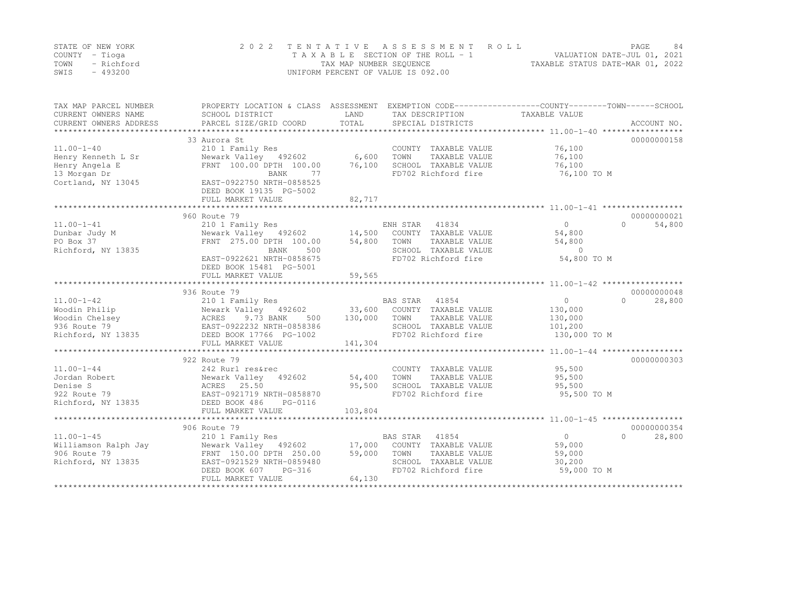|      | STATE OF NEW YORK | 2022 TENTATIVE ASSESSMENT ROLL     | PAGE                             | 84 |
|------|-------------------|------------------------------------|----------------------------------|----|
|      | COUNTY – Tioga    | TAXABLE SECTION OF THE ROLL - 1    | VALUATION DATE-JUL 01, 2021      |    |
| TOWN | - Richford        | TAX MAP NUMBER SEQUENCE            | TAXABLE STATUS DATE-MAR 01, 2022 |    |
| SWIS | $-493200$         | UNIFORM PERCENT OF VALUE IS 092.00 |                                  |    |

| TAX MAP PARCEL NUMBER<br>CURRENT OWNERS NAME<br>CURRENT OWNERS ADDRESS                         | SCHOOL DISTRICT<br>PARCEL SIZE/GRID COORD                                                                                                                                       | LAND<br>TOTAL               | TAX DESCRIPTION TAXABLE VALUE<br>SPECIAL DISTRICTS                                                                                      | PROPERTY LOCATION & CLASS ASSESSMENT EXEMPTION CODE----------------COUNTY-------TOWN-----SCHOOL<br>ACCOUNT NO. |  |
|------------------------------------------------------------------------------------------------|---------------------------------------------------------------------------------------------------------------------------------------------------------------------------------|-----------------------------|-----------------------------------------------------------------------------------------------------------------------------------------|----------------------------------------------------------------------------------------------------------------|--|
| $11.00 - 1 - 40$<br>Henry Kenneth L Sr<br>Henry Angela E<br>13 Morgan Dr<br>Cortland, NY 13045 | 33 Aurora St<br>210 1 Family Res<br>Newark Valley 492602<br>FRNT 100.00 DPTH 100.00<br><b>BANK</b><br>77<br>EAST-0922750 NRTH-0858525                                           | 6,600<br>76,100             | COUNTY TAXABLE VALUE<br>TOWN<br>TAXABLE VALUE<br>SCHOOL TAXABLE VALUE<br>FD702 Richford fire                                            | 00000000158<br>76,100<br>76,100<br>76,100<br>76,100 TO M                                                       |  |
|                                                                                                | DEED BOOK 19135 PG-5002<br>FULL MARKET VALUE                                                                                                                                    | 82,717                      |                                                                                                                                         |                                                                                                                |  |
|                                                                                                | 960 Route 79                                                                                                                                                                    |                             |                                                                                                                                         | 00000000021                                                                                                    |  |
| $11.00 - 1 - 41$<br>Dunbar Judy M<br>PO Box 37<br>Richford, NY 13835                           | 210 1 Family Res<br>Newark Valley 492602<br>FRNT 275.00 DPTH 100.00<br>BANK<br>500<br>EAST-0922621 NRTH-0858675<br>DEED BOOK 15481 PG-5001<br>FULL MARKET VALUE                 | 54,800<br>59,565            | ENH STAR 41834<br>ENH STAR 41834<br>14,500 COUNTY TAXABLE VALUE<br>TOWN<br>TAXABLE VALUE<br>SCHOOL TAXABLE VALUE<br>FD702 Richford fire | $\Omega$<br>54,800<br>$\Omega$<br>54,800<br>54,800<br>$\overline{0}$<br>54,800 TO M                            |  |
|                                                                                                | 936 Route 79                                                                                                                                                                    |                             |                                                                                                                                         | 00000000048                                                                                                    |  |
| $11.00 - 1 - 42$<br>Woodin Philip<br>Woodin Chelsey<br>936 Route 79<br>Richford, NY 13835      | 210 1 Family Res<br>Newark Valley 492602 33,600 COUNTY TAXABLE VALUE<br>ACRES 9.73 BANK 500<br>EAST-0922232 NRTH-0858386<br>500<br>DEED BOOK 17766 PG-1002<br>FULL MARKET VALUE | 130,000<br>141,304          | BAS STAR 41854<br>TOWN<br>TAXABLE VALUE<br>SCHOOL TAXABLE VALUE<br>FD702 Richford fire                                                  | $\circ$<br>$\Omega$<br>28,800<br>130,000<br>130,000<br>101,200<br>130,000 TO M                                 |  |
|                                                                                                |                                                                                                                                                                                 |                             |                                                                                                                                         |                                                                                                                |  |
| $11.00 - 1 - 44$<br>Jordan Robert<br>Denise S<br>922 Route 79<br>Richford, NY 13835            | 922 Route 79<br>242 Rurl res&rec<br>Newark Valley<br>492602<br>ACRES 25.50<br>EAST-0921719 NRTH-0858870<br>DEED BOOK 486<br>PG-0116<br>FULL MARKET VALUE                        | 54,400<br>95,500<br>103,804 | COUNTY TAXABLE VALUE<br>TOWN<br>TAXABLE VALUE<br>SCHOOL TAXABLE VALUE<br>FD702 Richford fire                                            | 00000000303<br>95,500<br>95,500<br>95,500<br>95,500 TO M                                                       |  |
|                                                                                                |                                                                                                                                                                                 |                             |                                                                                                                                         |                                                                                                                |  |
| $11.00 - 1 - 45$<br>Williamson Ralph Jay<br>906 Route 79<br>Richford, NY 13835                 | 906 Route 79<br>210 1 Family Res<br>Newark Valley 492602 17,000<br>FRNT 150.00 DPTH 250.00<br>EAST-0921529 NRTH-0859480<br>PG-316<br>DEED BOOK 607<br>FULL MARKET VALUE         | 59,000<br>64,130            | BAS STAR 41854<br>COUNTY TAXABLE VALUE<br>TOWN<br>TAXABLE VALUE<br>SCHOOL TAXABLE VALUE<br>FD702 Richford fire                          | 00000000354<br>$\Omega$<br>28,800<br>$\cap$<br>59,000<br>59,000<br>30,200<br>59,000 TO M                       |  |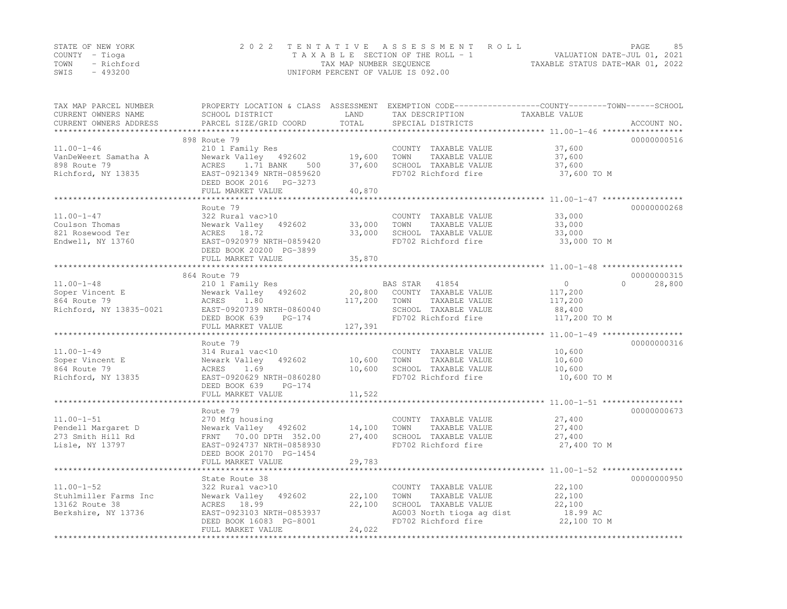|      | STATE OF NEW YORK | 2022 TENTATIVE ASSESSMENT ROLL     | PAGE.                            | 85 |
|------|-------------------|------------------------------------|----------------------------------|----|
|      | COUNTY – Tioga    | TAXABLE SECTION OF THE ROLL - 1    | VALUATION DATE-JUL 01, 2021      |    |
| TOWN | - Richford        | TAX MAP NUMBER SEQUENCE            | TAXABLE STATUS DATE-MAR 01, 2022 |    |
| SWIS | - 493200          | UNIFORM PERCENT OF VALUE IS 092.00 |                                  |    |

| TAX MAP PARCEL NUMBER<br>CURRENT OWNERS NAME<br>CURRENT OWNERS ADDRESS | SCHOOL DISTRICT<br>PARCEL SIZE/GRID COORD  | LAND<br>TOTAL | TAX DESCRIPTION<br>SPECIAL DISTRICTS          | PROPERTY LOCATION & CLASS ASSESSMENT EXEMPTION CODE----------------COUNTY-------TOWN-----SCHOOL<br>TAXABLE VALUE<br>ACCOUNT NO. |
|------------------------------------------------------------------------|--------------------------------------------|---------------|-----------------------------------------------|---------------------------------------------------------------------------------------------------------------------------------|
|                                                                        |                                            |               |                                               |                                                                                                                                 |
|                                                                        | 898 Route 79                               |               |                                               | 00000000516                                                                                                                     |
| $11.00 - 1 - 46$                                                       | 210 1 Family Res<br>Newark Valley 492602   | 19,600        | COUNTY TAXABLE VALUE<br>TOWN<br>TAXABLE VALUE | 37,600<br>37,600                                                                                                                |
| VanDeWeert Samatha A<br>898 Route 79                                   | ACRES 1.71 BANK<br>500                     | 37,600        | SCHOOL TAXABLE VALUE                          | 37,600                                                                                                                          |
| Richford, NY 13835                                                     | EAST-0921349 NRTH-0859620                  |               | FD702 Richford fire                           | 37,600 TO M                                                                                                                     |
|                                                                        | DEED BOOK 2016 PG-3273                     |               |                                               |                                                                                                                                 |
|                                                                        | FULL MARKET VALUE                          | 40,870        |                                               |                                                                                                                                 |
|                                                                        |                                            |               |                                               |                                                                                                                                 |
|                                                                        | Route 79                                   |               |                                               | 00000000268                                                                                                                     |
| $11.00 - 1 - 47$                                                       | 322 Rural vac>10                           |               | COUNTY TAXABLE VALUE                          | 33,000                                                                                                                          |
| Coulson Thomas                                                         | Newark Valley 492602                       | 33,000        | TOWN<br>TAXABLE VALUE                         | 33,000                                                                                                                          |
| 821 Rosewood Ter                                                       | ACRES 18.72                                | 33,000        | SCHOOL TAXABLE VALUE                          | 33,000                                                                                                                          |
| Endwell, NY 13760                                                      | EAST-0920979 NRTH-0859420                  |               | FD702 Richford fire                           | 33,000 TO M                                                                                                                     |
|                                                                        | DEED BOOK 20200 PG-3899                    |               |                                               |                                                                                                                                 |
|                                                                        | FULL MARKET VALUE                          | 35,870        |                                               |                                                                                                                                 |
|                                                                        |                                            |               |                                               |                                                                                                                                 |
|                                                                        | 864 Route 79                               |               |                                               | 00000000315                                                                                                                     |
| $11.00 - 1 - 48$                                                       | 210 1 Family Res                           |               | 41854<br>BAS STAR                             | $\circ$<br>$\Omega$<br>28,800                                                                                                   |
| Soper Vincent E                                                        | Newark Valley 492602                       | 20,800        | COUNTY TAXABLE VALUE                          | 117,200                                                                                                                         |
| 864 Route 79                                                           | ACRES<br>1.80<br>EAST-0920739 NRTH-0860040 | 117,200       | TOWN<br>TAXABLE VALUE<br>SCHOOL TAXABLE VALUE | 117,200                                                                                                                         |
| Richford, NY 13835-0021                                                | DEED BOOK 639<br>$PG-174$                  |               | FD702 Richford fire                           | 88,400<br>117,200 TO M                                                                                                          |
|                                                                        | FULL MARKET VALUE                          | 127,391       |                                               |                                                                                                                                 |
|                                                                        |                                            |               |                                               |                                                                                                                                 |
|                                                                        | Route 79                                   |               |                                               | 00000000316                                                                                                                     |
| $11.00 - 1 - 49$                                                       | 314 Rural vac<10                           |               | COUNTY TAXABLE VALUE                          | 10,600                                                                                                                          |
| Soper Vincent E                                                        | Newark Valley<br>492602                    | 10,600        | TOWN<br>TAXABLE VALUE                         | 10,600                                                                                                                          |
| 864 Route 79                                                           | ACRES<br>1.69                              | 10,600        | SCHOOL TAXABLE VALUE                          | 10,600                                                                                                                          |
| Richford, NY 13835                                                     | EAST-0920629 NRTH-0860280                  |               | FD702 Richford fire                           | 10,600 TO M                                                                                                                     |
|                                                                        | DEED BOOK 639<br>$PG-174$                  |               |                                               |                                                                                                                                 |
|                                                                        | FULL MARKET VALUE                          | 11,522        |                                               |                                                                                                                                 |
|                                                                        | ***************************                |               |                                               |                                                                                                                                 |
|                                                                        | Route 79                                   |               |                                               | 00000000673                                                                                                                     |
| $11.00 - 1 - 51$                                                       | 270 Mfg housing                            |               | COUNTY TAXABLE VALUE                          | 27,400                                                                                                                          |
| Pendell Margaret D                                                     | Newark Valley 492602                       | 14,100        | TOWN<br>TAXABLE VALUE                         | 27,400                                                                                                                          |
| 273 Smith Hill Rd                                                      | FRNT 70.00 DPTH 352.00                     | 27,400        | SCHOOL TAXABLE VALUE                          | 27,400                                                                                                                          |
| Lisle, NY 13797                                                        | EAST-0924737 NRTH-0858930                  |               | FD702 Richford fire                           | 27,400 TO M                                                                                                                     |
|                                                                        | DEED BOOK 20170 PG-1454                    |               |                                               |                                                                                                                                 |
|                                                                        | FULL MARKET VALUE                          | 29,783        |                                               |                                                                                                                                 |
|                                                                        | State Route 38                             |               |                                               | 00000000950                                                                                                                     |
| $11.00 - 1 - 52$                                                       | 322 Rural vac>10                           |               | COUNTY TAXABLE VALUE                          | 22,100                                                                                                                          |
| Stuhlmiller Farms Inc                                                  | Newark Valley<br>492602                    | 22,100        | TOWN<br>TAXABLE VALUE                         | 22,100                                                                                                                          |
| 13162 Route 38                                                         | ACRES 18.99                                | 22,100        | SCHOOL TAXABLE VALUE                          | 22,100                                                                                                                          |
| Berkshire, NY 13736                                                    | EAST-0923103 NRTH-0853937                  |               | AG003 North tioga ag dist                     | 18.99 AC                                                                                                                        |
|                                                                        | DEED BOOK 16083 PG-8001                    |               | FD702 Richford fire                           | 22,100 TO M                                                                                                                     |
|                                                                        | FULL MARKET VALUE                          | 24,022        |                                               |                                                                                                                                 |
|                                                                        |                                            |               |                                               |                                                                                                                                 |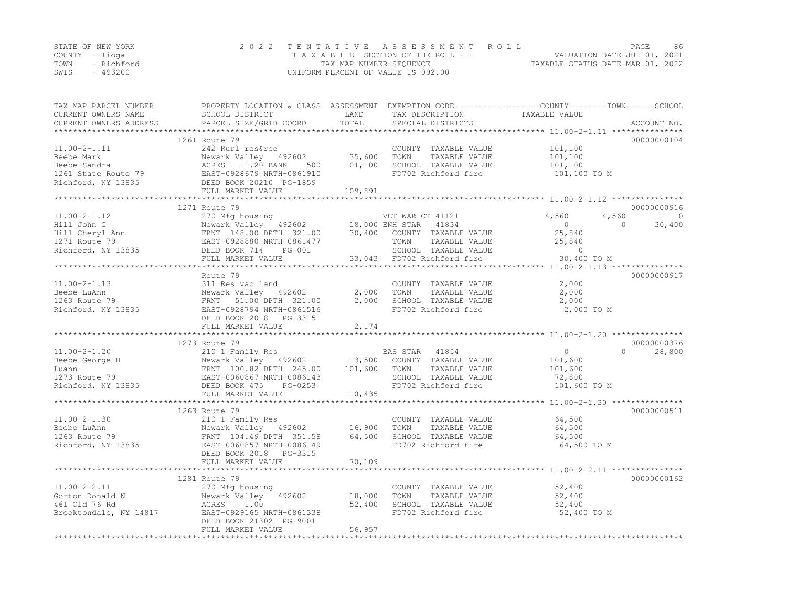|      | STATE OF NEW YORK | 2022 TENTATIVE ASSESSMENT ROLL     |                                  | PAGE                        | -86 |
|------|-------------------|------------------------------------|----------------------------------|-----------------------------|-----|
|      | COUNTY – Tioga    | TAXABLE SECTION OF THE ROLL - 1    |                                  | VALUATION DATE-JUL 01, 2021 |     |
| TOWN | - Richford        | TAX MAP NUMBER SEQUENCE            | TAXABLE STATUS DATE-MAR 01, 2022 |                             |     |
| SWIS | - 493200          | UNIFORM PERCENT OF VALUE IS 092.00 |                                  |                             |     |

| TAX MAP PARCEL NUMBER<br>CURRENT OWNERS NAME<br>CURRENT OWNERS ADDRESS | SCHOOL DISTRICT<br>PARCEL SIZE/GRID COORD                                                                      | LAND<br>TOTAL | TAX DESCRIPTION<br>SPECIAL DISTRICTS | PROPERTY LOCATION & CLASS ASSESSMENT EXEMPTION CODE----------------COUNTY-------TOWN-----SCHOOL<br>TAXABLE VALUE | ACCOUNT NO. |
|------------------------------------------------------------------------|----------------------------------------------------------------------------------------------------------------|---------------|--------------------------------------|------------------------------------------------------------------------------------------------------------------|-------------|
|                                                                        |                                                                                                                |               |                                      |                                                                                                                  |             |
|                                                                        | 1261 Route 79                                                                                                  |               |                                      |                                                                                                                  | 00000000104 |
| $11.00 - 2 - 1.11$                                                     | 242 Rurl res&rec                                                                                               |               | COUNTY TAXABLE VALUE                 | 101,100                                                                                                          |             |
| Beebe Mark                                                             | Newark Valley 492602                                                                                           | 35,600        | TOWN<br>TAXABLE VALUE                | 101,100                                                                                                          |             |
| Beebe Sandra                                                           | ACRES 11.20 BANK<br>500                                                                                        | 101,100       | SCHOOL TAXABLE VALUE                 | 101,100                                                                                                          |             |
| 1261 State Route 79                                                    | EAST-0928679 NRTH-0861910                                                                                      |               | FD702 Richford fire                  | 101,100 TO M                                                                                                     |             |
| Richford, NY 13835                                                     | DEED BOOK 20210 PG-1859                                                                                        |               |                                      |                                                                                                                  |             |
|                                                                        | FULL MARKET VALUE<br>*************************                                                                 | 109,891       |                                      |                                                                                                                  |             |
|                                                                        | 1271 Route 79                                                                                                  |               |                                      |                                                                                                                  | 00000000916 |
| $11.00 - 2 - 1.12$                                                     | 270 Mfg housing                                                                                                |               | VET WAR CT 41121                     | 4,560<br>4,560                                                                                                   | $\circ$     |
| Hill John G                                                            | 270 Mrg housing<br>Newark Valley 492602 18,000 ENH STAR 41834<br>FRNT 148.00 DPTH 321.00 30,400 COUNTY TAXABLI |               |                                      | $\overline{0}$<br>$\Omega$                                                                                       | 30,400      |
| Hill Cheryl Ann<br>1271 Route 79<br>Richford, NY 13835                 |                                                                                                                |               | COUNTY TAXABLE VALUE                 | 25,840                                                                                                           |             |
|                                                                        | EAST-0928880 NRTH-0861477                                                                                      |               | TOWN<br>TAXABLE VALUE                | 25,840                                                                                                           |             |
|                                                                        | DEED BOOK 714<br>PG-001                                                                                        |               | SCHOOL TAXABLE VALUE                 | $\circ$                                                                                                          |             |
|                                                                        | FULL MARKET VALUE                                                                                              |               | 33,043 FD702 Richford fire           | 30,400 TO M                                                                                                      |             |
|                                                                        |                                                                                                                |               |                                      |                                                                                                                  |             |
|                                                                        | Route 79                                                                                                       |               |                                      |                                                                                                                  | 00000000917 |
| $11.00 - 2 - 1.13$                                                     | 311 Res vac land                                                                                               |               | COUNTY TAXABLE VALUE                 | 2,000                                                                                                            |             |
| Beebe LuAnn                                                            | Newark Valley 492602                                                                                           | 2,000         | TOWN<br>TAXABLE VALUE                | 2,000                                                                                                            |             |
| 1263 Route 79                                                          | FRNT 51.00 DPTH 321.00                                                                                         | 2,000         | SCHOOL TAXABLE VALUE                 | 2,000                                                                                                            |             |
| Richford, NY 13835                                                     | EAST-0928794 NRTH-0861516                                                                                      |               | FD702 Richford fire                  | 2,000 TO M                                                                                                       |             |
|                                                                        | DEED BOOK 2018    PG-3315                                                                                      |               |                                      |                                                                                                                  |             |
|                                                                        | FULL MARKET VALUE                                                                                              | 2,174         |                                      |                                                                                                                  |             |
|                                                                        |                                                                                                                |               |                                      |                                                                                                                  |             |
|                                                                        | 1273 Route 79                                                                                                  |               |                                      |                                                                                                                  | 00000000376 |
| $11.00 - 2 - 1.20$                                                     | 210 1 Family Res                                                                                               |               | BAS STAR 41854                       | $\circ$<br>$\Omega$                                                                                              | 28,800      |
| Beebe George H                                                         | Newark Valley 492602 13,500                                                                                    |               | COUNTY TAXABLE VALUE                 | 101,600                                                                                                          |             |
| Luann                                                                  |                                                                                                                | 101,600       | TOWN<br>TAXABLE VALUE                | 101,600                                                                                                          |             |
| 1273 Route 79<br>Richford, NY 13835                                    |                                                                                                                |               | SCHOOL TAXABLE VALUE                 | 72,800                                                                                                           |             |
|                                                                        | DEED BOOK 475<br>PG-0253                                                                                       |               | FD702 Richford fire                  | 101,600 TO M                                                                                                     |             |
|                                                                        | FULL MARKET VALUE                                                                                              | 110,435       |                                      |                                                                                                                  |             |
|                                                                        | 1263 Route 79                                                                                                  |               |                                      |                                                                                                                  | 00000000511 |
| $11.00 - 2 - 1.30$                                                     | 210 1 Family Res                                                                                               |               | COUNTY TAXABLE VALUE                 | 64,500                                                                                                           |             |
| Beebe LuAnn                                                            | Newark Valley 492602                                                                                           | 16,900        | TOWN<br>TAXABLE VALUE                | 64,500                                                                                                           |             |
| 1263 Route 79                                                          | FRNT 104.49 DPTH 351.58                                                                                        | 64,500        | SCHOOL TAXABLE VALUE                 | 64,500                                                                                                           |             |
| Richford, NY 13835                                                     | EAST-0060857 NRTH-0086149                                                                                      |               | FD702 Richford fire                  | 64,500 TO M                                                                                                      |             |
|                                                                        | DEED BOOK 2018<br>PG-3315                                                                                      |               |                                      |                                                                                                                  |             |
|                                                                        | FULL MARKET VALUE                                                                                              | 70,109        |                                      |                                                                                                                  |             |
|                                                                        |                                                                                                                |               |                                      |                                                                                                                  |             |
|                                                                        | 1281 Route 79                                                                                                  |               |                                      |                                                                                                                  | 00000000162 |
| $11.00 - 2 - 2.11$                                                     | 270 Mfg housing                                                                                                |               | COUNTY TAXABLE VALUE                 | 52,400                                                                                                           |             |
| Gorton Donald N                                                        | Newark Valley 492602                                                                                           | 18,000        | TOWN<br>TAXABLE VALUE                | 52,400                                                                                                           |             |
| 461 Old 76 Rd                                                          | ACRES<br>1.00                                                                                                  | 52,400        | SCHOOL TAXABLE VALUE                 | 52,400                                                                                                           |             |
| Brooktondale, NY 14817                                                 | EAST-0929165 NRTH-0861338                                                                                      |               | FD702 Richford fire                  | 52,400 TO M                                                                                                      |             |
|                                                                        | DEED BOOK 21302 PG-9001                                                                                        |               |                                      |                                                                                                                  |             |
|                                                                        | FULL MARKET VALUE                                                                                              | 56,957        |                                      |                                                                                                                  |             |
|                                                                        |                                                                                                                |               |                                      |                                                                                                                  |             |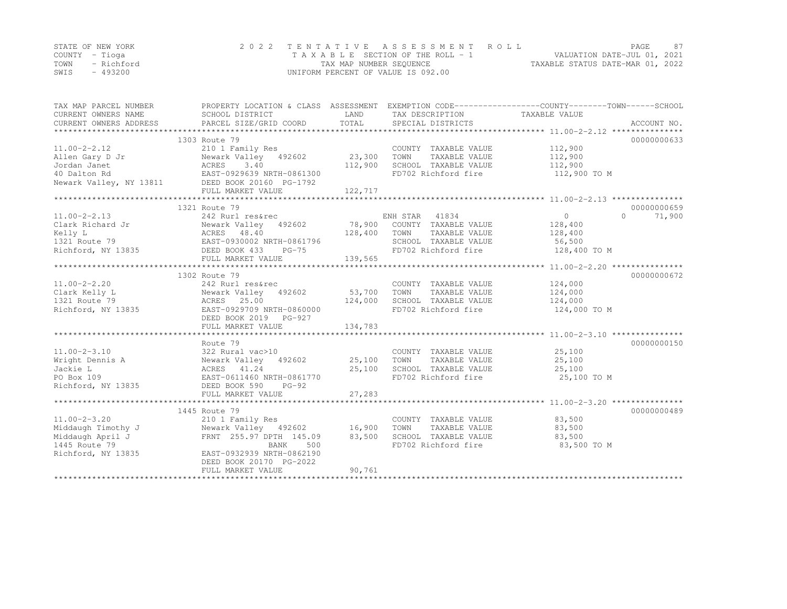|      | STATE OF NEW YORK | 2022 TENTATIVE ASSESSMENT ROLL                              | PAGE.                       | 87 |
|------|-------------------|-------------------------------------------------------------|-----------------------------|----|
|      | COUNTY – Tioga    | TAXABLE SECTION OF THE ROLL - 1                             | VALUATION DATE-JUL 01, 2021 |    |
|      | TOWN - Richford   | TAXABLE STATUS DATE-MAR 01, 2022<br>TAX MAP NUMBER SEQUENCE |                             |    |
| SWIS | - 493200          | UNIFORM PERCENT OF VALUE IS 092.00                          |                             |    |

| TAX MAP PARCEL NUMBER<br>CURRENT OWNERS NAME                                            | SCHOOL DISTRICT                         | LAND    | TAX DESCRIPTION TAXABLE VALUE               | PROPERTY LOCATION & CLASS ASSESSMENT EXEMPTION CODE---------------COUNTY-------TOWN-----SCHOOL |
|-----------------------------------------------------------------------------------------|-----------------------------------------|---------|---------------------------------------------|------------------------------------------------------------------------------------------------|
| CURRENT OWNERS ADDRESS                                                                  | PARCEL SIZE/GRID COORD                  | TOTAL   | SPECIAL DISTRICTS                           | ACCOUNT NO.                                                                                    |
|                                                                                         | 1303 Route 79                           |         |                                             | 00000000633                                                                                    |
|                                                                                         |                                         |         |                                             |                                                                                                |
| $11.00 - 2 - 2.12$                                                                      | 210 1 Family Res                        |         | COUNTY TAXABLE VALUE                        | 112,900                                                                                        |
| Allen Gary D Jr                                                                         | Newark Valley 492602                    | 23,300  | TOWN<br>TAXABLE VALUE                       | 112,900                                                                                        |
| Jordan Janet                                                                            | ACRES 3.40<br>EAST-0929639 NRTH-0861300 | 112,900 | SCHOOL TAXABLE VALUE                        | 112,900                                                                                        |
| 40 Dalton Rd                                                                            |                                         |         | FD702 Richford fire                         | 112,900 TO M                                                                                   |
| Newark Valley, NY 13811 DEED BOOK 20160 PG-1792                                         | FULL MARKET VALUE                       | 122,717 |                                             |                                                                                                |
|                                                                                         |                                         |         |                                             |                                                                                                |
|                                                                                         | 1321 Route 79                           |         |                                             | 00000000659                                                                                    |
| $11.00 - 2 - 2.13$                                                                      | 242 Rurl res&rec                        |         | ENH STAR 41834                              | 0<br>$\Omega$<br>71,900                                                                        |
| Clark Richard Jr                                                                        | Newark Valley 492602 78,900             |         | COUNTY TAXABLE VALUE                        | 128,400                                                                                        |
|                                                                                         |                                         | 128,400 | TOWN<br>TAXABLE VALUE                       | 128,400                                                                                        |
| Example 19<br>ACRES 48.40<br>1321 Route 79<br>Richford, NY 13835<br>DEED BOOK 433 PG-75 |                                         |         | SCHOOL TAXABLE VALUE                        | 56,500                                                                                         |
|                                                                                         |                                         |         | FD702 Richford fire                         | 128,400 TO M                                                                                   |
|                                                                                         | FULL MARKET VALUE                       | 139,565 |                                             |                                                                                                |
|                                                                                         |                                         |         |                                             |                                                                                                |
|                                                                                         | 1302 Route 79                           |         |                                             | 00000000672                                                                                    |
| $11.00 - 2 - 2.20$                                                                      | 242 Rurl res&rec                        |         | COUNTY TAXABLE VALUE                        | 124,000                                                                                        |
| Clark Kelly L                                                                           | Newark Valley 492602                    | 53,700  | TOWN<br>TAXABLE VALUE                       | 124,000                                                                                        |
| 1321 Route 79                                                                           | ACRES 25.00                             | 124,000 | SCHOOL TAXABLE VALUE                        | 124,000                                                                                        |
| Richford, NY 13835                                                                      | EAST-0929709 NRTH-0860000               |         | FD702 Richford fire                         | 124,000 TO M                                                                                   |
|                                                                                         | DEED BOOK 2019    PG-927                |         |                                             |                                                                                                |
|                                                                                         | FULL MARKET VALUE                       | 134,783 |                                             |                                                                                                |
|                                                                                         |                                         |         |                                             |                                                                                                |
|                                                                                         | Route 79                                |         |                                             | 00000000150                                                                                    |
| $11.00 - 2 - 3.10$                                                                      | 322 Rural vac>10                        |         | COUNTY TAXABLE VALUE                        | 25,100                                                                                         |
| Wright Dennis A                                                                         | Newark Valley 492602 25,100             |         | TOWN<br>TAXABLE VALUE                       |                                                                                                |
|                                                                                         | ACRES 41.24                             |         |                                             | 25,100                                                                                         |
| Jackie L                                                                                | EAST-0611460 NRTH-0861770               | 25,100  | SCHOOL TAXABLE VALUE<br>FD702 Richford fire | 25,100                                                                                         |
| PO Box 109                                                                              |                                         |         |                                             | 25,100 TO M                                                                                    |
| Richford, NY 13835                                                                      | DEED BOOK 590<br>$PG-92$                |         |                                             |                                                                                                |
|                                                                                         | FULL MARKET VALUE                       | 27,283  |                                             |                                                                                                |
|                                                                                         | 1445 Route 79                           |         |                                             | 00000000489                                                                                    |
|                                                                                         |                                         |         |                                             |                                                                                                |
| $11.00 - 2 - 3.20$                                                                      | 210 1 Family Res                        |         | COUNTY TAXABLE VALUE                        | 83,500                                                                                         |
| Middaugh Timothy J                                                                      | Newark Valley 492602                    | 16,900  | TOWN<br>TAXABLE VALUE                       | 83,500                                                                                         |
| Middaugh April J                                                                        | FRNT 255.97 DPTH 145.09                 | 83,500  | SCHOOL TAXABLE VALUE                        | 83,500                                                                                         |
| 1445 Route 79                                                                           | BANK<br>500                             |         | FD702 Richford fire                         | 83,500 TO M                                                                                    |
| Richford, NY 13835                                                                      | EAST-0932939 NRTH-0862190               |         |                                             |                                                                                                |
|                                                                                         | DEED BOOK 20170 PG-2022                 |         |                                             |                                                                                                |
|                                                                                         | FULL MARKET VALUE                       | 90,761  |                                             |                                                                                                |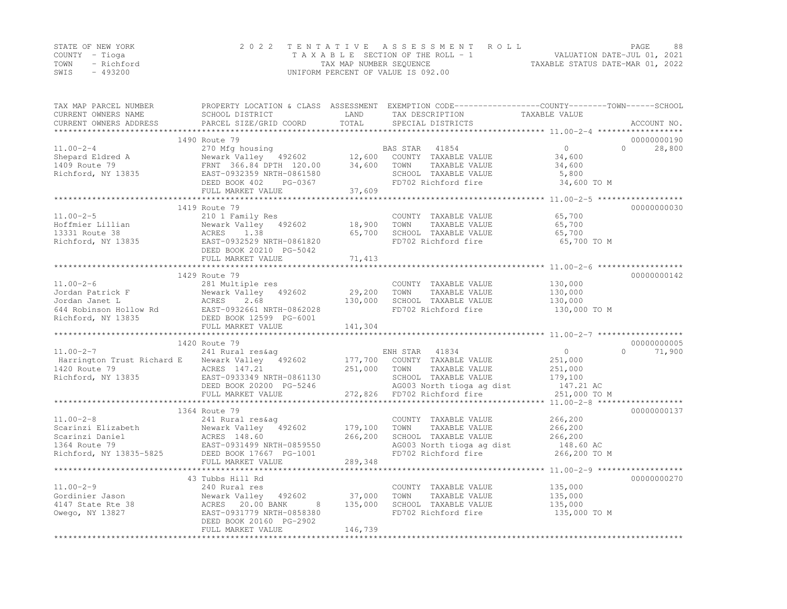|      | STATE OF NEW YORK | 2022 TENTATIVE ASSESSMENT ROLL     | PAGE.                            | 88 |
|------|-------------------|------------------------------------|----------------------------------|----|
|      | COUNTY – Tioga    | TAXABLE SECTION OF THE ROLL - 1    | VALUATION DATE-JUL 01, 2021      |    |
| TOWN | - Richford        | TAX MAP NUMBER SEQUENCE            | TAXABLE STATUS DATE-MAR 01, 2022 |    |
| SWIS | - 493200          | UNIFORM PERCENT OF VALUE IS 092.00 |                                  |    |

| TAX MAP PARCEL NUMBER<br>CURRENT OWNERS NAME                          | PROPERTY LOCATION & CLASS ASSESSMENT EXEMPTION CODE-----------------COUNTY-------TOWN------SCHOOL<br>SCHOOL DISTRICT                                                               | LAND    | TAX DESCRIPTION                                                     | TAXABLE VALUE   |                         |
|-----------------------------------------------------------------------|------------------------------------------------------------------------------------------------------------------------------------------------------------------------------------|---------|---------------------------------------------------------------------|-----------------|-------------------------|
| CURRENT OWNERS ADDRESS                                                | PARCEL SIZE/GRID COORD                                                                                                                                                             | TOTAL   | SPECIAL DISTRICTS                                                   |                 | ACCOUNT NO.             |
|                                                                       |                                                                                                                                                                                    |         |                                                                     |                 |                         |
|                                                                       | 1490 Route 79                                                                                                                                                                      |         |                                                                     | $\overline{0}$  | 00000000190<br>$\Omega$ |
| $11.00 - 2 - 4$<br>$11.00-z-z$<br>Shepard Eldred A                    | 270 Mfg housing<br>270 mig nousing<br>Newark Valley 492602 12,600                                                                                                                  |         | 41854<br>BAS STAR<br>COUNTY TAXABLE VALUE                           |                 | 28,800                  |
|                                                                       |                                                                                                                                                                                    | 34,600  | TAXABLE VALUE<br>TOWN                                               | 34,600          |                         |
|                                                                       |                                                                                                                                                                                    |         | SCHOOL TAXABLE VALUE                                                | 34,600<br>5,800 |                         |
|                                                                       | DEED BOOK 402<br>PG-0367                                                                                                                                                           |         | FD702 Richford fire                                                 | 34,600 TO M     |                         |
|                                                                       | FULL MARKET VALUE                                                                                                                                                                  | 37,609  |                                                                     |                 |                         |
|                                                                       | ****************************                                                                                                                                                       |         |                                                                     |                 |                         |
|                                                                       | 1419 Route 79                                                                                                                                                                      |         |                                                                     |                 | 00000000030             |
| $11.00 - 2 - 5$                                                       | 210 1 Family Res                                                                                                                                                                   |         | COUNTY TAXABLE VALUE                                                | 65,700          |                         |
| Hoffmier Lillian<br>13331 Route 38                                    | Newark Valley 492602                                                                                                                                                               | 18,900  | TAXABLE VALUE<br>TOWN                                               | 65,700          |                         |
|                                                                       | 1.38                                                                                                                                                                               | 65,700  | SCHOOL TAXABLE VALUE                                                | 65,700          |                         |
| Formier Lillian<br>13331 Route 38 ACRES<br>Richford, NY 13835 BAST-09 | EAST-0932529 NRTH-0861820                                                                                                                                                          |         | FD702 Richford fire                                                 | 65,700 TO M     |                         |
|                                                                       | DEED BOOK 20210 PG-5042                                                                                                                                                            |         |                                                                     |                 |                         |
|                                                                       | FULL MARKET VALUE                                                                                                                                                                  | 71,413  |                                                                     |                 |                         |
|                                                                       |                                                                                                                                                                                    |         |                                                                     |                 |                         |
|                                                                       | 1429 Route 79                                                                                                                                                                      |         |                                                                     |                 | 00000000142             |
| $11.00 - 2 - 6$                                                       | 281 Multiple res                                                                                                                                                                   |         | COUNTY TAXABLE VALUE                                                | 130,000         |                         |
|                                                                       |                                                                                                                                                                                    | 29,200  | TAXABLE VALUE<br>TOWN                                               | 130,000         |                         |
|                                                                       |                                                                                                                                                                                    | 130,000 | SCHOOL TAXABLE VALUE                                                | 130,000         |                         |
|                                                                       |                                                                                                                                                                                    |         | FD702 Richford fire                                                 | 130,000 TO M    |                         |
|                                                                       |                                                                                                                                                                                    |         |                                                                     |                 |                         |
|                                                                       | FULL MARKET VALUE                                                                                                                                                                  | 141,304 |                                                                     |                 |                         |
|                                                                       |                                                                                                                                                                                    |         |                                                                     |                 |                         |
|                                                                       | 1420 Route 79                                                                                                                                                                      |         |                                                                     |                 | 00000000005<br>$\cap$   |
| $11.00 - 2 - 7$                                                       | 241 Rural res&aq                                                                                                                                                                   |         | ENH STAR 41834                                                      | $\overline{0}$  | 71,900                  |
|                                                                       | Harrington Trust Richard E Mewark Valley 492602                                                                                                                                    | 251,000 | 177,700 COUNTY TAXABLE VALUE<br>TOWN                                | 251,000         |                         |
|                                                                       |                                                                                                                                                                                    |         | TAXABLE VALUE                                                       | 251,000         |                         |
|                                                                       | DEED BOOK 20200 PG-5246                                                                                                                                                            |         | SCHOOL TAXABLE VALUE 179,100<br>AG003 North tioga ag dist 147.21 AC |                 |                         |
|                                                                       | FULL MARKET VALUE                                                                                                                                                                  |         | 272,826 FD702 Richford fire                                         | 251,000 TO M    |                         |
|                                                                       |                                                                                                                                                                                    |         |                                                                     |                 |                         |
|                                                                       | 1364 Route 79                                                                                                                                                                      |         |                                                                     |                 | 00000000137             |
| $11.00 - 2 - 8$                                                       | 241 Rural res&aq                                                                                                                                                                   |         | COUNTY TAXABLE VALUE                                                | 266,200         |                         |
|                                                                       | 11.00-2-8<br>Scarinzi Elizabeth Mewark Valley 492602<br>Scarinzi Daniel ACRES 148.60<br>1364 Route 79 EAST-0931499 NRTH-0859550<br>Richford, NY 13835-5825 DEED BOOK 17667 PG-1001 | 179,100 | TOWN<br>TAXABLE VALUE                                               | 266,200         |                         |
|                                                                       |                                                                                                                                                                                    | 266,200 |                                                                     |                 |                         |
|                                                                       |                                                                                                                                                                                    |         | SCHOOL TAXABLE VALUE 266,200<br>AG003 North tioga ag dist 148.60 AC |                 |                         |
|                                                                       |                                                                                                                                                                                    |         | FD702 Richford fire                                                 | 266,200 TO M    |                         |
|                                                                       | FULL MARKET VALUE                                                                                                                                                                  | 289,348 |                                                                     |                 |                         |
|                                                                       |                                                                                                                                                                                    |         |                                                                     |                 |                         |
|                                                                       | 43 Tubbs Hill Rd                                                                                                                                                                   |         |                                                                     |                 | 00000000270             |
| $11.00 - 2 - 9$                                                       | 240 Rural res                                                                                                                                                                      |         | COUNTY TAXABLE VALUE                                                | 135,000         |                         |
| Gordinier Jason                                                       | Newark Valley 192<br>8 MCRES 20.00 BANK<br>10001330 VPAU<br>492602                                                                                                                 | 37,000  | TAXABLE VALUE<br>TOWN                                               | 135,000         |                         |
| 4147 State Rte 38                                                     | 8                                                                                                                                                                                  | 135,000 | SCHOOL TAXABLE VALUE                                                | 135,000         |                         |
| Owego, NY 13827                                                       | EAST-0931779 NRTH-0858380                                                                                                                                                          |         | FD702 Richford fire                                                 | 135,000 TO M    |                         |
|                                                                       | DEED BOOK 20160 PG-2902                                                                                                                                                            |         |                                                                     |                 |                         |
|                                                                       | FULL MARKET VALUE                                                                                                                                                                  | 146,739 |                                                                     |                 |                         |
|                                                                       |                                                                                                                                                                                    |         |                                                                     |                 |                         |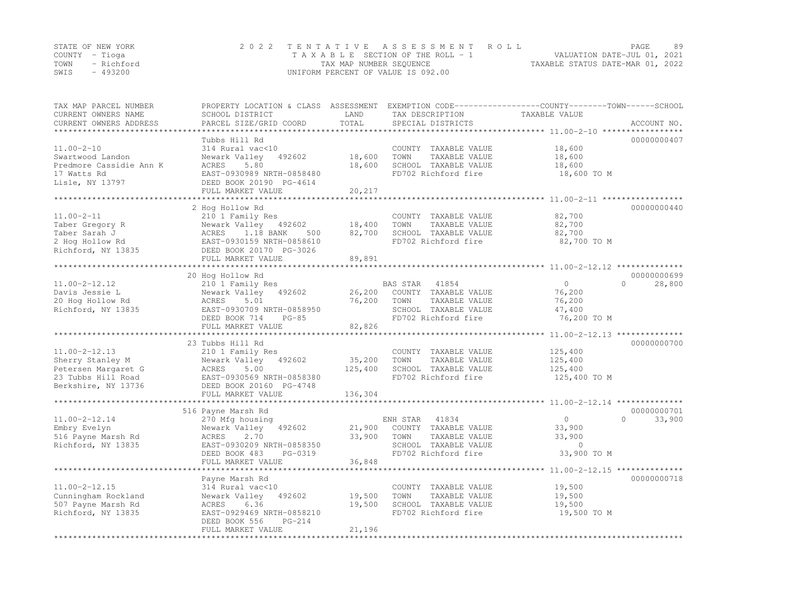|      | STATE OF NEW YORK | 2022 TENTATIVE ASSESSMENT ROLL                                 | PAGE | 89 |
|------|-------------------|----------------------------------------------------------------|------|----|
|      | COUNTY – Tioga    | VALUATION DATE-JUL 01, 2021<br>TAXABLE SECTION OF THE ROLL - 1 |      |    |
| TOWN | - Richford        | TAXABLE STATUS DATE-MAR 01, 2022<br>TAX MAP NUMBER SEQUENCE    |      |    |
| SWIS | $-493200$         | UNIFORM PERCENT OF VALUE IS 092.00                             |      |    |

| TAX MAP PARCEL NUMBER<br>CURRENT OWNERS NAME<br>CURRENT OWNERS ADDRESS                                      | PROPERTY LOCATION & CLASS ASSESSMENT<br>SCHOOL DISTRICT<br>PARCEL SIZE/GRID COORD                                                                                                                     | LAND<br>TOTAL<br>*********   | TAX DESCRIPTION<br>SPECIAL DISTRICTS                                                                              | EXEMPTION CODE-----------------COUNTY-------TOWN------SCHOOL<br>TAXABLE VALUE | ACCOUNT NO.                        |
|-------------------------------------------------------------------------------------------------------------|-------------------------------------------------------------------------------------------------------------------------------------------------------------------------------------------------------|------------------------------|-------------------------------------------------------------------------------------------------------------------|-------------------------------------------------------------------------------|------------------------------------|
| $11.00 - 2 - 10$<br>Swartwood Landon<br>Predmore Cassidie Ann K<br>17 Watts Rd<br>Lisle, NY 13797           | Tubbs Hill Rd<br>314 Rural vac<10<br>Newark Valley<br>492602<br>5.80<br>ACRES<br>EAST-0930989 NRTH-0858480<br>DEED BOOK 20190 PG-4614<br>FULL MARKET VALUE                                            | 18,600<br>18,600<br>20,217   | COUNTY TAXABLE VALUE<br>TOWN<br>TAXABLE VALUE<br>SCHOOL TAXABLE VALUE<br>FD702 Richford fire                      | 18,600<br>18,600<br>18,600<br>18,600 TO M                                     | 00000000407                        |
| $11.00 - 2 - 11$<br>Taber Gregory R<br>Taber Sarah J<br>2 Hog Hollow Rd<br>Richford, NY 13835               | 2 Hog Hollow Rd<br>210 1 Family Res<br>Newark Valley<br>492602<br>1.18 BANK<br>500<br>ACRES<br>EAST-0930159 NRTH-0858610<br>DEED BOOK 20170 PG-3026<br>FULL MARKET VALUE                              | 18,400<br>82,700<br>89,891   | COUNTY TAXABLE VALUE<br>TOWN<br>TAXABLE VALUE<br>SCHOOL TAXABLE VALUE<br>FD702 Richford fire                      | 82,700<br>82,700<br>82,700<br>82,700 TO M                                     | 00000000440                        |
| $11.00 - 2 - 12.12$<br>Davis Jessie L<br>20 Hog Hollow Rd<br>Richford, NY 13835                             | 20 Hog Hollow Rd<br>210 1 Family Res<br>Newark Valley<br>492602<br>ACRES<br>5.01<br>EAST-0930709 NRTH-0858950<br>DEED BOOK 714<br>$PG-85$<br>FULL MARKET VALUE                                        | 26,200<br>76,200<br>82,826   | BAS STAR<br>41854<br>COUNTY TAXABLE VALUE<br>TOWN<br>TAXABLE VALUE<br>SCHOOL TAXABLE VALUE<br>FD702 Richford fire | $\circ$<br>76,200<br>76,200<br>47,400<br>76,200 TO M                          | 00000000699<br>$\Omega$<br>28,800  |
| $11.00 - 2 - 12.13$<br>Sherry Stanley M<br>Petersen Margaret G<br>23 Tubbs Hill Road<br>Berkshire, NY 13736 | *************************<br>23 Tubbs Hill Rd<br>210 1 Family Res<br>Newark Valley<br>492602<br>5.00<br>ACRES<br>EAST-0930569 NRTH-0858380<br>DEED BOOK 20160 PG-4748<br>FULL MARKET VALUE            | 35,200<br>125,400<br>136,304 | COUNTY TAXABLE VALUE<br>TOWN<br>TAXABLE VALUE<br>SCHOOL TAXABLE VALUE<br>FD702 Richford fire                      | 125,400<br>125,400<br>125,400<br>125,400 TO M                                 | 00000000700                        |
| $11.00 - 2 - 12.14$<br>Embry Evelyn<br>516 Payne Marsh Rd<br>Richford, NY 13835                             | 516 Payne Marsh Rd<br>270 Mfg housing<br>Newark Valley<br>492602<br>ACRES<br>2.70<br>EAST-0930209 NRTH-0858350<br>DEED BOOK 483<br>PG-0319<br>FULL MARKET VALUE<br>********************************** | 21,900<br>33,900<br>36,848   | ENH STAR<br>41834<br>COUNTY TAXABLE VALUE<br>TOWN<br>TAXABLE VALUE<br>SCHOOL TAXABLE VALUE<br>FD702 Richford fire | $\circ$<br>33,900<br>33,900<br>$\overline{0}$<br>33,900 TO M                  | 00000000701<br>33,900<br>$\bigcap$ |
| $11.00 - 2 - 12.15$<br>Cunningham Rockland<br>507 Payne Marsh Rd<br>Richford, NY 13835                      | Payne Marsh Rd<br>314 Rural vac<10<br>Newark Valley<br>492602<br>6.36<br>ACRES<br>EAST-0929469 NRTH-0858210<br>DEED BOOK 556<br>PG-214<br>FULL MARKET VALUE                                           | 19,500<br>19,500<br>21,196   | COUNTY TAXABLE VALUE<br>TOWN<br>TAXABLE VALUE<br>SCHOOL TAXABLE VALUE<br>FD702 Richford fire                      | 19,500<br>19,500<br>19,500<br>19,500 TO M                                     | 00000000718                        |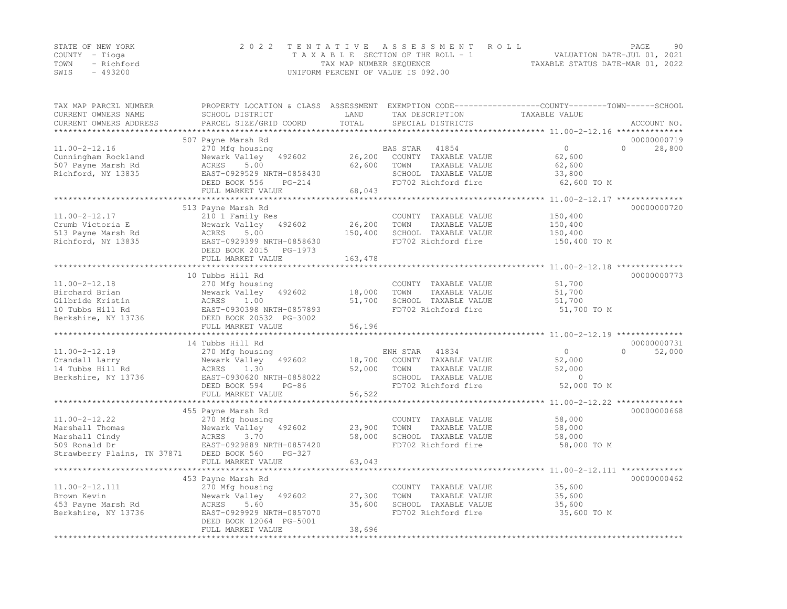| STATE OF NEW YORK | 2022 TENTATIVE ASSESSMENT ROLL     | PAGE                             | 90 |
|-------------------|------------------------------------|----------------------------------|----|
| COUNTY – Tioga    | TAXABLE SECTION OF THE ROLL - 1    | VALUATION DATE-JUL 01, 2021      |    |
| TOWN - Richford   | TAX MAP NUMBER SEOUENCE            | TAXABLE STATUS DATE-MAR 01, 2022 |    |
| $-493200$<br>SWIS | UNIFORM PERCENT OF VALUE IS 092.00 |                                  |    |

| TAX MAP PARCEL NUMBER<br>CURRENT OWNERS NAME<br>CURRENT OWNERS ADDRESS | PROPERTY LOCATION & CLASS ASSESSMENT<br>SCHOOL DISTRICT<br>PARCEL SIZE/GRID COORD | LAND<br>TOTAL    | TAX DESCRIPTION<br>SPECIAL DISTRICTS          | EXEMPTION CODE-----------------COUNTY-------TOWN------SCHOOL<br>TAXABLE VALUE |                    |
|------------------------------------------------------------------------|-----------------------------------------------------------------------------------|------------------|-----------------------------------------------|-------------------------------------------------------------------------------|--------------------|
|                                                                        |                                                                                   | ***********      |                                               | ********************* 11.00-2-12.16 ***************                           | ACCOUNT NO.        |
|                                                                        | 507 Payne Marsh Rd                                                                |                  |                                               |                                                                               | 00000000719        |
| $11.00 - 2 - 12.16$                                                    | 270 Mfg housing                                                                   |                  | 41854<br>BAS STAR                             | $\circ$                                                                       | $\Omega$<br>28,800 |
| Cunningham Rockland                                                    | Newark Valley<br>492602                                                           | 26,200           | COUNTY TAXABLE VALUE                          | 62,600                                                                        |                    |
| 507 Payne Marsh Rd                                                     | 5.00<br>ACRES                                                                     | 62,600           | TAXABLE VALUE<br>TOWN                         | 62,600                                                                        |                    |
| Richford, NY 13835                                                     | EAST-0929529 NRTH-0858430                                                         |                  | SCHOOL TAXABLE VALUE                          | 33,800                                                                        |                    |
|                                                                        | DEED BOOK 556<br>$PG-214$                                                         |                  | FD702 Richford fire                           | 62,600 TO M                                                                   |                    |
|                                                                        | FULL MARKET VALUE                                                                 | 68,043           |                                               |                                                                               |                    |
|                                                                        |                                                                                   |                  |                                               | ************* 11.00-2-12.17 **                                                |                    |
|                                                                        | 513 Payne Marsh Rd                                                                |                  |                                               |                                                                               | 00000000720        |
| $11.00 - 2 - 12.17$                                                    | 210 1 Family Res                                                                  |                  | COUNTY TAXABLE VALUE                          | 150,400                                                                       |                    |
| Crumb Victoria E                                                       | 492602<br>Newark Valley                                                           | 26,200           | TAXABLE VALUE<br>TOWN                         | 150,400                                                                       |                    |
| 513 Payne Marsh Rd                                                     | ACRES<br>5.00                                                                     | 150,400          | SCHOOL TAXABLE VALUE<br>FD702 Richford fire   | 150,400                                                                       |                    |
| Richford, NY 13835                                                     | EAST-0929399 NRTH-0858630<br>DEED BOOK 2015<br>PG-1973                            |                  |                                               | 150,400 TO M                                                                  |                    |
|                                                                        | FULL MARKET VALUE                                                                 | 163,478          |                                               |                                                                               |                    |
|                                                                        |                                                                                   |                  |                                               | ************ 11.00-2-12.18 **                                                 |                    |
|                                                                        | 10 Tubbs Hill Rd                                                                  |                  |                                               |                                                                               | 00000000773        |
| $11.00 - 2 - 12.18$                                                    | 270 Mfg housing                                                                   |                  | COUNTY TAXABLE VALUE                          | 51,700                                                                        |                    |
| Birchard Brian                                                         | Newark Valley<br>492602                                                           | 18,000           | TOWN<br>TAXABLE VALUE                         | 51,700                                                                        |                    |
| Gilbride Kristin                                                       | ACRES<br>1.00                                                                     | 51,700           | SCHOOL TAXABLE VALUE                          | 51,700                                                                        |                    |
| 10 Tubbs Hill Rd                                                       | EAST-0930398 NRTH-0857893                                                         |                  | FD702 Richford fire                           | 51,700 TO M                                                                   |                    |
| Berkshire, NY 13736                                                    | DEED BOOK 20532 PG-3002                                                           |                  |                                               |                                                                               |                    |
|                                                                        | FULL MARKET VALUE                                                                 | 56,196           |                                               |                                                                               |                    |
|                                                                        |                                                                                   |                  |                                               | *********** 11.00-2-12.19 *                                                   |                    |
|                                                                        | 14 Tubbs Hill Rd                                                                  |                  |                                               |                                                                               | 00000000731        |
| $11.00 - 2 - 12.19$                                                    | 270 Mfg housing                                                                   |                  | 41834<br>ENH STAR                             | $\circ$                                                                       | 52,000<br>$\Omega$ |
| Crandall Larry<br>14 Tubbs Hill Rd                                     | Newark Valley<br>492602<br>1.30<br>ACRES                                          | 18,700<br>52,000 | COUNTY TAXABLE VALUE<br>TAXABLE VALUE<br>TOWN | 52,000<br>52,000                                                              |                    |
| Berkshire, NY 13736                                                    | EAST-0930620 NRTH-0858022                                                         |                  | SCHOOL TAXABLE VALUE                          | $\Omega$                                                                      |                    |
|                                                                        | DEED BOOK 594<br>$PG-86$                                                          |                  | FD702 Richford fire                           | 52,000 TO M                                                                   |                    |
|                                                                        | FULL MARKET VALUE                                                                 | 56,522           |                                               |                                                                               |                    |
|                                                                        | *********************                                                             |                  |                                               | ******************* 11.00-2-12.22 ***************                             |                    |
|                                                                        | 455 Payne Marsh Rd                                                                |                  |                                               |                                                                               | 00000000668        |
| $11.00 - 2 - 12.22$                                                    | 270 Mfg housing                                                                   |                  | COUNTY TAXABLE VALUE                          | 58,000                                                                        |                    |
| Marshall Thomas                                                        | Newark Valley<br>492602                                                           | 23,900           | TAXABLE VALUE<br>TOWN                         | 58,000                                                                        |                    |
| Marshall Cindy                                                         | ACRES<br>3.70                                                                     | 58,000           | SCHOOL TAXABLE VALUE                          | 58,000                                                                        |                    |
| 509 Ronald Dr                                                          | EAST-0929889 NRTH-0857420                                                         |                  | FD702 Richford fire                           | 58,000 TO M                                                                   |                    |
| Strawberry Plains, TN 37871                                            | DEED BOOK 560<br>$PG-327$                                                         |                  |                                               |                                                                               |                    |
|                                                                        | FULL MARKET VALUE                                                                 | 63,043           |                                               |                                                                               |                    |
|                                                                        |                                                                                   |                  |                                               | *************** 11.00-2-12.111 *                                              |                    |
|                                                                        | 453 Payne Marsh Rd                                                                |                  |                                               |                                                                               | 00000000462        |
| $11.00 - 2 - 12.111$<br>Brown Kevin                                    | 270 Mfg housing<br>492602                                                         | 27,300           | COUNTY TAXABLE VALUE<br>TOWN                  | 35,600                                                                        |                    |
| 453 Payne Marsh Rd                                                     | Newark Valley<br>ACRES<br>5.60                                                    | 35,600           | TAXABLE VALUE<br>SCHOOL TAXABLE VALUE         | 35,600<br>35,600                                                              |                    |
| Berkshire, NY 13736                                                    | EAST-0929929 NRTH-0857070                                                         |                  | FD702 Richford fire                           | 35,600 TO M                                                                   |                    |
|                                                                        | DEED BOOK 12064 PG-5001                                                           |                  |                                               |                                                                               |                    |
|                                                                        | FULL MARKET VALUE                                                                 | 38,696           |                                               |                                                                               |                    |
|                                                                        |                                                                                   |                  |                                               |                                                                               |                    |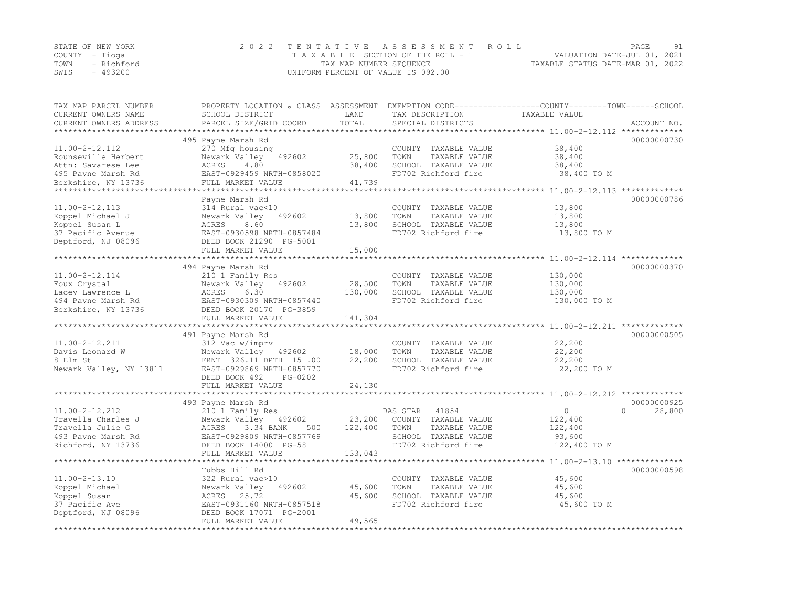| STATE OF NEW YORK | 2022 TENTATIVE ASSESSMENT ROLL                              | PAGE                        | 91 |
|-------------------|-------------------------------------------------------------|-----------------------------|----|
| COUNTY – Tioga    | TAXABLE SECTION OF THE ROLL - 1                             | VALUATION DATE-JUL 01, 2021 |    |
| TOWN - Richford   | TAXABLE STATUS DATE-MAR 01, 2022<br>TAX MAP NUMBER SEQUENCE |                             |    |
| SWIS<br>- 493200  | UNIFORM PERCENT OF VALUE IS 092.00                          |                             |    |

| TAX MAP PARCEL NUMBER<br>CURRENT OWNERS NAME | PROPERTY LOCATION & CLASS ASSESSMENT<br>SCHOOL DISTRICT | LAND              | TAX DESCRIPTION                               | EXEMPTION CODE-----------------COUNTY-------TOWN------SCHOOL<br>TAXABLE VALUE |                    |
|----------------------------------------------|---------------------------------------------------------|-------------------|-----------------------------------------------|-------------------------------------------------------------------------------|--------------------|
| CURRENT OWNERS ADDRESS                       | PARCEL SIZE/GRID COORD                                  | TOTAL             | SPECIAL DISTRICTS                             |                                                                               | ACCOUNT NO.        |
|                                              |                                                         |                   |                                               |                                                                               |                    |
|                                              | 495 Payne Marsh Rd                                      |                   |                                               |                                                                               | 00000000730        |
| $11.00 - 2 - 12.112$                         | 270 Mfg housing                                         |                   | COUNTY TAXABLE VALUE                          | 38,400                                                                        |                    |
| Rounseville Herbert                          | Newark Valley<br>492602                                 | 25,800            | TOWN<br>TAXABLE VALUE                         | 38,400                                                                        |                    |
| Attn: Savarese Lee                           | ACRES<br>4.80                                           | 38,400            | SCHOOL TAXABLE VALUE                          | 38,400                                                                        |                    |
| 495 Payne Marsh Rd                           | EAST-0929459 NRTH-0858020                               |                   | FD702 Richford fire                           | 38,400 TO M                                                                   |                    |
| Berkshire, NY 13736                          | FULL MARKET VALUE                                       | 41,739            |                                               |                                                                               |                    |
|                                              |                                                         |                   |                                               | ********** 11.00-2-12.113 *************                                       |                    |
|                                              | Payne Marsh Rd                                          |                   |                                               |                                                                               | 00000000786        |
| $11.00 - 2 - 12.113$                         | 314 Rural vac<10                                        |                   | COUNTY TAXABLE VALUE                          | 13,800                                                                        |                    |
| Koppel Michael J                             | Newark Valley<br>492602                                 | 13,800            | TOWN<br>TAXABLE VALUE                         | 13,800                                                                        |                    |
| Koppel Susan L                               | ACRES<br>8.60                                           | 13,800            | SCHOOL TAXABLE VALUE                          | 13,800                                                                        |                    |
| 37 Pacific Avenue                            | EAST-0930598 NRTH-0857484                               |                   | FD702 Richford fire                           | 13,800 TO M                                                                   |                    |
| Deptford, NJ 08096                           | DEED BOOK 21290 PG-5001                                 | 15,000            |                                               |                                                                               |                    |
|                                              | FULL MARKET VALUE                                       |                   |                                               |                                                                               |                    |
|                                              | 494 Payne Marsh Rd                                      |                   |                                               |                                                                               | 00000000370        |
| 11.00-2-12.114                               | 210 1 Family Res                                        |                   | COUNTY TAXABLE VALUE                          | 130,000                                                                       |                    |
| Foux Crystal                                 | Newark Valley 492602                                    | 28,500            | TOWN<br>TAXABLE VALUE                         | 130,000                                                                       |                    |
| Lacey Lawrence L                             | 6.30<br>ACRES                                           | 130,000           | SCHOOL TAXABLE VALUE                          | 130,000                                                                       |                    |
| 494 Payne Marsh Rd                           | EAST-0930309 NRTH-0857440                               |                   | FD702 Richford fire                           | 130,000 TO M                                                                  |                    |
| Berkshire, NY 13736                          | DEED BOOK 20170 PG-3859                                 |                   |                                               |                                                                               |                    |
|                                              | FULL MARKET VALUE                                       | 141,304           |                                               |                                                                               |                    |
| *************************                    |                                                         |                   |                                               | ******************************** 11.00-2-12.211 *************                 |                    |
|                                              | 491 Payne Marsh Rd                                      |                   |                                               |                                                                               | 00000000505        |
| $11.00 - 2 - 12.211$                         | 312 Vac w/imprv                                         |                   | COUNTY TAXABLE VALUE                          | 22,200                                                                        |                    |
| Davis Leonard W                              | Newark Valley 492602                                    | 18,000            | TOWN<br>TAXABLE VALUE                         | 22,200                                                                        |                    |
| 8 Elm St                                     | FRNT 326.11 DPTH 151.00                                 | 22,200            | SCHOOL TAXABLE VALUE                          | 22,200                                                                        |                    |
| Newark Valley, NY 13811                      | EAST-0929869 NRTH-0857770                               |                   | FD702 Richford fire                           | 22,200 TO M                                                                   |                    |
|                                              | DEED BOOK 492<br>PG-0202                                |                   |                                               |                                                                               |                    |
|                                              | FULL MARKET VALUE                                       | 24,130            |                                               |                                                                               |                    |
|                                              |                                                         | ********          |                                               | *********** 11.00-2-12.212 **************                                     |                    |
|                                              | 493 Payne Marsh Rd                                      |                   |                                               |                                                                               | 00000000925        |
| 11.00-2-12.212                               | 210 1 Family Res                                        |                   | BAS STAR<br>41854                             | $\circ$                                                                       | $\Omega$<br>28,800 |
| Travella Charles J                           | Newark Valley 492602                                    | 23,200            | COUNTY TAXABLE VALUE                          | 122,400                                                                       |                    |
| Travella Julie G                             | ACRES<br>3.34 BANK<br>500                               | 122,400           | TAXABLE VALUE<br>TOWN                         | 122,400                                                                       |                    |
| 493 Payne Marsh Rd                           | EAST-0929809 NRTH-0857769                               |                   | SCHOOL TAXABLE VALUE                          | 93,600                                                                        |                    |
| Richford, NY 13736                           | DEED BOOK 14000 PG-58                                   |                   | FD702 Richford fire                           | 122,400 TO M                                                                  |                    |
|                                              | FULL MARKET VALUE<br>***********************            | 133,043           |                                               |                                                                               |                    |
|                                              |                                                         |                   | ***********************                       | *************** 11.00-2-13.10 ***************                                 |                    |
|                                              | Tubbs Hill Rd                                           |                   |                                               |                                                                               | 00000000598        |
| $11.00 - 2 - 13.10$                          | 322 Rural vac>10                                        |                   | COUNTY TAXABLE VALUE                          | 45,600                                                                        |                    |
| Koppel Michael<br>Koppel Susan               | Newark Valley<br>492602<br>ACRES<br>25.72               | 45,600<br>45,600  | TOWN<br>TAXABLE VALUE<br>SCHOOL TAXABLE VALUE | 45,600<br>45,600                                                              |                    |
| 37 Pacific Ave                               | EAST-0931160 NRTH-0857518                               |                   | FD702 Richford fire                           | 45,600 TO M                                                                   |                    |
| Deptford, NJ 08096                           | DEED BOOK 17071 PG-2001                                 |                   |                                               |                                                                               |                    |
|                                              | FULL MARKET VALUE                                       | 49,565            |                                               |                                                                               |                    |
|                                              | ***************************                             | ***************** |                                               |                                                                               |                    |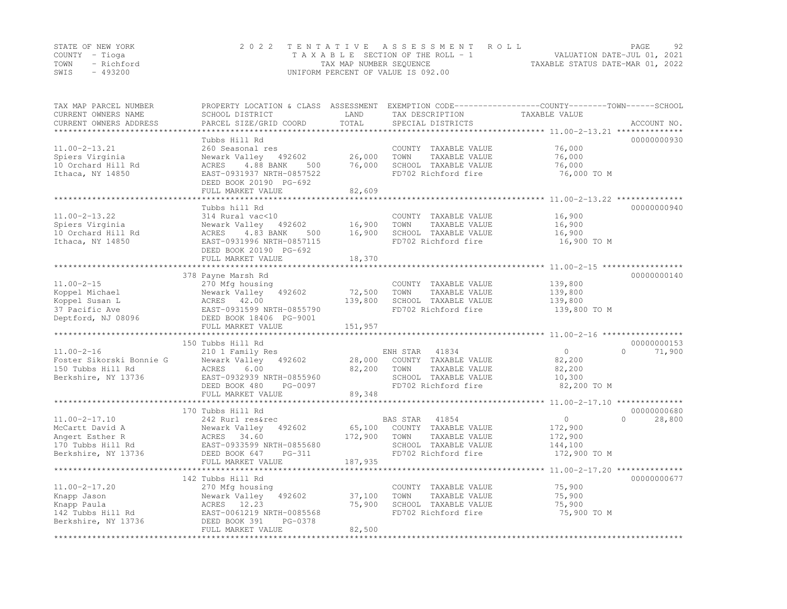| STATE OF NEW YORK |           | 2022 TENTATIVE ASSESSMENT ROLL                                 | PAGE | 92 |
|-------------------|-----------|----------------------------------------------------------------|------|----|
| COUNTY – Tioga    |           | VALUATION DATE-JUL 01, 2021<br>TAXABLE SECTION OF THE ROLL - 1 |      |    |
| TOWN - Richford   |           | TAXABLE STATUS DATE-MAR 01, 2022<br>TAX MAP NUMBER SEQUENCE    |      |    |
| SWIS              | $-493200$ | UNIFORM PERCENT OF VALUE IS 092.00                             |      |    |

| TAX MAP PARCEL NUMBER<br>CURRENT OWNERS NAME<br>CURRENT OWNERS ADDRESS                                | PROPERTY LOCATION & CLASS ASSESSMENT<br>SCHOOL DISTRICT<br>PARCEL SIZE/GRID COORD                                                                                                                  | LAND<br>TOTAL<br>*********   | TAX DESCRIPTION<br>SPECIAL DISTRICTS                                                                              | EXEMPTION CODE-----------------COUNTY-------TOWN------SCHOOL<br>TAXABLE VALUE | ACCOUNT NO.                       |
|-------------------------------------------------------------------------------------------------------|----------------------------------------------------------------------------------------------------------------------------------------------------------------------------------------------------|------------------------------|-------------------------------------------------------------------------------------------------------------------|-------------------------------------------------------------------------------|-----------------------------------|
| $11.00 - 2 - 13.21$<br>Spiers Virginia<br>10 Orchard Hill Rd<br>Ithaca, NY 14850                      | Tubbs Hill Rd<br>260 Seasonal res<br>Newark Valley 492602<br>4.88 BANK<br>ACRES<br>500<br>EAST-0931937 NRTH-0857522<br>DEED BOOK 20190 PG-692<br>FULL MARKET VALUE<br>**************************** | 26,000<br>76,000<br>82,609   | COUNTY TAXABLE VALUE<br>TOWN<br>TAXABLE VALUE<br>SCHOOL TAXABLE VALUE<br>FD702 Richford fire                      | 76,000<br>76,000<br>76,000<br>76,000 TO M                                     | 00000000930                       |
| $11.00 - 2 - 13.22$<br>Spiers Virginia<br>10 Orchard Hill Rd<br>Ithaca, NY 14850                      | Tubbs hill Rd<br>314 Rural vac<10<br>Newark Valley<br>492602<br>4.83 BANK<br>ACRES<br>500<br>EAST-0931996 NRTH-0857115<br>DEED BOOK 20190 PG-692<br>FULL MARKET VALUE                              | 16,900<br>16,900<br>18,370   | COUNTY TAXABLE VALUE<br>TOWN<br>TAXABLE VALUE<br>SCHOOL TAXABLE VALUE<br>FD702 Richford fire                      | 16,900<br>16,900<br>16,900<br>16,900 TO M                                     | 00000000940                       |
|                                                                                                       |                                                                                                                                                                                                    |                              |                                                                                                                   |                                                                               |                                   |
| $11.00 - 2 - 15$<br>Koppel Michael<br>Koppel Susan L<br>37 Pacific Ave<br>Deptford, NJ 08096          | 378 Payne Marsh Rd<br>270 Mfg housing<br>Newark Valley<br>492602<br>ACRES 42.00<br>EAST-0931599 NRTH-0855790<br>DEED BOOK 18406 PG-9001<br>FULL MARKET VALUE                                       | 72,500<br>139,800<br>151,957 | COUNTY TAXABLE VALUE<br>TOWN<br>TAXABLE VALUE<br>SCHOOL TAXABLE VALUE<br>FD702 Richford fire                      | 139,800<br>139,800<br>139,800<br>139,800 TO M                                 | 00000000140                       |
|                                                                                                       |                                                                                                                                                                                                    |                              |                                                                                                                   |                                                                               |                                   |
| $11.00 - 2 - 16$<br>Foster Sikorski Bonnie G<br>150 Tubbs Hill Rd<br>Berkshire, NY 13736              | 150 Tubbs Hill Rd<br>210 1 Family Res<br>Newark Valley<br>492602<br>6.00<br>ACRES<br>EAST-0932939 NRTH-0855960<br>DEED BOOK 480<br>PG-0097<br>FULL MARKET VALUE<br>************************        | 28,000<br>82,200<br>89,348   | ENH STAR<br>41834<br>COUNTY TAXABLE VALUE<br>TAXABLE VALUE<br>TOWN<br>SCHOOL TAXABLE VALUE<br>FD702 Richford fire | $\overline{0}$<br>82,200<br>82,200<br>10,300<br>82,200 TO M                   | 00000000153<br>$\Omega$<br>71,900 |
|                                                                                                       | 170 Tubbs Hill Rd                                                                                                                                                                                  |                              |                                                                                                                   |                                                                               | 00000000680                       |
| $11.00 - 2 - 17.10$<br>McCartt David A<br>Angert Esther R<br>170 Tubbs Hill Rd<br>Berkshire, NY 13736 | 242 Rurl res&rec<br>Newark Valley<br>492602<br>ACRES 34.60<br>EAST-0933599 NRTH-0855680<br>DEED BOOK 647<br>$PG-311$<br>FULL MARKET VALUE                                                          | 65,100<br>172,900<br>187,935 | BAS STAR<br>41854<br>COUNTY TAXABLE VALUE<br>TOWN<br>TAXABLE VALUE<br>SCHOOL TAXABLE VALUE<br>FD702 Richford fire | $\circ$<br>172,900<br>172,900<br>144,100<br>172,900 TO M                      | $\Omega$<br>28,800                |
|                                                                                                       |                                                                                                                                                                                                    |                              |                                                                                                                   |                                                                               |                                   |
| $11.00 - 2 - 17.20$<br>Knapp Jason<br>Knapp Paula<br>142 Tubbs Hill Rd<br>Berkshire, NY 13736         | 142 Tubbs Hill Rd<br>270 Mfg housing<br>Newark Valley<br>492602<br>ACRES 12.23<br>EAST-0061219 NRTH-0085568<br>DEED BOOK 391<br>PG-0378<br>FULL MARKET VALUE                                       | 37,100<br>75,900<br>82,500   | COUNTY TAXABLE VALUE<br>TOWN<br>TAXABLE VALUE<br>SCHOOL TAXABLE VALUE<br>FD702 Richford fire                      | 75,900<br>75,900<br>75,900<br>75,900 TO M                                     | 00000000677                       |
|                                                                                                       |                                                                                                                                                                                                    |                              |                                                                                                                   |                                                                               |                                   |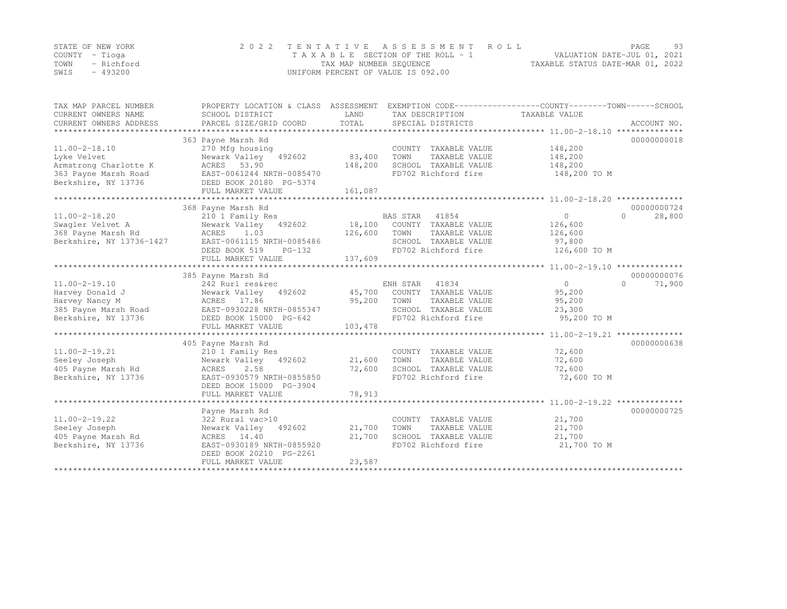|      | STATE OF NEW YORK | 2022 TENTATIVE ASSESSMENT ROLL     | PAGE.                            | 93 |
|------|-------------------|------------------------------------|----------------------------------|----|
|      | COUNTY – Tioga    | TAXABLE SECTION OF THE ROLL - 1    | VALUATION DATE-JUL 01, 2021      |    |
| TOWN | - Richford        | TAX MAP NUMBER SEQUENCE            | TAXABLE STATUS DATE-MAR 01, 2022 |    |
| SWIS | - 493200          | UNIFORM PERCENT OF VALUE IS 092.00 |                                  |    |

| TAX MAP PARCEL NUMBER<br>CURRENT OWNERS NAME | PROPERTY LOCATION & CLASS ASSESSMENT<br>SCHOOL DISTRICT | LAND                   | TAX DESCRIPTION       | EXEMPTION CODE-----------------COUNTY-------TOWN------SCHOOL<br>TAXABLE VALUE |                    |
|----------------------------------------------|---------------------------------------------------------|------------------------|-----------------------|-------------------------------------------------------------------------------|--------------------|
| CURRENT OWNERS ADDRESS                       | PARCEL SIZE/GRID COORD                                  | TOTAL                  | SPECIAL DISTRICTS     |                                                                               | ACCOUNT NO.        |
|                                              |                                                         |                        |                       |                                                                               |                    |
|                                              | 363 Payne Marsh Rd                                      |                        |                       |                                                                               | 00000000018        |
| $11.00 - 2 - 18.10$                          | 270 Mfg housing                                         |                        | COUNTY TAXABLE VALUE  | 148,200                                                                       |                    |
| Lyke Velvet                                  | Newark Valley<br>492602                                 | 83,400                 | TOWN<br>TAXABLE VALUE | 148,200                                                                       |                    |
| Armstrong Charlotte K                        | ACRES 53.90                                             | 148,200                | SCHOOL TAXABLE VALUE  | 148,200                                                                       |                    |
| 363 Payne Marsh Road                         | EAST-0061244 NRTH-0085470                               |                        | FD702 Richford fire   | 148,200 TO M                                                                  |                    |
| Berkshire, NY 13736                          | DEED BOOK 20180 PG-5374                                 |                        |                       |                                                                               |                    |
|                                              | FULL MARKET VALUE                                       | 161,087                |                       |                                                                               |                    |
|                                              | 368 Payne Marsh Rd                                      |                        |                       |                                                                               | 00000000724        |
| $11.00 - 2 - 18.20$                          | 210 1 Family Res                                        |                        | BAS STAR<br>41854     | $\circ$                                                                       | 28,800<br>$\Omega$ |
| Swaqler Velvet A                             | Newark Valley 492602                                    | 18,100                 | COUNTY TAXABLE VALUE  | 126,600                                                                       |                    |
| 368 Payne Marsh Rd                           | ACRES<br>1.03                                           | 126,600                | TOWN<br>TAXABLE VALUE | 126,600                                                                       |                    |
| Berkshire, NY 13736-1427                     | EAST-0061115 NRTH-0085486                               |                        | SCHOOL TAXABLE VALUE  | 97,800                                                                        |                    |
|                                              | DEED BOOK 519<br>$PG-132$                               |                        | FD702 Richford fire   | 126,600 TO M                                                                  |                    |
|                                              | FULL MARKET VALUE                                       | 137,609                |                       |                                                                               |                    |
|                                              |                                                         |                        |                       |                                                                               |                    |
|                                              | 385 Payne Marsh Rd                                      |                        |                       |                                                                               | 00000000076        |
| $11.00 - 2 - 19.10$                          | 242 Rurl res&rec                                        |                        | ENH STAR<br>41834     | $\Omega$                                                                      | $\Omega$<br>71,900 |
| Harvey Donald J                              | Newark Valley 492602                                    | 45,700                 | COUNTY TAXABLE VALUE  | 95,200                                                                        |                    |
| Harvey Nancy M                               | ACRES 17.86                                             | 95,200                 | TOWN<br>TAXABLE VALUE | 95,200                                                                        |                    |
| 385 Payne Marsh Road                         | EAST-0930228 NRTH-0855347                               |                        | SCHOOL TAXABLE VALUE  | 23,300                                                                        |                    |
| Berkshire, NY 13736                          | DEED BOOK 15000 PG-642                                  |                        | FD702 Richford fire   | 95,200 TO M                                                                   |                    |
|                                              | FULL MARKET VALUE                                       | 103,478                |                       |                                                                               |                    |
|                                              | ****************************                            | ********************** |                       | ***************** 11.00-2-19.21 ***************                               |                    |
|                                              | 405 Payne Marsh Rd                                      |                        |                       |                                                                               | 00000000638        |
| $11.00 - 2 - 19.21$                          | 210 1 Family Res                                        |                        | COUNTY TAXABLE VALUE  | 72,600                                                                        |                    |
| Seeley Joseph                                | Newark Valley 492602                                    | 21,600                 | TOWN<br>TAXABLE VALUE | 72,600                                                                        |                    |
| 405 Payne Marsh Rd                           | 2.58<br>ACRES                                           | 72,600                 | SCHOOL TAXABLE VALUE  | 72,600                                                                        |                    |
| Berkshire, NY 13736                          | EAST-0930579 NRTH-0855850                               |                        | FD702 Richford fire   | 72,600 TO M                                                                   |                    |
|                                              | DEED BOOK 15000 PG-3904                                 |                        |                       |                                                                               |                    |
|                                              | FULL MARKET VALUE                                       | 78,913                 |                       |                                                                               |                    |
|                                              |                                                         |                        |                       |                                                                               |                    |
|                                              | Payne Marsh Rd                                          |                        |                       |                                                                               | 00000000725        |
| $11.00 - 2 - 19.22$                          | 322 Rural vac>10                                        |                        | COUNTY TAXABLE VALUE  | 21,700                                                                        |                    |
| Seeley Joseph                                | Newark Valley<br>492602                                 | 21,700                 | TOWN<br>TAXABLE VALUE | 21,700                                                                        |                    |
| 405 Payne Marsh Rd                           | ACRES 14.40                                             | 21,700                 | SCHOOL TAXABLE VALUE  | 21,700                                                                        |                    |
| Berkshire, NY 13736                          | EAST-0930189 NRTH-0855920                               |                        | FD702 Richford fire   | 21,700 TO M                                                                   |                    |
|                                              | DEED BOOK 20210 PG-2261                                 |                        |                       |                                                                               |                    |
|                                              | FULL MARKET VALUE                                       | 23,587                 |                       |                                                                               |                    |
|                                              |                                                         |                        |                       |                                                                               |                    |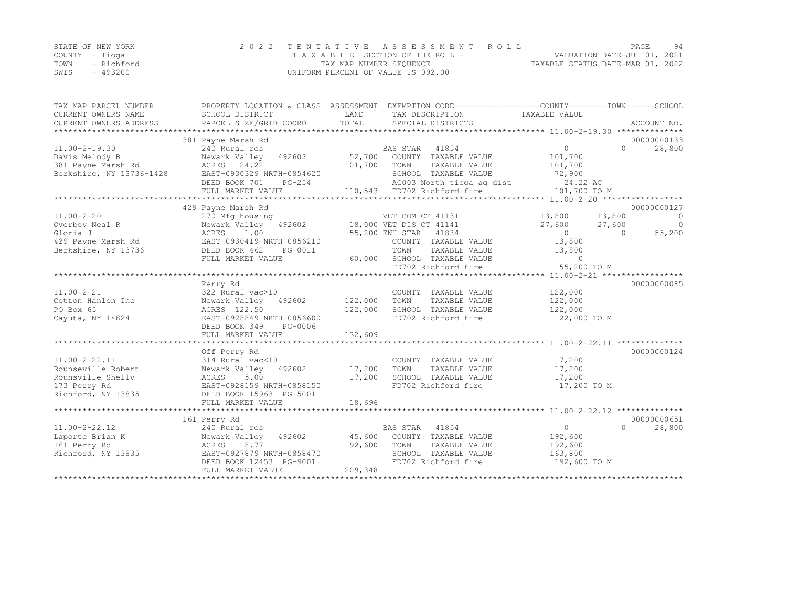|      | STATE OF NEW YORK | 2022 TENTATIVE ASSESSMENT ROLL     |                                  | PAGE. | 94 |
|------|-------------------|------------------------------------|----------------------------------|-------|----|
|      | COUNTY – Tioga    | TAXABLE SECTION OF THE ROLL - 1    | VALUATION DATE-JUL 01, 2021      |       |    |
| TOWN | - Richford        | TAX MAP NUMBER SEQUENCE            | TAXABLE STATUS DATE-MAR 01, 2022 |       |    |
| SWIS | $-493200$         | UNIFORM PERCENT OF VALUE IS 092.00 |                                  |       |    |

| TAX MAP PARCEL NUMBER    | PROPERTY LOCATION & CLASS ASSESSMENT                 |         | EXEMPTION CODE-----------------COUNTY-------TOWN------SCHOOL |                         |          |             |
|--------------------------|------------------------------------------------------|---------|--------------------------------------------------------------|-------------------------|----------|-------------|
| CURRENT OWNERS NAME      | SCHOOL DISTRICT                                      | LAND    | TAX DESCRIPTION                                              | TAXABLE VALUE           |          |             |
| CURRENT OWNERS ADDRESS   | PARCEL SIZE/GRID COORD                               | TOTAL   | SPECIAL DISTRICTS                                            |                         |          | ACCOUNT NO. |
|                          | 381 Payne Marsh Rd                                   |         |                                                              |                         |          | 00000000133 |
| $11.00 - 2 - 19.30$      | 240 Rural res                                        |         | BAS STAR<br>41854                                            | $\Omega$                | $\Omega$ | 28,800      |
| Davis Melody B           | Newark Valley<br>492602                              | 52,700  | COUNTY TAXABLE VALUE                                         | 101,700                 |          |             |
| 381 Payne Marsh Rd       | ACRES 24.22                                          | 101,700 | TOWN<br>TAXABLE VALUE                                        | 101,700                 |          |             |
| Berkshire, NY 13736-1428 | EAST-0930329 NRTH-0854620                            |         | SCHOOL TAXABLE VALUE                                         | 72,900                  |          |             |
|                          | DEED BOOK 701<br>PG-254                              |         | AG003 North tioga ag dist                                    | 24.22 AC                |          |             |
|                          | FULL MARKET VALUE                                    |         | 110,543 FD702 Richford fire                                  | 101,700 TO M            |          |             |
|                          | **************************                           |         |                                                              |                         |          |             |
|                          | 429 Payne Marsh Rd                                   |         |                                                              |                         |          | 00000000127 |
| $11.00 - 2 - 20$         | 270 Mfg housing                                      |         | VET COM CT 41131                                             | 13,800                  | 13,800   | $\Omega$    |
| Overbey Neal R           | Newark Valley<br>492602                              |         | 18,000 VET DIS CT 41141                                      | 27,600                  | 27,600   | $\Omega$    |
| Gloria J                 | ACRES<br>1.00                                        |         | 55,200 ENH STAR 41834                                        | $\overline{0}$          | $\Omega$ | 55,200      |
| 429 Payne Marsh Rd       | EAST-0930419 NRTH-0856210                            |         | COUNTY TAXABLE VALUE                                         | 13,800                  |          |             |
| Berkshire, NY 13736      | DEED BOOK 462<br>PG-0011                             |         | TOWN<br>TAXABLE VALUE                                        | 13,800                  |          |             |
|                          | FULL MARKET VALUE                                    | 60,000  | SCHOOL TAXABLE VALUE                                         | $\circ$                 |          |             |
|                          |                                                      |         | FD702 Richford fire                                          | 55,200 TO M             |          |             |
|                          |                                                      |         |                                                              |                         |          |             |
|                          | Perry Rd                                             |         |                                                              |                         |          | 00000000085 |
| $11.00 - 2 - 21$         | 322 Rural vac>10                                     |         | COUNTY TAXABLE VALUE                                         | 122,000                 |          |             |
| Cotton Hanlon Inc        | Newark Valley<br>492602                              | 122,000 | TOWN<br>TAXABLE VALUE                                        | 122,000                 |          |             |
| PO Box 65                | ACRES 122.50                                         | 122,000 | SCHOOL TAXABLE VALUE                                         | 122,000                 |          |             |
| Cayuta, NY 14824         | EAST-0928849 NRTH-0856600                            |         | FD702 Richford fire                                          | 122,000 TO M            |          |             |
|                          | DEED BOOK 349<br>PG-0006                             |         |                                                              |                         |          |             |
|                          | FULL MARKET VALUE                                    | 132,609 |                                                              |                         |          |             |
|                          |                                                      |         |                                                              |                         |          |             |
|                          | Off Perry Rd                                         |         |                                                              |                         |          | 00000000124 |
| $11.00 - 2 - 22.11$      | 314 Rural vac<10                                     |         | COUNTY TAXABLE VALUE                                         | 17,200                  |          |             |
| Rounseville Robert       | Newark Valley 492602                                 | 17,200  | TOWN<br>TAXABLE VALUE                                        | 17,200                  |          |             |
| Rounsville Shelly        | ACRES<br>5.00                                        | 17,200  | SCHOOL TAXABLE VALUE                                         | 17,200                  |          |             |
| 173 Perry Rd             | EAST-0928159 NRTH-0858150                            |         | FD702 Richford fire                                          | 17,200 TO M             |          |             |
| Richford, NY 13835       | DEED BOOK 15963 PG-5001                              |         |                                                              |                         |          |             |
|                          | FULL MARKET VALUE                                    | 18,696  |                                                              |                         |          |             |
|                          |                                                      |         |                                                              |                         |          |             |
|                          | 161 Perry Rd                                         |         |                                                              |                         |          | 00000000651 |
| $11.00 - 2 - 22.12$      | 240 Rural res                                        |         | 41854<br>BAS STAR                                            | $\overline{0}$          | $\Omega$ | 28,800      |
| Laporte Brian K          | 492602<br>Newark Valley                              | 45,600  | COUNTY TAXABLE VALUE                                         | 192,600                 |          |             |
| 161 Perry Rd             | ACRES 18.77                                          | 192,600 | TOWN<br>TAXABLE VALUE                                        | 192,600                 |          |             |
| Richford, NY 13835       | EAST-0927879 NRTH-0858470<br>DEED BOOK 12453 PG-9001 |         | SCHOOL TAXABLE VALUE<br>FD702 Richford fire                  | 163,800<br>192,600 TO M |          |             |
|                          | FULL MARKET VALUE                                    | 209,348 |                                                              |                         |          |             |
|                          |                                                      |         |                                                              |                         |          |             |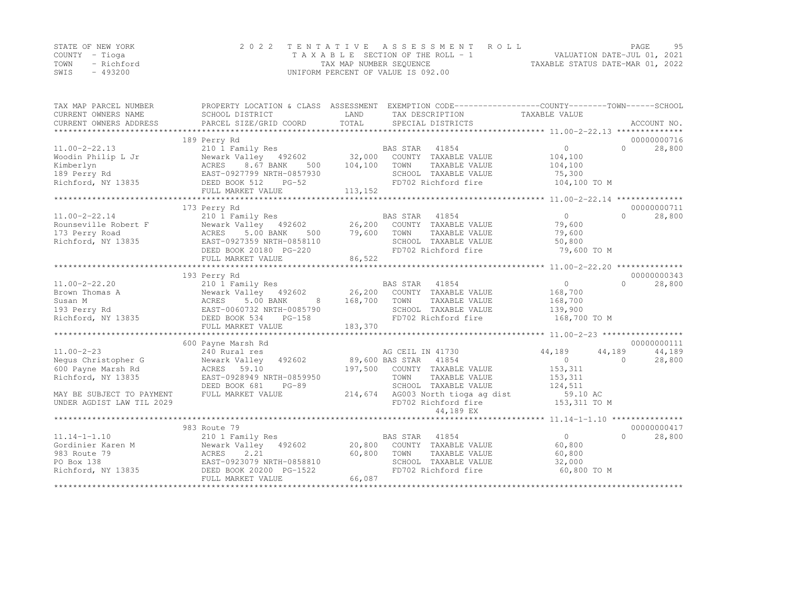|                | STATE OF NEW YORK | 2022 TENTATIVE ASSESSMENT ROLL                                 | PAGE. | 95 |
|----------------|-------------------|----------------------------------------------------------------|-------|----|
| COUNTY – Tioga |                   | VALUATION DATE-JUL 01, 2021<br>TAXABLE SECTION OF THE ROLL - 1 |       |    |
|                | TOWN - Richford   | TAXABLE STATUS DATE-MAR 01, 2022<br>TAX MAP NUMBER SEQUENCE    |       |    |
| SWIS           | - 493200          | UNIFORM PERCENT OF VALUE IS 092.00                             |       |    |

| TAX MAP PARCEL NUMBER            |                                                                                       |                 | PROPERTY LOCATION & CLASS ASSESSMENT EXEMPTION CODE---------------COUNTY-------TOWN-----SCHOOL |                |                     |  |
|----------------------------------|---------------------------------------------------------------------------------------|-----------------|------------------------------------------------------------------------------------------------|----------------|---------------------|--|
| CURRENT OWNERS NAME              | SCHOOL DISTRICT                                                                       | LAND            | TAX DESCRIPTION                                                                                | TAXABLE VALUE  |                     |  |
| CURRENT OWNERS ADDRESS           | PARCEL SIZE/GRID COORD                                                                | TOTAL           | SPECIAL DISTRICTS                                                                              |                | ACCOUNT NO.         |  |
|                                  |                                                                                       |                 |                                                                                                |                |                     |  |
|                                  | 189 Perry Rd                                                                          |                 |                                                                                                |                | 00000000716         |  |
| $11.00 - 2 - 22.13$              | 210 I Family Res 6 BAS STAR 41854<br>Newark Valley 492602 32,000 COUNTY TAXABLE VALUE |                 |                                                                                                | $\overline{0}$ | 28,800<br>$\cap$    |  |
| Woodin Philip L Jr               |                                                                                       |                 |                                                                                                | 104,100        |                     |  |
| Kimberlyn                        | 8.67 BANK<br>500<br>ACRES                                                             | 104,100         | TOWN<br>TAXABLE VALUE                                                                          | 104,100        |                     |  |
| 189 Perry Rd                     | EAST-0927799 NRTH-0857930                                                             |                 | SCHOOL TAXABLE VALUE                                                                           | 75,300         |                     |  |
| Richford, NY 13835               | DEED BOOK 512<br>$PG-52$                                                              |                 | FD702 Richford fire                                                                            | 104,100 TO M   |                     |  |
|                                  | FULL MARKET VALUE                                                                     | 113,152         |                                                                                                |                |                     |  |
|                                  |                                                                                       |                 |                                                                                                |                |                     |  |
|                                  | 173 Perry Rd                                                                          |                 |                                                                                                |                | 00000000711         |  |
| $11.00 - 2 - 22.14$              | 210 1 Family Res                                                                      |                 | BAS STAR<br>41854                                                                              | $\overline{0}$ | $\bigcap$<br>28,800 |  |
| Rounseville Robert F             | Newark Valley 492602                                                                  |                 | 26,200 COUNTY TAXABLE VALUE                                                                    | 79,600         |                     |  |
| 173 Perry Road                   | ACRES<br>5.00 BANK<br>500                                                             | 79,600          | TOWN<br>TAXABLE VALUE                                                                          | 79,600         |                     |  |
| Richford, NY 13835               | EAST-0927359 NRTH-0858110                                                             |                 | SCHOOL TAXABLE VALUE                                                                           | 50,800         |                     |  |
|                                  | DEED BOOK 20180 PG-220                                                                |                 | FD702 Richford fire                                                                            | 79,600 TO M    |                     |  |
|                                  | FULL MARKET VALUE                                                                     | 86,522          |                                                                                                |                |                     |  |
|                                  |                                                                                       |                 |                                                                                                |                |                     |  |
|                                  | 193 Perry Rd                                                                          |                 |                                                                                                |                | 00000000343         |  |
| $11.00 - 2 - 22.20$              | 210 1 Family Res                                                                      |                 | BAS STAR 41854                                                                                 | $\circ$        | $\cap$<br>28,800    |  |
| Brown Thomas A                   | Newark Valley 492602                                                                  |                 | 26,200 COUNTY TAXABLE VALUE                                                                    | 168,700        |                     |  |
| Susan M                          | Newark<br>ACRES<br>5.00 BANK<br>8 <sup>8</sup>                                        | 168,700         | TOWN<br>TAXABLE VALUE                                                                          | 168,700        |                     |  |
| 193 Perry Rd                     | EAST-0060732 NRTH-0085790                                                             |                 | SCHOOL TAXABLE VALUE                                                                           | 139,900        |                     |  |
| Richford, NY 13835 DEED BOOK 534 | $PG-158$                                                                              |                 | FD702 Richford fire                                                                            | 168,700 TO M   |                     |  |
|                                  | FULL MARKET VALUE                                                                     | 183,370         |                                                                                                |                |                     |  |
|                                  |                                                                                       |                 |                                                                                                |                |                     |  |
|                                  | 600 Payne Marsh Rd                                                                    |                 |                                                                                                |                | 00000000111         |  |
| $11.00 - 2 - 23$                 | 240 Rural res                                                                         |                 | AG CEIL IN 41730                                                                               | 44,189         | 44,189<br>44,189    |  |
| Nequs Christopher G              | Newark Valley<br>492602                                                               | 89,600 BAS STAR | 41854                                                                                          | $\Omega$       | $\Omega$<br>28,800  |  |
| 600 Payne Marsh Rd               | ACRES 59.10                                                                           |                 | 197,500 COUNTY TAXABLE VALUE                                                                   | 153,311        |                     |  |
| Richford, NY 13835               | EAST-0928949 NRTH-0859950                                                             |                 | TOWN<br>TAXABLE VALUE                                                                          | 153,311        |                     |  |
|                                  | DEED BOOK 681<br>$PG-89$                                                              |                 | SCHOOL TAXABLE VALUE                                                                           | 124,511        |                     |  |
| MAY BE SUBJECT TO PAYMENT        | FULL MARKET VALUE                                                                     | 214,674         | AG003 North tioga ag dist                                                                      | 59.10 AC       |                     |  |
| UNDER AGDIST LAW TIL 2029        |                                                                                       |                 | FD702 Richford fire                                                                            | 153,311 TO M   |                     |  |
|                                  |                                                                                       |                 | 44,189 EX                                                                                      |                |                     |  |
|                                  |                                                                                       |                 |                                                                                                |                |                     |  |
|                                  | 983 Route 79                                                                          |                 |                                                                                                |                | 00000000417         |  |
| $11.14 - 1 - 1.10$               | 210 1 Family Res                                                                      |                 | BAS STAR 41854                                                                                 | 0              | $\bigcap$<br>28,800 |  |
| Gordinier Karen M                | Newark Valley 492602                                                                  | 20,800          | COUNTY TAXABLE VALUE                                                                           | 60,800         |                     |  |
| 983 Route 79                     | ACRES<br>2.21                                                                         | 60,800          | TOWN<br>TAXABLE VALUE                                                                          | 60,800         |                     |  |
| PO Box 138                       | EAST-0923079 NRTH-0858810                                                             |                 | SCHOOL TAXABLE VALUE                                                                           | 32,000         |                     |  |
|                                  |                                                                                       |                 | FD702 Richford fire                                                                            | 60,800 TO M    |                     |  |
|                                  | FULL MARKET VALUE                                                                     | 66,087          |                                                                                                |                |                     |  |
|                                  |                                                                                       |                 |                                                                                                |                |                     |  |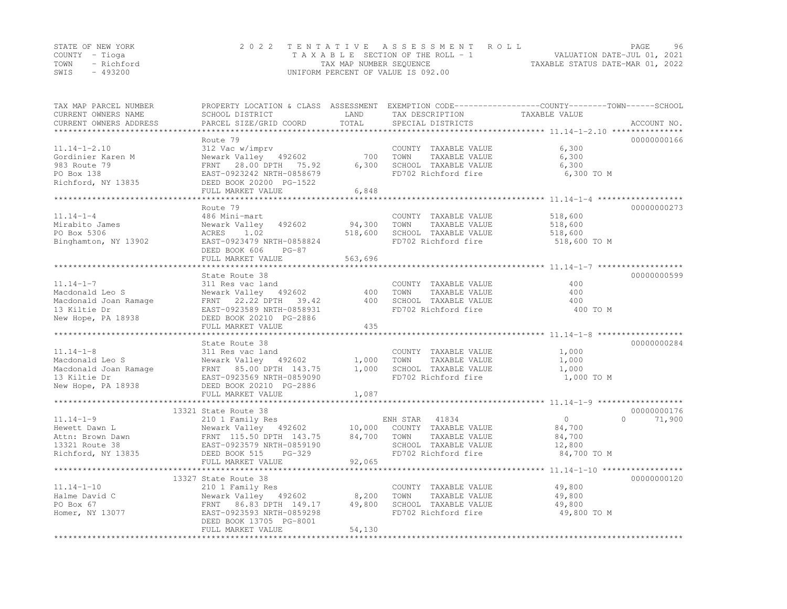| STATE OF NEW YORK  | 2022 TENTATIVE ASSESSMENT ROLL     | 96<br>PAGE                       |
|--------------------|------------------------------------|----------------------------------|
| COUNTY – Tioga     | TAXABLE SECTION OF THE ROLL - 1    | VALUATION DATE-JUL 01, 2021      |
| TOWN<br>- Richford | TAX MAP NUMBER SEQUENCE            | TAXABLE STATUS DATE-MAR 01, 2022 |
| $-493200$<br>SWIS  | UNIFORM PERCENT OF VALUE IS 092.00 |                                  |

| TAX MAP PARCEL NUMBER<br>CURRENT OWNERS NAME<br>CURRENT OWNERS ADDRESS | SCHOOL DISTRICT<br>PARCEL SIZE/GRID COORD    | LAND<br>TOTAL   | TAX DESCRIPTION<br>SPECIAL DISTRICTS | PROPERTY LOCATION & CLASS ASSESSMENT EXEMPTION CODE----------------COUNTY-------TOWN------SCHOOL<br>TAXABLE VALUE<br>ACCOUNT NO. |
|------------------------------------------------------------------------|----------------------------------------------|-----------------|--------------------------------------|----------------------------------------------------------------------------------------------------------------------------------|
|                                                                        |                                              |                 |                                      |                                                                                                                                  |
|                                                                        | Route 79                                     |                 |                                      | 00000000166                                                                                                                      |
| $11.14 - 1 - 2.10$                                                     | 312 Vac w/imprv                              |                 | COUNTY TAXABLE VALUE                 | 6,300                                                                                                                            |
| Gordinier Karen M                                                      | Newark Valley 492602                         | 700             | TOWN<br>TAXABLE VALUE                | 6,300                                                                                                                            |
| 983 Route 79                                                           | FRNT 28.00 DPTH 75.92                        | 6,300           | SCHOOL TAXABLE VALUE                 | 6,300                                                                                                                            |
| PO Box 138                                                             | EAST-0923242 NRTH-0858679                    |                 | FD702 Richford fire                  | 6,300 TO M                                                                                                                       |
| Richford, NY 13835                                                     | DEED BOOK 20200 PG-1522                      |                 |                                      |                                                                                                                                  |
|                                                                        | FULL MARKET VALUE                            | 6,848           |                                      |                                                                                                                                  |
|                                                                        | Route 79                                     |                 |                                      | 00000000273                                                                                                                      |
| $11.14 - 1 - 4$                                                        | 486 Mini-mart                                |                 | COUNTY TAXABLE VALUE                 | 518,600                                                                                                                          |
| Mirabito James                                                         | 492602<br>Newark Valley                      | 94,300          | TAXABLE VALUE<br>TOWN                | 518,600                                                                                                                          |
| PO Box 5306                                                            | ACRES 1.02                                   | 518,600         | SCHOOL TAXABLE VALUE                 | 518,600                                                                                                                          |
| Binghamton, NY 13902                                                   | EAST-0923479 NRTH-0858824                    |                 | FD702 Richford fire                  | 518,600 TO M                                                                                                                     |
|                                                                        | DEED BOOK 606<br>$PG-87$                     |                 |                                      |                                                                                                                                  |
|                                                                        | FULL MARKET VALUE                            | 563,696         |                                      |                                                                                                                                  |
|                                                                        |                                              |                 |                                      |                                                                                                                                  |
|                                                                        | State Route 38                               |                 |                                      | 00000000599                                                                                                                      |
| $11.14 - 1 - 7$                                                        | 311 Res vac land                             |                 | COUNTY TAXABLE VALUE                 | 400                                                                                                                              |
| Macdonald Leo S                                                        | Newark Valley 492602                         | 400             | TAXABLE VALUE<br>TOWN                | 400                                                                                                                              |
| Macdonald Joan Ramage                                                  | FRNT 22.22 DPTH 39.42                        | 400             | SCHOOL TAXABLE VALUE                 | 400                                                                                                                              |
| 13 Kiltie Dr                                                           | EAST-0923589 NRTH-0858931                    |                 | FD702 Richford fire                  | 400 TO M                                                                                                                         |
| New Hope, PA 18938                                                     | DEED BOOK 20210 PG-2886<br>FULL MARKET VALUE | 435             |                                      |                                                                                                                                  |
|                                                                        |                                              |                 |                                      |                                                                                                                                  |
|                                                                        | State Route 38                               |                 |                                      | 00000000284                                                                                                                      |
| $11.14 - 1 - 8$                                                        | 311 Res vac land                             |                 | COUNTY TAXABLE VALUE                 | 1,000                                                                                                                            |
|                                                                        | Newark Valley 492602                         | 1,000           | TOWN<br>TAXABLE VALUE                | 1,000                                                                                                                            |
|                                                                        |                                              | 1,000           | SCHOOL TAXABLE VALUE                 | 1,000                                                                                                                            |
|                                                                        |                                              |                 | FD702 Richford fire                  | 1,000 TO M                                                                                                                       |
| New Hope, PA 18938                                                     | DEED BOOK 20210 PG-2886                      |                 |                                      |                                                                                                                                  |
|                                                                        | FULL MARKET VALUE                            | 1,087           |                                      |                                                                                                                                  |
|                                                                        |                                              | *************** |                                      |                                                                                                                                  |
| $11.14 - 1 - 9$                                                        | 13321 State Route 38<br>210 1 Family Res     |                 | ENH STAR<br>41834                    | 00000000176<br>$\overline{0}$<br>$\Omega$<br>71,900                                                                              |
| Hewett Dawn L                                                          | Newark Valley 492602                         | 10,000          | COUNTY TAXABLE VALUE                 | 84,700                                                                                                                           |
| Attn: Brown Dawn                                                       | FRNT 115.50 DPTH 143.75                      | 84,700          | TOWN<br>TAXABLE VALUE                | 84,700                                                                                                                           |
| 13321 Route 38                                                         | EAST-0923579 NRTH-0859190                    |                 | SCHOOL TAXABLE VALUE                 | 12,800                                                                                                                           |
| Richford, NY 13835                                                     | DEED BOOK 515<br>PG-329                      |                 | FD702 Richford fire                  | 84,700 TO M                                                                                                                      |
|                                                                        | FULL MARKET VALUE                            | 92,065          |                                      |                                                                                                                                  |
|                                                                        |                                              |                 |                                      |                                                                                                                                  |
|                                                                        | 13327 State Route 38                         |                 |                                      | 00000000120                                                                                                                      |
| $11.14 - 1 - 10$                                                       | 210 1 Family Res                             |                 | COUNTY TAXABLE VALUE                 | 49,800                                                                                                                           |
| Halme David C                                                          | Newark Valley 492602                         | 8,200           | TOWN<br>TAXABLE VALUE                | 49,800                                                                                                                           |
| PO Box 67                                                              | FRNT 86.83 DPTH 149.17                       | 49,800          | SCHOOL TAXABLE VALUE                 | 49,800                                                                                                                           |
| Homer, NY 13077                                                        | EAST-0923593 NRTH-0859298                    |                 | FD702 Richford fire                  | 49,800 TO M                                                                                                                      |
|                                                                        | DEED BOOK 13705 PG-8001                      |                 |                                      |                                                                                                                                  |
|                                                                        | FULL MARKET VALUE                            | 54,130          |                                      |                                                                                                                                  |
|                                                                        |                                              |                 |                                      |                                                                                                                                  |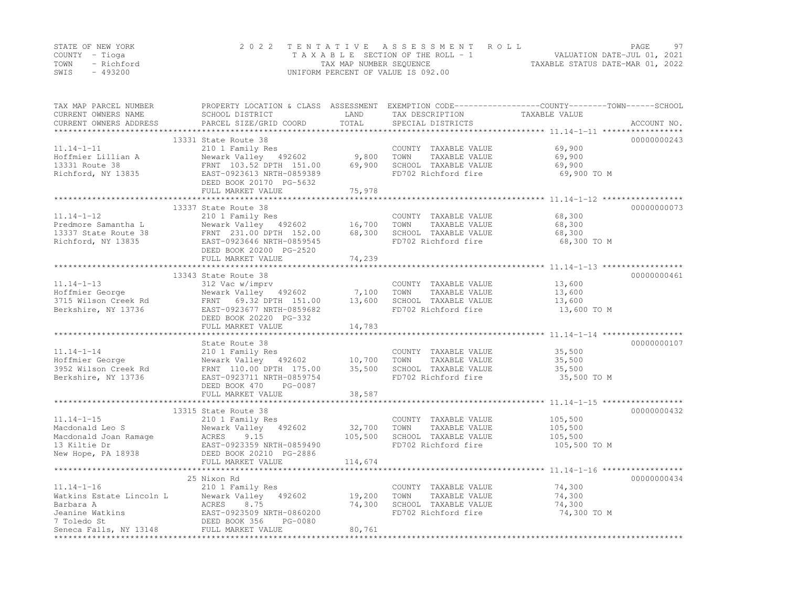|      | STATE OF NEW YORK | 2022 TENTATIVE ASSESSMENT ROLL     | 97<br>PAGE.                      |
|------|-------------------|------------------------------------|----------------------------------|
|      | COUNTY – Tioga    | TAXABLE SECTION OF THE ROLL - 1    | VALUATION DATE-JUL 01, 2021      |
| TOWN | - Richford        | TAX MAP NUMBER SEQUENCE            | TAXABLE STATUS DATE-MAR 01, 2022 |
| SWIS | - 493200          | UNIFORM PERCENT OF VALUE IS 092.00 |                                  |

| TAX MAP PARCEL NUMBER<br>CURRENT OWNERS NAME<br>CURRENT OWNERS ADDRESS                | SCHOOL DISTRICT<br>PARCEL SIZE/GRID COORD                                                                                                                                                                                         | LAND<br>TOTAL                | TAX DESCRIPTION<br>SPECIAL DISTRICTS                                                         | PROPERTY LOCATION & CLASS ASSESSMENT EXEMPTION CODE----------------COUNTY-------TOWN-----SCHOOL<br>TAXABLE VALUE<br>ACCOUNT NO. |
|---------------------------------------------------------------------------------------|-----------------------------------------------------------------------------------------------------------------------------------------------------------------------------------------------------------------------------------|------------------------------|----------------------------------------------------------------------------------------------|---------------------------------------------------------------------------------------------------------------------------------|
| $11.14 - 1 - 11$<br>Hoffmier Lillian A<br>13331 Route 38<br>Richford, NY 13835        | 13331 State Route 38<br>210 1 Family Res<br>Newark Valley 492602<br>FRNT 103.52 DPTH 151.00<br>EAST-0923613 NRTH-0859389<br>DEED BOOK 20170 PG-5632<br>FULL MARKET VALUE                                                          | 9,800<br>69,900<br>75,978    | COUNTY TAXABLE VALUE<br>TOWN<br>TAXABLE VALUE<br>SCHOOL TAXABLE VALUE<br>FD702 Richford fire | 00000000243<br>69,900<br>69,900<br>69,900<br>69,900 TO M                                                                        |
|                                                                                       |                                                                                                                                                                                                                                   |                              |                                                                                              |                                                                                                                                 |
| $11.14 - 1 - 12$<br>Predmore Samantha L<br>13337 State Route 38<br>Richford, NY 13835 | 13337 State Route 38<br>210 1 Family Res<br>Newark Valley<br>FRNT 231.00 DPTH 152.00<br>EAST-0923646 NRTH-0859545<br>PERD BOOK 20200 PG-2520<br>Newark Valley 492602 16,700<br>FULL MARKET VALUE                                  | 68,300<br>74,239             | COUNTY TAXABLE VALUE<br>TOWN<br>TAXABLE VALUE<br>SCHOOL TAXABLE VALUE<br>FD702 Richford fire | 00000000073<br>68,300<br>68,300<br>68,300<br>68,300 TO M                                                                        |
|                                                                                       |                                                                                                                                                                                                                                   |                              |                                                                                              |                                                                                                                                 |
| $11.14 - 1 - 13$<br>Hoffmier George<br>3715 Wilson Creek Rd<br>Berkshire, NY 13736    | 13343 State Route 38<br>312 Vac w/imprv<br>312 val winner<br>FRNT 69.32 DPTH 151.00<br>EAST-0923677 NRTH-0859682<br>DEED BOOK 20220 PG-332<br>FULL MARKET VALUE                                                                   | 7,100<br>13,600<br>14,783    | COUNTY TAXABLE VALUE<br>TAXABLE VALUE<br>TOWN<br>SCHOOL TAXABLE VALUE<br>FD702 Richford fire | 00000000461<br>13,600<br>13,600<br>13,600<br>13,600 TO M                                                                        |
|                                                                                       |                                                                                                                                                                                                                                   |                              |                                                                                              |                                                                                                                                 |
| $11.14 - 1 - 14$                                                                      | State Route 38<br>210 1 Family Res<br>Newark Valley 492602 10,700<br>FRNT 110.00 DPTH 175.00 35,500<br>DEED BOOK 470<br>PG-0087<br>FULL MARKET VALUE                                                                              | 38,587                       | COUNTY TAXABLE VALUE<br>TOWN<br>TAXABLE VALUE<br>SCHOOL TAXABLE VALUE<br>FD702 Richford fire | 00000000107<br>35,500<br>35,500<br>35,500<br>35,500 TO M                                                                        |
|                                                                                       | 13315 State Route 38                                                                                                                                                                                                              |                              |                                                                                              | 00000000432                                                                                                                     |
| $11.14 - 1 - 15$                                                                      | 210 1 Family Res<br>Macdonald Leo S<br>Mewark Valley 492602<br>Macdonald Joan Ramage ACRES 9.15<br>13 Kiltie Dr EAST-0923359 NRTH-0859490<br>New Hope, PA 18938 DEED BOOK 20210 PG-2886<br>ENLL MARKET VALUE<br>FULL MARKET VALUE | 32,700<br>105,500<br>114,674 | COUNTY TAXABLE VALUE<br>TOWN<br>TAXABLE VALUE<br>SCHOOL TAXABLE VALUE<br>FD702 Richford fire | 105,500<br>105,500<br>105,500<br>105,500 TO M                                                                                   |
|                                                                                       |                                                                                                                                                                                                                                   |                              |                                                                                              |                                                                                                                                 |
| $11.14 - 1 - 16$                                                                      | 25 Nixon Rd<br>210 1 Family Res<br>The Terministan Estate Lincoln L<br>Mewark Valley 492602<br>Markins Barbara A<br>ACRES 8.75<br>Jeanine Watkins<br>7 Toledo St<br>Seneca Falls, NY 13148<br>FULL MARKET VALUE                   | 19,200<br>74,300<br>80,761   | COUNTY TAXABLE VALUE<br>TAXABLE VALUE<br>TOWN<br>SCHOOL TAXABLE VALUE<br>FD702 Richford fire | 00000000434<br>74,300<br>74,300<br>74,300<br>74,300 TO M                                                                        |
| ******************                                                                    |                                                                                                                                                                                                                                   |                              |                                                                                              |                                                                                                                                 |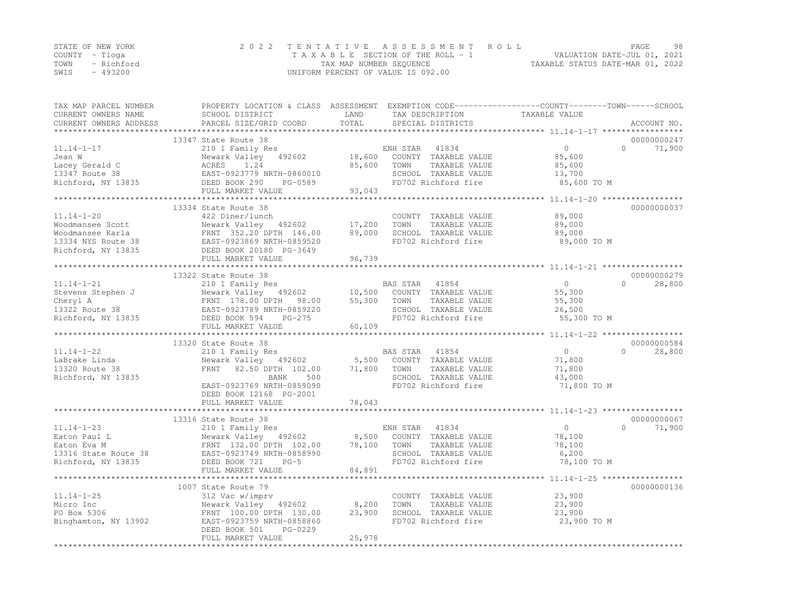| STATE OF NEW YORK |           | 2022 TENTATIVE ASSESSMENT ROLL                                 | PAGE | 98 |
|-------------------|-----------|----------------------------------------------------------------|------|----|
| COUNTY – Tioga    |           | VALUATION DATE-JUL 01, 2021<br>TAXABLE SECTION OF THE ROLL - 1 |      |    |
| TOWN - Richford   |           | TAXABLE STATUS DATE-MAR 01, 2022<br>TAX MAP NUMBER SEQUENCE    |      |    |
| SWIS              | $-493200$ | UNIFORM PERCENT OF VALUE IS 092.00                             |      |    |

| TAX MAP PARCEL NUMBER<br>CURRENT OWNERS NAME | PROPERTY LOCATION & CLASS ASSESSMENT EXEMPTION CODE----------------COUNTY-------TOWN-----SCHOOL<br>SCHOOL DISTRICT | LAND                 | TAX DESCRIPTION                               | TAXABLE VALUE    |                    |
|----------------------------------------------|--------------------------------------------------------------------------------------------------------------------|----------------------|-----------------------------------------------|------------------|--------------------|
| CURRENT OWNERS ADDRESS                       | PARCEL SIZE/GRID COORD                                                                                             | TOTAL<br>*********** | SPECIAL DISTRICTS                             |                  | ACCOUNT NO.        |
|                                              | 13347 State Route 38                                                                                               |                      |                                               |                  | 00000000247        |
| $11.14 - 1 - 17$                             | 210 1 Family Res                                                                                                   |                      | 41834<br>ENH STAR                             | $\circ$          | $\Omega$<br>71,900 |
| Jean W                                       | Newark Valley<br>492602                                                                                            | 18,600               | COUNTY TAXABLE VALUE                          | 85,600           |                    |
| Lacey Gerald C                               | ACRES<br>1.24                                                                                                      | 85,600               | TOWN<br>TAXABLE VALUE                         | 85,600           |                    |
| 13347 Route 38                               | EAST-0923779 NRTH-0860010                                                                                          |                      | SCHOOL TAXABLE VALUE                          | 13,700           |                    |
| Richford, NY 13835                           | DEED BOOK 290<br>PG-0589                                                                                           |                      | FD702 Richford fire                           | 85,600 TO M      |                    |
|                                              | FULL MARKET VALUE                                                                                                  | 93,043               |                                               |                  |                    |
|                                              | 13334 State Route 38                                                                                               |                      |                                               |                  | 00000000037        |
| $11.14 - 1 - 20$                             | 422 Diner/lunch                                                                                                    |                      | COUNTY TAXABLE VALUE                          | 89,000           |                    |
| Woodmansee Scott                             | Newark Valley 492602                                                                                               | 17,200               | TOWN<br>TAXABLE VALUE                         | 89,000           |                    |
| Woodmansee Karla                             | FRNT 352.20 DPTH 146.00                                                                                            | 89,000               | SCHOOL TAXABLE VALUE                          | 89,000           |                    |
| 13334 NYS Route 38                           | EAST-0923869 NRTH-0859520                                                                                          |                      | FD702 Richford fire                           | 89,000 TO M      |                    |
| Richford, NY 13835                           | DEED BOOK 20180 PG-3649                                                                                            |                      |                                               |                  |                    |
|                                              | FULL MARKET VALUE                                                                                                  | 96,739               |                                               |                  |                    |
|                                              |                                                                                                                    |                      |                                               |                  |                    |
|                                              | 13322 State Route 38                                                                                               |                      |                                               |                  | 00000000279        |
| $11.14 - 1 - 21$                             | 210 1 Family Res                                                                                                   |                      | BAS STAR<br>41854                             | $\circ$          | $\Omega$<br>28,800 |
| Stevens Stephen J                            | Newark Valley 492602                                                                                               | 10,500               | COUNTY TAXABLE VALUE                          | 55,300           |                    |
| Cheryl A                                     | FRNT 178.00 DPTH<br>98.00                                                                                          | 55,300               | TOWN<br>TAXABLE VALUE                         | 55,300           |                    |
| 13322 Route 38                               | EAST-0923789 NRTH-0859220                                                                                          |                      | SCHOOL TAXABLE VALUE                          | 26,500           |                    |
| Richford, NY 13835                           | DEED BOOK 594<br>$PG-275$                                                                                          |                      | FD702 Richford fire                           | 55,300 TO M      |                    |
|                                              | FULL MARKET VALUE                                                                                                  | 60,109               |                                               |                  |                    |
|                                              |                                                                                                                    |                      |                                               |                  | 00000000584        |
|                                              | 13320 State Route 38                                                                                               |                      |                                               | $\mathbf{0}$     | $\cap$             |
| $11.14 - 1 - 22$                             | 210 1 Family Res                                                                                                   |                      | BAS STAR<br>41854                             |                  | 28,800             |
| LaBrake Linda                                | Newark Valley 492602<br>82.50 DPTH 102.00<br>FRNT                                                                  | 5,500<br>71,800      | COUNTY TAXABLE VALUE<br>TOWN<br>TAXABLE VALUE | 71,800           |                    |
| 13320 Route 38<br>Richford, NY 13835         | <b>BANK</b><br>500                                                                                                 |                      | SCHOOL TAXABLE VALUE                          | 71,800<br>43,000 |                    |
|                                              | EAST-0923769 NRTH-0859090                                                                                          |                      | FD702 Richford fire                           | 71,800 TO M      |                    |
|                                              | DEED BOOK 12168 PG-2001                                                                                            |                      |                                               |                  |                    |
|                                              | FULL MARKET VALUE                                                                                                  | 78,043               |                                               |                  |                    |
|                                              |                                                                                                                    |                      |                                               |                  |                    |
|                                              | 13316 State Route 38                                                                                               |                      |                                               |                  | 00000000067        |
| $11.14 - 1 - 23$                             | 210 1 Family Res                                                                                                   |                      | ENH STAR<br>41834                             | $\circ$          | $\Omega$<br>71,900 |
| Eaton Paul L                                 | Newark Valley 492602                                                                                               | 8,500                | COUNTY TAXABLE VALUE                          | 78,100           |                    |
| Eaton Eva M                                  | FRNT 132.00 DPTH 102.00                                                                                            | 78,100               | TAXABLE VALUE<br>TOWN                         | 78,100           |                    |
| 13316 State Route 38                         | EAST-0923749 NRTH-0858990                                                                                          |                      | SCHOOL TAXABLE VALUE                          | 6,200            |                    |
| Richford, NY 13835                           | DEED BOOK 721<br>$PG-5$                                                                                            |                      | FD702 Richford fire                           | 78,100 TO M      |                    |
|                                              | FULL MARKET VALUE                                                                                                  | 84,891               |                                               |                  |                    |
|                                              | ***************************                                                                                        | ************         |                                               |                  |                    |
|                                              | 1007 State Route 79                                                                                                |                      |                                               |                  | 00000000136        |
| $11.14 - 1 - 25$                             | 312 Vac w/imprv                                                                                                    |                      | COUNTY TAXABLE VALUE                          | 23,900           |                    |
| Micro Inc                                    | Newark Valley 492602                                                                                               | 8,200                | TOWN<br>TAXABLE VALUE                         | 23,900           |                    |
| PO Box 5306                                  | FRNT 100.00 DPTH 130.00                                                                                            | 23,900               | SCHOOL TAXABLE VALUE                          | 23,900           |                    |
| Binghamton, NY 13902                         | EAST-0923759 NRTH-0858860<br>DEED BOOK 501<br>PG-0229                                                              |                      | FD702 Richford fire                           | 23,900 TO M      |                    |
|                                              | FULL MARKET VALUE                                                                                                  | 25,978               |                                               |                  |                    |
|                                              |                                                                                                                    |                      |                                               |                  |                    |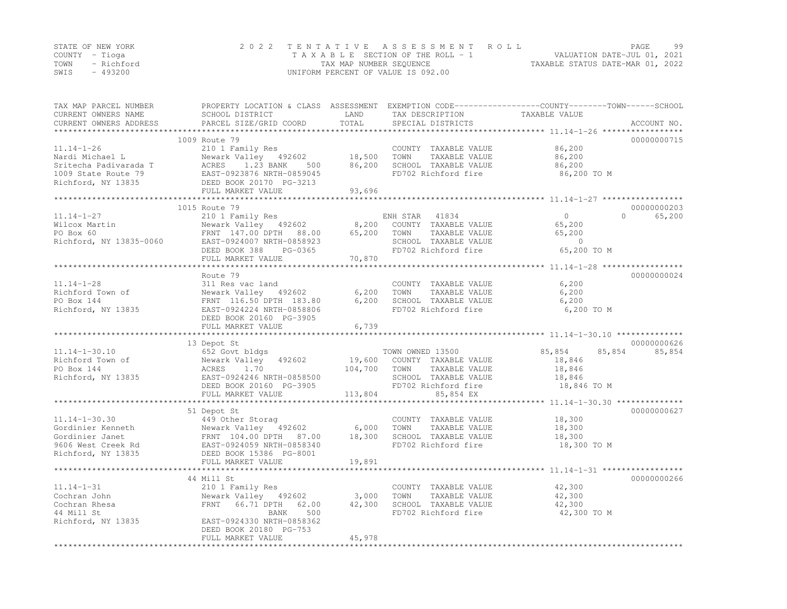|      | STATE OF NEW YORK | 2022 TENTATIVE ASSESSMENT ROLL     | PAGE.                            | 99 |
|------|-------------------|------------------------------------|----------------------------------|----|
|      | COUNTY – Tioga    | TAXABLE SECTION OF THE ROLL - 1    | VALUATION DATE-JUL 01, 2021      |    |
| TOWN | - Richford        | TAX MAP NUMBER SEQUENCE            | TAXABLE STATUS DATE-MAR 01, 2022 |    |
| SWIS | - 493200          | UNIFORM PERCENT OF VALUE IS 092.00 |                                  |    |

| TAX MAP PARCEL NUMBER<br>CURRENT OWNERS NAME<br>CURRENT OWNERS ADDRESS                                    | SCHOOL DISTRICT<br>PARCEL SIZE/GRID COORD                                                                                                                           | LAND<br>TOTAL                | TAX DESCRIPTION<br>SPECIAL DISTRICTS                                                                                          | PROPERTY LOCATION & CLASS ASSESSMENT EXEMPTION CODE----------------COUNTY-------TOWN-----SCHOOL<br>TAXABLE VALUE<br>ACCOUNT NO. |
|-----------------------------------------------------------------------------------------------------------|---------------------------------------------------------------------------------------------------------------------------------------------------------------------|------------------------------|-------------------------------------------------------------------------------------------------------------------------------|---------------------------------------------------------------------------------------------------------------------------------|
| *************************                                                                                 |                                                                                                                                                                     |                              |                                                                                                                               |                                                                                                                                 |
| $11.14 - 1 - 26$<br>Nardi Michael L<br>Sritecha Padivarada T<br>1009 State Route 79<br>Richford, NY 13835 | 1009 Route 79<br>210 1 Family Res<br>Newark Valley 492602 18,500<br>ACRES 1.23 BANK 500<br>EAST-0923876 NRTH-0859045<br>DEED BOOK 20170 PG-3213                     | 86,200                       | COUNTY TAXABLE VALUE<br>TOWN<br>TAXABLE VALUE<br>SCHOOL TAXABLE VALUE<br>FD702 Richford fire                                  | 00000000715<br>86,200<br>86,200<br>86,200<br>86,200 TO M                                                                        |
|                                                                                                           | FULL MARKET VALUE                                                                                                                                                   | 93,696                       |                                                                                                                               |                                                                                                                                 |
|                                                                                                           | 1015 Route 79                                                                                                                                                       |                              |                                                                                                                               | 00000000203                                                                                                                     |
| $11.14 - 1 - 27$<br>Wilcox Martin<br>PO Box 60<br>Richford, NY 13835-0060                                 | 210 1 Family Res<br>Newark Valley 492602<br>FRNT 147.00 DPTH 88.00<br>EAST-0924007 NRTH-0858923<br>DEED BOOK 388<br>PG-0365<br>FULL MARKET VALUE                    | 8,200<br>65,200<br>70,870    | ENH STAR 41834<br>COUNTY TAXABLE VALUE<br>TAXABLE VALUE<br>TOWN<br>SCHOOL TAXABLE VALUE<br>FD702 Richford fire                | $\overline{0}$<br>$\Omega$<br>65,200<br>65,200<br>65,200<br>$\sim$ 0<br>65,200 TO M                                             |
|                                                                                                           |                                                                                                                                                                     |                              |                                                                                                                               |                                                                                                                                 |
| $11.14 - 1 - 28$<br>Richford Town of<br>PO Box 144<br>Richford, NY 13835                                  | Route 79<br>311 Res vac land<br>Newark Valley 492602<br>FRNT 116.50 DPTH 183.80<br>EAST-0924224 NRTH-0858806                                                        | 6,200<br>6,200               | COUNTY TAXABLE VALUE<br>TOWN<br>TAXABLE VALUE<br>SCHOOL TAXABLE VALUE<br>FD702 Richford fire                                  | 00000000024<br>6,200<br>6,200<br>6,200<br>6,200 TO M                                                                            |
|                                                                                                           | DEED BOOK 20160 PG-3905<br>FULL MARKET VALUE                                                                                                                        | 6,739                        |                                                                                                                               |                                                                                                                                 |
|                                                                                                           | 13 Depot St                                                                                                                                                         |                              |                                                                                                                               | 00000000626                                                                                                                     |
| $11.14 - 1 - 30.10$<br>Richford Town of<br>PO Box 144<br>Richford, NY 13835                               | 652 Govt bldgs<br>Newark Valley 492602<br>ACRES 1.70<br>EAST-0924246 NRTH-0858500<br>DEED BOOK 20160 PG-3905<br>FULL MARKET VALUE                                   | 19,600<br>104,700<br>113,804 | TOWN OWNED 13500<br>COUNTY TAXABLE VALUE<br>TOWN<br>TAXABLE VALUE<br>SCHOOL TAXABLE VALUE<br>FD702 Richford fire<br>85,854 EX | 85,854<br>85,854<br>85,854<br>18,846<br>18,846<br>18,846<br>18,846 TO M                                                         |
|                                                                                                           |                                                                                                                                                                     |                              |                                                                                                                               |                                                                                                                                 |
| $11.14 - 1 - 30.30$<br>Gordinier Kenneth<br>Gordinier Janec<br>9606 West Creek Rd<br>- NY 13835           | 51 Depot St<br>449 Other Storag<br>h Newark Valley 492602<br>FRNT 104.00 DPTH 87.00<br>Rd EAST-0924059 NRTH-0858340<br>DEED BOOK 15386 PG-8001<br>FULL MARKET VALUE | 6,000<br>18,300<br>19,891    | COUNTY TAXABLE VALUE<br>TAXABLE VALUE<br>TOWN<br>SCHOOL TAXABLE VALUE<br>FD702 Richford fire                                  | 00000000627<br>18,300<br>18,300<br>18,300<br>18,300 TO M                                                                        |
|                                                                                                           |                                                                                                                                                                     |                              |                                                                                                                               |                                                                                                                                 |
| $11.14 - 1 - 31$<br>Cochran John<br>Cochran Rhesa<br>44 Mill St<br>Richford, NY 13835                     | 44 Mill St<br>210 1 Family Res<br>Newark Valley 492602<br>FRNT 66.71 DPTH<br>62.00<br>500<br>BANK<br>EAST-0924330 NRTH-0858362<br>DEED BOOK 20180 PG-753            | 3,000<br>42,300              | COUNTY TAXABLE VALUE<br>TOWN<br>TAXABLE VALUE<br>SCHOOL TAXABLE VALUE<br>FD702 Richford fire                                  | 00000000266<br>42,300<br>42,300<br>42,300<br>42,300 TO M                                                                        |
|                                                                                                           | FULL MARKET VALUE                                                                                                                                                   | 45,978                       |                                                                                                                               |                                                                                                                                 |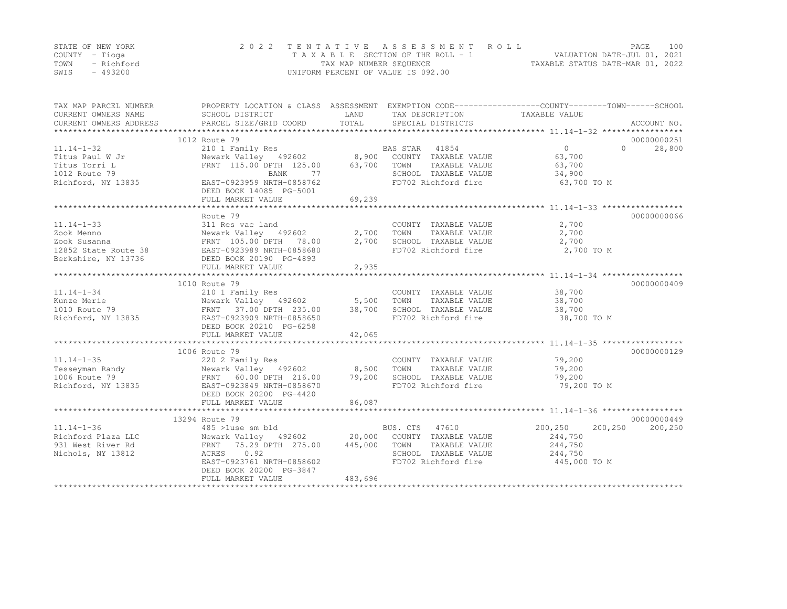|      | STATE OF NEW YORK | 2022 TENTATIVE ASSESSMENT ROLL                              | PAGE.                       | 100 |
|------|-------------------|-------------------------------------------------------------|-----------------------------|-----|
|      | COUNTY – Tioga    | TAXABLE SECTION OF THE ROLL - 1                             | VALUATION DATE-JUL 01, 2021 |     |
|      | TOWN - Richford   | TAXABLE STATUS DATE-MAR 01, 2022<br>TAX MAP NUMBER SEQUENCE |                             |     |
| SWIS | - 493200          | UNIFORM PERCENT OF VALUE IS 092.00                          |                             |     |

| TAX MAP PARCEL NUMBER<br>CURRENT OWNERS NAME<br>CURRENT OWNERS ADDRESS | PROPERTY LOCATION & CLASS ASSESSMENT EXEMPTION CODE----------------COUNTY-------TOWN------SCHOOL<br>SCHOOL DISTRICT<br>PARCEL SIZE/GRID COORD | LAND<br>TOTAL | TAX DESCRIPTION<br>SPECIAL DISTRICTS | TAXABLE VALUE        | ACCOUNT NO. |
|------------------------------------------------------------------------|-----------------------------------------------------------------------------------------------------------------------------------------------|---------------|--------------------------------------|----------------------|-------------|
|                                                                        |                                                                                                                                               |               |                                      |                      |             |
|                                                                        | 1012 Route 79                                                                                                                                 |               |                                      |                      | 00000000251 |
| $11.14 - 1 - 32$                                                       | 210 1 Family Res                                                                                                                              |               | BAS STAR<br>41854                    | $\Omega$<br>$\Omega$ | 28,800      |
| Titus Paul W Jr                                                        | Newark Valley 492602                                                                                                                          | 8,900         | COUNTY TAXABLE VALUE                 | 63,700               |             |
| Titus Torri L                                                          | FRNT 115.00 DPTH 125.00                                                                                                                       | 63,700        | TOWN<br>TAXABLE VALUE                | 63,700               |             |
| 1012 Route 79                                                          | 77<br>BANK                                                                                                                                    |               | SCHOOL TAXABLE VALUE                 | 34,900               |             |
| Richford, NY 13835                                                     | EAST-0923959 NRTH-0858762<br>DEED BOOK 14085 PG-5001                                                                                          |               | FD702 Richford fire                  | 63,700 TO M          |             |
|                                                                        | FULL MARKET VALUE                                                                                                                             | 69,239        |                                      |                      |             |
|                                                                        |                                                                                                                                               |               |                                      |                      |             |
|                                                                        | Route 79                                                                                                                                      |               |                                      |                      | 00000000066 |
| $11.14 - 1 - 33$                                                       | 311 Res vac land                                                                                                                              |               | COUNTY TAXABLE VALUE                 | 2,700                |             |
| Zook Menno                                                             | Newark Valley 492602                                                                                                                          | 2,700         | TOWN<br>TAXABLE VALUE                | 2,700                |             |
| Zook Susanna                                                           | FRNT 105.00 DPTH 78.00                                                                                                                        | 2,700         | SCHOOL TAXABLE VALUE                 | 2,700                |             |
| 12852 State Route 38                                                   | EAST-0923989 NRTH-0858680                                                                                                                     |               | FD702 Richford fire                  | 2,700 TO M           |             |
| Berkshire, NY 13736                                                    | DEED BOOK 20190 PG-4893                                                                                                                       |               |                                      |                      |             |
|                                                                        | FULL MARKET VALUE                                                                                                                             | 2,935         |                                      |                      |             |
|                                                                        |                                                                                                                                               |               |                                      |                      |             |
|                                                                        | 1010 Route 79                                                                                                                                 |               |                                      |                      | 00000000409 |
| $11.14 - 1 - 34$                                                       | 210 1 Family Res                                                                                                                              |               | COUNTY TAXABLE VALUE                 | 38,700               |             |
| Kunze Merie                                                            | Newark Valley 492602 5,500                                                                                                                    |               | TOWN<br>TAXABLE VALUE                | 38,700               |             |
| 1010 Route 79                                                          | FRNT 37.00 DPTH 235.00                                                                                                                        | 38,700        | SCHOOL TAXABLE VALUE                 | 38,700               |             |
| Richford, NY 13835                                                     | EAST-0923909 NRTH-0858650                                                                                                                     |               | FD702 Richford fire                  | 38,700 TO M          |             |
|                                                                        | DEED BOOK 20210 PG-6258                                                                                                                       |               |                                      |                      |             |
|                                                                        | FULL MARKET VALUE                                                                                                                             | 42,065        |                                      |                      |             |
|                                                                        |                                                                                                                                               |               |                                      |                      |             |
|                                                                        | 1006 Route 79                                                                                                                                 |               |                                      |                      | 00000000129 |
| $11.14 - 1 - 35$                                                       | 220 2 Family Res                                                                                                                              |               | COUNTY TAXABLE VALUE                 | 79,200               |             |
| Tesseyman Randy                                                        | Newark Valley 492602 8,500                                                                                                                    |               | TAXABLE VALUE<br>TOWN                | 79,200               |             |
| 1006 Route 79                                                          | FRNT 60.00 DPTH 216.00                                                                                                                        | 79,200        | SCHOOL TAXABLE VALUE                 | 79,200               |             |
|                                                                        |                                                                                                                                               |               |                                      |                      |             |
| Richford, NY 13835                                                     | EAST-0923849 NRTH-0858670                                                                                                                     |               | FD702 Richford fire                  | 79,200 TO M          |             |
|                                                                        | DEED BOOK 20200 PG-4420                                                                                                                       |               |                                      |                      |             |
|                                                                        | FULL MARKET VALUE                                                                                                                             | 86,087        |                                      |                      |             |
|                                                                        |                                                                                                                                               |               |                                      |                      |             |
|                                                                        | 13294 Route 79                                                                                                                                |               |                                      |                      | 00000000449 |
| $11.14 - 1 - 36$                                                       | 485 >luse sm bld                                                                                                                              |               | BUS. CTS 47610                       | 200,250<br>200,250   | 200,250     |
| Richford Plaza LLC                                                     | Newark Valley 492602 20,000 COUNTY TAXABLE VALUE                                                                                              |               |                                      | 244,750              |             |
| 931 West River Rd                                                      | FRNT 75.29 DPTH 275.00                                                                                                                        | 445,000       | TOWN TAXABLE VALUE                   | 244,750              |             |
| Nichols, NY 13812                                                      | ACRES 0.92                                                                                                                                    |               | SCHOOL TAXABLE VALUE                 | 244,750              |             |
|                                                                        | EAST-0923761 NRTH-0858602                                                                                                                     |               | FD702 Richford fire                  | 445,000 TO M         |             |
|                                                                        | DEED BOOK 20200 PG-3847                                                                                                                       |               |                                      |                      |             |
|                                                                        | FULL MARKET VALUE                                                                                                                             | 483,696       |                                      |                      |             |
|                                                                        |                                                                                                                                               |               |                                      |                      |             |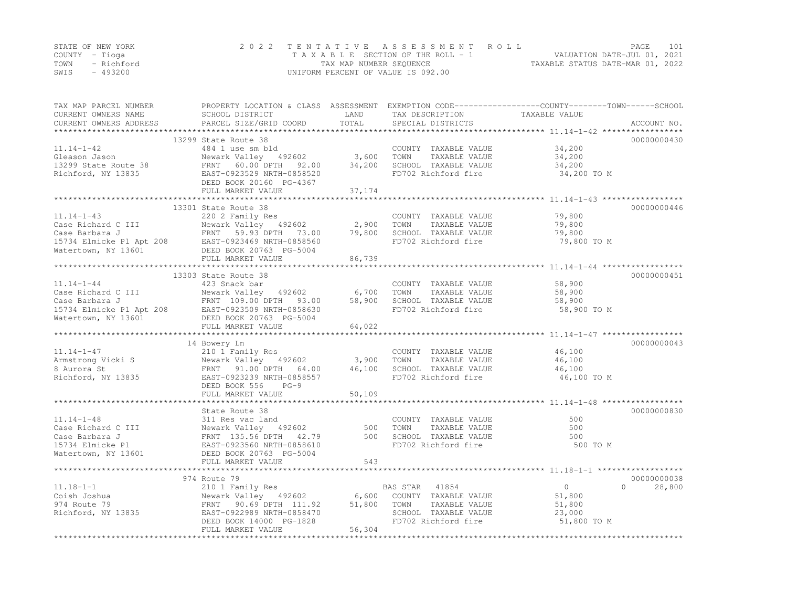|      | STATE OF NEW YORK | 2022 TENTATIVE ASSESSMENT ROLL     | PAGE.                            | 101 |
|------|-------------------|------------------------------------|----------------------------------|-----|
|      | COUNTY – Tioga    | TAXABLE SECTION OF THE ROLL - 1    | VALUATION DATE-JUL 01, 2021      |     |
| TOWN | - Richford        | TAX MAP NUMBER SEQUENCE            | TAXABLE STATUS DATE-MAR 01, 2022 |     |
| SWIS | - 493200          | UNIFORM PERCENT OF VALUE IS 092.00 |                                  |     |

| TAX MAP PARCEL NUMBER<br>CURRENT OWNERS NAME<br>CURRENT OWNERS ADDRESS | SCHOOL DISTRICT<br>PARCEL SIZE/GRID COORD                                                                                                                                                                                     | LAND<br>TOTAL | TAX DESCRIPTION<br>SPECIAL DISTRICTS          | PROPERTY LOCATION & CLASS ASSESSMENT EXEMPTION CODE----------------COUNTY-------TOWN------SCHOOL<br>TAXABLE VALUE<br>ACCOUNT NO. |        |
|------------------------------------------------------------------------|-------------------------------------------------------------------------------------------------------------------------------------------------------------------------------------------------------------------------------|---------------|-----------------------------------------------|----------------------------------------------------------------------------------------------------------------------------------|--------|
|                                                                        |                                                                                                                                                                                                                               |               |                                               |                                                                                                                                  |        |
|                                                                        | 13299 State Route 38                                                                                                                                                                                                          |               |                                               | 00000000430                                                                                                                      |        |
|                                                                        |                                                                                                                                                                                                                               |               | COUNTY TAXABLE VALUE                          | 34,200                                                                                                                           |        |
|                                                                        |                                                                                                                                                                                                                               |               | TOWN<br>TAXABLE VALUE<br>SCHOOL TAXABLE VALUE | 34,200                                                                                                                           |        |
|                                                                        |                                                                                                                                                                                                                               |               | FD702 Richford fire                           | 34,200<br>34,200 TO M                                                                                                            |        |
|                                                                        | DEED BOOK 20160 PG-4367                                                                                                                                                                                                       |               |                                               |                                                                                                                                  |        |
|                                                                        | FULL MARKET VALUE                                                                                                                                                                                                             | 37,174        |                                               |                                                                                                                                  |        |
|                                                                        |                                                                                                                                                                                                                               |               |                                               |                                                                                                                                  |        |
|                                                                        | 13301 State Route 38                                                                                                                                                                                                          |               |                                               | 00000000446                                                                                                                      |        |
| $11.14 - 1 - 43$                                                       | 220 2 Family Res                                                                                                                                                                                                              |               | COUNTY TAXABLE VALUE                          | 79,800                                                                                                                           |        |
|                                                                        |                                                                                                                                                                                                                               |               | TAXABLE VALUE<br>TOWN                         | 79,800                                                                                                                           |        |
|                                                                        |                                                                                                                                                                                                                               |               | SCHOOL TAXABLE VALUE                          | 79,800                                                                                                                           |        |
|                                                                        |                                                                                                                                                                                                                               |               | FD702 Richford fire                           | 79,800 TO M                                                                                                                      |        |
|                                                                        |                                                                                                                                                                                                                               |               |                                               |                                                                                                                                  |        |
|                                                                        | Case Richard C III Mewark Valley A92602 2,900<br>Case Barbara J FRNT 59.93 DPTH 73.00 79,800<br>15734 Elmicke P1 Apt 208 EAST-0923469 NRTH-0858560<br>Watertown, NY 13601 DEED BOOK 20763 PG-5004<br>PULL MARKET VALUE 86,739 |               |                                               |                                                                                                                                  |        |
|                                                                        |                                                                                                                                                                                                                               |               |                                               |                                                                                                                                  |        |
|                                                                        | 13303 State Route 38                                                                                                                                                                                                          |               |                                               | 00000000451                                                                                                                      |        |
| $11.14 - 1 - 44$                                                       | 423 Snack bar                                                                                                                                                                                                                 |               | COUNTY TAXABLE VALUE                          | 58,900                                                                                                                           |        |
|                                                                        |                                                                                                                                                                                                                               | 6,700         | TOWN<br>TAXABLE VALUE                         | 58,900                                                                                                                           |        |
|                                                                        |                                                                                                                                                                                                                               | 58,900        | SCHOOL TAXABLE VALUE                          | 58,900                                                                                                                           |        |
|                                                                        |                                                                                                                                                                                                                               |               | FD702 Richford fire                           | 58,900 TO M                                                                                                                      |        |
|                                                                        | Case Richard C III Newark Valley 492602<br>Case Barbara J FRNT 109.00 DPTH 93.00<br>15734 Elmicke P1 Apt 208 EAST-0923509 NRTH-0858630<br>Watertown, NY 13601 DEED BOOK 20763 PG-5004<br>FIILL MARKET VALUE                   |               |                                               |                                                                                                                                  |        |
|                                                                        | FULL MARKET VALUE                                                                                                                                                                                                             | 64,022        |                                               |                                                                                                                                  |        |
|                                                                        |                                                                                                                                                                                                                               |               |                                               |                                                                                                                                  |        |
|                                                                        | 14 Bowery Ln                                                                                                                                                                                                                  |               |                                               | 00000000043                                                                                                                      |        |
| $11.14 - 1 - 47$                                                       | 210 1 Family Res                                                                                                                                                                                                              |               | COUNTY TAXABLE VALUE                          | 46,100                                                                                                                           |        |
|                                                                        | Newark Valley 492602 3,900                                                                                                                                                                                                    |               | TOWN<br>TAXABLE VALUE                         | 46,100                                                                                                                           |        |
|                                                                        |                                                                                                                                                                                                                               |               | SCHOOL TAXABLE VALUE                          | 46,100                                                                                                                           |        |
|                                                                        | Armstrong Vicki S<br>8 Aurora St<br>8 Aurora St<br>Richford, NY 13835<br>EAST-0923239 NRTH-0858557<br>EAST-0923239 NRTH-0858557                                                                                               |               | FD702 Richford fire                           | 46,100 TO M                                                                                                                      |        |
|                                                                        | DEED BOOK 556<br>$PG-9$                                                                                                                                                                                                       |               |                                               |                                                                                                                                  |        |
|                                                                        | FULL MARKET VALUE                                                                                                                                                                                                             | 50,109        |                                               |                                                                                                                                  |        |
|                                                                        |                                                                                                                                                                                                                               |               |                                               |                                                                                                                                  |        |
|                                                                        | State Route 38                                                                                                                                                                                                                |               |                                               | 00000000830                                                                                                                      |        |
| $11.14 - 1 - 48$                                                       | 311 Res vac land<br>Newark Valley - 492602                                                                                                                                                                                    |               | COUNTY TAXABLE VALUE                          | 500                                                                                                                              |        |
|                                                                        |                                                                                                                                                                                                                               |               | TOWN<br>TAXABLE VALUE                         | 500                                                                                                                              |        |
|                                                                        |                                                                                                                                                                                                                               |               | SCHOOL TAXABLE VALUE                          | 500                                                                                                                              |        |
|                                                                        |                                                                                                                                                                                                                               |               | FD702 Richford fire                           | 500 TO M                                                                                                                         |        |
| Watertown, NY 13601                                                    | DEED BOOK 20763 PG-5004                                                                                                                                                                                                       | 543           |                                               |                                                                                                                                  |        |
|                                                                        | FULL MARKET VALUE                                                                                                                                                                                                             |               |                                               |                                                                                                                                  |        |
|                                                                        | 974 Route 79                                                                                                                                                                                                                  |               |                                               | 00000000038                                                                                                                      |        |
| $11.18 - 1 - 1$                                                        | 210 1 Family Res                                                                                                                                                                                                              |               | BAS STAR 41854                                | $\overline{0}$<br>$\Omega$                                                                                                       | 28,800 |
| Coish Joshua                                                           | Newark Valley 492602 6,600                                                                                                                                                                                                    |               | COUNTY TAXABLE VALUE                          | 51,800                                                                                                                           |        |
| 974 Route 79                                                           | FRNT 90.69 DPTH 111.92 51,800                                                                                                                                                                                                 |               | TAXABLE VALUE<br>TOWN                         | 51,800                                                                                                                           |        |
| Richford, NY 13835                                                     | EAST-0922989 NRTH-0858470                                                                                                                                                                                                     |               | SCHOOL TAXABLE VALUE                          | 23,000                                                                                                                           |        |
|                                                                        | DEED BOOK 14000 PG-1828                                                                                                                                                                                                       |               | FD702 Richford fire                           | 51,800 TO M                                                                                                                      |        |
|                                                                        | FULL MARKET VALUE                                                                                                                                                                                                             | 56,304        |                                               |                                                                                                                                  |        |
|                                                                        |                                                                                                                                                                                                                               |               |                                               |                                                                                                                                  |        |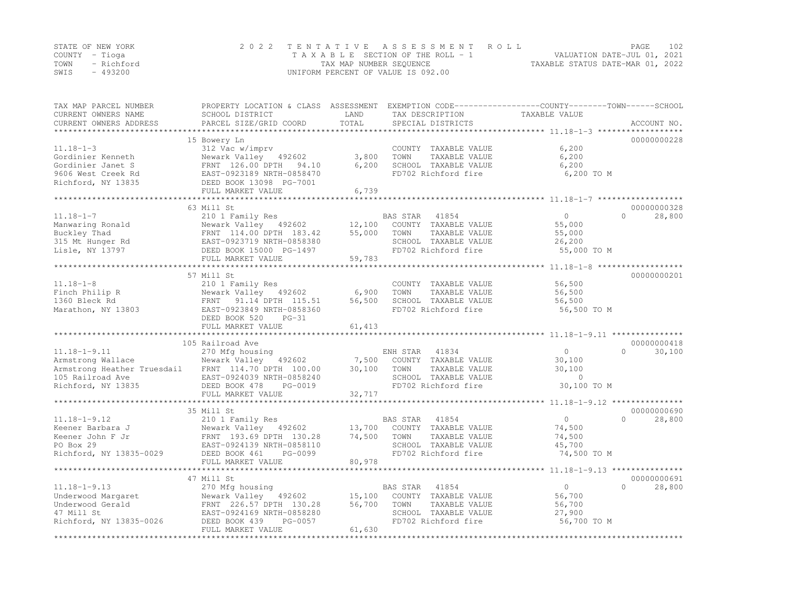|      | STATE OF NEW YORK | 2022 TENTATIVE ASSESSMENT ROLL     |                                  | PAGE | 102 |
|------|-------------------|------------------------------------|----------------------------------|------|-----|
|      | COUNTY – Tioga    | TAXABLE SECTION OF THE ROLL - 1    | VALUATION DATE-JUL 01, 2021      |      |     |
| TOWN | - Richford        | TAX MAP NUMBER SEQUENCE            | TAXABLE STATUS DATE-MAR 01, 2022 |      |     |
| SWIS | - 493200          | UNIFORM PERCENT OF VALUE IS 092.00 |                                  |      |     |

| TAX MAP PARCEL NUMBER<br>CURRENT OWNERS NAME<br>CURRENT OWNERS ADDRESS                                           | PROPERTY LOCATION & CLASS ASSESSMENT<br>SCHOOL DISTRICT<br>PARCEL SIZE/GRID COORD                                                                                    | LAND<br>TOTAL              | TAX DESCRIPTION<br>SPECIAL DISTRICTS                                                                              | EXEMPTION CODE-----------------COUNTY-------TOWN------SCHOOL<br>TAXABLE VALUE | ACCOUNT NO.                       |
|------------------------------------------------------------------------------------------------------------------|----------------------------------------------------------------------------------------------------------------------------------------------------------------------|----------------------------|-------------------------------------------------------------------------------------------------------------------|-------------------------------------------------------------------------------|-----------------------------------|
| ********************                                                                                             |                                                                                                                                                                      |                            |                                                                                                                   |                                                                               |                                   |
| $11.18 - 1 - 3$<br>Gordinier Kenneth<br>Gordinier Janet S<br>9606 West Creek Rd<br>Richford, NY 13835            | 15 Bowery Ln<br>312 Vac w/imprv<br>Newark Valley 492602<br>FRNT 126.00 DPTH 94.10<br>EAST-0923189 NRTH-0858470<br>DEED BOOK 13098 PG-7001<br>FULL MARKET VALUE       | 3,800<br>6,200<br>6,739    | COUNTY TAXABLE VALUE<br>TOWN<br>TAXABLE VALUE<br>SCHOOL TAXABLE VALUE<br>FD702 Richford fire                      | 6,200<br>6,200<br>6,200<br>6,200 TO M                                         | 00000000228                       |
|                                                                                                                  | ***********************                                                                                                                                              | **************             |                                                                                                                   |                                                                               |                                   |
|                                                                                                                  | 63 Mill St                                                                                                                                                           |                            |                                                                                                                   |                                                                               | 00000000328                       |
| $11.18 - 1 - 7$<br>Manwaring Ronald<br>Buckley Thad<br>315 Mt Hunger Rd<br>Lisle, NY 13797                       | 210 1 Family Res<br>Newark Valley 492602<br>FRNT 114.00 DPTH 183.42<br>EAST-0923719 NRTH-0858380<br>DEED BOOK 15000 PG-1497<br>FULL MARKET VALUE                     | 12,100<br>55,000<br>59,783 | BAS STAR<br>41854<br>COUNTY TAXABLE VALUE<br>TOWN<br>TAXABLE VALUE<br>SCHOOL TAXABLE VALUE<br>FD702 Richford fire | $\Omega$<br>55,000<br>55,000<br>26,200<br>55,000 TO M                         | $\Omega$<br>28,800                |
|                                                                                                                  |                                                                                                                                                                      |                            |                                                                                                                   |                                                                               |                                   |
| $11.18 - 1 - 8$<br>Finch Philip R<br>1360 Bleck Rd<br>Marathon, NY 13803                                         | 57 Mill St<br>210 1 Family Res<br>Newark Valley 492602<br>FRNT<br>91.14 DPTH 115.51<br>EAST-0923849 NRTH-0858360<br>DEED BOOK 520<br>$PG-31$<br>FULL MARKET VALUE    | 6,900<br>56,500<br>61,413  | COUNTY TAXABLE VALUE<br>TOWN<br>TAXABLE VALUE<br>SCHOOL TAXABLE VALUE<br>FD702 Richford fire                      | 56,500<br>56,500<br>56,500<br>56,500 TO M                                     | 00000000201                       |
|                                                                                                                  |                                                                                                                                                                      |                            |                                                                                                                   |                                                                               |                                   |
| $11.18 - 1 - 9.11$<br>Armstrong Wallace<br>Armstrong Heather Truesdail<br>105 Railroad Ave<br>Richford, NY 13835 | 105 Railroad Ave<br>270 Mfg housing<br>Newark Valley 492602<br>FRNT 114.70 DPTH 100.00<br>EAST-0924039 NRTH-0858240<br>DEED BOOK 478<br>PG-0019<br>FULL MARKET VALUE | 7,500<br>30,100<br>32,717  | ENH STAR<br>41834<br>COUNTY TAXABLE VALUE<br>TOWN<br>TAXABLE VALUE<br>SCHOOL TAXABLE VALUE<br>FD702 Richford fire | $\circ$<br>30,100<br>30,100<br>$\mathbf{0}$<br>30,100 TO M                    | 00000000418<br>$\Omega$<br>30,100 |
|                                                                                                                  | 35 Mill St                                                                                                                                                           |                            |                                                                                                                   |                                                                               | 00000000690                       |
| $11.18 - 1 - 9.12$<br>Keener Barbara J<br>Keener John F Jr<br>PO Box 29<br>Richford, NY 13835-0029               | 210 1 Family Res<br>Newark Valley 492602<br>FRNT 193.69 DPTH 130.28<br>EAST-0924139 NRTH-0858110<br>DEED BOOK 461<br>PG-0099<br>FULL MARKET VALUE                    | 13,700<br>74,500<br>80,978 | 41854<br>BAS STAR<br>COUNTY TAXABLE VALUE<br>TOWN<br>TAXABLE VALUE<br>SCHOOL TAXABLE VALUE<br>FD702 Richford fire | $\circ$<br>74,500<br>74,500<br>45,700<br>74,500 TO M                          | $\Omega$<br>28,800                |
|                                                                                                                  |                                                                                                                                                                      | ************               |                                                                                                                   | ***********************************11.18-1-9.13 ****************              |                                   |
| $11.18 - 1 - 9.13$<br>Underwood Margaret<br>Underwood Gerald<br>47 Mill St<br>Richford, NY 13835-0026            | 47 Mill St<br>270 Mfg housing<br>Newark Valley 492602<br>FRNT 226.57 DPTH 130.28<br>EAST-0924169 NRTH-0858280<br>DEED BOOK 439<br>PG-0057<br>FULL MARKET VALUE       | 15,100<br>56,700<br>61,630 | BAS STAR<br>41854<br>COUNTY TAXABLE VALUE<br>TAXABLE VALUE<br>TOWN<br>SCHOOL TAXABLE VALUE<br>FD702 Richford fire | $\circ$<br>56,700<br>56,700<br>27,900<br>56,700 TO M                          | 00000000691<br>$\Omega$<br>28,800 |
|                                                                                                                  | **************************                                                                                                                                           |                            |                                                                                                                   |                                                                               |                                   |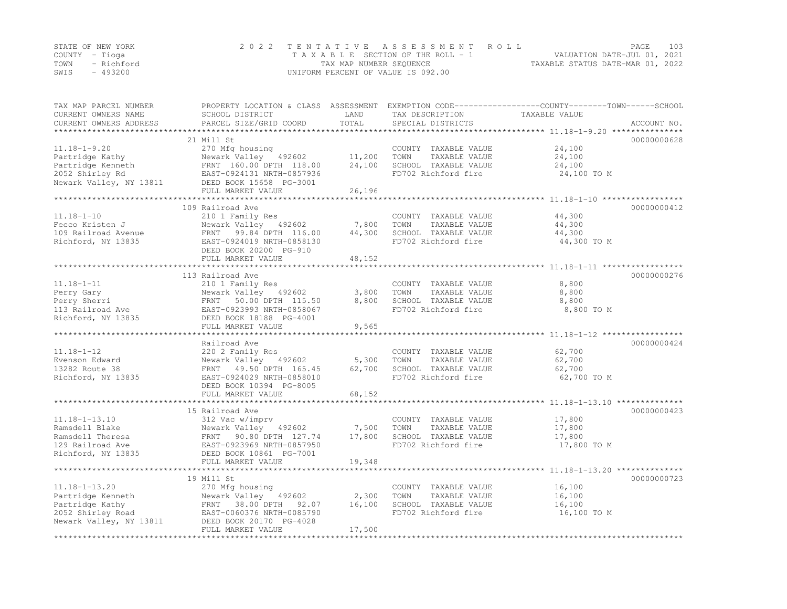|                | STATE OF NEW YORK | 2022 TENTATIVE ASSESSMENT ROLL                              | PAGE.                       | 103 |
|----------------|-------------------|-------------------------------------------------------------|-----------------------------|-----|
| COUNTY – Tioga |                   | TAXABLE SECTION OF THE ROLL - 1                             | VALUATION DATE-JUL 01, 2021 |     |
|                | TOWN - Richford   | TAXABLE STATUS DATE-MAR 01, 2022<br>TAX MAP NUMBER SEQUENCE |                             |     |
| SWIS           | - 493200          | UNIFORM PERCENT OF VALUE IS 092.00                          |                             |     |

| TAX MAP PARCEL NUMBER<br>CURRENT OWNERS NAME<br>CURRENT OWNERS ADDRESS                                      | SCHOOL DISTRICT<br>PARCEL SIZE/GRID COORD                                                                                                                                                      | LAND<br>TOTAL                          | TAX DESCRIPTION<br>SPECIAL DISTRICTS                                                         | PROPERTY LOCATION & CLASS ASSESSMENT EXEMPTION CODE----------------COUNTY-------TOWN-----SCHOOL<br>TAXABLE VALUE<br>ACCOUNT NO. |
|-------------------------------------------------------------------------------------------------------------|------------------------------------------------------------------------------------------------------------------------------------------------------------------------------------------------|----------------------------------------|----------------------------------------------------------------------------------------------|---------------------------------------------------------------------------------------------------------------------------------|
| $11.18 - 1 - 9.20$<br>Partridge Kathy<br>Partridge Kenneth<br>2052 Shirley Rd<br>Newark Valley, NY 13811    | 21 Mill St<br>270 Mfg housing<br>Newark Valley 492602<br>FRNT 160.00 DPTH 118.00<br>FRNT 160.00 DPTH 118.00<br>EAST-0924131 NRTH-0857936<br>DEED BOOK 15658 PG-3001<br>FULL MARKET VALUE       | 11,200<br>24,100<br>26,196             | COUNTY TAXABLE VALUE<br>TOWN<br>TAXABLE VALUE<br>SCHOOL TAXABLE VALUE<br>FD702 Richford fire | 00000000628<br>24,100<br>24,100<br>24,100<br>24,100 TO M                                                                        |
| $11.18 - 1 - 10$<br>Fecco Kristen J<br>109 Railroad Avenue<br>Richford, NY 13835                            | 109 Railroad Ave<br>210 1 Family Res<br>Newark Valley 492602<br>FRNT 99.84 DPTH 116.00<br>EAST-0924019 NRTH-0858130<br>DEED BOOK 20200 PG-910<br>FULL MARKET VALUE                             | 7,800<br>44,300<br>48,152              | COUNTY TAXABLE VALUE<br>TAXABLE VALUE<br>TOWN<br>SCHOOL TAXABLE VALUE<br>FD702 Richford fire | 00000000412<br>44,300<br>44,300<br>44,300<br>44,300 TO M                                                                        |
|                                                                                                             |                                                                                                                                                                                                |                                        |                                                                                              |                                                                                                                                 |
| $11.18 - 1 - 11$<br>Perry Gary<br>$\frac{1}{13}$ Railroad Ave<br>Richford, NY 13835                         | 113 Railroad Ave<br>210 1 Family Res<br>Newark Valley 492602<br>FRNT 50.00 DPTH 115.50<br>EAST-0923993 NRTH-0858067<br>DEED BOOK 18188 PG-4001<br>FULL MARKET VALUE                            | 3,800<br>8,800<br>9,565                | COUNTY TAXABLE VALUE<br>TOWN<br>TAXABLE VALUE<br>SCHOOL TAXABLE VALUE<br>FD702 Richford fire | 00000000276<br>8,800<br>8,800<br>8,800<br>8,800 TO M                                                                            |
|                                                                                                             |                                                                                                                                                                                                |                                        |                                                                                              |                                                                                                                                 |
| $11.18 - 1 - 12$<br>Evenson Edward<br>13282 Route 38<br>Richford, NY 13835                                  | Railroad Ave<br>220 2 Family Res<br>Newark Valley 492602<br>FRNT 49.50 DPTH 165.45<br>EAST-0924029 NRTH-0858010<br>DEED BOOK 10394 PG-8005<br>FULL MARKET VALUE<br>*************************** | 5,300<br>62,700<br>68,152<br>********* | COUNTY TAXABLE VALUE<br>TOWN<br>TAXABLE VALUE<br>SCHOOL TAXABLE VALUE<br>FD702 Richford fire | 00000000424<br>62,700<br>62,700<br>62,700<br>62,700 TO M                                                                        |
|                                                                                                             | 15 Railroad Ave                                                                                                                                                                                |                                        |                                                                                              | 00000000423                                                                                                                     |
| $11.18 - 1 - 13.10$<br>Ramsdell Blake<br>Ramsdell Theresa<br>129 Railroad Ave<br>Richford, NY 13835         | 312 Vac w/imprv<br>Newark Valley 492602<br>FRNT 90.80 DPTH 127.74<br>EAST-0923969 NRTH-0857950<br>DEED BOOK 10861 PG-7001<br>FULL MARKET VALUE                                                 | 7,500<br>17,800<br>19,348              | COUNTY TAXABLE VALUE<br>TAXABLE VALUE<br>TOWN<br>SCHOOL TAXABLE VALUE<br>FD702 Richford fire | 17,800<br>17,800<br>17,800<br>17,800 TO M                                                                                       |
|                                                                                                             |                                                                                                                                                                                                |                                        |                                                                                              |                                                                                                                                 |
| $11.18 - 1 - 13.20$<br>Partridge Kenneth<br>Partridge Kathy<br>2052 Shirley Road<br>Newark Valley, NY 13811 | 19 Mill St<br>270 Mfg housing<br>Newark Valley 492602<br>FRNT 38.00 DPTH 92.07<br>EAST-0060376 NRTH-0085790<br>13811 DEED BOOK 20170 PG-4028<br>FULL MARKET VALUE                              | 2,300<br>16, 100<br>17,500             | COUNTY TAXABLE VALUE<br>TAXABLE VALUE<br>TOWN<br>SCHOOL TAXABLE VALUE<br>FD702 Richford fire | 00000000723<br>16,100<br>16,100<br>16,100<br>16,100 TO M                                                                        |
|                                                                                                             |                                                                                                                                                                                                |                                        |                                                                                              |                                                                                                                                 |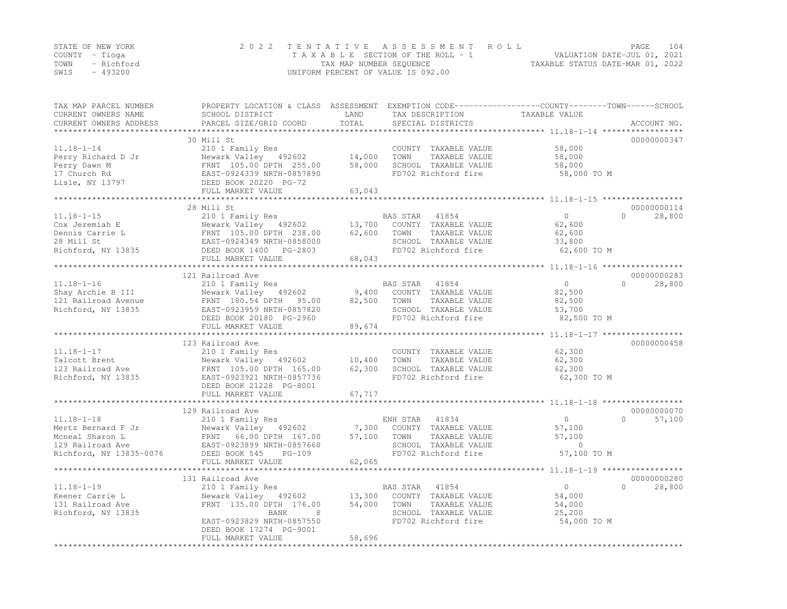|      | STATE OF NEW YORK | 2022 TENTATIVE ASSESSMENT ROLL     |                                  | PAGE | 104 |
|------|-------------------|------------------------------------|----------------------------------|------|-----|
|      | COUNTY – Tioga    | TAXABLE SECTION OF THE ROLL - 1    | VALUATION DATE-JUL 01, 2021      |      |     |
| TOWN | - Richford        | TAX MAP NUMBER SEQUENCE            | TAXABLE STATUS DATE-MAR 01, 2022 |      |     |
| SWIS | - 493200          | UNIFORM PERCENT OF VALUE IS 092.00 |                                  |      |     |

| TAX MAP PARCEL NUMBER<br>CURRENT OWNERS NAME<br>CURRENT OWNERS ADDRESS                                   | PROPERTY LOCATION & CLASS ASSESSMENT EXEMPTION CODE----------------COUNTY-------TOWN------SCHOOL<br>SCHOOL DISTRICT<br>PARCEL SIZE/GRID COORD                | LAND<br>TOTAL               | TAX DESCRIPTION<br>SPECIAL DISTRICTS                                                                              | TAXABLE VALUE                                             | ACCOUNT NO.                     |
|----------------------------------------------------------------------------------------------------------|--------------------------------------------------------------------------------------------------------------------------------------------------------------|-----------------------------|-------------------------------------------------------------------------------------------------------------------|-----------------------------------------------------------|---------------------------------|
| *******************                                                                                      |                                                                                                                                                              |                             |                                                                                                                   |                                                           |                                 |
| $11.18 - 1 - 14$<br>Perry Richard D Jr<br>Perry Dawn M<br>17 Church Rd                                   | 30 Mill St<br>210 1 Family Res<br>Newark Valley 492602<br>FRNT 105.00 DPTH 255.00<br>EAST-0924339 NRTH-0857890                                               | 14,000<br>58,000            | COUNTY TAXABLE VALUE<br>TOWN<br>TAXABLE VALUE<br>SCHOOL TAXABLE VALUE<br>FD702 Richford fire                      | 58,000<br>58,000<br>58,000<br>58,000 TO M                 | 00000000347                     |
| Lisle, NY 13797                                                                                          | DEED BOOK 20220 PG-72<br>FULL MARKET VALUE                                                                                                                   | 63,043                      |                                                                                                                   |                                                           |                                 |
|                                                                                                          | ****************                                                                                                                                             |                             |                                                                                                                   |                                                           |                                 |
|                                                                                                          | 28 Mill St                                                                                                                                                   |                             |                                                                                                                   |                                                           | 00000000114                     |
| $11.18 - 1 - 15$<br>Cox Jeremiah E<br>Dennis Carrie L<br>28 Mill St<br>Richford, NY 13835                | 210 1 Family Res<br>Newark Valley 492602<br>FRNT 105.00 DPTH 238.00<br>EAST-0924349 NRTH-0858000<br>DEED BOOK 1400 PG-2803                                   | 13,700<br>62,600            | BAS STAR<br>41854<br>COUNTY TAXABLE VALUE<br>TOWN<br>TAXABLE VALUE<br>SCHOOL TAXABLE VALUE<br>FD702 Richford fire | $\Omega$<br>62,600<br>62,600<br>33,800<br>62,600 TO M     | $\Omega$<br>28,800              |
|                                                                                                          | FULL MARKET VALUE                                                                                                                                            | 68,043                      |                                                                                                                   |                                                           |                                 |
|                                                                                                          | ******************************<br>121 Railroad Ave                                                                                                           |                             |                                                                                                                   |                                                           | 00000000283                     |
| $11.18 - 1 - 16$<br>Shay Archie B III<br>121 Railroad Avenue<br>Richford, NY 13835                       | 210 1 Family Res<br>Newark Valley 492602<br>FRNT 180.54 DPTH<br>95.00<br>EAST-0923959 NRTH-0857820<br>DEED BOOK 20180 PG-2960<br>FULL MARKET VALUE           | 9,400<br>82,500<br>89,674   | BAS STAR<br>41854<br>COUNTY TAXABLE VALUE<br>TOWN<br>TAXABLE VALUE<br>SCHOOL TAXABLE VALUE<br>FD702 Richford fire | $\mathbf{0}$<br>82,500<br>82,500<br>53,700<br>82,500 TO M | $\cap$<br>28,800                |
|                                                                                                          | *************************                                                                                                                                    |                             |                                                                                                                   | *********************** 11.18-1-17 ******************     |                                 |
| $11.18 - 1 - 17$<br>Talcott Brent<br>123 Railroad Ave<br>Richford, NY 13835                              | 123 Railroad Ave<br>210 1 Family Res<br>Newark Valley 492602<br>FRNT 105.00 DPTH 165.00<br>EAST-0923921 NRTH-0857736                                         | 10,400<br>62,300            | COUNTY TAXABLE VALUE<br>TOWN<br>TAXABLE VALUE<br>SCHOOL TAXABLE VALUE<br>FD702 Richford fire                      | 62,300<br>62,300<br>62,300<br>62,300 TO M                 | 00000000458                     |
|                                                                                                          | DEED BOOK 21228 PG-8001<br>FULL MARKET VALUE                                                                                                                 |                             |                                                                                                                   |                                                           |                                 |
|                                                                                                          | ***************************                                                                                                                                  | 67,717                      |                                                                                                                   |                                                           |                                 |
|                                                                                                          | 129 Railroad Ave                                                                                                                                             |                             |                                                                                                                   |                                                           | 00000000070                     |
| $11.18 - 1 - 18$<br>Mertz Bernard F Jr<br>Mcneal Sharon L<br>129 Railroad Ave<br>Richford, NY 13835-0076 | 210 1 Family Res<br>Newark Valley 492602<br>66.00 DPTH 167.00<br>FRNT<br>EAST-0923899 NRTH-0857660<br>DEED BOOK 545<br>PG-109                                | 7,300<br>57,100             | ENH STAR<br>41834<br>COUNTY TAXABLE VALUE<br>TOWN<br>TAXABLE VALUE<br>SCHOOL TAXABLE VALUE<br>FD702 Richford fire | $\circ$<br>57,100<br>57,100<br>$\circ$<br>57,100 TO M     | 57,100<br>$\Omega$              |
|                                                                                                          | FULL MARKET VALUE                                                                                                                                            | 62,065                      |                                                                                                                   |                                                           |                                 |
|                                                                                                          | *********************                                                                                                                                        |                             |                                                                                                                   |                                                           |                                 |
| $11.18 - 1 - 19$<br>Keener Carrie L<br>131 Railroad Ave<br>Richford, NY 13835                            | 131 Railroad Ave<br>210 1 Family Res<br>Newark Valley 492602<br>FRNT 135.00 DPTH 176.00<br>8<br>BANK<br>EAST-0923829 NRTH-0857550<br>DEED BOOK 17274 PG-9001 | 13,300<br>54,000            | BAS STAR<br>41854<br>COUNTY TAXABLE VALUE<br>TOWN<br>TAXABLE VALUE<br>SCHOOL TAXABLE VALUE<br>FD702 Richford fire | $\Omega$<br>54,000<br>54,000<br>25,200<br>54,000 TO M     | 00000000280<br>$\cap$<br>28,800 |
|                                                                                                          | FULL MARKET VALUE<br>************************                                                                                                                | 58,696<br>***************** |                                                                                                                   |                                                           |                                 |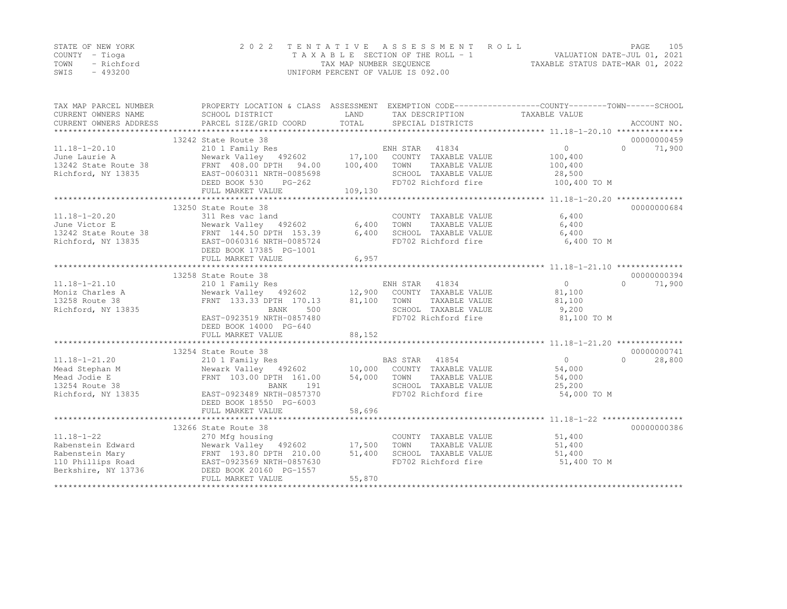|      | STATE OF NEW YORK | 2022 TENTATIVE ASSESSMENT ROLL     | 105<br>PAGE.                     |
|------|-------------------|------------------------------------|----------------------------------|
|      | COUNTY – Tioga    | TAXABLE SECTION OF THE ROLL - 1    | VALUATION DATE-JUL 01, 2021      |
| TOWN | - Richford        | TAX MAP NUMBER SEQUENCE            | TAXABLE STATUS DATE-MAR 01, 2022 |
| SWIS | - 493200          | UNIFORM PERCENT OF VALUE IS 092.00 |                                  |

| TAX MAP PARCEL NUMBER  | PROPERTY LOCATION & CLASS ASSESSMENT EXEMPTION CODE----------------COUNTY-------TOWN-----SCHOOL                                                                                                                                                        |         |                                                    |                      |                     |
|------------------------|--------------------------------------------------------------------------------------------------------------------------------------------------------------------------------------------------------------------------------------------------------|---------|----------------------------------------------------|----------------------|---------------------|
| CURRENT OWNERS NAME    | SCHOOL DISTRICT                                                                                                                                                                                                                                        | LAND    | TAX DESCRIPTION                                    | TAXABLE VALUE        |                     |
| CURRENT OWNERS ADDRESS |                                                                                                                                                                                                                                                        |         |                                                    |                      |                     |
|                        |                                                                                                                                                                                                                                                        |         |                                                    |                      |                     |
|                        | 13242 State Route 38                                                                                                                                                                                                                                   |         |                                                    |                      | 00000000459         |
|                        | 11.18-1-20.10<br>210 1 Family Res<br>3242 State Route 38<br>210 1 Family Res<br>210 1 Family Res<br>210 1 Family Res<br>210 1 Family Res<br>492602<br>217,100 COUNTY TAXABLE VALUE<br>21242 State Route 38<br>28 FRNT 408.00 DPTH 94.00<br>294.00<br>2 |         |                                                    | $\overline{0}$       | $\bigcap$<br>71,900 |
|                        |                                                                                                                                                                                                                                                        |         |                                                    | 100,400              |                     |
|                        |                                                                                                                                                                                                                                                        |         |                                                    | 100,400              |                     |
| Richford, NY 13835     | EAST-0060311 NRTH-0085698                                                                                                                                                                                                                              |         | SCHOOL TAXABLE VALUE                               | 28,500               |                     |
|                        | DEED BOOK 530 PG-262                                                                                                                                                                                                                                   |         | FD702 Richford fire                                | 100,400 TO M         |                     |
|                        | FULL MARKET VALUE                                                                                                                                                                                                                                      | 109,130 |                                                    |                      |                     |
|                        |                                                                                                                                                                                                                                                        |         |                                                    |                      |                     |
|                        | 13250 State Route 38                                                                                                                                                                                                                                   |         |                                                    |                      | 00000000684         |
|                        |                                                                                                                                                                                                                                                        |         | COUNTY TAXABLE VALUE                               | 6,400                |                     |
|                        |                                                                                                                                                                                                                                                        |         | TOWN      TAXABLE VALUE<br>SCHOOL   TAXABLE VALUE  | 6,400                |                     |
|                        |                                                                                                                                                                                                                                                        |         |                                                    | 6,400                |                     |
| Richford, NY 13835     | EAST-0060316 NRTH-0085724                                                                                                                                                                                                                              |         | FD702 Richford fire 6,400 TO M                     |                      |                     |
|                        | DEED BOOK 17385 PG-1001                                                                                                                                                                                                                                |         |                                                    |                      |                     |
|                        | FULL MARKET VALUE                                                                                                                                                                                                                                      | 6,957   |                                                    |                      |                     |
|                        |                                                                                                                                                                                                                                                        |         |                                                    |                      |                     |
|                        | 13258 State Route 38                                                                                                                                                                                                                                   |         |                                                    |                      | 00000000394         |
| $11.18 - 1 - 21.10$    | 210 1 Family Res                                                                                                                                                                                                                                       |         | ENH STAR 41834                                     | $\bigcirc$           | $\bigcap$<br>71,900 |
| Moniz Charles A        | Newark Valley (192602)<br>FRNT 133.33 DPTH 170.13 81,100 TOWN TAXABLE VALUE                                                                                                                                                                            |         |                                                    | 81,100               |                     |
| 13258 Route 38         |                                                                                                                                                                                                                                                        |         |                                                    | 81,100               |                     |
| Richford, NY 13835     | BANK                                                                                                                                                                                                                                                   | 500     | SCHOOL TAXABLE VALUE                               | 9,200                |                     |
|                        | EAST-0923519 NRTH-0857480                                                                                                                                                                                                                              |         | FD702 Richford fire                                | 81,100 TO M          |                     |
|                        | DEED BOOK 14000 PG-640                                                                                                                                                                                                                                 |         |                                                    |                      |                     |
|                        | FULL MARKET VALUE                                                                                                                                                                                                                                      | 88,152  |                                                    |                      |                     |
|                        |                                                                                                                                                                                                                                                        |         |                                                    |                      | 00000000741         |
|                        | 13254 State Route 38                                                                                                                                                                                                                                   |         |                                                    |                      | $\Omega$            |
|                        |                                                                                                                                                                                                                                                        |         |                                                    | $\overline{0}$       | 28,800              |
|                        |                                                                                                                                                                                                                                                        |         |                                                    | 54,000               |                     |
|                        |                                                                                                                                                                                                                                                        |         | TAXABLE VALUE                                      | 54,000               |                     |
|                        |                                                                                                                                                                                                                                                        |         | SCHOOL TAXABLE VALUE                               | 25,200               |                     |
|                        | DEED BOOK 18550 PG-6003                                                                                                                                                                                                                                |         |                                                    | 54,000 TO M          |                     |
|                        | FULL MARKET VALUE                                                                                                                                                                                                                                      | 58,696  |                                                    |                      |                     |
|                        |                                                                                                                                                                                                                                                        |         |                                                    |                      |                     |
|                        | 13266 State Route 38                                                                                                                                                                                                                                   |         |                                                    |                      | 00000000386         |
| $11.18 - 1 - 22$       |                                                                                                                                                                                                                                                        |         | COUNTY TAXABLE VALUE                               | 51,400               |                     |
|                        | 270 Mfg housing                                                                                                                                                                                                                                        |         | TOWN                                               | TAXABLE VALUE 51,400 |                     |
|                        |                                                                                                                                                                                                                                                        |         |                                                    |                      |                     |
|                        |                                                                                                                                                                                                                                                        |         | SCHOOL TAXABLE VALUE 51,400<br>FD702 Richford fire | 51,400 TO M          |                     |
| Berkshire, NY 13736    | DEED BOOK 20160 PG-1557                                                                                                                                                                                                                                |         |                                                    |                      |                     |
|                        | FULL MARKET VALUE                                                                                                                                                                                                                                      | 55,870  |                                                    |                      |                     |
|                        |                                                                                                                                                                                                                                                        |         |                                                    |                      |                     |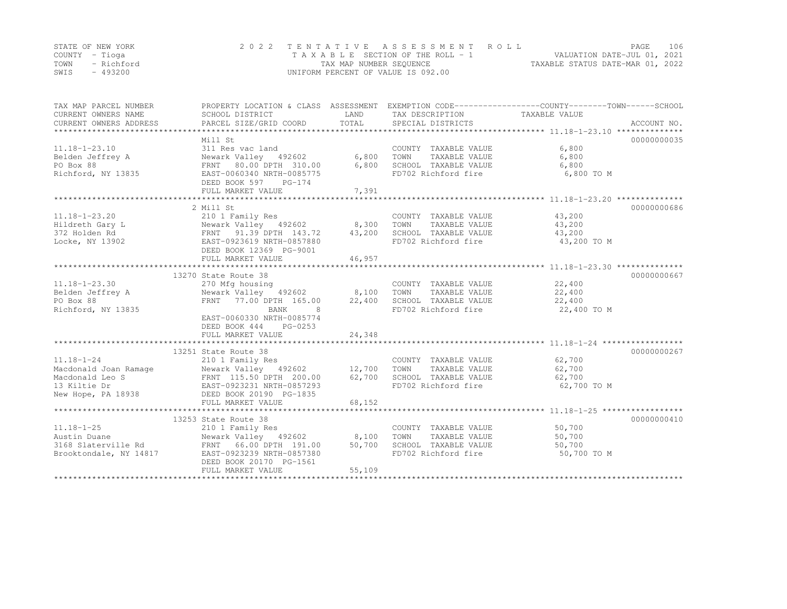|                | STATE OF NEW YORK | 2022 TENTATIVE ASSESSMENT ROLL                                 | PAGE. | 106 |
|----------------|-------------------|----------------------------------------------------------------|-------|-----|
| COUNTY – Tioga |                   | VALUATION DATE-JUL 01, 2021<br>TAXABLE SECTION OF THE ROLL - 1 |       |     |
|                | TOWN - Richford   | TAXABLE STATUS DATE-MAR 01, 2022<br>TAX MAP NUMBER SEQUENCE    |       |     |
| SWIS           | - 493200          | UNIFORM PERCENT OF VALUE IS 092.00                             |       |     |

| TAX MAP PARCEL NUMBER<br>CURRENT OWNERS NAME                                                                                                                           | SCHOOL DISTRICT                                                                                     | LAND   | TAX DESCRIPTION TAXABLE VALUE               | PROPERTY LOCATION & CLASS ASSESSMENT EXEMPTION CODE-----------------COUNTY-------TOWN------SCHOOL<br>ACCOUNT NO. |  |
|------------------------------------------------------------------------------------------------------------------------------------------------------------------------|-----------------------------------------------------------------------------------------------------|--------|---------------------------------------------|------------------------------------------------------------------------------------------------------------------|--|
|                                                                                                                                                                        |                                                                                                     |        |                                             |                                                                                                                  |  |
|                                                                                                                                                                        | Mill St                                                                                             |        |                                             | 00000000035                                                                                                      |  |
| $11.18 - 1 - 23.10$                                                                                                                                                    | 311 Res vac land                                                                                    |        | COUNTY TAXABLE VALUE                        | 6,800                                                                                                            |  |
|                                                                                                                                                                        |                                                                                                     |        | TOWN<br>TAXABLE VALUE                       | 6,800                                                                                                            |  |
|                                                                                                                                                                        |                                                                                                     |        |                                             | 6,800                                                                                                            |  |
| Felden Jeffrey A<br>Pelden Jeffrey A<br>Pelden Jeffrey A<br>Rewark Valley 492602<br>FRNT 80.00 DPTH 310.00<br>6,800<br>Richford, NY 13835<br>EAST-0060340 NRTH-0085775 |                                                                                                     |        | SCHOOL TAXABLE VALUE<br>FD702 Richford fire | 6,800 TO M                                                                                                       |  |
|                                                                                                                                                                        | DEED BOOK 597 PG-174                                                                                |        |                                             |                                                                                                                  |  |
|                                                                                                                                                                        | FULL MARKET VALUE                                                                                   | 7,391  |                                             |                                                                                                                  |  |
|                                                                                                                                                                        |                                                                                                     |        |                                             |                                                                                                                  |  |
|                                                                                                                                                                        | 2 Mill St                                                                                           |        |                                             | 00000000686                                                                                                      |  |
| $11.18 - 1 - 23.20$                                                                                                                                                    | 210 1 Family Res                                                                                    |        | COUNTY TAXABLE VALUE                        | $43,200$<br>$43,200$                                                                                             |  |
| Hildreth Gary L                                                                                                                                                        |                                                                                                     |        |                                             | 43,200                                                                                                           |  |
| 372 Holden Rd                                                                                                                                                          |                                                                                                     |        | SCHOOL TAXABLE VALUE 43,200                 |                                                                                                                  |  |
| Locke, NY 13902                                                                                                                                                        |                                                                                                     |        | FD702 Richford fire                         | 43,200 TO M                                                                                                      |  |
|                                                                                                                                                                        | DEED BOOK 12369 PG-9001                                                                             |        |                                             |                                                                                                                  |  |
|                                                                                                                                                                        | FULL MARKET VALUE                                                                                   | 46,957 |                                             |                                                                                                                  |  |
|                                                                                                                                                                        |                                                                                                     |        |                                             |                                                                                                                  |  |
|                                                                                                                                                                        | 13270 State Route 38                                                                                |        |                                             | 00000000667                                                                                                      |  |
| $11.18 - 1 - 23.30$                                                                                                                                                    | 270 Mfg housing                                                                                     |        | COUNTY TAXABLE VALUE 22,400                 |                                                                                                                  |  |
| Belden Jeffrey A                                                                                                                                                       | Newark Valley 492602 8,100 TOWN TAXABLE VALUE<br>FRNT 77.00 DPTH 165.00 22,400 SCHOOL TAXABLE VALUE |        |                                             | 22,400<br>22,400                                                                                                 |  |
| PO Box 88                                                                                                                                                              |                                                                                                     |        |                                             |                                                                                                                  |  |
| Richford, NY 13835                                                                                                                                                     | BANK<br>$_{\rm 8}$                                                                                  |        | FD702 Richford fire                         | 22,400 TO M                                                                                                      |  |
|                                                                                                                                                                        | EAST-0060330 NRTH-0085774                                                                           |        |                                             |                                                                                                                  |  |
|                                                                                                                                                                        | DEED BOOK 444 PG-0253                                                                               |        |                                             |                                                                                                                  |  |
|                                                                                                                                                                        | FULL MARKET VALUE                                                                                   | 24,348 |                                             |                                                                                                                  |  |
|                                                                                                                                                                        |                                                                                                     |        |                                             |                                                                                                                  |  |
|                                                                                                                                                                        | 13251 State Route 38                                                                                |        |                                             | 00000000267                                                                                                      |  |
| $11.18 - 1 - 24$                                                                                                                                                       | 210 1 Family Res                                                                                    |        | COUNTY TAXABLE VALUE                        | 62,700                                                                                                           |  |
|                                                                                                                                                                        |                                                                                                     |        | TOWN<br>TAXABLE VALUE                       | 62,700                                                                                                           |  |
|                                                                                                                                                                        |                                                                                                     |        | SCHOOL TAXABLE VALUE                        | 62,700                                                                                                           |  |
|                                                                                                                                                                        |                                                                                                     |        |                                             | FD702 Richford fire 62,700 TO M                                                                                  |  |
| New Hope, PA 18938 DEED BOOK 20190 PG-1835                                                                                                                             |                                                                                                     |        |                                             |                                                                                                                  |  |
|                                                                                                                                                                        | FULL MARKET VALUE                                                                                   | 68,152 |                                             |                                                                                                                  |  |
|                                                                                                                                                                        |                                                                                                     |        |                                             |                                                                                                                  |  |
|                                                                                                                                                                        | 13253 State Route 38                                                                                |        |                                             | 00000000410                                                                                                      |  |
| $11.18 - 1 - 25$                                                                                                                                                       | 210 1 Family Res                                                                                    |        | COUNTY TAXABLE VALUE 50,700                 |                                                                                                                  |  |
| Austin Duane                                                                                                                                                           | Newark Valley 492602 8,100                                                                          |        | TAXABLE VALUE 50,700<br>TOWN                |                                                                                                                  |  |
|                                                                                                                                                                        |                                                                                                     |        | SCHOOL TAXABLE VALUE                        | 50,700                                                                                                           |  |
| Brooktondale, NY 14817                                                                                                                                                 |                                                                                                     |        | FD702 Richford fire                         | 50,700 TO M                                                                                                      |  |
|                                                                                                                                                                        | DEED BOOK 20170 PG-1561                                                                             |        |                                             |                                                                                                                  |  |
|                                                                                                                                                                        | FULL MARKET VALUE                                                                                   | 55,109 |                                             |                                                                                                                  |  |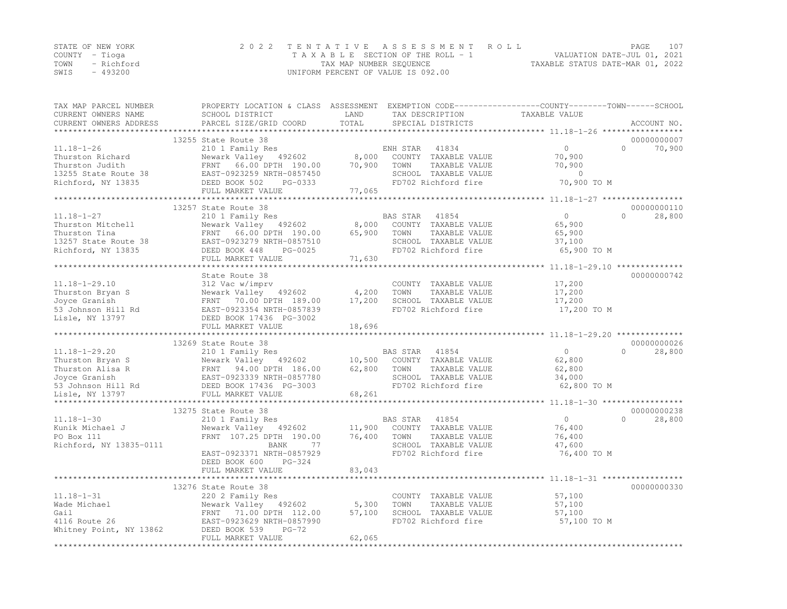|      | STATE OF NEW YORK | 2022 TENTATIVE ASSESSMENT ROLL                                 | PAGE. | 107 |
|------|-------------------|----------------------------------------------------------------|-------|-----|
|      | COUNTY – Tioga    | VALUATION DATE-JUL 01, 2021<br>TAXABLE SECTION OF THE ROLL - 1 |       |     |
|      | TOWN - Richford   | TAXABLE STATUS DATE-MAR 01, 2022<br>TAX MAP NUMBER SEQUENCE    |       |     |
| SWIS | - 493200          | UNIFORM PERCENT OF VALUE IS 092.00                             |       |     |

| TAX MAP PARCEL NUMBER   | PROPERTY LOCATION & CLASS ASSESSMENT EXEMPTION CODE----------------COUNTY-------TOWN-----SCHOOL |        |                       |                                                                     |                     |
|-------------------------|-------------------------------------------------------------------------------------------------|--------|-----------------------|---------------------------------------------------------------------|---------------------|
| CURRENT OWNERS NAME     | SCHOOL DISTRICT                                                                                 | LAND   | TAX DESCRIPTION       | TAXABLE VALUE                                                       |                     |
| CURRENT OWNERS ADDRESS  | PARCEL SIZE/GRID COORD                                                                          | TOTAL  | SPECIAL DISTRICTS     |                                                                     | ACCOUNT NO.         |
|                         |                                                                                                 |        |                       |                                                                     |                     |
|                         | 13255 State Route 38                                                                            |        |                       |                                                                     | 00000000007         |
| $11.18 - 1 - 26$        | 210 1 Family Res                                                                                |        | ENH STAR<br>41834     | $\circ$                                                             | $\bigcap$<br>70,900 |
| Thurston Richard        | Newark Valley 492602                                                                            | 8,000  | COUNTY TAXABLE VALUE  | 70,900                                                              |                     |
| Thurston Judith         | FRNT 66.00 DPTH 190.00                                                                          | 70,900 | TOWN<br>TAXABLE VALUE | 70,900                                                              |                     |
| 13255 State Route 38    | EAST-0923259 NRTH-0857450                                                                       |        | SCHOOL TAXABLE VALUE  | $\overline{0}$                                                      |                     |
| Richford, NY 13835      | DEED BOOK 502<br>PG-0333                                                                        |        | FD702 Richford fire   | 70,900 TO M                                                         |                     |
|                         | FULL MARKET VALUE                                                                               | 77,065 |                       |                                                                     |                     |
|                         |                                                                                                 |        |                       |                                                                     |                     |
|                         | 13257 State Route 38                                                                            |        |                       |                                                                     | 00000000110         |
| $11.18 - 1 - 27$        | 210 1 Family Res                                                                                |        | BAS STAR<br>41854     | $\circ$                                                             | $\Omega$<br>28,800  |
| Thurston Mitchell       | Newark Valley 492602                                                                            | 8,000  | COUNTY TAXABLE VALUE  | 65,900                                                              |                     |
| Thurston Tina           | FRNT 66.00 DPTH 190.00                                                                          | 65,900 | TOWN<br>TAXABLE VALUE | 65,900                                                              |                     |
| 13257 State Route 38    | EAST-0923279 NRTH-0857510                                                                       |        | SCHOOL TAXABLE VALUE  | 37,100                                                              |                     |
| Richford, NY 13835      | DEED BOOK 448<br>PG-0025                                                                        |        | FD702 Richford fire   | 65,900 TO M                                                         |                     |
|                         | FULL MARKET VALUE                                                                               | 71,630 |                       |                                                                     |                     |
|                         |                                                                                                 |        |                       | ************************************* 11.18–1–29.10 *************** |                     |
|                         | State Route 38                                                                                  |        |                       |                                                                     | 00000000742         |
| $11.18 - 1 - 29.10$     | 312 Vac w/imprv                                                                                 |        | COUNTY TAXABLE VALUE  | 17,200                                                              |                     |
| Thurston Bryan S        | Newark Valley 492602                                                                            | 4,200  | TOWN<br>TAXABLE VALUE | 17,200                                                              |                     |
| Joyce Granish           | FRNT 70.00 DPTH 189.00                                                                          | 17,200 | SCHOOL TAXABLE VALUE  | 17,200                                                              |                     |
| 53 Johnson Hill Rd      | EAST-0923354 NRTH-0857839                                                                       |        | FD702 Richford fire   | 17,200 TO M                                                         |                     |
| Lisle, NY 13797         | DEED BOOK 17436 PG-3002                                                                         |        |                       |                                                                     |                     |
|                         | FULL MARKET VALUE                                                                               | 18,696 |                       |                                                                     |                     |
|                         |                                                                                                 |        |                       |                                                                     |                     |
|                         | 13269 State Route 38                                                                            |        |                       |                                                                     | 00000000026         |
| $11.18 - 1 - 29.20$     | 210 1 Family Res                                                                                |        | BAS STAR<br>41854     | $\circ$                                                             | 28,800<br>$\Omega$  |
| Thurston Bryan S        | Newark Valley 492602                                                                            | 10,500 | COUNTY TAXABLE VALUE  | 62,800                                                              |                     |
| Thurston Alisa R        | FRNT 94.00 DPTH 186.00                                                                          | 62,800 | TOWN<br>TAXABLE VALUE | 62,800                                                              |                     |
| Joyce Granish           | EAST-0923339 NRTH-0857780                                                                       |        | SCHOOL TAXABLE VALUE  | 34,000                                                              |                     |
| 53 Johnson Hill Rd      | DEED BOOK 17436 PG-3003                                                                         |        | FD702 Richford fire   | 62,800 TO M                                                         |                     |
| Lisle, NY 13797         | FULL MARKET VALUE                                                                               | 68,261 |                       |                                                                     |                     |
|                         |                                                                                                 |        |                       |                                                                     |                     |
|                         | 13275 State Route 38                                                                            |        |                       |                                                                     | 00000000238         |
| $11.18 - 1 - 30$        | 210 1 Family Res                                                                                |        | BAS STAR<br>41854     | $\circ$                                                             | $\Omega$<br>28,800  |
| Kunik Michael J         | Newark Valley 492602                                                                            | 11,900 | COUNTY TAXABLE VALUE  | 76,400                                                              |                     |
| PO Box 111              | FRNT 107.25 DPTH 190.00                                                                         | 76,400 | TOWN<br>TAXABLE VALUE | 76,400                                                              |                     |
| Richford, NY 13835-0111 | 77<br>BANK                                                                                      |        | SCHOOL TAXABLE VALUE  | 47,600                                                              |                     |
|                         | EAST-0923371 NRTH-0857929                                                                       |        | FD702 Richford fire   | 76,400 TO M                                                         |                     |
|                         | DEED BOOK 600<br>$PG-324$                                                                       |        |                       |                                                                     |                     |
|                         | FULL MARKET VALUE                                                                               | 83,043 |                       |                                                                     |                     |
|                         |                                                                                                 |        |                       | ******** 11.18-1-31 *****                                           |                     |
|                         | 13276 State Route 38                                                                            |        |                       |                                                                     | 00000000330         |
| $11.18 - 1 - 31$        | 220 2 Family Res                                                                                |        | COUNTY TAXABLE VALUE  | 57,100                                                              |                     |
| Wade Michael            | Newark Valley 492602                                                                            | 5,300  | TOWN<br>TAXABLE VALUE | 57,100                                                              |                     |
| Gail                    | FRNT 71.00 DPTH 112.00                                                                          | 57,100 | SCHOOL TAXABLE VALUE  | 57,100                                                              |                     |
| 4116 Route 26           | EAST-0923629 NRTH-0857990                                                                       |        | FD702 Richford fire   | 57,100 TO M                                                         |                     |
| Whitney Point, NY 13862 | DEED BOOK 539<br>$PG-72$                                                                        |        |                       |                                                                     |                     |
|                         | FULL MARKET VALUE                                                                               | 62,065 |                       |                                                                     |                     |
|                         |                                                                                                 |        |                       |                                                                     |                     |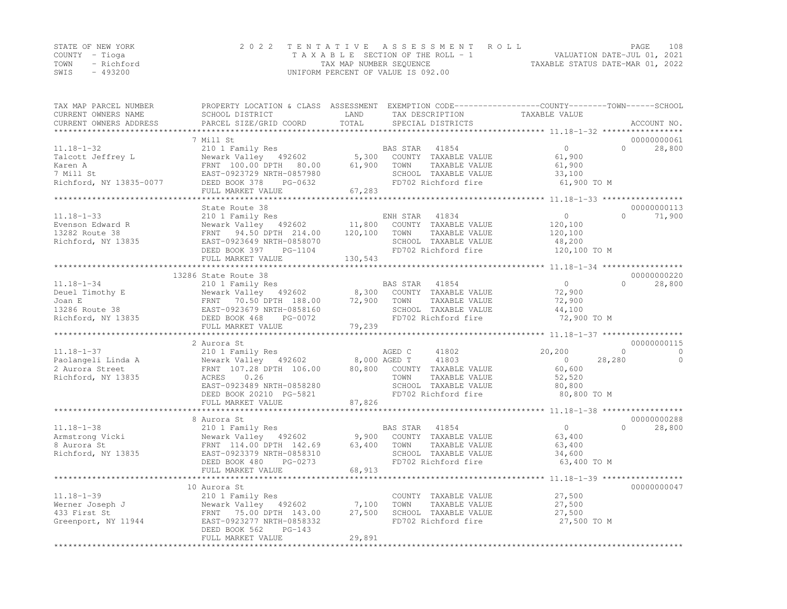|                | STATE OF NEW YORK | 2022 TENTATIVE ASSESSMENT ROLL     | PAGE.                            | 108 |
|----------------|-------------------|------------------------------------|----------------------------------|-----|
| COUNTY – Tioga |                   | TAXABLE SECTION OF THE ROLL - 1    | VALUATION DATE-JUL 01, 2021      |     |
|                | TOWN - Richford   | TAX MAP NUMBER SEQUENCE            | TAXABLE STATUS DATE-MAR 01, 2022 |     |
| SWIS           | - 493200          | UNIFORM PERCENT OF VALUE IS 092.00 |                                  |     |

| TAX MAP PARCEL NUMBER<br>CURRENT OWNERS NAME<br>CURRENT OWNERS ADDRESS | PROPERTY LOCATION & CLASS ASSESSMENT EXEMPTION CODE-----------------COUNTY-------TOWN------SCHOOL<br>SCHOOL DISTRICT<br>PARCEL SIZE/GRID COORD | LAND<br>TOTAL       | TAX DESCRIPTION<br>SPECIAL DISTRICTS | TAXABLE VALUE                                       |           |             |
|------------------------------------------------------------------------|------------------------------------------------------------------------------------------------------------------------------------------------|---------------------|--------------------------------------|-----------------------------------------------------|-----------|-------------|
|                                                                        |                                                                                                                                                | ******************  |                                      | ********************* 11.18-1-32 ****************** |           | ACCOUNT NO. |
|                                                                        | 7 Mill St                                                                                                                                      |                     |                                      |                                                     |           | 00000000061 |
| $11.18 - 1 - 32$                                                       | 210 1 Family Res                                                                                                                               |                     | BAS STAR<br>41854                    | $\circ$                                             | $\Omega$  | 28,800      |
| Talcott Jeffrey L                                                      | Newark Valley 492602                                                                                                                           | 5,300               | COUNTY TAXABLE VALUE                 | 61,900                                              |           |             |
| Karen A                                                                | FRNT 100.00 DPTH<br>80.00                                                                                                                      | 61,900              | TOWN<br>TAXABLE VALUE                | 61,900                                              |           |             |
| 7 Mill St                                                              | EAST-0923729 NRTH-0857980                                                                                                                      |                     | SCHOOL TAXABLE VALUE                 | 33,100                                              |           |             |
| Richford, NY 13835-0077                                                | DEED BOOK 378<br>PG-0632                                                                                                                       |                     | FD702 Richford fire                  | 61,900 TO M                                         |           |             |
|                                                                        | FULL MARKET VALUE                                                                                                                              | 67,283              |                                      |                                                     |           |             |
|                                                                        | State Route 38                                                                                                                                 |                     |                                      |                                                     |           | 00000000113 |
| $11.18 - 1 - 33$                                                       | 210 1 Family Res                                                                                                                               |                     | ENH STAR<br>41834                    | $\circ$                                             | $\bigcap$ | 71,900      |
| Evenson Edward R                                                       | Newark Valley 492602                                                                                                                           | 11,800              | COUNTY TAXABLE VALUE                 | 120,100                                             |           |             |
| 13282 Route 38                                                         | FRNT 94.50 DPTH 214.00                                                                                                                         | 120,100             | TOWN<br>TAXABLE VALUE                | 120,100                                             |           |             |
| Richford, NY 13835                                                     | EAST-0923649 NRTH-0858070                                                                                                                      |                     | SCHOOL TAXABLE VALUE                 | 48,200                                              |           |             |
|                                                                        | DEED BOOK 397<br>PG-1104                                                                                                                       |                     | FD702 Richford fire                  | 120,100 TO M                                        |           |             |
|                                                                        | FULL MARKET VALUE                                                                                                                              | 130,543             |                                      |                                                     |           |             |
|                                                                        |                                                                                                                                                |                     |                                      |                                                     |           |             |
|                                                                        | 13286 State Route 38                                                                                                                           |                     |                                      |                                                     |           | 00000000220 |
| $11.18 - 1 - 34$                                                       | 210 1 Family Res                                                                                                                               |                     | BAS STAR 41854                       | $\overline{0}$                                      | $\bigcap$ | 28,800      |
| Deuel Timothy E                                                        | Newark Valley 492602                                                                                                                           | 8,300               | COUNTY TAXABLE VALUE                 | 72,900                                              |           |             |
| Joan E                                                                 | FRNT 70.50 DPTH 188.00                                                                                                                         | 72,900              | TAXABLE VALUE<br>TOWN                | 72,900                                              |           |             |
| 13286 Route 38                                                         | EAST-0923679 NRTH-0858160                                                                                                                      |                     | SCHOOL TAXABLE VALUE                 | 44,100                                              |           |             |
| Richford, NY 13835                                                     | DEED BOOK 468<br>PG-0072                                                                                                                       |                     | FD702 Richford fire                  | 72,900 TO M                                         |           |             |
|                                                                        | FULL MARKET VALUE<br>**********************                                                                                                    | 79,239<br>********* |                                      | ********************* 11.18-1-37 ****************** |           |             |
|                                                                        | 2 Aurora St                                                                                                                                    |                     |                                      |                                                     |           | 00000000115 |
| $11.18 - 1 - 37$                                                       | 210 1 Family Res                                                                                                                               |                     | AGED C<br>41802                      | 20,200                                              | $\Omega$  | $\Omega$    |
| Paolangeli Linda A                                                     | Newark Valley 492602                                                                                                                           | 8,000 AGED T        | 41803                                | $\overline{0}$                                      | 28,280    | $\circ$     |
| 2 Aurora Street                                                        | FRNT 107.28 DPTH 106.00                                                                                                                        | 80,800              | COUNTY TAXABLE VALUE                 | 60,600                                              |           |             |
| Richford, NY 13835                                                     | 0.26<br>ACRES                                                                                                                                  |                     | TOWN<br>TAXABLE VALUE                | 52,520                                              |           |             |
|                                                                        | EAST-0923489 NRTH-0858280                                                                                                                      |                     | SCHOOL TAXABLE VALUE                 | 80,800                                              |           |             |
|                                                                        | DEED BOOK 20210 PG-5821                                                                                                                        |                     | FD702 Richford fire                  | 80,800 TO M                                         |           |             |
|                                                                        | FULL MARKET VALUE                                                                                                                              | 87,826              |                                      |                                                     |           |             |
|                                                                        | ***********************                                                                                                                        |                     |                                      |                                                     |           |             |
|                                                                        | 8 Aurora St                                                                                                                                    |                     |                                      |                                                     |           | 00000000288 |
| $11.18 - 1 - 38$                                                       | 210 1 Family Res                                                                                                                               |                     | BAS STAR 41854                       | $\circ$                                             | $\bigcap$ | 28,800      |
| Armstrong Vicki                                                        | Newark Valley 492602                                                                                                                           | 9,900               | COUNTY TAXABLE VALUE                 | 63,400                                              |           |             |
| 8 Aurora St                                                            | FRNT 114.00 DPTH 142.69                                                                                                                        | 63,400              | TOWN<br>TAXABLE VALUE                | 63,400                                              |           |             |
| Richford, NY 13835                                                     | EAST-0923379 NRTH-0858310                                                                                                                      |                     | SCHOOL TAXABLE VALUE                 | 34,600                                              |           |             |
|                                                                        | DEED BOOK 480<br>PG-0273                                                                                                                       |                     | FD702 Richford fire                  | 63,400 TO M                                         |           |             |
|                                                                        | FULL MARKET VALUE                                                                                                                              | 68,913              |                                      |                                                     |           |             |
|                                                                        | 10 Aurora St                                                                                                                                   |                     |                                      |                                                     |           | 00000000047 |
| $11.18 - 1 - 39$                                                       | 210 1 Family Res                                                                                                                               |                     | COUNTY TAXABLE VALUE                 | 27,500                                              |           |             |
| Werner Joseph J                                                        | Newark Valley 492602                                                                                                                           | 7,100               | TOWN<br>TAXABLE VALUE                | 27,500                                              |           |             |
| 433 First St                                                           | FRNT 75.00 DPTH 143.00                                                                                                                         | 27,500              | SCHOOL TAXABLE VALUE                 | 27,500                                              |           |             |
| Greenport, NY 11944                                                    | EAST-0923277 NRTH-0858332                                                                                                                      |                     | FD702 Richford fire                  | 27,500 TO M                                         |           |             |
|                                                                        | DEED BOOK 562<br>$PG-143$                                                                                                                      |                     |                                      |                                                     |           |             |
|                                                                        | FULL MARKET VALUE                                                                                                                              | 29,891              |                                      |                                                     |           |             |
|                                                                        |                                                                                                                                                |                     |                                      |                                                     |           |             |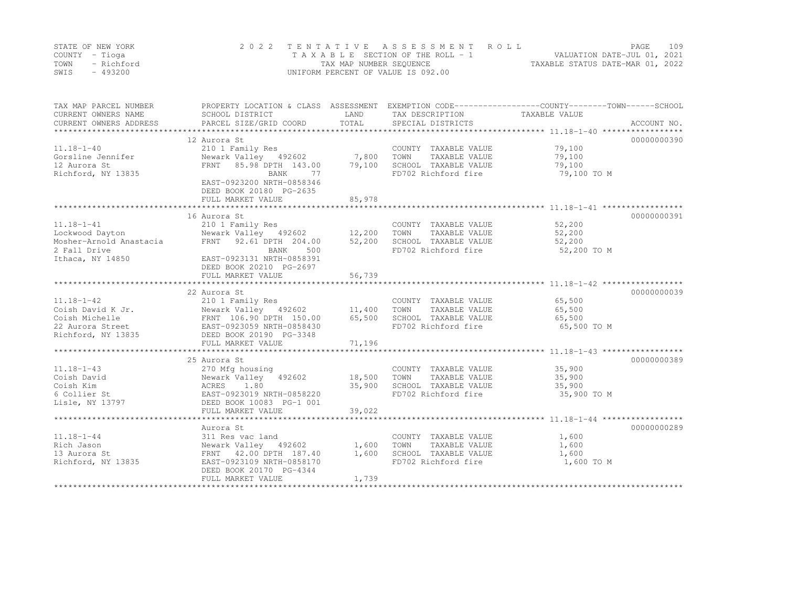|      | STATE OF NEW YORK | 2022 TENTATIVE ASSESSMENT ROLL     | PAGE.                            | 109 |
|------|-------------------|------------------------------------|----------------------------------|-----|
|      | COUNTY – Tioga    | TAXABLE SECTION OF THE ROLL - 1    | VALUATION DATE-JUL 01, 2021      |     |
| TOWN | - Richford        | TAX MAP NUMBER SEQUENCE            | TAXABLE STATUS DATE-MAR 01, 2022 |     |
| SWIS | - 493200          | UNIFORM PERCENT OF VALUE IS 092.00 |                                  |     |

| TAX MAP PARCEL NUMBER<br>CURRENT OWNERS NAME<br>CURRENT OWNERS ADDRESS | PROPERTY LOCATION & CLASS ASSESSMENT<br>SCHOOL DISTRICT<br>PARCEL SIZE/GRID COORD                                 | LAND<br>TOTAL | TAX DESCRIPTION<br>SPECIAL DISTRICTS | EXEMPTION CODE-----------------COUNTY-------TOWN------SCHOOL<br>TAXABLE VALUE<br>ACCOUNT NO. |
|------------------------------------------------------------------------|-------------------------------------------------------------------------------------------------------------------|---------------|--------------------------------------|----------------------------------------------------------------------------------------------|
|                                                                        |                                                                                                                   |               |                                      |                                                                                              |
|                                                                        | 12 Aurora St                                                                                                      |               |                                      | 00000000390                                                                                  |
| $11.18 - 1 - 40$                                                       | 210 1 Family Res                                                                                                  |               | COUNTY TAXABLE VALUE                 | 79,100                                                                                       |
| Gorsline Jennifer                                                      | Newark Valley 492602 7,800<br>FRNT 85.98 DPTH 143.00 79,100                                                       |               | TAXABLE VALUE<br>TOWN                | 79,100                                                                                       |
| 12 Aurora St                                                           |                                                                                                                   |               | SCHOOL TAXABLE VALUE                 | 79,100                                                                                       |
| Richford, NY 13835                                                     | BANK<br>77                                                                                                        |               | FD702 Richford fire                  | 79,100 TO M                                                                                  |
|                                                                        | EAST-0923200 NRTH-0858346                                                                                         |               |                                      |                                                                                              |
|                                                                        | DEED BOOK 20180 PG-2635                                                                                           |               |                                      |                                                                                              |
|                                                                        | FULL MARKET VALUE                                                                                                 | 85,978        |                                      |                                                                                              |
|                                                                        |                                                                                                                   |               |                                      |                                                                                              |
|                                                                        | 16 Aurora St                                                                                                      |               |                                      | 00000000391                                                                                  |
| $11.18 - 1 - 41$                                                       | 210 1 Family Res                                                                                                  |               | COUNTY TAXABLE VALUE                 | 52,200                                                                                       |
| Lockwood Dayton                                                        |                                                                                                                   |               | TAXABLE VALUE                        | 52,200                                                                                       |
| Mosher-Arnold Anastacia                                                | FRNT 92.61 DPTH 204.00                                                                                            | 52,200        | SCHOOL TAXABLE VALUE                 | 52,200                                                                                       |
| 2 Fall Drive                                                           | BANK<br>500                                                                                                       |               | FD702 Richford fire                  | 52,200 TO M                                                                                  |
| Ithaca, NY 14850                                                       | EAST-0923131 NRTH-0858391                                                                                         |               |                                      |                                                                                              |
|                                                                        | DEED BOOK 20210 PG-2697                                                                                           |               |                                      |                                                                                              |
|                                                                        | FULL MARKET VALUE                                                                                                 | 56,739        |                                      |                                                                                              |
|                                                                        |                                                                                                                   |               |                                      |                                                                                              |
|                                                                        | 22 Aurora St                                                                                                      |               |                                      | 00000000039                                                                                  |
| $11.18 - 1 - 42$                                                       | 210 1 Family Res                                                                                                  |               | COUNTY TAXABLE VALUE                 | 65,500                                                                                       |
| Coish David K Jr.                                                      | Newark Valley 492602 11,400<br>Newark Valley - 492602<br>FRNT - 106.90 DPTH - 150.00<br>EAST-0923059 NRTH-0858430 |               | TOWN<br>TAXABLE VALUE                | 65,500                                                                                       |
| Coish Michelle                                                         |                                                                                                                   | 65,500        | SCHOOL TAXABLE VALUE                 | 65,500                                                                                       |
| 22 Aurora Street                                                       |                                                                                                                   |               | FD702 Richford fire                  | 65,500 TO M                                                                                  |
| Richford, NY 13835                                                     | DEED BOOK 20190 PG-3348                                                                                           |               |                                      |                                                                                              |
|                                                                        |                                                                                                                   |               |                                      |                                                                                              |
|                                                                        |                                                                                                                   |               |                                      |                                                                                              |
|                                                                        | 25 Aurora St                                                                                                      |               |                                      | 00000000389                                                                                  |
| $11.18 - 1 - 43$                                                       | 270 Mfg housing                                                                                                   |               | COUNTY TAXABLE VALUE                 | 35,900                                                                                       |
| Coish David                                                            | Newark Valley 492602 18,500                                                                                       |               | TOWN<br>TAXABLE VALUE                | 35,900                                                                                       |
| Coish Kim                                                              | 1.80<br>ACRES                                                                                                     | 35,900        | SCHOOL TAXABLE VALUE                 | 35,900                                                                                       |
| 6 Collier St                                                           | EAST-0923019 NRTH-0858220                                                                                         |               | FD702 Richford fire                  | 35,900 TO M                                                                                  |
| Lisle, NY 13797                                                        | DEED BOOK 10083 PG-1 001                                                                                          |               |                                      |                                                                                              |
|                                                                        | FULL MARKET VALUE                                                                                                 | 39,022        |                                      |                                                                                              |
|                                                                        |                                                                                                                   |               |                                      |                                                                                              |
|                                                                        | Aurora St                                                                                                         |               |                                      | 00000000289                                                                                  |
| $11.18 - 1 - 44$                                                       | 311 Res vac land                                                                                                  |               | COUNTY TAXABLE VALUE                 | 1,600                                                                                        |
| Rich Jason                                                             | Newark Valley 492602 1,600                                                                                        |               | TOWN<br>TAXABLE VALUE                | 1,600                                                                                        |
| 13 Aurora St                                                           | FRNT 42.00 DPTH 187.40                                                                                            | 1,600         | SCHOOL TAXABLE VALUE                 | 1,600                                                                                        |
| Richford, NY 13835                                                     | EAST-0923109 NRTH-0858170                                                                                         |               | FD702 Richford fire                  | 1,600 TO M                                                                                   |
|                                                                        | DEED BOOK 20170 PG-4344                                                                                           |               |                                      |                                                                                              |
|                                                                        | FULL MARKET VALUE                                                                                                 | 1,739         |                                      |                                                                                              |
|                                                                        |                                                                                                                   |               |                                      |                                                                                              |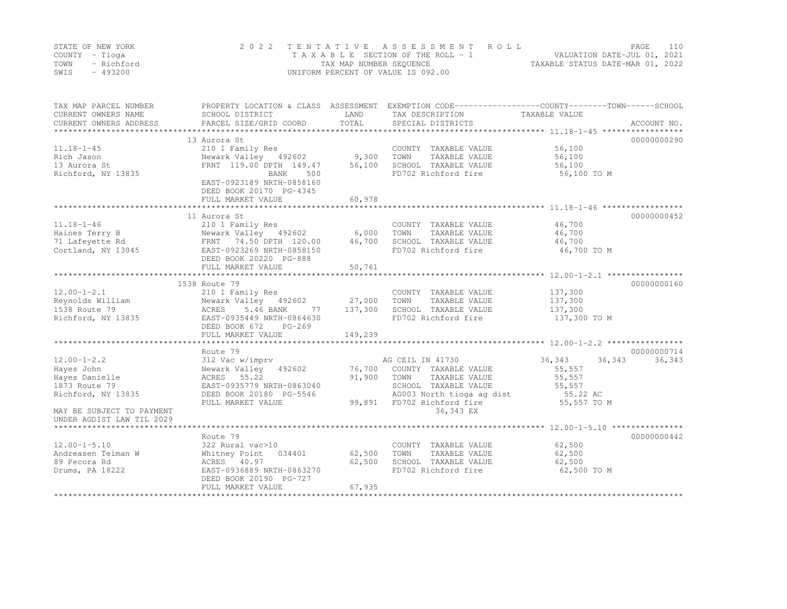|      | STATE OF NEW YORK | 2022 TENTATIVE ASSESSMENT ROLL     | PAGE                             | 110 |
|------|-------------------|------------------------------------|----------------------------------|-----|
|      | COUNTY – Tioga    | TAXABLE SECTION OF THE ROLL - 1    | VALUATION DATE-JUL 01, 2021      |     |
| TOWN | - Richford        | TAX MAP NUMBER SEOUENCE            | TAXABLE STATUS DATE-MAR 01, 2022 |     |
| SWIS | - 493200          | UNIFORM PERCENT OF VALUE IS 092.00 |                                  |     |

| TAX MAP PARCEL NUMBER<br>CURRENT OWNERS NAME<br>CURRENT OWNERS ADDRESS | SCHOOL DISTRICT<br>PARCEL SIZE/GRID COORD            | LAND<br>TOTAL | PROPERTY LOCATION & CLASS ASSESSMENT EXEMPTION CODE----------------COUNTY-------TOWN-----SCHOOL<br>TAX DESCRIPTION<br>SPECIAL DISTRICTS | TAXABLE VALUE    | ACCOUNT NO. |
|------------------------------------------------------------------------|------------------------------------------------------|---------------|-----------------------------------------------------------------------------------------------------------------------------------------|------------------|-------------|
|                                                                        |                                                      |               |                                                                                                                                         |                  |             |
|                                                                        | 13 Aurora St                                         |               |                                                                                                                                         |                  | 00000000290 |
| $11.18 - 1 - 45$                                                       | 210 1 Family Res                                     |               | COUNTY TAXABLE VALUE                                                                                                                    | 56,100           |             |
| Rich Jason                                                             | Newark Valley 492602                                 | 9,300         | TOWN<br>TAXABLE VALUE                                                                                                                   | 56,100           |             |
| 13 Aurora St                                                           | FRNT 119.00 DPTH 149.47                              | 56,100        | SCHOOL TAXABLE VALUE                                                                                                                    | 56,100           |             |
| Richford, NY 13835                                                     | 500<br>BANK                                          |               | FD702 Richford fire                                                                                                                     | 56,100 TO M      |             |
|                                                                        | EAST-0923189 NRTH-0858160<br>DEED BOOK 20170 PG-4345 |               |                                                                                                                                         |                  |             |
|                                                                        | FULL MARKET VALUE                                    | 60,978        |                                                                                                                                         |                  |             |
|                                                                        | *******************************                      |               |                                                                                                                                         |                  |             |
|                                                                        | 11 Aurora St                                         |               |                                                                                                                                         |                  | 00000000452 |
| $11.18 - 1 - 46$                                                       | 210 1 Family Res                                     |               | COUNTY TAXABLE VALUE                                                                                                                    | 46,700           |             |
| Haines Terry B                                                         | Newark Valley 492602                                 | 6,000         | TOWN<br>TAXABLE VALUE                                                                                                                   | 46,700           |             |
| 71 Lafeyette Rd                                                        | FRNT 74.50 DPTH 120.00                               | 46,700        | SCHOOL TAXABLE VALUE                                                                                                                    | 46,700           |             |
| Cortland, NY 13045                                                     | EAST-0923269 NRTH-0858150                            |               | FD702 Richford fire                                                                                                                     | 46,700 TO M      |             |
|                                                                        | DEED BOOK 20220 PG-888                               |               |                                                                                                                                         |                  |             |
|                                                                        | FULL MARKET VALUE                                    | 50,761        |                                                                                                                                         |                  |             |
|                                                                        |                                                      |               |                                                                                                                                         |                  |             |
|                                                                        | 1538 Route 79                                        |               |                                                                                                                                         |                  | 00000000160 |
| $12.00 - 1 - 2.1$                                                      |                                                      |               |                                                                                                                                         | 137,300          |             |
|                                                                        | 210 1 Family Res                                     |               | COUNTY TAXABLE VALUE                                                                                                                    |                  |             |
| Reynolds William                                                       | Newark Valley 492602                                 | 27,000        | TOWN<br>TAXABLE VALUE                                                                                                                   | 137,300          |             |
| 1538 Route 79                                                          | ACRES<br>5.46 BANK<br>77                             | 137,300       | SCHOOL TAXABLE VALUE                                                                                                                    | 137,300          |             |
| Richford, NY 13835                                                     | EAST-0935449 NRTH-0864630                            |               | FD702 Richford fire                                                                                                                     | 137,300 TO M     |             |
|                                                                        | DEED BOOK 672<br>PG-269                              |               |                                                                                                                                         |                  |             |
|                                                                        | FULL MARKET VALUE                                    | 149,239       |                                                                                                                                         |                  |             |
|                                                                        |                                                      |               |                                                                                                                                         |                  |             |
|                                                                        | Route 79                                             |               |                                                                                                                                         |                  | 00000000714 |
| $12.00 - 1 - 2.2$                                                      | 312 Vac w/imprv                                      |               | AG CEIL IN 41730                                                                                                                        | 36,343<br>36,343 | 36,343      |
| Hayes John                                                             | Newark Valley 492602                                 | 76,700        | COUNTY TAXABLE VALUE                                                                                                                    | 55,557           |             |
| Hayes Danielle                                                         | ACRES 55.22                                          | 91,900        | TOWN<br>TAXABLE VALUE                                                                                                                   | 55,557           |             |
| 1873 Route 79                                                          | EAST-0935779 NRTH-0863040                            |               | SCHOOL TAXABLE VALUE                                                                                                                    | 55,557           |             |
| Richford, NY 13835                                                     | DEED BOOK 20180 PG-5546                              |               | AG003 North tioga ag dist                                                                                                               | 55.22 AC         |             |
|                                                                        | FULL MARKET VALUE                                    | 99,891        | FD702 Richford fire                                                                                                                     | 55,557 TO M      |             |
| MAY BE SUBJECT TO PAYMENT                                              |                                                      |               | 36,343 EX                                                                                                                               |                  |             |
| UNDER AGDIST LAW TIL 2029                                              |                                                      |               |                                                                                                                                         |                  |             |
|                                                                        |                                                      |               |                                                                                                                                         |                  |             |
|                                                                        | Route 79                                             |               |                                                                                                                                         |                  | 00000000442 |
|                                                                        |                                                      |               |                                                                                                                                         | 62,500           |             |
| $12.00 - 1 - 5.10$                                                     | 322 Rural vac>10                                     |               | COUNTY TAXABLE VALUE                                                                                                                    |                  |             |
| Andreasen Teiman W                                                     | Whitney Point<br>034401                              | 62,500        | TOWN<br>TAXABLE VALUE                                                                                                                   | 62,500           |             |
| 89 Pecora Rd                                                           | ACRES 40.97                                          | 62,500        | SCHOOL TAXABLE VALUE                                                                                                                    | 62,500           |             |
| Drums, PA 18222                                                        | EAST-0936889 NRTH-0863270                            |               | FD702 Richford fire                                                                                                                     | 62,500 TO M      |             |
|                                                                        | DEED BOOK 20190 PG-727                               |               |                                                                                                                                         |                  |             |
|                                                                        | FULL MARKET VALUE                                    | 67,935        |                                                                                                                                         |                  |             |
|                                                                        |                                                      |               |                                                                                                                                         |                  |             |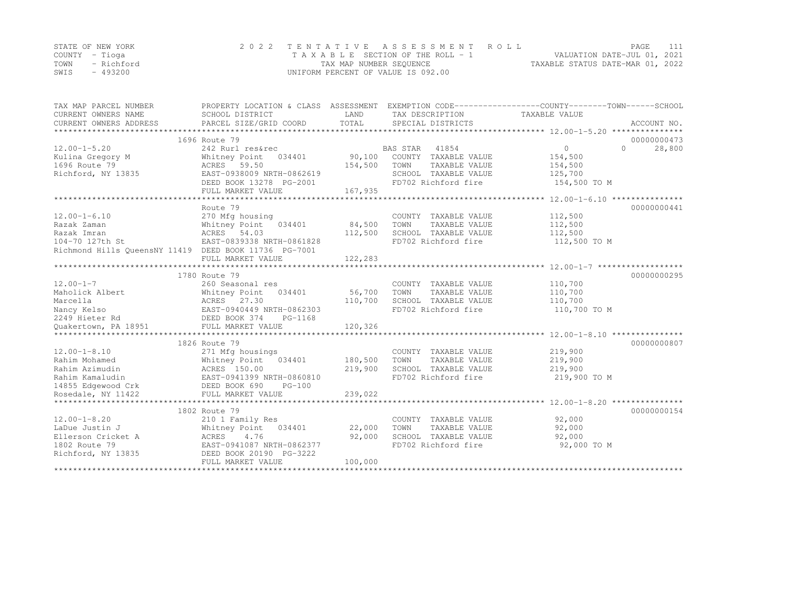|      | STATE OF NEW YORK | 2022 TENTATIVE ASSESSMENT ROLL     | PAGE                             |  |
|------|-------------------|------------------------------------|----------------------------------|--|
|      | COUNTY – Tioga    | TAXABLE SECTION OF THE ROLL - 1    | VALUATION DATE-JUL 01, 2021      |  |
| TOWN | - Richford        | TAX MAP NUMBER SEQUENCE            | TAXABLE STATUS DATE-MAR 01, 2022 |  |
| SWIS | $-493200$         | UNIFORM PERCENT OF VALUE IS 092.00 |                                  |  |

| TAX MAP PARCEL NUMBER                                      |                                                      |         |                       | PROPERTY LOCATION & CLASS ASSESSMENT EXEMPTION CODE----------------COUNTY-------TOWN-----SCHOOL |
|------------------------------------------------------------|------------------------------------------------------|---------|-----------------------|-------------------------------------------------------------------------------------------------|
| CURRENT OWNERS NAME                                        | SCHOOL DISTRICT                                      | LAND    | TAX DESCRIPTION       | TAXABLE VALUE                                                                                   |
| CURRENT OWNERS ADDRESS                                     |                                                      |         |                       |                                                                                                 |
|                                                            | 1696 Route 79                                        |         |                       | 00000000473                                                                                     |
| $12.00 - 1 - 5.20$                                         | 242 Rurl res&rec                                     |         | BAS STAR 41854        | $\Omega$<br>28,800<br>$\Omega$                                                                  |
| Kulina Gregory M                                           | Whitney Point<br>034401                              | 90,100  | COUNTY TAXABLE VALUE  | 154,500                                                                                         |
| 1696 Route 79                                              | ACRES 59.50                                          | 154,500 | TOWN<br>TAXABLE VALUE | 154,500                                                                                         |
| Richford, NY 13835                                         | EAST-0938009 NRTH-0862619                            |         | SCHOOL TAXABLE VALUE  | 125,700                                                                                         |
|                                                            | DEED BOOK 13278 PG-2001                              |         | FD702 Richford fire   | 154,500 TO M                                                                                    |
|                                                            | FULL MARKET VALUE                                    | 167,935 |                       |                                                                                                 |
|                                                            |                                                      |         |                       |                                                                                                 |
|                                                            | Route 79                                             |         |                       | 00000000441                                                                                     |
| $12.00 - 1 - 6.10$                                         | 270 Mfg housing                                      |         | COUNTY TAXABLE VALUE  | 112,500                                                                                         |
| Razak Zaman                                                | Whitney Point 034401                                 | 84,500  | TOWN<br>TAXABLE VALUE | 112,500                                                                                         |
| Razak Imran                                                | ACRES 54.03                                          | 112,500 | SCHOOL TAXABLE VALUE  | 112,500                                                                                         |
| 104-70 127th St                                            | EAST-0839338 NRTH-0861828                            |         | FD702 Richford fire   | 112,500 TO M                                                                                    |
| Richmond Hills QueensNY 11419 DEED BOOK 11736 PG-7001      |                                                      |         |                       |                                                                                                 |
|                                                            | FULL MARKET VALUE                                    | 122,283 |                       |                                                                                                 |
|                                                            |                                                      |         |                       |                                                                                                 |
|                                                            | 1780 Route 79                                        |         |                       | 00000000295                                                                                     |
| $12.00 - 1 - 7$                                            | 260 Seasonal res                                     |         | COUNTY TAXABLE VALUE  | 110,700                                                                                         |
| Maholick Albert                                            | Whitney Point<br>034401                              | 56,700  | TOWN<br>TAXABLE VALUE | 110,700                                                                                         |
| ACRES 27.30<br>EAST-0940449 N<br>DEED BOOK 374<br>Marcella |                                                      | 110,700 | SCHOOL TAXABLE VALUE  | 110,700                                                                                         |
| Nancy Kelso                                                | EAST-0940449 NRTH-0862303                            |         | FD702 Richford fire   | 110,700 TO M                                                                                    |
| 2249 Hieter Rd                                             | PG-1168                                              |         |                       |                                                                                                 |
| Quakertown, PA 18951                                       | FULL MARKET VALUE                                    | 120,326 |                       |                                                                                                 |
|                                                            |                                                      |         |                       |                                                                                                 |
|                                                            | 1826 Route 79                                        |         |                       | 00000000807                                                                                     |
| $12.00 - 1 - 8.10$                                         | 271 Mfg housings                                     |         | COUNTY TAXABLE VALUE  | 219,900                                                                                         |
| Rahim Mohamed                                              | Whitney Point<br>034401                              | 180,500 | TOWN<br>TAXABLE VALUE | 219,900                                                                                         |
| Rahim Azimudin                                             | ACRES 150.00                                         | 219,900 | SCHOOL TAXABLE VALUE  | 219,900                                                                                         |
| Rahim Kamaludin                                            | AURES 1991399 NRTH-0860810                           |         | FD702 Richford fire   | 219,900 TO M                                                                                    |
| 14855 Edgewood Crk DEED BOOK 690                           | $PG-100$                                             |         |                       |                                                                                                 |
| Rosedale, NY 11422                                         |                                                      |         |                       |                                                                                                 |
|                                                            |                                                      |         |                       |                                                                                                 |
|                                                            | 1802 Route 79                                        |         |                       | 00000000154                                                                                     |
| $12.00 - 1 - 8.20$                                         | 210 1 Family Res                                     |         | COUNTY TAXABLE VALUE  | 92,000                                                                                          |
| LaDue Justin J                                             | Whitney Point<br>034401                              | 22,000  | TOWN<br>TAXABLE VALUE | 92,000                                                                                          |
| Ellerson Cricket A                                         | ACRES<br>4.76                                        | 92,000  | SCHOOL TAXABLE VALUE  | 92,000                                                                                          |
| 1802 Route 79<br>Richford, NY 13835                        | EAST-0941087 NRTH-0862377<br>DEED BOOK 20190 PG-3222 |         | FD702 Richford fire   | 92,000 TO M                                                                                     |
|                                                            | FULL MARKET VALUE                                    | 100,000 |                       |                                                                                                 |
|                                                            |                                                      |         |                       |                                                                                                 |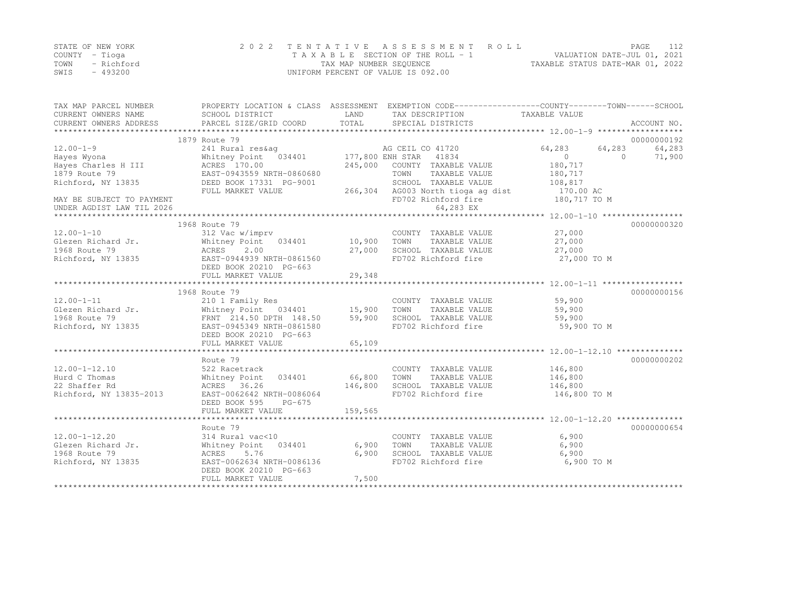|      | STATE OF NEW YORK | 2022 TENTATIVE ASSESSMENT ROLL     |                                  | PAGE.                       |  |
|------|-------------------|------------------------------------|----------------------------------|-----------------------------|--|
|      | COUNTY – Tioga    | TAXABLE SECTION OF THE ROLL - 1    |                                  | VALUATION DATE-JUL 01, 2021 |  |
| TOWN | - Richford        | TAX MAP NUMBER SEQUENCE            | TAXABLE STATUS DATE-MAR 01, 2022 |                             |  |
| SWIS | $-493200$         | UNIFORM PERCENT OF VALUE IS 092.00 |                                  |                             |  |

| TAX MAP PARCEL NUMBER<br>CURRENT OWNERS NAME           | SCHOOL DISTRICT                             | LAND    | PROPERTY LOCATION & CLASS ASSESSMENT EXEMPTION CODE----------------COUNTY-------TOWN-----SCHOOL<br>TAX DESCRIPTION | TAXABLE VALUE    |                    |
|--------------------------------------------------------|---------------------------------------------|---------|--------------------------------------------------------------------------------------------------------------------|------------------|--------------------|
| CURRENT OWNERS ADDRESS                                 | PARCEL SIZE/GRID COORD                      | TOTAL   | SPECIAL DISTRICTS                                                                                                  |                  | ACCOUNT NO.        |
|                                                        | 1879 Route 79                               |         |                                                                                                                    |                  | 00000000192        |
| $12.00 - 1 - 9$                                        | 241 Rural res&ag                            |         | AG CEIL CO 41720                                                                                                   | 64,283<br>64,283 | 64,283             |
| Hayes Wyona                                            | Whitney Point 034401                        |         | 177,800 ENH STAR 41834                                                                                             | $\circ$          | $\Omega$<br>71,900 |
| Hayes Charles H III                                    | ACRES 170.00                                | 245,000 | COUNTY TAXABLE VALUE                                                                                               | 180,717          |                    |
| 1879 Route 79                                          | EAST-0943559 NRTH-0860680                   |         | TOWN<br>TAXABLE VALUE                                                                                              | 180,717          |                    |
| Richford, NY 13835                                     | DEED BOOK 17331 PG-9001                     |         | SCHOOL TAXABLE VALUE                                                                                               | 108,817          |                    |
|                                                        | FULL MARKET VALUE                           | 266,304 | AG003 North tioga ag dist                                                                                          | 170.00 AC        |                    |
| MAY BE SUBJECT TO PAYMENT<br>UNDER AGDIST LAW TIL 2026 |                                             |         | FD702 Richford fire<br>64,283 EX                                                                                   | 180,717 TO M     |                    |
|                                                        |                                             |         |                                                                                                                    |                  |                    |
|                                                        | 1968 Route 79                               |         |                                                                                                                    |                  | 00000000320        |
| $12.00 - 1 - 10$                                       | 312 Vac w/imprv                             |         | COUNTY TAXABLE VALUE                                                                                               | 27,000           |                    |
| Glezen Richard Jr.                                     | Whitney Point 034401                        | 10,900  | TAXABLE VALUE<br>TOWN                                                                                              | 27,000           |                    |
| 1968 Route 79                                          | ACRES<br>2.00                               | 27,000  | SCHOOL TAXABLE VALUE                                                                                               | 27,000           |                    |
| Richford, NY 13835                                     | EAST-0944939 NRTH-0861560                   |         | FD702 Richford fire                                                                                                | 27,000 TO M      |                    |
|                                                        | DEED BOOK 20210 PG-663                      |         |                                                                                                                    |                  |                    |
|                                                        | FULL MARKET VALUE                           | 29,348  |                                                                                                                    |                  |                    |
|                                                        | 1968 Route 79                               |         |                                                                                                                    |                  | 00000000156        |
| $12.00 - 1 - 11$                                       | 210 1 Family Res                            |         | COUNTY TAXABLE VALUE                                                                                               | 59,900           |                    |
| Glezen Richard Jr.                                     | Whitney Point 034401                        | 15,900  | TOWN<br>TAXABLE VALUE                                                                                              | 59,900           |                    |
| 1968 Route 79                                          | FRNT 214.50 DPTH 148.50                     | 59,900  | SCHOOL TAXABLE VALUE                                                                                               | 59,900           |                    |
| Richford, NY 13835                                     | EAST-0945349 NRTH-0861580                   |         | FD702 Richford fire                                                                                                | 59,900 TO M      |                    |
|                                                        | DEED BOOK 20210 PG-663                      |         |                                                                                                                    |                  |                    |
|                                                        | FULL MARKET VALUE                           | 65,109  |                                                                                                                    |                  |                    |
|                                                        |                                             |         |                                                                                                                    |                  |                    |
|                                                        | Route 79                                    |         |                                                                                                                    |                  | 00000000202        |
| $12.00 - 1 - 12.10$                                    | 522 Racetrack                               |         | COUNTY TAXABLE VALUE                                                                                               | 146,800          |                    |
| Hurd C Thomas                                          | Whitney Point<br>034401                     | 66,800  | TOWN<br>TAXABLE VALUE                                                                                              | 146,800          |                    |
| 22 Shaffer Rd                                          | ACRES 36.26                                 | 146,800 | SCHOOL TAXABLE VALUE                                                                                               | 146,800          |                    |
| Richford, NY 13835-2013                                | EAST-0062642 NRTH-0086064                   |         | FD702 Richford fire                                                                                                | 146,800 TO M     |                    |
|                                                        | DEED BOOK 595<br>$PG-675$                   |         |                                                                                                                    |                  |                    |
|                                                        | FULL MARKET VALUE                           | 159,565 |                                                                                                                    |                  |                    |
|                                                        |                                             |         |                                                                                                                    |                  |                    |
|                                                        | Route 79                                    |         |                                                                                                                    |                  | 00000000654        |
| $12.00 - 1 - 12.20$                                    | 314 Rural vac<10                            |         | COUNTY TAXABLE VALUE                                                                                               | 6,900            |                    |
| Glezen Richard Jr.                                     | Whitney Point<br>034401                     | 6,900   | TOWN<br>TAXABLE VALUE                                                                                              | 6,900            |                    |
| 1968 Route 79                                          | 5.76<br>ACRES                               | 6,900   | SCHOOL TAXABLE VALUE                                                                                               | 6,900            |                    |
| Richford, NY 13835                                     | EAST-0062634 NRTH-0086136                   |         | FD702 Richford fire                                                                                                | 6,900 TO M       |                    |
|                                                        | DEED BOOK 20210 PG-663<br>FULL MARKET VALUE | 7,500   |                                                                                                                    |                  |                    |
|                                                        |                                             |         |                                                                                                                    |                  |                    |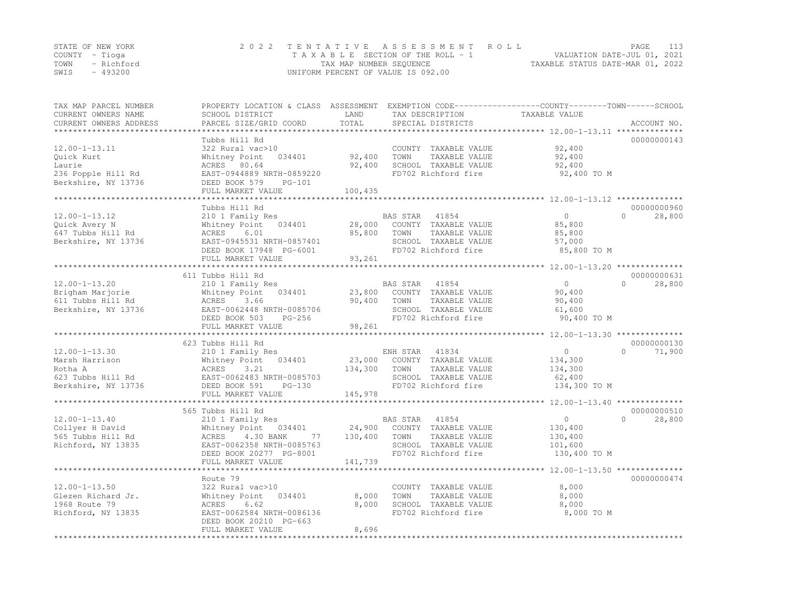|      | STATE OF NEW YORK | 2022 TENTATIVE ASSESSMENT ROLL     | PAGE                             | 113 |
|------|-------------------|------------------------------------|----------------------------------|-----|
|      | COUNTY – Tioga    | TAXABLE SECTION OF THE ROLL - 1    | VALUATION DATE-JUL 01, 2021      |     |
|      | TOWN - Richford   | TAX MAP NUMBER SEQUENCE            | TAXABLE STATUS DATE-MAR 01, 2022 |     |
| SWIS | - 493200          | UNIFORM PERCENT OF VALUE IS 092.00 |                                  |     |

| TAX MAP PARCEL NUMBER<br>CURRENT OWNERS NAME<br>CURRENT OWNERS ADDRESS | PROPERTY LOCATION & CLASS ASSESSMENT EXEMPTION CODE----------------COUNTY-------TOWN------SCHOOL<br>SCHOOL DISTRICT<br>PARCEL SIZE/GRID COORD | LAND<br>TOTAL | TAX DESCRIPTION<br>SPECIAL DISTRICTS          | TAXABLE VALUE                                     | ACCOUNT NO.        |
|------------------------------------------------------------------------|-----------------------------------------------------------------------------------------------------------------------------------------------|---------------|-----------------------------------------------|---------------------------------------------------|--------------------|
| *******************                                                    |                                                                                                                                               |               |                                               |                                                   |                    |
|                                                                        | Tubbs Hill Rd                                                                                                                                 |               |                                               |                                                   | 00000000143        |
| $12.00 - 1 - 13.11$                                                    | 322 Rural vac>10                                                                                                                              |               | COUNTY TAXABLE VALUE                          | 92,400                                            |                    |
| Ouick Kurt                                                             | Whitney Point<br>034401                                                                                                                       | 92,400        | TOWN<br>TAXABLE VALUE                         | 92,400                                            |                    |
| Laurie                                                                 | ACRES 80.64                                                                                                                                   | 92,400        | SCHOOL TAXABLE VALUE                          | 92,400                                            |                    |
| 236 Popple Hill Rd                                                     | EAST-0944889 NRTH-0859220                                                                                                                     |               | FD702 Richford fire                           | 92,400 TO M                                       |                    |
| Berkshire, NY 13736                                                    | DEED BOOK 579<br>$PG-101$                                                                                                                     |               |                                               |                                                   |                    |
|                                                                        | FULL MARKET VALUE                                                                                                                             | 100,435       |                                               |                                                   |                    |
|                                                                        |                                                                                                                                               |               |                                               |                                                   |                    |
|                                                                        | Tubbs Hill Rd                                                                                                                                 |               |                                               |                                                   | 00000000960        |
| $12.00 - 1 - 13.12$                                                    | 210 1 Family Res                                                                                                                              |               | BAS STAR<br>41854                             | $\Omega$                                          | $\Omega$<br>28,800 |
| Quick Avery N                                                          | Whitney Point<br>034401                                                                                                                       | 28,000        | COUNTY TAXABLE VALUE                          | 85,800                                            |                    |
| 647 Tubbs Hill Rd                                                      | ACRES<br>6.01                                                                                                                                 | 85,800        | TOWN<br>TAXABLE VALUE                         | 85,800                                            |                    |
| Berkshire, NY 13736                                                    | EAST-0945531 NRTH-0857401                                                                                                                     |               | SCHOOL TAXABLE VALUE                          | 57,000                                            |                    |
|                                                                        | DEED BOOK 17948 PG-6001                                                                                                                       |               | FD702 Richford fire                           | 85,800 TO M                                       |                    |
|                                                                        | FULL MARKET VALUE                                                                                                                             | 93,261        |                                               |                                                   |                    |
|                                                                        |                                                                                                                                               |               |                                               | ******************* 12.00-1-13.20 *************** |                    |
|                                                                        | 611 Tubbs Hill Rd                                                                                                                             |               |                                               |                                                   | 00000000631        |
| $12.00 - 1 - 13.20$                                                    | 210 1 Family Res                                                                                                                              |               | BAS STAR<br>41854                             | $\Omega$                                          | $\Omega$<br>28,800 |
| Brigham Marjorie                                                       | Whitney Point<br>034401                                                                                                                       | 23,800        | COUNTY TAXABLE VALUE                          | 90,400                                            |                    |
| 611 Tubbs Hill Rd                                                      | ACRES<br>3.66                                                                                                                                 | 90,400        | TAXABLE VALUE<br>TOWN                         | 90,400                                            |                    |
| Berkshire, NY 13736                                                    | EAST-0062448 NRTH-0085706                                                                                                                     |               | SCHOOL TAXABLE VALUE                          | 61,600                                            |                    |
|                                                                        | DEED BOOK 503<br>$PG-256$                                                                                                                     |               | FD702 Richford fire                           | 90,400 TO M                                       |                    |
|                                                                        | FULL MARKET VALUE                                                                                                                             | 98,261        |                                               |                                                   |                    |
|                                                                        |                                                                                                                                               |               |                                               |                                                   |                    |
|                                                                        | 623 Tubbs Hill Rd                                                                                                                             |               |                                               |                                                   | 00000000130        |
| $12.00 - 1 - 13.30$                                                    | 210 1 Family Res                                                                                                                              |               | ENH STAR<br>41834                             | $\Omega$                                          | $\Omega$<br>71,900 |
| Marsh Harrison                                                         | 034401<br>Whitney Point                                                                                                                       | 23,000        | COUNTY TAXABLE VALUE                          | 134,300                                           |                    |
| Rotha A                                                                | ACRES<br>3.21                                                                                                                                 | 134,300       | TOWN<br>TAXABLE VALUE                         | 134,300                                           |                    |
| 623 Tubbs Hill Rd                                                      | EAST-0062483 NRTH-0085703                                                                                                                     |               | SCHOOL TAXABLE VALUE                          | 62,400                                            |                    |
| Berkshire, NY 13736                                                    | DEED BOOK 591<br>$PG-130$                                                                                                                     |               | FD702 Richford fire                           | 134,300 TO M                                      |                    |
|                                                                        | FULL MARKET VALUE                                                                                                                             | 145,978       |                                               |                                                   |                    |
|                                                                        | ***************************                                                                                                                   |               |                                               |                                                   |                    |
|                                                                        | 565 Tubbs Hill Rd                                                                                                                             |               |                                               |                                                   | 00000000510        |
| $12.00 - 1 - 13.40$                                                    | 210 1 Family Res                                                                                                                              |               | BAS STAR<br>41854                             | $\circ$                                           | $\Omega$<br>28,800 |
| Collyer H David                                                        | Whitney Point 034401                                                                                                                          | 24,900        | COUNTY TAXABLE VALUE                          | 130,400                                           |                    |
| 565 Tubbs Hill Rd                                                      | ACRES<br>4.30 BANK<br>77                                                                                                                      | 130,400       | TAXABLE VALUE<br>TOWN                         | 130,400                                           |                    |
| Richford, NY 13835                                                     | EAST-0062358 NRTH-0085763                                                                                                                     |               | SCHOOL TAXABLE VALUE                          | 101,600                                           |                    |
|                                                                        | DEED BOOK 20277 PG-8001                                                                                                                       |               | FD702 Richford fire                           | 130,400 TO M                                      |                    |
|                                                                        | FULL MARKET VALUE                                                                                                                             | 141,739       |                                               |                                                   |                    |
|                                                                        |                                                                                                                                               |               |                                               |                                                   |                    |
|                                                                        | Route 79                                                                                                                                      |               |                                               |                                                   | 00000000474        |
|                                                                        |                                                                                                                                               |               |                                               |                                                   |                    |
| $12.00 - 1 - 13.50$<br>Glezen Richard Jr.                              | 322 Rural vac>10<br>Whitney Point<br>034401                                                                                                   | 8,000         | COUNTY TAXABLE VALUE<br>TOWN<br>TAXABLE VALUE | 8,000<br>8,000                                    |                    |
| 1968 Route 79                                                          | 6.62<br>ACRES                                                                                                                                 | 8,000         | SCHOOL TAXABLE VALUE                          | 8,000                                             |                    |
|                                                                        | EAST-0062584 NRTH-0086136                                                                                                                     |               | FD702 Richford fire                           | 8,000 TO M                                        |                    |
| Richford, NY 13835                                                     | DEED BOOK 20210 PG-663                                                                                                                        |               |                                               |                                                   |                    |
|                                                                        | FULL MARKET VALUE                                                                                                                             | 8,696         |                                               |                                                   |                    |
|                                                                        |                                                                                                                                               |               |                                               |                                                   |                    |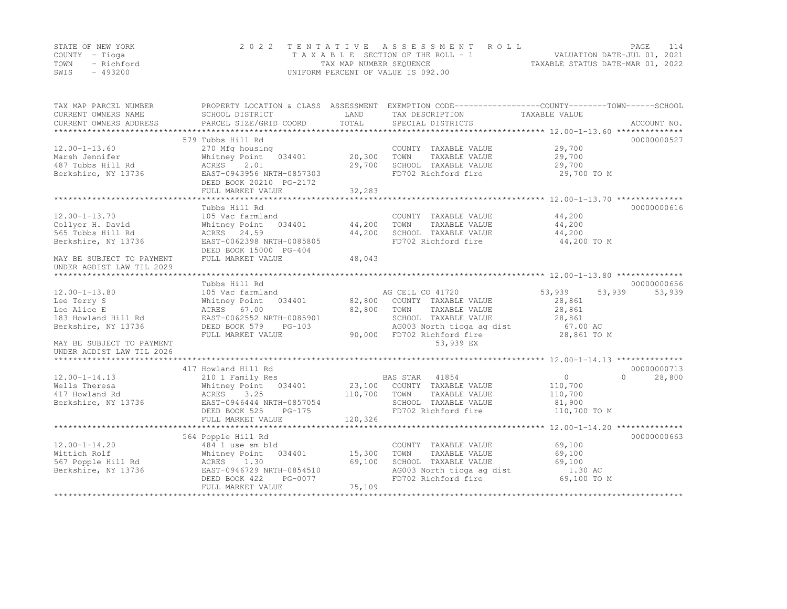|      | STATE OF NEW YORK | 2022 TENTATIVE ASSESSMENT ROLL     | PAGE                             | 114 |
|------|-------------------|------------------------------------|----------------------------------|-----|
|      | COUNTY – Tioga    | TAXABLE SECTION OF THE ROLL - 1    | VALUATION DATE-JUL 01, 2021      |     |
|      | TOWN - Richford   | TAX MAP NUMBER SEQUENCE            | TAXABLE STATUS DATE-MAR 01, 2022 |     |
| SWIS | - 493200          | UNIFORM PERCENT OF VALUE IS 092.00 |                                  |     |

| TAX MAP PARCEL NUMBER<br>CURRENT OWNERS NAME<br>CURRENT OWNERS ADDRESS | SCHOOL DISTRICT<br>PARCEL SIZE/GRID COORD | LAND<br>TOTAL | PROPERTY LOCATION & CLASS ASSESSMENT EXEMPTION CODE---------------COUNTY-------TOWN-----SCHOOL<br>TAX DESCRIPTION<br>SPECIAL DISTRICTS | TAXABLE VALUE              | ACCOUNT NO. |
|------------------------------------------------------------------------|-------------------------------------------|---------------|----------------------------------------------------------------------------------------------------------------------------------------|----------------------------|-------------|
|                                                                        |                                           |               |                                                                                                                                        |                            |             |
|                                                                        | 579 Tubbs Hill Rd                         |               |                                                                                                                                        |                            | 00000000527 |
| $12.00 - 1 - 13.60$                                                    | 270 Mfg housing                           |               | COUNTY TAXABLE VALUE                                                                                                                   | 29,700                     |             |
| Marsh Jennifer                                                         | Whitney Point<br>034401                   | 20,300        | TOWN<br>TAXABLE VALUE                                                                                                                  | 29,700                     |             |
| 487 Tubbs Hill Rd                                                      | ACRES<br>2.01                             | 29,700        | SCHOOL TAXABLE VALUE                                                                                                                   | 29,700                     |             |
| Berkshire, NY 13736                                                    | EAST-0943956 NRTH-0857303                 |               | FD702 Richford fire                                                                                                                    | 29,700 TO M                |             |
|                                                                        | DEED BOOK 20210 PG-2172                   |               |                                                                                                                                        |                            |             |
|                                                                        | FULL MARKET VALUE                         | 32,283        |                                                                                                                                        |                            |             |
|                                                                        |                                           |               |                                                                                                                                        |                            |             |
|                                                                        | Tubbs Hill Rd                             |               |                                                                                                                                        |                            | 00000000616 |
| $12.00 - 1 - 13.70$                                                    | 105 Vac farmland                          |               | COUNTY TAXABLE VALUE                                                                                                                   | 44,200                     |             |
| Collyer H. David                                                       | Whitney Point<br>034401                   | 44,200        | TOWN<br>TAXABLE VALUE                                                                                                                  | 44,200                     |             |
| 565 Tubbs Hill Rd                                                      | ACRES 24.59                               | 44,200        | SCHOOL TAXABLE VALUE                                                                                                                   | 44,200                     |             |
| Berkshire, NY 13736                                                    | EAST-0062398 NRTH-0085805                 |               | FD702 Richford fire                                                                                                                    | 44,200 TO M                |             |
|                                                                        | DEED BOOK 15000 PG-404                    |               |                                                                                                                                        |                            |             |
| MAY BE SUBJECT TO PAYMENT                                              | FULL MARKET VALUE                         | 48,043        |                                                                                                                                        |                            |             |
| UNDER AGDIST LAW TIL 2029                                              |                                           |               |                                                                                                                                        |                            |             |
|                                                                        |                                           |               |                                                                                                                                        |                            |             |
|                                                                        | Tubbs Hill Rd                             |               |                                                                                                                                        |                            | 00000000656 |
| $12.00 - 1 - 13.80$                                                    | 105 Vac farmland                          |               | AG CEIL CO 41720                                                                                                                       | 53,939<br>53,939           | 53,939      |
| Lee Terry S                                                            | Whitney Point<br>034401                   |               | 82,800 COUNTY TAXABLE VALUE                                                                                                            | 28,861                     |             |
| Lee Alice E                                                            | ACRES 67.00                               | 82,800        | TAXABLE VALUE<br>TOWN                                                                                                                  | 28,861                     |             |
| 183 Howland Hill Rd                                                    | EAST-0062552 NRTH-0085901                 |               | SCHOOL TAXABLE VALUE                                                                                                                   | 28,861                     |             |
| Berkshire, NY 13736                                                    | DEED BOOK 579<br>$PG-103$                 |               | AG003 North tioga ag dist                                                                                                              | 67.00 AC                   |             |
|                                                                        | FULL MARKET VALUE                         | 90,000        | FD702 Richford fire                                                                                                                    | 28,861 TO M                |             |
| MAY BE SUBJECT TO PAYMENT                                              |                                           |               | 53,939 EX                                                                                                                              |                            |             |
| UNDER AGDIST LAW TIL 2026                                              |                                           |               |                                                                                                                                        |                            |             |
|                                                                        |                                           |               |                                                                                                                                        |                            |             |
|                                                                        | 417 Howland Hill Rd                       |               |                                                                                                                                        |                            | 00000000713 |
| $12.00 - 1 - 14.13$                                                    | 210 1 Family Res                          |               | BAS STAR<br>41854                                                                                                                      | $\overline{0}$<br>$\Omega$ | 28,800      |
| Wells Theresa                                                          | Whitney Point 034401                      |               | 23,100 COUNTY TAXABLE VALUE                                                                                                            | 110,700                    |             |
| 417 Howland Rd                                                         | ACRES<br>3.25                             | 110,700       | TAXABLE VALUE<br>TOWN                                                                                                                  | 110,700                    |             |
| Berkshire, NY 13736                                                    | EAST-0946444 NRTH-0857054                 |               | SCHOOL TAXABLE VALUE                                                                                                                   | 81,900                     |             |
|                                                                        | DEED BOOK 525<br>$PG-175$                 |               | FD702 Richford fire                                                                                                                    | 110,700 TO M               |             |
|                                                                        | FULL MARKET VALUE                         | 120,326       |                                                                                                                                        |                            |             |
|                                                                        |                                           |               |                                                                                                                                        |                            |             |
|                                                                        | 564 Popple Hill Rd                        |               |                                                                                                                                        |                            | 00000000663 |
| $12.00 - 1 - 14.20$                                                    | 484 1 use sm bld                          |               | COUNTY TAXABLE VALUE                                                                                                                   | 69,100                     |             |
| Wittich Rolf                                                           | 034401<br>Whitney Point                   | 15,300        | TOWN<br>TAXABLE VALUE                                                                                                                  | 69,100                     |             |
| 567 Popple Hill Rd                                                     | ACRES<br>1.30                             | 69,100        | SCHOOL TAXABLE VALUE                                                                                                                   | 69,100                     |             |
| Berkshire, NY 13736                                                    | EAST-0946729 NRTH-0854510                 |               | AG003 North tioga ag dist                                                                                                              | 1.30 AC                    |             |
|                                                                        | DEED BOOK 422<br>PG-0077                  |               | FD702 Richford fire                                                                                                                    | 69,100 TO M                |             |
|                                                                        | FULL MARKET VALUE                         | 75,109        |                                                                                                                                        |                            |             |
|                                                                        |                                           |               |                                                                                                                                        |                            |             |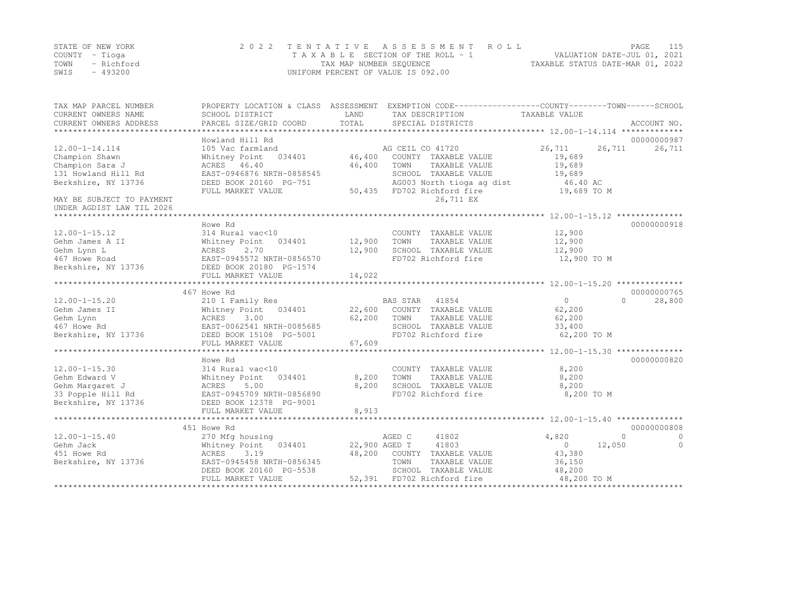|      | STATE OF NEW YORK | 2022 TENTATIVE ASSESSMENT ROLL     | 115<br>PAGE                      |
|------|-------------------|------------------------------------|----------------------------------|
|      | COUNTY – Tioga    | TAXABLE SECTION OF THE ROLL - 1    | VALUATION DATE-JUL 01, 2021      |
| TOWN | - Richford        | TAX MAP NUMBER SEQUENCE            | TAXABLE STATUS DATE-MAR 01, 2022 |
| SWIS | - 493200          | UNIFORM PERCENT OF VALUE IS 092.00 |                                  |

| TAX MAP PARCEL NUMBER<br>CURRENT OWNERS NAME<br>CURRENT OWNERS ADDRESS | PROPERTY LOCATION & CLASS ASSESSMENT<br>SCHOOL DISTRICT<br>PARCEL SIZE/GRID COORD | LAND<br>TOTAL | EXEMPTION CODE-----------------COUNTY-------TOWN------SCHOOL<br>TAX DESCRIPTION<br>SPECIAL DISTRICTS | TAXABLE VALUE              | ACCOUNT NO.                         |
|------------------------------------------------------------------------|-----------------------------------------------------------------------------------|---------------|------------------------------------------------------------------------------------------------------|----------------------------|-------------------------------------|
|                                                                        |                                                                                   |               |                                                                                                      |                            | 00000000987                         |
|                                                                        | Howland Hill Rd                                                                   |               |                                                                                                      |                            |                                     |
| $12.00 - 1 - 14.114$<br>Champion Shawn                                 | 105 Vac farmland<br>034401                                                        | 46,400        | AG CEIL CO 41720                                                                                     | 26,711<br>26,711           | 26,711                              |
| Champion Sara J                                                        | Whitney Point<br>ACRES 46.40                                                      | 46,400        | COUNTY TAXABLE VALUE<br>TOWN<br>TAXABLE VALUE                                                        | 19,689<br>19,689           |                                     |
| 131 Howland Hill Rd                                                    | EAST-0946876 NRTH-0858545                                                         |               | SCHOOL TAXABLE VALUE                                                                                 | 19,689                     |                                     |
| Berkshire, NY 13736                                                    | DEED BOOK 20160 PG-751                                                            |               | AG003 North tioga ag dist                                                                            | 46.40 AC                   |                                     |
|                                                                        | FULL MARKET VALUE                                                                 | 50,435        | FD702 Richford fire                                                                                  | 19,689 TO M                |                                     |
| MAY BE SUBJECT TO PAYMENT                                              |                                                                                   |               | 26,711 EX                                                                                            |                            |                                     |
| UNDER AGDIST LAW TIL 2026                                              |                                                                                   |               |                                                                                                      |                            |                                     |
|                                                                        |                                                                                   |               |                                                                                                      |                            |                                     |
|                                                                        | Howe Rd                                                                           |               |                                                                                                      |                            | 00000000918                         |
| $12.00 - 1 - 15.12$                                                    | 314 Rural vac<10                                                                  |               | COUNTY TAXABLE VALUE                                                                                 | 12,900                     |                                     |
| Gehm James A II                                                        | Whitney Point<br>034401                                                           | 12,900        | TOWN<br>TAXABLE VALUE                                                                                | 12,900                     |                                     |
| Gehm Lynn L                                                            | ACRES<br>2.70                                                                     | 12,900        | SCHOOL TAXABLE VALUE                                                                                 | 12,900                     |                                     |
| 467 Howe Road                                                          | EAST-0945572 NRTH-0856570                                                         |               | FD702 Richford fire                                                                                  | 12,900 TO M                |                                     |
| Berkshire, NY 13736                                                    | DEED BOOK 20180 PG-1574                                                           |               |                                                                                                      |                            |                                     |
|                                                                        | FULL MARKET VALUE                                                                 | 14,022        |                                                                                                      |                            |                                     |
|                                                                        |                                                                                   |               |                                                                                                      |                            |                                     |
|                                                                        | 467 Howe Rd                                                                       |               |                                                                                                      |                            | 00000000765                         |
| $12.00 - 1 - 15.20$                                                    | 210 1 Family Res                                                                  |               | BAS STAR<br>41854                                                                                    | $\circ$                    | $\cap$<br>28,800                    |
| Gehm James II                                                          | Whitney Point<br>034401                                                           | 22,600        | COUNTY TAXABLE VALUE                                                                                 | 62,200                     |                                     |
| Gehm Lynn                                                              | 3.00<br>ACRES                                                                     | 62,200        | TOWN<br>TAXABLE VALUE                                                                                | 62,200                     |                                     |
| 467 Howe Rd                                                            | EAST-0062541 NRTH-0085685                                                         |               | SCHOOL TAXABLE VALUE                                                                                 | 33,400                     |                                     |
| Berkshire, NY 13736                                                    | DEED BOOK 15108 PG-5001                                                           |               | FD702 Richford fire                                                                                  | 62,200 TO M                |                                     |
|                                                                        | FULL MARKET VALUE                                                                 | 67,609        |                                                                                                      |                            |                                     |
|                                                                        | *****************************                                                     |               |                                                                                                      |                            |                                     |
|                                                                        | Howe Rd                                                                           |               |                                                                                                      |                            | 00000000820                         |
| $12.00 - 1 - 15.30$                                                    | 314 Rural vac<10                                                                  |               | COUNTY TAXABLE VALUE                                                                                 | 8,200                      |                                     |
| Gehm Edward V                                                          | Whitney Point<br>034401                                                           | 8,200         | TOWN<br>TAXABLE VALUE                                                                                | 8,200                      |                                     |
| Gehm Margaret J                                                        | 5.00<br>ACRES                                                                     | 8,200         | SCHOOL TAXABLE VALUE                                                                                 | 8,200                      |                                     |
| 33 Popple Hill Rd                                                      | EAST-0945709 NRTH-0856890                                                         |               | FD702 Richford fire                                                                                  | 8,200 TO M                 |                                     |
| Berkshire, NY 13736                                                    | DEED BOOK 12378 PG-9001                                                           |               |                                                                                                      |                            |                                     |
|                                                                        | FULL MARKET VALUE                                                                 | 8,913         |                                                                                                      |                            |                                     |
|                                                                        |                                                                                   |               |                                                                                                      |                            |                                     |
|                                                                        | 451 Howe Rd                                                                       |               | 41802                                                                                                |                            | 00000000808<br>$\Omega$<br>$\Omega$ |
| $12.00 - 1 - 15.40$                                                    | 270 Mfg housing                                                                   | 22,900 AGED T | AGED C<br>41803                                                                                      | 4,820<br>$\circ$<br>12,050 | $\Omega$                            |
| Gehm Jack<br>451 Howe Rd                                               | 034401<br>Whitney Point<br>ACRES<br>3.19                                          | 48,200        | COUNTY TAXABLE VALUE                                                                                 |                            |                                     |
| Berkshire, NY 13736                                                    | EAST-0945458 NRTH-0856345                                                         |               | TOWN<br>TAXABLE VALUE                                                                                | 43,380<br>36,150           |                                     |
|                                                                        | DEED BOOK 20160 PG-5538                                                           |               | SCHOOL TAXABLE VALUE                                                                                 | 48,200                     |                                     |
|                                                                        | FULL MARKET VALUE                                                                 | 52,391        | FD702 Richford fire                                                                                  | 48,200 TO M                |                                     |
|                                                                        |                                                                                   |               |                                                                                                      |                            |                                     |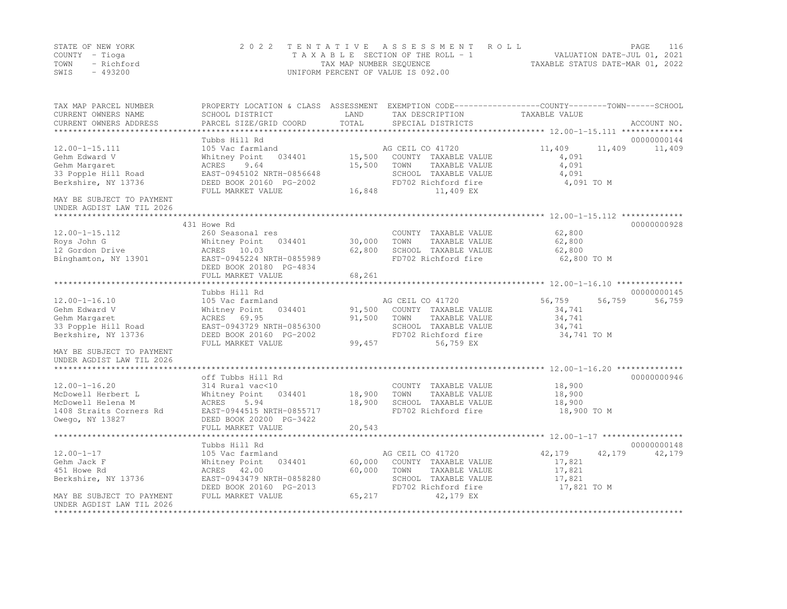|      | STATE OF NEW YORK | 2022 TENTATIVE ASSESSMENT ROLL     |                                  | PAGE | 116 |
|------|-------------------|------------------------------------|----------------------------------|------|-----|
|      | COUNTY – Tioga    | TAXABLE SECTION OF THE ROLL - 1    | VALUATION DATE-JUL 01, 2021      |      |     |
| TOWN | - Richford        | TAX MAP NUMBER SEOUENCE            | TAXABLE STATUS DATE-MAR 01, 2022 |      |     |
| SWIS | $-493200$         | UNIFORM PERCENT OF VALUE IS 092.00 |                                  |      |     |

| TAX MAP PARCEL NUMBER<br>CURRENT OWNERS NAME           | PROPERTY LOCATION & CLASS ASSESSMENT EXEMPTION CODE---------------COUNTY-------TOWN-----SCHOOL<br>SCHOOL DISTRICT | LAND<br>TOTAL | TAX DESCRIPTION                               | TAXABLE VALUE    |                  |
|--------------------------------------------------------|-------------------------------------------------------------------------------------------------------------------|---------------|-----------------------------------------------|------------------|------------------|
| CURRENT OWNERS ADDRESS<br>***********************      | PARCEL SIZE/GRID COORD                                                                                            |               | SPECIAL DISTRICTS                             |                  | ACCOUNT NO.      |
|                                                        | Tubbs Hill Rd                                                                                                     |               |                                               |                  | 00000000144      |
| $12.00 - 1 - 15.111$                                   | 105 Vac farmland                                                                                                  |               | AG CEIL CO 41720                              | 11,409           | 11,409<br>11,409 |
| Gehm Edward V                                          | Whitney Point<br>034401                                                                                           | 15,500        | COUNTY TAXABLE VALUE                          | 4,091            |                  |
| Gehm Margaret                                          | ACRES<br>9.64                                                                                                     | 15,500        | TOWN<br>TAXABLE VALUE                         | 4,091            |                  |
| 33 Popple Hill Road                                    | EAST-0945102 NRTH-0856648                                                                                         |               | SCHOOL TAXABLE VALUE                          | 4,091            |                  |
| Berkshire, NY 13736                                    | DEED BOOK 20160 PG-2002<br>FULL MARKET VALUE                                                                      | 16,848        | FD702 Richford fire<br>11,409 EX              | 4,091 TO M       |                  |
| MAY BE SUBJECT TO PAYMENT<br>UNDER AGDIST LAW TIL 2026 |                                                                                                                   |               |                                               |                  |                  |
|                                                        |                                                                                                                   |               |                                               |                  |                  |
|                                                        | 431 Howe Rd                                                                                                       |               |                                               |                  | 00000000928      |
| $12.00 - 1 - 15.112$                                   | 260 Seasonal res                                                                                                  |               | COUNTY TAXABLE VALUE                          | 62,800           |                  |
| Roys John G                                            | Whitney Point<br>034401                                                                                           | 30,000        | TOWN<br>TAXABLE VALUE                         | 62,800           |                  |
| 12 Gordon Drive                                        | ACRES 10.03                                                                                                       | 62,800        | SCHOOL TAXABLE VALUE                          | 62,800           |                  |
| Binghamton, NY 13901                                   | EAST-0945224 NRTH-0855989<br>DEED BOOK 20180 PG-4834                                                              |               | FD702 Richford fire                           | 62,800 TO M      |                  |
|                                                        | FULL MARKET VALUE                                                                                                 | 68,261        |                                               |                  |                  |
|                                                        |                                                                                                                   |               |                                               |                  |                  |
|                                                        | Tubbs Hill Rd                                                                                                     |               |                                               |                  | 00000000145      |
| $12.00 - 1 - 16.10$                                    | 105 Vac farmland                                                                                                  |               | AG CEIL CO 41720                              | 56,759           | 56,759<br>56,759 |
| Gehm Edward V<br>Gehm Margaret                         | Whitney Point<br>034401                                                                                           | 91,500        | COUNTY TAXABLE VALUE<br>TAXABLE VALUE<br>TOWN | 34,741<br>34,741 |                  |
| 33 Popple Hill Road                                    | ACRES 69.95<br>EAST-0943729 NRTH-0856300                                                                          | 91,500        | SCHOOL TAXABLE VALUE                          | 34,741           |                  |
| Berkshire, NY 13736                                    | DEED BOOK 20160 PG-2002                                                                                           |               | FD702 Richford fire                           | 34,741 TO M      |                  |
|                                                        | FULL MARKET VALUE                                                                                                 | 99,457        | 56,759 EX                                     |                  |                  |
| MAY BE SUBJECT TO PAYMENT<br>UNDER AGDIST LAW TIL 2026 |                                                                                                                   |               |                                               |                  |                  |
| *********************                                  |                                                                                                                   |               |                                               |                  |                  |
|                                                        | off Tubbs Hill Rd                                                                                                 |               |                                               |                  | 00000000946      |
| $12.00 - 1 - 16.20$                                    | 314 Rural vac<10                                                                                                  |               | COUNTY TAXABLE VALUE                          | 18,900           |                  |
| McDowell Herbert L                                     | Whitney Point<br>034401                                                                                           | 18,900        | TOWN<br>TAXABLE VALUE                         | 18,900           |                  |
| McDowell Helena M                                      | <b>ACRES</b><br>5.94                                                                                              | 18,900        | SCHOOL TAXABLE VALUE                          | 18,900           |                  |
| 1408 Straits Corners Rd                                | EAST-0944515 NRTH-0855717                                                                                         |               | FD702 Richford fire                           | 18,900 TO M      |                  |
| Owego, NY 13827                                        | DEED BOOK 20200 PG-3422                                                                                           |               |                                               |                  |                  |
|                                                        | FULL MARKET VALUE<br>**********************                                                                       | 20,543        |                                               |                  |                  |
|                                                        | Tubbs Hill Rd                                                                                                     |               |                                               |                  | 00000000148      |
|                                                        |                                                                                                                   |               |                                               |                  |                  |
| $12.00 - 1 - 17$<br>Gehm Jack F                        | 105 Vac farmland<br>Whitney Point<br>034401                                                                       | 60,000        | AG CEIL CO 41720<br>COUNTY TAXABLE VALUE      | 42,179<br>17,821 | 42,179<br>42,179 |
| 451 Howe Rd                                            | ACRES 42.00                                                                                                       | 60,000        | TOWN<br>TAXABLE VALUE                         | 17,821           |                  |
| Berkshire, NY 13736                                    | EAST-0943479 NRTH-0858280                                                                                         |               | SCHOOL TAXABLE VALUE                          | 17,821           |                  |
|                                                        | DEED BOOK 20160 PG-2013                                                                                           |               | FD702 Richford fire                           | 17,821 TO M      |                  |
| MAY BE SUBJECT TO PAYMENT                              | FULL MARKET VALUE                                                                                                 | 65,217        | 42,179 EX                                     |                  |                  |
| UNDER AGDIST LAW TIL 2026                              |                                                                                                                   |               |                                               |                  |                  |
| **************************                             |                                                                                                                   |               |                                               |                  |                  |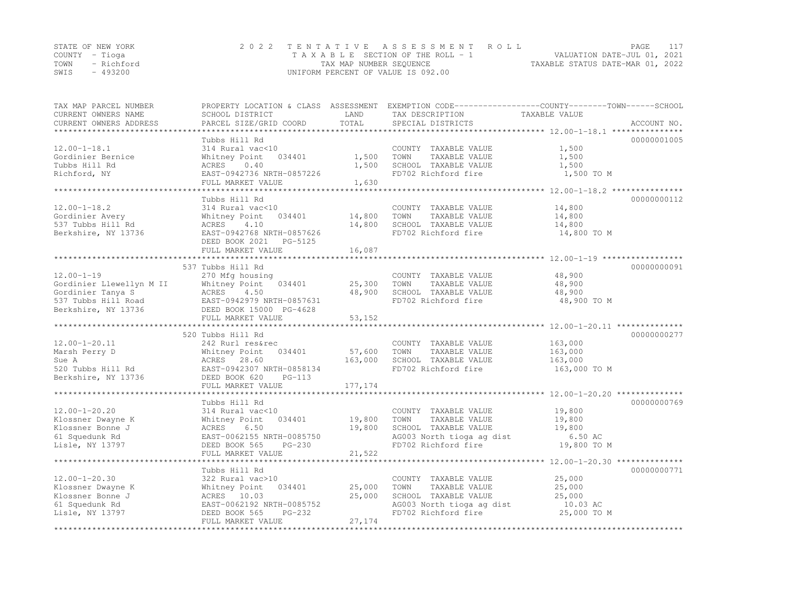|                | STATE OF NEW YORK | 2022 TENTATIVE ASSESSMENT ROLL                                 | PAGE | 117 |
|----------------|-------------------|----------------------------------------------------------------|------|-----|
| COUNTY – Tioga |                   | VALUATION DATE-JUL 01, 2021<br>TAXABLE SECTION OF THE ROLL - 1 |      |     |
|                | TOWN - Richford   | TAXABLE STATUS DATE-MAR 01, 2022<br>TAX MAP NUMBER SEQUENCE    |      |     |
| SWIS           | - 493200          | UNIFORM PERCENT OF VALUE IS 092.00                             |      |     |

| TAX MAP PARCEL NUMBER      |                               |                | PROPERTY LOCATION & CLASS ASSESSMENT EXEMPTION CODE-----------------COUNTY-------TOWN------SCHOOL |               |             |
|----------------------------|-------------------------------|----------------|---------------------------------------------------------------------------------------------------|---------------|-------------|
| CURRENT OWNERS NAME        | SCHOOL DISTRICT               | LAND           | TAX DESCRIPTION                                                                                   | TAXABLE VALUE |             |
| CURRENT OWNERS ADDRESS     | PARCEL SIZE/GRID COORD        | TOTAL          | SPECIAL DISTRICTS                                                                                 |               | ACCOUNT NO. |
| ************************** |                               |                |                                                                                                   |               |             |
|                            | Tubbs Hill Rd                 |                |                                                                                                   |               | 00000001005 |
| $12.00 - 1 - 18.1$         | 314 Rural vac<10              |                | COUNTY TAXABLE VALUE                                                                              | 1,500         |             |
| Gordinier Bernice          | Whitney Point<br>034401       | 1,500          | TOWN<br>TAXABLE VALUE                                                                             | 1,500         |             |
| Tubbs Hill Rd              | ACRES<br>0.40                 | 1,500          | SCHOOL TAXABLE VALUE                                                                              | 1,500         |             |
| Richford, NY               | EAST-0942736 NRTH-0857226     |                | FD702 Richford fire                                                                               | 1,500 TO M    |             |
|                            | FULL MARKET VALUE             | 1,630          |                                                                                                   |               |             |
|                            |                               |                |                                                                                                   |               |             |
|                            | Tubbs Hill Rd                 |                |                                                                                                   |               | 00000000112 |
| $12.00 - 1 - 18.2$         | 314 Rural vac<10              |                | COUNTY TAXABLE VALUE                                                                              | 14,800        |             |
| Gordinier Avery            | 034401<br>Whitney Point       | 14,800         | TOWN<br>TAXABLE VALUE                                                                             | 14,800        |             |
| 537 Tubbs Hill Rd          | ACRES<br>4.10                 | 14,800         | SCHOOL TAXABLE VALUE                                                                              | 14,800        |             |
| Berkshire, NY 13736        | EAST-0942768 NRTH-0857626     |                | FD702 Richford fire                                                                               | 14,800 TO M   |             |
|                            | DEED BOOK 2021<br>PG-5125     |                |                                                                                                   |               |             |
|                            | FULL MARKET VALUE             | 16,087         |                                                                                                   |               |             |
|                            |                               | ************** |                                                                                                   |               |             |
|                            | 537 Tubbs Hill Rd             |                |                                                                                                   |               | 00000000091 |
| $12.00 - 1 - 19$           | 270 Mfg housing               |                | COUNTY TAXABLE VALUE                                                                              | 48,900        |             |
| Gordinier Llewellyn M II   | 034401<br>Whitney Point       | 25,300         | TOWN<br>TAXABLE VALUE                                                                             | 48,900        |             |
| Gordinier Tanya S          | ACRES<br>4.50                 | 48,900         | SCHOOL TAXABLE VALUE                                                                              | 48,900        |             |
| 537 Tubbs Hill Road        | EAST-0942979 NRTH-0857631     |                | FD702 Richford fire                                                                               | 48,900 TO M   |             |
| Berkshire, NY 13736        | DEED BOOK 15000 PG-4628       |                |                                                                                                   |               |             |
|                            | FULL MARKET VALUE             | 53,152         |                                                                                                   |               |             |
|                            |                               |                |                                                                                                   |               |             |
|                            | 520 Tubbs Hill Rd             |                |                                                                                                   |               | 00000000277 |
| $12.00 - 1 - 20.11$        | 242 Rurl res&rec              |                | COUNTY TAXABLE VALUE                                                                              | 163,000       |             |
| Marsh Perry D              | Whitney Point<br>034401       | 57,600         | TOWN<br>TAXABLE VALUE                                                                             | 163,000       |             |
| Sue A                      | ACRES 28.60                   | 163,000        | SCHOOL TAXABLE VALUE                                                                              | 163,000       |             |
| 520 Tubbs Hill Rd          | EAST-0942307 NRTH-0858134     |                | FD702 Richford fire                                                                               | 163,000 TO M  |             |
| Berkshire, NY 13736        | DEED BOOK 620<br>$PG-113$     |                |                                                                                                   |               |             |
|                            | FULL MARKET VALUE             | 177, 174       |                                                                                                   |               |             |
|                            | ***************************** | **********     |                                                                                                   |               |             |
|                            | Tubbs Hill Rd                 |                |                                                                                                   |               | 00000000769 |
| $12.00 - 1 - 20.20$        | 314 Rural vac<10              |                | COUNTY TAXABLE VALUE                                                                              | 19,800        |             |
| Klossner Dwayne K          | Whitney Point<br>034401       | 19,800         | TAXABLE VALUE<br>TOWN                                                                             | 19,800        |             |
| Klossner Bonne J           | 6.50<br>ACRES                 | 19,800         | SCHOOL TAXABLE VALUE                                                                              | 19,800        |             |
| 61 Squedunk Rd             | EAST-0062155 NRTH-0085750     |                | AG003 North tioga ag dist                                                                         | 6.50 AC       |             |
| Lisle, NY 13797            | DEED BOOK 565<br>$PG-230$     |                | FD702 Richford fire                                                                               | 19,800 TO M   |             |
|                            | FULL MARKET VALUE             | 21,522         |                                                                                                   |               |             |
|                            |                               |                |                                                                                                   |               |             |
|                            | Tubbs Hill Rd                 |                |                                                                                                   |               | 00000000771 |
| $12.00 - 1 - 20.30$        | 322 Rural vac>10              |                | COUNTY TAXABLE VALUE                                                                              | 25,000        |             |
| Klossner Dwayne K          | Whitney Point<br>034401       | 25,000         | TOWN<br>TAXABLE VALUE                                                                             | 25,000        |             |
| Klossner Bonne J           | ACRES 10.03                   | 25,000         | SCHOOL TAXABLE VALUE                                                                              | 25,000        |             |
| 61 Squedunk Rd             | EAST-0062192 NRTH-0085752     |                | AG003 North tioga ag dist                                                                         | 10.03 AC      |             |
| Lisle, NY 13797            | DEED BOOK 565<br>$PG-232$     |                | FD702 Richford fire                                                                               | 25,000 TO M   |             |
|                            | FULL MARKET VALUE             | 27,174         |                                                                                                   |               |             |
|                            |                               |                |                                                                                                   |               |             |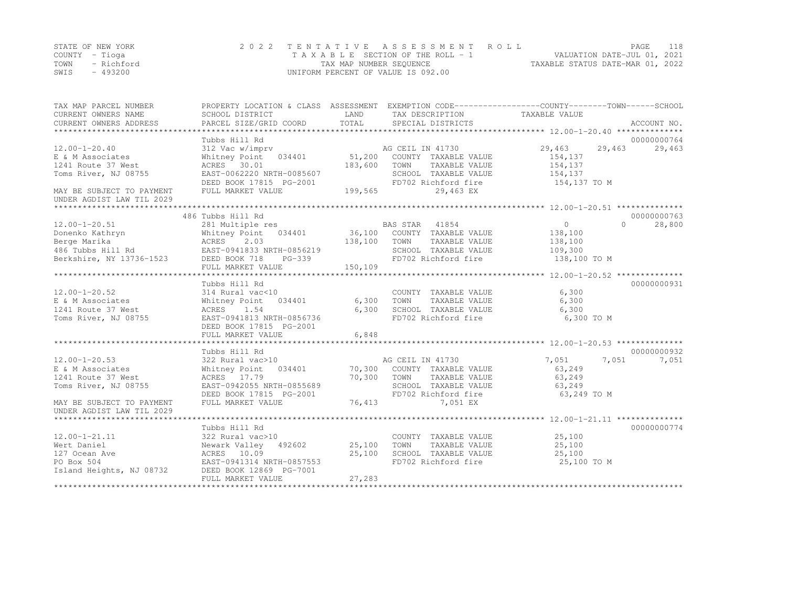|      | STATE OF NEW YORK | 2022 TENTATIVE ASSESSMENT ROLL     | 118<br>PAGE.                     |
|------|-------------------|------------------------------------|----------------------------------|
|      | COUNTY – Tioga    | TAXABLE SECTION OF THE ROLL - 1    | VALUATION DATE-JUL 01, 2021      |
| TOWN | - Richford        | TAX MAP NUMBER SEQUENCE            | TAXABLE STATUS DATE-MAR 01, 2022 |
| SWIS | - 493200          | UNIFORM PERCENT OF VALUE IS 092.00 |                                  |

| TAXABLE VALUE<br>CURRENT OWNERS NAME<br>SCHOOL DISTRICT<br>LAND<br>TAX DESCRIPTION<br>TOTAL<br>CURRENT OWNERS ADDRESS<br>PARCEL SIZE/GRID COORD<br>SPECIAL DISTRICTS<br>ACCOUNT NO.<br>Tubbs Hill Rd<br>00000000764<br>29,463<br>29,463<br>$12.00 - 1 - 20.40$<br>312 Vac w/imprv<br>AG CEIL IN 41730<br>29,463<br>51,200<br>Whitney Point 034401<br>COUNTY TAXABLE VALUE<br>E & M Associates<br>154,137<br>183,600<br>154,137<br>1241 Route 37 West<br>ACRES 30.01<br>TOWN<br>TAXABLE VALUE<br>Toms River, NJ 08755<br>EAST-0062220 NRTH-0085607<br>SCHOOL TAXABLE VALUE<br>154,137<br>FD702 Richford fire<br>154,137 TO M<br>DEED BOOK 17815 PG-2001<br>199,565<br>FULL MARKET VALUE<br>29,463 EX<br>MAY BE SUBJECT TO PAYMENT<br>UNDER AGDIST LAW TIL 2029<br>486 Tubbs Hill Rd<br>00000000763<br>0<br>$12.00 - 1 - 20.51$<br>$\cap$<br>28,800<br>281 Multiple res<br>BAS STAR 41854<br>034401 36,100 COUNTY TAXABLE VALUE<br>Donenko Kathryn<br>Whitney Point<br>138,100<br>Berge Marika<br>ACRES<br>2.03<br>138,100<br>TOWN<br>TAXABLE VALUE<br>138,100<br>486 Tubbs Hill Rd<br>EAST-0941833 NRTH-0856219<br>SCHOOL TAXABLE VALUE<br>109,300<br>Berkshire, NY 13736-1523<br>FD702 Richford fire<br>138,100 TO M<br>DEED BOOK 718<br>PG-339<br>150,109<br>FULL MARKET VALUE<br>00000000931<br>Tubbs Hill Rd<br>6,300<br>$12.00 - 1 - 20.52$<br>314 Rural vac<10<br>COUNTY TAXABLE VALUE<br>E & M Associates<br>Whitney Point<br>034401<br>6,300<br>TOWN<br>TAXABLE VALUE<br>6,300<br>6,300<br>1241 Route 37 West<br>ACRES 1.54<br>SCHOOL TAXABLE VALUE<br>6,300<br>FD702 Richford fire<br>6,300 TO M<br>Toms River, NJ 08755<br>EAST-0941813 NRTH-0856736<br>DEED BOOK 17815 PG-2001<br>6,848<br>FULL MARKET VALUE<br>00000000932<br>Tubbs Hill Rd<br>$12.00 - 1 - 20.53$<br>322 Rural vac>10<br>AG CEIL IN 41730<br>7,051<br>7,051<br>7,051<br>70,300 COUNTY TAXABLE VALUE<br>E & M Associates<br>Whitney Point 034401<br>63,249<br>70,300<br>1241 Route 37 West<br>ACRES 17.79<br>TOWN<br>TAXABLE VALUE<br>63,249<br>Toms River, NJ 08755<br>SCHOOL TAXABLE VALUE<br>EAST-0942055 NRTH-0855689<br>63,249<br>DEED BOOK 17815 PG-2001<br>FD702 Richford fire<br>63,249 TO M<br>76,413<br>MAY BE SUBJECT TO PAYMENT<br>FULL MARKET VALUE<br>7,051 EX<br>UNDER AGDIST LAW TIL 2029<br>Tubbs Hill Rd<br>00000000774<br>25,100<br>$12.00 - 1 - 21.11$<br>322 Rural vac>10<br>COUNTY TAXABLE VALUE<br>25,100<br>Wert Daniel<br>Newark Valley 492602<br>25,100<br>TOWN<br>TAXABLE VALUE<br>25,100<br>SCHOOL TAXABLE VALUE<br>127 Ocean Ave<br>ACRES 10.09<br>25,100<br>PO Box 504<br>EAST-0941314 NRTH-0857553<br>FD702 Richford fire<br>25,100 TO M<br>Island Heights, NJ 08732<br>DEED BOOK 12869 PG-7001<br>FULL MARKET VALUE<br>27,283 | TAX MAP PARCEL NUMBER | PROPERTY LOCATION & CLASS ASSESSMENT EXEMPTION CODE----------------COUNTY-------TOWN-----SCHOOL |  |  |
|------------------------------------------------------------------------------------------------------------------------------------------------------------------------------------------------------------------------------------------------------------------------------------------------------------------------------------------------------------------------------------------------------------------------------------------------------------------------------------------------------------------------------------------------------------------------------------------------------------------------------------------------------------------------------------------------------------------------------------------------------------------------------------------------------------------------------------------------------------------------------------------------------------------------------------------------------------------------------------------------------------------------------------------------------------------------------------------------------------------------------------------------------------------------------------------------------------------------------------------------------------------------------------------------------------------------------------------------------------------------------------------------------------------------------------------------------------------------------------------------------------------------------------------------------------------------------------------------------------------------------------------------------------------------------------------------------------------------------------------------------------------------------------------------------------------------------------------------------------------------------------------------------------------------------------------------------------------------------------------------------------------------------------------------------------------------------------------------------------------------------------------------------------------------------------------------------------------------------------------------------------------------------------------------------------------------------------------------------------------------------------------------------------------------------------------------------------------------------------------------------------------------------------------------------------------------------------------------------------------------------------------------------------------------------------------------------------------------------------------|-----------------------|-------------------------------------------------------------------------------------------------|--|--|
|                                                                                                                                                                                                                                                                                                                                                                                                                                                                                                                                                                                                                                                                                                                                                                                                                                                                                                                                                                                                                                                                                                                                                                                                                                                                                                                                                                                                                                                                                                                                                                                                                                                                                                                                                                                                                                                                                                                                                                                                                                                                                                                                                                                                                                                                                                                                                                                                                                                                                                                                                                                                                                                                                                                                          |                       |                                                                                                 |  |  |
|                                                                                                                                                                                                                                                                                                                                                                                                                                                                                                                                                                                                                                                                                                                                                                                                                                                                                                                                                                                                                                                                                                                                                                                                                                                                                                                                                                                                                                                                                                                                                                                                                                                                                                                                                                                                                                                                                                                                                                                                                                                                                                                                                                                                                                                                                                                                                                                                                                                                                                                                                                                                                                                                                                                                          |                       |                                                                                                 |  |  |
|                                                                                                                                                                                                                                                                                                                                                                                                                                                                                                                                                                                                                                                                                                                                                                                                                                                                                                                                                                                                                                                                                                                                                                                                                                                                                                                                                                                                                                                                                                                                                                                                                                                                                                                                                                                                                                                                                                                                                                                                                                                                                                                                                                                                                                                                                                                                                                                                                                                                                                                                                                                                                                                                                                                                          |                       |                                                                                                 |  |  |
|                                                                                                                                                                                                                                                                                                                                                                                                                                                                                                                                                                                                                                                                                                                                                                                                                                                                                                                                                                                                                                                                                                                                                                                                                                                                                                                                                                                                                                                                                                                                                                                                                                                                                                                                                                                                                                                                                                                                                                                                                                                                                                                                                                                                                                                                                                                                                                                                                                                                                                                                                                                                                                                                                                                                          |                       |                                                                                                 |  |  |
|                                                                                                                                                                                                                                                                                                                                                                                                                                                                                                                                                                                                                                                                                                                                                                                                                                                                                                                                                                                                                                                                                                                                                                                                                                                                                                                                                                                                                                                                                                                                                                                                                                                                                                                                                                                                                                                                                                                                                                                                                                                                                                                                                                                                                                                                                                                                                                                                                                                                                                                                                                                                                                                                                                                                          |                       |                                                                                                 |  |  |
|                                                                                                                                                                                                                                                                                                                                                                                                                                                                                                                                                                                                                                                                                                                                                                                                                                                                                                                                                                                                                                                                                                                                                                                                                                                                                                                                                                                                                                                                                                                                                                                                                                                                                                                                                                                                                                                                                                                                                                                                                                                                                                                                                                                                                                                                                                                                                                                                                                                                                                                                                                                                                                                                                                                                          |                       |                                                                                                 |  |  |
|                                                                                                                                                                                                                                                                                                                                                                                                                                                                                                                                                                                                                                                                                                                                                                                                                                                                                                                                                                                                                                                                                                                                                                                                                                                                                                                                                                                                                                                                                                                                                                                                                                                                                                                                                                                                                                                                                                                                                                                                                                                                                                                                                                                                                                                                                                                                                                                                                                                                                                                                                                                                                                                                                                                                          |                       |                                                                                                 |  |  |
|                                                                                                                                                                                                                                                                                                                                                                                                                                                                                                                                                                                                                                                                                                                                                                                                                                                                                                                                                                                                                                                                                                                                                                                                                                                                                                                                                                                                                                                                                                                                                                                                                                                                                                                                                                                                                                                                                                                                                                                                                                                                                                                                                                                                                                                                                                                                                                                                                                                                                                                                                                                                                                                                                                                                          |                       |                                                                                                 |  |  |
|                                                                                                                                                                                                                                                                                                                                                                                                                                                                                                                                                                                                                                                                                                                                                                                                                                                                                                                                                                                                                                                                                                                                                                                                                                                                                                                                                                                                                                                                                                                                                                                                                                                                                                                                                                                                                                                                                                                                                                                                                                                                                                                                                                                                                                                                                                                                                                                                                                                                                                                                                                                                                                                                                                                                          |                       |                                                                                                 |  |  |
|                                                                                                                                                                                                                                                                                                                                                                                                                                                                                                                                                                                                                                                                                                                                                                                                                                                                                                                                                                                                                                                                                                                                                                                                                                                                                                                                                                                                                                                                                                                                                                                                                                                                                                                                                                                                                                                                                                                                                                                                                                                                                                                                                                                                                                                                                                                                                                                                                                                                                                                                                                                                                                                                                                                                          |                       |                                                                                                 |  |  |
|                                                                                                                                                                                                                                                                                                                                                                                                                                                                                                                                                                                                                                                                                                                                                                                                                                                                                                                                                                                                                                                                                                                                                                                                                                                                                                                                                                                                                                                                                                                                                                                                                                                                                                                                                                                                                                                                                                                                                                                                                                                                                                                                                                                                                                                                                                                                                                                                                                                                                                                                                                                                                                                                                                                                          |                       |                                                                                                 |  |  |
|                                                                                                                                                                                                                                                                                                                                                                                                                                                                                                                                                                                                                                                                                                                                                                                                                                                                                                                                                                                                                                                                                                                                                                                                                                                                                                                                                                                                                                                                                                                                                                                                                                                                                                                                                                                                                                                                                                                                                                                                                                                                                                                                                                                                                                                                                                                                                                                                                                                                                                                                                                                                                                                                                                                                          |                       |                                                                                                 |  |  |
|                                                                                                                                                                                                                                                                                                                                                                                                                                                                                                                                                                                                                                                                                                                                                                                                                                                                                                                                                                                                                                                                                                                                                                                                                                                                                                                                                                                                                                                                                                                                                                                                                                                                                                                                                                                                                                                                                                                                                                                                                                                                                                                                                                                                                                                                                                                                                                                                                                                                                                                                                                                                                                                                                                                                          |                       |                                                                                                 |  |  |
|                                                                                                                                                                                                                                                                                                                                                                                                                                                                                                                                                                                                                                                                                                                                                                                                                                                                                                                                                                                                                                                                                                                                                                                                                                                                                                                                                                                                                                                                                                                                                                                                                                                                                                                                                                                                                                                                                                                                                                                                                                                                                                                                                                                                                                                                                                                                                                                                                                                                                                                                                                                                                                                                                                                                          |                       |                                                                                                 |  |  |
|                                                                                                                                                                                                                                                                                                                                                                                                                                                                                                                                                                                                                                                                                                                                                                                                                                                                                                                                                                                                                                                                                                                                                                                                                                                                                                                                                                                                                                                                                                                                                                                                                                                                                                                                                                                                                                                                                                                                                                                                                                                                                                                                                                                                                                                                                                                                                                                                                                                                                                                                                                                                                                                                                                                                          |                       |                                                                                                 |  |  |
|                                                                                                                                                                                                                                                                                                                                                                                                                                                                                                                                                                                                                                                                                                                                                                                                                                                                                                                                                                                                                                                                                                                                                                                                                                                                                                                                                                                                                                                                                                                                                                                                                                                                                                                                                                                                                                                                                                                                                                                                                                                                                                                                                                                                                                                                                                                                                                                                                                                                                                                                                                                                                                                                                                                                          |                       |                                                                                                 |  |  |
|                                                                                                                                                                                                                                                                                                                                                                                                                                                                                                                                                                                                                                                                                                                                                                                                                                                                                                                                                                                                                                                                                                                                                                                                                                                                                                                                                                                                                                                                                                                                                                                                                                                                                                                                                                                                                                                                                                                                                                                                                                                                                                                                                                                                                                                                                                                                                                                                                                                                                                                                                                                                                                                                                                                                          |                       |                                                                                                 |  |  |
|                                                                                                                                                                                                                                                                                                                                                                                                                                                                                                                                                                                                                                                                                                                                                                                                                                                                                                                                                                                                                                                                                                                                                                                                                                                                                                                                                                                                                                                                                                                                                                                                                                                                                                                                                                                                                                                                                                                                                                                                                                                                                                                                                                                                                                                                                                                                                                                                                                                                                                                                                                                                                                                                                                                                          |                       |                                                                                                 |  |  |
|                                                                                                                                                                                                                                                                                                                                                                                                                                                                                                                                                                                                                                                                                                                                                                                                                                                                                                                                                                                                                                                                                                                                                                                                                                                                                                                                                                                                                                                                                                                                                                                                                                                                                                                                                                                                                                                                                                                                                                                                                                                                                                                                                                                                                                                                                                                                                                                                                                                                                                                                                                                                                                                                                                                                          |                       |                                                                                                 |  |  |
|                                                                                                                                                                                                                                                                                                                                                                                                                                                                                                                                                                                                                                                                                                                                                                                                                                                                                                                                                                                                                                                                                                                                                                                                                                                                                                                                                                                                                                                                                                                                                                                                                                                                                                                                                                                                                                                                                                                                                                                                                                                                                                                                                                                                                                                                                                                                                                                                                                                                                                                                                                                                                                                                                                                                          |                       |                                                                                                 |  |  |
|                                                                                                                                                                                                                                                                                                                                                                                                                                                                                                                                                                                                                                                                                                                                                                                                                                                                                                                                                                                                                                                                                                                                                                                                                                                                                                                                                                                                                                                                                                                                                                                                                                                                                                                                                                                                                                                                                                                                                                                                                                                                                                                                                                                                                                                                                                                                                                                                                                                                                                                                                                                                                                                                                                                                          |                       |                                                                                                 |  |  |
|                                                                                                                                                                                                                                                                                                                                                                                                                                                                                                                                                                                                                                                                                                                                                                                                                                                                                                                                                                                                                                                                                                                                                                                                                                                                                                                                                                                                                                                                                                                                                                                                                                                                                                                                                                                                                                                                                                                                                                                                                                                                                                                                                                                                                                                                                                                                                                                                                                                                                                                                                                                                                                                                                                                                          |                       |                                                                                                 |  |  |
|                                                                                                                                                                                                                                                                                                                                                                                                                                                                                                                                                                                                                                                                                                                                                                                                                                                                                                                                                                                                                                                                                                                                                                                                                                                                                                                                                                                                                                                                                                                                                                                                                                                                                                                                                                                                                                                                                                                                                                                                                                                                                                                                                                                                                                                                                                                                                                                                                                                                                                                                                                                                                                                                                                                                          |                       |                                                                                                 |  |  |
|                                                                                                                                                                                                                                                                                                                                                                                                                                                                                                                                                                                                                                                                                                                                                                                                                                                                                                                                                                                                                                                                                                                                                                                                                                                                                                                                                                                                                                                                                                                                                                                                                                                                                                                                                                                                                                                                                                                                                                                                                                                                                                                                                                                                                                                                                                                                                                                                                                                                                                                                                                                                                                                                                                                                          |                       |                                                                                                 |  |  |
|                                                                                                                                                                                                                                                                                                                                                                                                                                                                                                                                                                                                                                                                                                                                                                                                                                                                                                                                                                                                                                                                                                                                                                                                                                                                                                                                                                                                                                                                                                                                                                                                                                                                                                                                                                                                                                                                                                                                                                                                                                                                                                                                                                                                                                                                                                                                                                                                                                                                                                                                                                                                                                                                                                                                          |                       |                                                                                                 |  |  |
|                                                                                                                                                                                                                                                                                                                                                                                                                                                                                                                                                                                                                                                                                                                                                                                                                                                                                                                                                                                                                                                                                                                                                                                                                                                                                                                                                                                                                                                                                                                                                                                                                                                                                                                                                                                                                                                                                                                                                                                                                                                                                                                                                                                                                                                                                                                                                                                                                                                                                                                                                                                                                                                                                                                                          |                       |                                                                                                 |  |  |
|                                                                                                                                                                                                                                                                                                                                                                                                                                                                                                                                                                                                                                                                                                                                                                                                                                                                                                                                                                                                                                                                                                                                                                                                                                                                                                                                                                                                                                                                                                                                                                                                                                                                                                                                                                                                                                                                                                                                                                                                                                                                                                                                                                                                                                                                                                                                                                                                                                                                                                                                                                                                                                                                                                                                          |                       |                                                                                                 |  |  |
|                                                                                                                                                                                                                                                                                                                                                                                                                                                                                                                                                                                                                                                                                                                                                                                                                                                                                                                                                                                                                                                                                                                                                                                                                                                                                                                                                                                                                                                                                                                                                                                                                                                                                                                                                                                                                                                                                                                                                                                                                                                                                                                                                                                                                                                                                                                                                                                                                                                                                                                                                                                                                                                                                                                                          |                       |                                                                                                 |  |  |
|                                                                                                                                                                                                                                                                                                                                                                                                                                                                                                                                                                                                                                                                                                                                                                                                                                                                                                                                                                                                                                                                                                                                                                                                                                                                                                                                                                                                                                                                                                                                                                                                                                                                                                                                                                                                                                                                                                                                                                                                                                                                                                                                                                                                                                                                                                                                                                                                                                                                                                                                                                                                                                                                                                                                          |                       |                                                                                                 |  |  |
|                                                                                                                                                                                                                                                                                                                                                                                                                                                                                                                                                                                                                                                                                                                                                                                                                                                                                                                                                                                                                                                                                                                                                                                                                                                                                                                                                                                                                                                                                                                                                                                                                                                                                                                                                                                                                                                                                                                                                                                                                                                                                                                                                                                                                                                                                                                                                                                                                                                                                                                                                                                                                                                                                                                                          |                       |                                                                                                 |  |  |
|                                                                                                                                                                                                                                                                                                                                                                                                                                                                                                                                                                                                                                                                                                                                                                                                                                                                                                                                                                                                                                                                                                                                                                                                                                                                                                                                                                                                                                                                                                                                                                                                                                                                                                                                                                                                                                                                                                                                                                                                                                                                                                                                                                                                                                                                                                                                                                                                                                                                                                                                                                                                                                                                                                                                          |                       |                                                                                                 |  |  |
|                                                                                                                                                                                                                                                                                                                                                                                                                                                                                                                                                                                                                                                                                                                                                                                                                                                                                                                                                                                                                                                                                                                                                                                                                                                                                                                                                                                                                                                                                                                                                                                                                                                                                                                                                                                                                                                                                                                                                                                                                                                                                                                                                                                                                                                                                                                                                                                                                                                                                                                                                                                                                                                                                                                                          |                       |                                                                                                 |  |  |
|                                                                                                                                                                                                                                                                                                                                                                                                                                                                                                                                                                                                                                                                                                                                                                                                                                                                                                                                                                                                                                                                                                                                                                                                                                                                                                                                                                                                                                                                                                                                                                                                                                                                                                                                                                                                                                                                                                                                                                                                                                                                                                                                                                                                                                                                                                                                                                                                                                                                                                                                                                                                                                                                                                                                          |                       |                                                                                                 |  |  |
|                                                                                                                                                                                                                                                                                                                                                                                                                                                                                                                                                                                                                                                                                                                                                                                                                                                                                                                                                                                                                                                                                                                                                                                                                                                                                                                                                                                                                                                                                                                                                                                                                                                                                                                                                                                                                                                                                                                                                                                                                                                                                                                                                                                                                                                                                                                                                                                                                                                                                                                                                                                                                                                                                                                                          |                       |                                                                                                 |  |  |
|                                                                                                                                                                                                                                                                                                                                                                                                                                                                                                                                                                                                                                                                                                                                                                                                                                                                                                                                                                                                                                                                                                                                                                                                                                                                                                                                                                                                                                                                                                                                                                                                                                                                                                                                                                                                                                                                                                                                                                                                                                                                                                                                                                                                                                                                                                                                                                                                                                                                                                                                                                                                                                                                                                                                          |                       |                                                                                                 |  |  |
|                                                                                                                                                                                                                                                                                                                                                                                                                                                                                                                                                                                                                                                                                                                                                                                                                                                                                                                                                                                                                                                                                                                                                                                                                                                                                                                                                                                                                                                                                                                                                                                                                                                                                                                                                                                                                                                                                                                                                                                                                                                                                                                                                                                                                                                                                                                                                                                                                                                                                                                                                                                                                                                                                                                                          |                       |                                                                                                 |  |  |
|                                                                                                                                                                                                                                                                                                                                                                                                                                                                                                                                                                                                                                                                                                                                                                                                                                                                                                                                                                                                                                                                                                                                                                                                                                                                                                                                                                                                                                                                                                                                                                                                                                                                                                                                                                                                                                                                                                                                                                                                                                                                                                                                                                                                                                                                                                                                                                                                                                                                                                                                                                                                                                                                                                                                          |                       |                                                                                                 |  |  |
|                                                                                                                                                                                                                                                                                                                                                                                                                                                                                                                                                                                                                                                                                                                                                                                                                                                                                                                                                                                                                                                                                                                                                                                                                                                                                                                                                                                                                                                                                                                                                                                                                                                                                                                                                                                                                                                                                                                                                                                                                                                                                                                                                                                                                                                                                                                                                                                                                                                                                                                                                                                                                                                                                                                                          |                       |                                                                                                 |  |  |
|                                                                                                                                                                                                                                                                                                                                                                                                                                                                                                                                                                                                                                                                                                                                                                                                                                                                                                                                                                                                                                                                                                                                                                                                                                                                                                                                                                                                                                                                                                                                                                                                                                                                                                                                                                                                                                                                                                                                                                                                                                                                                                                                                                                                                                                                                                                                                                                                                                                                                                                                                                                                                                                                                                                                          |                       |                                                                                                 |  |  |
|                                                                                                                                                                                                                                                                                                                                                                                                                                                                                                                                                                                                                                                                                                                                                                                                                                                                                                                                                                                                                                                                                                                                                                                                                                                                                                                                                                                                                                                                                                                                                                                                                                                                                                                                                                                                                                                                                                                                                                                                                                                                                                                                                                                                                                                                                                                                                                                                                                                                                                                                                                                                                                                                                                                                          |                       |                                                                                                 |  |  |
|                                                                                                                                                                                                                                                                                                                                                                                                                                                                                                                                                                                                                                                                                                                                                                                                                                                                                                                                                                                                                                                                                                                                                                                                                                                                                                                                                                                                                                                                                                                                                                                                                                                                                                                                                                                                                                                                                                                                                                                                                                                                                                                                                                                                                                                                                                                                                                                                                                                                                                                                                                                                                                                                                                                                          |                       |                                                                                                 |  |  |
|                                                                                                                                                                                                                                                                                                                                                                                                                                                                                                                                                                                                                                                                                                                                                                                                                                                                                                                                                                                                                                                                                                                                                                                                                                                                                                                                                                                                                                                                                                                                                                                                                                                                                                                                                                                                                                                                                                                                                                                                                                                                                                                                                                                                                                                                                                                                                                                                                                                                                                                                                                                                                                                                                                                                          |                       |                                                                                                 |  |  |
|                                                                                                                                                                                                                                                                                                                                                                                                                                                                                                                                                                                                                                                                                                                                                                                                                                                                                                                                                                                                                                                                                                                                                                                                                                                                                                                                                                                                                                                                                                                                                                                                                                                                                                                                                                                                                                                                                                                                                                                                                                                                                                                                                                                                                                                                                                                                                                                                                                                                                                                                                                                                                                                                                                                                          |                       |                                                                                                 |  |  |
|                                                                                                                                                                                                                                                                                                                                                                                                                                                                                                                                                                                                                                                                                                                                                                                                                                                                                                                                                                                                                                                                                                                                                                                                                                                                                                                                                                                                                                                                                                                                                                                                                                                                                                                                                                                                                                                                                                                                                                                                                                                                                                                                                                                                                                                                                                                                                                                                                                                                                                                                                                                                                                                                                                                                          |                       |                                                                                                 |  |  |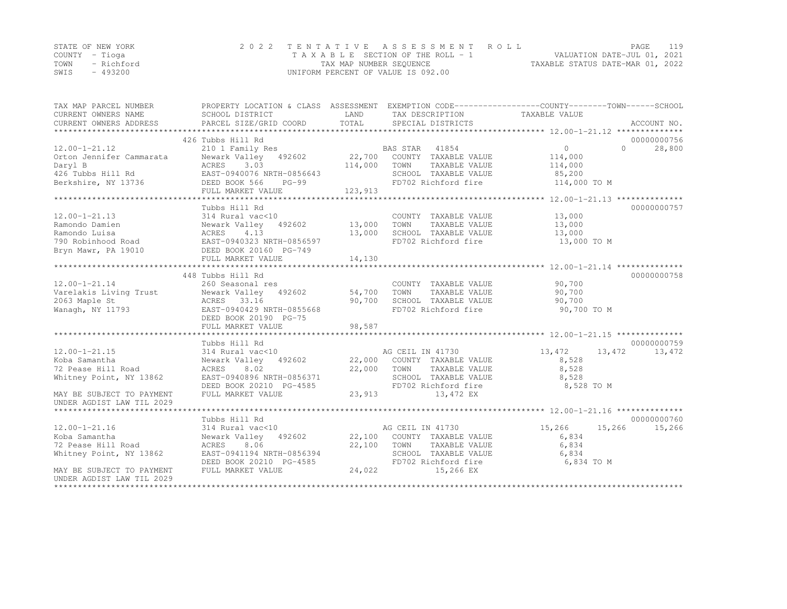|      | STATE OF NEW YORK | 2022 TENTATIVE ASSESSMENT ROLL     |                                  | PAGE | 119 |
|------|-------------------|------------------------------------|----------------------------------|------|-----|
|      | COUNTY – Tioga    | TAXABLE SECTION OF THE ROLL - 1    | VALUATION DATE-JUL 01, 2021      |      |     |
| TOWN | - Richford        | TAX MAP NUMBER SEQUENCE            | TAXABLE STATUS DATE-MAR 01, 2022 |      |     |
| SWIS | $-493200$         | UNIFORM PERCENT OF VALUE IS 092.00 |                                  |      |     |

| TAX MAP PARCEL NUMBER<br>CURRENT OWNERS NAME<br>CURRENT OWNERS ADDRESS                                                                                                       | SCHOOL DISTRICT<br>PARCEL SIZE/GRID COORD                                                                                                                    | LAND<br>TOTAL                                 | TAX DESCRIPTION<br>SPECIAL DISTRICTS                                                                                          | PROPERTY LOCATION & CLASS ASSESSMENT EXEMPTION CODE----------------COUNTY-------TOWN------SCHOOL<br>TAXABLE VALUE           | ACCOUNT NO.           |
|------------------------------------------------------------------------------------------------------------------------------------------------------------------------------|--------------------------------------------------------------------------------------------------------------------------------------------------------------|-----------------------------------------------|-------------------------------------------------------------------------------------------------------------------------------|-----------------------------------------------------------------------------------------------------------------------------|-----------------------|
| $12.00 - 1 - 21.12$<br>Orton Jennifer Cammarata<br>Daryl B<br>426 Tubbs Hill Rd<br>Berkshire, NY 13736                                                                       | 426 Tubbs Hill Rd<br>210 1 Family Res<br>Newark Valley 492602<br>ACRES<br>3.03<br>EAST-0940076 NRTH-0856643<br>DEED BOOK 566<br>$PG-99$<br>FULL MARKET VALUE | 22,700<br>114,000<br>123,913<br>************* | BAS STAR<br>41854<br>COUNTY TAXABLE VALUE<br>TOWN<br>TAXABLE VALUE<br>SCHOOL TAXABLE VALUE<br>FD702 Richford fire             | $\Omega$<br>$\bigcap$<br>114,000<br>114,000<br>85,200<br>114,000 TO M<br>******************** 12.00-1-21.13 *************** | 00000000756<br>28,800 |
| $12.00 - 1 - 21.13$<br>Ramondo Damien<br>Ramondo Luisa<br>790 Robinhood Road<br>Bryn Mawr, PA 19010                                                                          | Tubbs Hill Rd<br>314 Rural vac<10<br>492602<br>Newark Valley<br>4.13<br>ACRES<br>EAST-0940323 NRTH-0856597<br>DEED BOOK 20160 PG-749<br>FULL MARKET VALUE    | 13,000<br>13,000<br>14,130                    | COUNTY TAXABLE VALUE<br>TOWN<br>TAXABLE VALUE<br>SCHOOL TAXABLE VALUE<br>FD702 Richford fire                                  | 13,000<br>13,000<br>13,000<br>13,000 TO M                                                                                   | 00000000757           |
| $12.00 - 1 - 21.14$<br>Varelakis Living Trust<br>2063 Maple St<br>Wanagh, NY 11793                                                                                           | 448 Tubbs Hill Rd<br>260 Seasonal res<br>Newark Valley<br>492602<br>ACRES 33.16<br>EAST-0940429 NRTH-0855668<br>DEED BOOK 20190 PG-75<br>FULL MARKET VALUE   | 54,700<br>90,700<br>98,587                    | COUNTY TAXABLE VALUE<br>TOWN<br>TAXABLE VALUE<br>SCHOOL TAXABLE VALUE<br>FD702 Richford fire                                  | 90,700<br>90,700<br>90,700<br>90,700 TO M                                                                                   | 00000000758           |
| $12.00 - 1 - 21.15$<br>Koba Samantha<br>72 Pease Hill Road<br>Whitney Point, NY 13862<br>MAY BE SUBJECT TO PAYMENT                                                           | Tubbs Hill Rd<br>314 Rural vac<10<br>Newark Valley 492602<br>8.02<br>ACRES<br>EAST-0940896 NRTH-0856371<br>DEED BOOK 20210 PG-4585<br>FULL MARKET VALUE      | 22,000<br>22,000<br>23,913                    | AG CEIL IN 41730<br>COUNTY TAXABLE VALUE<br>TOWN<br>TAXABLE VALUE<br>SCHOOL TAXABLE VALUE<br>FD702 Richford fire<br>13,472 EX | 13,472<br>13,472<br>8,528<br>8,528<br>8,528<br>8,528 TO M                                                                   | 00000000759<br>13,472 |
| UNDER AGDIST LAW TIL 2029<br>$12.00 - 1 - 21.16$<br>Koba Samantha<br>72 Pease Hill Road<br>Whitney Point, NY 13862<br>MAY BE SUBJECT TO PAYMENT<br>UNDER AGDIST LAW TIL 2029 | Tubbs Hill Rd<br>314 Rural vac<10<br>Newark Valley<br>492602<br>8.06<br>ACRES<br>EAST-0941194 NRTH-0856394<br>DEED BOOK 20210 PG-4585<br>FULL MARKET VALUE   | 22,100<br>22,100<br>24,022                    | AG CEIL IN 41730<br>COUNTY TAXABLE VALUE<br>TOWN<br>TAXABLE VALUE<br>SCHOOL TAXABLE VALUE<br>FD702 Richford fire<br>15,266 EX | 15,266<br>15,266<br>6,834<br>6,834<br>6,834<br>6,834 TO M                                                                   | 00000000760<br>15,266 |

\*\*\*\*\*\*\*\*\*\*\*\*\*\*\*\*\*\*\*\*\*\*\*\*\*\*\*\*\*\*\*\*\*\*\*\*\*\*\*\*\*\*\*\*\*\*\*\*\*\*\*\*\*\*\*\*\*\*\*\*\*\*\*\*\*\*\*\*\*\*\*\*\*\*\*\*\*\*\*\*\*\*\*\*\*\*\*\*\*\*\*\*\*\*\*\*\*\*\*\*\*\*\*\*\*\*\*\*\*\*\*\*\*\*\*\*\*\*\*\*\*\*\*\*\*\*\*\*\*\*\*\*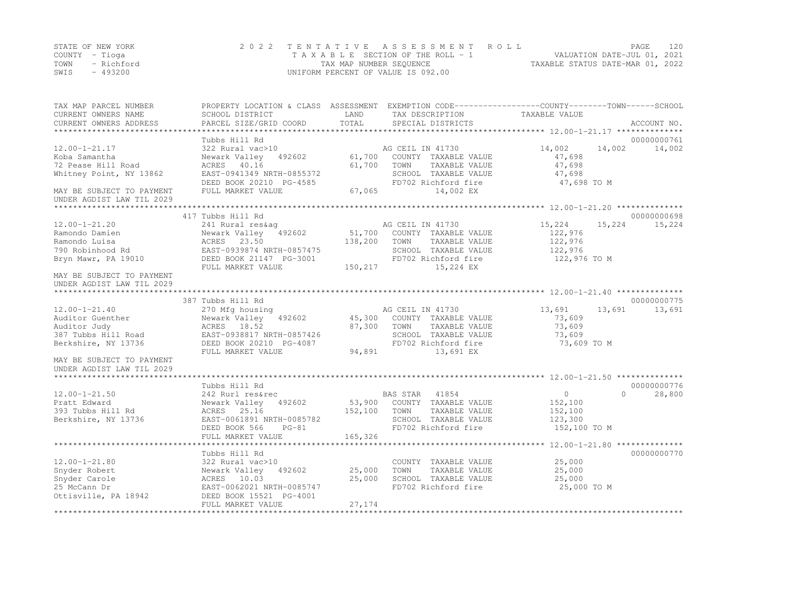|      | STATE OF NEW YORK | 2022 TENTATIVE ASSESSMENT ROLL     |                                  | PAGE | 120 |
|------|-------------------|------------------------------------|----------------------------------|------|-----|
|      | COUNTY – Tioga    | TAXABLE SECTION OF THE ROLL - 1    | VALUATION DATE-JUL 01, 2021      |      |     |
| TOWN | - Richford        | TAX MAP NUMBER SEOUENCE            | TAXABLE STATUS DATE-MAR 01, 2022 |      |     |
| SWIS | $-493200$         | UNIFORM PERCENT OF VALUE IS 092.00 |                                  |      |     |

| TAX MAP PARCEL NUMBER<br>CURRENT OWNERS NAME           | PROPERTY LOCATION & CLASS ASSESSMENT EXEMPTION CODE----------------COUNTY-------TOWN-----SCHOOL<br>SCHOOL DISTRICT | LAND<br>TOTAL | TAX DESCRIPTION                          | TAXABLE VALUE     |          |             |
|--------------------------------------------------------|--------------------------------------------------------------------------------------------------------------------|---------------|------------------------------------------|-------------------|----------|-------------|
| CURRENT OWNERS ADDRESS<br>*************************    | PARCEL SIZE/GRID COORD                                                                                             |               | SPECIAL DISTRICTS                        |                   |          | ACCOUNT NO. |
|                                                        | Tubbs Hill Rd                                                                                                      |               |                                          |                   |          | 00000000761 |
| $12.00 - 1 - 21.17$                                    | 322 Rural vac>10                                                                                                   |               | AG CEIL IN 41730                         | 14,002            | 14,002   | 14,002      |
| Koba Samantha                                          | Newark Valley<br>492602                                                                                            | 61,700        | COUNTY TAXABLE VALUE                     | 47,698            |          |             |
| 72 Pease Hill Road                                     | ACRES 40.16                                                                                                        | 61,700        | TOWN<br>TAXABLE VALUE                    | 47,698            |          |             |
| Whitney Point, NY 13862                                | EAST-0941349 NRTH-0855372                                                                                          |               | SCHOOL TAXABLE VALUE                     | 47,698            |          |             |
|                                                        | DEED BOOK 20210 PG-4585                                                                                            |               | FD702 Richford fire                      | 47,698 TO M       |          |             |
| MAY BE SUBJECT TO PAYMENT<br>UNDER AGDIST LAW TIL 2029 | FULL MARKET VALUE                                                                                                  | 67,065        | 14,002 EX                                |                   |          |             |
|                                                        |                                                                                                                    |               |                                          |                   |          |             |
|                                                        | 417 Tubbs Hill Rd                                                                                                  |               |                                          |                   |          | 00000000698 |
| $12.00 - 1 - 21.20$<br>Ramondo Damien                  | 241 Rural res&aq<br>Newark Valley 492602                                                                           | 51,700        | AG CEIL IN 41730<br>COUNTY TAXABLE VALUE | 15,224<br>122,976 | 15,224   | 15,224      |
| Ramondo Luisa                                          | ACRES 23.50                                                                                                        | 138,200       | TOWN<br>TAXABLE VALUE                    | 122,976           |          |             |
| 790 Robinhood Rd                                       | EAST-0939874 NRTH-0857475                                                                                          |               | SCHOOL TAXABLE VALUE                     | 122,976           |          |             |
| Bryn Mawr, PA 19010                                    | DEED BOOK 21147 PG-3001                                                                                            |               | FD702 Richford fire                      | 122,976 TO M      |          |             |
|                                                        | FULL MARKET VALUE                                                                                                  | 150,217       | 15,224 EX                                |                   |          |             |
| MAY BE SUBJECT TO PAYMENT<br>UNDER AGDIST LAW TIL 2029 |                                                                                                                    |               |                                          |                   |          |             |
|                                                        |                                                                                                                    |               |                                          |                   |          |             |
|                                                        | 387 Tubbs Hill Rd                                                                                                  |               |                                          |                   |          | 00000000775 |
| $12.00 - 1 - 21.40$                                    | 270 Mfg housing                                                                                                    |               | AG CEIL IN 41730                         | 13,691            | 13,691   | 13,691      |
| Auditor Guenther                                       | Newark Valley<br>492602                                                                                            | 45,300        | COUNTY TAXABLE VALUE                     | 73,609            |          |             |
| Auditor Judy                                           | ACRES 18.52                                                                                                        | 87,300        | TOWN<br>TAXABLE VALUE                    | 73,609            |          |             |
| 387 Tubbs Hill Road                                    | EAST-0938817 NRTH-0857426                                                                                          |               | SCHOOL TAXABLE VALUE                     | 73,609            |          |             |
| Berkshire, NY 13736                                    | DEED BOOK 20210 PG-4087                                                                                            |               | FD702 Richford fire                      | 73,609 TO M       |          |             |
|                                                        | FULL MARKET VALUE                                                                                                  | 94,891        | 13,691 EX                                |                   |          |             |
| MAY BE SUBJECT TO PAYMENT                              |                                                                                                                    |               |                                          |                   |          |             |
| UNDER AGDIST LAW TIL 2029                              |                                                                                                                    |               |                                          |                   |          |             |
|                                                        | Tubbs Hill Rd                                                                                                      |               |                                          |                   |          | 00000000776 |
| $12.00 - 1 - 21.50$                                    | 242 Rurl res&rec                                                                                                   |               | BAS STAR<br>41854                        | $\circ$           | $\Omega$ | 28,800      |
| Pratt Edward                                           | Newark Valley<br>492602                                                                                            | 53,900        | COUNTY TAXABLE VALUE                     | 152,100           |          |             |
| 393 Tubbs Hill Rd                                      | ACRES 25.16                                                                                                        | 152,100       | TOWN<br>TAXABLE VALUE                    | 152,100           |          |             |
| Berkshire, NY 13736                                    | EAST-0061891 NRTH-0085782                                                                                          |               | SCHOOL TAXABLE VALUE                     | 123,300           |          |             |
|                                                        | DEED BOOK 566<br>$PG-81$                                                                                           |               | FD702 Richford fire                      | 152,100 TO M      |          |             |
|                                                        | FULL MARKET VALUE                                                                                                  | 165,326       |                                          |                   |          |             |
|                                                        |                                                                                                                    |               |                                          |                   |          |             |
|                                                        | Tubbs Hill Rd                                                                                                      |               |                                          |                   |          | 00000000770 |
| $12.00 - 1 - 21.80$                                    | 322 Rural vac>10                                                                                                   |               | COUNTY TAXABLE VALUE                     | 25,000            |          |             |
| Snyder Robert                                          | Newark Valley 492602                                                                                               | 25,000        | TOWN<br>TAXABLE VALUE                    | 25,000            |          |             |
| Snyder Carole                                          | ACRES 10.03                                                                                                        | 25,000        | SCHOOL TAXABLE VALUE                     | 25,000            |          |             |
| 25 McCann Dr                                           | EAST-0062021 NRTH-0085747                                                                                          |               | FD702 Richford fire                      | 25,000 TO M       |          |             |
| Ottisville, PA 18942                                   | DEED BOOK 15521 PG-4001                                                                                            |               |                                          |                   |          |             |
|                                                        | FULL MARKET VALUE                                                                                                  | 27,174        |                                          |                   |          |             |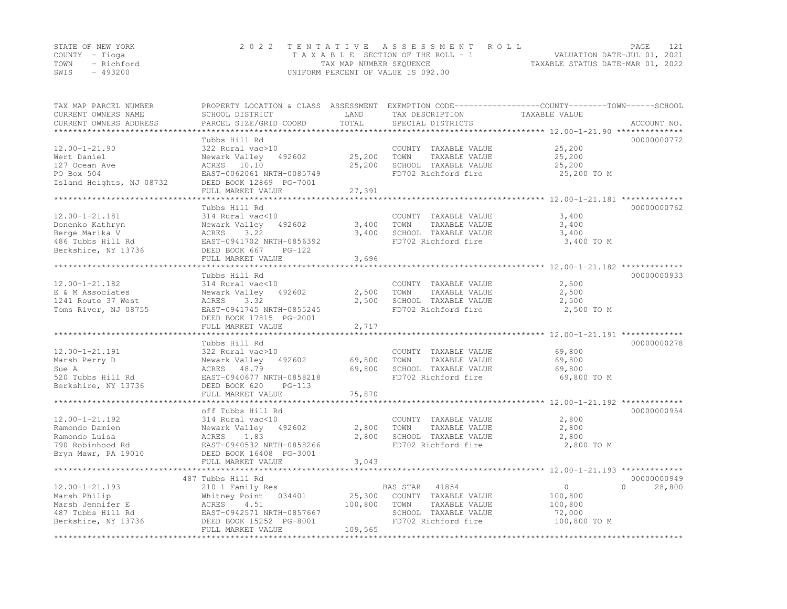| STATE OF NEW YORK  | 2022 TENTATIVE ASSESSMENT ROLL     | PAGE                             |
|--------------------|------------------------------------|----------------------------------|
| COUNTY – Tioga     | TAXABLE SECTION OF THE ROLL - 1    | VALUATION DATE-JUL 01, 2021      |
| TOWN<br>- Richford | TAX MAP NUMBER SEQUENCE            | TAXABLE STATUS DATE-MAR 01, 2022 |
| $-493200$<br>SWIS  | UNIFORM PERCENT OF VALUE IS 092.00 |                                  |

| TAX MAP PARCEL NUMBER<br>CURRENT OWNERS NAME | PROPERTY LOCATION & CLASS ASSESSMENT EXEMPTION CODE---------------COUNTY-------TOWN-----SCHOOL<br>SCHOOL DISTRICT | LAND         | TAX DESCRIPTION       | TAXABLE VALUE |             |
|----------------------------------------------|-------------------------------------------------------------------------------------------------------------------|--------------|-----------------------|---------------|-------------|
| CURRENT OWNERS ADDRESS                       | PARCEL SIZE/GRID COORD                                                                                            | TOTAL        | SPECIAL DISTRICTS     |               | ACCOUNT NO. |
|                                              |                                                                                                                   | ************ |                       |               |             |
|                                              | Tubbs Hill Rd                                                                                                     |              |                       |               | 00000000772 |
| $12.00 - 1 - 21.90$                          | 322 Rural vac>10                                                                                                  |              | COUNTY TAXABLE VALUE  | 25,200        |             |
| Wert Daniel                                  | Newark Valley<br>492602                                                                                           | 25,200       | TOWN<br>TAXABLE VALUE | 25,200        |             |
| 127 Ocean Ave                                | ACRES 10.10                                                                                                       | 25,200       | SCHOOL TAXABLE VALUE  | 25,200        |             |
| PO Box 504                                   | EAST-0062061 NRTH-0085749                                                                                         |              | FD702 Richford fire   | 25,200 TO M   |             |
| Island Heights, NJ 08732                     | DEED BOOK 12869 PG-7001                                                                                           |              |                       |               |             |
|                                              | FULL MARKET VALUE                                                                                                 | 27,391       |                       |               |             |
|                                              |                                                                                                                   |              |                       |               |             |
|                                              | Tubbs Hill Rd                                                                                                     |              |                       |               | 00000000762 |
| $12.00 - 1 - 21.181$                         | 314 Rural vac<10                                                                                                  |              | COUNTY TAXABLE VALUE  | 3,400         |             |
| Donenko Kathryn                              | Newark Valley 492602                                                                                              | 3,400        | TOWN<br>TAXABLE VALUE | 3,400         |             |
| Berge Marika V                               | 3.22<br>ACRES                                                                                                     | 3,400        | SCHOOL TAXABLE VALUE  | 3,400         |             |
| 486 Tubbs Hill Rd                            | EAST-0941702 NRTH-0856392                                                                                         |              | FD702 Richford fire   | 3,400 TO M    |             |
| Berkshire, NY 13736                          | DEED BOOK 667<br>PG-122                                                                                           |              |                       |               |             |
|                                              | FULL MARKET VALUE                                                                                                 | 3,696        |                       |               |             |
|                                              |                                                                                                                   |              |                       |               |             |
|                                              | Tubbs Hill Rd                                                                                                     |              |                       |               | 00000000933 |
| $12.00 - 1 - 21.182$                         | 314 Rural vac<10                                                                                                  |              | COUNTY TAXABLE VALUE  | 2,500         |             |
| E & M Associates                             | Newark Valley<br>492602                                                                                           | 2,500        | TAXABLE VALUE<br>TOWN | 2,500         |             |
| 1241 Route 37 West                           | ACRES<br>3.32                                                                                                     | 2,500        | SCHOOL TAXABLE VALUE  | 2,500         |             |
| Toms River, NJ 08755                         | EAST-0941745 NRTH-0855245                                                                                         |              | FD702 Richford fire   | 2,500 TO M    |             |
|                                              | DEED BOOK 17815 PG-2001                                                                                           |              |                       |               |             |
|                                              | FULL MARKET VALUE                                                                                                 | 2,717        |                       |               |             |
|                                              |                                                                                                                   |              |                       |               |             |
|                                              | Tubbs Hill Rd                                                                                                     |              |                       |               | 00000000278 |
| $12.00 - 1 - 21.191$                         | 322 Rural vac>10                                                                                                  |              | COUNTY TAXABLE VALUE  | 69,800        |             |
| Marsh Perry D                                | 492602<br>Newark Valley                                                                                           | 69,800       | TOWN<br>TAXABLE VALUE | 69,800        |             |
| Sue A                                        | ACRES 48.79                                                                                                       | 69,800       | SCHOOL TAXABLE VALUE  | 69,800        |             |
| 520 Tubbs Hill Rd                            | EAST-0940677 NRTH-0858218                                                                                         |              | FD702 Richford fire   | 69,800 TO M   |             |
| Berkshire, NY 13736                          | DEED BOOK 620<br>$PG-113$                                                                                         |              |                       |               |             |
|                                              | FULL MARKET VALUE                                                                                                 | 75,870       |                       |               |             |
|                                              |                                                                                                                   |              |                       |               |             |
|                                              | off Tubbs Hill Rd                                                                                                 |              |                       |               | 00000000954 |
| $12.00 - 1 - 21.192$                         | 314 Rural vac<10                                                                                                  |              | COUNTY TAXABLE VALUE  | 2,800         |             |
| Ramondo Damien                               | Newark Valley 492602                                                                                              | 2,800        | TAXABLE VALUE<br>TOWN | 2,800         |             |
| Ramondo Luisa                                | ACRES<br>1.83                                                                                                     | 2,800        | SCHOOL TAXABLE VALUE  | 2,800         |             |
| 790 Robinhood Rd                             | EAST-0940532 NRTH-0858266                                                                                         |              | FD702 Richford fire   | 2,800 TO M    |             |
|                                              |                                                                                                                   |              |                       |               |             |
| Bryn Mawr, PA 19010                          | DEED BOOK 16408 PG-3001<br>FULL MARKET VALUE                                                                      | 3,043        |                       |               |             |
|                                              |                                                                                                                   |              |                       |               |             |
|                                              | 487 Tubbs Hill Rd                                                                                                 |              |                       |               | 00000000949 |
|                                              |                                                                                                                   |              |                       |               | $\Omega$    |
| $12.00 - 1 - 21.193$                         | 210 1 Family Res                                                                                                  |              | 41854<br>BAS STAR     | $\circ$       | 28,800      |
| Marsh Philip                                 | Whitney Point<br>034401                                                                                           | 25,300       | COUNTY TAXABLE VALUE  | 100,800       |             |
| Marsh Jennifer E                             | 4.51<br>ACRES                                                                                                     | 100,800      | TOWN<br>TAXABLE VALUE | 100,800       |             |
| 487 Tubbs Hill Rd                            | EAST-0942571 NRTH-0857667                                                                                         |              | SCHOOL TAXABLE VALUE  | 72,000        |             |
| Berkshire, NY 13736                          | DEED BOOK 15252 PG-8001                                                                                           |              | FD702 Richford fire   | 100,800 TO M  |             |
|                                              | FULL MARKET VALUE                                                                                                 | 109,565      |                       |               |             |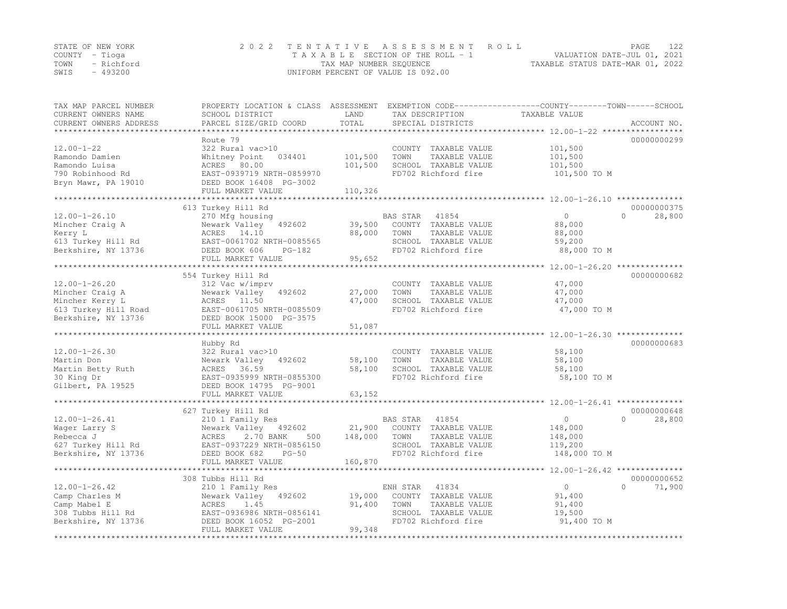| STATE OF NEW YORK | 2022 TENTATIVE ASSESSMENT ROLL |                                    |  |                                  | PAGE | 122 |
|-------------------|--------------------------------|------------------------------------|--|----------------------------------|------|-----|
| COUNTY – Tioga    |                                | TAXABLE SECTION OF THE ROLL - 1    |  | VALUATION DATE-JUL 01, 2021      |      |     |
| TOWN - Richford   |                                | TAX MAP NUMBER SEOUENCE            |  | TAXABLE STATUS DATE-MAR 01, 2022 |      |     |
| - 493200<br>SWIS  |                                | UNIFORM PERCENT OF VALUE IS 092.00 |  |                                  |      |     |

| TAX MAP PARCEL NUMBER<br>CURRENT OWNERS NAME<br>CURRENT OWNERS ADDRESS | PROPERTY LOCATION & CLASS ASSESSMENT<br>SCHOOL DISTRICT<br>PARCEL SIZE/GRID COORD | LAND<br>TOTAL | TAX DESCRIPTION<br>SPECIAL DISTRICTS | EXEMPTION CODE-----------------COUNTY-------TOWN------SCHOOL<br>TAXABLE VALUE | ACCOUNT NO.        |
|------------------------------------------------------------------------|-----------------------------------------------------------------------------------|---------------|--------------------------------------|-------------------------------------------------------------------------------|--------------------|
|                                                                        |                                                                                   |               |                                      |                                                                               |                    |
|                                                                        | Route 79                                                                          |               |                                      |                                                                               | 00000000299        |
| $12.00 - 1 - 22$                                                       | 322 Rural vac>10                                                                  |               | COUNTY TAXABLE VALUE                 | 101,500                                                                       |                    |
| Ramondo Damien                                                         | Whitney Point<br>034401                                                           | 101,500       | TOWN<br>TAXABLE VALUE                | 101,500                                                                       |                    |
| Ramondo Luisa                                                          | ACRES 80.00                                                                       | 101,500       | SCHOOL TAXABLE VALUE                 | 101,500                                                                       |                    |
| 790 Robinhood Rd                                                       | EAST-0939719 NRTH-0859970                                                         |               | FD702 Richford fire                  | 101,500 TO M                                                                  |                    |
| Bryn Mawr, PA 19010                                                    | DEED BOOK 16408 PG-3002<br>FULL MARKET VALUE                                      | 110,326       |                                      |                                                                               |                    |
|                                                                        |                                                                                   |               |                                      |                                                                               |                    |
|                                                                        | 613 Turkey Hill Rd                                                                |               |                                      |                                                                               | 00000000375        |
| $12.00 - 1 - 26.10$                                                    | 270 Mfg housing                                                                   |               | BAS STAR<br>41854                    | $\circ$                                                                       | $\Omega$<br>28,800 |
| Mincher Craig A                                                        | Newark Valley<br>492602                                                           | 39,500        | COUNTY TAXABLE VALUE                 | 88,000                                                                        |                    |
| Kerry L                                                                | ACRES 14.10                                                                       | 88,000        | TOWN<br>TAXABLE VALUE                | 88,000                                                                        |                    |
| 613 Turkey Hill Rd                                                     | EAST-0061702 NRTH-0085565                                                         |               | SCHOOL TAXABLE VALUE                 | 59,200                                                                        |                    |
| Berkshire, NY 13736                                                    | DEED BOOK 606<br>$PG-182$                                                         |               | FD702 Richford fire                  | 88,000 TO M                                                                   |                    |
|                                                                        | FULL MARKET VALUE                                                                 | 95,652        |                                      |                                                                               |                    |
|                                                                        |                                                                                   |               |                                      | ******************** 12.00-1-26.20 *************                              |                    |
|                                                                        | 554 Turkey Hill Rd                                                                |               |                                      |                                                                               | 00000000682        |
| $12.00 - 1 - 26.20$                                                    | 312 Vac w/imprv                                                                   |               | COUNTY TAXABLE VALUE                 | 47,000                                                                        |                    |
| Mincher Craig A                                                        | Newark Valley<br>492602                                                           | 27,000        | TOWN<br>TAXABLE VALUE                | 47,000                                                                        |                    |
| Mincher Kerry L                                                        | ACRES 11.50                                                                       | 47,000        | SCHOOL TAXABLE VALUE                 | 47,000                                                                        |                    |
| 613 Turkey Hill Road                                                   | EAST-0061705 NRTH-0085509                                                         |               | FD702 Richford fire                  | 47,000 TO M                                                                   |                    |
| Berkshire, NY 13736                                                    | DEED BOOK 15000 PG-3575                                                           |               |                                      |                                                                               |                    |
|                                                                        | FULL MARKET VALUE                                                                 | 51,087        |                                      |                                                                               |                    |
|                                                                        |                                                                                   |               |                                      |                                                                               |                    |
|                                                                        | Hubby Rd                                                                          |               |                                      |                                                                               | 00000000683        |
| $12.00 - 1 - 26.30$                                                    | 322 Rural vac>10                                                                  |               | COUNTY TAXABLE VALUE                 | 58,100                                                                        |                    |
| Martin Don                                                             | Newark Valley<br>492602                                                           | 58,100        | TOWN<br>TAXABLE VALUE                | 58,100                                                                        |                    |
| Martin Betty Ruth                                                      | ACRES<br>36.59                                                                    | 58,100        | SCHOOL TAXABLE VALUE                 | 58,100                                                                        |                    |
| 30 King Dr                                                             | EAST-0935999 NRTH-0855300                                                         |               | FD702 Richford fire                  | 58,100 TO M                                                                   |                    |
| Gilbert, PA 19525                                                      | DEED BOOK 14795 PG-9001                                                           |               |                                      |                                                                               |                    |
|                                                                        | FULL MARKET VALUE                                                                 | 63,152        |                                      |                                                                               |                    |
|                                                                        |                                                                                   |               |                                      |                                                                               |                    |
|                                                                        | 627 Turkey Hill Rd                                                                |               |                                      |                                                                               | 00000000648        |
| $12.00 - 1 - 26.41$                                                    | 210 1 Family Res                                                                  |               | BAS STAR<br>41854                    | $\circ$                                                                       | $\Omega$<br>28,800 |
| Wager Larry S                                                          | Newark Valley 492602                                                              | 21,900        | COUNTY TAXABLE VALUE                 | 148,000                                                                       |                    |
| Rebecca J                                                              | ACRES<br>2.70 BANK<br>500                                                         | 148,000       | TOWN<br>TAXABLE VALUE                | 148,000                                                                       |                    |
| 627 Turkey Hill Rd                                                     | EAST-0937229 NRTH-0856150                                                         |               | SCHOOL TAXABLE VALUE                 | 119,200                                                                       |                    |
| Berkshire, NY 13736                                                    | DEED BOOK 682<br>$PG-50$                                                          | 160,870       | FD702 Richford fire                  | 148,000 TO M                                                                  |                    |
|                                                                        | FULL MARKET VALUE                                                                 |               |                                      |                                                                               |                    |
|                                                                        | 308 Tubbs Hill Rd                                                                 |               |                                      |                                                                               | 00000000652        |
| $12.00 - 1 - 26.42$                                                    |                                                                                   |               | ENH STAR<br>41834                    | $\circ$                                                                       | $\Omega$<br>71,900 |
| Camp Charles M                                                         | 210 1 Family Res<br>Newark Valley<br>492602                                       | 19,000        | COUNTY TAXABLE VALUE                 | 91,400                                                                        |                    |
| Camp Mabel E                                                           | ACRES<br>1.45                                                                     | 91,400        | TAXABLE VALUE<br>TOWN                | 91,400                                                                        |                    |
| 308 Tubbs Hill Rd                                                      | EAST-0936986 NRTH-0856141                                                         |               | SCHOOL TAXABLE VALUE                 | 19,500                                                                        |                    |
| Berkshire, NY 13736                                                    | DEED BOOK 16052 PG-2001                                                           |               | FD702 Richford fire                  | 91,400 TO M                                                                   |                    |
|                                                                        | FULL MARKET VALUE                                                                 | 99,348        |                                      |                                                                               |                    |
|                                                                        | **************************                                                        |               |                                      |                                                                               |                    |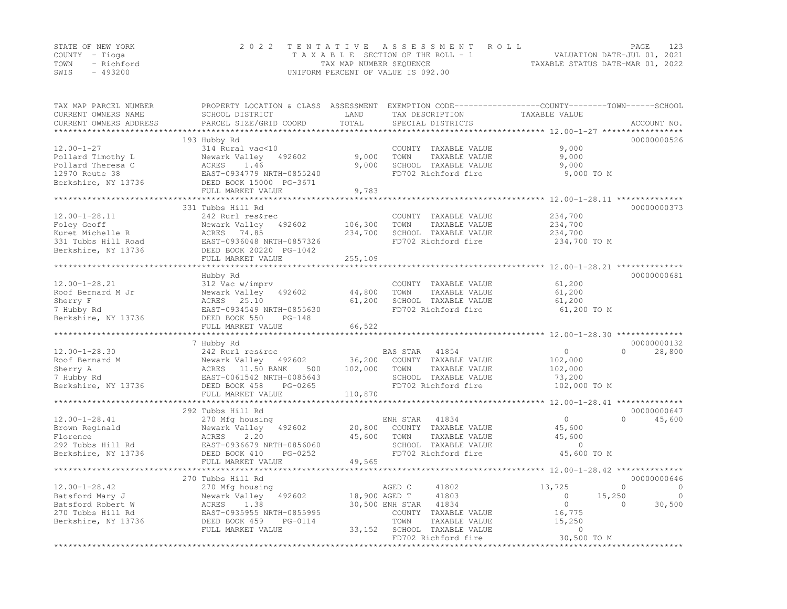|      | STATE OF NEW YORK | 2022 TENTATIVE ASSESSMENT ROLL     | PAGE                             |  |
|------|-------------------|------------------------------------|----------------------------------|--|
|      | COUNTY – Tioga    | TAXABLE SECTION OF THE ROLL - 1    | VALUATION DATE-JUL 01, 2021      |  |
|      | TOWN - Richford   | TAX MAP NUMBER SEQUENCE            | TAXABLE STATUS DATE-MAR 01, 2022 |  |
| SWIS | - 493200          | UNIFORM PERCENT OF VALUE IS 092.00 |                                  |  |

| TAX MAP PARCEL NUMBER<br>CURRENT OWNERS NAME | PROPERTY LOCATION & CLASS ASSESSMENT<br>SCHOOL DISTRICT | LAND          | TAX DESCRIPTION                       | EXEMPTION CODE-----------------COUNTY-------TOWN------SCHOOL<br>TAXABLE VALUE |                      |
|----------------------------------------------|---------------------------------------------------------|---------------|---------------------------------------|-------------------------------------------------------------------------------|----------------------|
| CURRENT OWNERS ADDRESS                       | PARCEL SIZE/GRID COORD                                  | TOTAL         | SPECIAL DISTRICTS                     |                                                                               | ACCOUNT NO.          |
|                                              |                                                         |               |                                       |                                                                               |                      |
|                                              | 193 Hubby Rd                                            |               |                                       |                                                                               | 00000000526          |
| $12.00 - 1 - 27$                             | 314 Rural vac<10                                        |               | COUNTY TAXABLE VALUE                  | 9,000                                                                         |                      |
| Pollard Timothy L                            | Newark Valley<br>492602                                 | 9,000         | TOWN<br>TAXABLE VALUE                 | 9,000                                                                         |                      |
| Pollard Theresa C                            | ACRES<br>1.46                                           | 9,000         | SCHOOL TAXABLE VALUE                  | 9,000                                                                         |                      |
| 12970 Route 38                               | EAST-0934779 NRTH-0855240                               |               | FD702 Richford fire                   | 9,000 TO M                                                                    |                      |
| Berkshire, NY 13736                          | DEED BOOK 15000 PG-3671                                 |               |                                       |                                                                               |                      |
|                                              | FULL MARKET VALUE                                       | 9,783         |                                       |                                                                               |                      |
|                                              | *****************************                           |               |                                       | ************************* 12.00-1-28.11 ************                          |                      |
|                                              | 331 Tubbs Hill Rd                                       |               |                                       |                                                                               | 00000000373          |
| $12.00 - 1 - 28.11$                          | 242 Rurl res&rec                                        |               | COUNTY TAXABLE VALUE<br>TAXABLE VALUE | 234,700                                                                       |                      |
| Foley Geoff                                  | Newark Valley<br>492602                                 | 106,300       | TOWN                                  | 234,700                                                                       |                      |
| Kuret Michelle R                             | ACRES 74.85                                             | 234,700       | SCHOOL TAXABLE VALUE                  | 234,700                                                                       |                      |
| 331 Tubbs Hill Road                          | EAST-0936048 NRTH-0857326                               |               | FD702 Richford fire                   | 234,700 TO M                                                                  |                      |
| Berkshire, NY 13736                          | DEED BOOK 20220 PG-1042                                 | 255,109       |                                       |                                                                               |                      |
|                                              | FULL MARKET VALUE                                       |               |                                       |                                                                               |                      |
|                                              | Hubby Rd                                                |               |                                       |                                                                               | 00000000681          |
| $12.00 - 1 - 28.21$                          | 312 Vac w/imprv                                         |               | COUNTY TAXABLE VALUE                  | 61,200                                                                        |                      |
| Roof Bernard M Jr                            | Newark Valley<br>492602                                 | 44,800        | TAXABLE VALUE<br>TOWN                 | 61,200                                                                        |                      |
| Sherry F                                     | 25.10<br>ACRES                                          | 61,200        | SCHOOL TAXABLE VALUE                  | 61,200                                                                        |                      |
| 7 Hubby Rd                                   | EAST-0934549 NRTH-0855630                               |               | FD702 Richford fire                   | 61,200 TO M                                                                   |                      |
| Berkshire, NY 13736                          | DEED BOOK 550<br>$PG-148$                               |               |                                       |                                                                               |                      |
|                                              | FULL MARKET VALUE                                       | 66,522        |                                       |                                                                               |                      |
|                                              | *********************                                   | **********    |                                       | ********************* 12.00-1-28.30 **************                            |                      |
|                                              | 7 Hubby Rd                                              |               |                                       |                                                                               | 00000000132          |
| $12.00 - 1 - 28.30$                          | 242 Rurl res&rec                                        |               | 41854<br>BAS STAR                     | $\bigcirc$                                                                    | $\Omega$<br>28,800   |
| Roof Bernard M                               | Newark Valley 492602                                    | 36,200        | COUNTY TAXABLE VALUE                  | 102,000                                                                       |                      |
| Sherry A                                     | ACRES 11.50 BANK<br>500                                 | 102,000       | TOWN<br>TAXABLE VALUE                 | 102,000                                                                       |                      |
| 7 Hubby Rd                                   | EAST-0061542 NRTH-0085643                               |               | SCHOOL TAXABLE VALUE                  | 73,200                                                                        |                      |
| Berkshire, NY 13736                          | DEED BOOK 458<br>PG-0265                                |               | FD702 Richford fire                   | 102,000 TO M                                                                  |                      |
|                                              | FULL MARKET VALUE                                       | 110,870       |                                       |                                                                               |                      |
|                                              |                                                         |               |                                       |                                                                               |                      |
|                                              | 292 Tubbs Hill Rd                                       |               |                                       |                                                                               | 00000000647          |
| $12.00 - 1 - 28.41$                          | 270 Mfg housing                                         |               | ENH STAR<br>41834                     | $\circ$                                                                       | 45,600<br>$\Omega$   |
| Brown Reginald                               | Newark Valley<br>492602                                 | 20,800        | COUNTY TAXABLE VALUE                  | 45,600                                                                        |                      |
| Florence                                     | ACRES<br>2.20                                           | 45,600        | TOWN<br>TAXABLE VALUE                 | 45,600                                                                        |                      |
| 292 Tubbs Hill Rd                            | EAST-0936679 NRTH-0856060                               |               | SCHOOL TAXABLE VALUE                  | $\mathbf{0}$                                                                  |                      |
| Berkshire, NY 13736                          | DEED BOOK 410<br>PG-0252                                |               | FD702 Richford fire                   | 45,600 TO M                                                                   |                      |
|                                              | FULL MARKET VALUE                                       | 49,565        |                                       |                                                                               |                      |
|                                              | **********************                                  |               |                                       |                                                                               |                      |
|                                              | 270 Tubbs Hill Rd                                       |               |                                       |                                                                               | 00000000646          |
| $12.00 - 1 - 28.42$                          | 270 Mfg housing                                         |               | AGED C<br>41802                       | 13,725                                                                        | $\Omega$<br>$\Omega$ |
| Batsford Mary J                              | Newark Valley<br>492602                                 | 18,900 AGED T | 41803                                 | $\circ$<br>15,250                                                             | $\Omega$             |
| Batsford Robert W                            | ACRES<br>1.38                                           |               | 30,500 ENH STAR<br>41834              | $\circ$                                                                       | 30,500<br>$\Omega$   |
| 270 Tubbs Hill Rd                            | EAST-0935955 NRTH-0855995                               |               | COUNTY TAXABLE VALUE                  | 16,775                                                                        |                      |
| Berkshire, NY 13736                          | DEED BOOK 459<br>PG-0114                                |               | TOWN<br>TAXABLE VALUE                 | 15,250                                                                        |                      |
|                                              | FULL MARKET VALUE                                       | 33,152        | SCHOOL TAXABLE VALUE                  | $\mathbf 0$                                                                   |                      |
|                                              |                                                         |               | FD702 Richford fire                   | 30,500 TO M<br>**************                                                 |                      |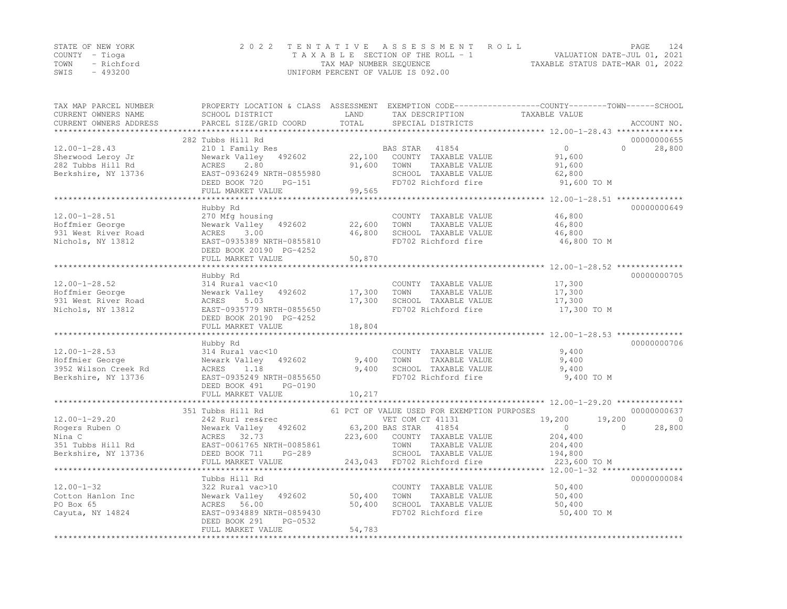|      | STATE OF NEW YORK | 2022 TENTATIVE ASSESSMENT ROLL     | PAGE                             | 124 |
|------|-------------------|------------------------------------|----------------------------------|-----|
|      | COUNTY – Tioga    | TAXABLE SECTION OF THE ROLL - 1    | VALUATION DATE-JUL 01, 2021      |     |
|      | TOWN - Richford   | TAX MAP NUMBER SEQUENCE            | TAXABLE STATUS DATE-MAR 01, 2022 |     |
| SWIS | - 493200          | UNIFORM PERCENT OF VALUE IS 092.00 |                                  |     |

| TAX MAP PARCEL NUMBER<br>CURRENT OWNERS NAME<br>CURRENT OWNERS ADDRESS                      | PROPERTY LOCATION & CLASS ASSESSMENT EXEMPTION CODE----------------COUNTY-------TOWN-----SCHOOL<br>SCHOOL DISTRICT<br>PARCEL SIZE/GRID COORD                    | LAND<br>TOTAL              | TAX DESCRIPTION<br>SPECIAL DISTRICTS                                                                                                                                                        | TAXABLE VALUE                                                                | ACCOUNT NO.                                   |
|---------------------------------------------------------------------------------------------|-----------------------------------------------------------------------------------------------------------------------------------------------------------------|----------------------------|---------------------------------------------------------------------------------------------------------------------------------------------------------------------------------------------|------------------------------------------------------------------------------|-----------------------------------------------|
|                                                                                             |                                                                                                                                                                 |                            |                                                                                                                                                                                             |                                                                              |                                               |
| $12.00 - 1 - 28.43$<br>Sherwood Leroy Jr<br>282 Tubbs Hill Rd<br>Berkshire, NY 13736        | 282 Tubbs Hill Rd<br>210 1 Family Res<br>Newark Valley<br>492602<br>2.80<br>ACRES<br>EAST-0936249 NRTH-0855980<br>DEED BOOK 720<br>$PG-151$                     | 22,100<br>91,600           | BAS STAR<br>41854<br>COUNTY TAXABLE VALUE<br>TAXABLE VALUE<br>TOWN<br>SCHOOL TAXABLE VALUE<br>FD702 Richford fire                                                                           | $\overline{0}$<br>91,600<br>91,600<br>62,800<br>91,600 TO M                  | 00000000655<br>$\Omega$<br>28,800             |
|                                                                                             | FULL MARKET VALUE                                                                                                                                               | 99,565                     |                                                                                                                                                                                             |                                                                              |                                               |
| $12.00 - 1 - 28.51$<br>Hoffmier George<br>931 West River Road<br>Nichols, NY 13812          | Hubby Rd<br>270 Mfg housing<br>Newark Valley<br>492602<br>3.00<br>ACRES<br>EAST-0935389 NRTH-0855810<br>DEED BOOK 20190 PG-4252<br>FULL MARKET VALUE            | 22,600<br>46,800<br>50,870 | COUNTY TAXABLE VALUE<br>TAXABLE VALUE<br>TOWN<br>SCHOOL TAXABLE VALUE<br>FD702 Richford fire                                                                                                | 46,800<br>46,800<br>46,800<br>46,800 TO M                                    | 00000000649                                   |
|                                                                                             |                                                                                                                                                                 |                            |                                                                                                                                                                                             |                                                                              |                                               |
| $12.00 - 1 - 28.52$<br>Hoffmier George<br>931 West River Road<br>Nichols, NY 13812          | Hubby Rd<br>314 Rural vac<10<br>Newark Valley<br>492602<br>ACRES<br>5.03<br>EAST-0935779 NRTH-0855650<br>DEED BOOK 20190 PG-4252<br>FULL MARKET VALUE           | 17,300<br>17,300<br>18,804 | COUNTY TAXABLE VALUE<br>TOWN<br>TAXABLE VALUE<br>SCHOOL TAXABLE VALUE<br>FD702 Richford fire                                                                                                | 17,300<br>17,300<br>17,300<br>17,300 TO M                                    | 00000000705                                   |
|                                                                                             |                                                                                                                                                                 |                            |                                                                                                                                                                                             |                                                                              |                                               |
| $12.00 - 1 - 28.53$<br>Hoffmier George<br>3952 Wilson Creek Rd<br>Berkshire, NY 13736       | Hubby Rd<br>314 Rural vac<10<br>Newark Valley<br>492602<br>1.18<br>ACRES<br>EAST-0935249 NRTH-0855650<br>DEED BOOK 491<br>PG-0190<br>FULL MARKET VALUE          | 9,400<br>9,400<br>10,217   | COUNTY TAXABLE VALUE<br>TOWN<br>TAXABLE VALUE<br>SCHOOL TAXABLE VALUE<br>FD702 Richford fire                                                                                                | 9,400<br>9,400<br>9,400<br>9,400 TO M                                        | 00000000706                                   |
|                                                                                             |                                                                                                                                                                 |                            |                                                                                                                                                                                             |                                                                              |                                               |
| $12.00 - 1 - 29.20$<br>Rogers Ruben O<br>Nina C<br>351 Tubbs Hill Rd<br>Berkshire, NY 13736 | 351 Tubbs Hill Rd<br>242 Rurl res&rec<br>Newark Valley<br>492602<br>ACRES<br>32.73<br>EAST-0061765 NRTH-0085861<br>DEED BOOK 711<br>PG-289<br>FULL MARKET VALUE | 223,600<br>243,043         | 61 PCT OF VALUE USED FOR EXEMPTION PURPOSES<br>VET COM CT 41131<br>63,200 BAS STAR<br>41854<br>COUNTY TAXABLE VALUE<br>TOWN<br>TAXABLE VALUE<br>SCHOOL TAXABLE VALUE<br>FD702 Richford fire | 19,200<br>19,200<br>$\circ$<br>204,400<br>204,400<br>194,800<br>223,600 TO M | 00000000637<br>$\Omega$<br>28,800<br>$\Omega$ |
|                                                                                             | ************************                                                                                                                                        |                            |                                                                                                                                                                                             |                                                                              |                                               |
| $12.00 - 1 - 32$<br>Cotton Hanlon Inc<br>PO Box 65<br>Cayuta, NY 14824                      | Tubbs Hill Rd<br>322 Rural vac>10<br>Newark Valley<br>492602<br>ACRES 56.00<br>EAST-0934889 NRTH-0859430<br>DEED BOOK 291<br>PG-0532<br>FULL MARKET VALUE       | 50,400<br>50,400<br>54,783 | COUNTY TAXABLE VALUE<br>TOWN<br>TAXABLE VALUE<br>SCHOOL TAXABLE VALUE<br>FD702 Richford fire                                                                                                | 50,400<br>50,400<br>50,400<br>50,400 TO M                                    | 00000000084                                   |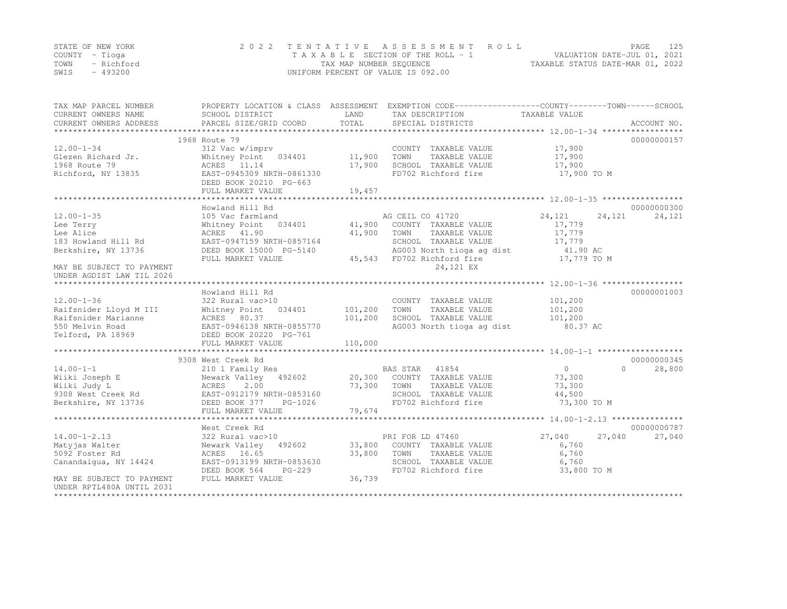|      | STATE OF NEW YORK | 2022 TENTATIVE ASSESSMENT ROLL     | PAGE                             | 125 |
|------|-------------------|------------------------------------|----------------------------------|-----|
|      | COUNTY – Tioga    | TAXABLE SECTION OF THE ROLL - 1    | VALUATION DATE-JUL 01, 2021      |     |
| TOWN | - Richford        | TAX MAP NUMBER SEQUENCE            | TAXABLE STATUS DATE-MAR 01, 2022 |     |
| SWIS | - 493200          | UNIFORM PERCENT OF VALUE IS 092.00 |                                  |     |

| TAX MAP PARCEL NUMBER<br>CURRENT OWNERS NAME | SCHOOL DISTRICT             | LAND    | PROPERTY LOCATION & CLASS ASSESSMENT EXEMPTION CODE----------------COUNTY-------TOWN-----SCHOOL<br>TAX DESCRIPTION | TAXABLE VALUE    |                     |
|----------------------------------------------|-----------------------------|---------|--------------------------------------------------------------------------------------------------------------------|------------------|---------------------|
| CURRENT OWNERS ADDRESS                       | PARCEL SIZE/GRID COORD      | TOTAL   | SPECIAL DISTRICTS                                                                                                  |                  | ACCOUNT NO.         |
|                                              | 1968 Route 79               |         |                                                                                                                    |                  | 00000000157         |
| $12.00 - 1 - 34$                             | 312 Vac w/imprv             |         | COUNTY TAXABLE VALUE                                                                                               | 17,900           |                     |
| Glezen Richard Jr.                           | Whitney Point 034401        | 11,900  | TAXABLE VALUE<br>TOWN                                                                                              | 17,900           |                     |
| 1968 Route 79                                | ACRES 11.14                 | 17,900  | SCHOOL TAXABLE VALUE                                                                                               | 17,900           |                     |
| Richford, NY 13835                           | EAST-0945309 NRTH-0861330   |         | FD702 Richford fire                                                                                                | 17,900 TO M      |                     |
|                                              | DEED BOOK 20210 PG-663      |         |                                                                                                                    |                  |                     |
|                                              | FULL MARKET VALUE           | 19,457  |                                                                                                                    |                  |                     |
|                                              |                             |         |                                                                                                                    |                  |                     |
|                                              | Howland Hill Rd             |         |                                                                                                                    |                  | 00000000300         |
| $12.00 - 1 - 35$                             | 105 Vac farmland            |         | AG CEIL CO 41720                                                                                                   | 24,121<br>24,121 | 24,121              |
| Lee Terry                                    | Whitney Point<br>034401     | 41,900  | COUNTY TAXABLE VALUE                                                                                               | 17,779           |                     |
| Lee Alice                                    | ACRES 41.90                 | 41,900  | TOWN<br>TAXABLE VALUE                                                                                              | 17,779           |                     |
| 183 Howland Hill Rd                          | EAST-0947159 NRTH-0857164   |         | SCHOOL TAXABLE VALUE                                                                                               | 17,779           |                     |
| Berkshire, NY 13736                          | DEED BOOK 15000 PG-5140     |         | AG003 North tioga ag dist                                                                                          | 41.90 AC         |                     |
|                                              | FULL MARKET VALUE           |         | 45,543 FD702 Richford fire                                                                                         | 17,779 TO M      |                     |
| MAY BE SUBJECT TO PAYMENT                    |                             |         | 24,121 EX                                                                                                          |                  |                     |
| UNDER AGDIST LAW TIL 2026                    |                             |         |                                                                                                                    |                  |                     |
|                                              |                             |         |                                                                                                                    |                  |                     |
|                                              | Howland Hill Rd             |         |                                                                                                                    |                  | 00000001003         |
| $12.00 - 1 - 36$                             | 322 Rural vac>10            |         | COUNTY TAXABLE VALUE                                                                                               | 101,200          |                     |
| Raifsnider Lloyd M III                       | Whitney Point<br>034401     | 101,200 | TOWN<br>TAXABLE VALUE                                                                                              | 101,200          |                     |
| Raifsnider Marianne                          | ACRES 80.37                 | 101,200 | SCHOOL TAXABLE VALUE                                                                                               | 101,200          |                     |
| 550 Melvin Road                              | EAST-0946138 NRTH-0855770   |         | AG003 North tioga ag dist                                                                                          | 80.37 AC         |                     |
| Telford, PA 18969                            | DEED BOOK 20220 PG-761      |         |                                                                                                                    |                  |                     |
|                                              | FULL MARKET VALUE           | 110,000 |                                                                                                                    |                  |                     |
|                                              |                             |         |                                                                                                                    |                  |                     |
|                                              | 9308 West Creek Rd          |         |                                                                                                                    |                  | 00000000345         |
| $14.00 - 1 - 1$                              | 210 1 Family Res            |         | BAS STAR 41854                                                                                                     | $\overline{0}$   | $\bigcap$<br>28,800 |
| Wiiki Joseph E                               | Newark Valley<br>492602     | 20,300  | COUNTY TAXABLE VALUE                                                                                               | 73,300           |                     |
| Wiiki Judy L                                 | 2.00<br>ACRES               | 73,300  | TOWN<br>TAXABLE VALUE                                                                                              | 73,300           |                     |
| 9308 West Creek Rd                           | EAST-0912179 NRTH-0853160   |         | SCHOOL TAXABLE VALUE                                                                                               | 44,500           |                     |
| Berkshire, NY 13736                          | DEED BOOK 377<br>PG-1026    |         | FD702 Richford fire                                                                                                | 73,300 TO M      |                     |
|                                              | FULL MARKET VALUE           | 79,674  |                                                                                                                    |                  |                     |
|                                              |                             |         |                                                                                                                    |                  |                     |
|                                              | West Creek Rd               |         |                                                                                                                    |                  | 00000000787         |
| $14.00 - 1 - 2.13$                           | 322 Rural vac>10            |         | PRI FOR LD 47460                                                                                                   | 27,040<br>27,040 | 27,040              |
| Matyjas Walter                               | Newark Valley 492602        | 33,800  | COUNTY TAXABLE VALUE                                                                                               | 6,760            |                     |
| 5092 Foster Rd                               | ACRES 16.65                 | 33,800  | TOWN<br>TAXABLE VALUE                                                                                              | 6,760            |                     |
| Canandaigua, NY 14424                        | EAST-0913199 NRTH-0853630   |         | SCHOOL TAXABLE VALUE                                                                                               | 6,760            |                     |
|                                              | DEED BOOK 564<br>$PG-229$   |         | FD702 Richford fire                                                                                                | 33,800 TO M      |                     |
| MAY BE SUBJECT TO PAYMENT                    | FULL MARKET VALUE           | 36,739  |                                                                                                                    |                  |                     |
| UNDER RPTL480A UNTIL 2031                    |                             |         |                                                                                                                    |                  |                     |
| **********************                       | *************************** |         |                                                                                                                    |                  |                     |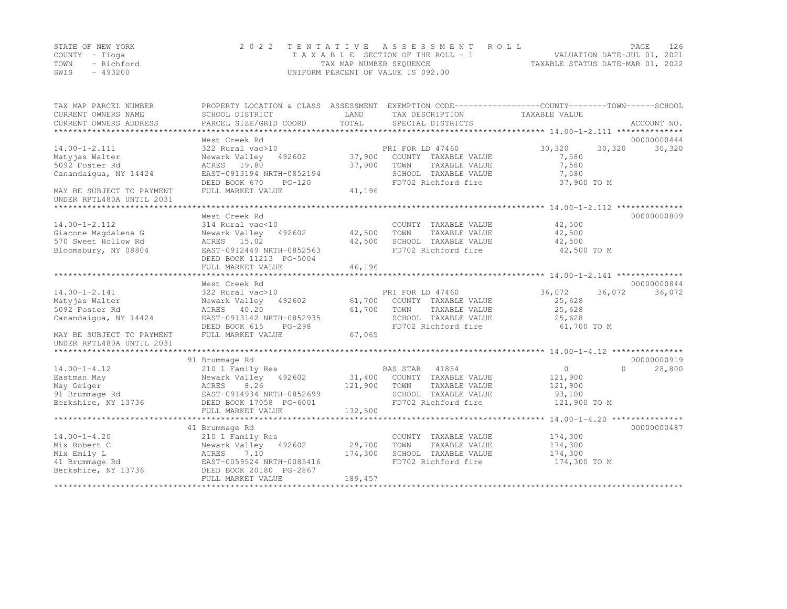|      | STATE OF NEW YORK | 2022 TENTATIVE ASSESSMENT ROLL     | PAGE                             | 126 |
|------|-------------------|------------------------------------|----------------------------------|-----|
|      | COUNTY – Tioga    | TAXABLE SECTION OF THE ROLL - 1    | VALUATION DATE-JUL 01, 2021      |     |
| TOWN | - Richford        | TAX MAP NUMBER SEQUENCE            | TAXABLE STATUS DATE-MAR 01, 2022 |     |
| SWIS | - 493200          | UNIFORM PERCENT OF VALUE IS 092.00 |                                  |     |

| TAX MAP PARCEL NUMBER     |                            |         |                       | PROPERTY LOCATION & CLASS ASSESSMENT EXEMPTION CODE----------------COUNTY-------TOWN------SCHOOL |             |
|---------------------------|----------------------------|---------|-----------------------|--------------------------------------------------------------------------------------------------|-------------|
| CURRENT OWNERS NAME       | SCHOOL DISTRICT            | LAND    | TAX DESCRIPTION       | TAXABLE VALUE                                                                                    |             |
| CURRENT OWNERS ADDRESS    | PARCEL SIZE/GRID COORD     | TOTAL   | SPECIAL DISTRICTS     |                                                                                                  | ACCOUNT NO. |
|                           |                            |         |                       |                                                                                                  |             |
|                           | West Creek Rd              |         |                       |                                                                                                  | 00000000444 |
| $14.00 - 1 - 2.111$       | 322 Rural vac>10           |         | PRI FOR LD 47460      | 30,320<br>30,320                                                                                 | 30,320      |
| Matyjas Walter            | Newark Valley<br>492602    | 37,900  | COUNTY TAXABLE VALUE  | 7,580                                                                                            |             |
| 5092 Foster Rd            | ACRES 19.80                | 37,900  | TOWN<br>TAXABLE VALUE | 7,580                                                                                            |             |
| Canandaigua, NY 14424     | EAST-0913194 NRTH-0852194  |         | SCHOOL TAXABLE VALUE  | 7,580                                                                                            |             |
|                           | DEED BOOK 670<br>$PG-120$  |         | FD702 Richford fire   | 37,900 TO M                                                                                      |             |
| MAY BE SUBJECT TO PAYMENT | FULL MARKET VALUE          | 41,196  |                       |                                                                                                  |             |
| UNDER RPTL480A UNTIL 2031 |                            |         |                       |                                                                                                  |             |
|                           |                            |         |                       |                                                                                                  |             |
|                           | West Creek Rd              |         |                       |                                                                                                  | 00000000809 |
| $14.00 - 1 - 2.112$       | 314 Rural vac<10           |         | COUNTY TAXABLE VALUE  | 42,500                                                                                           |             |
| Giacone Magdalena G       | Newark Valley<br>492602    | 42,500  | TOWN<br>TAXABLE VALUE | 42,500                                                                                           |             |
| 570 Sweet Hollow Rd       | ACRES 15.02                | 42,500  | SCHOOL TAXABLE VALUE  | 42,500                                                                                           |             |
| Bloomsbury, NY 08804      | EAST-0912449 NRTH-0852563  |         | FD702 Richford fire   | 42,500 TO M                                                                                      |             |
|                           | DEED BOOK 11213 PG-5004    |         |                       |                                                                                                  |             |
|                           | FULL MARKET VALUE          | 46,196  |                       |                                                                                                  |             |
|                           | ************************** |         |                       |                                                                                                  |             |
|                           | West Creek Rd              |         |                       |                                                                                                  | 00000000844 |
| $14.00 - 1 - 2.141$       | 322 Rural vac>10           |         | PRI FOR LD 47460      | 36,072<br>36,072                                                                                 | 36,072      |
| Matyjas Walter            | Newark Valley<br>492602    | 61,700  | COUNTY TAXABLE VALUE  | 25,628                                                                                           |             |
| 5092 Foster Rd            | ACRES 40.20                | 61,700  | TOWN<br>TAXABLE VALUE | 25,628                                                                                           |             |
| Canandaigua, NY 14424     | EAST-0913142 NRTH-0852935  |         | SCHOOL TAXABLE VALUE  | 25,628                                                                                           |             |
|                           | DEED BOOK 615<br>PG-298    |         | FD702 Richford fire   | 61,700 TO M                                                                                      |             |
| MAY BE SUBJECT TO PAYMENT | FULL MARKET VALUE          | 67,065  |                       |                                                                                                  |             |
| UNDER RPTL480A UNTIL 2031 |                            |         |                       |                                                                                                  |             |
|                           |                            |         |                       |                                                                                                  |             |
|                           | 91 Brummage Rd             |         |                       |                                                                                                  | 00000000919 |
| $14.00 - 1 - 4.12$        | 210 1 Family Res           |         | BAS STAR<br>41854     | $\circ$<br>$\Omega$                                                                              | 28,800      |
| Eastman May               | Newark Valley<br>492602    | 31,400  | COUNTY TAXABLE VALUE  | 121,900                                                                                          |             |
| May Geiger                | ACRES<br>8.26              | 121,900 | TOWN<br>TAXABLE VALUE | 121,900                                                                                          |             |
| 91 Brummage Rd            | EAST-0914934 NRTH-0852699  |         | SCHOOL TAXABLE VALUE  | 93,100                                                                                           |             |
| Berkshire, NY 13736       | DEED BOOK 17058 PG-6001    |         | FD702 Richford fire   | 121,900 TO M                                                                                     |             |
|                           | FULL MARKET VALUE          | 132,500 |                       |                                                                                                  |             |
|                           |                            |         |                       |                                                                                                  |             |
|                           |                            |         |                       |                                                                                                  | 00000000487 |
|                           | 41 Brummage Rd             |         |                       |                                                                                                  |             |
| $14.00 - 1 - 4.20$        | 210 1 Family Res           |         | COUNTY TAXABLE VALUE  | 174,300                                                                                          |             |
| Mix Robert C              | Newark Valley 492602       | 29,700  | TOWN<br>TAXABLE VALUE | 174,300                                                                                          |             |
| Mix Emily L               | 7.10<br>ACRES              | 174,300 | SCHOOL TAXABLE VALUE  | 174,300                                                                                          |             |
| 41 Brummage Rd            | EAST-0059524 NRTH-0085416  |         | FD702 Richford fire   | 174,300 TO M                                                                                     |             |
| Berkshire, NY 13736       | DEED BOOK 20180 PG-2867    |         |                       |                                                                                                  |             |
|                           | FULL MARKET VALUE          | 189,457 |                       |                                                                                                  |             |
|                           |                            |         |                       |                                                                                                  |             |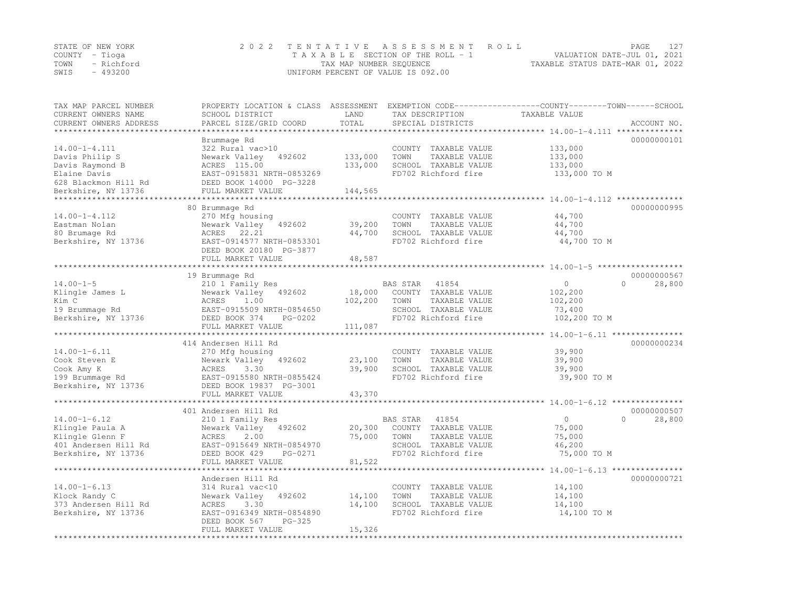|                | STATE OF NEW YORK | 2022 TENTATIVE ASSESSMENT ROLL     | PAGE                             |  |
|----------------|-------------------|------------------------------------|----------------------------------|--|
| COUNTY – Tioga |                   | TAXABLE SECTION OF THE ROLL - 1    | VALUATION DATE-JUL 01, 2021      |  |
| TOWN           | - Richford        | TAX MAP NUMBER SEQUENCE            | TAXABLE STATUS DATE-MAR 01, 2022 |  |
| SWIS           | $-493200$         | UNIFORM PERCENT OF VALUE IS 092.00 |                                  |  |

| TAX MAP PARCEL NUMBER  | PROPERTY LOCATION & CLASS ASSESSMENT |         |                          | EXEMPTION CODE-----------------COUNTY-------TOWN------SCHOOL |                    |
|------------------------|--------------------------------------|---------|--------------------------|--------------------------------------------------------------|--------------------|
| CURRENT OWNERS NAME    | SCHOOL DISTRICT                      | LAND    | TAX DESCRIPTION          | TAXABLE VALUE                                                |                    |
| CURRENT OWNERS ADDRESS | PARCEL SIZE/GRID COORD               | TOTAL   | SPECIAL DISTRICTS        | ******************* 14.00-1-4.111 ***************            | ACCOUNT NO.        |
|                        |                                      |         |                          |                                                              |                    |
|                        | Brummage Rd                          |         |                          |                                                              | 00000000101        |
| $14.00 - 1 - 4.111$    | 322 Rural vac>10                     |         | COUNTY TAXABLE VALUE     | 133,000                                                      |                    |
| Davis Philip S         | Newark Valley<br>492602              | 133,000 | TOWN<br>TAXABLE VALUE    | 133,000                                                      |                    |
| Davis Raymond B        | ACRES 115.00                         | 133,000 | SCHOOL TAXABLE VALUE     | 133,000                                                      |                    |
| Elaine Davis           | EAST-0915831 NRTH-0853269            |         | FD702 Richford fire      | 133,000 TO M                                                 |                    |
| 628 Blackmon Hill Rd   | DEED BOOK 14000 PG-3228              |         |                          |                                                              |                    |
| Berkshire, NY 13736    | FULL MARKET VALUE                    | 144,565 |                          |                                                              |                    |
| **************         | ***********************              |         |                          | *********************************** 14.00-1-4.112 **         |                    |
|                        | 80 Brummage Rd                       |         |                          |                                                              | 00000000995        |
| $14.00 - 1 - 4.112$    | 270 Mfg housing                      |         | COUNTY TAXABLE VALUE     | 44,700                                                       |                    |
| Eastman Nolan          | 492602<br>Newark Valley              | 39,200  | TOWN<br>TAXABLE VALUE    | 44,700                                                       |                    |
| 80 Brumage Rd          | 22.21<br>ACRES                       | 44,700  | SCHOOL TAXABLE VALUE     | 44,700                                                       |                    |
| Berkshire, NY 13736    | EAST-0914577 NRTH-0853301            |         | FD702 Richford fire      | 44,700 TO M                                                  |                    |
|                        | DEED BOOK 20180 PG-3877              |         |                          |                                                              |                    |
|                        | FULL MARKET VALUE                    | 48,587  |                          |                                                              |                    |
|                        |                                      |         |                          |                                                              |                    |
|                        | 19 Brummage Rd                       |         |                          |                                                              | 00000000567        |
| $14.00 - 1 - 5$        | 210 1 Family Res                     |         | BAS STAR<br>41854        | $\circ$                                                      | $\Omega$<br>28,800 |
| Klingle James L        | Newark Valley<br>492602              | 18,000  | COUNTY TAXABLE VALUE     | 102,200                                                      |                    |
| Kim C                  | ACRES<br>1.00                        | 102,200 | TOWN<br>TAXABLE VALUE    | 102,200                                                      |                    |
| 19 Brummage Rd         | EAST-0915509 NRTH-0854650            |         | SCHOOL TAXABLE VALUE     | 73,400                                                       |                    |
| Berkshire, NY 13736    | DEED BOOK 374<br>PG-0202             |         | FD702 Richford fire      | 102,200 TO M                                                 |                    |
|                        | FULL MARKET VALUE                    | 111,087 |                          |                                                              |                    |
|                        |                                      |         |                          |                                                              |                    |
|                        | 414 Andersen Hill Rd                 |         |                          |                                                              | 00000000234        |
| $14.00 - 1 - 6.11$     | 270 Mfg housing                      |         | COUNTY TAXABLE VALUE     | 39,900                                                       |                    |
| Cook Steven E          | Newark Valley 492602                 | 23,100  | TOWN<br>TAXABLE VALUE    | 39,900                                                       |                    |
| Cook Amy K             | 3.30<br>ACRES                        | 39,900  | SCHOOL TAXABLE VALUE     | 39,900                                                       |                    |
| 199 Brummage Rd        | EAST-0915580 NRTH-0855424            |         | FD702 Richford fire      | 39,900 TO M                                                  |                    |
| Berkshire, NY 13736    | DEED BOOK 19837 PG-3001              |         |                          |                                                              |                    |
|                        | FULL MARKET VALUE                    | 43,370  |                          |                                                              |                    |
|                        | *****************************        |         |                          |                                                              |                    |
|                        | 401 Andersen Hill Rd                 |         |                          |                                                              | 00000000507        |
| $14.00 - 1 - 6.12$     | 210 1 Family Res                     |         | <b>BAS STAR</b><br>41854 | $\circ$                                                      | $\Omega$<br>28,800 |
| Klingle Paula A        | Newark Valley<br>492602              | 20,300  | COUNTY TAXABLE VALUE     | 75,000                                                       |                    |
| Klingle Glenn F        | ACRES<br>2.00                        | 75,000  | TAXABLE VALUE<br>TOWN    | 75,000                                                       |                    |
| 401 Andersen Hill Rd   | EAST-0915649 NRTH-0854970            |         | SCHOOL TAXABLE VALUE     | 46,200                                                       |                    |
| Berkshire, NY 13736    | DEED BOOK 429<br>PG-0271             |         | FD702 Richford fire      | 75,000 TO M                                                  |                    |
|                        | FULL MARKET VALUE                    | 81,522  |                          |                                                              |                    |
|                        | **********************************   |         |                          |                                                              |                    |
|                        | Andersen Hill Rd                     |         |                          |                                                              | 00000000721        |
| $14.00 - 1 - 6.13$     | 314 Rural vac<10                     |         | COUNTY TAXABLE VALUE     | 14,100                                                       |                    |
| Klock Randy C          | Newark Valley<br>492602              | 14,100  | TAXABLE VALUE<br>TOWN    | 14,100                                                       |                    |
| 373 Andersen Hill Rd   | ACRES<br>3.30                        | 14,100  | SCHOOL TAXABLE VALUE     | 14,100                                                       |                    |
| Berkshire, NY 13736    | EAST-0916349 NRTH-0854890            |         | FD702 Richford fire      | 14,100 TO M                                                  |                    |
|                        | DEED BOOK 567<br>$PG-325$            |         |                          |                                                              |                    |
|                        | FULL MARKET VALUE                    | 15,326  |                          |                                                              |                    |
|                        |                                      |         |                          |                                                              |                    |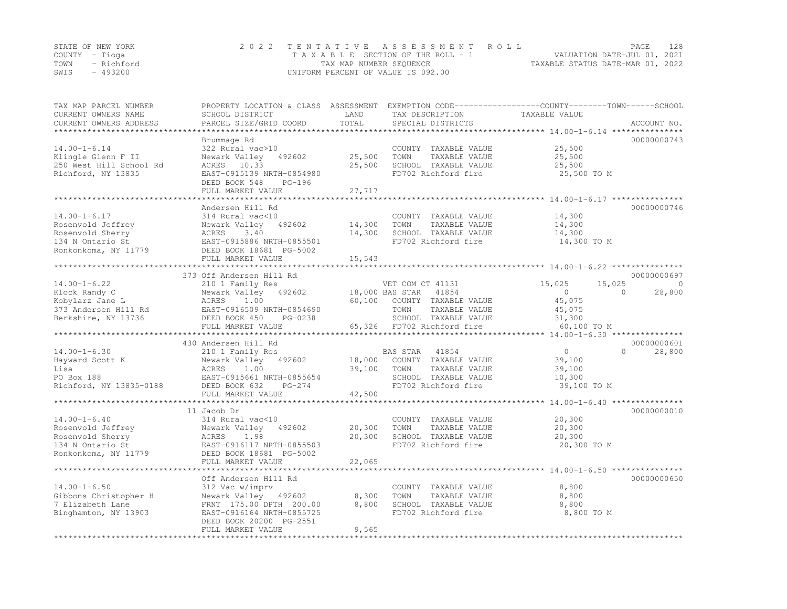|                | STATE OF NEW YORK | 2022 TENTATIVE ASSESSMENT ROLL     | PAGE                             | 128 |
|----------------|-------------------|------------------------------------|----------------------------------|-----|
| COUNTY – Tioga |                   | TAXABLE SECTION OF THE ROLL - 1    | VALUATION DATE-JUL 01, 2021      |     |
|                | TOWN - Richford   | TAX MAP NUMBER SEQUENCE            | TAXABLE STATUS DATE-MAR 01, 2022 |     |
| SWIS           | - 493200          | UNIFORM PERCENT OF VALUE IS 092.00 |                                  |     |

| TAX MAP PARCEL NUMBER<br>CURRENT OWNERS NAME<br>CURRENT OWNERS ADDRESS                                  | PROPERTY LOCATION & CLASS ASSESSMENT<br>SCHOOL DISTRICT<br>PARCEL SIZE/GRID COORD                                                                                       | LAND<br>TOTAL              | TAX DESCRIPTION<br>SPECIAL DISTRICTS                                                                                                         | EXEMPTION CODE-----------------COUNTY-------TOWN------SCHOOL<br>TAXABLE VALUE        | ACCOUNT NO.       |
|---------------------------------------------------------------------------------------------------------|-------------------------------------------------------------------------------------------------------------------------------------------------------------------------|----------------------------|----------------------------------------------------------------------------------------------------------------------------------------------|--------------------------------------------------------------------------------------|-------------------|
| *******************                                                                                     |                                                                                                                                                                         |                            |                                                                                                                                              |                                                                                      |                   |
| $14.00 - 1 - 6.14$<br>Klingle Glenn F II<br>250 West Hill School Rd<br>Richford, NY 13835               | Brummage Rd<br>322 Rural vac>10<br>Newark Valley<br>492602<br>ACRES 10.33<br>EAST-0915139 NRTH-0854980<br>DEED BOOK 548<br>$PG-196$                                     | 25,500<br>25,500           | COUNTY TAXABLE VALUE<br>TOWN<br>TAXABLE VALUE<br>SCHOOL TAXABLE VALUE<br>FD702 Richford fire                                                 | 25,500<br>25,500<br>25,500<br>25,500 TO M                                            | 00000000743       |
|                                                                                                         | FULL MARKET VALUE                                                                                                                                                       | 27,717                     |                                                                                                                                              |                                                                                      |                   |
|                                                                                                         |                                                                                                                                                                         |                            |                                                                                                                                              |                                                                                      |                   |
| $14.00 - 1 - 6.17$<br>Rosenvold Jeffrey<br>Rosenvold Sherry<br>134 N Ontario St<br>Ronkonkoma, NY 11779 | Andersen Hill Rd<br>314 Rural vac<10<br>492602<br>Newark Valley<br>3.40<br>ACRES<br>EAST-0915886 NRTH-0855501<br>DEED BOOK 18681 PG-5002                                | 14,300<br>14,300           | COUNTY TAXABLE VALUE<br>TOWN<br>TAXABLE VALUE<br>SCHOOL TAXABLE VALUE<br>FD702 Richford fire                                                 | 14,300<br>14,300<br>14,300<br>14,300 TO M                                            | 00000000746       |
|                                                                                                         | FULL MARKET VALUE                                                                                                                                                       | 15,543                     |                                                                                                                                              |                                                                                      |                   |
|                                                                                                         | 373 Off Andersen Hill Rd                                                                                                                                                |                            |                                                                                                                                              |                                                                                      | 00000000697       |
| $14.00 - 1 - 6.22$<br>Klock Randy C<br>Kobylarz Jane L<br>373 Andersen Hill Rd<br>Berkshire, NY 13736   | 210 1 Family Res<br>Newark Valley<br>492602<br>ACRES<br>1.00<br>EAST-0916509 NRTH-0854690<br>DEED BOOK 450<br>PG-0238<br>FULL MARKET VALUE                              | 60,100<br>65,326           | VET COM CT 41131<br>18,000 BAS STAR<br>41854<br>COUNTY TAXABLE VALUE<br>TOWN<br>TAXABLE VALUE<br>SCHOOL TAXABLE VALUE<br>FD702 Richford fire | 15,025<br>15,025<br>$\circ$<br>$\Omega$<br>45,075<br>45,075<br>31,300<br>60,100 TO M | $\circ$<br>28,800 |
|                                                                                                         | ***************************                                                                                                                                             |                            |                                                                                                                                              |                                                                                      |                   |
|                                                                                                         | 430 Andersen Hill Rd                                                                                                                                                    |                            |                                                                                                                                              |                                                                                      | 00000000601       |
| $14.00 - 1 - 6.30$<br>Hayward Scott K<br>Lisa<br>PO Box 188<br>Richford, NY 13835-0188                  | 210 1 Family Res<br>Newark Valley 492602<br>1.00<br>ACRES<br>EAST-0915661 NRTH-0855654<br>DEED BOOK 632<br>$PG-274$<br>FULL MARKET VALUE<br>*************************   | 18,000<br>39,100<br>42,500 | BAS STAR<br>41854<br>COUNTY TAXABLE VALUE<br>TOWN<br>TAXABLE VALUE<br>SCHOOL TAXABLE VALUE<br>FD702 Richford fire                            | $\circ$<br>$\Omega$<br>39,100<br>39,100<br>10,300<br>39,100 TO M                     | 28,800            |
|                                                                                                         | 11 Jacob Dr                                                                                                                                                             |                            |                                                                                                                                              |                                                                                      | 00000000010       |
| $14.00 - 1 - 6.40$<br>Rosenvold Jeffrey<br>Rosenvold Sherry<br>134 N Ontario St<br>Ronkonkoma, NY 11779 | 314 Rural vac<10<br>Newark Valley<br>492602<br>ACRES<br>1.98<br>EAST-0916117 NRTH-0855503<br>DEED BOOK 18681 PG-5002<br>FULL MARKET VALUE                               | 20,300<br>20,300<br>22,065 | COUNTY TAXABLE VALUE<br>TOWN<br>TAXABLE VALUE<br>SCHOOL TAXABLE VALUE<br>FD702 Richford fire                                                 | 20,300<br>20,300<br>20,300<br>20,300 TO M                                            |                   |
|                                                                                                         |                                                                                                                                                                         |                            |                                                                                                                                              |                                                                                      |                   |
| $14.00 - 1 - 6.50$<br>Gibbons Christopher H<br>7 Elizabeth Lane<br>Binghamton, NY 13903                 | Off Andersen Hill Rd<br>312 Vac w/imprv<br>Newark Valley 492602<br>FRNT 175.00 DPTH 200.00<br>EAST-0916164 NRTH-0855725<br>DEED BOOK 20200 PG-2551<br>FULL MARKET VALUE | 8,300<br>8,800<br>9,565    | COUNTY TAXABLE VALUE<br>TOWN<br>TAXABLE VALUE<br>SCHOOL TAXABLE VALUE<br>FD702 Richford fire                                                 | 8,800<br>8,800<br>8,800<br>8,800 TO M                                                | 00000000650       |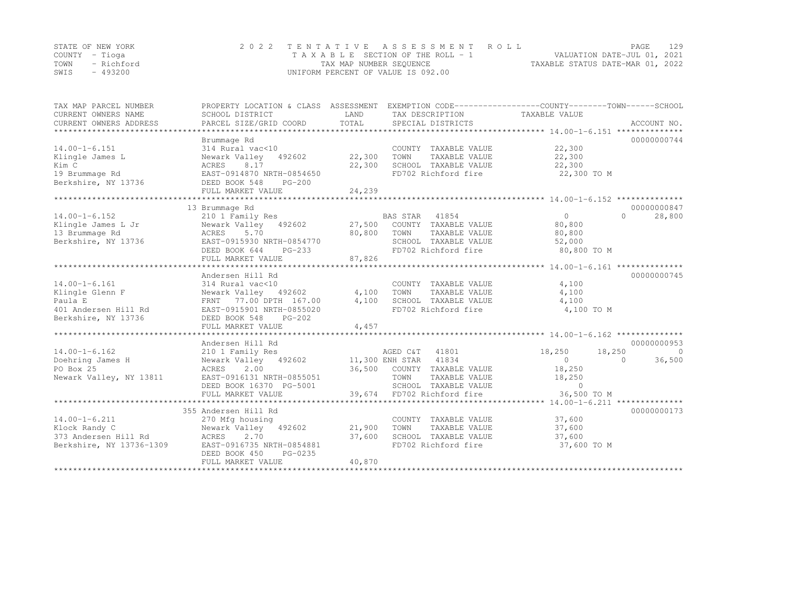|      | STATE OF NEW YORK | 2022 TENTATIVE ASSESSMENT ROLL     | PAGE                             | 129 |
|------|-------------------|------------------------------------|----------------------------------|-----|
|      | COUNTY – Tioga    | TAXABLE SECTION OF THE ROLL - 1    | VALUATION DATE-JUL 01, 2021      |     |
|      | TOWN - Richford   | TAX MAP NUMBER SEQUENCE            | TAXABLE STATUS DATE-MAR 01, 2022 |     |
| SWIS | - 493200          | UNIFORM PERCENT OF VALUE IS 092.00 |                                  |     |

| TAX MAP PARCEL NUMBER<br>CURRENT OWNERS NAME<br>CURRENT OWNERS ADDRESS | PROPERTY LOCATION & CLASS ASSESSMENT<br>SCHOOL DISTRICT<br>PARCEL SIZE/GRID COORD | LAND<br>TOTAL | TAX DESCRIPTION<br>SPECIAL DISTRICTS | EXEMPTION CODE-----------------COUNTY-------TOWN------SCHOOL<br>TAXABLE VALUE | ACCOUNT NO. |
|------------------------------------------------------------------------|-----------------------------------------------------------------------------------|---------------|--------------------------------------|-------------------------------------------------------------------------------|-------------|
|                                                                        |                                                                                   |               |                                      |                                                                               |             |
|                                                                        | Brummage Rd                                                                       |               |                                      |                                                                               | 00000000744 |
| $14.00 - 1 - 6.151$                                                    | 314 Rural vac<10                                                                  |               | COUNTY TAXABLE VALUE                 | 22,300                                                                        |             |
| Klingle James L                                                        | 492602<br>Newark Valley                                                           | 22,300        | TOWN<br>TAXABLE VALUE                | 22,300                                                                        |             |
| Kim C                                                                  | ACRES<br>8.17                                                                     | 22,300        | SCHOOL TAXABLE VALUE                 | 22,300                                                                        |             |
| 19 Brummage Rd                                                         | EAST-0914870 NRTH-0854650                                                         |               | FD702 Richford fire                  | 22,300 TO M                                                                   |             |
| Berkshire, NY 13736                                                    | DEED BOOK 548<br>$PG-200$<br>FULL MARKET VALUE                                    | 24,239        |                                      |                                                                               |             |
|                                                                        |                                                                                   |               |                                      |                                                                               |             |
|                                                                        | 13 Brummage Rd                                                                    |               |                                      |                                                                               | 00000000847 |
| $14.00 - 1 - 6.152$                                                    | 210 1 Family Res                                                                  |               | BAS STAR<br>41854                    | $\Omega$<br>$\cap$                                                            | 28,800      |
| Klingle James L Jr                                                     | Newark Valley 492602                                                              | 27,500        | COUNTY TAXABLE VALUE                 | 80,800                                                                        |             |
| 13 Brummage Rd                                                         | ACRES<br>5.70                                                                     | 80,800        | TOWN<br>TAXABLE VALUE                | 80,800                                                                        |             |
| Berkshire, NY 13736                                                    | EAST-0915930 NRTH-0854770                                                         |               | SCHOOL TAXABLE VALUE                 | 52,000                                                                        |             |
|                                                                        | DEED BOOK 644<br>$PG-233$                                                         |               | FD702 Richford fire                  | 80,800 TO M                                                                   |             |
|                                                                        | FULL MARKET VALUE                                                                 | 87,826        |                                      |                                                                               |             |
|                                                                        |                                                                                   |               |                                      |                                                                               |             |
|                                                                        | Andersen Hill Rd                                                                  |               |                                      |                                                                               | 00000000745 |
| $14.00 - 1 - 6.161$                                                    | 314 Rural vac<10                                                                  |               | COUNTY TAXABLE VALUE                 | 4,100                                                                         |             |
| Klingle Glenn F                                                        | Newark Valley 492602                                                              | 4,100         | TOWN<br>TAXABLE VALUE                | 4,100                                                                         |             |
| Paula E                                                                | 77.00 DPTH 167.00<br>FRNT                                                         | 4,100         | SCHOOL TAXABLE VALUE                 | 4,100                                                                         |             |
| 401 Andersen Hill Rd                                                   | EAST-0915901 NRTH-0855020                                                         |               | FD702 Richford fire                  | 4,100 TO M                                                                    |             |
| Berkshire, NY 13736                                                    | DEED BOOK 548<br>$PG-202$                                                         |               |                                      |                                                                               |             |
|                                                                        | FULL MARKET VALUE                                                                 | 4,457         |                                      |                                                                               |             |
|                                                                        |                                                                                   |               |                                      |                                                                               |             |
|                                                                        | Andersen Hill Rd                                                                  |               |                                      |                                                                               | 00000000953 |
| $14.00 - 1 - 6.162$                                                    | 210 1 Family Res                                                                  |               | AGED C&T 41801                       | 18,250<br>18,250                                                              | $\circ$     |
| Doehring James H                                                       | Newark Valley 492602                                                              |               | 11,300 ENH STAR 41834                | 0<br>$\cap$                                                                   | 36,500      |
| PO Box 25                                                              | 2.00                                                                              |               | 36,500 COUNTY TAXABLE VALUE          | 18,250                                                                        |             |
|                                                                        | ACRES                                                                             |               |                                      |                                                                               |             |
| Newark Valley, NY 13811                                                | EAST-0916131 NRTH-0855051                                                         |               | TOWN<br>TAXABLE VALUE                | 18,250                                                                        |             |
|                                                                        | DEED BOOK 16370 PG-5001                                                           |               | SCHOOL TAXABLE VALUE                 | $\circ$                                                                       |             |
|                                                                        |                                                                                   |               |                                      |                                                                               |             |
|                                                                        |                                                                                   |               |                                      |                                                                               |             |
|                                                                        | 355 Andersen Hill Rd                                                              |               |                                      |                                                                               | 00000000173 |
| $14.00 - 1 - 6.211$                                                    | 270 Mfg housing                                                                   |               | COUNTY TAXABLE VALUE                 | 37,600                                                                        |             |
| Klock Randy C                                                          | Newark Valley 492602                                                              | 21,900        | TOWN<br>TAXABLE VALUE                | 37,600                                                                        |             |
| 373 Andersen Hill Rd                                                   | 2.70<br>ACRES                                                                     | 37,600        | SCHOOL TAXABLE VALUE                 | 37,600                                                                        |             |
| Berkshire, NY 13736-1309                                               | EAST-0916735 NRTH-0854881                                                         |               | FD702 Richford fire                  | 37,600 TO M                                                                   |             |
|                                                                        | DEED BOOK 450<br>PG-0235                                                          |               |                                      |                                                                               |             |
|                                                                        | FULL MARKET VALUE                                                                 | 40,870        |                                      |                                                                               |             |
|                                                                        |                                                                                   |               |                                      |                                                                               |             |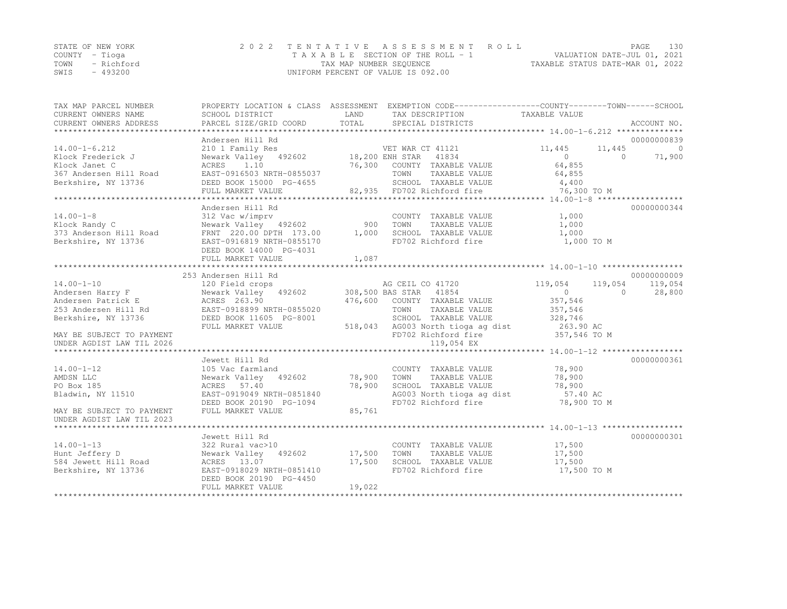|      | STATE OF NEW YORK | 2022 TENTATIVE ASSESSMENT ROLL        | PAGE                             | 130 |
|------|-------------------|---------------------------------------|----------------------------------|-----|
|      | COUNTY – Tioga    | T A X A B L E SECTION OF THE ROLL - 1 | VALUATION DATE-JUL 01, 2021      |     |
| TOWN | - Richford        | TAX MAP NUMBER SEOUENCE               | TAXABLE STATUS DATE-MAR 01, 2022 |     |
| SWIS | $-493200$         | UNIFORM PERCENT OF VALUE IS 092.00    |                                  |     |

| TAX MAP PARCEL NUMBER                         |                                                                                                                                                                                                                                                                                                                                                                                                                                                              |        | PROPERTY LOCATION & CLASS ASSESSMENT EXEMPTION CODE---------------COUNTY-------TOWN-----SCHOOL |               |             |
|-----------------------------------------------|--------------------------------------------------------------------------------------------------------------------------------------------------------------------------------------------------------------------------------------------------------------------------------------------------------------------------------------------------------------------------------------------------------------------------------------------------------------|--------|------------------------------------------------------------------------------------------------|---------------|-------------|
| CURRENT OWNERS NAME                           | SCHOOL DISTRICT                                                                                                                                                                                                                                                                                                                                                                                                                                              | LAND   | TAX DESCRIPTION                                                                                | TAXABLE VALUE |             |
| CURRENT OWNERS ADDRESS                        | $\begin{minipage}{0.5cm} \begin{minipage}{0.5cm} \begin{minipage}{0.5cm} \begin{minipage}{0.5cm} \begin{minipage}{0.5cm} \begin{minipage}{0.5cm} \begin{minipage}{0.5cm} \begin{minipage}{0.5cm} \begin{minipage}{0.5cm} \begin{minipage}{0.5cm} \begin{minipage}{0.5cm} \begin{minipage}{0.5cm} \begin{minipage}{0.5cm} \begin{minipage}{0.5cm} \begin{minipage}{0.5cm} \begin{minipage}{0.5cm} \begin{minipage}{0.5cm} \begin{minipage}{0.5cm} \begin{min$ |        |                                                                                                |               |             |
|                                               |                                                                                                                                                                                                                                                                                                                                                                                                                                                              |        |                                                                                                |               |             |
|                                               |                                                                                                                                                                                                                                                                                                                                                                                                                                                              |        |                                                                                                |               |             |
|                                               |                                                                                                                                                                                                                                                                                                                                                                                                                                                              |        |                                                                                                |               |             |
|                                               |                                                                                                                                                                                                                                                                                                                                                                                                                                                              |        |                                                                                                |               |             |
|                                               |                                                                                                                                                                                                                                                                                                                                                                                                                                                              |        |                                                                                                |               |             |
|                                               |                                                                                                                                                                                                                                                                                                                                                                                                                                                              |        |                                                                                                |               |             |
|                                               |                                                                                                                                                                                                                                                                                                                                                                                                                                                              |        |                                                                                                |               |             |
|                                               |                                                                                                                                                                                                                                                                                                                                                                                                                                                              |        |                                                                                                |               |             |
|                                               |                                                                                                                                                                                                                                                                                                                                                                                                                                                              |        |                                                                                                |               |             |
|                                               | Andersen Hill Rd                                                                                                                                                                                                                                                                                                                                                                                                                                             |        |                                                                                                |               | 00000000344 |
| $14.00 - 1 - 8$                               | <sup>312</sup> vac w/imprv<br>Newark Valley 492602<br>FRNT 220.00.05TW 155                                                                                                                                                                                                                                                                                                                                                                                   |        | COUNTY TAXABLE VALUE                                                                           | 1,000         |             |
| Klock Randy C                                 |                                                                                                                                                                                                                                                                                                                                                                                                                                                              |        | TAXABLE VALUE<br>TOWN                                                                          | 1,000         |             |
| 373 Anderson Hill Road<br>Berkshire, NY 13736 | FRNT 220.00 DPTH 173.00 1,000                                                                                                                                                                                                                                                                                                                                                                                                                                |        | SCHOOL TAXABLE VALUE<br>FD702 Richford fire                                                    | 1,000         |             |
| Berkshire, NY 13736                           | EAST-0916819 NRTH-0855170                                                                                                                                                                                                                                                                                                                                                                                                                                    |        |                                                                                                | 1,000 TO M    |             |
|                                               | DEED BOOK 14000 PG-4031                                                                                                                                                                                                                                                                                                                                                                                                                                      |        |                                                                                                |               |             |
|                                               | FULL MARKET VALUE                                                                                                                                                                                                                                                                                                                                                                                                                                            | 1,087  |                                                                                                |               |             |
|                                               |                                                                                                                                                                                                                                                                                                                                                                                                                                                              |        |                                                                                                |               |             |
|                                               |                                                                                                                                                                                                                                                                                                                                                                                                                                                              |        |                                                                                                |               |             |
|                                               |                                                                                                                                                                                                                                                                                                                                                                                                                                                              |        |                                                                                                |               |             |
|                                               |                                                                                                                                                                                                                                                                                                                                                                                                                                                              |        |                                                                                                |               |             |
|                                               |                                                                                                                                                                                                                                                                                                                                                                                                                                                              |        |                                                                                                |               |             |
|                                               |                                                                                                                                                                                                                                                                                                                                                                                                                                                              |        |                                                                                                |               |             |
| Berkshire, NY 13736                           | DEED BOOK 11605 PG-8001                                                                                                                                                                                                                                                                                                                                                                                                                                      |        |                                                                                                |               |             |
|                                               | FULL MARKET VALUE                                                                                                                                                                                                                                                                                                                                                                                                                                            |        | SCHOOL TAXABLE VALUE 328,746<br>518,043 AG003 North tioga ag dist 263.90 AC                    |               |             |
| MAY BE SUBJECT TO PAYMENT                     |                                                                                                                                                                                                                                                                                                                                                                                                                                                              |        | FD702 Richford fire 357,546 TO M                                                               |               |             |
|                                               |                                                                                                                                                                                                                                                                                                                                                                                                                                                              |        |                                                                                                |               |             |
|                                               |                                                                                                                                                                                                                                                                                                                                                                                                                                                              |        |                                                                                                |               |             |
|                                               | Jewett Hill Rd                                                                                                                                                                                                                                                                                                                                                                                                                                               |        |                                                                                                |               | 00000000361 |
| $14.00 - 1 - 12$                              | 105 Vac farmland                                                                                                                                                                                                                                                                                                                                                                                                                                             |        | COUNTY TAXABLE VALUE 78,900                                                                    |               |             |
| AMDSN LLC                                     | Newark Valley 492602 78,900 TOWN                                                                                                                                                                                                                                                                                                                                                                                                                             |        | TAXABLE VALUE                                                                                  | 78,900        |             |
| PO Box 185                                    | ACRES 57.40                                                                                                                                                                                                                                                                                                                                                                                                                                                  | 78,900 |                                                                                                |               |             |
| Bladwin, NY 11510                             | EAST-0919049 NRTH-0851840                                                                                                                                                                                                                                                                                                                                                                                                                                    |        | SCHOOL TAXABLE VALUE 78,900<br>AG003 North tioga ag dist 57.40 AC                              |               |             |
|                                               | DEED BOOK 20190 PG-1094                                                                                                                                                                                                                                                                                                                                                                                                                                      |        | FD702 Richford fire                                                                            | 78,900 TO M   |             |
| MAY BE SUBJECT TO PAYMENT                     | FULL MARKET VALUE                                                                                                                                                                                                                                                                                                                                                                                                                                            | 85,761 |                                                                                                |               |             |
| UNDER AGDIST LAW TIL 2023                     |                                                                                                                                                                                                                                                                                                                                                                                                                                                              |        |                                                                                                |               |             |
|                                               |                                                                                                                                                                                                                                                                                                                                                                                                                                                              |        |                                                                                                |               |             |
|                                               | Jewett Hill Rd                                                                                                                                                                                                                                                                                                                                                                                                                                               |        |                                                                                                |               | 00000000301 |
| $14.00 - 1 - 13$                              | 322 Rural vac>10                                                                                                                                                                                                                                                                                                                                                                                                                                             |        |                                                                                                |               |             |
| Hunt Jeffery D                                | Newark Valley 492602 17,500 TOWN                                                                                                                                                                                                                                                                                                                                                                                                                             |        | COUNTY TAXABLE VALUE 17,500<br>TOWN TAXABLE VALUE 17,500<br>TAXABLE VALUE                      |               |             |
| 584 Jewett Hill Road                          | ACRES 13.07                                                                                                                                                                                                                                                                                                                                                                                                                                                  |        | SCHOOL TAXABLE VALUE 17,500                                                                    |               |             |
| Berkshire, NY 13736                           | $27.500$<br>RTH-0851410<br>EAST-0918029 NRTH-0851410                                                                                                                                                                                                                                                                                                                                                                                                         |        | FD702 Richford fire                                                                            | 17,500 TO M   |             |
|                                               | DEED BOOK 20190 PG-4450                                                                                                                                                                                                                                                                                                                                                                                                                                      |        |                                                                                                |               |             |
|                                               | FULL MARKET VALUE                                                                                                                                                                                                                                                                                                                                                                                                                                            | 19,022 |                                                                                                |               |             |
|                                               |                                                                                                                                                                                                                                                                                                                                                                                                                                                              |        |                                                                                                |               |             |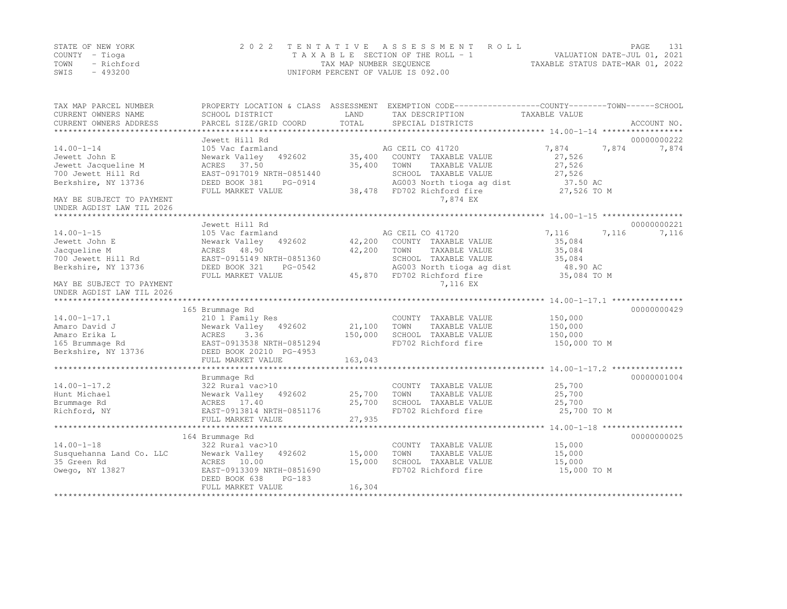|      | STATE OF NEW YORK | 2022 TENTATIVE ASSESSMENT ROLL     |                                  | PAGE.                       |  |
|------|-------------------|------------------------------------|----------------------------------|-----------------------------|--|
|      | COUNTY – Tioga    | TAXABLE SECTION OF THE ROLL - 1    |                                  | VALUATION DATE-JUL 01, 2021 |  |
| TOWN | - Richford        | TAX MAP NUMBER SEOUENCE            | TAXABLE STATUS DATE-MAR 01, 2022 |                             |  |
| SWIS | $-493200$         | UNIFORM PERCENT OF VALUE IS 092.00 |                                  |                             |  |

| TAX MAP PARCEL NUMBER<br>CURRENT OWNERS NAME | PROPERTY LOCATION & CLASS ASSESSMENT<br>SCHOOL DISTRICT | LAND<br>TOTAL | EXEMPTION CODE-----------------COUNTY-------TOWN------SCHOOL<br>TAX DESCRIPTION | TAXABLE VALUE  |             |
|----------------------------------------------|---------------------------------------------------------|---------------|---------------------------------------------------------------------------------|----------------|-------------|
| CURRENT OWNERS ADDRESS                       | PARCEL SIZE/GRID COORD                                  |               | SPECIAL DISTRICTS                                                               |                | ACCOUNT NO. |
|                                              | Jewett Hill Rd                                          |               |                                                                                 |                | 00000000222 |
| $14.00 - 1 - 14$                             | 105 Vac farmland                                        |               | AG CEIL CO 41720                                                                | 7,874<br>7,874 | 7,874       |
| Jewett John E                                | Newark Valley<br>492602                                 | 35,400        | COUNTY TAXABLE VALUE                                                            | 27,526         |             |
| Jewett Jacqueline M                          | ACRES<br>37.50                                          | 35,400        | TOWN<br>TAXABLE VALUE                                                           | 27,526         |             |
| 700 Jewett Hill Rd                           | EAST-0917019 NRTH-0851440                               |               | SCHOOL TAXABLE VALUE                                                            | 27,526         |             |
| Berkshire, NY 13736                          | DEED BOOK 381<br>PG-0914                                |               | AG003 North tioga ag dist                                                       | 37.50 AC       |             |
|                                              | FULL MARKET VALUE                                       | 38,478        | FD702 Richford fire                                                             | 27,526 TO M    |             |
| MAY BE SUBJECT TO PAYMENT                    |                                                         |               | 7,874 EX                                                                        |                |             |
| UNDER AGDIST LAW TIL 2026                    |                                                         |               |                                                                                 |                |             |
|                                              |                                                         |               |                                                                                 |                |             |
|                                              | Jewett Hill Rd                                          |               |                                                                                 |                | 00000000221 |
| $14.00 - 1 - 15$                             | 105 Vac farmland                                        |               | AG CEIL CO 41720                                                                | 7,116<br>7,116 | 7,116       |
| Jewett John E                                | Newark Valley<br>492602                                 | 42,200        | COUNTY TAXABLE VALUE                                                            | 35,084         |             |
| Jacqueline M                                 | ACRES<br>48.90                                          | 42,200        | TOWN<br>TAXABLE VALUE                                                           | 35,084         |             |
| 700 Jewett Hill Rd                           | EAST-0915149 NRTH-0851360                               |               | SCHOOL TAXABLE VALUE                                                            | 35,084         |             |
| Berkshire, NY 13736                          | DEED BOOK 321<br>PG-0542                                |               | AG003 North tioga ag dist                                                       | 48.90 AC       |             |
|                                              | FULL MARKET VALUE                                       | 45,870        | FD702 Richford fire                                                             | 35,084 TO M    |             |
| MAY BE SUBJECT TO PAYMENT                    |                                                         |               | 7,116 EX                                                                        |                |             |
| UNDER AGDIST LAW TIL 2026                    |                                                         |               |                                                                                 |                |             |
|                                              |                                                         |               |                                                                                 |                |             |
|                                              | 165 Brummage Rd                                         |               |                                                                                 |                | 00000000429 |
| $14.00 - 1 - 17.1$                           | 210 1 Family Res                                        |               | COUNTY TAXABLE VALUE                                                            | 150,000        |             |
| Amaro David J                                | Newark Valley<br>492602                                 | 21,100        | TOWN<br>TAXABLE VALUE                                                           | 150,000        |             |
| Amaro Erika L                                | ACRES<br>3.36                                           | 150,000       | SCHOOL TAXABLE VALUE                                                            | 150,000        |             |
| 165 Brummage Rd                              | EAST-0913538 NRTH-0851294                               |               | FD702 Richford fire                                                             | 150,000 TO M   |             |
| Berkshire, NY 13736                          | DEED BOOK 20210 PG-4953                                 |               |                                                                                 |                |             |
|                                              | FULL MARKET VALUE                                       | 163,043       |                                                                                 |                |             |
|                                              | Brummage Rd                                             |               |                                                                                 |                | 00000001004 |
| $14.00 - 1 - 17.2$                           | 322 Rural vac>10                                        |               | COUNTY TAXABLE VALUE                                                            | 25,700         |             |
| Hunt Michael                                 | Newark Valley<br>492602                                 | 25,700        | TOWN<br>TAXABLE VALUE                                                           | 25,700         |             |
| Brummage Rd                                  | ACRES 17.40                                             | 25,700        | SCHOOL TAXABLE VALUE                                                            | 25,700         |             |
| Richford, NY                                 | EAST-0913814 NRTH-0851176                               |               | FD702 Richford fire                                                             | 25,700 TO M    |             |
|                                              | FULL MARKET VALUE                                       | 27,935        |                                                                                 |                |             |
|                                              |                                                         |               |                                                                                 |                |             |
|                                              | 164 Brummage Rd                                         |               |                                                                                 |                | 00000000025 |
| $14.00 - 1 - 18$                             | 322 Rural vac>10                                        |               | COUNTY TAXABLE VALUE                                                            | 15,000         |             |
| Susquehanna Land Co. LLC                     | Newark Valley<br>492602                                 | 15,000        | TOWN<br>TAXABLE VALUE                                                           | 15,000         |             |
| 35 Green Rd                                  | ACRES 10.00                                             | 15,000        | SCHOOL TAXABLE VALUE                                                            | 15,000         |             |
| Owego, NY 13827                              | EAST-0913309 NRTH-0851690                               |               | FD702 Richford fire                                                             | 15,000 TO M    |             |
|                                              | DEED BOOK 638<br>$PG-183$                               |               |                                                                                 |                |             |
|                                              | FULL MARKET VALUE                                       | 16,304        |                                                                                 |                |             |
|                                              |                                                         |               |                                                                                 |                |             |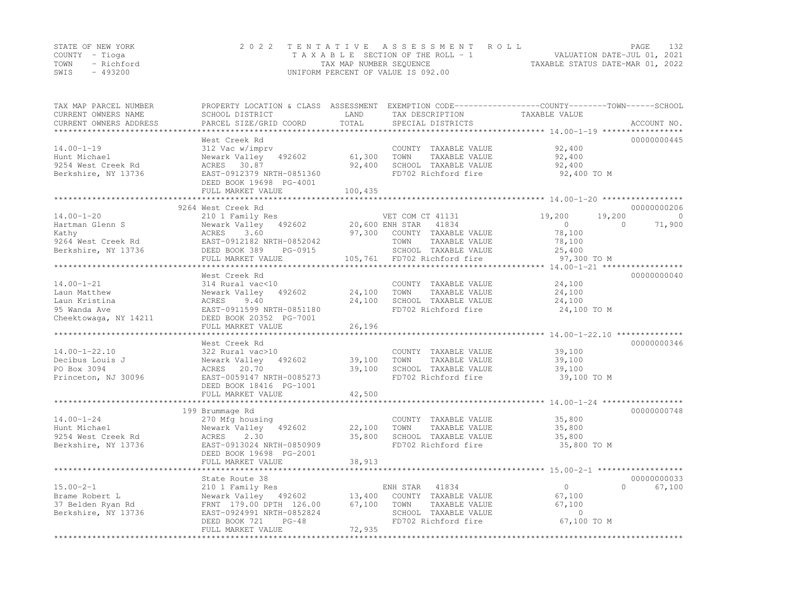|                | STATE OF NEW YORK | 2022 TENTATIVE ASSESSMENT ROLL                                 | PAGE | 132 |
|----------------|-------------------|----------------------------------------------------------------|------|-----|
| COUNTY – Tioga |                   | VALUATION DATE-JUL 01, 2021<br>TAXABLE SECTION OF THE ROLL - 1 |      |     |
|                | TOWN - Richford   | TAXABLE STATUS DATE-MAR 01, 2022<br>TAX MAP NUMBER SEOUENCE    |      |     |
| SWIS           | - 493200          | UNIFORM PERCENT OF VALUE IS 092.00                             |      |     |

| TAX MAP PARCEL NUMBER<br>CURRENT OWNERS NAME | PROPERTY LOCATION & CLASS ASSESSMENT<br>SCHOOL DISTRICT | LAND     | TAX DESCRIPTION             | EXEMPTION CODE-----------------COUNTY-------TOWN------SCHOOL<br>TAXABLE VALUE |                  |
|----------------------------------------------|---------------------------------------------------------|----------|-----------------------------|-------------------------------------------------------------------------------|------------------|
| CURRENT OWNERS ADDRESS                       | PARCEL SIZE/GRID COORD                                  | TOTAL    | SPECIAL DISTRICTS           |                                                                               | ACCOUNT NO.      |
|                                              |                                                         |          |                             |                                                                               |                  |
|                                              | West Creek Rd                                           |          |                             |                                                                               | 00000000445      |
| $14.00 - 1 - 19$                             | 312 Vac w/imprv                                         |          | COUNTY TAXABLE VALUE        | 92,400                                                                        |                  |
| Hunt Michael                                 | Newark Valley 492602                                    | 61,300   | TOWN<br>TAXABLE VALUE       | 92,400                                                                        |                  |
| 9254 West Creek Rd                           | ACRES 30.87                                             | 92,400   | SCHOOL TAXABLE VALUE        | 92,400                                                                        |                  |
| Berkshire, NY 13736                          | EAST-0912379 NRTH-0851360                               |          | FD702 Richford fire         | 92,400 TO M                                                                   |                  |
|                                              | DEED BOOK 19698 PG-4001                                 |          |                             |                                                                               |                  |
|                                              | FULL MARKET VALUE                                       | 100,435  |                             |                                                                               |                  |
|                                              | ***********************                                 |          |                             |                                                                               |                  |
|                                              | 9264 West Creek Rd                                      |          |                             |                                                                               | 00000000206      |
| $14.00 - 1 - 20$                             | 210 1 Family Res                                        |          | VET COM CT 41131            | 19,200<br>19,200                                                              | $\bigcirc$       |
|                                              | Newark Valley 492602                                    |          |                             | $\Omega$<br>$\overline{0}$                                                    | 71,900           |
| Hartman Glenn S                              |                                                         |          | 20,600 ENH STAR 41834       |                                                                               |                  |
| Kathy                                        | 3.60<br>ACRES                                           | 97,300   | COUNTY TAXABLE VALUE        | 78,100                                                                        |                  |
| 9264 West Creek Rd                           | EAST-0912182 NRTH-0852042<br>DEED BOOK 389 PG-0915      |          | TOWN<br>TAXABLE VALUE       | 78,100                                                                        |                  |
| Berkshire, NY 13736                          |                                                         |          | SCHOOL TAXABLE VALUE        | 25,400                                                                        |                  |
|                                              | FULL MARKET VALUE                                       |          | 105,761 FD702 Richford fire | 97,300 TO M                                                                   |                  |
|                                              |                                                         |          |                             |                                                                               |                  |
|                                              | West Creek Rd                                           |          |                             |                                                                               | 00000000040      |
| $14.00 - 1 - 21$                             | 314 Rural vac<10                                        |          | COUNTY TAXABLE VALUE        | 24,100                                                                        |                  |
| Laun Matthew                                 | Newark Valley 492602                                    | 24,100   | TOWN<br>TAXABLE VALUE       | 24,100                                                                        |                  |
| Laun Kristina                                | ACRES<br>9.40                                           | 24,100   | SCHOOL TAXABLE VALUE        | 24,100                                                                        |                  |
| 95 Wanda Ave                                 | EAST-0911599 NRTH-0851180                               |          | FD702 Richford fire         | 24,100 TO M                                                                   |                  |
| Cheektowaga, NY 14211                        | DEED BOOK 20352 PG-7001                                 |          |                             |                                                                               |                  |
|                                              | FULL MARKET VALUE                                       | 26,196   |                             |                                                                               |                  |
|                                              |                                                         |          |                             |                                                                               |                  |
|                                              | West Creek Rd                                           |          |                             |                                                                               | 00000000346      |
| $14.00 - 1 - 22.10$                          | 322 Rural vac>10                                        |          | COUNTY TAXABLE VALUE        | 39,100                                                                        |                  |
| Decibus Louis J                              | Newark Valley 492602                                    | 39,100   | TOWN TAXABLE VALUE          | 39,100                                                                        |                  |
| PO Box 3094                                  | ACRES 20.70                                             | 39,100   | SCHOOL TAXABLE VALUE        | 39,100                                                                        |                  |
| Princeton, NJ 30096                          | EAST-0059147 NRTH-0085273                               |          | FD702 Richford fire         | 39,100 TO M                                                                   |                  |
|                                              | DEED BOOK 18416 PG-1001                                 |          |                             |                                                                               |                  |
|                                              | FULL MARKET VALUE                                       | 42,500   |                             |                                                                               |                  |
|                                              | *************************                               | ******** |                             |                                                                               |                  |
|                                              | 199 Brummage Rd                                         |          |                             |                                                                               | 00000000748      |
| $14.00 - 1 - 24$                             | 270 Mfg housing                                         |          | COUNTY TAXABLE VALUE        | 35,800                                                                        |                  |
| Hunt Michael                                 | Newark Valley 492602                                    | 22,100   | TOWN<br>TAXABLE VALUE       | 35,800                                                                        |                  |
| 9254 West Creek Rd                           | ACRES 2.30                                              | 35,800   | SCHOOL TAXABLE VALUE        | 35,800                                                                        |                  |
| Berkshire, NY 13736                          | EAST-0913024 NRTH-0850909                               |          | FD702 Richford fire         | 35,800 TO M                                                                   |                  |
|                                              | DEED BOOK 19698 PG-2001                                 |          |                             |                                                                               |                  |
|                                              | FULL MARKET VALUE                                       | 38,913   |                             |                                                                               |                  |
|                                              |                                                         |          |                             |                                                                               |                  |
|                                              | State Route 38                                          |          |                             |                                                                               | 00000000033      |
| $15.00 - 2 - 1$                              | 210 1 Family Res                                        |          | ENH STAR 41834              | $\overline{0}$                                                                | $\cap$<br>67,100 |
|                                              |                                                         |          |                             |                                                                               |                  |
| Brame Robert L                               | Newark Valley 492602 13,400                             |          | COUNTY TAXABLE VALUE        | 67,100                                                                        |                  |
| 37 Belden Ryan Rd                            | FRNT 179.00 DPTH 126.00                                 | 67,100   | TOWN<br>TAXABLE VALUE       | 67,100                                                                        |                  |
| Berkshire, NY 13736                          | EAST-0924991 NRTH-0852824                               |          | SCHOOL TAXABLE VALUE        | $\circ$                                                                       |                  |
|                                              | DEED BOOK 721<br>$PG-48$                                |          | FD702 Richford fire         | 67,100 TO M                                                                   |                  |
|                                              | FULL MARKET VALUE                                       | 72,935   |                             |                                                                               |                  |
|                                              |                                                         |          |                             |                                                                               |                  |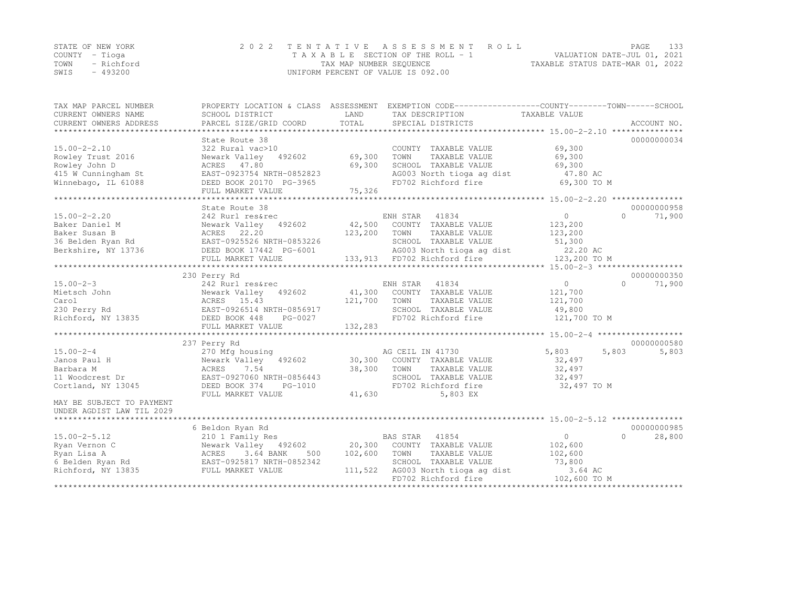|      | STATE OF NEW YORK | 2022 TENTATIVE ASSESSMENT ROLL     |                                  | PAGE | - 133 |
|------|-------------------|------------------------------------|----------------------------------|------|-------|
|      | COUNTY – Tioqa    | TAXABLE SECTION OF THE ROLL - 1    | VALUATION DATE-JUL 01, 2021      |      |       |
|      | TOWN - Richford   | TAX MAP NUMBER SEQUENCE            | TAXABLE STATUS DATE-MAR 01, 2022 |      |       |
| SWIS | - 493200          | UNIFORM PERCENT OF VALUE IS 092.00 |                                  |      |       |

| TAX MAP PARCEL NUMBER                                                                          | PROPERTY LOCATION & CLASS ASSESSMENT             |              | EXEMPTION CODE-----------------COUNTY-------TOWN------SCHOOL |                |                     |
|------------------------------------------------------------------------------------------------|--------------------------------------------------|--------------|--------------------------------------------------------------|----------------|---------------------|
| CURRENT OWNERS NAME                                                                            | SCHOOL DISTRICT                                  | LAND         | TAX DESCRIPTION                                              | TAXABLE VALUE  |                     |
| CURRENT OWNERS ADDRESS                                                                         | PARCEL SIZE/GRID COORD                           | TOTAL        | SPECIAL DISTRICTS                                            |                | ACCOUNT NO.         |
|                                                                                                |                                                  |              |                                                              |                |                     |
|                                                                                                | State Route 38                                   |              |                                                              |                | 00000000034         |
| $15.00 - 2 - 2.10$                                                                             | 322 Rural vac>10                                 |              | COUNTY TAXABLE VALUE                                         | 69,300         |                     |
| Rowley Trust 2016                                                                              | Newark Valley 492602                             | 69,300       | TOWN<br>TAXABLE VALUE                                        | 69,300         |                     |
| Rowley John D                                                                                  | ACRES 47.80                                      | 69,300       | SCHOOL TAXABLE VALUE                                         | 69,300         |                     |
| 415 W Cunningham St                                                                            | EAST-0923754 NRTH-0852823                        |              | AG003 North tioga ag dist 47.80 AC                           |                |                     |
| Winnebago, IL 61088                                                                            | DEED BOOK 20170 PG-3965                          |              | FD702 Richford fire                                          | 69,300 TO M    |                     |
|                                                                                                | FULL MARKET VALUE                                | 75,326       |                                                              |                |                     |
|                                                                                                |                                                  |              |                                                              |                |                     |
|                                                                                                | State Route 38                                   |              |                                                              |                | 00000000958         |
| $15.00 - 2 - 2.20$                                                                             | 242 Rurl res&rec                                 |              | ENH STAR<br>41834                                            | $\overline{0}$ | $\bigcap$<br>71,900 |
| Baker Daniel M                                                                                 | Newark Valley 492602                             |              | 42,500 COUNTY TAXABLE VALUE                                  | 123,200        |                     |
| Baker Susan B                                                                                  | ACRES 22.20                                      | 123,200 TOWN | TAXABLE VALUE                                                | 123,200        |                     |
| 36 Belden Ryan Rd<br>Berkshire, NY 13736                                                       |                                                  |              |                                                              |                |                     |
|                                                                                                |                                                  |              |                                                              |                |                     |
|                                                                                                |                                                  |              |                                                              |                |                     |
|                                                                                                |                                                  |              |                                                              |                |                     |
|                                                                                                | 230 Perry Rd                                     |              |                                                              |                | 00000000350         |
| $15.00 - 2 - 3$                                                                                | 242 Rurl res&rec                                 |              | ENH STAR<br>41834                                            | 0              | $\bigcap$<br>71,900 |
| Mietsch John                                                                                   | Newark Valley 492602                             |              | 41,300 COUNTY TAXABLE VALUE                                  | 121,700        |                     |
| Carol                                                                                          | ACRES 15.43                                      | 121,700      | TOWN<br>TAXABLE VALUE                                        | 121,700        |                     |
| 230 Perry Rd                                                                                   | EAST-0926514 NRTH-0856917                        |              | SCHOOL TAXABLE VALUE                                         | 49,800         |                     |
| Richford, NY 13835                                                                             | DEED BOOK 448<br>PG-0027                         |              | FD702 Richford fire                                          | 121,700 TO M   |                     |
|                                                                                                | FULL MARKET VALUE                                | 132,283      |                                                              |                |                     |
|                                                                                                |                                                  |              |                                                              |                |                     |
|                                                                                                | 237 Perry Rd                                     |              |                                                              |                | 00000000580         |
| $15.00 - 2 - 4$                                                                                | 270 Mfg housing                                  |              | AG CEIL IN 41730                                             | 5,803          | 5,803<br>5,803      |
| Janos Paul H                                                                                   | Newark Valley 492602 30,300 COUNTY TAXABLE VALUE |              |                                                              | 32,497         |                     |
| Barbara M                                                                                      | 7.54<br>ACRES                                    | 38,300 TOWN  | TAXABLE VALUE                                                | 32,497         |                     |
| 11 Woodcrest Dr                                                                                | EAST-0927060 NRTH-0856443                        |              | SCHOOL TAXABLE VALUE                                         | 32,497         |                     |
| Cortland, NY 13045                                                                             | DEED BOOK 374<br>PG-1010                         |              | FD702 Richford fire                                          | 32,497 TO M    |                     |
|                                                                                                | FULL MARKET VALUE                                | 41,630       | 5,803 EX                                                     |                |                     |
| MAY BE SUBJECT TO PAYMENT                                                                      |                                                  |              |                                                              |                |                     |
| UNDER AGDIST LAW TIL 2029                                                                      |                                                  |              |                                                              |                |                     |
| ****************************                                                                   |                                                  |              |                                                              |                |                     |
|                                                                                                | 6 Beldon Ryan Rd                                 |              |                                                              |                | 00000000985         |
| $15.00 - 2 - 5.12$                                                                             | 210 1 Family Res                                 |              | <b>BAS STAR</b> 41854                                        | $\overline{0}$ | $\bigcap$<br>28,800 |
| Ryan Vernon C                                                                                  | Newark Valley 492602                             |              | 20,300 COUNTY TAXABLE VALUE                                  | 102,600        |                     |
|                                                                                                |                                                  | 102,600      | TOWN<br>TAXABLE VALUE                                        | 102,600        |                     |
| Ryan Lisa A<br>6 Belden Ryan Rd<br>6 Belden Ryan Rd<br>Richford, NY 13835<br>FULL MARKET VALUE | ACRES 3.04 DANA                                  |              | SCHOOL TAXABLE VALUE                                         | 73,800         |                     |
|                                                                                                |                                                  | 111,522      | AG003 North tioga ag dist                                    | 3.64 AC        |                     |
|                                                                                                |                                                  |              | FD702 Richford fire                                          | 102,600 TO M   |                     |
|                                                                                                |                                                  |              |                                                              |                |                     |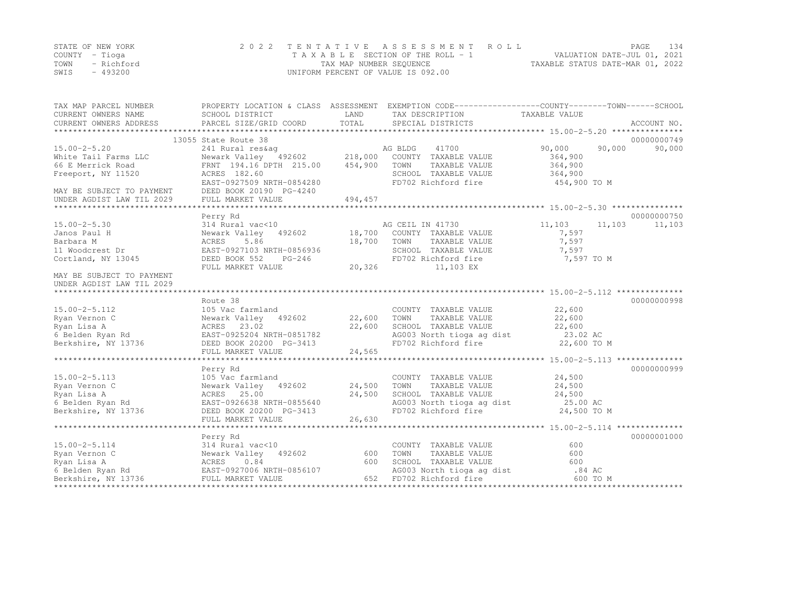|      | STATE OF NEW YORK | 2022 TENTATIVE ASSESSMENT ROLL     |                                  | PAGE                        | - 1.34 |
|------|-------------------|------------------------------------|----------------------------------|-----------------------------|--------|
|      | COUNTY – Tioga    | TAXABLE SECTION OF THE ROLL - 1    |                                  | VALUATION DATE-JUL 01, 2021 |        |
| TOWN | – Richford        | TAX MAP NUMBER SEQUENCE            | TAXABLE STATUS DATE-MAR 01, 2022 |                             |        |
| SWIS | - 493200          | UNIFORM PERCENT OF VALUE IS 092.00 |                                  |                             |        |

| TAX MAP PARCEL NUMBER<br>CURRENT OWNERS NAME<br>CURRENT OWNERS ADDRESS | SCHOOL DISTRICT<br>PARCEL SIZE/GRID COORD | LAND<br>TOTAL | PROPERTY LOCATION & CLASS ASSESSMENT EXEMPTION CODE---------------COUNTY-------TOWN-----SCHOOL<br>TAX DESCRIPTION<br>SPECIAL DISTRICTS | TAXABLE VALUE    | ACCOUNT NO. |
|------------------------------------------------------------------------|-------------------------------------------|---------------|----------------------------------------------------------------------------------------------------------------------------------------|------------------|-------------|
|                                                                        | 13055 State Route 38                      |               |                                                                                                                                        |                  | 00000000749 |
| $15.00 - 2 - 5.20$                                                     | 241 Rural res&ag                          |               | AG BLDG<br>41700                                                                                                                       | 90,000<br>90,000 | 90,000      |
| White Tail Farms LLC                                                   | Newark Valley 492602 218,000              |               | COUNTY TAXABLE VALUE                                                                                                                   | 364,900          |             |
| 66 E Merrick Road                                                      | FRNT 194.16 DPTH 215.00                   | 454,900       | TOWN<br>TAXABLE VALUE                                                                                                                  | 364,900          |             |
| Freeport, NY 11520                                                     | ACRES 182.60                              |               | SCHOOL TAXABLE VALUE                                                                                                                   | 364,900          |             |
|                                                                        | EAST-0927509 NRTH-0854280                 |               | FD702 Richford fire                                                                                                                    | 454,900 TO M     |             |
| MAY BE SUBJECT TO PAYMENT                                              | DEED BOOK 20190 PG-4240                   |               |                                                                                                                                        |                  |             |
| UNDER AGDIST LAW TIL 2029                                              | FULL MARKET VALUE                         | 494,457       |                                                                                                                                        |                  |             |
|                                                                        |                                           |               |                                                                                                                                        |                  |             |
|                                                                        | Perry Rd                                  |               |                                                                                                                                        |                  | 00000000750 |
| $15.00 - 2 - 5.30$                                                     | 314 Rural vac<10                          |               | AG CEIL IN 41730                                                                                                                       | 11,103<br>11,103 | 11,103      |
| Janos Paul H                                                           | Newark Valley 492602                      |               | 18,700 COUNTY TAXABLE VALUE                                                                                                            | 7,597            |             |
| Barbara M                                                              | 5.86<br>ACRES                             | 18,700        | TOWN<br>TAXABLE VALUE                                                                                                                  | 7,597            |             |
| 11 Woodcrest Dr                                                        | EAST-0927103 NRTH-0856936                 |               | SCHOOL TAXABLE VALUE                                                                                                                   | 7,597            |             |
| Cortland, NY 13045                                                     | DEED BOOK 552<br>$PG-246$                 |               | FD702 Richford fire                                                                                                                    | 7,597 TO M       |             |
|                                                                        | FULL MARKET VALUE                         | 20,326        | 11,103 EX                                                                                                                              |                  |             |
| MAY BE SUBJECT TO PAYMENT<br>UNDER AGDIST LAW TIL 2029                 |                                           |               |                                                                                                                                        |                  |             |
|                                                                        |                                           |               |                                                                                                                                        |                  |             |
|                                                                        | Route 38                                  |               |                                                                                                                                        |                  | 00000000998 |
| $15.00 - 2 - 5.112$                                                    | 105 Vac farmland                          |               | COUNTY TAXABLE VALUE                                                                                                                   | 22,600           |             |
| Ryan Vernon C                                                          | Newark Valley 492602                      | 22,600        | TOWN<br>TAXABLE VALUE                                                                                                                  | 22,600           |             |
| Ryan Lisa A                                                            | ACRES 23.02                               | 22,600        | SCHOOL TAXABLE VALUE                                                                                                                   | 22,600           |             |
| 6 Belden Ryan Rd                                                       | EAST-0925204 NRTH-0851782                 |               | AG003 North tioga ag dist 23.02 AC                                                                                                     |                  |             |
| Berkshire, NY 13736                                                    | DEED BOOK 20200 PG-3413                   |               | FD702 Richford fire                                                                                                                    | 22,600 TO M      |             |
|                                                                        | FULL MARKET VALUE                         | 24,565        |                                                                                                                                        |                  |             |
|                                                                        |                                           |               |                                                                                                                                        |                  |             |
|                                                                        | Perry Rd                                  |               |                                                                                                                                        |                  | 00000000999 |
| $15.00 - 2 - 5.113$                                                    | 105 Vac farmland                          |               | COUNTY TAXABLE VALUE                                                                                                                   | 24,500           |             |
| Ryan Vernon C                                                          | Newark Valley 492602                      | 24,500        | TOWN<br>TAXABLE VALUE                                                                                                                  | 24,500           |             |
| Ryan Lisa A                                                            | ACRES 25.00                               | 24,500        | SCHOOL TAXABLE VALUE                                                                                                                   | 24,500           |             |
| 6 Belden Ryan Rd                                                       | EAST-0926638 NRTH-0855640                 |               | AG003 North tioga ag dist                                                                                                              | 25.00 AC         |             |
| Berkshire, NY 13736                                                    | DEED BOOK 20200 PG-3413                   |               | FD702 Richford fire                                                                                                                    | 24,500 TO M      |             |
|                                                                        | FULL MARKET VALUE                         | 26,630        |                                                                                                                                        |                  |             |
|                                                                        |                                           |               |                                                                                                                                        |                  |             |
|                                                                        | Perry Rd                                  |               |                                                                                                                                        |                  | 00000001000 |
| $15.00 - 2 - 5.114$                                                    | 314 Rural vac<10                          |               | COUNTY TAXABLE VALUE                                                                                                                   | 600              |             |
| Ryan Vernon C                                                          | Newark Valley 492602                      | 600           | TOWN<br>TAXABLE VALUE                                                                                                                  | 600              |             |
| Ryan Lisa A                                                            | ACRES 0.84                                | 600           | SCHOOL TAXABLE VALUE                                                                                                                   | 600              |             |
| 6 Belden Ryan Rd                                                       | EAST-0927006 NRTH-0856107                 |               | AG003 North tioga ag dist                                                                                                              | .84 AC           |             |
| Berkshire, NY 13736                                                    | FULL MARKET VALUE                         | 652           | FD702 Richford fire                                                                                                                    | 600 TO M         |             |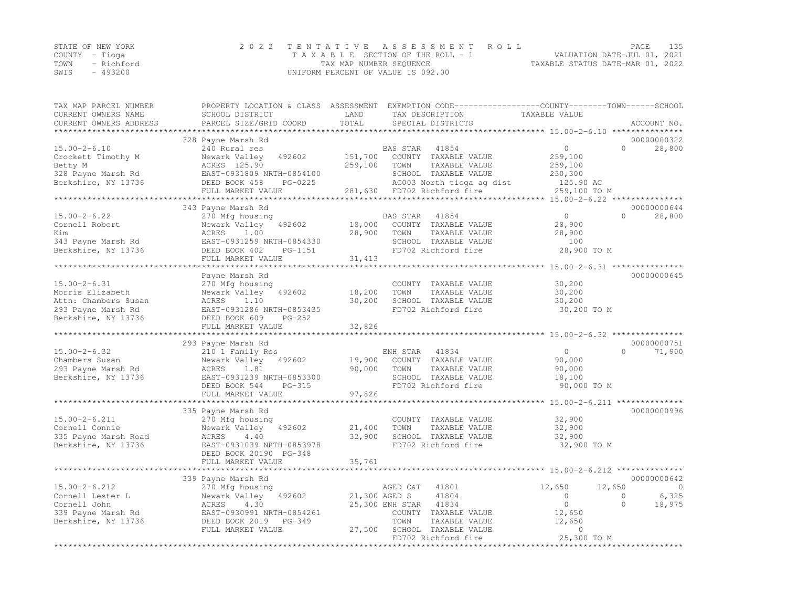|                | STATE OF NEW YORK | 2022 TENTATIVE ASSESSMENT ROLL     |                                  | PAGE | 135 |
|----------------|-------------------|------------------------------------|----------------------------------|------|-----|
| COUNTY – Tioga |                   | TAXABLE SECTION OF THE ROLL - 1    | VALUATION DATE-JUL 01, 2021      |      |     |
|                | TOWN - Richford   | TAX MAP NUMBER SEQUENCE            | TAXABLE STATUS DATE-MAR 01, 2022 |      |     |
| SWIS           | - 493200          | UNIFORM PERCENT OF VALUE IS 092.00 |                                  |      |     |

| TAX MAP PARCEL NUMBER<br>CURRENT OWNERS NAME | PROPERTY LOCATION & CLASS ASSESSMENT<br>SCHOOL DISTRICT | LAND          | EXEMPTION CODE-----------------COUNTY-------TOWN-----SCHOOL<br>TAX DESCRIPTION | TAXABLE VALUE                               |                      |
|----------------------------------------------|---------------------------------------------------------|---------------|--------------------------------------------------------------------------------|---------------------------------------------|----------------------|
| CURRENT OWNERS ADDRESS                       | PARCEL SIZE/GRID COORD                                  | TOTAL         | SPECIAL DISTRICTS                                                              |                                             | ACCOUNT NO.          |
| **********************                       |                                                         |               |                                                                                |                                             |                      |
|                                              | 328 Payne Marsh Rd                                      |               |                                                                                |                                             | 00000000322          |
| $15.00 - 2 - 6.10$                           | 240 Rural res                                           |               | BAS STAR<br>41854                                                              | $\circ$                                     | $\Omega$<br>28,800   |
| Crockett Timothy M                           | Newark Valley<br>492602                                 | 151,700       | COUNTY TAXABLE VALUE                                                           | 259,100                                     |                      |
| Betty M                                      | ACRES 125.90                                            | 259,100       | TOWN<br>TAXABLE VALUE                                                          | 259,100                                     |                      |
| 328 Payne Marsh Rd                           | EAST-0931809 NRTH-0854100                               |               | SCHOOL TAXABLE VALUE                                                           | 230,300                                     |                      |
| Berkshire, NY 13736                          | DEED BOOK 458<br>PG-0225                                |               | AG003 North tioga ag dist                                                      | 125.90 AC                                   |                      |
|                                              | FULL MARKET VALUE                                       | 281,630       | FD702 Richford fire                                                            | 259,100 TO M                                |                      |
|                                              | ***********************                                 |               |                                                                                |                                             |                      |
|                                              | 343 Payne Marsh Rd                                      |               |                                                                                |                                             | 00000000644          |
| $15.00 - 2 - 6.22$                           |                                                         |               | 41854<br><b>BAS STAR</b>                                                       | $\circ$                                     | $\Omega$<br>28,800   |
| Cornell Robert                               | 270 Mfg housing<br>Newark Valley<br>492602              | 18,000        | COUNTY TAXABLE VALUE                                                           | 28,900                                      |                      |
|                                              |                                                         |               |                                                                                |                                             |                      |
| Kim                                          | ACRES<br>1.00                                           | 28,900        | TOWN<br>TAXABLE VALUE                                                          | 28,900                                      |                      |
| 343 Payne Marsh Rd                           | EAST-0931259 NRTH-0854330                               |               | SCHOOL TAXABLE VALUE                                                           | 100                                         |                      |
| Berkshire, NY 13736                          | DEED BOOK 402<br>PG-1151                                |               | FD702 Richford fire                                                            | 28,900 TO M                                 |                      |
|                                              | FULL MARKET VALUE                                       | 31,413        |                                                                                |                                             |                      |
|                                              |                                                         |               |                                                                                |                                             |                      |
|                                              | Payne Marsh Rd                                          |               |                                                                                |                                             | 00000000645          |
| $15.00 - 2 - 6.31$                           | 270 Mfg housing                                         |               | COUNTY TAXABLE VALUE                                                           | 30,200                                      |                      |
| Morris Elizabeth                             | Newark Valley<br>492602                                 | 18,200        | TOWN<br>TAXABLE VALUE                                                          | 30,200                                      |                      |
| Attn: Chambers Susan                         | 1.10<br>ACRES                                           | 30,200        | SCHOOL TAXABLE VALUE                                                           | 30,200                                      |                      |
| 293 Payne Marsh Rd                           | EAST-0931286 NRTH-0853435                               |               | FD702 Richford fire                                                            | 30,200 TO M                                 |                      |
| Berkshire, NY 13736                          | DEED BOOK 609<br>$PG-252$                               |               |                                                                                |                                             |                      |
|                                              | FULL MARKET VALUE                                       | 32,826        |                                                                                |                                             |                      |
|                                              | ***********************                                 | *********     |                                                                                | ******************* 15.00-2-6.32 ********** |                      |
|                                              | 293 Payne Marsh Rd                                      |               |                                                                                |                                             | 00000000751          |
| $15.00 - 2 - 6.32$                           | 210 1 Family Res                                        |               | ENH STAR<br>41834                                                              | $\Omega$                                    | $\Omega$<br>71,900   |
| Chambers Susan                               | Newark Valley<br>492602                                 | 19,900        | COUNTY TAXABLE VALUE                                                           | 90,000                                      |                      |
| 293 Payne Marsh Rd                           | ACRES<br>1.81                                           | 90,000        | TAXABLE VALUE<br>TOWN                                                          | 90,000                                      |                      |
| Berkshire, NY 13736                          | EAST-0931239 NRTH-0853300                               |               | SCHOOL TAXABLE VALUE                                                           | 18,100                                      |                      |
|                                              | DEED BOOK 544<br>PG-315                                 |               | FD702 Richford fire                                                            | 90,000 TO M                                 |                      |
|                                              | FULL MARKET VALUE                                       | 97,826        |                                                                                |                                             |                      |
|                                              |                                                         |               |                                                                                |                                             |                      |
|                                              | 335 Payne Marsh Rd                                      |               |                                                                                |                                             | 00000000996          |
| $15.00 - 2 - 6.211$                          | 270 Mfg housing                                         |               | COUNTY TAXABLE VALUE                                                           | 32,900                                      |                      |
| Cornell Connie                               | Newark Valley<br>492602                                 | 21,400        | TAXABLE VALUE<br>TOWN                                                          | 32,900                                      |                      |
| 335 Payne Marsh Road                         | ACRES<br>4.40                                           | 32,900        | SCHOOL TAXABLE VALUE                                                           | 32,900                                      |                      |
| Berkshire, NY 13736                          | EAST-0931039 NRTH-0853978                               |               | FD702 Richford fire                                                            | 32,900 TO M                                 |                      |
|                                              | DEED BOOK 20190 PG-348                                  |               |                                                                                |                                             |                      |
|                                              | FULL MARKET VALUE                                       | 35,761        |                                                                                |                                             |                      |
|                                              | *********************                                   |               |                                                                                |                                             |                      |
|                                              | 339 Payne Marsh Rd                                      |               |                                                                                |                                             | 00000000642          |
| $15.00 - 2 - 6.212$                          | 270 Mfg housing                                         |               | AGED C&T<br>41801                                                              | 12,650                                      | 12,650<br>$\Omega$   |
| Cornell Lester L                             | Newark Valley<br>492602                                 | 21,300 AGED S | 41804                                                                          | $\circ$                                     | 6,325<br>$\mathbf 0$ |
| Cornell John                                 | ACRES<br>4.30                                           |               | 25,300 ENH STAR<br>41834                                                       | $\circ$                                     | $\Omega$<br>18,975   |
| 339 Payne Marsh Rd                           | EAST-0930991 NRTH-0854261                               |               | COUNTY TAXABLE VALUE                                                           | 12,650                                      |                      |
| Berkshire, NY 13736                          | DEED BOOK 2019<br>$PG-349$                              |               | TOWN<br>TAXABLE VALUE                                                          | 12,650                                      |                      |
|                                              | FULL MARKET VALUE                                       | 27,500        | SCHOOL TAXABLE VALUE                                                           | $\mathbf{0}$                                |                      |
|                                              |                                                         |               | FD702 Richford fire                                                            | 25,300 TO M                                 |                      |
|                                              |                                                         |               | **************************                                                     | ***********                                 |                      |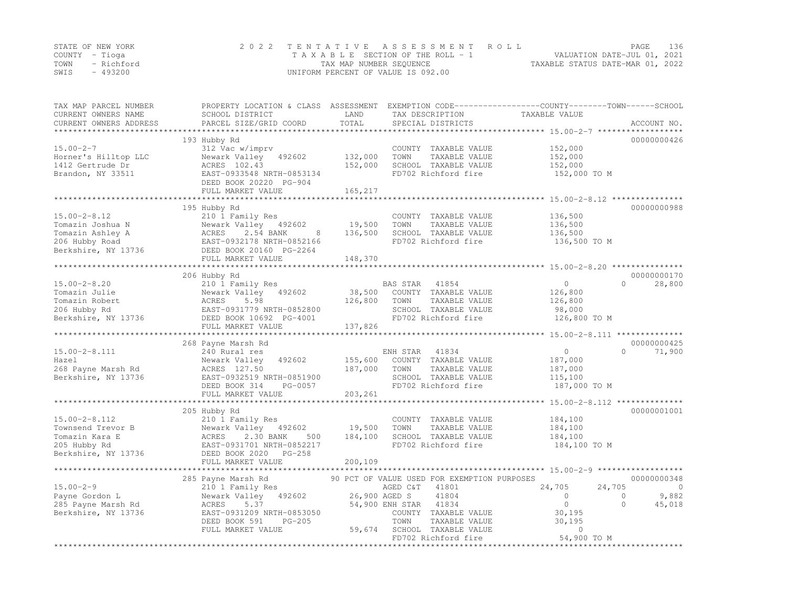|      | STATE OF NEW YORK | 2022 TENTATIVE ASSESSMENT ROLL     | PAGE                             | - 136 |
|------|-------------------|------------------------------------|----------------------------------|-------|
|      | COUNTY – Tioga    | TAXABLE SECTION OF THE ROLL - 1    | VALUATION DATE-JUL 01, 2021      |       |
| TOWN | - Richford        | TAX MAP NUMBER SEOUENCE            | TAXABLE STATUS DATE-MAR 01, 2022 |       |
| SWIS | - 493200          | UNIFORM PERCENT OF VALUE IS 092.00 |                                  |       |

| TAX MAP PARCEL NUMBER<br>CURRENT OWNERS NAME | PROPERTY LOCATION & CLASS ASSESSMENT<br>SCHOOL DISTRICT | LAND              | TAX DESCRIPTION                             | EXEMPTION CODE-----------------COUNTY-------TOWN------SCHOOL<br>TAXABLE VALUE |                    |
|----------------------------------------------|---------------------------------------------------------|-------------------|---------------------------------------------|-------------------------------------------------------------------------------|--------------------|
| CURRENT OWNERS ADDRESS                       | PARCEL SIZE/GRID COORD                                  | TOTAL<br>******** | SPECIAL DISTRICTS                           | ******************* 15.00-2-7 ******                                          | ACCOUNT NO.        |
|                                              | 193 Hubby Rd                                            |                   |                                             |                                                                               | 00000000426        |
| $15.00 - 2 - 7$                              | 312 Vac w/imprv                                         |                   | COUNTY TAXABLE VALUE                        | 152,000                                                                       |                    |
| Horner's Hilltop LLC                         | Newark Valley 492602                                    | 132,000           | TOWN<br>TAXABLE VALUE                       | 152,000                                                                       |                    |
| 1412 Gertrude Dr                             | ACRES 102.43                                            | 152,000           | SCHOOL TAXABLE VALUE                        | 152,000                                                                       |                    |
| Brandon, NY 33511                            | EAST-0933548 NRTH-0853134                               |                   | FD702 Richford fire                         | 152,000 TO M                                                                  |                    |
|                                              | DEED BOOK 20220 PG-904                                  |                   |                                             |                                                                               |                    |
|                                              | FULL MARKET VALUE                                       | 165,217           |                                             |                                                                               |                    |
|                                              |                                                         |                   |                                             |                                                                               |                    |
|                                              | 195 Hubby Rd                                            |                   |                                             |                                                                               | 00000000988        |
| $15.00 - 2 - 8.12$                           | 210 1 Family Res                                        |                   | COUNTY TAXABLE VALUE                        | 136,500                                                                       |                    |
| Tomazin Joshua N                             | Newark Valley 492602                                    | 19,500            | TOWN<br>TAXABLE VALUE                       | 136,500                                                                       |                    |
| Tomazin Ashley A                             | ACRES<br>2.54 BANK<br>8                                 | 136,500           | SCHOOL TAXABLE VALUE                        | 136,500                                                                       |                    |
| 206 Hubby Road                               | EAST-0932178 NRTH-0852166                               |                   | FD702 Richford fire                         | 136,500 TO M                                                                  |                    |
| Berkshire, NY 13736                          | DEED BOOK 20160 PG-2264                                 |                   |                                             |                                                                               |                    |
|                                              | FULL MARKET VALUE                                       | 148,370           |                                             |                                                                               |                    |
|                                              | 206 Hubby Rd                                            |                   |                                             |                                                                               | 00000000170        |
| $15.00 - 2 - 8.20$                           | 210 1 Family Res                                        |                   | BAS STAR<br>41854                           | $\circ$                                                                       | $\Omega$<br>28,800 |
| Tomazin Julie                                | Newark Valley 492602                                    | 38,500            | COUNTY TAXABLE VALUE                        | 126,800                                                                       |                    |
| Tomazin Robert                               | 5.98<br>ACRES                                           | 126,800           | TOWN<br>TAXABLE VALUE                       | 126,800                                                                       |                    |
| 206 Hubby Rd                                 | EAST-0931779 NRTH-0852800                               |                   | SCHOOL TAXABLE VALUE                        | 98,000                                                                        |                    |
| Berkshire, NY 13736                          | DEED BOOK 10692 PG-4001                                 |                   | FD702 Richford fire                         | 126,800 TO M                                                                  |                    |
|                                              | FULL MARKET VALUE                                       | 137,826           |                                             |                                                                               |                    |
|                                              |                                                         |                   |                                             |                                                                               |                    |
|                                              | 268 Payne Marsh Rd                                      |                   |                                             |                                                                               | 00000000425        |
| $15.00 - 2 - 8.111$                          | 240 Rural res                                           |                   | ENH STAR<br>41834                           | $\circ$                                                                       | 71,900<br>$\Omega$ |
| Hazel                                        | 492602<br>Newark Valley                                 | 155,600           | COUNTY TAXABLE VALUE                        | 187,000                                                                       |                    |
| 268 Payne Marsh Rd                           | ACRES 127.50                                            | 187,000           | TOWN<br>TAXABLE VALUE                       | 187,000                                                                       |                    |
| Berkshire, NY 13736                          | EAST-0932519 NRTH-0851900                               |                   | SCHOOL TAXABLE VALUE                        | 115,100                                                                       |                    |
|                                              | DEED BOOK 314<br>PG-0057                                |                   | FD702 Richford fire                         | 187,000 TO M                                                                  |                    |
|                                              | FULL MARKET VALUE                                       | 203,261           |                                             |                                                                               |                    |
|                                              | ************************                                |                   |                                             |                                                                               |                    |
|                                              | 205 Hubby Rd                                            |                   |                                             |                                                                               | 00000001001        |
| $15.00 - 2 - 8.112$                          | 210 1 Family Res                                        |                   | COUNTY TAXABLE VALUE                        | 184,100                                                                       |                    |
| Townsend Trevor B                            | Newark Valley 492602                                    | 19,500            | TOWN<br>TAXABLE VALUE                       | 184,100                                                                       |                    |
| Tomazin Kara E                               | 2.30 BANK<br>ACRES<br>500                               | 184,100           | SCHOOL TAXABLE VALUE                        | 184,100                                                                       |                    |
| 205 Hubby Rd                                 | EAST-0931701 NRTH-0852217                               |                   | FD702 Richford fire                         | 184,100 TO M                                                                  |                    |
| Berkshire, NY 13736                          | DEED BOOK 2020 PG-258                                   |                   |                                             |                                                                               |                    |
|                                              | FULL MARKET VALUE                                       | 200,109           |                                             |                                                                               |                    |
|                                              | 285 Payne Marsh Rd                                      |                   | 90 PCT OF VALUE USED FOR EXEMPTION PURPOSES |                                                                               | 00000000348        |
| $15.00 - 2 - 9$                              | 210 1 Family Res                                        |                   | AGED C&T<br>41801                           | 24,705<br>24,705                                                              | $\Omega$           |
| Payne Gordon L                               | Newark Valley<br>492602                                 | 26,900 AGED S     | 41804                                       | $\circ$                                                                       | 9,882<br>0         |
| 285 Payne Marsh Rd                           | 5.37<br>ACRES                                           |                   | 54,900 ENH STAR<br>41834                    | $\circ$                                                                       | $\Omega$<br>45,018 |
| Berkshire, NY 13736                          | EAST-0931209 NRTH-0853050                               |                   | COUNTY TAXABLE VALUE                        | 30,195                                                                        |                    |
|                                              | DEED BOOK 591<br>$PG-205$                               |                   | TOWN<br>TAXABLE VALUE                       | 30,195                                                                        |                    |
|                                              | FULL MARKET VALUE                                       | 59,674            | SCHOOL TAXABLE VALUE                        | 0                                                                             |                    |
|                                              |                                                         |                   | FD702 Richford fire                         | 54,900 TO M                                                                   |                    |
|                                              |                                                         |                   | *************************************       | *****************                                                             |                    |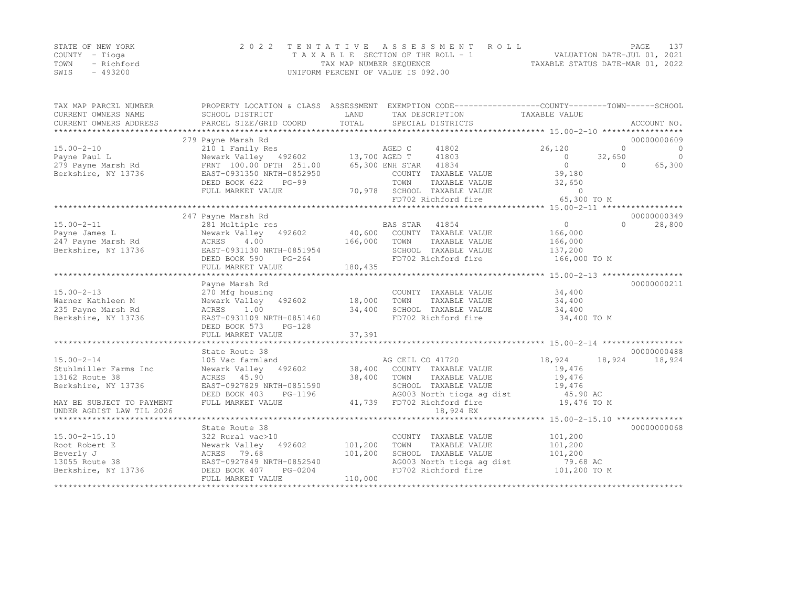|      | STATE OF NEW YORK | 2022 TENTATIVE ASSESSMENT ROLL     | PAGE                             | 137 |
|------|-------------------|------------------------------------|----------------------------------|-----|
|      | COUNTY – Tioga    | TAXABLE SECTION OF THE ROLL - 1    | VALUATION DATE-JUL 01, 2021      |     |
| TOWN | - Richford        | TAX MAP NUMBER SEQUENCE            | TAXABLE STATUS DATE-MAR 01, 2022 |     |
| SWIS | - 493200          | UNIFORM PERCENT OF VALUE IS 092.00 |                                  |     |

| TAX MAP PARCEL NUMBER<br>CURRENT OWNERS NAME<br>CURRENT OWNERS ADDRESS | PROPERTY LOCATION & CLASS ASSESSMENT EXEMPTION CODE---------------COUNTY-------TOWN-----SCHOOL<br>SCHOOL DISTRICT<br>PARCEL SIZE/GRID COORD | LAND<br>TOTAL | TAX DESCRIPTION<br>SPECIAL DISTRICTS             | TAXABLE VALUE             | ACCOUNT NO.                         |
|------------------------------------------------------------------------|---------------------------------------------------------------------------------------------------------------------------------------------|---------------|--------------------------------------------------|---------------------------|-------------------------------------|
| $15.00 - 2 - 10$                                                       | 279 Payne Marsh Rd<br>210 1 Family Res                                                                                                      |               | AGED C<br>41802                                  | 26,120                    | 00000000609<br>$\Omega$<br>$\Omega$ |
| Payne Paul L                                                           | Newark Valley 492602 13,700 AGED T 41803<br>FRNT 100.00 DPTH 251.00 65,300 ENH STAR 41834                                                   |               | 41803                                            | $\overline{0}$<br>32,650  | $\Omega$                            |
| 279 Payne Marsh Rd<br>Berkshire, NY 13736                              | EAST-0931350 NRTH-0852950                                                                                                                   |               | COUNTY TAXABLE VALUE                             | $\circ$<br>39,180         | 65,300<br>$\Omega$                  |
|                                                                        | DEED BOOK 622<br>$PG-99$                                                                                                                    |               | TOWN<br>TAXABLE VALUE                            | 32,650                    |                                     |
|                                                                        | FULL MARKET VALUE                                                                                                                           |               | 70,978 SCHOOL TAXABLE VALUE                      | $\Omega$                  |                                     |
|                                                                        |                                                                                                                                             |               | FD702 Richford fire                              | 65,300 TO M               |                                     |
|                                                                        |                                                                                                                                             |               |                                                  |                           |                                     |
|                                                                        | 247 Payne Marsh Rd                                                                                                                          |               |                                                  |                           | 00000000349<br>$\bigcap$            |
| $15.00 - 2 - 11$<br>Payne James L                                      | 281 Multiple res<br>Newark Valley 492602                                                                                                    |               | BAS STAR<br>41854<br>40,600 COUNTY TAXABLE VALUE | $\overline{0}$<br>166,000 | 28,800                              |
| 247 Payne Marsh Rd                                                     | ACRES<br>4.00                                                                                                                               | 166,000       | TOWN<br>TAXABLE VALUE                            | 166,000                   |                                     |
| Berkshire, NY 13736                                                    | EAST-0931130 NRTH-0851954                                                                                                                   |               | SCHOOL TAXABLE VALUE                             | 137,200                   |                                     |
|                                                                        | PG-264<br>DEED BOOK 590                                                                                                                     |               | FD702 Richford fire                              | 166,000 TO M              |                                     |
|                                                                        | FULL MARKET VALUE                                                                                                                           | 180,435       |                                                  |                           |                                     |
|                                                                        |                                                                                                                                             |               |                                                  |                           |                                     |
| $15.00 - 2 - 13$                                                       | Payne Marsh Rd                                                                                                                              |               |                                                  | 34,400                    | 00000000211                         |
| Warner Kathleen M                                                      | 270 Mfg housing<br>Newark Valley 492602                                                                                                     | 18,000        | COUNTY TAXABLE VALUE<br>TAXABLE VALUE<br>TOWN    | 34,400                    |                                     |
| 235 Payne Marsh Rd                                                     | ACRES<br>1.00                                                                                                                               | 34,400        | SCHOOL TAXABLE VALUE                             | 34,400                    |                                     |
| Berkshire, NY 13736                                                    | EAST-0931109 NRTH-0851460                                                                                                                   |               | FD702 Richford fire                              | 34,400 TO M               |                                     |
|                                                                        | DEED BOOK 573<br>$PG-128$                                                                                                                   |               |                                                  |                           |                                     |
|                                                                        | FULL MARKET VALUE                                                                                                                           | 37,391        |                                                  |                           |                                     |
|                                                                        |                                                                                                                                             |               |                                                  |                           |                                     |
|                                                                        | State Route 38                                                                                                                              |               | AG CEIL CO 41720                                 | 18,924<br>18,924          | 00000000488<br>18,924               |
| $15.00 - 2 - 14$<br>Stuhlmiller Farms Inc                              | 105 Vac farmland<br>Newark Valley 492602                                                                                                    |               | 38,400 COUNTY TAXABLE VALUE                      | 19,476                    |                                     |
| 13162 Route 38                                                         | ACRES 45.90                                                                                                                                 | 38,400        | TOWN<br>TAXABLE VALUE                            | 19,476                    |                                     |
| Berkshire, NY 13736                                                    | EAST-0927829 NRTH-0851590                                                                                                                   |               | SCHOOL TAXABLE VALUE                             | 19,476                    |                                     |
|                                                                        | DEED BOOK 403<br>PG-1196                                                                                                                    |               | AG003 North tioga ag dist                        | 45.90 AC                  |                                     |
| MAY BE SUBJECT TO PAYMENT                                              | FULL MARKET VALUE                                                                                                                           |               | 41,739 FD702 Richford fire                       | 19,476 TO M               |                                     |
| UNDER AGDIST LAW TIL 2026                                              |                                                                                                                                             |               | 18,924 EX                                        |                           |                                     |
| *******************************                                        |                                                                                                                                             |               |                                                  |                           |                                     |
| $15.00 - 2 - 15.10$                                                    | State Route 38<br>322 Rural vac>10                                                                                                          |               | COUNTY TAXABLE VALUE                             | 101,200                   | 00000000068                         |
| Root Robert E                                                          | Newark Valley 492602                                                                                                                        | 101,200       | TAXABLE VALUE<br>TOWN                            | 101,200                   |                                     |
| Beverly J                                                              | ACRES 79.68                                                                                                                                 | 101,200       | SCHOOL TAXABLE VALUE                             | 101,200                   |                                     |
| 13055 Route 38                                                         | EAST-0927849 NRTH-0852540                                                                                                                   |               | AG003 North tioga ag dist                        | 79.68 AC                  |                                     |
| Berkshire, NY 13736                                                    | DEED BOOK 407<br>PG-0204                                                                                                                    |               | FD702 Richford fire                              | 101,200 TO M              |                                     |
|                                                                        | FULL MARKET VALUE                                                                                                                           | 110,000       |                                                  |                           |                                     |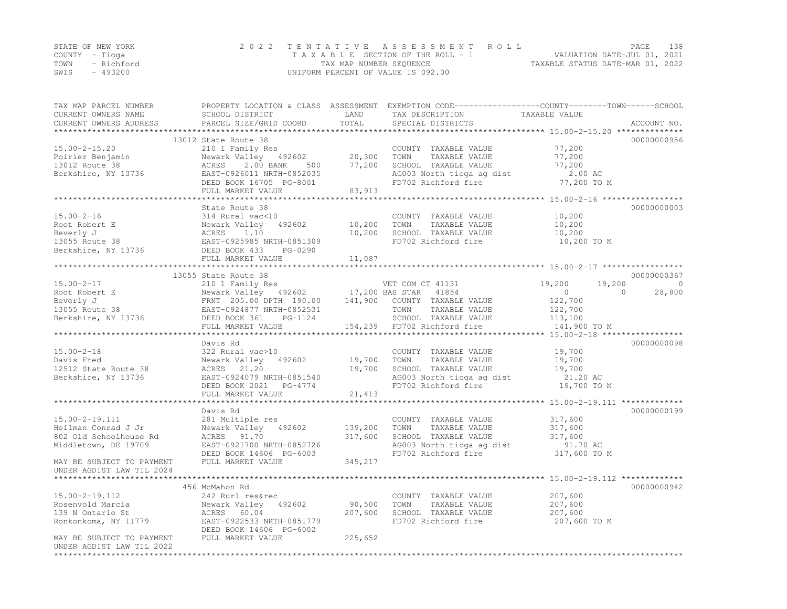|                | STATE OF NEW YORK | 2022 TENTATIVE ASSESSMENT ROLL     | PAGE                             | 138 |
|----------------|-------------------|------------------------------------|----------------------------------|-----|
| COUNTY – Tioga |                   | TAXABLE SECTION OF THE ROLL - 1    | VALUATION DATE-JUL 01, 2021      |     |
|                | TOWN - Richford   | TAX MAP NUMBER SEQUENCE            | TAXABLE STATUS DATE-MAR 01, 2022 |     |
| SWIS           | - 493200          | UNIFORM PERCENT OF VALUE IS 092.00 |                                  |     |

| TAX MAP PARCEL NUMBER<br>CURRENT OWNERS NAME | PROPERTY LOCATION & CLASS ASSESSMENT EXEMPTION CODE-----------------COUNTY-------TOWN------SCHOOL<br>SCHOOL DISTRICT | LAND    | TAX DESCRIPTION             | TAXABLE VALUE    |                    |
|----------------------------------------------|----------------------------------------------------------------------------------------------------------------------|---------|-----------------------------|------------------|--------------------|
| CURRENT OWNERS ADDRESS                       | PARCEL SIZE/GRID COORD                                                                                               | TOTAL   | SPECIAL DISTRICTS           |                  | ACCOUNT NO.        |
|                                              | 13012 State Route 38                                                                                                 |         |                             |                  | 00000000956        |
| $15.00 - 2 - 15.20$                          | 210 1 Family Res                                                                                                     |         | COUNTY TAXABLE VALUE        | 77,200           |                    |
| Poirier Benjamin                             | Newark Valley 492602                                                                                                 | 20,300  | TAXABLE VALUE<br>TOWN       | 77,200           |                    |
| 13012 Route 38                               | ACRES 2.00 BANK<br>500                                                                                               | 77,200  | SCHOOL TAXABLE VALUE        | 77,200           |                    |
| Berkshire, NY 13736                          | EAST-0926011 NRTH-0852035                                                                                            |         | AG003 North tioga ag dist   | 2.00 AC          |                    |
|                                              | DEED BOOK 16705 PG-8001                                                                                              |         | FD702 Richford fire         | 77,200 TO M      |                    |
|                                              | FULL MARKET VALUE                                                                                                    | 83,913  |                             |                  |                    |
|                                              |                                                                                                                      |         |                             |                  |                    |
|                                              | State Route 38                                                                                                       |         |                             |                  | 00000000003        |
| $15.00 - 2 - 16$                             | 314 Rural vac<10                                                                                                     |         | COUNTY TAXABLE VALUE        | 10,200           |                    |
| Root Robert E                                | 492602<br>Newark Valley                                                                                              | 10,200  | TAXABLE VALUE<br>TOWN       | 10,200           |                    |
| Beverly J                                    | ACRES<br>1.10                                                                                                        | 10,200  | SCHOOL TAXABLE VALUE        | 10,200           |                    |
| 13055 Route 38                               | EAST-0925985 NRTH-0851309                                                                                            |         | FD702 Richford fire         | 10,200 TO M      |                    |
| Berkshire, NY 13736                          | DEED BOOK 433<br>PG-0290                                                                                             |         |                             |                  |                    |
|                                              | FULL MARKET VALUE                                                                                                    | 11,087  |                             |                  |                    |
|                                              |                                                                                                                      |         |                             |                  |                    |
|                                              | 13055 State Route 38                                                                                                 |         |                             |                  | 00000000367        |
| $15.00 - 2 - 17$                             | 210 1 Family Res                                                                                                     |         | VET COM CT 41131            | 19,200<br>19,200 | $\bigcirc$         |
| Root Robert E                                | Newark Valley 492602                                                                                                 |         | 17,200 BAS STAR 41854       | $\overline{0}$   | 28,800<br>$\Omega$ |
| Beverly J                                    | FRNT 205.00 DPTH 190.00                                                                                              | 141,900 | COUNTY TAXABLE VALUE        | 122,700          |                    |
| $13055$ Route $38$                           | EAST-0924877 NRTH-0852531                                                                                            |         | TOWN<br>TAXABLE VALUE       | 122,700          |                    |
|                                              |                                                                                                                      |         |                             |                  |                    |
| Berkshire, NY 13736                          | DEED BOOK 361 PG-1124                                                                                                |         | SCHOOL TAXABLE VALUE        | 113,100          |                    |
|                                              | FULL MARKET VALUE                                                                                                    |         | 154,239 FD702 Richford fire | 141,900 TO M     |                    |
|                                              | Davis Rd                                                                                                             |         |                             |                  | 00000000098        |
| $15.00 - 2 - 18$                             | 322 Rural vac>10                                                                                                     |         |                             | 19,700           |                    |
|                                              |                                                                                                                      |         | COUNTY TAXABLE VALUE        |                  |                    |
| Davis Fred                                   | Newark Valley 492602                                                                                                 | 19,700  | TAXABLE VALUE<br>TOWN       | 19,700           |                    |
| 12512 State Route 38                         | ACRES 21.20                                                                                                          | 19,700  | SCHOOL TAXABLE VALUE        | 19,700           |                    |
| Berkshire, NY 13736                          | EAST-0924079 NRTH-0851540                                                                                            |         | AG003 North tioga ag dist   | 21.20 AC         |                    |
|                                              | DEED BOOK 2021 PG-4774                                                                                               |         | FD702 Richford fire         | 19,700 TO M      |                    |
|                                              | FULL MARKET VALUE                                                                                                    | 21,413  |                             |                  |                    |
|                                              |                                                                                                                      |         |                             |                  |                    |
|                                              | Davis Rd                                                                                                             |         |                             |                  | 00000000199        |
| $15.00 - 2 - 19.111$                         | 281 Multiple res                                                                                                     |         | COUNTY TAXABLE VALUE        | 317,600          |                    |
| Heilman Conrad J Jr                          | Newark Valley 492602                                                                                                 | 139,200 | TAXABLE VALUE<br>TOWN       | 317,600          |                    |
| 802 Old Schoolhouse Rd                       | ACRES 91.70                                                                                                          | 317,600 | SCHOOL TAXABLE VALUE        | 317,600          |                    |
| Middletown, DE 19709                         | EAST-0921700 NRTH-0852726                                                                                            |         | AG003 North tioga ag dist   | 91.70 AC         |                    |
|                                              | DEED BOOK 14606 PG-6003                                                                                              |         | FD702 Richford fire         | 317,600 TO M     |                    |
| MAY BE SUBJECT TO PAYMENT                    | FULL MARKET VALUE                                                                                                    | 345,217 |                             |                  |                    |
| UNDER AGDIST LAW TIL 2024                    |                                                                                                                      |         |                             |                  |                    |
|                                              |                                                                                                                      |         |                             |                  |                    |
|                                              | 456 McMahon Rd                                                                                                       |         |                             |                  | 00000000942        |
| $15.00 - 2 - 19.112$                         | 242 Rurl res&rec                                                                                                     |         | COUNTY TAXABLE VALUE        | 207,600          |                    |
| Rosenvold Marcia                             | Newark Valley 492602                                                                                                 | 90,500  | TOWN<br>TAXABLE VALUE       | 207,600          |                    |
| 139 N Ontario St                             | ACRES 60.04                                                                                                          | 207,600 | SCHOOL TAXABLE VALUE        | 207,600          |                    |
| Ronkonkoma, NY 11779                         | EAST-0922533 NRTH-0851779                                                                                            |         | FD702 Richford fire         | 207,600 TO M     |                    |
|                                              | DEED BOOK 14606 PG-6002                                                                                              |         |                             |                  |                    |
| MAY BE SUBJECT TO PAYMENT                    | FULL MARKET VALUE                                                                                                    | 225,652 |                             |                  |                    |
| UNDER AGDIST LAW TIL 2022                    |                                                                                                                      |         |                             |                  |                    |
|                                              |                                                                                                                      |         |                             |                  |                    |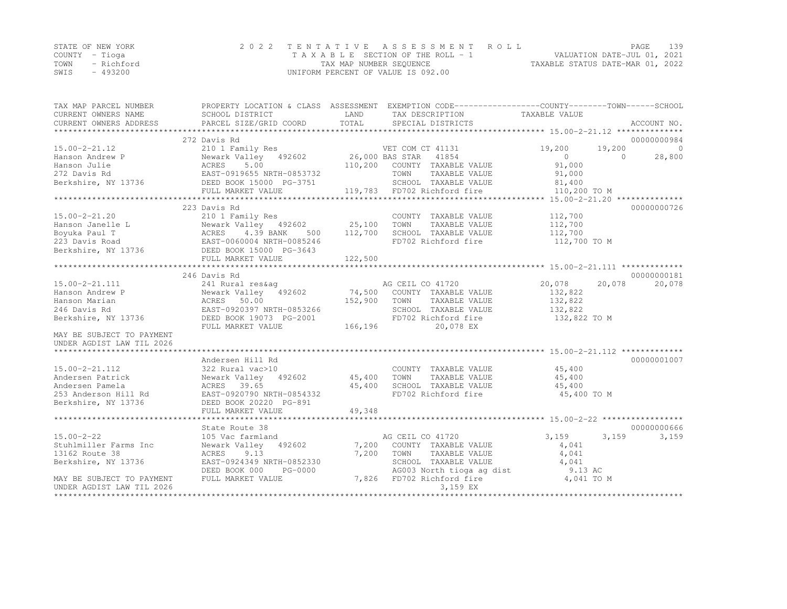|      | STATE OF NEW YORK | 2022 TENTATIVE ASSESSMENT ROLL     |                                  | PAGE | 139 |
|------|-------------------|------------------------------------|----------------------------------|------|-----|
|      | COUNTY – Tioqa    | TAXABLE SECTION OF THE ROLL - 1    | VALUATION DATE-JUL 01, 2021      |      |     |
|      | TOWN - Richford   | TAX MAP NUMBER SEQUENCE            | TAXABLE STATUS DATE-MAR 01, 2022 |      |     |
| SWIS | - 493200          | UNIFORM PERCENT OF VALUE IS 092.00 |                                  |      |     |

| TAX MAP PARCEL NUMBER     |                                                                                                                               |              | PROPERTY LOCATION & CLASS ASSESSMENT EXEMPTION CODE---------------COUNTY-------TOWN-----SCHOOL |                       |        |             |
|---------------------------|-------------------------------------------------------------------------------------------------------------------------------|--------------|------------------------------------------------------------------------------------------------|-----------------------|--------|-------------|
| CURRENT OWNERS NAME       | SCHOOL DISTRICT                                                                                                               | LAND         | TAX DESCRIPTION                                                                                | TAXABLE VALUE         |        |             |
| CURRENT OWNERS ADDRESS    | PARCEL SIZE/GRID COORD                                                                                                        | TOTAL        | SPECIAL DISTRICTS                                                                              |                       |        | ACCOUNT NO. |
|                           |                                                                                                                               |              |                                                                                                |                       |        |             |
|                           | 272 Davis Rd                                                                                                                  |              |                                                                                                |                       |        | 00000000984 |
| $15.00 - 2 - 21.12$       | 210 1 Family Res<br>Newark Valley 492602 26,000 BAS STAR 41854                                                                |              |                                                                                                | 19,200                | 19,200 | $\bigcirc$  |
| Hanson Andrew P           |                                                                                                                               |              |                                                                                                | $\overline{0}$        | $\cap$ | 28,800      |
| Hanson Julie              |                                                                                                                               |              | 110,200 COUNTY TAXABLE VALUE                                                                   | 91,000                |        |             |
| 272 Davis Rd              | ACRES 5.00<br>EAST-0919655 NRTH-0853732                                                                                       |              | TOWN<br>TAXABLE VALUE                                                                          | 91,000                |        |             |
|                           |                                                                                                                               |              | SCHOOL TAXABLE VALUE 81,400                                                                    |                       |        |             |
|                           | FULL MARKET VALUE                                                                                                             |              | 119,783 FD702 Richford fire                                                                    | 110,200 TO M          |        |             |
|                           |                                                                                                                               |              |                                                                                                |                       |        |             |
|                           | 223 Davis Rd                                                                                                                  |              |                                                                                                |                       |        | 00000000726 |
| $15.00 - 2 - 21.20$       | 210 1 Family Res                                                                                                              |              | COUNTY TAXABLE VALUE                                                                           | 112,700               |        |             |
|                           | Newark Valley 492602 25,100 TOWN                                                                                              |              | TAXABLE VALUE                                                                                  | 112,700               |        |             |
|                           |                                                                                                                               | 112,700      | SCHOOL TAXABLE VALUE                                                                           | 112,700               |        |             |
|                           |                                                                                                                               |              | FD702 Richford fire                                                                            | 112,700 TO M          |        |             |
|                           | Franson Janelle L<br>Boyuka Paul T<br>223 Davis Road<br>Berkshire, NY 13736<br>Berkshire, NY 13736<br>BEED BOOK 15000 PG-3643 |              |                                                                                                |                       |        |             |
|                           | FULL MARKET VALUE                                                                                                             | 122,500      |                                                                                                |                       |        |             |
|                           |                                                                                                                               |              |                                                                                                |                       |        |             |
|                           | 246 Davis Rd                                                                                                                  |              |                                                                                                |                       |        | 00000000181 |
| $15.00 - 2 - 21.111$      | 241 Rural res&aq                                                                                                              |              | AG CEIL CO 41720                                                                               | 20,078                | 20,078 | 20,078      |
| Hanson Andrew P           | Newark Valley 492602 74,500 COUNTY TAXABLE VALUE                                                                              |              |                                                                                                | 132,822               |        |             |
| Hanson Marian             |                                                                                                                               | 152,900 TOWN | TAXABLE VALUE                                                                                  | 132,822               |        |             |
| 246 Davis Rd              |                                                                                                                               |              | SCHOOL TAXABLE VALUE                                                                           | 132,822               |        |             |
| Berkshire, NY 13736       | DEED BOOK 19073 PG-2001                                                                                                       |              | FD702 Richford fire                                                                            | 132,822 TO M          |        |             |
|                           | FULL MARKET VALUE                                                                                                             | 166, 196     | 20,078 EX                                                                                      |                       |        |             |
| MAY BE SUBJECT TO PAYMENT |                                                                                                                               |              |                                                                                                |                       |        |             |
| UNDER AGDIST LAW TIL 2026 |                                                                                                                               |              |                                                                                                |                       |        |             |
|                           |                                                                                                                               |              |                                                                                                |                       |        |             |
|                           | Andersen Hill Rd                                                                                                              |              |                                                                                                |                       |        | 00000001007 |
| $15.00 - 2 - 21.112$      | 322 Rural vac>10                                                                                                              |              | COUNTY TAXABLE VALUE 45,400                                                                    |                       |        |             |
| Andersen Patrick          | Newark Valley 492602 45,400                                                                                                   |              | TOWN<br>TAXABLE VALUE                                                                          | 45,400                |        |             |
| Andersen Pamela           | ACRES 39.65                                                                                                                   |              | SCHOOL TAXABLE VALUE                                                                           | 45,400                |        |             |
| 253 Anderson Hill Rd      |                                                                                                                               | 45,400       | FD702 Richford fire                                                                            | 45,400 TO M           |        |             |
| Berkshire, NY 13736       |                                                                                                                               |              |                                                                                                |                       |        |             |
|                           |                                                                                                                               |              |                                                                                                |                       |        |             |
|                           |                                                                                                                               |              |                                                                                                |                       |        |             |
|                           | State Route 38                                                                                                                |              |                                                                                                |                       |        | 00000000666 |
| $15.00 - 2 - 22$          | 105 Vac farmland                                                                                                              |              | AG CEIL CO 41720                                                                               | 3,159                 | 3,159  | 3,159       |
| Stuhlmiller Farms Inc     | Newark Valley 492602                                                                                                          |              | 7,200 COUNTY TAXABLE VALUE                                                                     | 4,041                 |        |             |
| 13162 Route 38            | ACRES<br>9.13                                                                                                                 | 7,200        | TOWN<br>TAXABLE VALUE                                                                          | 4,041                 |        |             |
| Berkshire, NY 13736       | EAST-0924349 NRTH-0852330                                                                                                     |              | SCHOOL TAXABLE VALUE                                                                           | 4,041                 |        |             |
|                           | DEED BOOK 000<br>PG-0000                                                                                                      |              |                                                                                                |                       |        |             |
| MAY BE SUBJECT TO PAYMENT | FULL MARKET VALUE                                                                                                             |              | AG003 North tioga ag dist<br>FD702 Richford fire<br>7,826 FD702 Richford fire                  | 9.13 AC<br>4,041 TO M |        |             |
| UNDER AGDIST LAW TIL 2026 |                                                                                                                               |              | 3,159 EX                                                                                       |                       |        |             |
| *********************     |                                                                                                                               |              |                                                                                                |                       |        |             |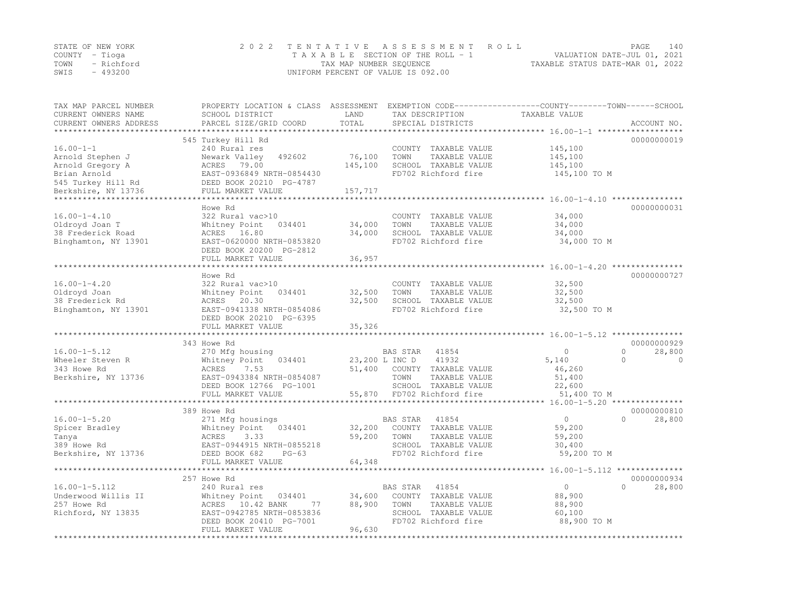|      | STATE OF NEW YORK | 2022 TENTATIVE ASSESSMENT ROLL     | PAGE.                            | 140 |
|------|-------------------|------------------------------------|----------------------------------|-----|
|      | COUNTY – Tioga    | TAXABLE SECTION OF THE ROLL - 1    | VALUATION DATE-JUL 01, 2021      |     |
|      | TOWN - Richford   | TAX MAP NUMBER SEQUENCE            | TAXABLE STATUS DATE-MAR 01, 2022 |     |
| SWIS | - 493200          | UNIFORM PERCENT OF VALUE IS 092.00 |                                  |     |

| TAX MAP PARCEL NUMBER<br>CURRENT OWNERS NAME<br>CURRENT OWNERS ADDRESS | PROPERTY LOCATION & CLASS ASSESSMENT<br>SCHOOL DISTRICT<br>PARCEL SIZE/GRID COORD | LAND<br>TOTAL | TAX DESCRIPTION<br>SPECIAL DISTRICTS         | EXEMPTION CODE-----------------COUNTY-------TOWN------SCHOOL<br>TAXABLE VALUE | ACCOUNT NO.          |
|------------------------------------------------------------------------|-----------------------------------------------------------------------------------|---------------|----------------------------------------------|-------------------------------------------------------------------------------|----------------------|
|                                                                        |                                                                                   |               |                                              |                                                                               |                      |
|                                                                        | 545 Turkey Hill Rd                                                                |               |                                              |                                                                               | 00000000019          |
| $16.00 - 1 - 1$                                                        | 240 Rural res                                                                     |               | COUNTY TAXABLE VALUE                         | 145,100                                                                       |                      |
| Arnold Stephen J                                                       | Newark Valley<br>492602                                                           | 76,100        | TOWN<br>TAXABLE VALUE                        | 145,100                                                                       |                      |
| Arnold Gregory A                                                       | ACRES 79.00                                                                       | 145,100       | SCHOOL TAXABLE VALUE                         | 145,100                                                                       |                      |
| Brian Arnold                                                           | EAST-0936849 NRTH-0854430                                                         |               | FD702 Richford fire                          | 145,100 TO M                                                                  |                      |
| 545 Turkey Hill Rd<br>Berkshire, NY 13736                              | DEED BOOK 20210 PG-4787<br>FULL MARKET VALUE                                      | 157,717       |                                              |                                                                               |                      |
|                                                                        |                                                                                   |               |                                              |                                                                               |                      |
|                                                                        | Howe Rd                                                                           |               |                                              |                                                                               | 00000000031          |
| $16.00 - 1 - 4.10$                                                     | 322 Rural vac>10                                                                  |               | COUNTY TAXABLE VALUE                         | 34,000                                                                        |                      |
| Oldroyd Joan T                                                         | Whitney Point<br>034401                                                           | 34,000        | TOWN<br>TAXABLE VALUE                        | 34,000                                                                        |                      |
| 38 Frederick Road                                                      | ACRES 16.80                                                                       | 34,000        | SCHOOL TAXABLE VALUE                         | 34,000                                                                        |                      |
| Binghamton, NY 13901                                                   | EAST-0620000 NRTH-0853820                                                         |               | FD702 Richford fire                          | 34,000 TO M                                                                   |                      |
|                                                                        | DEED BOOK 20200 PG-2812                                                           |               |                                              |                                                                               |                      |
|                                                                        | FULL MARKET VALUE                                                                 | 36,957        |                                              |                                                                               |                      |
|                                                                        |                                                                                   |               |                                              | ************************ 16.00-1-4.20 ********                                |                      |
|                                                                        | Howe Rd                                                                           |               |                                              |                                                                               | 00000000727          |
| $16.00 - 1 - 4.20$                                                     | 322 Rural vac>10                                                                  |               | COUNTY TAXABLE VALUE                         | 32,500                                                                        |                      |
| Oldroyd Joan                                                           | Whitney Point<br>034401                                                           | 32,500        | TAXABLE VALUE<br>TOWN                        | 32,500                                                                        |                      |
| 38 Frederick Rd                                                        | ACRES<br>20.30                                                                    | 32,500        | SCHOOL TAXABLE VALUE                         | 32,500                                                                        |                      |
| Binghamton, NY 13901                                                   | EAST-0941338 NRTH-0854086                                                         |               | FD702 Richford fire                          | 32,500 TO M                                                                   |                      |
|                                                                        | DEED BOOK 20210 PG-6395                                                           |               |                                              |                                                                               |                      |
|                                                                        | FULL MARKET VALUE                                                                 | 35,326        |                                              |                                                                               |                      |
|                                                                        |                                                                                   |               |                                              |                                                                               |                      |
|                                                                        | 343 Howe Rd                                                                       |               |                                              |                                                                               | 00000000929          |
| $16.00 - 1 - 5.12$                                                     | 270 Mfg housing                                                                   |               | 41854<br>BAS STAR                            | $\circ$                                                                       | $\Omega$<br>28,800   |
| Wheeler Steven R                                                       | Whitney Point<br>034401                                                           |               | 41932<br>23,200 L INC D                      | 5,140                                                                         | $\Omega$<br>$\Omega$ |
| 343 Howe Rd                                                            | ACRES<br>7.53                                                                     | 51,400        | COUNTY TAXABLE VALUE                         | 46,260                                                                        |                      |
| Berkshire, NY 13736                                                    | EAST-0943384 NRTH-0854087                                                         |               | TOWN<br>TAXABLE VALUE                        | 51,400                                                                        |                      |
|                                                                        | DEED BOOK 12766 PG-1001                                                           |               | SCHOOL TAXABLE VALUE                         | 22,600                                                                        |                      |
|                                                                        | FULL MARKET VALUE                                                                 | 55,870        | FD702 Richford fire                          | 51,400 TO M                                                                   |                      |
|                                                                        |                                                                                   |               |                                              |                                                                               |                      |
|                                                                        | 389 Howe Rd                                                                       |               |                                              |                                                                               | 00000000810          |
| $16.00 - 1 - 5.20$                                                     | 271 Mfg housings                                                                  |               | 41854<br>BAS STAR                            | $\circ$                                                                       | $\Omega$<br>28,800   |
| Spicer Bradley                                                         | Whitney Point<br>034401                                                           | 32,200        | COUNTY TAXABLE VALUE                         | 59,200                                                                        |                      |
| Tanya                                                                  | ACRES<br>3.33                                                                     | 59,200        | TAXABLE VALUE<br>TOWN                        | 59,200                                                                        |                      |
| 389 Howe Rd                                                            | EAST-0944915 NRTH-0855218                                                         |               | SCHOOL TAXABLE VALUE                         | 30,400                                                                        |                      |
| Berkshire, NY 13736                                                    | DEED BOOK 682<br>$PG-63$                                                          |               | FD702 Richford fire                          | 59,200 TO M                                                                   |                      |
|                                                                        | FULL MARKET VALUE                                                                 | 64,348        |                                              |                                                                               |                      |
|                                                                        |                                                                                   |               |                                              |                                                                               |                      |
|                                                                        | 257 Howe Rd                                                                       |               |                                              |                                                                               | 00000000934          |
| $16.00 - 1 - 5.112$                                                    | 240 Rural res                                                                     |               | BAS STAR<br>41854                            | $\circ$                                                                       | 28,800<br>$\Omega$   |
| Underwood Willis II                                                    | Whitney Point<br>034401                                                           | 34,600        | COUNTY TAXABLE VALUE                         | 88,900                                                                        |                      |
|                                                                        | ACRES 10.42 BANK<br>77                                                            |               |                                              | 88,900                                                                        |                      |
| Richford, NY 13835                                                     | EAST-0942785 NRTH-0853836                                                         |               | SCHOOL TAXABLE VALUE                         | 60,100                                                                        |                      |
|                                                                        |                                                                                   |               |                                              |                                                                               |                      |
|                                                                        | FULL MARKET VALUE                                                                 | 96,630        |                                              |                                                                               |                      |
| 257 Howe Rd                                                            | DEED BOOK 20410 PG-7001                                                           | 88,900        | TOWN<br>TAXABLE VALUE<br>FD702 Richford fire | 88,900 TO M                                                                   |                      |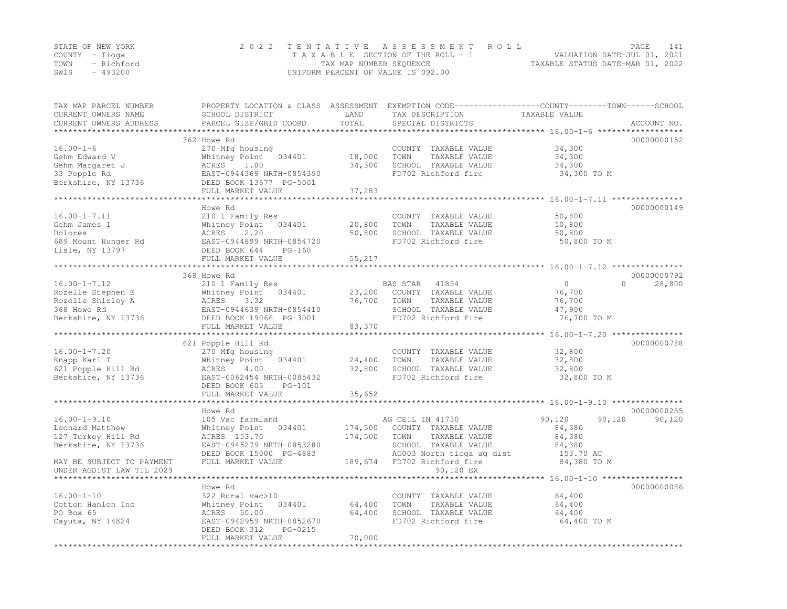|      | STATE OF NEW YORK | 2022 TENTATIVE ASSESSMENT ROLL     | PAGE.                            | 141 |
|------|-------------------|------------------------------------|----------------------------------|-----|
|      | COUNTY – Tioga    | TAXABLE SECTION OF THE ROLL - 1    | VALUATION DATE-JUL 01, 2021      |     |
|      | TOWN - Richford   | TAX MAP NUMBER SEQUENCE            | TAXABLE STATUS DATE-MAR 01, 2022 |     |
| SWIS | - 493200          | UNIFORM PERCENT OF VALUE IS 092.00 |                                  |     |

| TAX MAP PARCEL NUMBER<br>CURRENT OWNERS NAME<br>CURRENT OWNERS ADDRESS | PROPERTY LOCATION & CLASS ASSESSMENT<br>SCHOOL DISTRICT<br>PARCEL SIZE/GRID COORD | LAND<br>TOTAL        | TAX DESCRIPTION<br>SPECIAL DISTRICTS        | EXEMPTION CODE-----------------COUNTY-------TOWN------SCHOOL<br>TAXABLE VALUE | ACCOUNT NO. |
|------------------------------------------------------------------------|-----------------------------------------------------------------------------------|----------------------|---------------------------------------------|-------------------------------------------------------------------------------|-------------|
|                                                                        |                                                                                   |                      |                                             | *********** 16.00-1-6 ******                                                  |             |
|                                                                        | 362 Howe Rd                                                                       |                      |                                             |                                                                               | 00000000152 |
| $16.00 - 1 - 6$                                                        | 270 Mfg housing                                                                   |                      | COUNTY TAXABLE VALUE                        | 34,300                                                                        |             |
| Gehm Edward V                                                          | Whitney Point 034401                                                              | 18,000               | TAXABLE VALUE<br>TOWN                       | 34,300                                                                        |             |
| Gehm Margaret J                                                        | ACRES<br>1.00                                                                     | 34,300               | SCHOOL TAXABLE VALUE                        | 34,300                                                                        |             |
| 33 Popple Rd                                                           | EAST-0944369 NRTH-0854390                                                         |                      | FD702 Richford fire                         | 34,300 TO M                                                                   |             |
| Berkshire, NY 13736                                                    | DEED BOOK 13677 PG-5001                                                           |                      |                                             |                                                                               |             |
|                                                                        | FULL MARKET VALUE                                                                 | 37,283               |                                             |                                                                               |             |
|                                                                        | Howe Rd                                                                           |                      |                                             |                                                                               | 00000000149 |
| $16.00 - 1 - 7.11$                                                     | 210 1 Family Res                                                                  |                      | COUNTY TAXABLE VALUE                        | 50,800                                                                        |             |
| Gehm James I                                                           | Whitney Point<br>034401                                                           | 20,800               | TOWN<br>TAXABLE VALUE                       | 50,800                                                                        |             |
| Dolores                                                                | 2.20<br>ACRES                                                                     | 50,800               | SCHOOL TAXABLE VALUE                        | 50,800                                                                        |             |
| 689 Mount Hunger Rd                                                    | EAST-0944899 NRTH-0854720                                                         |                      | FD702 Richford fire                         | 50,800 TO M                                                                   |             |
| Lisle, NY 13797                                                        | DEED BOOK 644<br>$PG-160$                                                         |                      |                                             |                                                                               |             |
|                                                                        | FULL MARKET VALUE                                                                 | 55,217               |                                             |                                                                               |             |
|                                                                        | ***********************                                                           |                      |                                             |                                                                               |             |
|                                                                        | 368 Howe Rd                                                                       |                      |                                             |                                                                               | 00000000792 |
| $16.00 - 1 - 7.12$                                                     | 210 1 Family Res                                                                  |                      | BAS STAR<br>41854                           | $\circ$<br>$\Omega$                                                           | 28,800      |
| Rozelle Stephen E                                                      | Whitney Point<br>034401                                                           | 23,200               | COUNTY TAXABLE VALUE                        | 76,700                                                                        |             |
| Rozelle Shirley A                                                      | ACRES<br>3.32                                                                     | 76,700               | TOWN<br>TAXABLE VALUE                       | 76,700                                                                        |             |
| 368 Howe Rd                                                            | EAST-0944639 NRTH-0854410                                                         |                      | SCHOOL TAXABLE VALUE                        | 47,900                                                                        |             |
| Berkshire, NY 13736                                                    | DEED BOOK 19066 PG-3001                                                           |                      | FD702 Richford fire                         | 76,700 TO M                                                                   |             |
|                                                                        | FULL MARKET VALUE                                                                 | 83,370               |                                             |                                                                               |             |
|                                                                        |                                                                                   |                      |                                             |                                                                               |             |
|                                                                        | 621 Popple Hill Rd                                                                |                      |                                             |                                                                               | 00000000788 |
| $16.00 - 1 - 7.20$                                                     | 270 Mfg housing                                                                   |                      | COUNTY TAXABLE VALUE                        | 32,800                                                                        |             |
| Knapp Karl T                                                           | Whitney Point<br>034401                                                           | 24,400               | TOWN<br>TAXABLE VALUE                       | 32,800                                                                        |             |
| 621 Popple Hill Rd                                                     | 4.00<br>ACRES<br>EAST-0062454 NRTH-0085432                                        | 32,800               | SCHOOL TAXABLE VALUE<br>FD702 Richford fire | 32,800<br>32,800 TO M                                                         |             |
| Berkshire, NY 13736                                                    | DEED BOOK 605<br>$PG-101$                                                         |                      |                                             |                                                                               |             |
|                                                                        | FULL MARKET VALUE                                                                 | 35,652               |                                             |                                                                               |             |
|                                                                        |                                                                                   |                      |                                             |                                                                               |             |
|                                                                        | Howe Rd                                                                           |                      |                                             |                                                                               | 00000000255 |
| $16.00 - 1 - 9.10$                                                     | 105 Vac farmland                                                                  |                      | AG CEIL IN 41730                            | 90,120<br>90,120                                                              | 90,120      |
| Leonard Matthew                                                        | Whitney Point<br>034401                                                           | 174,500              | COUNTY TAXABLE VALUE                        | 84,380                                                                        |             |
| 127 Turkey Hill Rd                                                     | ACRES 153.70                                                                      | 174,500              | TOWN<br>TAXABLE VALUE                       | 84,380                                                                        |             |
| Berkshire, NY 13736                                                    | EAST-0945279 NRTH-0853280                                                         |                      | SCHOOL TAXABLE VALUE                        | 84,380                                                                        |             |
|                                                                        | DEED BOOK 15000 PG-4883                                                           |                      | AG003 North tioga ag dist                   | 153.70 AC                                                                     |             |
| MAY BE SUBJECT TO PAYMENT                                              | FULL MARKET VALUE                                                                 | 189,674              | FD702 Richford fire                         | 84,380 TO M                                                                   |             |
| UNDER AGDIST LAW TIL 2029                                              |                                                                                   |                      | 90,120 EX                                   |                                                                               |             |
|                                                                        |                                                                                   |                      |                                             | ********** 16.00-1-10 ******************                                      |             |
|                                                                        | Howe Rd                                                                           |                      |                                             |                                                                               | 00000000086 |
| $16.00 - 1 - 10$                                                       | 322 Rural vac>10                                                                  |                      | COUNTY TAXABLE VALUE                        | 64,400                                                                        |             |
| Cotton Hanlon Inc                                                      | Whitney Point<br>034401                                                           | 64,400               | TOWN<br>TAXABLE VALUE                       | 64,400                                                                        |             |
| PO Box 65                                                              | ACRES 50.00                                                                       | 64,400               | SCHOOL TAXABLE VALUE                        | 64,400                                                                        |             |
| Cayuta, NY 14824                                                       | EAST-0942959 NRTH-0852670                                                         |                      | FD702 Richford fire                         | 64,400 TO M                                                                   |             |
|                                                                        | DEED BOOK 312<br>PG-0215                                                          |                      |                                             |                                                                               |             |
|                                                                        | FULL MARKET VALUE<br>*******************                                          | 70,000<br>********** |                                             |                                                                               |             |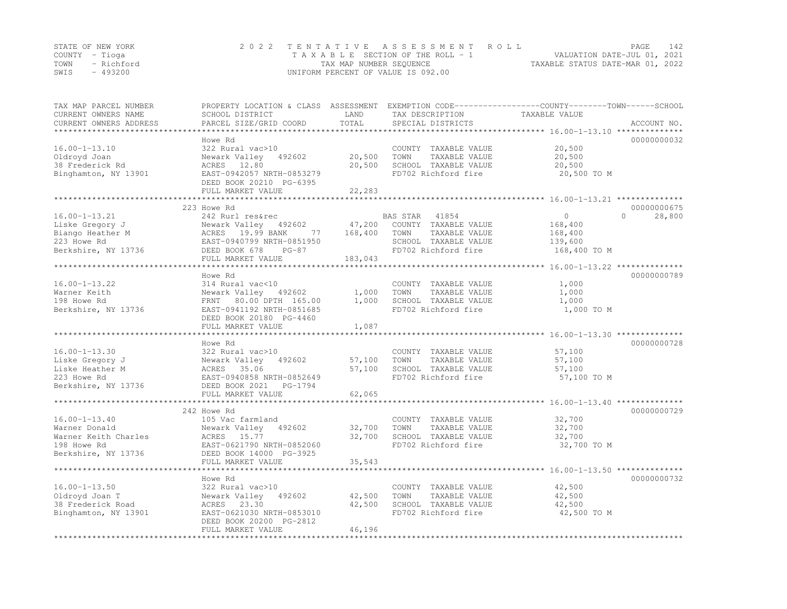| STATE OF NEW YORK | 2022 TENTATIVE ASSESSMENT ROLL     |                                  | PAGE                        | 142 |
|-------------------|------------------------------------|----------------------------------|-----------------------------|-----|
| COUNTY – Tioga    | TAXABLE SECTION OF THE ROLL - 1    |                                  | VALUATION DATE-JUL 01, 2021 |     |
| TOWN - Richford   | TAX MAP NUMBER SEQUENCE            | TAXABLE STATUS DATE-MAR 01, 2022 |                             |     |
| - 493200<br>SWIS  | UNIFORM PERCENT OF VALUE IS 092.00 |                                  |                             |     |

| TAX MAP PARCEL NUMBER<br>CURRENT OWNERS NAME<br>CURRENT OWNERS ADDRESS | PROPERTY LOCATION & CLASS ASSESSMENT<br>SCHOOL DISTRICT<br>PARCEL SIZE/GRID COORD | LAND<br>TOTAL | TAX DESCRIPTION<br>SPECIAL DISTRICTS | EXEMPTION CODE-----------------COUNTY-------TOWN------SCHOOL<br>TAXABLE VALUE | ACCOUNT NO.        |
|------------------------------------------------------------------------|-----------------------------------------------------------------------------------|---------------|--------------------------------------|-------------------------------------------------------------------------------|--------------------|
| ********************                                                   | *******************                                                               |               |                                      |                                                                               |                    |
|                                                                        | Howe Rd                                                                           |               |                                      |                                                                               | 00000000032        |
| $16.00 - 1 - 13.10$                                                    | 322 Rural vac>10                                                                  |               | COUNTY TAXABLE VALUE                 | 20,500                                                                        |                    |
| Oldroyd Joan                                                           | Newark Valley<br>492602                                                           | 20,500        | TOWN<br>TAXABLE VALUE                | 20,500                                                                        |                    |
| 38 Frederick Rd                                                        | ACRES 12.80                                                                       | 20,500        | SCHOOL TAXABLE VALUE                 | 20,500                                                                        |                    |
| Binghamton, NY 13901                                                   | EAST-0942057 NRTH-0853279                                                         |               | FD702 Richford fire                  | 20,500 TO M                                                                   |                    |
|                                                                        | DEED BOOK 20210 PG-6395                                                           |               |                                      |                                                                               |                    |
|                                                                        | FULL MARKET VALUE                                                                 | 22,283        |                                      |                                                                               |                    |
|                                                                        | *********************                                                             | **********    |                                      |                                                                               |                    |
|                                                                        | 223 Howe Rd                                                                       |               |                                      |                                                                               | 00000000675        |
| $16.00 - 1 - 13.21$                                                    | 242 Rurl res&rec                                                                  |               | BAS STAR<br>41854                    | $\Omega$                                                                      | $\Omega$<br>28,800 |
| Liske Gregory J                                                        | Newark Valley<br>492602                                                           | 47,200        | COUNTY TAXABLE VALUE                 | 168,400                                                                       |                    |
| Biango Heather M                                                       | ACRES 19.99 BANK<br>77                                                            | 168,400       | TOWN<br>TAXABLE VALUE                | 168,400                                                                       |                    |
| 223 Howe Rd                                                            | EAST-0940799 NRTH-0851950                                                         |               | SCHOOL TAXABLE VALUE                 | 139,600                                                                       |                    |
| Berkshire, NY 13736                                                    | DEED BOOK 678<br>$PG-87$                                                          |               | FD702 Richford fire                  | 168,400 TO M                                                                  |                    |
|                                                                        | FULL MARKET VALUE                                                                 | 183,043       |                                      |                                                                               |                    |
|                                                                        |                                                                                   |               |                                      | *************** 16.00-1-13.22 **************                                  |                    |
|                                                                        | Howe Rd                                                                           |               |                                      |                                                                               | 00000000789        |
| $16.00 - 1 - 13.22$                                                    | 314 Rural vac<10                                                                  |               | COUNTY TAXABLE VALUE                 | 1,000                                                                         |                    |
| Warner Keith                                                           | Newark Valley 492602                                                              | 1,000         | TOWN<br>TAXABLE VALUE                | 1,000                                                                         |                    |
| 198 Howe Rd                                                            | 80.00 DPTH 165.00<br>FRNT                                                         | 1,000         | SCHOOL TAXABLE VALUE                 | 1,000                                                                         |                    |
| Berkshire, NY 13736                                                    | EAST-0941192 NRTH-0851685                                                         |               | FD702 Richford fire                  | 1,000 TO M                                                                    |                    |
|                                                                        | DEED BOOK 20180 PG-4460<br>FULL MARKET VALUE                                      | 1,087         |                                      |                                                                               |                    |
|                                                                        |                                                                                   |               |                                      | **** 16.00-1-13.30 ***************                                            |                    |
|                                                                        | Howe Rd                                                                           |               |                                      |                                                                               | 00000000728        |
| $16.00 - 1 - 13.30$                                                    | 322 Rural vac>10                                                                  |               | COUNTY TAXABLE VALUE                 | 57,100                                                                        |                    |
| Liske Gregory J                                                        | Newark Valley<br>492602                                                           | 57,100        | TOWN<br>TAXABLE VALUE                | 57,100                                                                        |                    |
| Liske Heather M                                                        | 35.06<br>ACRES                                                                    | 57,100        | SCHOOL TAXABLE VALUE                 | 57,100                                                                        |                    |
| 223 Howe Rd                                                            | EAST-0940858 NRTH-0852649                                                         |               | FD702 Richford fire                  | 57,100 TO M                                                                   |                    |
| Berkshire, NY 13736                                                    | DEED BOOK 2021<br>PG-1794                                                         |               |                                      |                                                                               |                    |
|                                                                        | FULL MARKET VALUE                                                                 | 62,065        |                                      |                                                                               |                    |
|                                                                        |                                                                                   |               |                                      | ******************* 16.00-1-13.40 **************                              |                    |
|                                                                        | 242 Howe Rd                                                                       |               |                                      |                                                                               | 00000000729        |
| $16.00 - 1 - 13.40$                                                    | 105 Vac farmland                                                                  |               | COUNTY TAXABLE VALUE                 | 32,700                                                                        |                    |
| Warner Donald                                                          | Newark Valley<br>492602                                                           | 32,700        | TOWN<br>TAXABLE VALUE                | 32,700                                                                        |                    |
| Warner Keith Charles                                                   | ACRES<br>15.77                                                                    | 32,700        | SCHOOL TAXABLE VALUE                 | 32,700                                                                        |                    |
| 198 Howe Rd                                                            | EAST-0621790 NRTH-0852060                                                         |               | FD702 Richford fire                  | 32,700 TO M                                                                   |                    |
| Berkshire, NY 13736                                                    | DEED BOOK 14000 PG-3925                                                           |               |                                      |                                                                               |                    |
|                                                                        | FULL MARKET VALUE                                                                 | 35,543        |                                      |                                                                               |                    |
|                                                                        | **********************                                                            | **********    |                                      |                                                                               |                    |
|                                                                        | Howe Rd                                                                           |               |                                      |                                                                               | 00000000732        |
| $16.00 - 1 - 13.50$                                                    | 322 Rural vac>10                                                                  |               | COUNTY TAXABLE VALUE                 | 42,500                                                                        |                    |
| Oldroyd Joan T                                                         | Newark Valley<br>492602                                                           | 42,500        | TOWN<br>TAXABLE VALUE                | 42,500                                                                        |                    |
| 38 Frederick Road                                                      | ACRES<br>23.30                                                                    | 42,500        | SCHOOL TAXABLE VALUE                 | 42,500                                                                        |                    |
| Binghamton, NY 13901                                                   | EAST-0621030 NRTH-0853010                                                         |               | FD702 Richford fire                  | 42,500 TO M                                                                   |                    |
|                                                                        | DEED BOOK 20200 PG-2812                                                           |               |                                      |                                                                               |                    |
|                                                                        | FULL MARKET VALUE                                                                 | 46,196        |                                      |                                                                               |                    |
|                                                                        |                                                                                   |               |                                      |                                                                               |                    |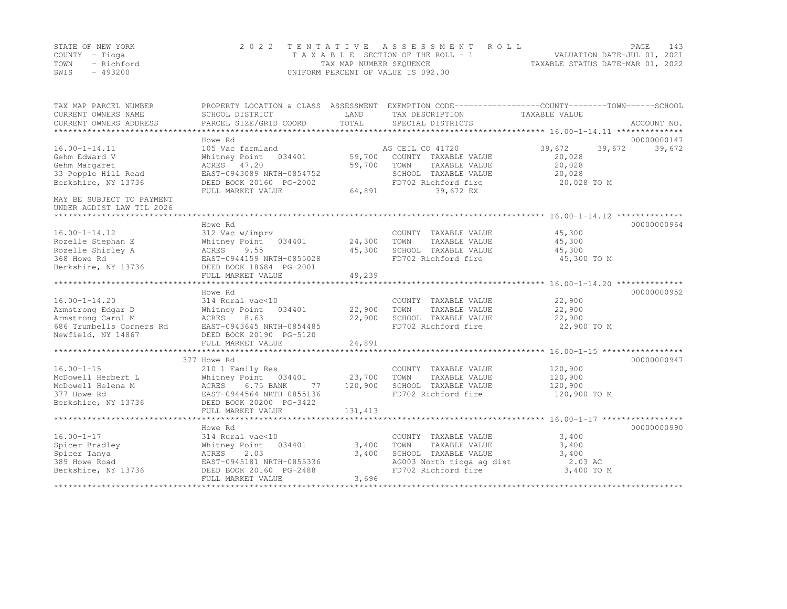|      | STATE OF NEW YORK | 2022 TENTATIVE ASSESSMENT ROLL     |                                  | PAGE. | 143 |
|------|-------------------|------------------------------------|----------------------------------|-------|-----|
|      | COUNTY – Tioga    | TAXABLE SECTION OF THE ROLL - 1    | VALUATION DATE-JUL 01, 2021      |       |     |
| TOWN | - Richford        | TAX MAP NUMBER SEQUENCE            | TAXABLE STATUS DATE-MAR 01, 2022 |       |     |
| SWIS | $-493200$         | UNIFORM PERCENT OF VALUE IS 092.00 |                                  |       |     |

| TAX MAP PARCEL NUMBER<br>CURRENT OWNERS NAME<br>CURRENT OWNERS ADDRESS | SCHOOL DISTRICT<br>PARCEL SIZE/GRID COORD    | LAND<br>TOTAL | PROPERTY LOCATION & CLASS ASSESSMENT EXEMPTION CODE---------------COUNTY-------TOWN-----SCHOOL<br>TAX DESCRIPTION<br>SPECIAL DISTRICTS | TAXABLE VALUE    | ACCOUNT NO. |
|------------------------------------------------------------------------|----------------------------------------------|---------------|----------------------------------------------------------------------------------------------------------------------------------------|------------------|-------------|
|                                                                        |                                              |               |                                                                                                                                        |                  |             |
|                                                                        | Howe Rd                                      |               |                                                                                                                                        |                  | 00000000147 |
| $16.00 - 1 - 14.11$                                                    | 105 Vac farmland                             |               | AG CEIL CO 41720                                                                                                                       | 39,672<br>39,672 | 39,672      |
| Gehm Edward V                                                          | Whitney Point 034401                         | 59,700        | COUNTY TAXABLE VALUE                                                                                                                   | 20,028           |             |
| Gehm Margaret                                                          | ACRES 47.20                                  | 59,700        | TOWN<br>TAXABLE VALUE                                                                                                                  | 20,028           |             |
| 33 Popple Hill Road                                                    | EAST-0943089 NRTH-0854752                    |               | SCHOOL TAXABLE VALUE                                                                                                                   | 20,028           |             |
| Berkshire, NY 13736                                                    | DEED BOOK 20160 PG-2002<br>FULL MARKET VALUE | 64,891        | FD702 Richford fire<br>39,672 EX                                                                                                       | 20,028 TO M      |             |
| MAY BE SUBJECT TO PAYMENT                                              |                                              |               |                                                                                                                                        |                  |             |
| UNDER AGDIST LAW TIL 2026                                              |                                              |               |                                                                                                                                        |                  |             |
|                                                                        |                                              |               |                                                                                                                                        |                  |             |
|                                                                        | Howe Rd                                      |               |                                                                                                                                        |                  | 00000000964 |
| $16.00 - 1 - 14.12$                                                    | 312 Vac w/imprv                              |               | COUNTY TAXABLE VALUE                                                                                                                   | 45,300           |             |
| Rozelle Stephan E                                                      | Whitney Point 034401                         | 24,300        | TOWN<br>TAXABLE VALUE                                                                                                                  | 45,300           |             |
| Rozelle Shirley A                                                      | ACRES<br>9.55                                | 45,300        | SCHOOL TAXABLE VALUE                                                                                                                   | 45,300           |             |
| 368 Howe Rd                                                            | EAST-0944159 NRTH-0855028                    |               | FD702 Richford fire                                                                                                                    | 45,300 TO M      |             |
| Berkshire, NY 13736                                                    | DEED BOOK 18684 PG-2001                      |               |                                                                                                                                        |                  |             |
|                                                                        | FULL MARKET VALUE                            | 49,239        |                                                                                                                                        |                  |             |
|                                                                        |                                              |               |                                                                                                                                        |                  |             |
|                                                                        | Howe Rd                                      |               |                                                                                                                                        |                  | 00000000952 |
| $16.00 - 1 - 14.20$                                                    | 314 Rural vac<10                             |               | COUNTY TAXABLE VALUE                                                                                                                   | 22,900           |             |
| Armstrong Edgar D                                                      | 034401<br>Whitney Point                      | 22,900        | TOWN<br>TAXABLE VALUE                                                                                                                  | 22,900           |             |
| Armstrong Carol M                                                      | ACRES<br>8.63                                | 22,900        | SCHOOL TAXABLE VALUE                                                                                                                   | 22,900           |             |
| 686 Trumbells Corners Rd                                               | EAST-0943645 NRTH-0854485                    |               | FD702 Richford fire                                                                                                                    | 22,900 TO M      |             |
| Newfield, NY 14867                                                     | DEED BOOK 20190 PG-5120                      |               |                                                                                                                                        |                  |             |
|                                                                        | FULL MARKET VALUE                            | 24,891        |                                                                                                                                        |                  |             |
|                                                                        | 377 Howe Rd                                  |               |                                                                                                                                        |                  | 00000000947 |
| $16.00 - 1 - 15$                                                       | 210 1 Family Res                             |               | COUNTY TAXABLE VALUE                                                                                                                   | 120,900          |             |
| McDowell Herbert L                                                     | Whitney Point 034401                         | 23,700        | TOWN<br>TAXABLE VALUE                                                                                                                  | 120,900          |             |
| McDowell Helena M                                                      | ACRES<br>6.75 BANK<br>77                     | 120,900       | SCHOOL TAXABLE VALUE                                                                                                                   | 120,900          |             |
| 377 Howe Rd                                                            | EAST-0944564 NRTH-0855136                    |               | FD702 Richford fire                                                                                                                    | 120,900 TO M     |             |
| Berkshire, NY 13736                                                    | DEED BOOK 20200 PG-3422                      |               |                                                                                                                                        |                  |             |
|                                                                        | FULL MARKET VALUE                            | 131, 413      |                                                                                                                                        |                  |             |
|                                                                        |                                              |               |                                                                                                                                        |                  |             |
|                                                                        | Howe Rd                                      |               |                                                                                                                                        |                  | 00000000990 |
| $16.00 - 1 - 17$                                                       | 314 Rural vac<10                             |               | COUNTY TAXABLE VALUE                                                                                                                   | 3,400            |             |
| Spicer Bradley                                                         | Whitney Point<br>034401                      | 3,400         | TAXABLE VALUE<br>TOWN                                                                                                                  | 3,400            |             |
| Spicer Tanya                                                           | ACRES<br>2.03                                | 3,400         | SCHOOL TAXABLE VALUE                                                                                                                   | 3,400            |             |
| 389 Howe Road                                                          | EAST-0945181 NRTH-0855336                    |               | AG003 North tioga ag dist                                                                                                              | 2.03 AC          |             |
| Berkshire, NY 13736                                                    | DEED BOOK 20160 PG-2488                      |               | FD702 Richford fire                                                                                                                    | 3,400 TO M       |             |
|                                                                        | FULL MARKET VALUE                            | 3,696         |                                                                                                                                        |                  |             |
|                                                                        |                                              |               |                                                                                                                                        |                  |             |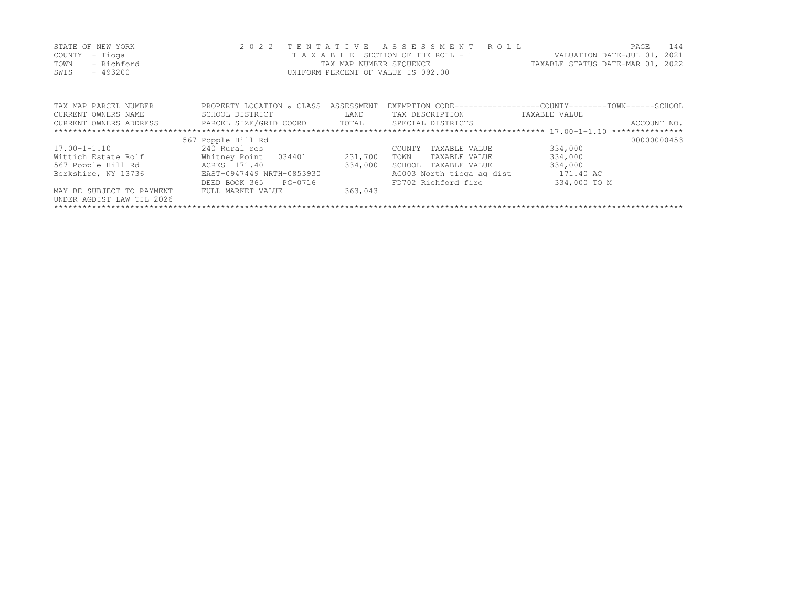| STATE OF NEW YORK | 2022 TENTATIVE ASSESSMENT ROLL     | <b>PAGE</b>                      | 144 |
|-------------------|------------------------------------|----------------------------------|-----|
| COUNTY – Tioga    | TAXABLE SECTION OF THE ROLL - 1    | VALUATION DATE-JUL 01, 2021      |     |
| TOWN - Richford   | TAX MAP NUMBER SEQUENCE            | TAXABLE STATUS DATE-MAR 01, 2022 |     |
| SWIS<br>$-493200$ | UNIFORM PERCENT OF VALUE IS 092.00 |                                  |     |
|                   |                                    |                                  |     |

| TAX MAP PARCEL NUMBER     | PROPERTY LOCATION & CLASS    | ASSESSMENT |                           | EXEMPTION CODE-----------------COUNTY-------TOWN------SCHOOL |
|---------------------------|------------------------------|------------|---------------------------|--------------------------------------------------------------|
| CURRENT OWNERS NAME       | SCHOOL DISTRICT              | LAND       | TAX DESCRIPTION           | TAXABLE VALUE                                                |
| CURRENT OWNERS ADDRESS    | PARCEL SIZE/GRID COORD TOTAL |            | SPECIAL DISTRICTS         | ACCOUNT NO.                                                  |
|                           |                              |            |                           |                                                              |
|                           | 567 Popple Hill Rd           |            |                           | 00000000453                                                  |
| $17.00 - 1 - 1.10$        | 240 Rural res                |            | TAXABLE VALUE<br>COUNTY   | 334,000                                                      |
| Wittich Estate Rolf       | Whitney Point 034401         | 231,700    | TAXABLE VALUE<br>TOWN     | 334,000                                                      |
| 567 Popple Hill Rd        | ACRES 171.40                 | 334,000    | TAXABLE VALUE<br>SCHOOL   | 334,000                                                      |
| Berkshire, NY 13736       | EAST-0947449 NRTH-0853930    |            | AG003 North tioga ag dist | 171.40 AC                                                    |
|                           | DEED BOOK 365 PG-0716        |            | FD702 Richford fire       | 334,000 TO M                                                 |
| MAY BE SUBJECT TO PAYMENT | FULL MARKET VALUE            | 363,043    |                           |                                                              |
| UNDER AGDIST LAW TIL 2026 |                              |            |                           |                                                              |
|                           |                              |            |                           |                                                              |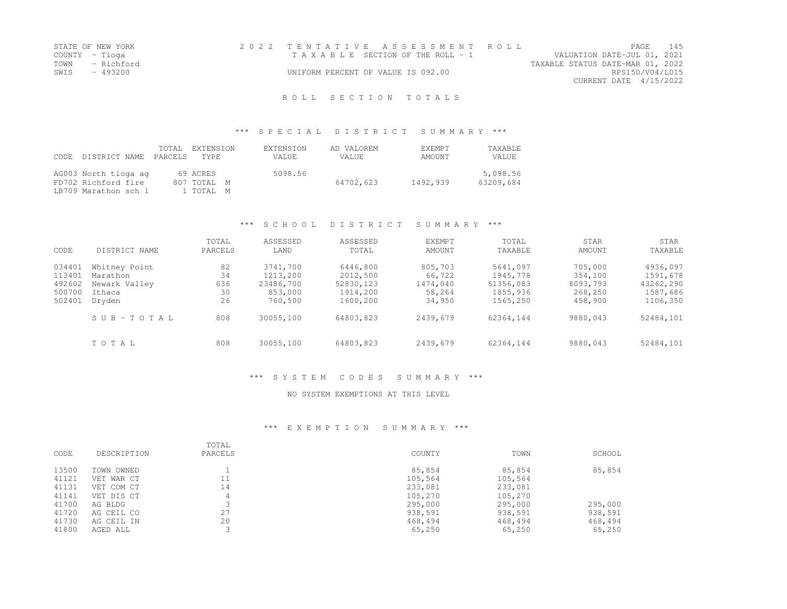| STATE OF NEW YORK  | 2022 TENTATIVE ASSESSMENT ROLL     |  |                                  |                        | PAGE. | 145 |
|--------------------|------------------------------------|--|----------------------------------|------------------------|-------|-----|
| COUNTY – Tioga     | TAXABLE SECTION OF THE ROLL - 1    |  | VALUATION DATE-JUL 01, 2021      |                        |       |     |
| TOWN<br>- Richford |                                    |  | TAXABLE STATUS DATE-MAR 01, 2022 |                        |       |     |
| SWIS - 493200      | UNIFORM PERCENT OF VALUE IS 092.00 |  |                                  | RPS150/V04/L015        |       |     |
|                    |                                    |  |                                  | CURRENT DATE 4/15/2022 |       |     |
|                    |                                    |  |                                  |                        |       |     |

### \*\*\* S P E C I A L D I S T R I C T S U M M A R Y \*\*\*

| CODE. | DISTRICT NAME PARCELS                                               | TOTAL | EXTENSION<br>TYPE.                   | EXTENSION<br>VALUE. | AD VALOREM<br>VALUE. | <b>EXEMPT</b><br>AMOUNT | TAXABLE<br>VALUE      |
|-------|---------------------------------------------------------------------|-------|--------------------------------------|---------------------|----------------------|-------------------------|-----------------------|
|       | AG003 North tioga ag<br>FD702 Richford fire<br>LB709 Marathon sch l |       | 69 ACRES<br>807 TOTAL M<br>1 TOTAL M | 5098.56             | 64702,623            | 1492,939                | 5,098.56<br>63209,684 |

### \*\*\* S C H O O L D I S T R I C T S U M M A R Y \*\*\*

| CODE                                           | DISTRICT NAME                                                  | TOTAL<br>PARCELS            | ASSESSED<br>LAND                                        | ASSESSED<br>TOTAL                                          | <b>EXEMPT</b><br>AMOUNT                           | TOTAL<br>TAXABLE                                          | STAR<br>AMOUNT                                       | STAR<br>TAXABLE                                           |
|------------------------------------------------|----------------------------------------------------------------|-----------------------------|---------------------------------------------------------|------------------------------------------------------------|---------------------------------------------------|-----------------------------------------------------------|------------------------------------------------------|-----------------------------------------------------------|
| 034401<br>113401<br>492602<br>500700<br>502401 | Whitney Point<br>Marathon<br>Newark Valley<br>Ithaca<br>Dryden | 82<br>34<br>636<br>30<br>26 | 3741,700<br>1213,200<br>23486,700<br>853,000<br>760,500 | 6446,800<br>2012,500<br>52830, 123<br>1914,200<br>1600,200 | 805,703<br>66,722<br>1474.040<br>58,264<br>34,950 | 5641,097<br>1945,778<br>51356,083<br>1855,936<br>1565,250 | 705,000<br>354,100<br>8093,793<br>268,250<br>458,900 | 4936,097<br>1591,678<br>43262,290<br>1587,686<br>1106,350 |
|                                                | SUB-TOTAL                                                      | 808                         | 30055,100                                               | 64803,823                                                  | 2439,679                                          | 62364.144                                                 | 9880,043                                             | 52484,101                                                 |
|                                                | TOTAL                                                          | 808                         | 30055,100                                               | 64803,823                                                  | 2439,679                                          | 62364,144                                                 | 9880,043                                             | 52484,101                                                 |

### \*\*\* S Y S T E M C O D E S S U M M A R Y \*\*\*

#### NO SYSTEM EXEMPTIONS AT THIS LEVEL

| CODE  | DESCRIPTION | TOTAL<br>PARCELS | COUNTY  | TOWN    | SCHOOL  |
|-------|-------------|------------------|---------|---------|---------|
| 13500 | TOWN OWNED  |                  | 85,854  | 85,854  | 85,854  |
| 41121 | VET WAR CT  | 11               | 105,564 | 105,564 |         |
| 41131 | VET COM CT  | 14               | 233,081 | 233,081 |         |
| 41141 | VET DIS CT  | 4                | 105,270 | 105,270 |         |
| 41700 | AG BLDG     |                  | 295,000 | 295,000 | 295,000 |
| 41720 | AG CEIL CO  | 27               | 938,591 | 938,591 | 938,591 |
| 41730 | AG CEIL IN  | 20               | 468,494 | 468,494 | 468,494 |
| 41800 | AGED ALL    |                  | 65,250  | 65,250  | 65,250  |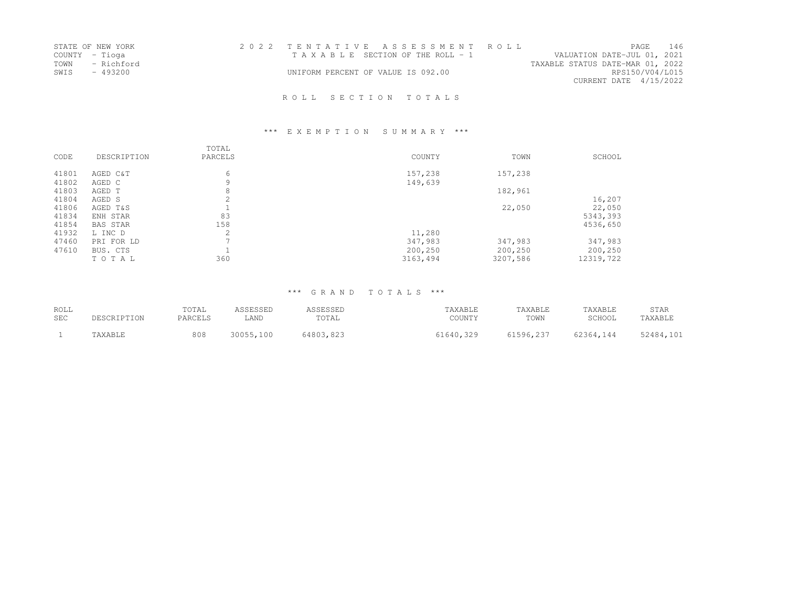|      | STATE OF NEW YORK | 2022 TENTATIVE ASSESSMENT ROLL     |  |                                  |                        | PAGE. | 146 |
|------|-------------------|------------------------------------|--|----------------------------------|------------------------|-------|-----|
|      | COUNTY - Tioga    | TAXABLE SECTION OF THE ROLL - 1    |  | VALUATION DATE-JUL 01, 2021      |                        |       |     |
|      | TOWN - Richford   |                                    |  | TAXABLE STATUS DATE-MAR 01, 2022 |                        |       |     |
| SWIS | $-493200$         | UNIFORM PERCENT OF VALUE IS 092.00 |  |                                  | RPS150/V04/L015        |       |     |
|      |                   |                                    |  |                                  | CURRENT DATE 4/15/2022 |       |     |
|      |                   |                                    |  |                                  |                        |       |     |

# \*\*\* E X E M P T I O N S U M M A R Y \*\*\*

| CODE           | DESCRIPTION                     | TOTAL<br>PARCELS | COUNTY                         | TOWN                           | SCHOOL                          |
|----------------|---------------------------------|------------------|--------------------------------|--------------------------------|---------------------------------|
| 41801<br>41802 | AGED C&T<br>AGED C              | 6<br>9           | 157,238<br>149,639             | 157,238                        |                                 |
| 41803          | AGED T                          | 8                |                                | 182,961                        |                                 |
| 41804<br>41806 | AGED S<br>AGED T&S              | ╱.               |                                | 22,050                         | 16,207<br>22,050                |
| 41834<br>41854 | ENH STAR<br>BAS STAR            | 83<br>158        |                                |                                | 5343,393<br>4536,650            |
| 41932          | L INC D                         | 2                | 11,280                         |                                |                                 |
| 47460<br>47610 | PRI FOR LD<br>BUS. CTS<br>TOTAL | 360              | 347,983<br>200,250<br>3163,494 | 347,983<br>200,250<br>3207,586 | 347,983<br>200,250<br>12319,722 |

| ROLL       |             | TOTAL   | ASSESSED  | ASSESSED  | TAXABLE   | TAXABLE   | TAXABLE   | STAR      |
|------------|-------------|---------|-----------|-----------|-----------|-----------|-----------|-----------|
| <b>SEC</b> | DESCRIPTION | PARCELS | LAND      | TOTAL     | COUNTY    | TOWN      | SCHOOL    | TAXABLE   |
|            | TAXABLE     | 808     | 30055,100 | 64803,823 | 61640.329 | 61596,237 | 62364,144 | 52484,101 |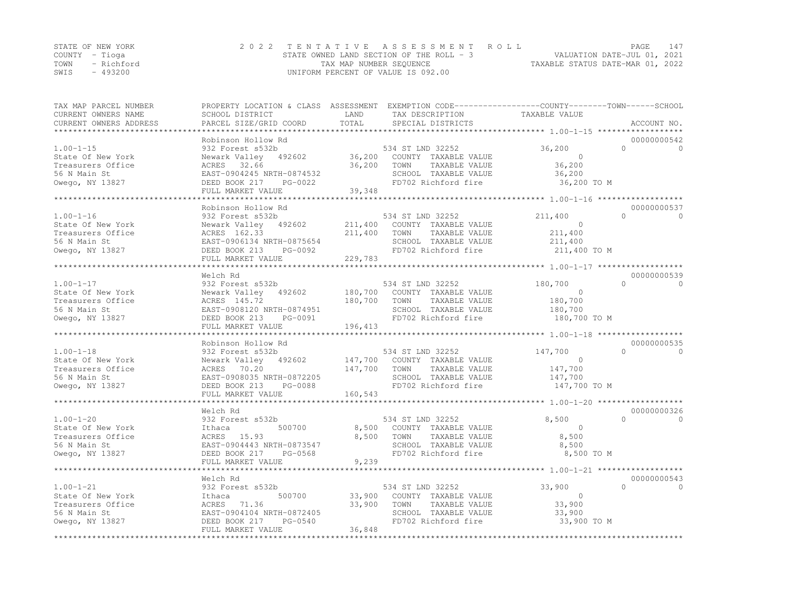|      | STATE OF NEW YORK | 2022 TENTATIVE ASSESSMENT ROLL           |                                  | PAGE. | 147 |
|------|-------------------|------------------------------------------|----------------------------------|-------|-----|
|      | COUNTY – Tioga    | STATE OWNED LAND SECTION OF THE ROLL - 3 | VALUATION DATE-JUL 01, 2021      |       |     |
| TOWN | - Richford        | TAX MAP NUMBER SEQUENCE                  | TAXABLE STATUS DATE-MAR 01, 2022 |       |     |
| SWIS | $-493200$         | UNIFORM PERCENT OF VALUE IS 092.00       |                                  |       |     |

| TAX MAP PARCEL NUMBER<br>CURRENT OWNERS NAME<br>CURRENT OWNERS ADDRESS                       | PROPERTY LOCATION & CLASS ASSESSMENT EXEMPTION CODE----------------COUNTY-------TOWN-----SCHOOL<br>SCHOOL DISTRICT<br>PARCEL SIZE/GRID COORD                 | LAND<br>TOTAL                 | TAX DESCRIPTION<br>SPECIAL DISTRICTS                                                                                     | TAXABLE VALUE                                             | ACCOUNT NO.                          |
|----------------------------------------------------------------------------------------------|--------------------------------------------------------------------------------------------------------------------------------------------------------------|-------------------------------|--------------------------------------------------------------------------------------------------------------------------|-----------------------------------------------------------|--------------------------------------|
|                                                                                              |                                                                                                                                                              |                               |                                                                                                                          |                                                           |                                      |
| $1.00 - 1 - 15$<br>State Of New York<br>Treasurers Office<br>56 N Main St<br>Owego, NY 13827 | Robinson Hollow Rd<br>932 Forest s532b<br>Newark Valley 492602<br>ACRES 32.66<br>EAST-0904245 NRTH-0874532<br>DEED BOOK 217<br>PG-0022<br>FULL MARKET VALUE  | 36,200<br>36,200<br>39,348    | 534 ST LND 32252<br>COUNTY TAXABLE VALUE<br>TOWN<br>TAXABLE VALUE<br>SCHOOL TAXABLE VALUE<br>FD702 Richford fire         | 36,200<br>$\bigcirc$<br>36,200<br>36,200<br>36,200 TO M   | 00000000542<br>$\Omega$<br>$\Omega$  |
|                                                                                              |                                                                                                                                                              |                               |                                                                                                                          |                                                           |                                      |
| $1.00 - 1 - 16$<br>State Of New York<br>Treasurers Office<br>56 N Main St<br>Owego, NY 13827 | Robinson Hollow Rd<br>932 Forest s532b<br>Newark Valley 492602<br>ACRES 162.33<br>EAST-0906134 NRTH-0875654<br>DEED BOOK 213<br>PG-0092<br>FULL MARKET VALUE | 211,400<br>211,400<br>229,783 | 534 ST LND 32252<br>COUNTY TAXABLE VALUE<br>TOWN<br>TAXABLE VALUE<br>SCHOOL TAXABLE VALUE<br>FD702 Richford fire         | 211,400<br>$\Omega$<br>211,400<br>211,400<br>211,400 TO M | 00000000537<br>$\cap$<br>$\cap$      |
|                                                                                              |                                                                                                                                                              |                               |                                                                                                                          |                                                           |                                      |
| $1.00 - 1 - 17$<br>State Of New York<br>Treasurers Office<br>56 N Main St<br>Owego, NY 13827 | Welch Rd<br>932 Forest s532b<br>Newark Valley 492602<br>ACRES 145.72<br>EAST-0908120 NRTH-0874951<br>DEED BOOK 213<br>PG-0091<br>FULL MARKET VALUE           | 180,700<br>180,700<br>196,413 | 534 ST LND 32252<br>COUNTY TAXABLE VALUE<br>TOWN<br>TAXABLE VALUE<br>SCHOOL TAXABLE VALUE<br>FD702 Richford fire         | 180,700<br>$\circ$<br>180,700<br>180,700<br>180,700 TO M  | 00000000539<br>$\cap$<br>$\Omega$    |
|                                                                                              | Robinson Hollow Rd                                                                                                                                           |                               |                                                                                                                          |                                                           | 00000000535                          |
| $1.00 - 1 - 18$<br>State Of New York<br>Treasurers Office<br>56 N Main St<br>Owego, NY 13827 | 932 Forest s532b<br>Newark Valley 492602<br>70.20<br>ACRES<br>EAST-0908035 NRTH-0872205<br>DEED BOOK 213<br>PG-0088<br>FULL MARKET VALUE                     | 147,700<br>160,543            | 534 ST LND 32252<br>147,700 COUNTY TAXABLE VALUE<br>TOWN<br>TAXABLE VALUE<br>SCHOOL TAXABLE VALUE<br>FD702 Richford fire | 147,700<br>$\Omega$<br>147,700<br>147,700<br>147,700 TO M | $\cap$<br>$\Omega$                   |
|                                                                                              |                                                                                                                                                              |                               |                                                                                                                          |                                                           |                                      |
| $1.00 - 1 - 20$<br>State Of New York<br>Treasurers Office<br>56 N Main St<br>Owego, NY 13827 | Welch Rd<br>932 Forest s532b<br>500700<br>Ithaca<br>ACRES 15.93<br>EAST-0904443 NRTH-0873547<br>DEED BOOK 217<br>PG-0568<br>FULL MARKET VALUE                | 8,500<br>8,500<br>9,239       | 534 ST LND 32252<br>COUNTY TAXABLE VALUE<br>TOWN<br>TAXABLE VALUE<br>SCHOOL TAXABLE VALUE<br>FD702 Richford fire         | 8,500<br>$\circ$<br>8,500<br>8,500<br>8,500 TO M          | 00000000326<br>$\bigcap$<br>$\Omega$ |
|                                                                                              |                                                                                                                                                              |                               |                                                                                                                          |                                                           |                                      |
| $1.00 - 1 - 21$<br>State Of New York<br>Treasurers Office<br>56 N Main St<br>Owego, NY 13827 | Welch Rd<br>932 Forest s532b<br>500700<br>Ithaca<br>ACRES 71.36<br>EAST-0904104 NRTH-0872405<br>DEED BOOK 217<br>PG-0540                                     | 33,900<br>33,900              | 534 ST LND 32252<br>COUNTY TAXABLE VALUE<br>TOWN<br>TAXABLE VALUE<br>SCHOOL TAXABLE VALUE<br>FD702 Richford fire         | 33,900<br>$\circ$<br>33,900<br>33,900<br>33,900 TO M      | 00000000543<br>$\cap$<br>$\Omega$    |
|                                                                                              | FULL MARKET VALUE                                                                                                                                            | 36,848                        |                                                                                                                          |                                                           |                                      |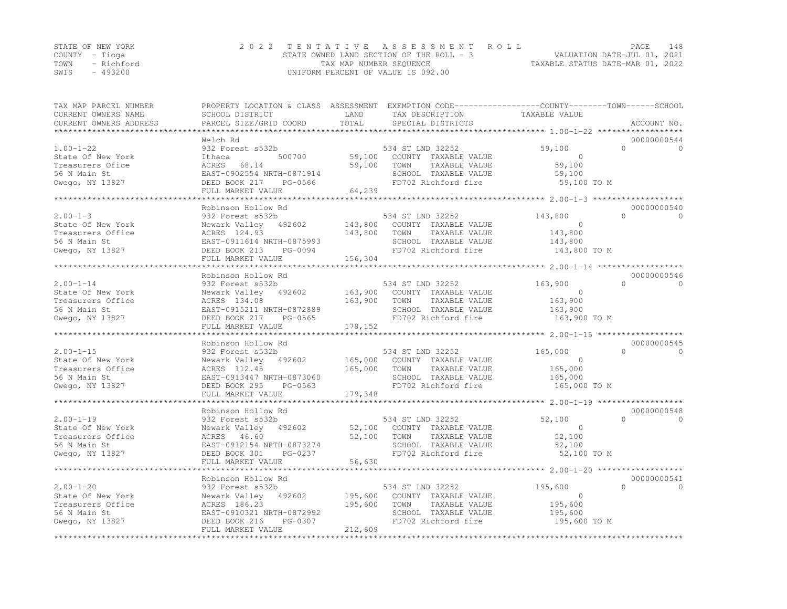|                | STATE OF NEW YORK | 2022 TENTATIVE ASSESSMENT ROLL           | PAGE                             | 148 |
|----------------|-------------------|------------------------------------------|----------------------------------|-----|
| COUNTY – Tioga |                   | STATE OWNED LAND SECTION OF THE ROLL - 3 | VALUATION DATE-JUL 01, 2021      |     |
| TOWN           | - Richford        | TAX MAP NUMBER SEQUENCE                  | TAXABLE STATUS DATE-MAR 01, 2022 |     |
| SWIS           | - 493200          | UNIFORM PERCENT OF VALUE IS 092.00       |                                  |     |

| TAX MAP PARCEL NUMBER<br>CURRENT OWNERS NAME<br>CURRENT OWNERS ADDRESS<br>****************   | PROPERTY LOCATION & CLASS ASSESSMENT EXEMPTION CODE----------------COUNTY-------TOWN------SCHOOL<br>SCHOOL DISTRICT<br>PARCEL SIZE/GRID COORD                | LAND<br>TOTAL      | TAX DESCRIPTION<br>SPECIAL DISTRICTS                                                                                     | TAXABLE VALUE                                              | ACCOUNT NO.                               |
|----------------------------------------------------------------------------------------------|--------------------------------------------------------------------------------------------------------------------------------------------------------------|--------------------|--------------------------------------------------------------------------------------------------------------------------|------------------------------------------------------------|-------------------------------------------|
|                                                                                              |                                                                                                                                                              |                    |                                                                                                                          |                                                            |                                           |
| $1.00 - 1 - 22$<br>State Of New York<br>Treasurers Ofice<br>56 N Main St<br>Owego, NY 13827  | Welch Rd<br>932 Forest s532b<br>500700<br>Ithaca<br>ACRES<br>68.14<br>EAST-0902554 NRTH-0871914<br>DEED BOOK 217<br>PG-0566<br>FULL MARKET VALUE             | 59,100<br>64,239   | 534 ST LND 32252<br>59,100 COUNTY TAXABLE VALUE<br>TOWN<br>TAXABLE VALUE<br>SCHOOL TAXABLE VALUE<br>FD702 Richford fire  | 59,100<br>$\Omega$<br>59,100<br>59,100<br>59,100 TO M      | 00000000544<br>$\Omega$<br>$\Omega$       |
|                                                                                              |                                                                                                                                                              |                    |                                                                                                                          |                                                            |                                           |
| $2.00 - 1 - 3$<br>State Of New York<br>Treasurers Office<br>56 N Main St<br>Owego, NY 13827  | Robinson Hollow Rd<br>932 Forest s532b<br>Newark Valley 492602<br>ACRES 124.93<br>EAST-0911614 NRTH-0875993<br>DEED BOOK 213<br>PG-0094                      | 143,800            | 534 ST LND 32252<br>143,800 COUNTY TAXABLE VALUE<br>TOWN<br>TAXABLE VALUE<br>SCHOOL TAXABLE VALUE<br>FD702 Richford fire | 143,800<br>$\circ$<br>143,800<br>143,800<br>$143,800$ TO M | 00000000540<br>$\bigcap$<br>$\Omega$      |
|                                                                                              | FULL MARKET VALUE                                                                                                                                            | 156,304            |                                                                                                                          |                                                            |                                           |
|                                                                                              | Robinson Hollow Rd                                                                                                                                           |                    |                                                                                                                          |                                                            | 00000000546                               |
| $2.00 - 1 - 14$<br>State Of New York<br>Treasurers Office<br>56 N Main St<br>Owego, NY 13827 | 932 Forest s532b<br>Newark Valley 492602<br>ACRES 134.08<br>EAST-0915211 NRTH-0872889<br>DEED BOOK 217<br>PG-0565<br>FULL MARKET VALUE                       | 163,900<br>178,152 | 534 ST LND 32252<br>163,900 COUNTY TAXABLE VALUE<br>TOWN<br>TAXABLE VALUE<br>SCHOOL TAXABLE VALUE<br>FD702 Richford fire | 163,900<br>$\circ$<br>163,900<br>163,900<br>163,900 TO M   | $\cap$<br>$\Omega$                        |
|                                                                                              |                                                                                                                                                              |                    |                                                                                                                          |                                                            |                                           |
| $2.00 - 1 - 15$<br>State Of New York<br>Treasurers Office<br>56 N Main St<br>Owego, NY 13827 | Robinson Hollow Rd<br>932 Forest s532b<br>Newark Valley 492602<br>ACRES 112.45<br>EAST-0913447 NRTH-0873060<br>DEED BOOK 295<br>PG-0563<br>FULL MARKET VALUE | 165,000<br>179,348 | 534 ST LND 32252<br>165,000 COUNTY TAXABLE VALUE<br>TOWN<br>TAXABLE VALUE<br>SCHOOL TAXABLE VALUE<br>FD702 Richford fire | 165,000<br>$\Omega$<br>165,000<br>165,000<br>165,000 TO M  | 00000000545<br>$\Omega$<br>$\overline{0}$ |
|                                                                                              |                                                                                                                                                              |                    |                                                                                                                          |                                                            | 00000000548                               |
| $2.00 - 1 - 19$<br>State Of New York<br>Treasurers Office<br>56 N Main St<br>Owego, NY 13827 | Robinson Hollow Rd<br>932 Forest s532b<br>Newark Valley 492602<br>ACRES 46.60<br>EAST-0912154 NRTH-0873274<br>PG-0237<br>DEED BOOK 301<br>FULL MARKET VALUE  | 52,100<br>56,630   | 534 ST LND 32252<br>52,100 COUNTY TAXABLE VALUE<br>TOWN<br>TAXABLE VALUE<br>SCHOOL TAXABLE VALUE<br>FD702 Richford fire  | 52,100<br>$\circ$<br>52,100<br>52,100<br>52,100 TO M       | $\bigcap$<br>$\Omega$                     |
|                                                                                              |                                                                                                                                                              |                    |                                                                                                                          |                                                            |                                           |
| $2.00 - 1 - 20$<br>State Of New York<br>Treasurers Office<br>56 N Main St                    | Robinson Hollow Rd<br>932 Forest s532b<br>Newark Valley 492602<br>ACRES 186.23<br>EAST-0910321 NRTH-0872992                                                  | 195,600            | 534 ST LND 32252<br>195,600 COUNTY TAXABLE VALUE<br>TAXABLE VALUE<br>TOWN<br>SCHOOL TAXABLE VALUE                        | 195,600<br>$\circ$<br>195,600<br>195,600                   | 00000000541<br>$\cap$<br>$\Omega$         |
| Owego, NY 13827                                                                              | DEED BOOK 216<br>PG-0307<br>FULL MARKET VALUE                                                                                                                | 212,609            | FD702 Richford fire                                                                                                      | 195,600 TO M                                               |                                           |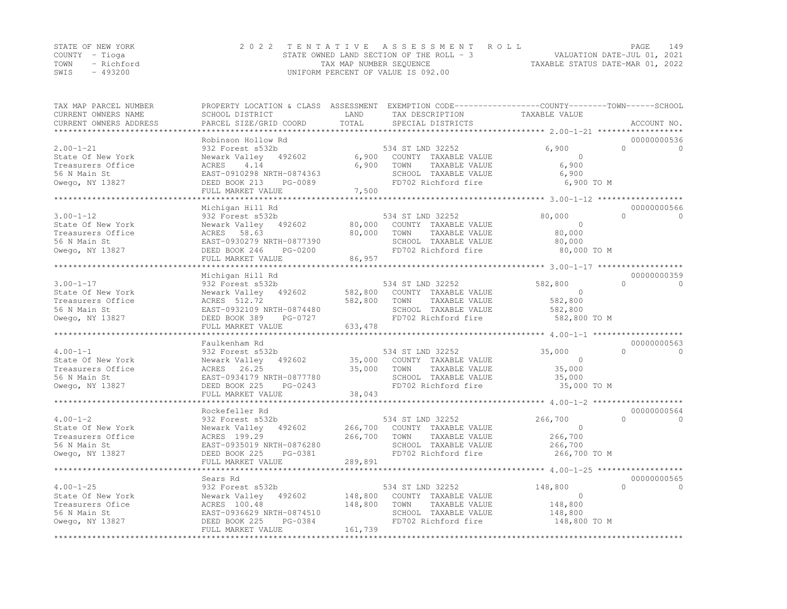| STATE OF NEW YORK |            | 2022 TENTATIVE ASSESSMENT ROLL           | 149<br>PAGE                      |
|-------------------|------------|------------------------------------------|----------------------------------|
| COUNTY – Tioga    |            | STATE OWNED LAND SECTION OF THE ROLL - 3 | VALUATION DATE-JUL 01, 2021      |
| TOWN              | - Richford | TAX MAP NUMBER SEQUENCE                  | TAXABLE STATUS DATE-MAR 01, 2022 |
| $-493200$<br>SWIS |            | UNIFORM PERCENT OF VALUE IS 092.00       |                                  |

| TAX MAP PARCEL NUMBER<br>CURRENT OWNERS NAME<br>CURRENT OWNERS ADDRESS                       | PROPERTY LOCATION & CLASS ASSESSMENT EXEMPTION CODE----------------COUNTY-------TOWN-----SCHOOL<br>SCHOOL DISTRICT<br>PARCEL SIZE/GRID COORD | LAND<br>TOTAL                  | TAX DESCRIPTION<br>SPECIAL DISTRICTS                                                                             | TAXABLE VALUE                                                   | ACCOUNT NO.                          |
|----------------------------------------------------------------------------------------------|----------------------------------------------------------------------------------------------------------------------------------------------|--------------------------------|------------------------------------------------------------------------------------------------------------------|-----------------------------------------------------------------|--------------------------------------|
| *********************                                                                        |                                                                                                                                              |                                |                                                                                                                  |                                                                 |                                      |
| $2.00 - 1 - 21$<br>State Of New York<br>Treasurers Office<br>56 N Main St<br>Owego, NY 13827 | Robinson Hollow Rd<br>932 Forest s532b<br>Newark Valley<br>492602<br>4.14<br>ACRES<br>EAST-0910298 NRTH-0874363<br>DEED BOOK 213<br>PG-0089  | 6,900<br>6,900                 | 534 ST LND 32252<br>COUNTY TAXABLE VALUE<br>TOWN<br>TAXABLE VALUE<br>SCHOOL TAXABLE VALUE<br>FD702 Richford fire | 6,900<br>$\Omega$<br>6,900<br>6,900<br>6,900 TO M               | 00000000536<br>$\Omega$<br>$\Omega$  |
|                                                                                              | FULL MARKET VALUE                                                                                                                            | 7,500                          |                                                                                                                  |                                                                 |                                      |
|                                                                                              |                                                                                                                                              | *****************              |                                                                                                                  |                                                                 |                                      |
| $3.00 - 1 - 12$<br>State Of New York<br>Treasurers Office<br>56 N Main St                    | Michigan Hill Rd<br>932 Forest s532b<br>Newark Valley 492602<br>ACRES<br>58.63<br>EAST-0930279 NRTH-0877390                                  | 80,000<br>80,000               | 534 ST LND 32252<br>COUNTY TAXABLE VALUE<br>TOWN<br>TAXABLE VALUE<br>SCHOOL TAXABLE VALUE                        | 80,000<br>$\Omega$<br>80,000<br>80,000                          | 00000000566<br>$\bigcap$<br>$\Omega$ |
| Owego, NY 13827                                                                              | DEED BOOK 246<br>PG-0200<br>FULL MARKET VALUE                                                                                                | 86,957                         | FD702 Richford fire                                                                                              | 80,000 TO M                                                     |                                      |
|                                                                                              |                                                                                                                                              |                                |                                                                                                                  | ************************ 3.00-1-17 ************                 |                                      |
| $3.00 - 1 - 17$<br>State Of New York<br>Treasurers Office<br>56 N Main St<br>Owego, NY 13827 | Michigan Hill Rd<br>932 Forest s532b<br>Newark Valley 492602<br>ACRES 512.72<br>EAST-0932109 NRTH-0874480<br>DEED BOOK 389<br>PG-0727        | 582,800<br>582,800             | 534 ST LND 32252<br>COUNTY TAXABLE VALUE<br>TOWN<br>TAXABLE VALUE<br>SCHOOL TAXABLE VALUE<br>FD702 Richford fire | 582,800<br>$\overline{0}$<br>582,800<br>582,800<br>582,800 TO M | 00000000359<br>$\Omega$<br>$\Omega$  |
|                                                                                              | FULL MARKET VALUE                                                                                                                            | 633,478                        |                                                                                                                  |                                                                 |                                      |
| ***********************                                                                      |                                                                                                                                              |                                |                                                                                                                  |                                                                 |                                      |
|                                                                                              | Faulkenham Rd                                                                                                                                |                                |                                                                                                                  |                                                                 | 00000000563                          |
| $4.00 - 1 - 1$<br>State Of New York<br>Treasurers Office<br>56 N Main St<br>Owego, NY 13827  | 932 Forest s532b<br>Newark Valley<br>492602<br>26.25<br>ACRES<br>EAST-0934179 NRTH-0877780<br>DEED BOOK 225<br>PG-0243<br>FULL MARKET VALUE  | 35,000<br>35,000<br>38,043     | 534 ST LND 32252<br>COUNTY TAXABLE VALUE<br>TOWN<br>TAXABLE VALUE<br>SCHOOL TAXABLE VALUE<br>FD702 Richford fire | 35,000<br>$\Omega$<br>35,000<br>35,000<br>35,000 TO M           | $\bigcap$<br>$\Omega$                |
|                                                                                              |                                                                                                                                              |                                |                                                                                                                  |                                                                 |                                      |
| $4.00 - 1 - 2$<br>State Of New York<br>Treasurers Office<br>56 N Main St<br>Owego, NY 13827  | Rockefeller Rd<br>932 Forest s532b<br>Newark Valley<br>492602<br>ACRES 199.29<br>EAST-0935019 NRTH-0876280<br>DEED BOOK 225<br>PG-0381       | 266,700<br>266,700             | 534 ST LND 32252<br>COUNTY TAXABLE VALUE<br>TAXABLE VALUE<br>TOWN<br>SCHOOL TAXABLE VALUE<br>FD702 Richford fire | 266,700<br>$\Omega$<br>266,700<br>266,700<br>266,700 TO M       | 00000000564<br>$\bigcap$<br>$\Omega$ |
|                                                                                              | FULL MARKET VALUE<br>**********************                                                                                                  | 289,891<br>***********         |                                                                                                                  | ******************************** 4.00-1-25 ******************   |                                      |
|                                                                                              | Sears Rd                                                                                                                                     |                                |                                                                                                                  |                                                                 | 00000000565                          |
| $4.00 - 1 - 25$<br>State Of New York<br>Treasurers Ofice<br>56 N Main St<br>Owego, NY 13827  | 932 Forest s532b<br>Newark Valley<br>492602<br>ACRES 100.48<br>EAST-0936629 NRTH-0874510<br>PG-0384<br>DEED BOOK 225                         | 148,800<br>148,800             | 534 ST LND 32252<br>COUNTY TAXABLE VALUE<br>TOWN<br>TAXABLE VALUE<br>SCHOOL TAXABLE VALUE<br>FD702 Richford fire | 148,800<br>$\mathbf 0$<br>148,800<br>148,800<br>148,800 TO M    | $\Omega$<br>$\Omega$                 |
|                                                                                              | FULL MARKET VALUE<br>************************                                                                                                | 161,739<br>******************* |                                                                                                                  |                                                                 |                                      |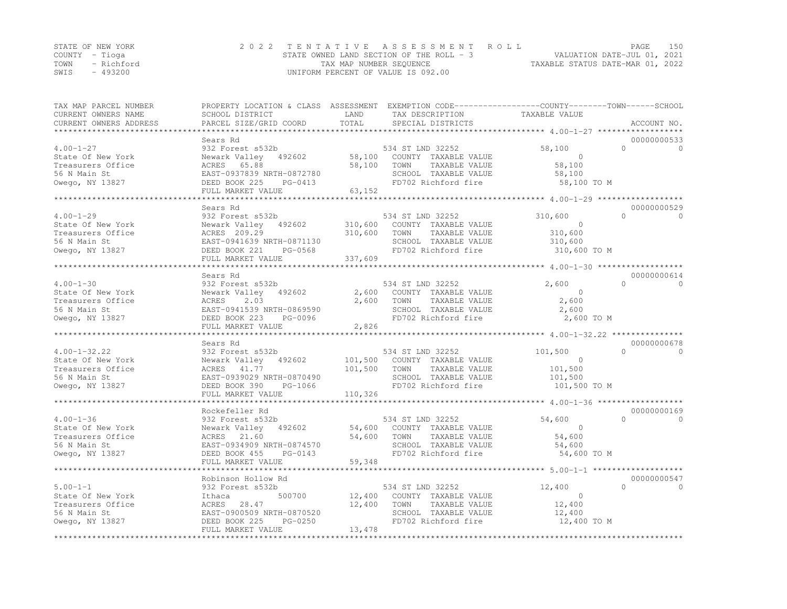|      | STATE OF NEW YORK | 2022 TENTATIVE ASSESSMENT ROLL           | PAGE                             | 150 |
|------|-------------------|------------------------------------------|----------------------------------|-----|
|      | COUNTY – Tioga    | STATE OWNED LAND SECTION OF THE ROLL - 3 | VALUATION DATE-JUL 01, 2021      |     |
| TOWN | - Richford        | TAX MAP NUMBER SEQUENCE                  | TAXABLE STATUS DATE-MAR 01, 2022 |     |
| SWIS | $-493200$         | UNIFORM PERCENT OF VALUE IS 092.00       |                                  |     |

| TAX MAP PARCEL NUMBER<br>CURRENT OWNERS NAME<br>CURRENT OWNERS ADDRESS                          | PROPERTY LOCATION & CLASS ASSESSMENT EXEMPTION CODE----------------COUNTY-------TOWN-----SCHOOL<br>SCHOOL DISTRICT<br>PARCEL SIZE/GRID COORD            | LAND<br>TOTAL                 | TAX DESCRIPTION<br>SPECIAL DISTRICTS                                                                                     | TAXABLE VALUE                                             | ACCOUNT NO.                          |
|-------------------------------------------------------------------------------------------------|---------------------------------------------------------------------------------------------------------------------------------------------------------|-------------------------------|--------------------------------------------------------------------------------------------------------------------------|-----------------------------------------------------------|--------------------------------------|
|                                                                                                 |                                                                                                                                                         |                               |                                                                                                                          |                                                           | 00000000533                          |
| $4.00 - 1 - 27$<br>State Of New York<br>Treasurers Office<br>56 N Main St<br>Owego, NY 13827    | Sears Rd<br>932 Forest s532b<br>Newark Valley 492602<br>ACRES 65.88<br>EAST-0937839 NRTH-0872780<br>DEED BOOK 225<br>$PG-0413$                          | 58,100                        | 534 ST LND 32252<br>58,100 COUNTY TAXABLE VALUE<br>TOWN<br>TAXABLE VALUE<br>SCHOOL TAXABLE VALUE<br>FD702 Richford fire  | 58,100<br>$\Omega$<br>58,100<br>58,100<br>58,100 TO M     | $\Omega$<br>$\Omega$                 |
|                                                                                                 | FULL MARKET VALUE                                                                                                                                       | 63,152                        |                                                                                                                          |                                                           |                                      |
|                                                                                                 |                                                                                                                                                         |                               |                                                                                                                          |                                                           |                                      |
|                                                                                                 | Sears Rd                                                                                                                                                |                               |                                                                                                                          |                                                           | 00000000529                          |
| $4.00 - 1 - 29$<br>State Of New York<br>Treasurers Office<br>56 N Main St<br>Owego, NY 13827    | 932 Forest s532b<br>Newark Valley 492602<br>ACRES 209.29<br>EAST-0941639 NRTH-0871130<br>DEED BOOK 221<br>PG-0568<br>FULL MARKET VALUE                  | 310,600<br>310,600<br>337,609 | 534 ST LND 32252<br>COUNTY TAXABLE VALUE<br>TOWN<br>TAXABLE VALUE<br>SCHOOL TAXABLE VALUE<br>FD702 Richford fire         | 310,600<br>$\Omega$<br>310,600<br>310,600<br>310,600 TO M | $\bigcap$<br>$\Omega$                |
|                                                                                                 | **************************                                                                                                                              |                               |                                                                                                                          |                                                           |                                      |
| $4.00 - 1 - 30$                                                                                 | Sears Rd<br>932 Forest s532b                                                                                                                            |                               | 534 ST LND 32252                                                                                                         | 2,600                                                     | 00000000614<br>$\Omega$<br>$\Omega$  |
| State Of New York<br>Treasurers Office<br>56 N Main St<br>Owego, NY 13827                       | Newark Valley 492602<br>2.03<br>ACRES<br>EAST-0941539 NRTH-0869590<br>DEED BOOK 223<br>PG-0096<br>FULL MARKET VALUE                                     | 2,600<br>2,600<br>2,826       | COUNTY TAXABLE VALUE<br>TOWN<br>TAXABLE VALUE<br>SCHOOL TAXABLE VALUE<br>FD702 Richford fire                             | $\circ$<br>2,600<br>2,600<br>2,600 TO M                   |                                      |
|                                                                                                 | ***********************                                                                                                                                 |                               |                                                                                                                          |                                                           |                                      |
| $4.00 - 1 - 32.22$<br>State Of New York<br>Treasurers Office<br>56 N Main St<br>Owego, NY 13827 | Sears Rd<br>932 Forest s532b<br>Newark Valley 492602<br>ACRES 41.77<br>EAST-0939029 NRTH-0870490<br>DEED BOOK 390<br>PG-1066<br>FULL MARKET VALUE       | 101,500<br>110,326            | 534 ST LND 32252<br>101,500 COUNTY TAXABLE VALUE<br>TOWN<br>TAXABLE VALUE<br>SCHOOL TAXABLE VALUE<br>FD702 Richford fire | 101,500<br>$\Omega$<br>101,500<br>101,500<br>101,500 TO M | 00000000678<br>$\bigcap$<br>$\Omega$ |
|                                                                                                 |                                                                                                                                                         |                               |                                                                                                                          |                                                           |                                      |
| $4.00 - 1 - 36$<br>State Of New York<br>Treasurers Office<br>56 N Main St<br>Owego, NY 13827    | Rockefeller Rd<br>932 Forest s532b<br>Newark Valley 492602<br>ACRES 21.60<br>EAST-0934909 NRTH-0874570<br>DEED BOOK 455<br>PG-0143<br>FULL MARKET VALUE | 54,600<br>54,600<br>59,348    | 534 ST LND 32252<br>COUNTY TAXABLE VALUE<br>TOWN<br>TAXABLE VALUE<br>SCHOOL TAXABLE VALUE<br>FD702 Richford fire         | 54,600<br>$\Omega$<br>54,600<br>54,600<br>54,600 TO M     | 00000000169<br>$\bigcap$<br>$\Omega$ |
|                                                                                                 |                                                                                                                                                         |                               |                                                                                                                          |                                                           |                                      |
| $5.00 - 1 - 1$<br>State Of New York<br>Treasurers Office<br>56 N Main St                        | Robinson Hollow Rd<br>932 Forest s532b<br>500700<br>Ithaca<br>28.47<br>ACRES<br>EAST-0900509 NRTH-0870520                                               | 12,400<br>12,400              | 534 ST LND 32252<br>COUNTY TAXABLE VALUE<br>TAXABLE VALUE<br>TOWN<br>SCHOOL TAXABLE VALUE                                | 12,400<br>$\Omega$<br>12,400<br>12,400                    | 00000000547<br>$\cap$<br>$\Omega$    |
| Owego, NY 13827                                                                                 | DEED BOOK 225<br>PG-0250<br>FULL MARKET VALUE                                                                                                           | 13,478                        | FD702 Richford fire                                                                                                      | 12,400 TO M                                               |                                      |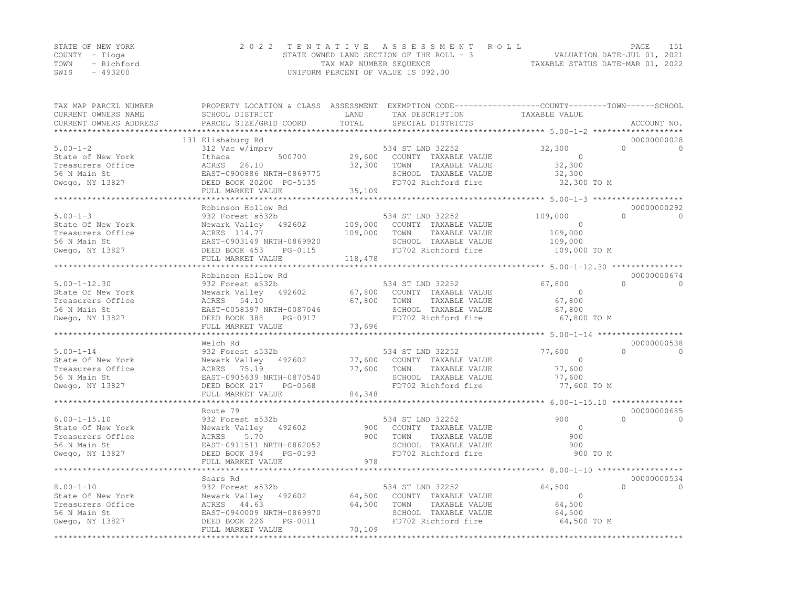|      | STATE OF NEW YORK | 2022 TENTATIVE ASSESSMENT ROLL           | 151<br>PAGE                      |
|------|-------------------|------------------------------------------|----------------------------------|
|      | COUNTY – Tioga    | STATE OWNED LAND SECTION OF THE ROLL - 3 | VALUATION DATE-JUL 01, 2021      |
| TOWN | - Richford        | TAX MAP NUMBER SEQUENCE                  | TAXABLE STATUS DATE-MAR 01, 2022 |
| SWIS | - 493200          | UNIFORM PERCENT OF VALUE IS 092.00       |                                  |

| TAX MAP PARCEL NUMBER<br>CURRENT OWNERS NAME<br>CURRENT OWNERS ADDRESS                          | PROPERTY LOCATION & CLASS ASSESSMENT EXEMPTION CODE----------------COUNTY-------TOWN-----SCHOOL<br>SCHOOL DISTRICT<br>PARCEL SIZE/GRID COORD                 | LAND<br>TOTAL                 | TAX DESCRIPTION<br>SPECIAL DISTRICTS                                                                                    | TAXABLE VALUE                                                       | ACCOUNT NO.                          |
|-------------------------------------------------------------------------------------------------|--------------------------------------------------------------------------------------------------------------------------------------------------------------|-------------------------------|-------------------------------------------------------------------------------------------------------------------------|---------------------------------------------------------------------|--------------------------------------|
|                                                                                                 |                                                                                                                                                              |                               |                                                                                                                         |                                                                     |                                      |
| $5.00 - 1 - 2$<br>State of New York<br>Treasurers Office<br>56 N Main St<br>Owego, NY 13827     | 131 Elishaburg Rd<br>312 Vac w/imprv<br>Ithaca<br>500700<br>ACRES<br>26.10<br>EAST-0900886 NRTH-0869775<br>DEED BOOK 20200 PG-5135<br>FULL MARKET VALUE      | 29,600<br>32,300<br>35,109    | 534 ST LND 32252<br>COUNTY TAXABLE VALUE<br>TOWN<br>TAXABLE VALUE<br>SCHOOL TAXABLE VALUE<br>FD702 Richford fire        | 32,300<br>$\bigcirc$<br>32,300<br>32,300<br>32,300 TO M             | 00000000028<br>$\Omega$<br>$\Omega$  |
|                                                                                                 |                                                                                                                                                              |                               |                                                                                                                         |                                                                     |                                      |
| $5.00 - 1 - 3$<br>State Of New York<br>Treasurers Office<br>56 N Main St<br>Owego, NY 13827     | Robinson Hollow Rd<br>932 Forest s532b<br>Newark Valley 492602<br>ACRES 114.77<br>EAST-0903149 NRTH-0869920<br>DEED BOOK 453<br>PG-0115<br>FULL MARKET VALUE | 109,000<br>109,000<br>118,478 | 534 ST LND 32252<br>COUNTY TAXABLE VALUE<br>TOWN<br>TAXABLE VALUE<br>SCHOOL TAXABLE VALUE<br>FD702 Richford fire        | 109,000<br>$\Omega$<br>109,000<br>109,000<br>109,000 TO M           | 00000000292<br>$\cap$<br>$\Omega$    |
|                                                                                                 |                                                                                                                                                              |                               |                                                                                                                         |                                                                     |                                      |
| $5.00 - 1 - 12.30$<br>State Of New York<br>Treasurers Office<br>56 N Main St<br>Owego, NY 13827 | Robinson Hollow Rd<br>932 Forest s532b<br>Newark Valley 492602<br>ACRES 54.10<br>EAST-0058397 NRTH-0087046<br>DEED BOOK 388<br>PG-0917<br>FULL MARKET VALUE  | 67,800<br>73,696              | 534 ST LND 32252<br>67,800 COUNTY TAXABLE VALUE<br>TOWN<br>TAXABLE VALUE<br>SCHOOL TAXABLE VALUE<br>FD702 Richford fire | 67,800<br>$\overline{0}$<br>67,800<br>67,800<br>67,800 TO M         | 00000000674<br>$\cap$<br>$\cap$      |
|                                                                                                 |                                                                                                                                                              |                               |                                                                                                                         |                                                                     |                                      |
| $5.00 - 1 - 14$<br>State Of New York<br>Treasurers Office<br>56 N Main St<br>Owego, NY 13827    | Welch Rd<br>932 Forest s532b<br>Newark Valley 492602<br>75.19<br>ACRES<br>EAST-0905639 NRTH-0870540<br>DEED BOOK 217<br>PG-0568<br>FULL MARKET VALUE         | 77,600<br>84,348              | 534 ST LND 32252<br>77,600 COUNTY TAXABLE VALUE<br>TOWN<br>TAXABLE VALUE<br>SCHOOL TAXABLE VALUE<br>FD702 Richford fire | 77,600<br>$\Omega$<br>77,600<br>77,600<br>77,600 TO M               | 00000000538<br>$\cap$<br>$\Omega$    |
|                                                                                                 |                                                                                                                                                              |                               |                                                                                                                         | ************************************* 6.00–1–15.10 **************** |                                      |
| $6.00 - 1 - 15.10$<br>State Of New York<br>Treasurers Office<br>56 N Main St<br>Owego, NY 13827 | Route 79<br>932 Forest s532b<br>Newark Valley 492602<br>ACRES<br>5.70<br>EAST-0911511 NRTH-0862052<br>DEED BOOK 394<br>PG-0193<br>FULL MARKET VALUE          | 900<br>900<br>978             | 534 ST LND 32252<br>COUNTY TAXABLE VALUE<br>TOWN<br>TAXABLE VALUE<br>SCHOOL TAXABLE VALUE<br>FD702 Richford fire        | 900<br>$\circ$<br>900<br>900<br>900 TO M                            | 00000000685<br>$\bigcap$<br>$\Omega$ |
|                                                                                                 |                                                                                                                                                              |                               |                                                                                                                         |                                                                     |                                      |
| $8.00 - 1 - 10$<br>State Of New York<br>Treasurers Office<br>56 N Main St                       | Sears Rd<br>932 Forest s532b<br>Newark Valley 492602<br>ACRES 44.63<br>EAST-0940009 NRTH-0869970                                                             | 64,500<br>64,500              | 534 ST LND 32252<br>COUNTY TAXABLE VALUE<br>TOWN<br>TAXABLE VALUE<br>SCHOOL TAXABLE VALUE                               | 64,500<br>$\overline{0}$<br>64,500<br>64,500                        | 00000000534<br>$\cap$<br>$\Omega$    |
| Owego, NY 13827                                                                                 | DEED BOOK 226<br>PG-0011<br>FULL MARKET VALUE                                                                                                                | 70,109                        | FD702 Richford fire                                                                                                     | 64,500 TO M                                                         |                                      |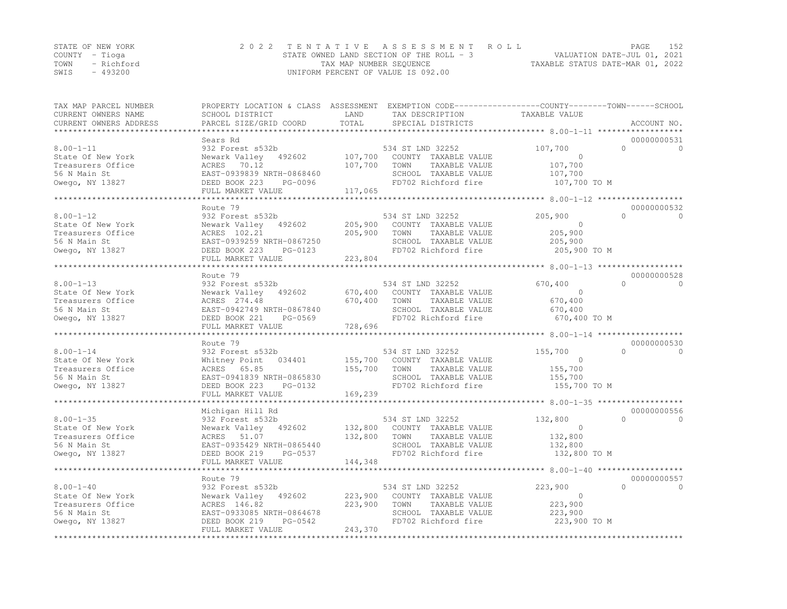|      | STATE OF NEW YORK | 2022 TENTATIVE ASSESSMENT ROLL           | PAGE                             | 152 |
|------|-------------------|------------------------------------------|----------------------------------|-----|
|      | COUNTY – Tioga    | STATE OWNED LAND SECTION OF THE ROLL - 3 | VALUATION DATE-JUL 01, 2021      |     |
| TOWN | - Richford        | TAX MAP NUMBER SEQUENCE                  | TAXABLE STATUS DATE-MAR 01, 2022 |     |
| SWIS | $-493200$         | UNIFORM PERCENT OF VALUE IS 092.00       |                                  |     |

| TAX MAP PARCEL NUMBER<br>CURRENT OWNERS NAME<br>CURRENT OWNERS ADDRESS                       | PROPERTY LOCATION & CLASS ASSESSMENT EXEMPTION CODE----------------COUNTY-------TOWN-----SCHOOL<br>SCHOOL DISTRICT<br>PARCEL SIZE/GRID COORD                                 | LAND<br>TOTAL                 | TAX DESCRIPTION<br>SPECIAL DISTRICTS                                                                             | TAXABLE VALUE                                                   | ACCOUNT NO.                          |
|----------------------------------------------------------------------------------------------|------------------------------------------------------------------------------------------------------------------------------------------------------------------------------|-------------------------------|------------------------------------------------------------------------------------------------------------------|-----------------------------------------------------------------|--------------------------------------|
| *********************                                                                        |                                                                                                                                                                              |                               |                                                                                                                  |                                                                 |                                      |
| $8.00 - 1 - 11$<br>State Of New York<br>Treasurers Office<br>56 N Main St<br>Owego, NY 13827 | Sears Rd<br>932 Forest s532b<br>Newark Valley 492602<br>ACRES 70.12<br>EAST-0939839 NRTH-0868460<br>DEED BOOK 223<br>PG-0096                                                 | 107,700<br>107,700            | 534 ST LND 32252<br>COUNTY TAXABLE VALUE<br>TOWN<br>TAXABLE VALUE<br>SCHOOL TAXABLE VALUE<br>FD702 Richford fire | 107,700<br>$\Omega$<br>107,700<br>107,700<br>107,700 TO M       | 00000000531<br>$\Omega$<br>$\Omega$  |
|                                                                                              | FULL MARKET VALUE                                                                                                                                                            | 117,065                       |                                                                                                                  |                                                                 |                                      |
|                                                                                              |                                                                                                                                                                              |                               |                                                                                                                  |                                                                 |                                      |
| $8.00 - 1 - 12$<br>State Of New York<br>Treasurers Office<br>56 N Main St<br>Owego, NY 13827 | Route 79<br>932 Forest s532b<br>Newark Valley 492602<br>ACRES 102.21<br>EAST-0939259 NRTH-0867250<br>DEED BOOK 223<br>PG-0123<br>FULL MARKET VALUE<br>********************** | 205,900<br>205,900<br>223,804 | 534 ST LND 32252<br>COUNTY TAXABLE VALUE<br>TOWN<br>TAXABLE VALUE<br>SCHOOL TAXABLE VALUE<br>FD702 Richford fire | 205,900<br>$\Omega$<br>205,900<br>205,900<br>205,900 TO M       | 00000000532<br>$\bigcap$<br>$\Omega$ |
|                                                                                              | Route 79                                                                                                                                                                     |                               |                                                                                                                  |                                                                 | 00000000528                          |
| $8.00 - 1 - 13$<br>State Of New York<br>Treasurers Office<br>56 N Main St<br>Owego, NY 13827 | 932 Forest s532b<br>Newark Valley 492602<br>ACRES 274.48<br>EAST-0942749 NRTH-0867840<br>DEED BOOK 221<br>PG-0569<br>FULL MARKET VALUE                                       | 670,400<br>670,400<br>728,696 | 534 ST LND 32252<br>COUNTY TAXABLE VALUE<br>TOWN<br>TAXABLE VALUE<br>SCHOOL TAXABLE VALUE<br>FD702 Richford fire | 670,400<br>$\overline{0}$<br>670,400<br>670,400<br>670,400 TO M | $\cap$<br>$\Omega$                   |
|                                                                                              | Route 79                                                                                                                                                                     |                               |                                                                                                                  |                                                                 | 00000000530                          |
| $8.00 - 1 - 14$<br>State Of New York<br>Treasurers Office<br>56 N Main St<br>Owego, NY 13827 | 932 Forest s532b<br>Whitney Point<br>034401<br>65.85<br>ACRES<br>EAST-0941839 NRTH-0865830<br>DEED BOOK 223<br>PG-0132<br>FULL MARKET VALUE                                  | 155,700<br>155,700<br>169,239 | 534 ST LND 32252<br>COUNTY TAXABLE VALUE<br>TOWN<br>TAXABLE VALUE<br>SCHOOL TAXABLE VALUE<br>FD702 Richford fire | 155,700<br>$\Omega$<br>155,700<br>155,700<br>155,700 TO M       | $\bigcap$<br>$\Omega$                |
|                                                                                              | Michigan Hill Rd                                                                                                                                                             |                               |                                                                                                                  |                                                                 | 00000000556                          |
| $8.00 - 1 - 35$<br>State Of New York<br>Treasurers Office<br>56 N Main St<br>Owego, NY 13827 | 932 Forest s532b<br>Newark Valley 492602<br>ACRES 51.07<br>EAST-0935429 NRTH-0865440<br>PG-0537<br>DEED BOOK 219                                                             | 132,800<br>132,800            | 534 ST LND 32252<br>COUNTY TAXABLE VALUE<br>TAXABLE VALUE<br>TOWN<br>SCHOOL TAXABLE VALUE<br>FD702 Richford fire | 132,800<br>$\Omega$<br>132,800<br>132,800<br>132,800 TO M       | $\bigcap$<br>$\Omega$                |
|                                                                                              | FULL MARKET VALUE<br>***********************                                                                                                                                 | 144,348<br>************       |                                                                                                                  |                                                                 |                                      |
|                                                                                              | Route 79                                                                                                                                                                     |                               |                                                                                                                  |                                                                 | 00000000557                          |
| $8.00 - 1 - 40$<br>State Of New York<br>Treasurers Office<br>56 N Main St<br>Owego, NY 13827 | 932 Forest s532b<br>Newark Valley<br>492602<br>ACRES 146.82<br>EAST-0933085 NRTH-0864678<br>PG-0542<br>DEED BOOK 219                                                         | 223,900<br>223,900            | 534 ST LND 32252<br>COUNTY TAXABLE VALUE<br>TOWN<br>TAXABLE VALUE<br>SCHOOL TAXABLE VALUE<br>FD702 Richford fire | 223,900<br>$\circ$<br>223,900<br>223,900<br>223,900 TO M        | $\Omega$<br>$\Omega$                 |
|                                                                                              | FULL MARKET VALUE                                                                                                                                                            | 243,370                       |                                                                                                                  |                                                                 |                                      |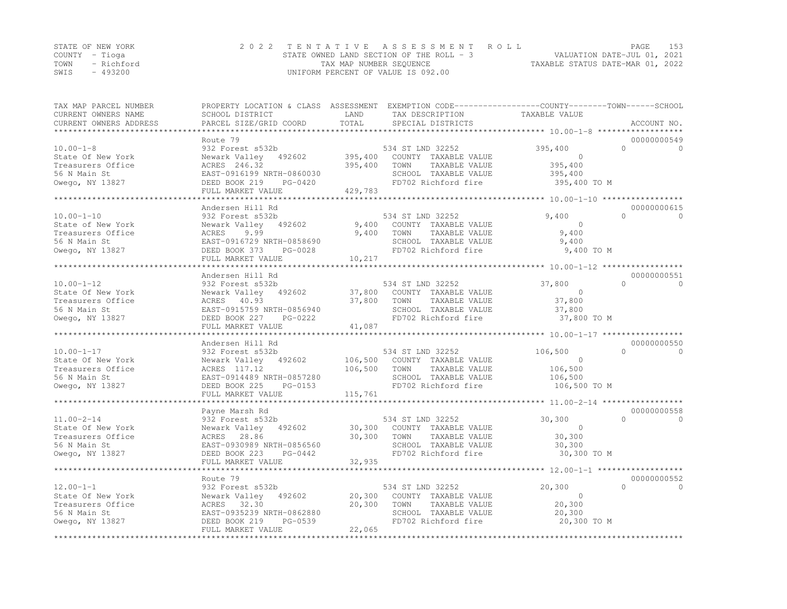|      | STATE OF NEW YORK | 2022 TENTATIVE ASSESSMENT ROLL             |                                  | PAGE | 153 |
|------|-------------------|--------------------------------------------|----------------------------------|------|-----|
|      | COUNTY – Tioga    | STATE OWNED LAND SECTION OF THE ROLL $-$ 3 | VALUATION DATE-JUL 01, 2021      |      |     |
|      | TOWN - Richford   | TAX MAP NUMBER SEQUENCE                    | TAXABLE STATUS DATE-MAR 01, 2022 |      |     |
| SWIS | - 493200          | UNIFORM PERCENT OF VALUE IS 092.00         |                                  |      |     |

| TAX MAP PARCEL NUMBER<br>CURRENT OWNERS NAME<br>CURRENT OWNERS ADDRESS<br>******************** | PROPERTY LOCATION & CLASS ASSESSMENT EXEMPTION CODE----------------COUNTY-------TOWN-----SCHOOL<br>SCHOOL DISTRICT<br>PARCEL SIZE/GRID COORD                  | LAND<br>TOTAL                 | TAX DESCRIPTION<br>SPECIAL DISTRICTS                                                                             | TAXABLE VALUE                                                        | ACCOUNT NO.             |
|------------------------------------------------------------------------------------------------|---------------------------------------------------------------------------------------------------------------------------------------------------------------|-------------------------------|------------------------------------------------------------------------------------------------------------------|----------------------------------------------------------------------|-------------------------|
|                                                                                                | Route 79                                                                                                                                                      |                               |                                                                                                                  |                                                                      | 00000000549             |
| $10.00 - 1 - 8$<br>State Of New York<br>Treasurers Office<br>56 N Main St<br>Owego, NY 13827   | 932 Forest s532b<br>Newark Valley 492602<br>ACRES 246.32<br>EAST-0916199 NRTH-0860030<br>DEED BOOK 219<br>PG-0420                                             | 395,400<br>395,400            | 534 ST LND 32252<br>COUNTY TAXABLE VALUE<br>TOWN<br>TAXABLE VALUE<br>SCHOOL TAXABLE VALUE<br>FD702 Richford fire | 395,400<br>$\Omega$<br>$\circ$<br>395,400<br>395,400<br>395,400 TO M | $\Omega$                |
|                                                                                                | FULL MARKET VALUE                                                                                                                                             | 429,783<br>***************    |                                                                                                                  | **************** 10.00-1-10 ******************                       |                         |
|                                                                                                | Andersen Hill Rd                                                                                                                                              |                               |                                                                                                                  |                                                                      | 00000000615             |
| $10.00 - 1 - 10$<br>State of New York<br>Treasurers Office<br>56 N Main St<br>Owego, NY 13827  | 932 Forest s532b<br>Newark Valley<br>492602<br>ACRES<br>9.99<br>EAST-0916729 NRTH-0858690<br>DEED BOOK 373<br>PG-0028<br>FULL MARKET VALUE                    | 9,400<br>9,400<br>10,217      | 534 ST LND 32252<br>COUNTY TAXABLE VALUE<br>TOWN<br>TAXABLE VALUE<br>SCHOOL TAXABLE VALUE<br>FD702 Richford fire | $\bigcap$<br>9,400<br>$\Omega$<br>9,400<br>9,400<br>9,400 TO M       | $\Omega$                |
|                                                                                                |                                                                                                                                                               |                               |                                                                                                                  |                                                                      |                         |
| $10.00 - 1 - 12$<br>State Of New York<br>Treasurers Office<br>56 N Main St<br>Owego, NY 13827  | Andersen Hill Rd<br>932 Forest s532b<br>Newark Valley 492602<br>ACRES 40.93<br>EAST-0915759 NRTH-0856940<br>DEED BOOK 227<br>PG-0222<br>FULL MARKET VALUE     | 37,800<br>37,800<br>41,087    | 534 ST LND 32252<br>COUNTY TAXABLE VALUE<br>TOWN<br>TAXABLE VALUE<br>SCHOOL TAXABLE VALUE<br>FD702 Richford fire | $\bigcap$<br>37,800<br>$\Omega$<br>37,800<br>37,800<br>37,800 TO M   | 00000000551<br>$\Omega$ |
|                                                                                                |                                                                                                                                                               |                               |                                                                                                                  |                                                                      |                         |
| $10.00 - 1 - 17$<br>State Of New York<br>Treasurers Office<br>56 N Main St<br>Owego, NY 13827  | Andersen Hill Rd<br>932 Forest s532b<br>Newark Valley<br>492602<br>ACRES 117.12<br>EAST-0914489 NRTH-0857280<br>DEED BOOK 225<br>PG-0153<br>FULL MARKET VALUE | 106,500<br>106,500<br>115,761 | 534 ST LND 32252<br>COUNTY TAXABLE VALUE<br>TOWN<br>TAXABLE VALUE<br>SCHOOL TAXABLE VALUE<br>FD702 Richford fire | $\cap$<br>106,500<br>$\circ$<br>106,500<br>106,500<br>106,500 TO M   | 00000000550<br>$\cap$   |
|                                                                                                | *************************                                                                                                                                     |                               |                                                                                                                  |                                                                      |                         |
| $11.00 - 2 - 14$<br>State Of New York<br>Treasurers Office<br>56 N Main St<br>Owego, NY 13827  | Payne Marsh Rd<br>932 Forest s532b<br>Newark Valley 492602<br>28.86<br>ACRES<br>EAST-0930989 NRTH-0856560<br>DEED BOOK 223<br>PG-0442                         | 30,300<br>30,300              | 534 ST LND 32252<br>COUNTY TAXABLE VALUE<br>TAXABLE VALUE<br>TOWN<br>SCHOOL TAXABLE VALUE<br>FD702 Richford fire | 30,300<br>$\cap$<br>$\mathbf{0}$<br>30,300<br>30,300<br>30,300 TO M  | 00000000558<br>$\Omega$ |
|                                                                                                | FULL MARKET VALUE<br>********************                                                                                                                     | 32,935<br>*********           |                                                                                                                  | ******************** 12.00-1-1 *******************                   |                         |
|                                                                                                | Route 79                                                                                                                                                      |                               |                                                                                                                  |                                                                      | 00000000552             |
| $12.00 - 1 - 1$<br>State Of New York<br>Treasurers Office<br>56 N Main St                      | 932 Forest s532b<br>Newark Valley<br>492602<br>ACRES 32.30<br>EAST-0935239 NRTH-0862880<br>DEED BOOK 219<br>PG-0539                                           | 20,300<br>20,300              | 534 ST LND 32252<br>COUNTY TAXABLE VALUE<br>TOWN<br>TAXABLE VALUE<br>SCHOOL TAXABLE VALUE<br>FD702 Richford fire | 20,300<br>$\Omega$<br>$\Omega$<br>20,300<br>20,300<br>20,300 TO M    | $\Omega$                |
| Owego, NY 13827                                                                                | FULL MARKET VALUE<br>******************************                                                                                                           | 22,065<br>**************      |                                                                                                                  |                                                                      |                         |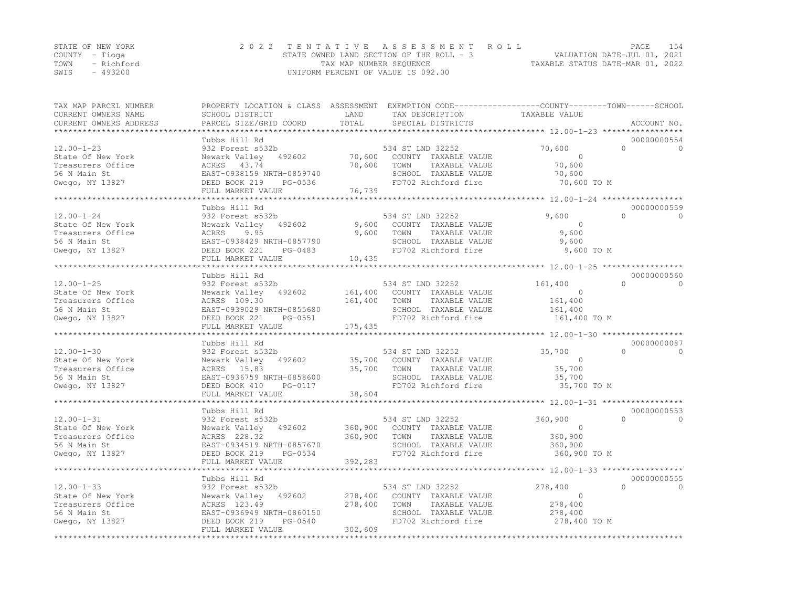|      | STATE OF NEW YORK | 2022 TENTATIVE ASSESSMENT ROLL           | PAGE                             | 154 |
|------|-------------------|------------------------------------------|----------------------------------|-----|
|      | COUNTY – Tioga    | STATE OWNED LAND SECTION OF THE ROLL - 3 | VALUATION DATE-JUL 01, 2021      |     |
| TOWN | - Richford        | TAX MAP NUMBER SEQUENCE                  | TAXABLE STATUS DATE-MAR 01, 2022 |     |
| SWIS | $-493200$         | UNIFORM PERCENT OF VALUE IS 092.00       |                                  |     |

| TAX MAP PARCEL NUMBER<br>CURRENT OWNERS NAME<br>CURRENT OWNERS ADDRESS<br>******************** | PROPERTY LOCATION & CLASS ASSESSMENT EXEMPTION CODE----------------COUNTY-------TOWN-----SCHOOL<br>SCHOOL DISTRICT<br>PARCEL SIZE/GRID COORD | LAND<br>TOTAL              | TAX DESCRIPTION<br>SPECIAL DISTRICTS                                                                             | TAXABLE VALUE                                                   | ACCOUNT NO.                          |
|------------------------------------------------------------------------------------------------|----------------------------------------------------------------------------------------------------------------------------------------------|----------------------------|------------------------------------------------------------------------------------------------------------------|-----------------------------------------------------------------|--------------------------------------|
|                                                                                                |                                                                                                                                              |                            |                                                                                                                  |                                                                 |                                      |
| $12.00 - 1 - 23$<br>State Of New York<br>Treasurers Office<br>56 N Main St<br>Owego, NY 13827  | Tubbs Hill Rd<br>932 Forest s532b<br>Newark Valley<br>492602<br>ACRES 43.74<br>EAST-0938159 NRTH-0859740<br>DEED BOOK 219<br>PG-0536         | 70,600<br>70,600           | 534 ST LND 32252<br>COUNTY TAXABLE VALUE<br>TOWN<br>TAXABLE VALUE<br>SCHOOL TAXABLE VALUE<br>FD702 Richford fire | 70,600<br>$\Omega$<br>70,600<br>70,600<br>70,600 TO M           | 00000000554<br>$\Omega$<br>$\Omega$  |
|                                                                                                | FULL MARKET VALUE                                                                                                                            | 76,739                     |                                                                                                                  |                                                                 |                                      |
|                                                                                                |                                                                                                                                              | ********************       |                                                                                                                  | ************************ 12.00-1-24 ******************          |                                      |
|                                                                                                | Tubbs Hill Rd                                                                                                                                |                            |                                                                                                                  |                                                                 | 00000000559                          |
| $12.00 - 1 - 24$<br>State Of New York<br>Treasurers Office<br>56 N Main St<br>Owego, NY 13827  | 932 Forest s532b<br>Newark Valley<br>492602<br>ACRES<br>9.95<br>EAST-0938429 NRTH-0857790<br>DEED BOOK 221<br>PG-0483<br>FULL MARKET VALUE   | 9,600<br>9,600<br>10,435   | 534 ST LND 32252<br>COUNTY TAXABLE VALUE<br>TAXABLE VALUE<br>TOWN<br>SCHOOL TAXABLE VALUE<br>FD702 Richford fire | 9,600<br>$\overline{0}$<br>9,600<br>9,600<br>9,600 TO M         | $\bigcap$<br>$\Omega$                |
|                                                                                                |                                                                                                                                              |                            |                                                                                                                  |                                                                 |                                      |
| $12.00 - 1 - 25$<br>State Of New York<br>Treasurers Office<br>56 N Main St<br>Owego, NY 13827  | Tubbs Hill Rd<br>932 Forest s532b<br>Newark Valley<br>492602<br>ACRES 109.30<br>EAST-0939029 NRTH-0855680<br>DEED BOOK 221<br>PG-0551        | 161,400<br>161,400         | 534 ST LND 32252<br>COUNTY TAXABLE VALUE<br>TOWN<br>TAXABLE VALUE<br>SCHOOL TAXABLE VALUE<br>FD702 Richford fire | 161,400<br>$\overline{0}$<br>161,400<br>161,400<br>161,400 TO M | 00000000560<br>$\cap$<br>$\Omega$    |
| ***********************                                                                        | FULL MARKET VALUE                                                                                                                            | 175,435                    |                                                                                                                  |                                                                 |                                      |
|                                                                                                | Tubbs Hill Rd                                                                                                                                |                            |                                                                                                                  |                                                                 | 00000000087                          |
| $12.00 - 1 - 30$<br>State Of New York<br>Treasurers Office<br>56 N Main St<br>Owego, NY 13827  | 932 Forest s532b<br>492602<br>Newark Valley<br>ACRES 15.83<br>EAST-0936759 NRTH-0858600<br>DEED BOOK 410<br>PG-0117<br>FULL MARKET VALUE     | 35,700<br>35,700<br>38,804 | 534 ST LND 32252<br>COUNTY TAXABLE VALUE<br>TOWN<br>TAXABLE VALUE<br>SCHOOL TAXABLE VALUE<br>FD702 Richford fire | 35,700<br>$\Omega$<br>35,700<br>35,700<br>35,700 TO M           | $\bigcap$<br>$\Omega$                |
|                                                                                                |                                                                                                                                              |                            |                                                                                                                  |                                                                 |                                      |
| $12.00 - 1 - 31$<br>State Of New York<br>Treasurers Office<br>56 N Main St<br>Owego, NY 13827  | Tubbs Hill Rd<br>932 Forest s532b<br>Newark Valley<br>492602<br>ACRES 228.32<br>EAST-0934519 NRTH-0857670<br>PG-0534<br>DEED BOOK 219        | 360,900<br>360,900         | 534 ST LND 32252<br>COUNTY TAXABLE VALUE<br>TAXABLE VALUE<br>TOWN<br>SCHOOL TAXABLE VALUE<br>FD702 Richford fire | 360,900<br>$\Omega$<br>360,900<br>360,900<br>360,900 TO M       | 00000000553<br>$\bigcap$<br>$\Omega$ |
|                                                                                                | FULL MARKET VALUE<br>**********************                                                                                                  | 392,283<br>***********     |                                                                                                                  |                                                                 |                                      |
|                                                                                                | Tubbs Hill Rd                                                                                                                                |                            |                                                                                                                  |                                                                 | 00000000555                          |
| $12.00 - 1 - 33$<br>State Of New York<br>Treasurers Office<br>56 N Main St<br>Owego, NY 13827  | 932 Forest s532b<br>Newark Valley<br>492602<br>ACRES 123.49<br>EAST-0936949 NRTH-0860150<br>PG-0540<br>DEED BOOK 219                         | 278,400<br>278,400         | 534 ST LND 32252<br>COUNTY TAXABLE VALUE<br>TOWN<br>TAXABLE VALUE<br>SCHOOL TAXABLE VALUE<br>FD702 Richford fire | 278,400<br>$\mathbf 0$<br>278,400<br>278,400<br>278,400 TO M    | $\Omega$<br>$\Omega$                 |
|                                                                                                | FULL MARKET VALUE                                                                                                                            | 302,609                    |                                                                                                                  |                                                                 |                                      |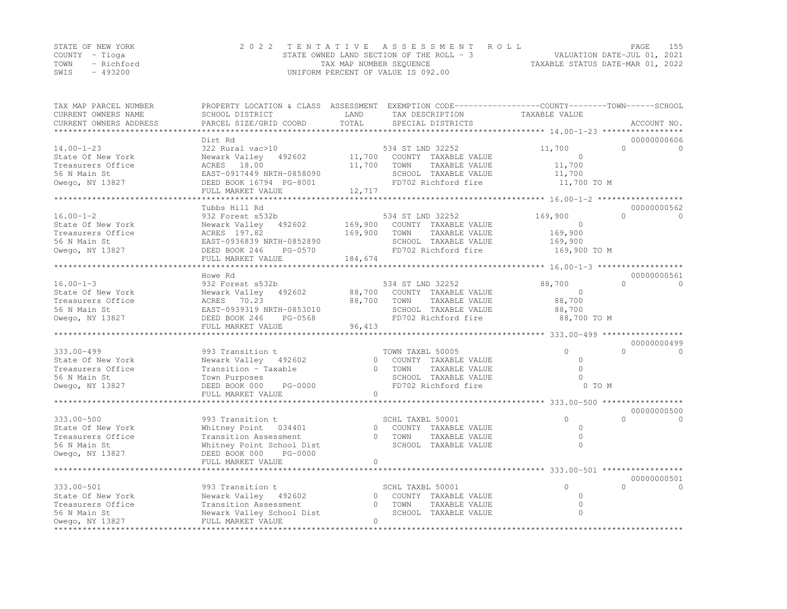|      | STATE OF NEW YORK | 2022 TENTATIVE ASSESSMENT ROLL           |                                  | PAGE | 155 |
|------|-------------------|------------------------------------------|----------------------------------|------|-----|
|      | COUNTY – Tioga    | STATE OWNED LAND SECTION OF THE ROLL - 3 | VALUATION DATE-JUL 01, 2021      |      |     |
| TOWN | - Richford        | TAX MAP NUMBER SEQUENCE                  | TAXABLE STATUS DATE-MAR 01, 2022 |      |     |
| SWIS | $-493200$         | UNIFORM PERCENT OF VALUE IS 092.00       |                                  |      |     |

| TAX MAP PARCEL NUMBER<br>CURRENT OWNERS NAME<br>CURRENT OWNERS ADDRESS | PROPERTY LOCATION & CLASS ASSESSMENT EXEMPTION CODE----------------COUNTY-------TOWN------SCHOOL<br>SCHOOL DISTRICT<br>PARCEL SIZE/GRID COORD | LAND<br>TOTAL | TAX DESCRIPTION<br>SPECIAL DISTRICTS | TAXABLE VALUE                                       | ACCOUNT NO.           |
|------------------------------------------------------------------------|-----------------------------------------------------------------------------------------------------------------------------------------------|---------------|--------------------------------------|-----------------------------------------------------|-----------------------|
| ********************                                                   |                                                                                                                                               |               |                                      |                                                     |                       |
|                                                                        | Dirt Rd                                                                                                                                       |               |                                      |                                                     | 00000000606           |
| $14.00 - 1 - 23$                                                       | 322 Rural vac>10                                                                                                                              |               | 534 ST LND 32252                     | 11,700                                              | $\Omega$<br>$\Omega$  |
| State Of New York                                                      | Newark Valley 492602                                                                                                                          | 11,700        | COUNTY TAXABLE VALUE                 | $\Omega$                                            |                       |
| Treasurers Office                                                      | ACRES 18.00                                                                                                                                   | 11,700        | TOWN<br>TAXABLE VALUE                | 11,700                                              |                       |
| 56 N Main St                                                           | EAST-0917449 NRTH-0858090                                                                                                                     |               | SCHOOL TAXABLE VALUE                 | 11,700                                              |                       |
| Owego, NY 13827                                                        | DEED BOOK 16794 PG-8001                                                                                                                       |               | FD702 Richford fire                  | 11,700 TO M                                         |                       |
|                                                                        | FULL MARKET VALUE                                                                                                                             | 12,717        |                                      |                                                     |                       |
|                                                                        | *****************                                                                                                                             |               |                                      | ********************* 16.00-1-2 ******************* |                       |
|                                                                        | Tubbs Hill Rd                                                                                                                                 |               |                                      |                                                     | 00000000562           |
| $16.00 - 1 - 2$                                                        | 932 Forest s532b                                                                                                                              |               | 534 ST LND 32252                     | 169,900                                             | $\Omega$<br>$\Omega$  |
| State Of New York                                                      | Newark Valley 492602                                                                                                                          | 169,900       | COUNTY TAXABLE VALUE                 | $\Omega$                                            |                       |
| Treasurers Office                                                      | ACRES 197.82                                                                                                                                  | 169,900       | TOWN<br>TAXABLE VALUE                | 169,900                                             |                       |
| 56 N Main St                                                           | EAST-0936839 NRTH-0852890                                                                                                                     |               | SCHOOL TAXABLE VALUE                 | 169,900                                             |                       |
| Owego, NY 13827                                                        | DEED BOOK 246<br>PG-0570                                                                                                                      |               | FD702 Richford fire                  | 169,900 TO M                                        |                       |
|                                                                        | FULL MARKET VALUE                                                                                                                             | 184,674       |                                      |                                                     |                       |
|                                                                        | Howe Rd                                                                                                                                       |               |                                      |                                                     | 00000000561           |
| $16.00 - 1 - 3$                                                        | 932 Forest s532b                                                                                                                              |               | 534 ST LND 32252                     | 88,700                                              | $\Omega$<br>$\Omega$  |
| State Of New York                                                      | Newark Valley<br>492602                                                                                                                       | 88,700        | COUNTY TAXABLE VALUE                 | $\circ$                                             |                       |
| Treasurers Office                                                      | ACRES 70.23                                                                                                                                   | 88,700        | TOWN<br>TAXABLE VALUE                | 88,700                                              |                       |
| 56 N Main St                                                           | EAST-0939319 NRTH-0853010                                                                                                                     |               | SCHOOL TAXABLE VALUE                 | 88,700                                              |                       |
| Owego, NY 13827                                                        | DEED BOOK 246<br>PG-0568                                                                                                                      |               | FD702 Richford fire                  | 88,700 TO M                                         |                       |
|                                                                        | FULL MARKET VALUE                                                                                                                             | 96,413        |                                      |                                                     |                       |
|                                                                        |                                                                                                                                               |               |                                      |                                                     |                       |
|                                                                        |                                                                                                                                               |               |                                      |                                                     | 00000000499           |
| $333.00 - 499$                                                         | 993 Transition t                                                                                                                              |               | TOWN TAXBL 50005                     | $\bigcirc$                                          | $\Omega$<br>$\Omega$  |
| State Of New York                                                      | Newark Valley<br>492602                                                                                                                       | $\circ$       | COUNTY TAXABLE VALUE                 | $\mathbf{0}$                                        |                       |
| Treasurers Office                                                      | Transition - Taxable                                                                                                                          | $\Omega$      | TOWN<br>TAXABLE VALUE                | $\Omega$                                            |                       |
| 56 N Main St                                                           | Town Purposes                                                                                                                                 |               | SCHOOL TAXABLE VALUE                 | $\Omega$                                            |                       |
| Owego, NY 13827                                                        | DEED BOOK 000<br>PG-0000                                                                                                                      |               | FD702 Richford fire                  | 0 TO M                                              |                       |
|                                                                        | FULL MARKET VALUE                                                                                                                             | $\circ$       |                                      |                                                     |                       |
|                                                                        |                                                                                                                                               |               |                                      |                                                     |                       |
|                                                                        |                                                                                                                                               |               |                                      |                                                     | 00000000500           |
| $333.00 - 500$                                                         | 993 Transition t                                                                                                                              |               | SCHL TAXBL 50001                     | $\Omega$                                            | $\Omega$<br>$\Omega$  |
| State Of New York                                                      | Whitney Point 034401                                                                                                                          | $\circ$       | COUNTY TAXABLE VALUE                 | $\circ$                                             |                       |
| Treasurers Office                                                      | Transition Assessment                                                                                                                         | $\Omega$      | TOWN<br>TAXABLE VALUE                | $\circ$<br>$\Omega$                                 |                       |
| 56 N Main St                                                           | Whitney Point School Dist                                                                                                                     |               | SCHOOL TAXABLE VALUE                 |                                                     |                       |
| Owego, NY 13827                                                        | DEED BOOK 000<br>PG-0000<br>FULL MARKET VALUE                                                                                                 | $\circ$       |                                      |                                                     |                       |
|                                                                        |                                                                                                                                               |               |                                      |                                                     |                       |
|                                                                        |                                                                                                                                               |               |                                      |                                                     | 00000000501           |
| 333.00-501                                                             | 993 Transition t                                                                                                                              |               | SCHL TAXBL 50001                     | $\bigcirc$                                          | $\bigcap$<br>$\Omega$ |
| State Of New York                                                      | Newark Valley 492602                                                                                                                          | $\circ$       | COUNTY TAXABLE VALUE                 | $\mathbf{0}$                                        |                       |
| Treasurers Office                                                      | Transition Assessment                                                                                                                         | $\Omega$      | TOWN<br>TAXABLE VALUE                | $\Omega$                                            |                       |
| 56 N Main St                                                           | Newark Valley School Dist                                                                                                                     |               | SCHOOL TAXABLE VALUE                 | $\Omega$                                            |                       |
| Owego, NY 13827                                                        | FULL MARKET VALUE                                                                                                                             | $\Omega$      |                                      |                                                     |                       |
| *****************                                                      | **********************************                                                                                                            |               |                                      |                                                     |                       |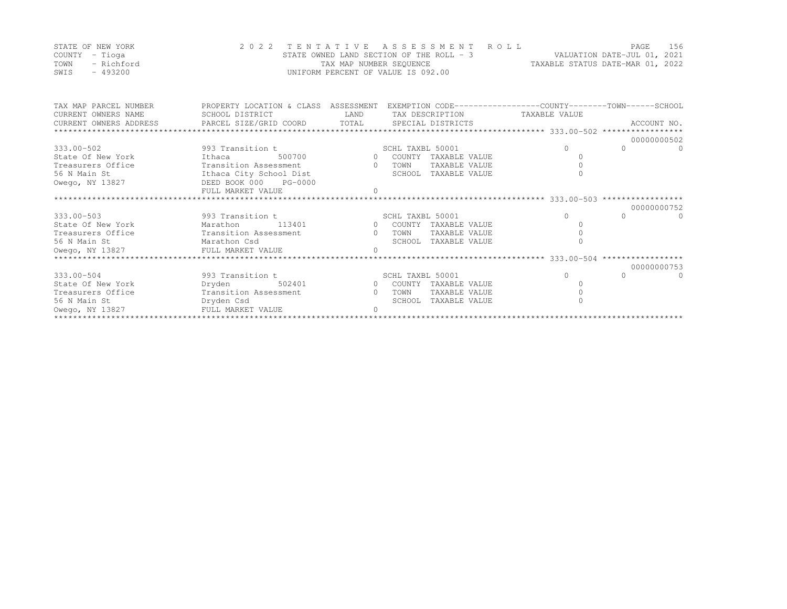|      | STATE OF NEW YORK | 2022 TENTATIVE ASSESSMENT ROLL           |                         |  |                                  | PAGE | - 156 |
|------|-------------------|------------------------------------------|-------------------------|--|----------------------------------|------|-------|
|      | COUNTY – Tioga    | STATE OWNED LAND SECTION OF THE ROLL - 3 |                         |  | VALUATION DATE-JUL 01, 2021      |      |       |
| TOWN | - Richford        |                                          | TAX MAP NUMBER SEOUENCE |  | TAXABLE STATUS DATE-MAR 01, 2022 |      |       |
| SWIS | - 493200          | UNIFORM PERCENT OF VALUE IS 092.00       |                         |  |                                  |      |       |

| TAX MAP PARCEL NUMBER                          | PROPERTY LOCATION & CLASS ASSESSMENT EXEMPTION CODE----------------COUNTY-------TOWN------SCHOOL            |      |        |                               |            |                      |
|------------------------------------------------|-------------------------------------------------------------------------------------------------------------|------|--------|-------------------------------|------------|----------------------|
| CURRENT OWNERS NAME                            | SCHOOL DISTRICT                                                                                             | LAND |        | TAX DESCRIPTION TAXABLE VALUE |            |                      |
|                                                |                                                                                                             |      |        |                               |            |                      |
|                                                |                                                                                                             |      |        |                               |            |                      |
|                                                |                                                                                                             |      |        |                               |            | 00000000502          |
| 333.00-502                                     | 993 Transition t SCHL TAXBL 50001                                                                           |      |        |                               |            | $\Omega$             |
| State Of New York<br>Ithaca Ithaca             | 500700 0 COUNTY                                                                                             |      |        | TAXABLE VALUE                 |            |                      |
| Treasurers Office                              | Transition Assessment 0                                                                                     |      | TOWN   | TAXABLE VALUE                 |            |                      |
| 56 N Main St                                   | Ithaca City School Dist                                                                                     |      |        | SCHOOL TAXABLE VALUE          |            |                      |
| Owego, NY 13827                                | DEED BOOK 000 PG-0000                                                                                       |      |        |                               |            |                      |
|                                                | FULL MARKET VALUE                                                                                           |      |        |                               |            |                      |
|                                                |                                                                                                             |      |        |                               |            |                      |
|                                                |                                                                                                             |      |        |                               |            | 00000000752          |
| 333.00-503                                     | 993 Transition t<br>Marathon 113401 1390 0 COUNTY TAXABLE VALUE                                             |      |        |                               |            | $\cap$<br>$\Omega$   |
| State Of New York                              |                                                                                                             |      |        |                               |            |                      |
| Treasurers Office Transition Assessment 0 TOWN |                                                                                                             |      |        | TAXABLE VALUE                 |            |                      |
| Marathon Csd<br>56 N Main St                   |                                                                                                             |      |        | SCHOOL TAXABLE VALUE          |            |                      |
|                                                |                                                                                                             |      |        |                               |            |                      |
|                                                |                                                                                                             |      |        |                               |            |                      |
|                                                |                                                                                                             |      |        |                               |            | 00000000753          |
| $333.00 - 504$                                 | 993 Transition t SCHL TAXBL 50001                                                                           |      |        |                               | $\bigcirc$ | $\Omega$<br>$\Omega$ |
| State Of New York                              |                                                                                                             |      |        |                               |            |                      |
| Treasurers Office                              | Dryden 502401 0 COUNTY TAXABLE VALUE<br>Transition Assessment 0 TOWN TAXABLE VALUE<br>Transition Assessment |      |        |                               |            |                      |
| 56 N Main St                                   | Dryden Csd                                                                                                  |      | SCHOOL | TAXABLE VALUE                 |            |                      |
| Owego, NY 13827                                | FULL MARKET VALUE                                                                                           |      |        |                               |            |                      |
|                                                |                                                                                                             |      |        |                               |            |                      |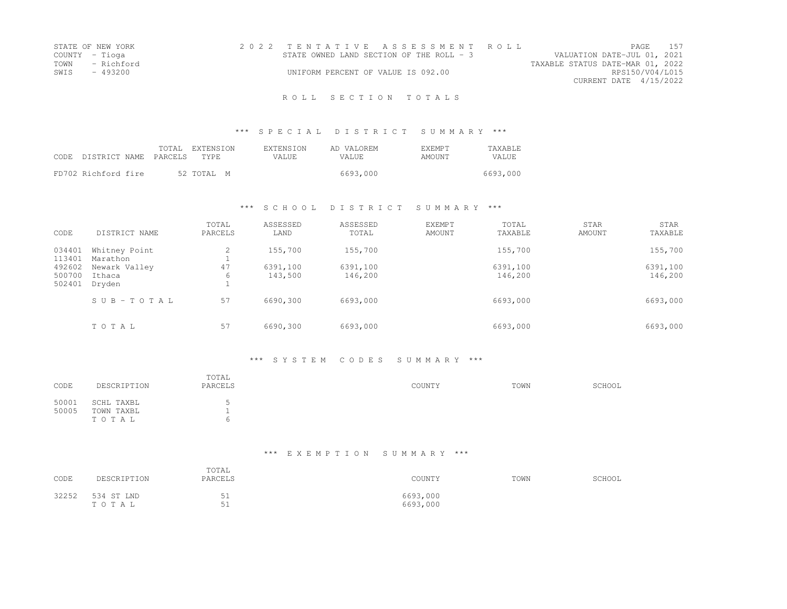| STATE OF NEW YORK | 2022 TENTATIVE ASSESSMENT ROLL           | PAGE                             | 1.57 |
|-------------------|------------------------------------------|----------------------------------|------|
| COUNTY - Tioga    | STATE OWNED LAND SECTION OF THE ROLL - 3 | VALUATION DATE-JUL 01, 2021      |      |
| TOWN - Richford   |                                          | TAXABLE STATUS DATE-MAR 01, 2022 |      |
| SWIS - 493200     | UNIFORM PERCENT OF VALUE IS 092.00       | RPS150/V04/L015                  |      |
|                   |                                          | CURRENT DATE 4/15/2022           |      |
|                   |                                          |                                  |      |

### \*\*\* S P E C I A L D I S T R I C T S U M M A R Y \*\*\*

| CODE. | DISTRICT NAME PARCELS | TOTAL | EXTENSION<br>TYPE | <b>EXTENSION</b><br>VALUE. | AD VALOREM<br>VALUE. | <b>F.XF.MPT</b><br>AMOUNT | <b>TAXABLE</b><br>VALUE |
|-------|-----------------------|-------|-------------------|----------------------------|----------------------|---------------------------|-------------------------|
|       | FD702 Richford fire   |       | 52 TOTAL M        |                            | 6693,000             |                           | 6693,000                |

### \*\*\* S C H O O L D I S T R I C T S U M M A R Y \*\*\*

| CODE             | DISTRICT NAME             | TOTAL<br>PARCELS | ASSESSED<br>LAND | ASSESSED<br>TOTAL | <b>EXEMPT</b><br>AMOUNT | TOTAL<br>TAXABLE | <b>STAR</b><br>AMOUNT | STAR<br>TAXABLE |
|------------------|---------------------------|------------------|------------------|-------------------|-------------------------|------------------|-----------------------|-----------------|
| 034401<br>113401 | Whitney Point<br>Marathon | 2                | 155,700          | 155,700           |                         | 155,700          |                       | 155,700         |
| 492602           | Newark Valley             | 47               | 6391,100         | 6391,100          |                         | 6391,100         |                       | 6391,100        |
| 500700<br>502401 | Ithaca<br>Dryden          | 6                | 143,500          | 146,200           |                         | 146,200          |                       | 146,200         |
|                  | SUB-TOTAL                 | 57               | 6690,300         | 6693,000          |                         | 6693,000         |                       | 6693,000        |
|                  | TOTAL                     | 57               | 6690,300         | 6693,000          |                         | 6693,000         |                       | 6693,000        |

### \*\*\* S Y S T E M C O D E S S U M M A R Y \*\*\*

| CODE           | DESCRIPTION                       | TOTAL<br>PARCELS | COUNTY | TOWN | SCHOOL |
|----------------|-----------------------------------|------------------|--------|------|--------|
| 50001<br>50005 | SCHL TAXBL<br>TOWN TAXBL<br>TOTAL | ъ.<br>h          |        |      |        |

| CODE  | DESCRIPTION         | TOTAL<br>PARCELS     | COUNTY               | TOWN | SCHOOL |
|-------|---------------------|----------------------|----------------------|------|--------|
| 32252 | 534 ST LND<br>TOTAL | 51<br>◡⊥<br>51<br>◡∸ | 6693,000<br>6693,000 |      |        |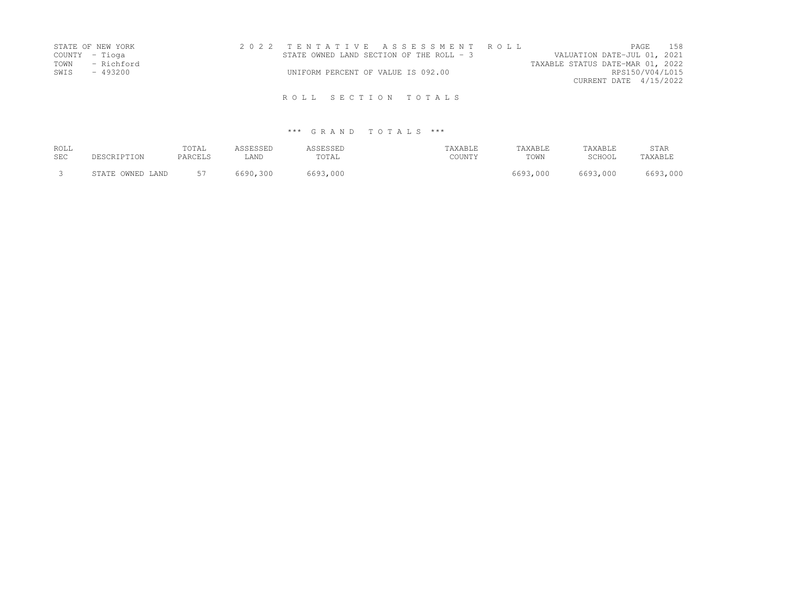| STATE OF NEW YORK  | 2022 TENTATIVE ASSESSMENT ROLL |  |  |                                           |  |                                  |                        | PAGE 158        |  |
|--------------------|--------------------------------|--|--|-------------------------------------------|--|----------------------------------|------------------------|-----------------|--|
| COUNTY – Tioga     |                                |  |  | STATE OWNED LAND SECTION OF THE ROLL $-3$ |  | VALUATION DATE-JUL 01, 2021      |                        |                 |  |
| TOWN<br>- Richford |                                |  |  |                                           |  | TAXABLE STATUS DATE-MAR 01, 2022 |                        |                 |  |
| SWIS<br>- 493200   |                                |  |  | UNIFORM PERCENT OF VALUE IS 092.00        |  |                                  |                        | RPS150/V04/L015 |  |
|                    |                                |  |  |                                           |  |                                  | CURRENT DATE 4/15/2022 |                 |  |
|                    |                                |  |  | ROLL SECTION TOTALS                       |  |                                  |                        |                 |  |

| ROLL       | DESCRIPTION      | TOTAL   | ASSESSED | ASSESSED | TAXABLE | TAXABLE  | TAXABLE  | STAR     |
|------------|------------------|---------|----------|----------|---------|----------|----------|----------|
| <b>SEC</b> |                  | PARCELS | LAND     | TOTAL    | COUNTY  | TOWN     | SCHOOL   | TAXABLE  |
|            | STATE OWNED LAND | 57      | 6690,300 | 6693,000 |         | 6693,000 | 6693,000 | 6693,000 |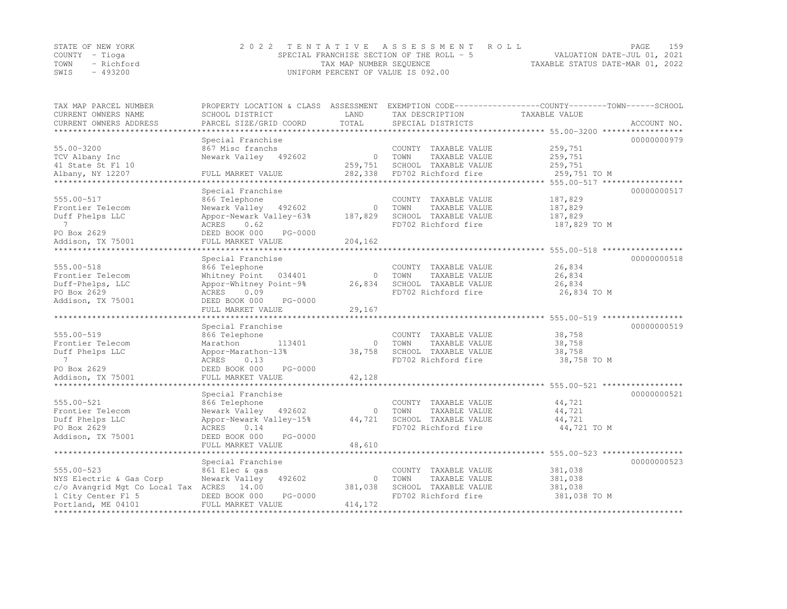|      | STATE OF NEW YORK | 2022 TENTATIVE ASSESSMENT ROLL                              | PAGE                        | 159 |
|------|-------------------|-------------------------------------------------------------|-----------------------------|-----|
|      | COUNTY – Tioga    | SPECIAL FRANCHISE SECTION OF THE ROLL - 5                   | VALUATION DATE-JUL 01, 2021 |     |
| TOWN | - Richford        | TAXABLE STATUS DATE-MAR 01, 2022<br>TAX MAP NUMBER SEQUENCE |                             |     |
| SWIS | - 493200          | UNIFORM PERCENT OF VALUE IS 092.00                          |                             |     |

| TAX MAP PARCEL NUMBER                            |                                       |          |                                               | PROPERTY LOCATION & CLASS ASSESSMENT EXEMPTION CODE----------------COUNTY-------TOWN------SCHOOL |
|--------------------------------------------------|---------------------------------------|----------|-----------------------------------------------|--------------------------------------------------------------------------------------------------|
| CURRENT OWNERS NAME                              | SCHOOL DISTRICT                       | LAND     | TAX DESCRIPTION                               | TAXABLE VALUE                                                                                    |
| CURRENT OWNERS ADDRESS<br>********************** | PARCEL SIZE/GRID COORD                | TOTAL    | SPECIAL DISTRICTS                             | ACCOUNT NO.                                                                                      |
|                                                  |                                       |          |                                               |                                                                                                  |
| $55.00 - 3200$                                   | Special Franchise<br>867 Misc franchs |          |                                               | 00000000979<br>259,751                                                                           |
|                                                  |                                       | $\circ$  | COUNTY TAXABLE VALUE                          | 259,751                                                                                          |
| TCV Albany Inc<br>41 State St Fl 10              | Newark Valley 492602                  | 259,751  | TOWN<br>TAXABLE VALUE<br>SCHOOL TAXABLE VALUE | 259,751                                                                                          |
| Albany, NY 12207                                 | FULL MARKET VALUE                     | 282,338  | FD702 Richford fire                           | 259,751 TO M                                                                                     |
| *************                                    | ***************                       |          |                                               |                                                                                                  |
|                                                  | Special Franchise                     |          |                                               | 00000000517                                                                                      |
| 555.00-517                                       | 866 Telephone                         |          | COUNTY TAXABLE VALUE                          | 187,829                                                                                          |
| Frontier Telecom                                 | Newark Valley 492602                  | $\circ$  | TAXABLE VALUE<br>TOWN                         | 187,829                                                                                          |
| Duff Phelps LLC                                  | Appor-Newark Valley-63%               | 187,829  | SCHOOL TAXABLE VALUE                          | 187,829                                                                                          |
| $\overline{7}$                                   | 0.62<br>ACRES                         |          | FD702 Richford fire                           | 187,829 TO M                                                                                     |
| PO Box 2629                                      | PG-0000<br>DEED BOOK 000              |          |                                               |                                                                                                  |
| Addison, TX 75001                                | FULL MARKET VALUE                     | 204,162  |                                               |                                                                                                  |
|                                                  |                                       |          |                                               |                                                                                                  |
|                                                  | Special Franchise                     |          |                                               | 00000000518                                                                                      |
| 555.00-518                                       | 866 Telephone                         |          | COUNTY TAXABLE VALUE                          | 26,834                                                                                           |
| Frontier Telecom                                 | Whitney Point<br>034401               | $\Omega$ | TOWN<br>TAXABLE VALUE                         | 26,834                                                                                           |
| Duff-Phelps, LLC                                 | Appor-Whitney Point-9%                | 26,834   | SCHOOL TAXABLE VALUE                          | 26,834                                                                                           |
| PO Box 2629                                      | ACRES<br>0.09                         |          | FD702 Richford fire                           | 26,834 TO M                                                                                      |
| Addison, TX 75001                                | DEED BOOK 000<br>PG-0000              |          |                                               |                                                                                                  |
|                                                  | FULL MARKET VALUE                     | 29,167   |                                               |                                                                                                  |
|                                                  | ********************                  |          |                                               | ******************************** 555.00-519 *****************                                    |
|                                                  | Special Franchise                     |          |                                               | 00000000519                                                                                      |
| 555.00-519                                       | 866 Telephone                         |          | COUNTY TAXABLE VALUE                          | 38,758                                                                                           |
| Frontier Telecom                                 | 113401<br>Marathon                    | $\circ$  | TAXABLE VALUE<br>TOWN                         | 38,758                                                                                           |
| Duff Phelps LLC                                  | Appor-Marathon-13%                    | 38,758   | SCHOOL TAXABLE VALUE                          | 38,758                                                                                           |
| $\overline{7}$                                   | ACRES<br>0.13                         |          | FD702 Richford fire                           | 38,758 TO M                                                                                      |
| PO Box 2629                                      | DEED BOOK 000<br>PG-0000              |          |                                               |                                                                                                  |
| Addison, TX 75001                                | FULL MARKET VALUE                     | 42,128   |                                               |                                                                                                  |
|                                                  |                                       |          |                                               | ********** 555.00-521 ****                                                                       |
|                                                  | Special Franchise                     |          |                                               | 00000000521                                                                                      |
| 555.00-521                                       | 866 Telephone                         |          | COUNTY TAXABLE VALUE                          | 44,721                                                                                           |
| Frontier Telecom                                 | Newark Valley<br>492602               | $\circ$  | TAXABLE VALUE<br>TOWN                         | 44,721                                                                                           |
| Duff Phelps LLC                                  | Appor-Newark Valley-15%               | 44,721   | SCHOOL TAXABLE VALUE                          | 44,721                                                                                           |
| PO Box 2629                                      | ACRES<br>0.14                         |          | FD702 Richford fire                           | 44,721 TO M                                                                                      |
| Addison, TX 75001                                | DEED BOOK 000<br>PG-0000              |          |                                               |                                                                                                  |
|                                                  | FULL MARKET VALUE                     | 48,610   |                                               |                                                                                                  |
| *********************                            |                                       |          |                                               |                                                                                                  |
|                                                  | Special Franchise                     |          |                                               | 00000000523                                                                                      |
| 555.00-523                                       | 861 Elec & gas                        |          | COUNTY TAXABLE VALUE                          | 381,038                                                                                          |
| NYS Electric & Gas Corp                          | 492602<br>Newark Valley               | $\circ$  | TAXABLE VALUE<br>TOWN                         | 381,038                                                                                          |
| c/o Avangrid Mgt Co Local Tax ACRES 14.00        |                                       | 381,038  | SCHOOL TAXABLE VALUE                          | 381,038                                                                                          |
| 1 City Center Fl 5                               | PG-0000<br>DEED BOOK 000              |          | FD702 Richford fire                           | 381,038 TO M                                                                                     |
| Portland, ME 04101                               | FULL MARKET VALUE                     | 414,172  |                                               |                                                                                                  |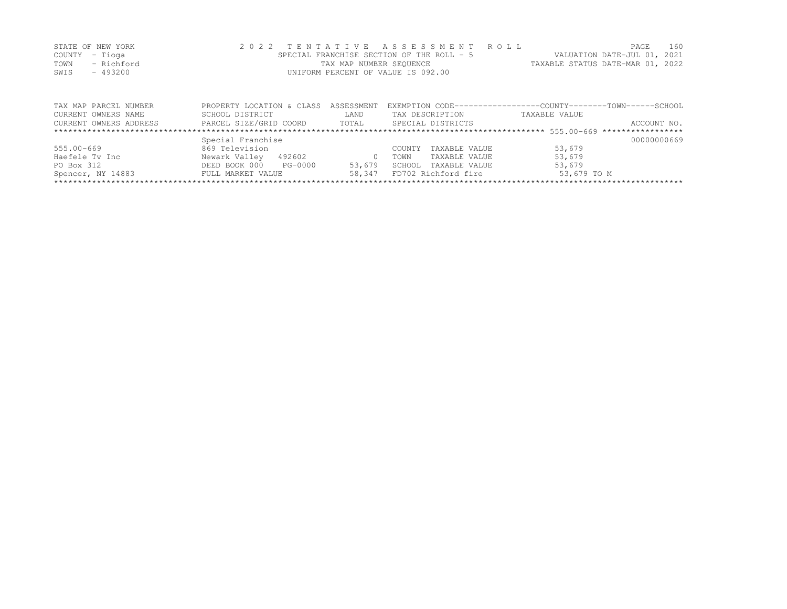|      | STATE OF NEW YORK | 2022 TENTATIVE ASSESSMENT ROLL            | 160<br>PAGE.                     |
|------|-------------------|-------------------------------------------|----------------------------------|
|      | COUNTY – Tioga    | SPECIAL FRANCHISE SECTION OF THE ROLL - 5 | VALUATION DATE-JUL 01, 2021      |
| TOWN | - Richford        | TAX MAP NUMBER SEQUENCE                   | TAXABLE STATUS DATE-MAR 01, 2022 |
| SWIS | $-493200$         | UNIFORM PERCENT OF VALUE IS 092.00        |                                  |

| TAX MAP PARCEL NUMBER  | PROPERTY LOCATION & CLASS  | ASSESSMENT | EXEMPTION CODE-----------------COUNTY-------TOWN------SCHOOL |               |             |
|------------------------|----------------------------|------------|--------------------------------------------------------------|---------------|-------------|
| CURRENT OWNERS NAME    | SCHOOL DISTRICT            | LAND       | TAX DESCRIPTION                                              | TAXABLE VALUE |             |
| CURRENT OWNERS ADDRESS | PARCEL SIZE/GRID COORD     | TOTAL      | SPECIAL DISTRICTS                                            |               | ACCOUNT NO. |
|                        |                            |            |                                                              |               |             |
|                        | Special Franchise          |            |                                                              |               | 00000000669 |
| $555.00 - 669$         | 869 Television             |            | TAXABLE VALUE<br>COUNTY                                      | 53,679        |             |
| Haefele Tv Inc         | Newark Valley<br>492602    |            | TAXABLE VALUE<br>TOWN                                        | 53,679        |             |
| PO Box 312             | DEED BOOK 000<br>$PG-0000$ | 53,679     | TAXABLE VALUE<br>SCHOOL                                      | 53,679        |             |
| Spencer, NY 14883      | FULL MARKET VALUE          | 58,347     | FD702 Richford fire                                          | 53,679 TO M   |             |
|                        |                            |            |                                                              |               |             |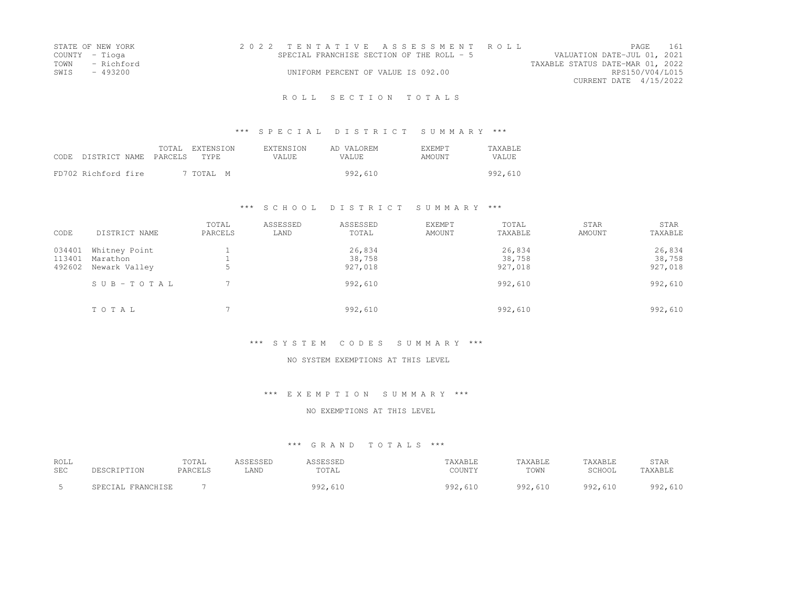| STATE OF NEW YORK  | 2022 TENTATIVE ASSESSMENT ROLL            |                                  | PAGE.                       | 161 |
|--------------------|-------------------------------------------|----------------------------------|-----------------------------|-----|
| COUNTY - Tioga     | SPECIAL FRANCHISE SECTION OF THE ROLL - 5 |                                  | VALUATION DATE-JUL 01, 2021 |     |
| TOWN<br>- Richford |                                           | TAXABLE STATUS DATE-MAR 01, 2022 |                             |     |
| SWIS<br>- 493200   | UNIFORM PERCENT OF VALUE IS 092.00        |                                  | RPS150/V04/L015             |     |
|                    |                                           |                                  | CURRENT DATE 4/15/2022      |     |
|                    |                                           |                                  |                             |     |

### \*\*\* S P E C I A L D I S T R I C T S U M M A R Y \*\*\*

| CODE | DISTRICT NAME PARCELS | TOTAL | EXTENSION<br>TYPE | <b>EXTENSION</b><br>VALUE. | AD VALOREM<br>VALUE. | <b>F.XFMPT</b><br>AMOUNT | <b>TAXABLE</b><br><b>VALUE</b> |
|------|-----------------------|-------|-------------------|----------------------------|----------------------|--------------------------|--------------------------------|
|      | FD702 Richford fire   |       | 7 TOTAL M         |                            | 992,610              |                          | 992,610                        |

### \*\*\* S C H O O L D I S T R I C T S U M M A R Y \*\*\*

| CODE                       | DISTRICT NAME                              | TOTAL<br>PARCELS | ASSESSED<br>LAND | ASSESSED<br>TOTAL           | <b>EXEMPT</b><br>AMOUNT | TOTAL<br>TAXABLE            | <b>STAR</b><br>AMOUNT | STAR<br>TAXABLE             |
|----------------------------|--------------------------------------------|------------------|------------------|-----------------------------|-------------------------|-----------------------------|-----------------------|-----------------------------|
| 034401<br>113401<br>492602 | Whitney Point<br>Marathon<br>Newark Valley | ت                |                  | 26,834<br>38,758<br>927,018 |                         | 26,834<br>38,758<br>927,018 |                       | 26,834<br>38,758<br>927,018 |
|                            | SUB-TOTAL                                  |                  |                  | 992,610                     |                         | 992,610                     |                       | 992,610                     |
|                            | TOTAL                                      |                  |                  | 992,610                     |                         | 992,610                     |                       | 992,610                     |

#### \*\*\* S Y S T E M C O D E S S U M M A R Y \*\*\*

### NO SYSTEM EXEMPTIONS AT THIS LEVEL

### \*\*\* E X E M P T I O N S U M M A R Y \*\*\*

#### NO EXEMPTIONS AT THIS LEVEL

| ROLL       |                   | TOTAL   | ASSESSED | ASSESSED | TAXABLE | TAXABLE | TAXABLE | STAR    |
|------------|-------------------|---------|----------|----------|---------|---------|---------|---------|
| <b>SEC</b> | DESCRIPTION       | PARCELS | LAND     | TOTAL    | COUNTY  | TOWN    | SCHOOL  | TAXABLE |
|            | SPECIAL FRANCHISE |         |          | 992,610  | 992,610 | 992,610 | 992,610 | 992,610 |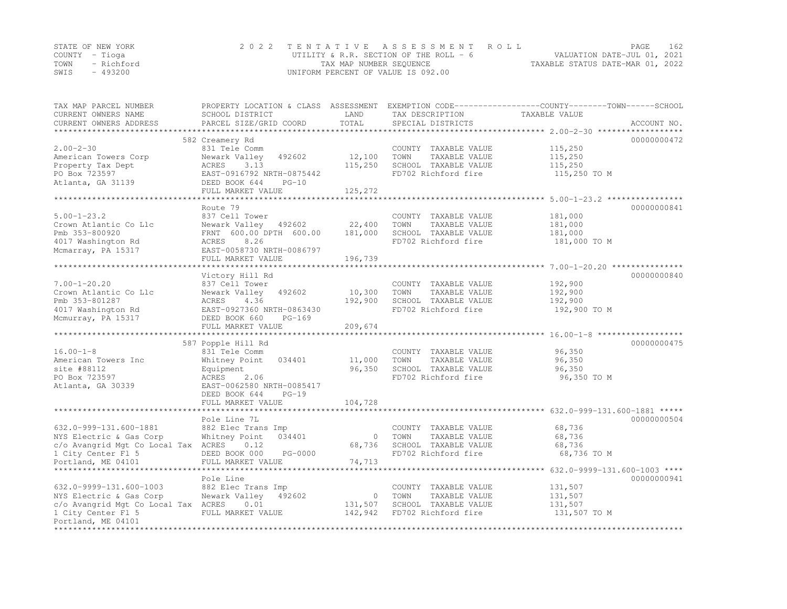|      | STATE OF NEW YORK | 2022 TENTATIVE ASSESSMENT ROLL           |                                  | PAGE | 162 |
|------|-------------------|------------------------------------------|----------------------------------|------|-----|
|      | COUNTY – Tioga    | UTILITY & R.R. SECTION OF THE ROLL - $6$ | VALUATION DATE-JUL 01, 2021      |      |     |
| TOWN | - Richford        | TAX MAP NUMBER SEQUENCE                  | TAXABLE STATUS DATE-MAR 01, 2022 |      |     |
| SWIS | $-493200$         | UNIFORM PERCENT OF VALUE IS 092.00       |                                  |      |     |

| TAX MAP PARCEL NUMBER<br>CURRENT OWNERS NAME              | SCHOOL DISTRICT                        | LAND               | TAX DESCRIPTION                             | PROPERTY LOCATION & CLASS ASSESSMENT EXEMPTION CODE----------------COUNTY-------TOWN------SCHOOL<br>TAXABLE VALUE |             |
|-----------------------------------------------------------|----------------------------------------|--------------------|---------------------------------------------|-------------------------------------------------------------------------------------------------------------------|-------------|
| CURRENT OWNERS ADDRESS                                    | PARCEL SIZE/GRID COORD                 | TOTAL              | SPECIAL DISTRICTS                           |                                                                                                                   | ACCOUNT NO. |
|                                                           |                                        |                    |                                             |                                                                                                                   | 00000000472 |
| $2.00 - 2 - 30$                                           | 582 Creamery Rd<br>831 Tele Comm       |                    | COUNTY TAXABLE VALUE                        | 115,250                                                                                                           |             |
| American Towers Corp                                      | Newark Valley<br>492602                | 12,100             | TAXABLE VALUE<br>TOWN                       | 115,250                                                                                                           |             |
| Property Tax Dept                                         | ACRES<br>3.13                          | 115,250            | SCHOOL TAXABLE VALUE                        | 115,250                                                                                                           |             |
| PO Box 723597                                             | EAST-0916792 NRTH-0875442              |                    | FD702 Richford fire                         | 115,250 TO M                                                                                                      |             |
| Atlanta, GA 31139                                         | DEED BOOK 644<br>$PG-10$               |                    |                                             |                                                                                                                   |             |
|                                                           | FULL MARKET VALUE                      | 125,272            |                                             |                                                                                                                   |             |
|                                                           | ************************************** | **********         |                                             | ************************ 5.00-1-23.2 *****************                                                            |             |
|                                                           | Route 79                               |                    |                                             |                                                                                                                   | 00000000841 |
| $5.00 - 1 - 23.2$                                         | 837 Cell Tower                         |                    | COUNTY TAXABLE VALUE                        | 181,000                                                                                                           |             |
| Crown Atlantic Co Llc                                     | Newark Valley 492602                   | 22,400             | TOWN<br>TAXABLE VALUE                       | 181,000                                                                                                           |             |
| Pmb 353-800920                                            | FRNT 600.00 DPTH 600.00                | 181,000            | SCHOOL TAXABLE VALUE                        | 181,000                                                                                                           |             |
| 4017 Washington Rd                                        | 8.26<br>ACRES                          |                    | FD702 Richford fire                         | 181,000 TO M                                                                                                      |             |
| Mcmarray, PA 15317                                        | EAST-0058730 NRTH-0086797              |                    |                                             |                                                                                                                   |             |
|                                                           | FULL MARKET VALUE                      | 196,739            |                                             |                                                                                                                   |             |
|                                                           |                                        |                    |                                             |                                                                                                                   |             |
|                                                           | Victory Hill Rd                        |                    |                                             |                                                                                                                   | 00000000840 |
| $7.00 - 1 - 20.20$                                        | 837 Cell Tower                         |                    | COUNTY TAXABLE VALUE                        | 192,900                                                                                                           |             |
| Crown Atlantic Co Llc                                     | Newark Valley 492602<br>4.36           | 10,300             | TOWN<br>TAXABLE VALUE                       | 192,900                                                                                                           |             |
| Pmb 353-801287<br>4017 Washington Rd                      | ACRES<br>EAST-0927360 NRTH-0863430     | 192,900            | SCHOOL TAXABLE VALUE<br>FD702 Richford fire | 192,900<br>192,900 TO M                                                                                           |             |
| Mcmurray, PA 15317                                        | DEED BOOK 660<br>$PG-169$              |                    |                                             |                                                                                                                   |             |
|                                                           | FULL MARKET VALUE                      | 209,674            |                                             |                                                                                                                   |             |
|                                                           |                                        |                    |                                             |                                                                                                                   |             |
|                                                           | 587 Popple Hill Rd                     |                    |                                             |                                                                                                                   | 00000000475 |
| $16.00 - 1 - 8$                                           | 831 Tele Comm                          |                    | COUNTY TAXABLE VALUE                        | 96,350                                                                                                            |             |
| American Towers Inc                                       | Whitney Point<br>034401                | 11,000             | TAXABLE VALUE<br>TOWN                       | 96,350                                                                                                            |             |
| site #88112                                               | Equipment                              | 96,350             | SCHOOL TAXABLE VALUE                        | 96,350                                                                                                            |             |
| PO Box 723597                                             | ACRES<br>2.06                          |                    | FD702 Richford fire                         | 96,350 TO M                                                                                                       |             |
| Atlanta, GA 30339                                         | EAST-0062580 NRTH-0085417              |                    |                                             |                                                                                                                   |             |
|                                                           | $PG-19$<br>DEED BOOK 644               |                    |                                             |                                                                                                                   |             |
|                                                           | FULL MARKET VALUE                      | 104,728            |                                             |                                                                                                                   |             |
|                                                           |                                        |                    |                                             |                                                                                                                   |             |
|                                                           | Pole Line 7L                           |                    |                                             |                                                                                                                   | 00000000504 |
| 632.0-999-131.600-1881                                    | 882 Elec Trans Imp                     |                    | COUNTY TAXABLE VALUE                        | 68,736                                                                                                            |             |
| NYS Electric & Gas Corp                                   | Whitney Point<br>034401                | $\circ$            | TAXABLE VALUE<br>TOWN                       | 68,736                                                                                                            |             |
| c/o Avangrid Mgt Co Local Tax ACRES 0.12                  |                                        | 68,736             | SCHOOL TAXABLE VALUE                        | 68,736                                                                                                            |             |
| 1 City Center Fl 5                                        | DEED BOOK 000<br>PG-0000               |                    | FD702 Richford fire                         | 68,736 TO M                                                                                                       |             |
| Portland, ME 04101                                        | FULL MARKET VALUE                      | 74,713             |                                             |                                                                                                                   |             |
|                                                           |                                        |                    |                                             |                                                                                                                   |             |
|                                                           | Pole Line                              |                    |                                             |                                                                                                                   | 00000000941 |
| 632.0-9999-131.600-1003                                   | 882 Elec Trans Imp                     |                    | COUNTY TAXABLE VALUE                        | 131,507                                                                                                           |             |
| NYS Electric & Gas Corp                                   | Newark Valley<br>492602                | $\overline{0}$     | TOWN<br>TAXABLE VALUE                       | 131,507                                                                                                           |             |
| c/o Avangrid Mgt Co Local Tax ACRES<br>1 City Center Fl 5 | 0.01<br>FULL MARKET VALUE              | 131,507<br>142,942 | SCHOOL TAXABLE VALUE<br>FD702 Richford fire | 131,507<br>131,507 TO M                                                                                           |             |
| Portland, ME 04101                                        |                                        |                    |                                             |                                                                                                                   |             |
| ****************************                              | **********************                 |                    |                                             |                                                                                                                   |             |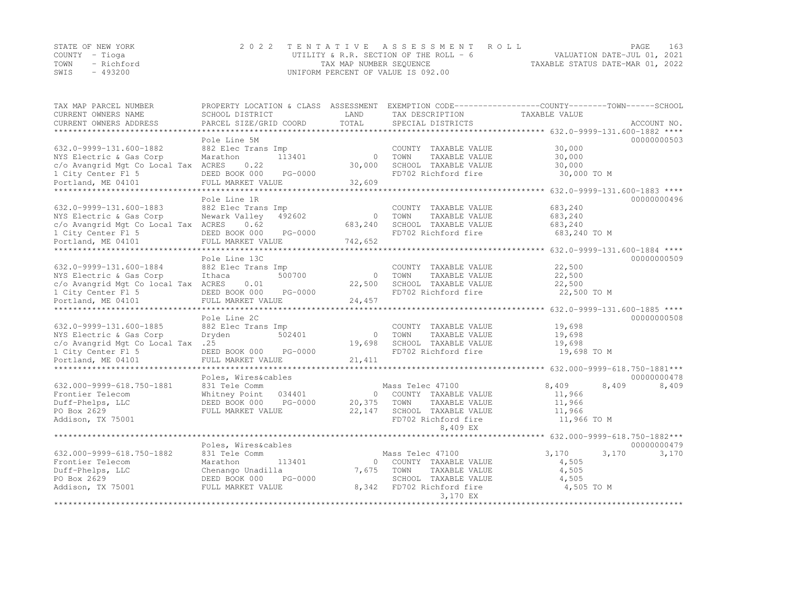|                | STATE OF NEW YORK | 2022 TENTATIVE ASSESSMENT ROLL         |                                  | PAGE                        | 163 |
|----------------|-------------------|----------------------------------------|----------------------------------|-----------------------------|-----|
| COUNTY – Tioqa |                   | UTILITY & R.R. SECTION OF THE ROLL - 6 |                                  | VALUATION DATE-JUL 01, 2021 |     |
|                | TOWN - Richford   | TAX MAP NUMBER SEQUENCE                | TAXABLE STATUS DATE-MAR 01, 2022 |                             |     |
| SWIS           | - 493200          | UNIFORM PERCENT OF VALUE IS 092.00     |                                  |                             |     |

| TAX MAP PARCEL NUMBER<br>CURRENT OWNERS NAME                   | PROPERTY LOCATION & CLASS<br>SCHOOL DISTRICT  | ASSESSMENT<br>LAND | EXEMPTION CODE-----------------COUNTY-------TOWN-----SCHOOL<br>TAX DESCRIPTION | TAXABLE VALUE                                    |                              |
|----------------------------------------------------------------|-----------------------------------------------|--------------------|--------------------------------------------------------------------------------|--------------------------------------------------|------------------------------|
| CURRENT OWNERS ADDRESS                                         | PARCEL SIZE/GRID COORD                        | TOTAL              | SPECIAL DISTRICTS                                                              |                                                  | ACCOUNT NO.                  |
| *******************                                            |                                               |                    |                                                                                |                                                  |                              |
|                                                                | Pole Line 5M                                  |                    |                                                                                |                                                  | 00000000503                  |
| 632.0-9999-131.600-1882                                        | 882 Elec Trans Imp                            |                    | COUNTY TAXABLE VALUE                                                           | 30,000                                           |                              |
| NYS Electric & Gas Corp                                        | 113401<br>Marathon                            | $\Omega$           | TOWN<br>TAXABLE VALUE                                                          | 30,000                                           |                              |
| c/o Avangrid Mgt Co Local Tax ACRES                            | 0.22                                          | 30,000             | SCHOOL TAXABLE VALUE                                                           | 30,000                                           |                              |
| 1 City Center Fl 5                                             | DEED BOOK 000<br>PG-0000                      |                    | FD702 Richford fire                                                            | 30,000 TO M                                      |                              |
| Portland, ME 04101                                             | FULL MARKET VALUE                             | 32,609             |                                                                                |                                                  |                              |
|                                                                |                                               |                    |                                                                                | ******************* 632.0-9999-131.600-1883 **** |                              |
|                                                                | Pole Line 1R                                  |                    |                                                                                |                                                  | 00000000496                  |
| 632.0-9999-131.600-1883                                        | 882 Elec Trans Imp<br>Newark Valley<br>492602 | $\Omega$           | COUNTY TAXABLE VALUE<br>TOWN<br>TAXABLE VALUE                                  | 683,240<br>683,240                               |                              |
| NYS Electric & Gas Corp<br>c/o Avangrid Mgt Co Local Tax ACRES | 0.62                                          | 683,240            | SCHOOL TAXABLE VALUE                                                           | 683,240                                          |                              |
| 1 City Center Fl 5                                             | DEED BOOK 000<br>PG-0000                      |                    | FD702 Richford fire                                                            | 683,240 TO M                                     |                              |
| Portland, ME 04101                                             | FULL MARKET VALUE                             | 742,652            |                                                                                |                                                  |                              |
| **************************                                     |                                               |                    | ******************************* 632.0-9999-131.600-1884 ****                   |                                                  |                              |
|                                                                | Pole Line 13C                                 |                    |                                                                                |                                                  | 00000000509                  |
| 632.0-9999-131.600-1884                                        | 882 Elec Trans Imp                            |                    | COUNTY TAXABLE VALUE                                                           | 22,500                                           |                              |
| NYS Electric & Gas Corp                                        | 500700<br>Ithaca                              | $\Omega$           | TOWN<br>TAXABLE VALUE                                                          | 22,500                                           |                              |
| c/o Avangrid Mgt Co local Tax ACRES                            | 0.01                                          | 22,500             | SCHOOL TAXABLE VALUE                                                           | 22,500                                           |                              |
| 1 City Center Fl 5                                             | DEED BOOK 000<br>PG-0000                      |                    | FD702 Richford fire                                                            | 22,500 TO M                                      |                              |
| Portland, ME 04101                                             | FULL MARKET VALUE                             | 24,457             |                                                                                |                                                  |                              |
|                                                                |                                               |                    |                                                                                | **************** 632.0-9999-131.600-1885 ****    |                              |
|                                                                | Pole Line 2C                                  |                    |                                                                                |                                                  | 00000000508                  |
| 632.0-9999-131.600-1885                                        | 882 Elec Trans Imp                            |                    | COUNTY TAXABLE VALUE                                                           | 19,698                                           |                              |
| NYS Electric & Gas Corp                                        | 502401<br>Dryden                              | $\Omega$           | TOWN<br>TAXABLE VALUE                                                          | 19,698                                           |                              |
| c/o Avangrid Mgt Co Local Tax .25                              |                                               | 19,698             | SCHOOL TAXABLE VALUE                                                           | 19,698                                           |                              |
| 1 City Center Fl 5                                             | DEED BOOK 000<br>PG-0000                      |                    | FD702 Richford fire                                                            | 19,698 TO M                                      |                              |
| Portland, ME 04101                                             | FULL MARKET VALUE                             | 21, 411            |                                                                                |                                                  | 632.000-9999-618.750-1881*** |
|                                                                | Poles, Wires&cables                           |                    |                                                                                |                                                  | 00000000478                  |
| 632.000-9999-618.750-1881                                      | 831 Tele Comm                                 |                    | Mass Telec 47100                                                               | 8,409                                            | 8,409<br>8,409               |
| Frontier Telecom                                               | Whitney Point<br>034401                       | $\Omega$           | COUNTY TAXABLE VALUE                                                           | 11,966                                           |                              |
| Duff-Phelps, LLC                                               | PG-0000<br>DEED BOOK 000                      | 20,375             | TOWN<br>TAXABLE VALUE                                                          | 11,966                                           |                              |
| PO Box 2629                                                    | FULL MARKET VALUE                             | 22,147             | SCHOOL TAXABLE VALUE                                                           | 11,966                                           |                              |
| Addison, TX 75001                                              |                                               |                    | FD702 Richford fire                                                            | 11,966 TO M                                      |                              |
|                                                                |                                               |                    | 8,409 EX                                                                       |                                                  |                              |
|                                                                |                                               |                    |                                                                                |                                                  | 632.000-9999-618.750-1882*** |
|                                                                | Poles, Wires&cables                           |                    |                                                                                |                                                  | 00000000479                  |
| 632.000-9999-618.750-1882                                      | 831 Tele Comm                                 |                    | Mass Telec 47100                                                               | 3,170                                            | 3,170<br>3,170               |
| Frontier Telecom                                               | 113401<br>Marathon                            | $\Omega$           | COUNTY TAXABLE VALUE                                                           | 4,505                                            |                              |
| Duff-Phelps, LLC                                               | Chenango Unadilla                             | 7,675              | TOWN<br>TAXABLE VALUE                                                          | 4,505                                            |                              |
| PO Box 2629                                                    | PG-0000<br>DEED BOOK 000                      |                    | SCHOOL TAXABLE VALUE                                                           | 4,505                                            |                              |
| Addison, TX 75001                                              | FULL MARKET VALUE                             | 8,342              | FD702 Richford fire                                                            | 4,505 TO M                                       |                              |
|                                                                |                                               |                    | 3,170 EX<br>*****************                                                  |                                                  |                              |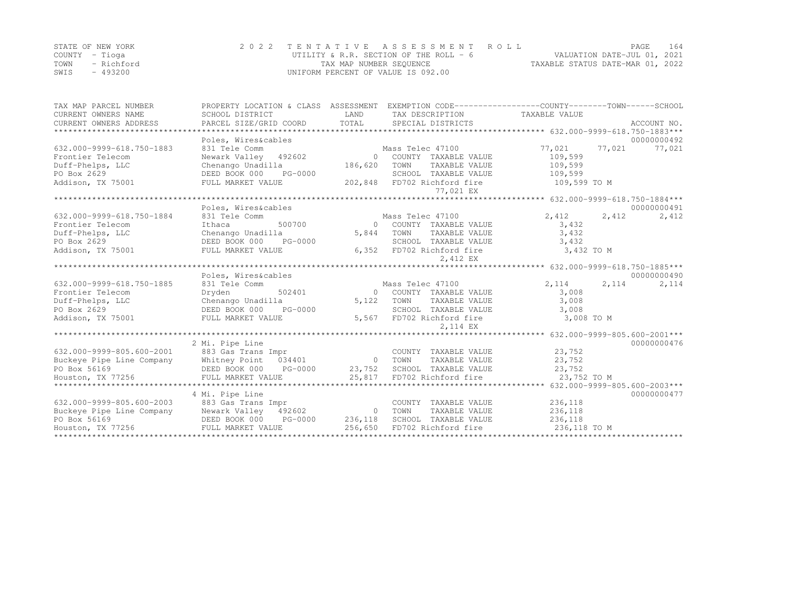| STATE OF NEW YORK  | 2022 TENTATIVE ASSESSMENT ROLL           | 164<br>PAGE                      |
|--------------------|------------------------------------------|----------------------------------|
| COUNTY – Tioga     | UTILITY & R.R. SECTION OF THE ROLL - $6$ | VALUATION DATE-JUL 01, 2021      |
| TOWN<br>- Richford | TAX MAP NUMBER SEQUENCE                  | TAXABLE STATUS DATE-MAR 01, 2022 |
| $-493200$<br>SWIS  | UNIFORM PERCENT OF VALUE IS 092.00       |                                  |

| TAX MAP PARCEL NUMBER                                                                                                                                                                                                                                                                                                                                                                                              |                          |                     |                                               | PROPERTY LOCATION & CLASS ASSESSMENT EXEMPTION CODE----------------COUNTY-------TOWN------SCHOOL |             |
|--------------------------------------------------------------------------------------------------------------------------------------------------------------------------------------------------------------------------------------------------------------------------------------------------------------------------------------------------------------------------------------------------------------------|--------------------------|---------------------|-----------------------------------------------|--------------------------------------------------------------------------------------------------|-------------|
| CURRENT OWNERS NAME                                                                                                                                                                                                                                                                                                                                                                                                | SCHOOL DISTRICT          | LAND<br>TOTAL       | TAX DESCRIPTION                               | TAXABLE VALUE                                                                                    |             |
| CURRENT OWNERS ADDRESS                                                                                                                                                                                                                                                                                                                                                                                             | PARCEL SIZE/GRID COORD   |                     | SPECIAL DISTRICTS                             |                                                                                                  | ACCOUNT NO. |
|                                                                                                                                                                                                                                                                                                                                                                                                                    | Poles, Wires&cables      |                     |                                               |                                                                                                  | 00000000492 |
| 632.000-9999-618.750-1883                                                                                                                                                                                                                                                                                                                                                                                          | 831 Tele Comm            |                     | Mass Telec 47100                              | 77,021<br>77,021                                                                                 |             |
| Frontier Telecom                                                                                                                                                                                                                                                                                                                                                                                                   | Newark Valley 492602     |                     |                                               |                                                                                                  | 77,021      |
|                                                                                                                                                                                                                                                                                                                                                                                                                    |                          | $\Omega$<br>186,620 | COUNTY TAXABLE VALUE<br>TOWN<br>TAXABLE VALUE | 109,599<br>109,599                                                                               |             |
| Duff-Phelps, LLC                                                                                                                                                                                                                                                                                                                                                                                                   | Chenango Unadilla        |                     |                                               |                                                                                                  |             |
| PO Box 2629                                                                                                                                                                                                                                                                                                                                                                                                        | DEED BOOK 000<br>PG-0000 |                     | SCHOOL TAXABLE VALUE                          | 109,599                                                                                          |             |
| Addison, TX 75001                                                                                                                                                                                                                                                                                                                                                                                                  | FULL MARKET VALUE        |                     | 202,848 FD702 Richford fire<br>77,021 EX      | 109,599 TO M                                                                                     |             |
|                                                                                                                                                                                                                                                                                                                                                                                                                    |                          |                     |                                               |                                                                                                  |             |
|                                                                                                                                                                                                                                                                                                                                                                                                                    | Poles, Wires&cables      |                     |                                               |                                                                                                  | 00000000491 |
| 632.000-9999-618.750-1884                                                                                                                                                                                                                                                                                                                                                                                          | 831 Tele Comm            |                     | Mass Telec 47100                              | 2,412<br>2,412                                                                                   | 2,412       |
| Frontier Telecom                                                                                                                                                                                                                                                                                                                                                                                                   | 500700<br>Ithaca         | $\Omega$            | COUNTY TAXABLE VALUE                          | 3,432                                                                                            |             |
| Duff-Phelps, LLC                                                                                                                                                                                                                                                                                                                                                                                                   | Chenango Unadilla        | 5,844               | TOWN<br>TAXABLE VALUE                         | 3,432                                                                                            |             |
| PO Box 2629                                                                                                                                                                                                                                                                                                                                                                                                        | DEED BOOK 000<br>PG-0000 |                     | SCHOOL TAXABLE VALUE                          | 3,432                                                                                            |             |
| Addison, TX 75001                                                                                                                                                                                                                                                                                                                                                                                                  | FULL MARKET VALUE        |                     | 6,352 FD702 Richford fire                     | 3,432 TO M                                                                                       |             |
|                                                                                                                                                                                                                                                                                                                                                                                                                    |                          |                     | 2,412 EX                                      |                                                                                                  |             |
|                                                                                                                                                                                                                                                                                                                                                                                                                    |                          |                     |                                               | **************** 632.000-9999-618.750-1885***                                                    |             |
|                                                                                                                                                                                                                                                                                                                                                                                                                    | Poles, Wires&cables      |                     |                                               |                                                                                                  | 00000000490 |
| 632.000-9999-618.750-1885                                                                                                                                                                                                                                                                                                                                                                                          | 831 Tele Comm            |                     | Mass Telec 47100                              | 2,114<br>2, 114                                                                                  | 2,114       |
| Frontier Telecom                                                                                                                                                                                                                                                                                                                                                                                                   | 502401<br>Dryden         |                     | 0 COUNTY TAXABLE VALUE                        | 3,008                                                                                            |             |
| Duff-Phelps, LLC                                                                                                                                                                                                                                                                                                                                                                                                   | Chenango Unadilla        | 5,122               | TOWN<br>TAXABLE VALUE                         | 3,008                                                                                            |             |
| PO Box 2629                                                                                                                                                                                                                                                                                                                                                                                                        | PG-0000<br>DEED BOOK 000 |                     | SCHOOL TAXABLE VALUE                          | 3,008                                                                                            |             |
| Addison, TX 75001                                                                                                                                                                                                                                                                                                                                                                                                  | FULL MARKET VALUE        |                     | 5,567 FD702 Richford fire                     | 3,008 TO M                                                                                       |             |
|                                                                                                                                                                                                                                                                                                                                                                                                                    |                          |                     | 2.114 EX                                      |                                                                                                  |             |
|                                                                                                                                                                                                                                                                                                                                                                                                                    |                          |                     |                                               |                                                                                                  |             |
|                                                                                                                                                                                                                                                                                                                                                                                                                    | 2 Mi. Pipe Line          |                     |                                               |                                                                                                  | 00000000476 |
| 632.000-9999-805.600-2001                                                                                                                                                                                                                                                                                                                                                                                          | 883 Gas Trans Impr       |                     | COUNTY TAXABLE VALUE                          | 23,752                                                                                           |             |
| Buckeye Pipe Line Company                                                                                                                                                                                                                                                                                                                                                                                          | Whitney Point 034401     | 0 TOWN              | TAXABLE VALUE                                 | 23,752                                                                                           |             |
| PO Box 56169                                                                                                                                                                                                                                                                                                                                                                                                       |                          |                     |                                               |                                                                                                  |             |
| Houston, TX 77256                                                                                                                                                                                                                                                                                                                                                                                                  |                          |                     |                                               |                                                                                                  |             |
|                                                                                                                                                                                                                                                                                                                                                                                                                    |                          |                     |                                               |                                                                                                  |             |
|                                                                                                                                                                                                                                                                                                                                                                                                                    | 4 Mi. Pipe Line          |                     |                                               |                                                                                                  | 00000000477 |
| 632.000-9999-805.600-2003                                                                                                                                                                                                                                                                                                                                                                                          | 883 Gas Trans Impr       |                     | COUNTY TAXABLE VALUE                          | 236,118                                                                                          |             |
| Buckeye Pipe Line Company                                                                                                                                                                                                                                                                                                                                                                                          | Newark Valley 492602     | $\Omega$            | TOWN<br>TAXABLE VALUE                         | 236,118                                                                                          |             |
|                                                                                                                                                                                                                                                                                                                                                                                                                    |                          |                     |                                               |                                                                                                  |             |
| $\begin{tabular}{lllll} \texttt{PO Box 56169} & & & & \texttt{DEED BOOK 000} & & & \texttt{PG-0000} & & & \texttt{236,118} & & \texttt{SCHOOL TAXABLE VALUE} & & & \texttt{236,118} & \\ \texttt{Houston, TX 77256} & & & & \texttt{FULL MARKET VALUE} & & & \texttt{256,650} & \texttt{FD702 Richard fire} & & \texttt{236,118 TO M} & \\ & & & & & \texttt{236,118 T0 M} & & & \texttt{236,118 T0 M} & \\ \text$ |                          |                     |                                               |                                                                                                  |             |
|                                                                                                                                                                                                                                                                                                                                                                                                                    |                          |                     |                                               |                                                                                                  |             |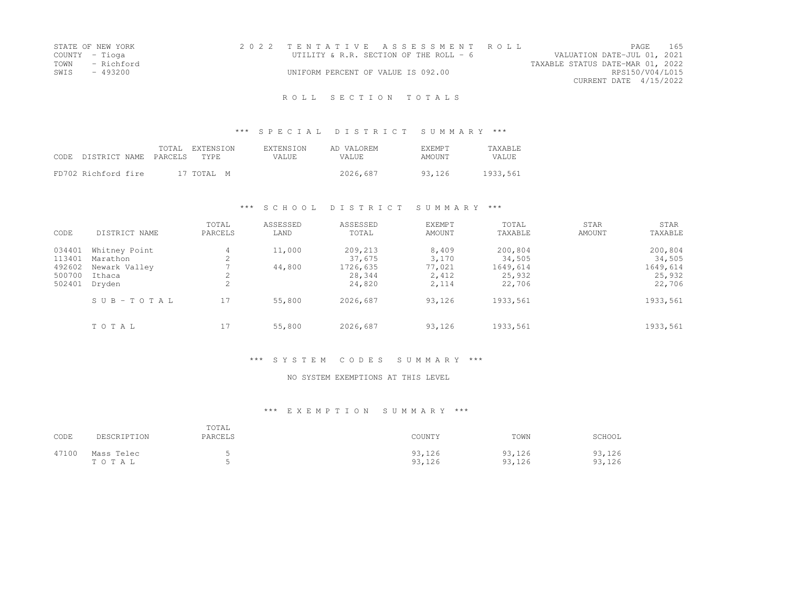| STATE OF NEW YORK | 2022 TENTATIVE ASSESSMENT ROLL          |  |                                  |                        | <b>PAGE</b> | - 165 |
|-------------------|-----------------------------------------|--|----------------------------------|------------------------|-------------|-------|
| COUNTY - Tioga    | UTILITY & R.R. SECTION OF THE ROLL $-6$ |  | VALUATION DATE-JUL 01, 2021      |                        |             |       |
| TOWN - Richford   |                                         |  | TAXABLE STATUS DATE-MAR 01, 2022 |                        |             |       |
| SWTS<br>- 493200  | UNIFORM PERCENT OF VALUE IS 092.00      |  |                                  | RPS150/V04/L015        |             |       |
|                   |                                         |  |                                  | CURRENT DATE 4/15/2022 |             |       |
|                   |                                         |  |                                  |                        |             |       |

### \*\*\* S P E C I A L D I S T R I C T S U M M A R Y \*\*\*

| CODE DISTRICT NAME PARCELS |  | TOTAL EXTENSION<br>TYPE. | <b>EXTENSION</b><br>VALUE. | AD VALOREM<br>VALUE. | EXEMPT<br>AMOUNT | TAXABLE<br>VALUE |
|----------------------------|--|--------------------------|----------------------------|----------------------|------------------|------------------|
| FD702 Richford fire        |  | 17 TOTAL M               |                            | 2026,687             | 93.126           | 1933,561         |

### \*\*\* S C H O O L D I S T R I C T S U M M A R Y \*\*\*

| CODE                                           | DISTRICT NAME                                                  | TOTAL<br>PARCELS                            | ASSESSED<br>LAND | ASSESSED<br>TOTAL                                 | <b>EXEMPT</b><br><b>AMOUNT</b>             | TOTAL<br>TAXABLE                                  | STAR<br>AMOUNT | STAR<br>TAXABLE                                   |
|------------------------------------------------|----------------------------------------------------------------|---------------------------------------------|------------------|---------------------------------------------------|--------------------------------------------|---------------------------------------------------|----------------|---------------------------------------------------|
| 034401<br>113401<br>492602<br>500700<br>502401 | Whitney Point<br>Marathon<br>Newark Valley<br>Ithaca<br>Dryden | 4<br>$\bigcirc$<br>∠<br>2<br>$\bigcap$<br>∠ | 11,000<br>44,800 | 209,213<br>37,675<br>1726,635<br>28,344<br>24,820 | 8,409<br>3,170<br>77,021<br>2,412<br>2,114 | 200,804<br>34,505<br>1649,614<br>25,932<br>22,706 |                | 200,804<br>34,505<br>1649,614<br>25,932<br>22,706 |
|                                                | SUB-TOTAL                                                      | 17                                          | 55,800           | 2026,687                                          | 93,126                                     | 1933,561                                          |                | 1933,561                                          |
|                                                | TOTAL                                                          | 17                                          | 55,800           | 2026,687                                          | 93,126                                     | 1933,561                                          |                | 1933,561                                          |

### \*\*\* S Y S T E M C O D E S S U M M A R Y \*\*\*

#### NO SYSTEM EXEMPTIONS AT THIS LEVEL

| CODE  | DESCRIPTION         | TOTAL<br>PARCELS | COUNTY           | TOWN             | SCHOOL           |
|-------|---------------------|------------------|------------------|------------------|------------------|
| 47100 | Mass Telec<br>TOTAL |                  | 93,126<br>93,126 | 93,126<br>93,126 | 93,126<br>93,126 |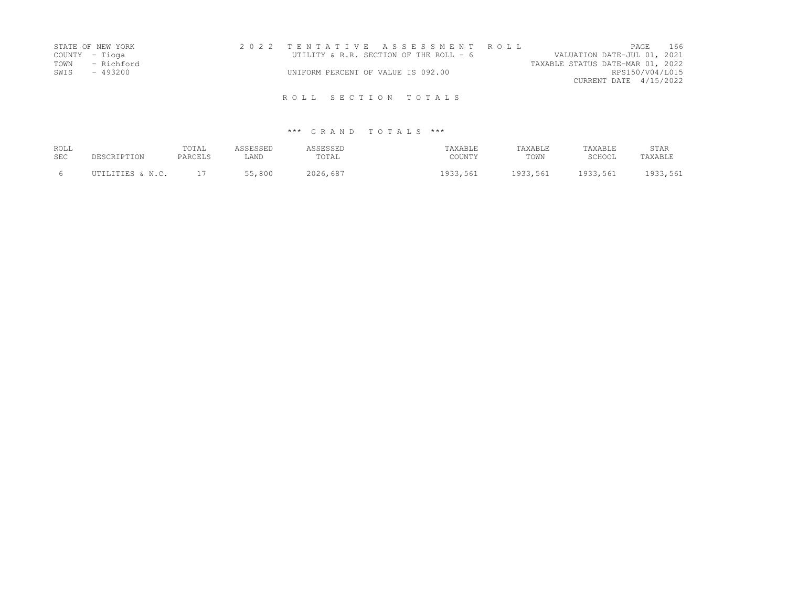| STATE OF NEW YORK  | 2022 TENTATIVE ASSESSMENT ROLL           |                                  | PAGE 166        |  |
|--------------------|------------------------------------------|----------------------------------|-----------------|--|
| COUNTY – Tioga     | UTILITY & R.R. SECTION OF THE ROLL - $6$ | VALUATION DATE-JUL 01, 2021      |                 |  |
| TOWN<br>- Richford |                                          | TAXABLE STATUS DATE-MAR 01, 2022 |                 |  |
| SWIS<br>- 493200   | UNIFORM PERCENT OF VALUE IS 092.00       |                                  | RPS150/V04/L015 |  |
|                    |                                          | CURRENT DATE 4/15/2022           |                 |  |
|                    | ROLL SECTION TOTALS                      |                                  |                 |  |

| ROLL | DESCRIPTION      | TOTAL          | ASSESSED | ASSESSED | TAXABLE  | TAXABLE  | TAXABLE  | STAR     |
|------|------------------|----------------|----------|----------|----------|----------|----------|----------|
| SEC  |                  | <b>PARCELS</b> | LAND     | TOTAL    | COUNTY   | TOWN     | SCHOOL   | TAXABLE  |
|      | UTILITIES & N.C. |                | 55,800   | 2026,687 | 1933,561 | 1933,561 | 1933,561 | 1933,561 |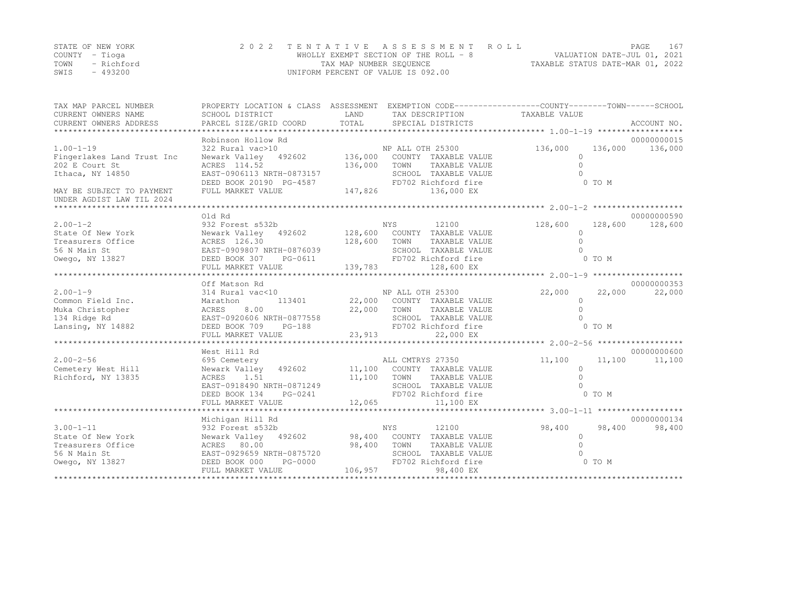|      | STATE OF NEW YORK | 2022 TENTATIVE ASSESSMENT ROLL        | <b>PAGE</b>                      | 167 |
|------|-------------------|---------------------------------------|----------------------------------|-----|
|      | COUNTY – Tioga    | WHOLLY EXEMPT SECTION OF THE ROLL - 8 | VALUATION DATE-JUL 01, 2021      |     |
| TOWN | - Richford        | TAX MAP NUMBER SEQUENCE               | TAXABLE STATUS DATE-MAR 01, 2022 |     |
| SWIS | $-493200$         | UNIFORM PERCENT OF VALUE IS 092.00    |                                  |     |

| TAX MAP PARCEL NUMBER<br>CURRENT OWNERS NAME<br>CURRENT OWNERS ADDRESS                                                                                 | PROPERTY LOCATION & CLASS ASSESSMENT EXEMPTION CODE-----------------COUNTY-------TOWN------SCHOOL<br>SCHOOL DISTRICT | LAND                        | TAX DESCRIPTION TAXABLE VALUE        |              |         |             |
|--------------------------------------------------------------------------------------------------------------------------------------------------------|----------------------------------------------------------------------------------------------------------------------|-----------------------------|--------------------------------------|--------------|---------|-------------|
|                                                                                                                                                        | Robinson Hollow Rd                                                                                                   |                             |                                      |              |         | 00000000015 |
| $1.00 - 1 - 19$                                                                                                                                        | 322 Rural vac>10                                                                                                     |                             | NP ALL OTH 25300                     | 136,000      | 136,000 | 136,000     |
| Fingerlakes Land Trust Inc                                                                                                                             | Newark Valley 492602 136,000                                                                                         |                             | COUNTY TAXABLE VALUE                 | $\mathbf{0}$ |         |             |
| 202 E Court St                                                                                                                                         | ACRES 114.52                                                                                                         | 136,000                     | TAXABLE VALUE<br>TOWN                | $\Omega$     |         |             |
| Ithaca, NY 14850                                                                                                                                       | EAST-0906113 NRTH-0873157                                                                                            |                             | SCHOOL TAXABLE VALUE                 | $\Omega$     |         |             |
|                                                                                                                                                        | EAST-0906113 NRTH-0873157 SCH<br>DEED BOOK 20190 PG-4587 FD70<br>FULL MARKET VALUE 147,826                           |                             | FD702 Richford fire                  |              | 0 TO M  |             |
| MAY BE SUBJECT TO PAYMENT                                                                                                                              |                                                                                                                      |                             | 136,000 EX                           |              |         |             |
| UNDER AGDIST LAW TIL 2024                                                                                                                              |                                                                                                                      |                             |                                      |              |         |             |
|                                                                                                                                                        | Old Rd                                                                                                               |                             |                                      |              |         | 00000000590 |
| $2.00 - 1 - 2$                                                                                                                                         | 932 Forest s532b                                                                                                     |                             | NYS<br>12100                         | 128,600      | 128,600 | 128,600     |
| $2.00-1-z$<br>State Of New York<br>Treasurers Office $ACRES$ 126.30<br>EAST-0909807 NRTH-0876039<br>EAST-0909807 NRTH-0876039<br>FIED ROOK 307 PG-0611 | Newark Valley 492602 128,600 COUNTY TAXABLE VALUE                                                                    |                             |                                      | $\Omega$     |         |             |
|                                                                                                                                                        |                                                                                                                      | 128,600 TOWN                | TAXABLE VALUE                        |              |         |             |
|                                                                                                                                                        |                                                                                                                      |                             | SCHOOL TAXABLE VALUE                 |              |         |             |
|                                                                                                                                                        |                                                                                                                      |                             | FD702 Richford fire                  |              | 0 TO M  |             |
|                                                                                                                                                        |                                                                                                                      |                             |                                      |              |         |             |
|                                                                                                                                                        |                                                                                                                      |                             |                                      |              |         |             |
|                                                                                                                                                        | Off Matson Rd                                                                                                        |                             |                                      |              |         | 00000000353 |
| $2.00 - 1 - 9$                                                                                                                                         | 314 Rural vac<10                                                                                                     |                             | NP ALL OTH 25300                     | 22,000       | 22,000  | 22,000      |
| Common Field Inc.                                                                                                                                      | Marathon                                                                                                             |                             | $113401$ 22,000 COUNTY TAXABLE VALUE | $\circ$      |         |             |
| Muka Christopher                                                                                                                                       | 8.00<br>ACRES                                                                                                        | 22,000 TOWN                 | TAXABLE VALUE                        | $\Omega$     |         |             |
| 134 Ridge Rd                                                                                                                                           | EAST-0920606 NRTH-0877558                                                                                            |                             | SCHOOL TAXABLE VALUE                 |              |         |             |
| Lansing, NY 14882                                                                                                                                      | DEED BOOK 709<br>$PG-188$                                                                                            |                             | FD702 Richford fire                  |              | 0 TO M  |             |
|                                                                                                                                                        | FULL MARKET VALUE                                                                                                    | 23, 913                     | 22,000 EX                            |              |         |             |
|                                                                                                                                                        |                                                                                                                      |                             |                                      |              |         | 00000000600 |
| $2.00 - 2 - 56$                                                                                                                                        | West Hill Rd                                                                                                         |                             | ALL CMTRYS 27350                     | 11,100       | 11,100  | 11,100      |
| Cemetery West Hill                                                                                                                                     | 695 Cemetery<br>Newark Valley 492602 11,100 COUNTY TAXABLE VALUE                                                     |                             |                                      | $\circ$      |         |             |
| Richford, NY 13835                                                                                                                                     | ACRES 1.51                                                                                                           | 11,100                      | TOWN<br>TAXABLE VALUE                | $\Omega$     |         |             |
|                                                                                                                                                        | EAST-0918490 NRTH-0871249                                                                                            |                             | SCHOOL TAXABLE VALUE                 |              |         |             |
|                                                                                                                                                        | DEED BOOK 134<br>PG-0241                                                                                             |                             | FD702 Richford fire                  |              | 0 TO M  |             |
|                                                                                                                                                        | FULL MARKET VALUE                                                                                                    | 12,065                      | 11,100 EX                            |              |         |             |
|                                                                                                                                                        |                                                                                                                      |                             |                                      |              |         |             |
|                                                                                                                                                        | Michigan Hill Rd                                                                                                     |                             |                                      |              |         | 00000000134 |
| $3.00 - 1 - 11$                                                                                                                                        | 932 Forest s532b                                                                                                     | NYS                         | 12100                                | 98,400       | 98,400  | 98,400      |
| State Of New York                                                                                                                                      | Newark Valley 492602 98,400 COUNTY TAXABLE VALUE                                                                     |                             |                                      | $\Omega$     |         |             |
| Treasurers Office                                                                                                                                      | ACRES 80.00                                                                                                          | 98,400                      | TOWN<br>TAXABLE VALUE                | $\Omega$     |         |             |
| 56 N Main St                                                                                                                                           | EAST-0929659 NRTH-0875720                                                                                            |                             | SCHOOL TAXABLE VALUE                 |              |         |             |
| Owego, NY 13827                                                                                                                                        | DEED BOOK 000                                                                                                        | H-0875720<br> PG-0000<br> - | FD702 Richford fire                  |              | 0 TO M  |             |
|                                                                                                                                                        | FULL MARKET VALUE                                                                                                    | 106,957                     | 98,400 EX                            |              |         |             |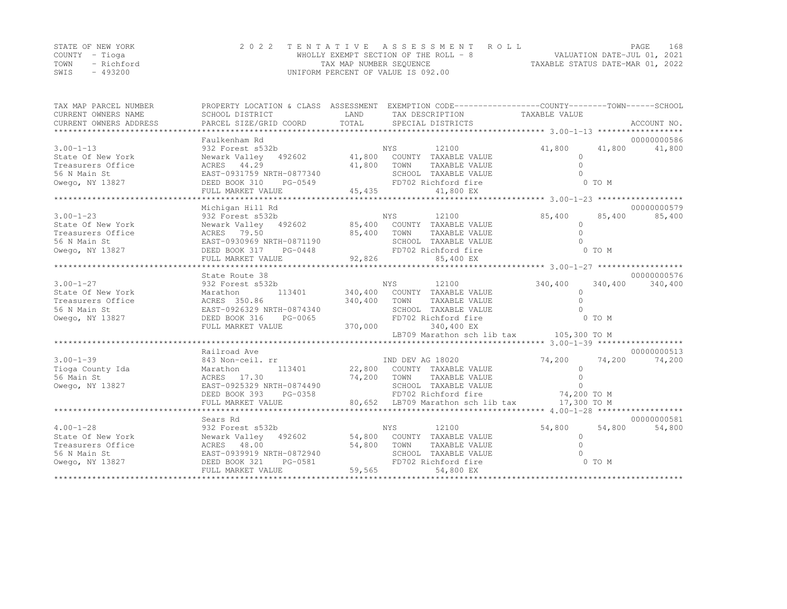| STATE OF NEW YORK  | 2022 TENTATIVE ASSESSMENT ROLL        |                                  | PAGE                        | 168 |
|--------------------|---------------------------------------|----------------------------------|-----------------------------|-----|
| COUNTY – Tioga     | WHOLLY EXEMPT SECTION OF THE ROLL - 8 |                                  | VALUATION DATE-JUL 01, 2021 |     |
| TOWN<br>– Richford | TAX MAP NUMBER SEQUENCE               | TAXABLE STATUS DATE-MAR 01, 2022 |                             |     |
| $-493200$<br>SWIS  | UNIFORM PERCENT OF VALUE IS 092.00    |                                  |                             |     |

| TAX MAP PARCEL NUMBER                                                                                                                                                                                                                                                                                                                                                                                                                                                                                                  | PROPERTY LOCATION & CLASS ASSESSMENT EXEMPTION CODE----------------COUNTY-------TOWN------SCHOOL |                                                                     |                 |                      |               |             |
|------------------------------------------------------------------------------------------------------------------------------------------------------------------------------------------------------------------------------------------------------------------------------------------------------------------------------------------------------------------------------------------------------------------------------------------------------------------------------------------------------------------------|--------------------------------------------------------------------------------------------------|---------------------------------------------------------------------|-----------------|----------------------|---------------|-------------|
| CURRENT OWNERS NAME                                                                                                                                                                                                                                                                                                                                                                                                                                                                                                    | SCHOOL DISTRICT                                                                                  | <b>LAND</b>                                                         | TAX DESCRIPTION | TAXABLE VALUE        |               |             |
| $\begin{minipage}{.45\textwidth} \begin{minipage}{.45\textwidth} \begin{minipage}{.45\textwidth} \begin{minipage}{.45\textwidth} \begin{minipage}{.45\textwidth} \begin{minipage}{.45\textwidth} \begin{minipage}{.45\textwidth} \begin{minipage}{.45\textwidth} \begin{minipage}{.45\textwidth} \begin{minipage}{.45\textwidth} \begin{minipage}{.45\textwidth} \begin{minipage}{.45\textwidth} \begin{minipage}{.45\textwidth} \begin{minipage}{.45\textwidth} \begin{minipage}{.45\textwidth} \begin{minipage}{.45$ |                                                                                                  |                                                                     |                 |                      |               |             |
|                                                                                                                                                                                                                                                                                                                                                                                                                                                                                                                        |                                                                                                  |                                                                     |                 |                      |               |             |
|                                                                                                                                                                                                                                                                                                                                                                                                                                                                                                                        | Faulkenham Rd                                                                                    |                                                                     |                 |                      |               | 00000000586 |
|                                                                                                                                                                                                                                                                                                                                                                                                                                                                                                                        |                                                                                                  |                                                                     |                 | 41,800 41,800 41,800 |               |             |
|                                                                                                                                                                                                                                                                                                                                                                                                                                                                                                                        |                                                                                                  |                                                                     |                 |                      | $\circ$       |             |
|                                                                                                                                                                                                                                                                                                                                                                                                                                                                                                                        |                                                                                                  |                                                                     |                 |                      | $\Omega$      |             |
|                                                                                                                                                                                                                                                                                                                                                                                                                                                                                                                        |                                                                                                  |                                                                     |                 |                      |               |             |
| The castles of the company of the contract of the contract of the contract of the contract of the contract of the contract of the contract of the contract of the contract of the contract of the contract of the contract of                                                                                                                                                                                                                                                                                          |                                                                                                  |                                                                     |                 |                      |               |             |
|                                                                                                                                                                                                                                                                                                                                                                                                                                                                                                                        |                                                                                                  |                                                                     |                 |                      |               |             |
|                                                                                                                                                                                                                                                                                                                                                                                                                                                                                                                        |                                                                                                  |                                                                     |                 |                      |               | 00000000579 |
|                                                                                                                                                                                                                                                                                                                                                                                                                                                                                                                        | Michigan Hill Rd                                                                                 |                                                                     |                 |                      |               |             |
|                                                                                                                                                                                                                                                                                                                                                                                                                                                                                                                        |                                                                                                  |                                                                     |                 |                      |               |             |
|                                                                                                                                                                                                                                                                                                                                                                                                                                                                                                                        |                                                                                                  |                                                                     |                 |                      |               |             |
|                                                                                                                                                                                                                                                                                                                                                                                                                                                                                                                        |                                                                                                  |                                                                     |                 |                      |               |             |
|                                                                                                                                                                                                                                                                                                                                                                                                                                                                                                                        |                                                                                                  |                                                                     |                 |                      |               |             |
|                                                                                                                                                                                                                                                                                                                                                                                                                                                                                                                        |                                                                                                  |                                                                     |                 |                      |               |             |
|                                                                                                                                                                                                                                                                                                                                                                                                                                                                                                                        |                                                                                                  |                                                                     |                 |                      |               |             |
|                                                                                                                                                                                                                                                                                                                                                                                                                                                                                                                        | State Route 38                                                                                   |                                                                     |                 |                      |               | 00000000576 |
|                                                                                                                                                                                                                                                                                                                                                                                                                                                                                                                        |                                                                                                  |                                                                     |                 |                      |               |             |
|                                                                                                                                                                                                                                                                                                                                                                                                                                                                                                                        |                                                                                                  |                                                                     |                 |                      |               |             |
|                                                                                                                                                                                                                                                                                                                                                                                                                                                                                                                        |                                                                                                  |                                                                     |                 |                      |               |             |
|                                                                                                                                                                                                                                                                                                                                                                                                                                                                                                                        |                                                                                                  |                                                                     |                 |                      |               |             |
|                                                                                                                                                                                                                                                                                                                                                                                                                                                                                                                        |                                                                                                  |                                                                     |                 |                      |               |             |
| 3.00-1-27<br>State Of New York<br>Treasurers Office Marathon 113401<br>Treasurers Office ACRES 350.86<br>Treasurers Office ACRES 350.86<br>S6 N Main St<br>Cwego, NY 13827<br>DEED BOOK 316 PG-0065<br>FULL MARKET VALUE 370,000<br>TRAABLE VALU                                                                                                                                                                                                                                                                       |                                                                                                  |                                                                     |                 |                      |               |             |
|                                                                                                                                                                                                                                                                                                                                                                                                                                                                                                                        |                                                                                                  |                                                                     |                 |                      |               |             |
|                                                                                                                                                                                                                                                                                                                                                                                                                                                                                                                        |                                                                                                  |                                                                     |                 |                      |               |             |
|                                                                                                                                                                                                                                                                                                                                                                                                                                                                                                                        | Railroad Ave                                                                                     |                                                                     |                 |                      |               | 00000000513 |
| $3.00 - 1 - 39$                                                                                                                                                                                                                                                                                                                                                                                                                                                                                                        | 843 Non-ceil. rr                                                                                 | $\begin{tabular}{c} IND & DEV & AG & 18020 \\ \hline \end{tabular}$ |                 | 74,200 74,200 74,200 |               |             |
|                                                                                                                                                                                                                                                                                                                                                                                                                                                                                                                        |                                                                                                  |                                                                     |                 |                      |               |             |
|                                                                                                                                                                                                                                                                                                                                                                                                                                                                                                                        |                                                                                                  |                                                                     |                 |                      |               |             |
|                                                                                                                                                                                                                                                                                                                                                                                                                                                                                                                        |                                                                                                  |                                                                     |                 |                      |               |             |
|                                                                                                                                                                                                                                                                                                                                                                                                                                                                                                                        |                                                                                                  |                                                                     |                 |                      |               |             |
|                                                                                                                                                                                                                                                                                                                                                                                                                                                                                                                        |                                                                                                  |                                                                     |                 |                      |               |             |
|                                                                                                                                                                                                                                                                                                                                                                                                                                                                                                                        |                                                                                                  |                                                                     |                 |                      |               |             |
|                                                                                                                                                                                                                                                                                                                                                                                                                                                                                                                        | Sears Rd<br>932 Forest s532b                                                                     | NYS 12100                                                           |                 |                      | 54,800 54,800 | 00000000581 |
| $4.00 - 1 - 28$                                                                                                                                                                                                                                                                                                                                                                                                                                                                                                        |                                                                                                  |                                                                     |                 |                      |               | 54,800      |
|                                                                                                                                                                                                                                                                                                                                                                                                                                                                                                                        |                                                                                                  |                                                                     |                 |                      |               |             |
|                                                                                                                                                                                                                                                                                                                                                                                                                                                                                                                        |                                                                                                  |                                                                     |                 |                      |               |             |
|                                                                                                                                                                                                                                                                                                                                                                                                                                                                                                                        |                                                                                                  |                                                                     |                 |                      |               |             |
|                                                                                                                                                                                                                                                                                                                                                                                                                                                                                                                        |                                                                                                  |                                                                     |                 |                      |               |             |
|                                                                                                                                                                                                                                                                                                                                                                                                                                                                                                                        |                                                                                                  |                                                                     |                 |                      |               |             |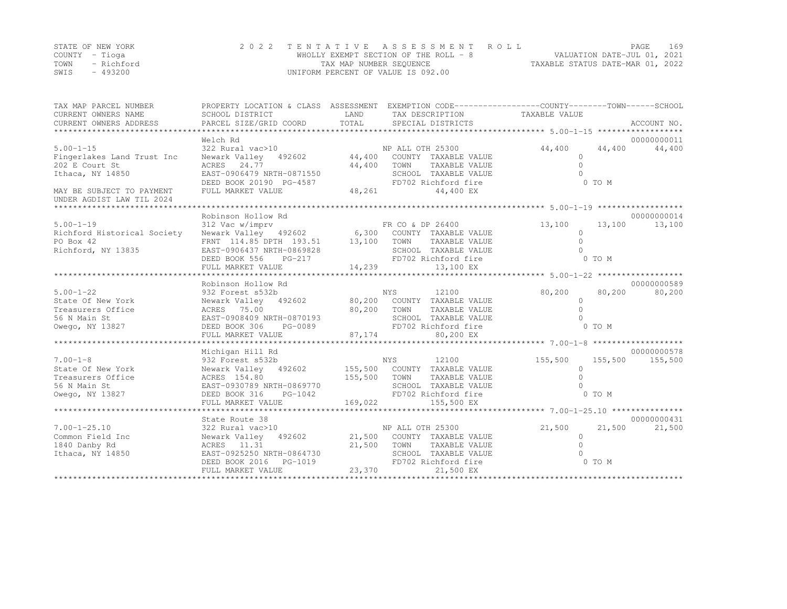|      | STATE OF NEW YORK | 2022 TENTATIVE ASSESSMENT ROLL        |                                  | PAGE. | 169 |
|------|-------------------|---------------------------------------|----------------------------------|-------|-----|
|      | COUNTY – Tioga    | WHOLLY EXEMPT SECTION OF THE ROLL - 8 | VALUATION DATE-JUL 01, 2021      |       |     |
| TOWN | - Richford        | TAX MAP NUMBER SEQUENCE               | TAXABLE STATUS DATE-MAR 01, 2022 |       |     |
| SWIS | - 493200          | UNIFORM PERCENT OF VALUE IS 092.00    |                                  |       |     |

| TAX MAP PARCEL NUMBER<br>CURRENT OWNERS NAME                                                                                                                | PROPERTY LOCATION & CLASS ASSESSMENT EXEMPTION CODE----------------COUNTY-------TOWN------SCHOOL<br>SCHOOL DISTRICT | LAND                 | TAX DESCRIPTION TAXABLE VALUE |                    |         |             |
|-------------------------------------------------------------------------------------------------------------------------------------------------------------|---------------------------------------------------------------------------------------------------------------------|----------------------|-------------------------------|--------------------|---------|-------------|
|                                                                                                                                                             | Welch Rd                                                                                                            |                      |                               |                    |         | 00000000011 |
| $5.00 - 1 - 15$                                                                                                                                             | 322 Rural vac>10                                                                                                    |                      | NP ALL OTH 25300              | 44,400             | 44,400  | 44,400      |
| Fingerlakes Land Trust Inc                                                                                                                                  | Newark Valley 492602 44,400                                                                                         |                      | COUNTY TAXABLE VALUE          | $\Omega$           |         |             |
| 202 E Court St                                                                                                                                              | ACRES 24.77                                                                                                         | 44,400               | TAXABLE VALUE<br>TOWN         | $\bigcap$          |         |             |
| Ithaca, NY 14850                                                                                                                                            | EAST-0906479 NRTH-0871550                                                                                           |                      | SCHOOL TAXABLE VALUE          |                    |         |             |
|                                                                                                                                                             | DEED BOOK 20190 PG-4587                                                                                             |                      | FD702 Richford fire           |                    | 0 TO M  |             |
| MAY BE SUBJECT TO PAYMENT                                                                                                                                   | FULL MARKET VALUE                                                                                                   | 48,261               | 44,400 EX                     |                    |         |             |
| UNDER AGDIST LAW TIL 2024                                                                                                                                   |                                                                                                                     |                      |                               |                    |         |             |
| ******************************                                                                                                                              |                                                                                                                     |                      |                               |                    |         |             |
|                                                                                                                                                             | Robinson Hollow Rd                                                                                                  |                      | FR CO & DP 26400              |                    | 13,100  | 00000000014 |
| $5.00 - 1 - 19$<br>Richford Historical Society                                                                                                              | 312 Vac w/imprv                                                                                                     |                      |                               | 13,100<br>$\Omega$ |         | 13,100      |
| PO Box 42                                                                                                                                                   | Newark Valley 492602 6,300 COUNTY TAXABLE VALUE                                                                     |                      | TAXABLE VALUE                 |                    |         |             |
| Richford, NY 13835                                                                                                                                          | FRNT 114.85 DPTH 193.51 13,100 TOWN<br>EAST-0906437 NRTH-0869828                                                    |                      | SCHOOL TAXABLE VALUE          |                    |         |             |
|                                                                                                                                                             | DEED BOOK 556<br>PG-217                                                                                             |                      | FD702 Richford fire           |                    | 0 TO M  |             |
|                                                                                                                                                             |                                                                                                                     |                      |                               |                    |         |             |
| ${\small \begin{array}{l} \text{FULL} \end{array}}$ ${\small \begin{array}{l} \text{FULL} \end{array}}$ ${\small \begin{array}{l} \text{FULL} \end{array}}$ |                                                                                                                     |                      |                               |                    |         |             |
|                                                                                                                                                             | Robinson Hollow Rd                                                                                                  |                      |                               |                    |         | 00000000589 |
| $5.00 - 1 - 22$                                                                                                                                             | 932 Forest s532b                                                                                                    |                      | NYS<br>12100                  | 80,200             | 80,200  | 80,200      |
| State Of New York                                                                                                                                           | Newark Valley 492602 80,200 COUNTY TAXABLE VALUE                                                                    |                      |                               | $\Omega$           |         |             |
| Treasurers Office                                                                                                                                           | ACRES 75.00                                                                                                         | 80,200               | TOWN<br>TAXABLE VALUE         | $\cap$             |         |             |
| 56 N Main St                                                                                                                                                | EAST-0908409 NRTH-0870193                                                                                           |                      | SCHOOL TAXABLE VALUE          |                    |         |             |
| Owego, NY 13827                                                                                                                                             | DEED BOOK 306                                                                                                       | H−U8/U193<br>PG−0089 | FD702 Richford fire           |                    | 0 TO M  |             |
|                                                                                                                                                             | FULL MARKET VALUE                                                                                                   | 87, 174              | 80,200 EX                     |                    |         |             |
|                                                                                                                                                             |                                                                                                                     |                      |                               |                    |         |             |
|                                                                                                                                                             | Michigan Hill Rd                                                                                                    |                      |                               |                    |         | 00000000578 |
| $7.00 - 1 - 8$                                                                                                                                              | 932 Forest s532b                                                                                                    |                      | <b>NYS</b><br>12100           | 155,500            | 155,500 | 155,500     |
| State Of New York                                                                                                                                           | Newark Valley 492602 155,500 COUNTY TAXABLE VALUE                                                                   |                      |                               | $\Omega$           |         |             |
| Treasurers Office                                                                                                                                           | ACRES 154.80                                                                                                        | 155,500              | TOWN<br>TAXABLE VALUE         |                    |         |             |
| 56 N Main St                                                                                                                                                | EAST-0930789 NRTH-0869770                                                                                           |                      | SCHOOL TAXABLE VALUE          |                    |         |             |
| Owego, NY 13827                                                                                                                                             | DEED BOOK 316<br>PG-1042                                                                                            |                      | FD702 Richford fire           |                    | 0 TO M  |             |
|                                                                                                                                                             | FULL MARKET VALUE                                                                                                   | 169,022              | 155,500 EX                    |                    |         |             |
|                                                                                                                                                             |                                                                                                                     |                      |                               |                    |         |             |
|                                                                                                                                                             | State Route 38                                                                                                      |                      |                               |                    |         | 00000000431 |
| $7.00 - 1 - 25.10$                                                                                                                                          | 322 Rural vac>10                                                                                                    |                      | NP ALL OTH 25300              | 21,500             | 21,500  | 21,500      |
| Common Field Inc                                                                                                                                            | Newark Valley 492602 21,500 COUNTY TAXABLE VALUE                                                                    |                      |                               | $\cap$             |         |             |
| 1840 Danby Rd                                                                                                                                               | ACRES 11.31                                                                                                         | 21,500               | TOWN<br>TAXABLE VALUE         |                    |         |             |
| Ithaca, NY 14850                                                                                                                                            | EAST-0925250 NRTH-0864730                                                                                           |                      | SCHOOL TAXABLE VALUE          |                    |         |             |
|                                                                                                                                                             | DEED BOOK 2016<br>PG-1019                                                                                           |                      | FD702 Richford fire           |                    | 0 TO M  |             |
|                                                                                                                                                             | FULL MARKET VALUE                                                                                                   | 23,370               | 21,500 EX                     |                    |         |             |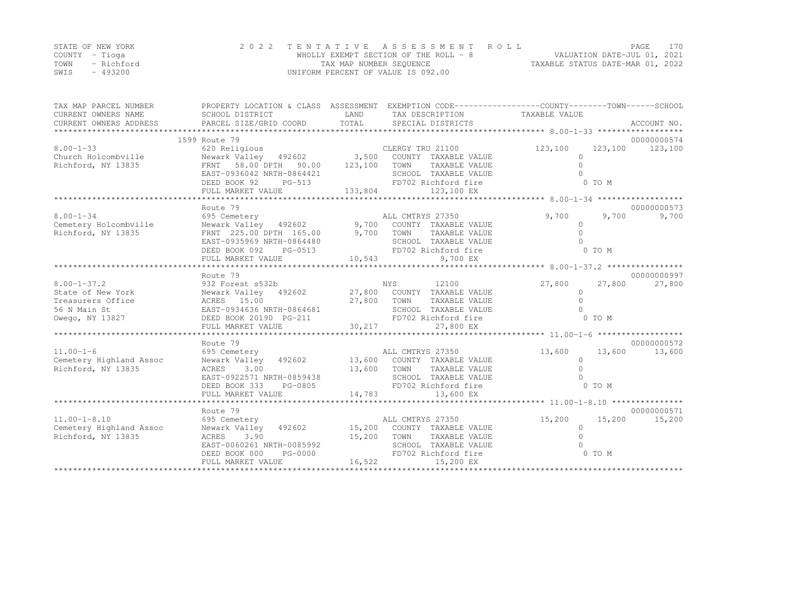|      | STATE OF NEW YORK | 2022 TENTATIVE ASSESSMENT ROLL        | PAGE.                            | 170 |
|------|-------------------|---------------------------------------|----------------------------------|-----|
|      | COUNTY – Tioga    | WHOLLY EXEMPT SECTION OF THE ROLL - 8 | VALUATION DATE-JUL 01, 2021      |     |
| TOWN | - Richford        | TAX MAP NUMBER SEQUENCE               | TAXABLE STATUS DATE-MAR 01, 2022 |     |
| SWIS | $-493200$         | UNIFORM PERCENT OF VALUE IS 092.00    |                                  |     |

| TAX MAP PARCEL NUMBER<br>CURRENT OWNERS NAME<br>CURRENT OWNERS ADDRESS PARCEL SIZE/GRID COORD | PROPERTY LOCATION & CLASS ASSESSMENT EXEMPTION CODE-----------------COUNTY-------TOWN------SCHOOL<br>SCHOOL DISTRICT | LAND            | TAX DESCRIPTION TAXABLE VALUE |          |                  |
|-----------------------------------------------------------------------------------------------|----------------------------------------------------------------------------------------------------------------------|-----------------|-------------------------------|----------|------------------|
|                                                                                               | 1599 Route 79                                                                                                        |                 |                               |          | 00000000574      |
| $8.00 - 1 - 33$                                                                               | 620 Religious                                                                                                        |                 | CLERGY TRU 21100              | 123,100  | 123,100 123,100  |
| Church Holcombville                                                                           | Newark Valley 492602 3,500 COUNTY TAXABLE VALUE                                                                      |                 |                               | $\Omega$ |                  |
| Richford, NY 13835                                                                            | FRNT 58.00 DPTH 90.00 123,100                                                                                        |                 | TOWN<br>TAXABLE VALUE         | $\Omega$ |                  |
|                                                                                               | EAST-0936042 NRTH-0864421                                                                                            |                 | SCHOOL TAXABLE VALUE          |          |                  |
|                                                                                               | DEED BOOK 92<br>PG-513                                                                                               | $\mathbf{1}$    | FD702 Richford fire           |          | 0 TO M           |
|                                                                                               | FULL MARKET VALUE                                                                                                    | 133,804         | 123,100 EX                    |          |                  |
|                                                                                               |                                                                                                                      |                 |                               |          |                  |
|                                                                                               | Route 79                                                                                                             |                 |                               |          | 00000000573      |
| $8.00 - 1 - 34$                                                                               | 695 Cemetery                                                                                                         |                 | ALL CMTRYS 27350              | 9,700    | 9,700<br>9,700   |
| Cemetery Holcombville                                                                         | Newark Valley 492602 9,700 COUNTY TAXABLE VALUE<br>FRNT 225.00 DPTH 165.00 9,700 TOWN TAXABLE VALUE                  |                 |                               | $\circ$  |                  |
| Richford, NY 13835                                                                            |                                                                                                                      |                 |                               | $\Omega$ |                  |
|                                                                                               | EAST-0935969 NRTH-0864480                                                                                            |                 | SCHOOL TAXABLE VALUE          |          |                  |
|                                                                                               | DEED BOOK 092<br>PG-0513                                                                                             |                 | FD702 Richford fire           |          | 0 TO M           |
|                                                                                               | FULL MARKET VALUE                                                                                                    | 10,543          | 9,700 EX                      |          |                  |
|                                                                                               |                                                                                                                      |                 |                               |          |                  |
|                                                                                               | Route 79                                                                                                             |                 |                               |          | 00000000997      |
| $8.00 - 1 - 37.2$                                                                             | 932 Forest s532b                                                                                                     |                 | NYS<br>12100                  | 27,800   | 27,800<br>27,800 |
| State of New York                                                                             | Newark Valley 492602 27,800 COUNTY TAXABLE VALUE                                                                     |                 |                               | $\Omega$ |                  |
| Treasurers Office                                                                             | ACRES 15.00                                                                                                          | 27,800          | TOWN<br>TAXABLE VALUE         | $\Omega$ |                  |
| 56 N Main St                                                                                  | EAST-0934636 NRTH-0864681                                                                                            |                 | SCHOOL TAXABLE VALUE          |          |                  |
| Owego, NY 13827                                                                               | DEED BOOK 20190 PG-211                                                                                               |                 | FD702 Richford fire           |          | 0 TO M           |
|                                                                                               | FULL MARKET VALUE                                                                                                    | 30,217          | 27,800 EX                     |          |                  |
|                                                                                               | Route 79                                                                                                             |                 |                               |          | 00000000572      |
| $11.00 - 1 - 6$                                                                               | 695 Cemetery                                                                                                         |                 | ALL CMTRYS 27350              | 13,600   | 13,600<br>13,600 |
| Cemetery Highland Assoc                                                                       | Newark Valley 492602 13,600 COUNTY TAXABLE VALUE                                                                     |                 |                               | $\circ$  |                  |
| Richford, NY 13835                                                                            | ACRES<br>3.00                                                                                                        | 13,600 TOWN     | TAXABLE VALUE                 | $\Omega$ |                  |
|                                                                                               | EAST-0922571 NRTH-0859438                                                                                            |                 | SCHOOL TAXABLE VALUE          |          |                  |
|                                                                                               | DEED BOOK 333<br>PG-0805                                                                                             | $\mathbf{B}$    | FD702 Richford fire           |          | 0 TO M           |
|                                                                                               |                                                                                                                      |                 |                               |          |                  |
|                                                                                               |                                                                                                                      |                 |                               |          |                  |
|                                                                                               | Route 79                                                                                                             |                 |                               |          | 00000000571      |
| $11.00 - 1 - 8.10$                                                                            | 695 Cemetery                                                                                                         |                 | ALL CMTRYS 27350              | 15,200   | 15,200<br>15,200 |
| Cemetery Highland Assoc                                                                       | Newark Valley 492602                                                                                                 |                 | 15,200 COUNTY TAXABLE VALUE   | $\circ$  |                  |
| Richford, NY 13835                                                                            | 3.90<br>ACRES                                                                                                        |                 | 15,200 TOWN<br>TAXABLE VALUE  | $\Omega$ |                  |
|                                                                                               | EAST-0060261 NRTH-0085992                                                                                            |                 | SCHOOL TAXABLE VALUE          |          |                  |
|                                                                                               | DEED BOOK 000<br>PG-0000                                                                                             | $FD7$<br>16,522 | FD702 Richford fire           | 0 TO M   |                  |
|                                                                                               | FULL MARKET VALUE                                                                                                    |                 | 15,200 EX                     |          |                  |
|                                                                                               |                                                                                                                      |                 |                               |          |                  |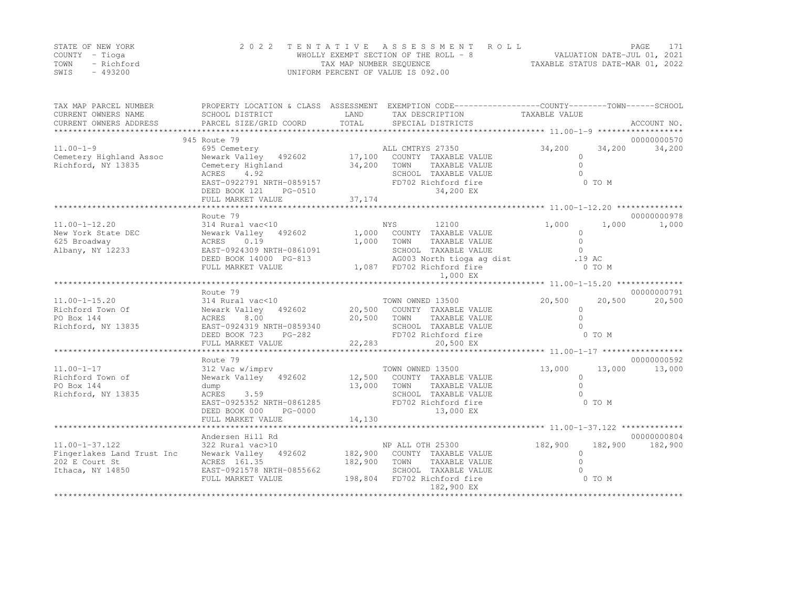|      | STATE OF NEW YORK | 2022 TENTATIVE ASSESSMENT ROLL        |                                  | PAGE |  |
|------|-------------------|---------------------------------------|----------------------------------|------|--|
|      | COUNTY – Tioga    | WHOLLY EXEMPT SECTION OF THE ROLL - 8 | VALUATION DATE-JUL 01, 2021      |      |  |
| TOWN | – Richford        | TAX MAP NUMBER SEQUENCE               | TAXABLE STATUS DATE-MAR 01, 2022 |      |  |
| SWIS | $-493200$         | UNIFORM PERCENT OF VALUE IS 092.00    |                                  |      |  |

| TAX MAP PARCEL NUMBER<br>CURRENT OWNERS NAME<br>CURRENT OWNERS ADDRESS | SCHOOL DISTRICT<br>PARCEL SIZE/GRID COORD        | LAND<br>TOTAL | PROPERTY LOCATION & CLASS ASSESSMENT EXEMPTION CODE----------------COUNTY-------TOWN-----SCHOOL<br>TAX DESCRIPTION<br>SPECIAL DISTRICTS | TAXABLE VALUE                                    | ACCOUNT NO.      |
|------------------------------------------------------------------------|--------------------------------------------------|---------------|-----------------------------------------------------------------------------------------------------------------------------------------|--------------------------------------------------|------------------|
|                                                                        |                                                  |               |                                                                                                                                         |                                                  |                  |
|                                                                        | 945 Route 79                                     |               |                                                                                                                                         |                                                  | 00000000570      |
| $11.00 - 1 - 9$                                                        | 695 Cemetery                                     |               | ALL CMTRYS 27350                                                                                                                        | 34,200                                           | 34,200<br>34,200 |
| Cemetery Highland Assoc                                                | Newark Valley 492602                             | 17,100        | COUNTY TAXABLE VALUE                                                                                                                    | $\Omega$                                         |                  |
| Richford, NY 13835                                                     | Cemetery Highland                                | 34,200        | TAXABLE VALUE<br>TOWN                                                                                                                   | $\Omega$                                         |                  |
|                                                                        | 4.92<br>ACRES                                    |               | SCHOOL TAXABLE VALUE                                                                                                                    | $\cap$                                           |                  |
|                                                                        | EAST-0922791 NRTH-0859157                        |               | FD702 Richford fire<br>34,200 EX                                                                                                        | 0 TO M                                           |                  |
|                                                                        | DEED BOOK 121<br>PG-0510                         |               |                                                                                                                                         |                                                  |                  |
|                                                                        |                                                  |               |                                                                                                                                         |                                                  |                  |
|                                                                        | Route 79                                         |               |                                                                                                                                         |                                                  | 00000000978      |
| $11.00 - 1 - 12.20$                                                    | 314 Rural vac<10                                 |               | NYS<br>12100                                                                                                                            | 1,000                                            | 1,000<br>1,000   |
| New York State DEC                                                     | Newark Valley 492602 1,000                       |               | COUNTY TAXABLE VALUE                                                                                                                    | $\circ$                                          |                  |
| 625 Broadway                                                           | ACRES<br>0.19                                    | 1,000         | TAXABLE VALUE<br>TOWN                                                                                                                   | $\Omega$                                         |                  |
| Albany, NY 12233                                                       | EAST-0924309 NRTH-0861091                        |               | SCHOOL TAXABLE VALUE                                                                                                                    | $\Omega$                                         |                  |
|                                                                        | DEED BOOK 14000 PG-813                           |               | AG003 North tioga ag dist                                                                                                               | .19 AC                                           |                  |
|                                                                        | FULL MARKET VALUE                                |               | 1,087 FD702 Richford fire                                                                                                               | $0$ TO M                                         |                  |
|                                                                        |                                                  |               | 1,000 EX                                                                                                                                | ****************** 11.00-1-15.20 *************** |                  |
|                                                                        | Route 79                                         |               |                                                                                                                                         |                                                  | 00000000791      |
| $11.00 - 1 - 15.20$                                                    | 314 Rural vac<10                                 |               | TOWN OWNED 13500                                                                                                                        | 20,500                                           | 20,500<br>20,500 |
| Richford Town Of                                                       | Newark Valley 492602 20,500 COUNTY TAXABLE VALUE |               |                                                                                                                                         | $\circ$                                          |                  |
| PO Box 144                                                             | 8.00<br>ACRES                                    | 20,500        | TOWN<br>TAXABLE VALUE                                                                                                                   | $\Omega$                                         |                  |
| Richford, NY 13835                                                     | EAST-0924319 NRTH-0859340                        |               | SCHOOL TAXABLE VALUE                                                                                                                    | $\cap$                                           |                  |
|                                                                        | DEED BOOK 723<br>PG-282                          |               | FD702 Richford fire                                                                                                                     | 0 TO M                                           |                  |
|                                                                        | FULL MARKET VALUE                                | 22,283        | 20,500 EX                                                                                                                               |                                                  |                  |
|                                                                        |                                                  |               |                                                                                                                                         |                                                  |                  |
|                                                                        | Route 79                                         |               |                                                                                                                                         |                                                  | 00000000592      |
| $11.00 - 1 - 17$                                                       | 312 Vac w/imprv                                  |               | TOWN OWNED 13500                                                                                                                        | 13,000                                           | 13,000<br>13,000 |
| Richford Town of<br>PO Box 144                                         | Newark Valley 492602 12,500                      | 13,000        | COUNTY TAXABLE VALUE<br>TOWN<br>TAXABLE VALUE                                                                                           | $\circ$<br>$\circ$                               |                  |
| Richford, NY 13835                                                     | dump<br>ACRES<br>3.59                            |               | SCHOOL TAXABLE VALUE                                                                                                                    | $\Omega$                                         |                  |
|                                                                        | EAST-0925352 NRTH-0861285                        |               | FD702 Richford fire                                                                                                                     | 0 TO M                                           |                  |
|                                                                        | DEED BOOK 000<br>PG-0000                         |               | 13,000 EX                                                                                                                               |                                                  |                  |
|                                                                        | FULL MARKET VALUE                                | 14,130        |                                                                                                                                         |                                                  |                  |
|                                                                        |                                                  |               |                                                                                                                                         |                                                  |                  |
|                                                                        | Andersen Hill Rd                                 |               |                                                                                                                                         |                                                  | 00000000804      |
| $11.00 - 1 - 37.122$                                                   | 322 Rural vac>10                                 |               | NP ALL OTH 25300                                                                                                                        | 182,900<br>182,900                               | 182,900          |
| Fingerlakes Land Trust Inc                                             | Newark Valley 492602                             | 182,900       | COUNTY TAXABLE VALUE                                                                                                                    | $\Omega$                                         |                  |
| 202 E Court St                                                         | ACRES 161.35                                     | 182,900       | TOWN<br>TAXABLE VALUE                                                                                                                   | $\Omega$                                         |                  |
| Ithaca, NY 14850                                                       | EAST-0921578 NRTH-0855662                        |               | SCHOOL TAXABLE VALUE                                                                                                                    |                                                  |                  |
|                                                                        | FULL MARKET VALUE                                |               | 198,804 FD702 Richford fire<br>182,900 EX                                                                                               | 0 TO M                                           |                  |
|                                                                        |                                                  |               |                                                                                                                                         |                                                  |                  |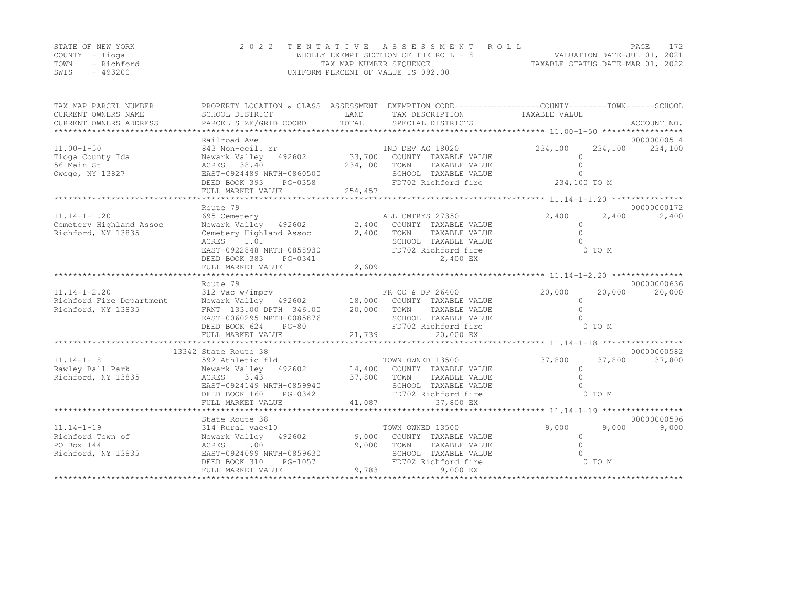|      | STATE OF NEW YORK | 2022 TENTATIVE ASSESSMENT ROLL        | PAGE.                            | 172 |
|------|-------------------|---------------------------------------|----------------------------------|-----|
|      | COUNTY – Tioga    | WHOLLY EXEMPT SECTION OF THE ROLL - 8 | VALUATION DATE-JUL 01, 2021      |     |
| TOWN | - Richford        | TAX MAP NUMBER SEQUENCE               | TAXABLE STATUS DATE-MAR 01, 2022 |     |
| SWIS | - 493200          | UNIFORM PERCENT OF VALUE IS 092.00    |                                  |     |

| TAX MAP PARCEL NUMBER<br>CURRENT OWNERS NAME<br>CURRENT OWNERS ADDRESS   | PROPERTY LOCATION & CLASS ASSESSMENT EXEMPTION CODE-----------------COUNTY-------TOWN------SCHOOL<br>SCHOOL DISTRICT<br>PARCEL SIZE/GRID COORD                      | LAND<br>TOTAL    | TAX DESCRIPTION TAXABLE VALUE<br>SPECIAL DISTRICTS                                                                                 |                                        |                  | ACCOUNT NO.            |
|--------------------------------------------------------------------------|---------------------------------------------------------------------------------------------------------------------------------------------------------------------|------------------|------------------------------------------------------------------------------------------------------------------------------------|----------------------------------------|------------------|------------------------|
|                                                                          |                                                                                                                                                                     |                  |                                                                                                                                    |                                        |                  |                        |
| $11.00 - 1 - 50$                                                         | Railroad Ave<br>843 Non-ceil. rr                                                                                                                                    |                  | IND DEV AG 18020                                                                                                                   | 234,100                                | 234,100          | 00000000514<br>234,100 |
| Tioga County Ida<br>56 Main St<br>Owego, NY 13827                        | 492602 33,700<br>Newark Valley<br>ACRES 38.40<br>EAST-0924489 NRTH-0860500                                                                                          | 234,100          | COUNTY TAXABLE VALUE<br>TOWN<br>TAXABLE VALUE<br>SCHOOL TAXABLE VALUE                                                              | $\Omega$<br>$\Omega$<br>$\Omega$       |                  |                        |
|                                                                          | DEED BOOK 393<br>PG-0358<br>FULL MARKET VALUE                                                                                                                       | 254,457          | FD702 Richford fire                                                                                                                | 234,100 TO M                           |                  |                        |
|                                                                          |                                                                                                                                                                     |                  |                                                                                                                                    |                                        |                  |                        |
|                                                                          | Route 79                                                                                                                                                            |                  |                                                                                                                                    |                                        |                  | 00000000172            |
| $11.14 - 1 - 1.20$<br>Cemetery Highland Assoc<br>Richford, NY 13835      | 695 Cemetery<br>Newark Valley 492602<br>Cemetery Highland Assoc<br>1.01<br>ACRES<br>EAST-0922848 NRTH-0858930<br>DEED BOOK 383<br>PG-0341                           | 2,400            | ALL CMTRYS 27350<br>2,400 COUNTY TAXABLE VALUE<br>TOWN<br>TAXABLE VALUE<br>SCHOOL TAXABLE VALUE<br>FD702 Richford fire<br>2,400 EX | 2,400<br>$\cap$<br>$\bigcap$<br>$\cap$ | 2,400<br>0 TO M  | 2,400                  |
|                                                                          | FULL MARKET VALUE                                                                                                                                                   | 2,609            |                                                                                                                                    |                                        |                  |                        |
|                                                                          |                                                                                                                                                                     |                  |                                                                                                                                    |                                        |                  |                        |
|                                                                          | Route 79                                                                                                                                                            |                  |                                                                                                                                    |                                        |                  | 00000000636            |
| $11.14 - 1 - 2.20$                                                       | 312 Vac w/imprv                                                                                                                                                     |                  | FR CO & DP 26400                                                                                                                   | 20,000                                 | 20,000           | 20,000                 |
| Richford Fire Department<br>Richford, NY 13835                           | Newark Valley 492602 18,000 COUNTY TAXABLE VALUE<br>FRNT 133.00 DPTH 346.00<br>EAST-0060295 NRTH-0085876                                                            | 20,000           | TOWN<br>TAXABLE VALUE<br>SCHOOL TAXABLE VALUE                                                                                      | $\circ$<br>$\bigcap$<br>$\cap$         |                  |                        |
|                                                                          | DEED BOOK 624<br>$PG-80$                                                                                                                                            |                  | FD702 Richford fire                                                                                                                |                                        | 0 TO M           |                        |
|                                                                          | FULL MARKET VALUE                                                                                                                                                   | 21,739           | 20,000 EX                                                                                                                          |                                        |                  |                        |
|                                                                          |                                                                                                                                                                     |                  |                                                                                                                                    |                                        |                  |                        |
|                                                                          | 13342 State Route 38                                                                                                                                                |                  |                                                                                                                                    |                                        |                  | 00000000582            |
| $11.14 - 1 - 18$<br>Rawley Ball Park<br>Richford, NY 13835               | 592 Athletic fld<br>Newark Valley 492602 14,400 COUNTY TAXABLE VALUE<br>3.43<br>ACRES<br>EAST-0924149 NRTH-0859940<br>DEED BOOK 160<br>PG-0342<br>FULL MARKET VALUE | 37,800<br>41,087 | TOWN OWNED 13500<br>TOWN<br>TAXABLE VALUE<br>SCHOOL TAXABLE VALUE<br>FD702 Richford fire<br>37,800 EX                              | 37,800<br>$\circ$<br>$\Omega$          | 37,800<br>0 TO M | 37,800                 |
|                                                                          |                                                                                                                                                                     |                  |                                                                                                                                    |                                        |                  |                        |
|                                                                          | State Route 38                                                                                                                                                      |                  |                                                                                                                                    |                                        |                  | 00000000596            |
| $11.14 - 1 - 19$<br>Richford Town of<br>PO Box 144<br>Richford, NY 13835 | 314 Rural vac<10<br>Newark Valley 492602<br>ACRES 1.00<br>EAST-0924099 NRTH-0859630<br>DEED BOOK 310<br>PG-1057                                                     | 9,000<br>9,000   | TOWN OWNED 13500<br>COUNTY TAXABLE VALUE<br>TOWN<br>TAXABLE VALUE<br>SCHOOL TAXABLE VALUE<br>FD702 Richford fire                   | 9,000<br>$\Omega$<br>$\Omega$          | 9,000<br>0 TO M  | 9,000                  |
|                                                                          | FULL MARKET VALUE                                                                                                                                                   | 9,783            | 9,000 EX                                                                                                                           |                                        |                  |                        |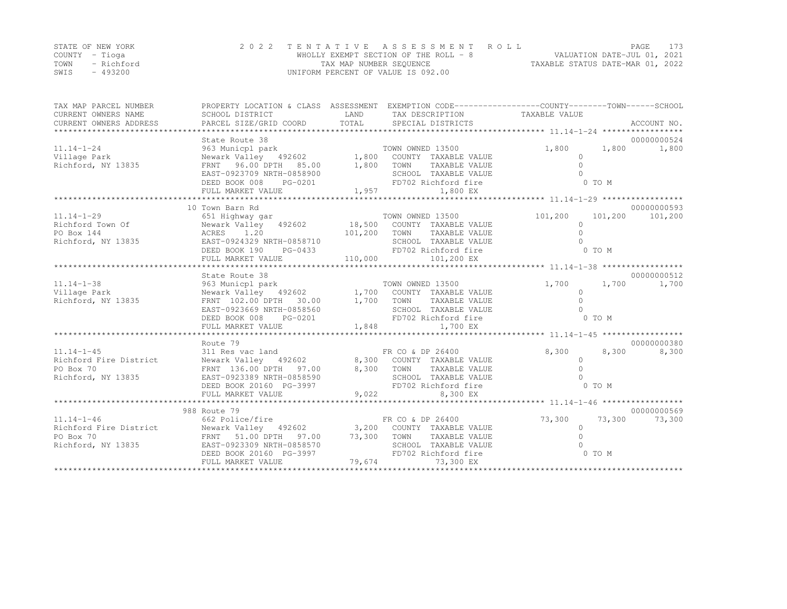|      | STATE OF NEW YORK | 2022 TENTATIVE ASSESSMENT ROLL        | PAGE.                            |  |
|------|-------------------|---------------------------------------|----------------------------------|--|
|      | COUNTY – Tioga    | WHOLLY EXEMPT SECTION OF THE ROLL - 8 | VALUATION DATE-JUL 01, 2021      |  |
| TOWN | - Richford        | TAX MAP NUMBER SEQUENCE               | TAXABLE STATUS DATE-MAR 01, 2022 |  |
| SWIS | - 493200          | UNIFORM PERCENT OF VALUE IS 092.00    |                                  |  |

| TAX MAP PARCEL NUMBER                | PROPERTY LOCATION & CLASS ASSESSMENT EXEMPTION CODE----------------COUNTY-------TOWN-----SCHOOL                                                                                                          |        |                                                                                    |                                |                            |
|--------------------------------------|----------------------------------------------------------------------------------------------------------------------------------------------------------------------------------------------------------|--------|------------------------------------------------------------------------------------|--------------------------------|----------------------------|
|                                      |                                                                                                                                                                                                          |        |                                                                                    |                                |                            |
| $11.14 - 1 - 24$                     | State Route 38<br>963 Municpl park (1992)<br>Newark Valley (192602 1,800 COUNTY TAXABLE VALUE                                                                                                            |        |                                                                                    | 1,800                          | 00000000524<br>1,800 1,800 |
| Village Park<br>Richford, NY 13835   |                                                                                                                                                                                                          |        |                                                                                    | $\Omega$                       |                            |
|                                      | FRNT 96.00 DPTH 85.00 1,800 TOWN                                                                                                                                                                         |        | TAXABLE VALUE                                                                      | $\Omega$                       |                            |
|                                      | EAST-0923709 NRTH-0858900<br>IRTH-0858900<br>PG-0201                                                                                                                                                     |        | SCHOOL TAXABLE VALUE                                                               |                                |                            |
|                                      | DEED BOOK 008<br>FULL MARKET VALUE                                                                                                                                                                       | 1,957  | FD702 Richford fire<br>1,800 EX                                                    | 0 TO M                         |                            |
|                                      |                                                                                                                                                                                                          |        |                                                                                    |                                |                            |
|                                      | 10 Town Barn Rd                                                                                                                                                                                          |        |                                                                                    |                                | 00000000593                |
| $11.14 - 1 - 29$<br>Richford Town Of | 651 Highway gar                                                                                                                                                                                          |        | TOWN OWNED 13500                                                                   | 101,200<br>101,200<br>$\Omega$ | 101,200                    |
| PO Box 144                           | Newark Valley 492602 18,500 COUNTY TAXABLE VALUE<br>ACRES 1.20 101,200 TOWN TAXABLE VALUE                                                                                                                |        |                                                                                    | $\Omega$                       |                            |
| Richford, NY 13835                   | EAST-0924329 NRTH-0858710                                                                                                                                                                                |        | SCHOOL TAXABLE VALUE                                                               |                                |                            |
|                                      | KTH-0858710<br>PG-0433<br>DEED BOOK 190                                                                                                                                                                  |        | FD702 Richford fire                                                                | 0 TO M                         |                            |
|                                      |                                                                                                                                                                                                          |        |                                                                                    |                                |                            |
|                                      |                                                                                                                                                                                                          |        |                                                                                    |                                |                            |
|                                      | State Route 38                                                                                                                                                                                           |        |                                                                                    |                                | 00000000512                |
| $11.14 - 1 - 38$                     |                                                                                                                                                                                                          |        |                                                                                    | 1,700<br>1,700                 | 1,700                      |
| Village Park                         |                                                                                                                                                                                                          |        |                                                                                    | $\Omega$                       |                            |
| Richford, NY 13835                   |                                                                                                                                                                                                          |        |                                                                                    | $\bigcap$                      |                            |
|                                      | EAST-0923669 NRTH-0858560                                                                                                                                                                                |        | SCHOOL TAXABLE VALUE                                                               |                                |                            |
|                                      | DEED BOOK 008<br>PG-0201                                                                                                                                                                                 |        | SCHOOL TAXABLE VAL<br>FD702 Richford fire<br>1,848 1,700 EX<br>FD702 Richford fire | $0$ TO $M$                     |                            |
|                                      | FULL MARKET VALUE                                                                                                                                                                                        |        |                                                                                    |                                |                            |
|                                      | Route 79                                                                                                                                                                                                 |        |                                                                                    |                                | 00000000380                |
| $11.14 - 1 - 45$                     | 311 Res vac land                                                                                                                                                                                         |        | FR CO & DP 26400                                                                   | 8,300<br>8,300                 | 8,300                      |
|                                      | Richford Fire District Mewark Valley 492602 8,300 COUNTY TAXABLE VALUE                                                                                                                                   |        |                                                                                    | $\Omega$                       |                            |
| PO Box 70                            | FRNT 136.00 DPTH 97.00 8,300 TOWN                                                                                                                                                                        |        | TAXABLE VALUE                                                                      |                                |                            |
| Richford, NY 13835                   | EAST-0923389 NRTH-0858590                                                                                                                                                                                |        | SCHOOL TAXABLE VALUE                                                               |                                |                            |
|                                      | DEED BOOK 20160 PG-3997                                                                                                                                                                                  |        | FD702 Richford fire                                                                | 0 TO M                         |                            |
|                                      | FULL MARKET VALUE                                                                                                                                                                                        |        | 9,022<br>8,300 EX                                                                  |                                |                            |
|                                      |                                                                                                                                                                                                          |        |                                                                                    |                                |                            |
|                                      | 988 Route 79                                                                                                                                                                                             |        |                                                                                    |                                | 00000000569                |
| $11.14 - 1 - 46$                     | 662 Police/fire                                                                                                                                                                                          |        | FR CO & DP 26400                                                                   | 73,300<br>73,300               | 73,300                     |
|                                      |                                                                                                                                                                                                          |        |                                                                                    | $\circ$<br>$\Omega$            |                            |
|                                      | Richford Fire District Mewark Valley 492602 3,200 COUNTY TAXABLE VALUE<br>PO Box 70 FRNT 51.00 DPTH 97.00 73,300 TOWN TAXABLE VALUE<br>Richford, NY 13835 EAST-0923309 NRTH-0858570 SCHOOL TAXABLE VALUE |        |                                                                                    |                                |                            |
|                                      | DEED BOOK 20160 PG-3997                                                                                                                                                                                  |        | FD702 Richford fire                                                                | 0 TO M                         |                            |
|                                      | FULL MARKET VALUE                                                                                                                                                                                        | 79,674 | 73,300 EX                                                                          |                                |                            |
|                                      |                                                                                                                                                                                                          |        |                                                                                    |                                |                            |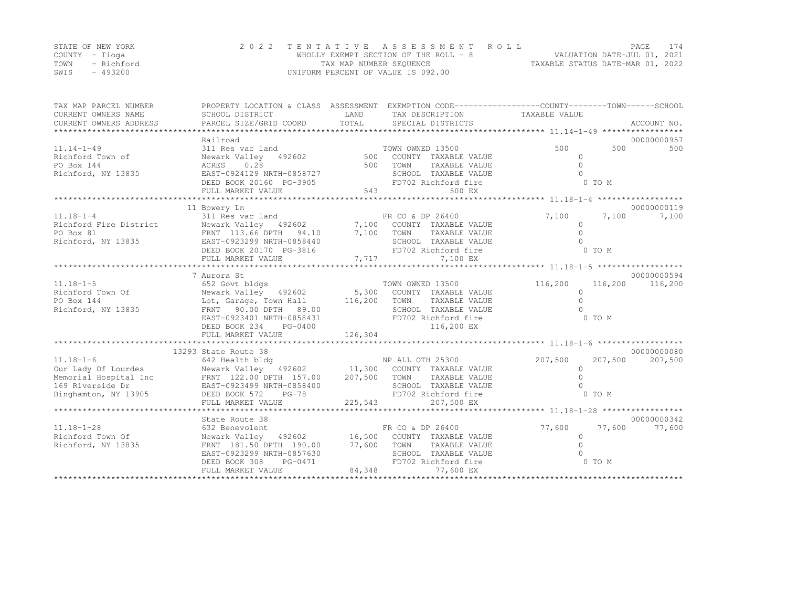|      | STATE OF NEW YORK | 2022 TENTATIVE ASSESSMENT ROLL        |                                  | PAGE. | 174 |
|------|-------------------|---------------------------------------|----------------------------------|-------|-----|
|      | COUNTY – Tioga    | WHOLLY EXEMPT SECTION OF THE ROLL - 8 | VALUATION DATE-JUL 01, 2021      |       |     |
| TOWN | - Richford        | TAX MAP NUMBER SEQUENCE               | TAXABLE STATUS DATE-MAR 01, 2022 |       |     |
| SWIS | $-493200$         | UNIFORM PERCENT OF VALUE IS 092.00    |                                  |       |     |

| TAX MAP PARCEL NUMBER<br>CURRENT OWNERS NAME<br>CURRENT OWNERS ADDRESS | PROPERTY LOCATION & CLASS ASSESSMENT EXEMPTION CODE----------------COUNTY-------TOWN------SCHOOL<br>SCHOOL DISTRICT | LAND    | TAX DESCRIPTION TAXABLE VALUE |                   |         | ACCOUNT NO. |
|------------------------------------------------------------------------|---------------------------------------------------------------------------------------------------------------------|---------|-------------------------------|-------------------|---------|-------------|
|                                                                        | Railroad                                                                                                            |         |                               |                   |         | 00000000957 |
| $11.14 - 1 - 49$                                                       | 311 Res vac land                                                                                                    |         | TOWN OWNED 13500              | 500               | 500     | 500         |
| Richford Town of                                                       | 492602 500<br>Newark Valley                                                                                         |         | COUNTY TAXABLE VALUE          | $\circ$           |         |             |
| PO Box 144                                                             | ACRES<br>0.28                                                                                                       | 500     | TOWN<br>TAXABLE VALUE         | $\Omega$          |         |             |
| Richford, NY 13835                                                     | EAST-0924129 NRTH-0858727                                                                                           |         | SCHOOL TAXABLE VALUE          | $\cap$            |         |             |
|                                                                        | DEED BOOK 20160 PG-3905                                                                                             |         | FD702 Richford fire           |                   | 0 TO M  |             |
|                                                                        | FULL MARKET VALUE                                                                                                   | 543     | 500 EX                        |                   |         |             |
|                                                                        |                                                                                                                     |         |                               |                   |         |             |
|                                                                        | 11 Bowery Ln                                                                                                        |         |                               |                   |         | 00000000119 |
| $11.18 - 1 - 4$                                                        | 311 Res vac land                                                                                                    |         | FR CO & DP 26400              | 7,100             | 7,100   | 7,100       |
| Richford Fire District                                                 | Newark Valley 492602 7,100 COUNTY TAXABLE VALUE                                                                     |         |                               | $\Omega$          |         |             |
| PO Box 81                                                              | FRNT 113.66 DPTH 94.10 7,100 TOWN                                                                                   |         | TAXABLE VALUE                 | $\Omega$          |         |             |
| Richford, NY 13835                                                     | EAST-0923299 NRTH-0858440                                                                                           |         | SCHOOL TAXABLE VALUE          | $\cap$            |         |             |
|                                                                        | DEED BOOK 20170 PG-3816                                                                                             |         | FD702 Richford fire           |                   | 0 TO M  |             |
|                                                                        | FULL MARKET VALUE                                                                                                   |         | 7,717<br>7,100 EX             |                   |         |             |
|                                                                        |                                                                                                                     |         |                               |                   |         |             |
|                                                                        | 7 Aurora St                                                                                                         |         |                               |                   |         | 00000000594 |
| $11.18 - 1 - 5$                                                        | 652 Govt bldgs                                                                                                      |         | TOWN OWNED 13500              | 116,200           | 116,200 | 116,200     |
| Richford Town Of                                                       | Newark Valley    492602            5,300<br>Lot, Garage, Town Hall          116,200                                 |         | 5,300 COUNTY TAXABLE VALUE    | $\circ$           |         |             |
| PO Box 144                                                             |                                                                                                                     |         | TOWN<br>TAXABLE VALUE         | $\Omega$          |         |             |
| Richford, NY 13835                                                     | FRNT 90.00 DPTH 89.00                                                                                               |         | SCHOOL TAXABLE VALUE          | $\cap$            |         |             |
|                                                                        | EAST-0923401 NRTH-0858431                                                                                           |         | FD702 Richford fire           |                   | 0 TO M  |             |
|                                                                        | DEED BOOK 234<br>PG-0400                                                                                            |         | 116,200 EX                    |                   |         |             |
|                                                                        | FULL MARKET VALUE                                                                                                   | 126,304 |                               |                   |         |             |
|                                                                        |                                                                                                                     |         |                               |                   |         |             |
|                                                                        | 13293 State Route 38                                                                                                |         |                               |                   |         | 00000000080 |
| $11.18 - 1 - 6$                                                        | 642 Health bldg                                                                                                     |         | NP ALL OTH 25300              | 207,500           | 207,500 | 207,500     |
|                                                                        |                                                                                                                     |         |                               | $\circ$<br>$\cap$ |         |             |
|                                                                        |                                                                                                                     |         |                               |                   |         |             |
|                                                                        |                                                                                                                     |         | FD702 Richford fire           |                   | 0 TO M  |             |
| Binghamton, NY 13905                                                   | DEED BOOK 572<br>$PG-78$<br>FULL MARKET VALUE                                                                       | 225,543 | 207,500 EX                    |                   |         |             |
|                                                                        |                                                                                                                     |         |                               |                   |         |             |
|                                                                        | State Route 38                                                                                                      |         |                               |                   |         | 00000000342 |
| $11.18 - 1 - 28$                                                       | 632 Benevolent                                                                                                      |         | FR CO & DP 26400              | 77,600            | 77,600  | 77,600      |
| Richford Town Of                                                       | Newark Valley 492602 16,500 COUNTY TAXABLE VALUE                                                                    |         |                               | $\circ$           |         |             |
| Richford, NY 13835                                                     | FRNT 181.50 DPTH 190.00 77,600                                                                                      |         | TOWN TAXABLE VALUE            | $\Omega$          |         |             |
|                                                                        | EAST-0923299 NRTH-0857630                                                                                           |         | SCHOOL TAXABLE VALUE          |                   |         |             |
|                                                                        | PG-0471<br>DEED BOOK 308                                                                                            |         | FD702 Richford fire           |                   | 0 TO M  |             |
|                                                                        | FULL MARKET VALUE                                                                                                   | 84,348  | 77,600 EX                     |                   |         |             |
|                                                                        |                                                                                                                     |         |                               |                   |         |             |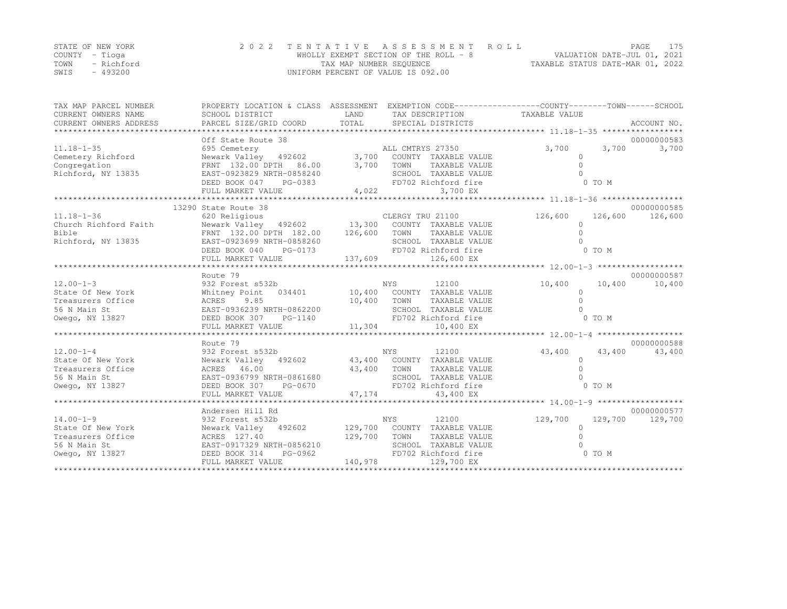|      | STATE OF NEW YORK | 2022 TENTATIVE ASSESSMENT ROLL        | PAGE                             | 175 |
|------|-------------------|---------------------------------------|----------------------------------|-----|
|      | COUNTY – Tioga    | WHOLLY EXEMPT SECTION OF THE ROLL - 8 | VALUATION DATE-JUL 01, 2021      |     |
| TOWN | - Richford        | TAX MAP NUMBER SEQUENCE               | TAXABLE STATUS DATE-MAR 01, 2022 |     |
| SWIS | $-493200$         | UNIFORM PERCENT OF VALUE IS 092.00    |                                  |     |

| TAX MAP PARCEL NUMBER<br>CURRENT OWNERS NAME<br>CURRENT OWNERS ADDRESS                       | SCHOOL DISTRICT                                                                                                                                                                         | LAND                    | TAX DESCRIPTION TAXABLE VALUE                                                                                                    | PROPERTY LOCATION & CLASS ASSESSMENT EXEMPTION CODE----------------COUNTY-------TOWN-----SCHOOL |                        |
|----------------------------------------------------------------------------------------------|-----------------------------------------------------------------------------------------------------------------------------------------------------------------------------------------|-------------------------|----------------------------------------------------------------------------------------------------------------------------------|-------------------------------------------------------------------------------------------------|------------------------|
| $11.18 - 1 - 35$<br>Cemetery Richford<br>Congregation<br>Richford, NY 13835                  | Off State Route 38<br>695 Cemetery<br>FRNT 132.00 DPTH 86.00<br>EAST-0923829 NRTH-0858240<br>DEED BOOK 047<br>PG-0383<br>FULL MARKET VALUE                                              | 3,700<br>4,022          | ALL CMTRYS 27350<br>TOWN<br>TAXABLE VALUE<br>SCHOOL TAXABLE VALUE<br>FD702 Richford fire<br>3,700 EX                             | 3,700<br>3,700<br>$\circ$<br>$\Omega$<br>0 TO M                                                 | 00000000583<br>3,700   |
| $11.18 - 1 - 36$<br>Church Richford Faith<br>Bible<br>Richford, NY 13835                     | 13290 State Route 38<br>620 Religious<br>Newark Valley 492602 13,300<br>FRNT 132.00 DPTH 182.00 126,600<br>EAST-0923699 NRTH-0858260<br>DEED BOOK 040<br>PG-0173<br>FULL MARKET VALUE   | 137,609                 | CLERGY TRU 21100<br>COUNTY TAXABLE VALUE<br>TOWN<br>TAXABLE VALUE<br>SCHOOL TAXABLE VALUE<br>FD702 Richford fire<br>126,600 EX   | 126,600<br>126,600<br>$\Omega$<br>$\bigcap$<br>0 TO M                                           | 00000000585<br>126,600 |
| $12.00 - 1 - 3$<br>State Of New York<br>Treasurers Office<br>56 N Main St<br>Owego, NY 13827 | Route 79<br>932 Forest s532b<br>Whitney Point<br>034401<br>9.85<br>ACRES<br>EAST-0936239 NRTH-0862200<br>DEED BOOK 307<br>PG-1140<br>FULL MARKET VALUE                                  | 10,400<br>11,304        | NYS<br>12100<br>10,400 COUNTY TAXABLE VALUE<br>TAXABLE VALUE<br>TOWN<br>SCHOOL TAXABLE VALUE<br>FD702 Richford fire<br>10,400 EX | 10,400<br>10,400<br>$\Omega$<br>$\Omega$<br>0 TO M                                              | 00000000587<br>10,400  |
| $12.00 - 1 - 4$<br>State Of New York<br>Treasurers Office<br>56 N Main St<br>Owego, NY 13827 | Route 79<br>932 Forest s532b<br>Newark Valley 492602 43,400 COUNTY TAXABLE VALUE<br>ACRES 46.00<br>EAST-0936799 NRTH-0861680<br>DEED BOOK 307<br>PG-0670<br>FULL MARKET VALUE           | 43,400<br>47,174        | NYS<br>12100<br>TOWN<br>TAXABLE VALUE<br>SCHOOL TAXABLE VALUE<br>FD702 Richford fire<br>43,400 EX                                | 43,400<br>43,400<br>$\Omega$<br>0 TO M                                                          | 00000000588<br>43,400  |
| $14.00 - 1 - 9$<br>State Of New York<br>Treasurers Office<br>56 N Main St<br>Owego, NY 13827 | Andersen Hill Rd<br>932 Forest s532b<br>Newark Valley 492602 129,700 COUNTY TAXABLE VALUE<br>ACRES 127.40<br>EAST-0917329 NRTH-0856210<br>PG-0962<br>DEED BOOK 314<br>FULL MARKET VALUE | 129,700 TOWN<br>140,978 | 12100<br>NYS<br>TAXABLE VALUE<br>SCHOOL TAXABLE VALUE<br>FD702 Richford fire<br>129,700 EX                                       | 129,700<br>129,700<br>$\Omega$<br>0 TO M                                                        | 00000000577<br>129,700 |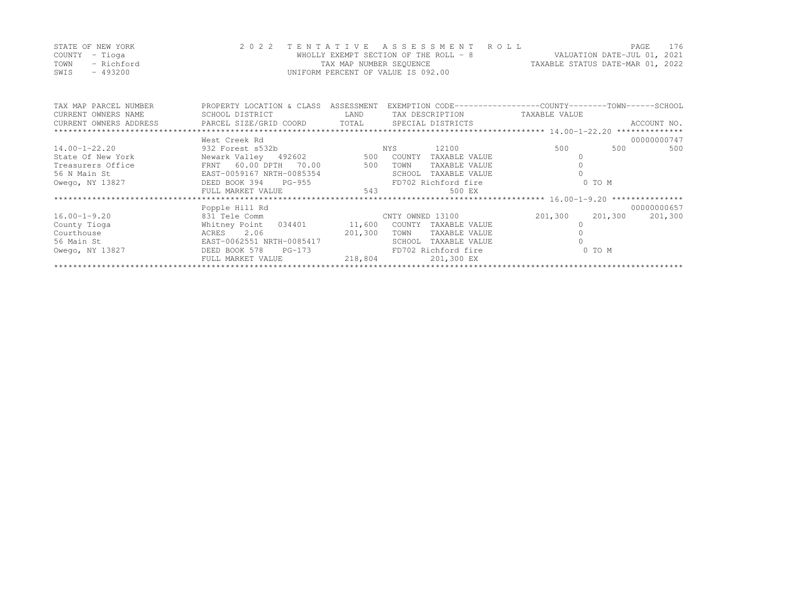|      | STATE OF NEW YORK | 2022 TENTATIVE ASSESSMENT ROLL        |                                  | PAGE                        | 176 |
|------|-------------------|---------------------------------------|----------------------------------|-----------------------------|-----|
|      | COUNTY – Tioga    | WHOLLY EXEMPT SECTION OF THE ROLL - 8 |                                  | VALUATION DATE-JUL 01, 2021 |     |
| TOWN | – Richford        | TAX MAP NUMBER SEQUENCE               | TAXABLE STATUS DATE-MAR 01, 2022 |                             |     |
| SWIS | - 493200          | UNIFORM PERCENT OF VALUE IS 092.00    |                                  |                             |     |

| TAX MAP PARCEL NUMBER  | PROPERTY LOCATION & CLASS   | ASSESSMENT | EXEMPTION CODE-----------------COUNTY-------TOWN------SCHOOL |                    |             |
|------------------------|-----------------------------|------------|--------------------------------------------------------------|--------------------|-------------|
| CURRENT OWNERS NAME    | SCHOOL DISTRICT             | LAND       | TAX DESCRIPTION                                              | TAXABLE VALUE      |             |
| CURRENT OWNERS ADDRESS | PARCEL SIZE/GRID COORD      | TOTAL      | SPECIAL DISTRICTS                                            |                    | ACCOUNT NO. |
|                        |                             |            |                                                              |                    |             |
|                        | West Creek Rd               |            |                                                              |                    | 00000000747 |
| $14.00 - 1 - 22.20$    | 932 Forest s532b            |            | 12100<br>NYS                                                 | 500<br>500         | 500         |
| State Of New York      | Newark Valley 492602 500    |            | COUNTY<br>TAXABLE VALUE                                      |                    |             |
| Treasurers Office      | FRNT 60.00 DPTH 70.00       | 500        | TAXABLE VALUE<br>TOWN                                        |                    |             |
| 56 N Main St           | EAST-0059167 NRTH-0085354   |            | SCHOOL<br>TAXABLE VALUE                                      |                    |             |
| Owego, NY 13827        | DEED BOOK 394 PG-955        |            | FD702 Richford fire                                          | 0 TO M             |             |
|                        | FULL MARKET VALUE           | 543        | 500 EX                                                       |                    |             |
|                        |                             |            |                                                              |                    |             |
|                        | Popple Hill Rd              |            |                                                              |                    | 00000000657 |
| $16.00 - 1 - 9.20$     | 831 Tele Comm               |            | CNTY OWNED 13100                                             | 201,300<br>201,300 | 201,300     |
| County Tioga           | Whitney Point 034401 11,600 |            | COUNTY TAXABLE VALUE                                         |                    |             |
| Courthouse             | 2.06<br>ACRES               | 201,300    | TOWN<br>TAXABLE VALUE                                        |                    |             |
| 56 Main St             | EAST-0062551 NRTH-0085417   |            | SCHOOL<br>TAXABLE VALUE                                      |                    |             |
| Owego, NY 13827        | DEED BOOK 578<br>PG-173     |            | FD702 Richford fire                                          | 0 TO M             |             |
|                        | FULL MARKET VALUE           | 218,804    | 201,300 EX                                                   |                    |             |
|                        |                             |            |                                                              |                    |             |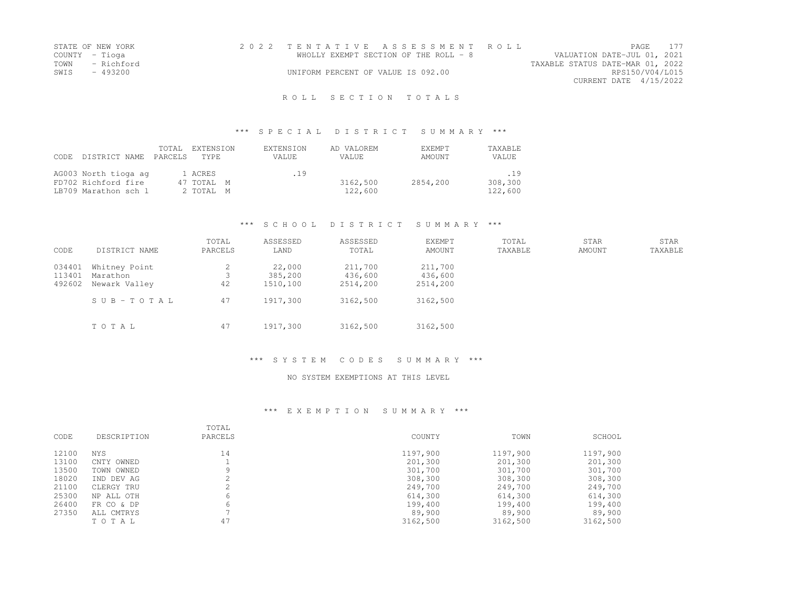| STATE OF NEW YORK | 2022 TENTATIVE ASSESSMENT ROLL        |                                  | <b>PAGE</b>            | 177 |
|-------------------|---------------------------------------|----------------------------------|------------------------|-----|
| COUNTY – Tioga    | WHOLLY EXEMPT SECTION OF THE ROLL - 8 | VALUATION DATE-JUL 01, 2021      |                        |     |
| TOWN - Richford   |                                       | TAXABLE STATUS DATE-MAR 01, 2022 |                        |     |
| SWTS<br>- 493200  | UNIFORM PERCENT OF VALUE IS 092.00    |                                  | RPS150/V04/L015        |     |
|                   |                                       |                                  | CURRENT DATE 4/15/2022 |     |
|                   |                                       |                                  |                        |     |

### \*\*\* S P E C I A L D I S T R I C T S U M M A R Y \*\*\*

| CODE. | DISTRICT NAME                                                       | TOTAL.<br>PARCELS | EXTENSION<br>TYPE                  | EXTENSION<br>VALUE | AD VALOREM<br>VALUE | EXEMPT<br>AMOUNT | <b>TAXABLE</b><br>VALUE   |
|-------|---------------------------------------------------------------------|-------------------|------------------------------------|--------------------|---------------------|------------------|---------------------------|
|       | AG003 North tioga ag<br>FD702 Richford fire<br>LB709 Marathon sch l |                   | 1 ACRES<br>47 TOTAL M<br>2 TOTAL M | .19                | 3162,500<br>122,600 | 2854,200         | .19<br>308,300<br>122,600 |

### \*\*\* S C H O O L D I S T R I C T S U M M A R Y \*\*\*

| CODE                       | DISTRICT NAME                              | TOTAL<br>PARCELS | ASSESSED<br>LAND              | ASSESSED<br>TOTAL              | <b>EXEMPT</b><br>AMOUNT        | TOTAL<br>TAXABLE | STAR<br>AMOUNT | STAR<br>TAXABLE |
|----------------------------|--------------------------------------------|------------------|-------------------------------|--------------------------------|--------------------------------|------------------|----------------|-----------------|
| 034401<br>113401<br>492602 | Whitney Point<br>Marathon<br>Newark Valley | ∠<br>42          | 22,000<br>385,200<br>1510,100 | 211,700<br>436,600<br>2514,200 | 211,700<br>436,600<br>2514,200 |                  |                |                 |
|                            | SUB-TOTAL                                  | 47               | 1917,300                      | 3162,500                       | 3162,500                       |                  |                |                 |
|                            | TOTAL                                      | 47               | 1917,300                      | 3162,500                       | 3162,500                       |                  |                |                 |

### \*\*\* S Y S T E M C O D E S S U M M A R Y \*\*\*

#### NO SYSTEM EXEMPTIONS AT THIS LEVEL

| CODE  | DESCRIPTION | TOTAL<br>PARCELS | COUNTY   | TOWN     | SCHOOL   |
|-------|-------------|------------------|----------|----------|----------|
| 12100 | <b>NYS</b>  | 14               | 1197,900 | 1197,900 | 1197,900 |
| 13100 | CNTY OWNED  |                  | 201,300  | 201,300  | 201,300  |
| 13500 | TOWN OWNED  | 9                | 301,700  | 301,700  | 301,700  |
| 18020 | IND DEV AG  |                  | 308,300  | 308,300  | 308,300  |
| 21100 | CLERGY TRU  |                  | 249,700  | 249,700  | 249,700  |
| 25300 | NP ALL OTH  | 6                | 614,300  | 614,300  | 614,300  |
| 26400 | FR CO & DP  | 6                | 199,400  | 199,400  | 199,400  |
| 27350 | ALL CMTRYS  |                  | 89,900   | 89,900   | 89,900   |
|       | TOTAL       | 47               | 3162,500 | 3162,500 | 3162,500 |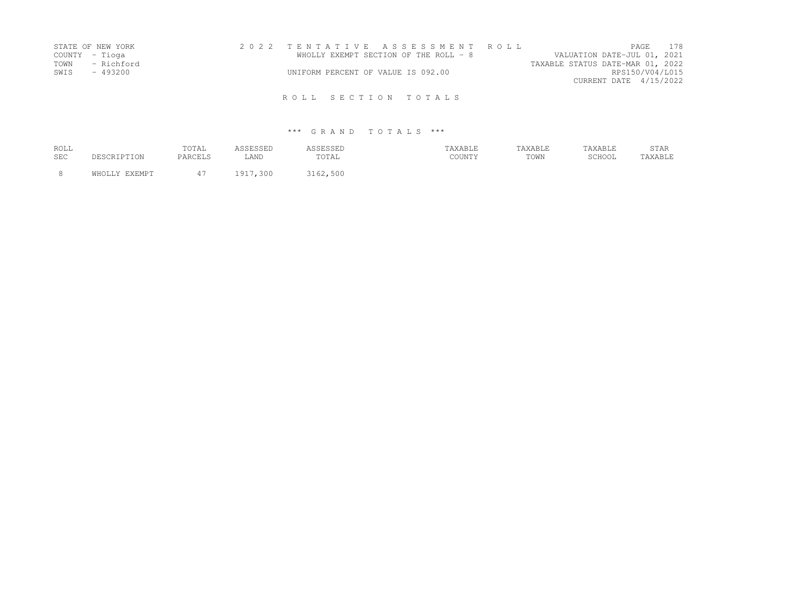|      | STATE OF NEW YORK | 2022 TENTATIVE ASSESSMENT ROLL        |  |                                  |                        | <b>PAGE 178</b> |
|------|-------------------|---------------------------------------|--|----------------------------------|------------------------|-----------------|
|      | COUNTY - Tioga    | WHOLLY EXEMPT SECTION OF THE ROLL - 8 |  | VALUATION DATE-JUL 01, 2021      |                        |                 |
| TOWN | - Richford        |                                       |  | TAXABLE STATUS DATE-MAR 01, 2022 |                        |                 |
| SWIS | - 493200          | UNIFORM PERCENT OF VALUE IS 092.00    |  |                                  | RPS150/V04/L015        |                 |
|      |                   |                                       |  |                                  | CURRENT DATE 4/15/2022 |                 |
|      |                   | ROLL SECTION TOTALS                   |  |                                  |                        |                 |

| ROLL<br><b>SEC</b> | DESCRIPTION   | TOTAL<br>PARCELS | ASSESSED<br>LAND | ASSESSED<br>TOTAL | TAXABLE<br>COUNTY | TAXABLE<br>TOWN | TAXABLE<br>SCHOOL | <b>STAR</b><br>TAXABLE |
|--------------------|---------------|------------------|------------------|-------------------|-------------------|-----------------|-------------------|------------------------|
|                    | WHOLLY EXEMPT | 47               | 1917,300         | 3162,500          |                   |                 |                   |                        |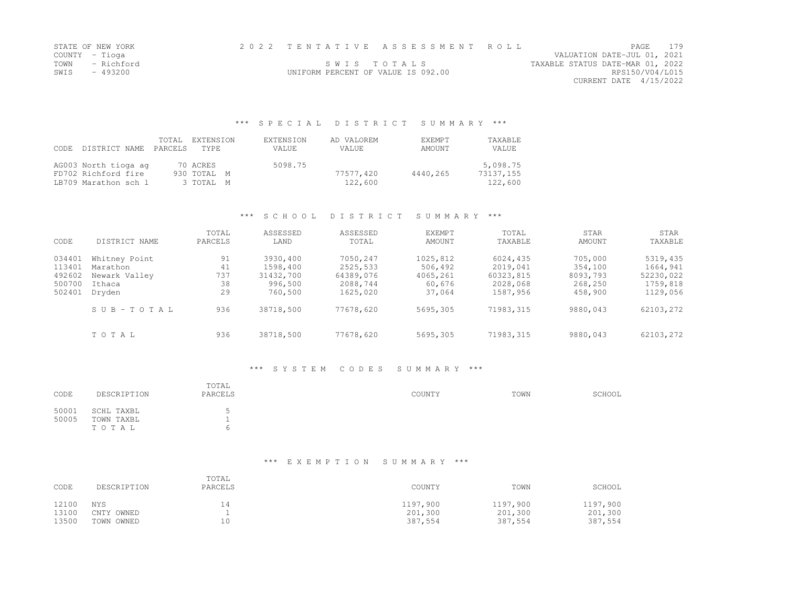| STATE OF NEW YORK  |                                    | 2022 TENTATIVE ASSESSMENT ROLL |                                  | PAGE.                       | 179 |
|--------------------|------------------------------------|--------------------------------|----------------------------------|-----------------------------|-----|
| COUNTY – Tioqa     |                                    |                                |                                  | VALUATION DATE-JUL 01, 2021 |     |
| TOWN<br>– Richford | SWIS TOTALS                        |                                | TAXABLE STATUS DATE-MAR 01, 2022 |                             |     |
| SWIS<br>- 493200   | UNIFORM PERCENT OF VALUE IS 092.00 |                                |                                  | RPS150/V04/L015             |     |
|                    |                                    |                                |                                  | CURRENT DATE 4/15/2022      |     |

### \*\*\* S P E C I A L D I S T R I C T S U M M A R Y \*\*\*

| CODE DISTRICT NAME                                                  | TOTAL<br>PARCELS TYPE | EXTENSION                            | EXTENSION<br><b>VALUE</b> | AD VALOREM<br>VALUE  | <b>F.XF.MPT</b><br>AMOUNT | <b>TAXABLE</b><br>VALUE          |
|---------------------------------------------------------------------|-----------------------|--------------------------------------|---------------------------|----------------------|---------------------------|----------------------------------|
| AG003 North tioga ag<br>FD702 Richford fire<br>LB709 Marathon sch l |                       | 70 ACRES<br>930 TOTAL M<br>3 TOTAL M | 5098.75                   | 77577,420<br>122,600 | 4440.265                  | 5,098.75<br>73137,155<br>122,600 |

### \*\*\* S C H O O L D I S T R I C T S U M M A R Y \*\*\*

| CODE                                           | DISTRICT NAME                                                  | TOTAL<br>PARCELS            | ASSESSED<br>LAND                                        | ASSESSED<br>TOTAL                                         | <b>EXEMPT</b><br><b>AMOUNT</b>                      | TOTAL<br>TAXABLE                                          | STAR<br>AMOUNT                                       | STAR<br>TAXABLE                                           |
|------------------------------------------------|----------------------------------------------------------------|-----------------------------|---------------------------------------------------------|-----------------------------------------------------------|-----------------------------------------------------|-----------------------------------------------------------|------------------------------------------------------|-----------------------------------------------------------|
| 034401<br>113401<br>492602<br>500700<br>502401 | Whitney Point<br>Marathon<br>Newark Valley<br>Ithaca<br>Dryden | 91<br>41<br>737<br>38<br>29 | 3930,400<br>1598,400<br>31432,700<br>996,500<br>760,500 | 7050,247<br>2525,533<br>64389,076<br>2088,744<br>1625,020 | 1025,812<br>506,492<br>4065,261<br>60,676<br>37,064 | 6024,435<br>2019,041<br>60323,815<br>2028,068<br>1587,956 | 705,000<br>354,100<br>8093,793<br>268,250<br>458,900 | 5319,435<br>1664,941<br>52230,022<br>1759,818<br>1129,056 |
|                                                | SUB-TOTAL                                                      | 936                         | 38718,500                                               | 77678,620                                                 | 5695,305                                            | 71983,315                                                 | 9880,043                                             | 62103,272                                                 |
|                                                | TOTAL                                                          | 936                         | 38718,500                                               | 77678,620                                                 | 5695,305                                            | 71983,315                                                 | 9880,043                                             | 62103,272                                                 |

### \*\*\* S Y S T E M C O D E S S U M M A R Y \*\*\*

| CODE           | DESCRIPTION                       | TOTAL<br>PARCELS | COUNTY | TOWN | SCHOOL |
|----------------|-----------------------------------|------------------|--------|------|--------|
| 50001<br>50005 | SCHL TAXBL<br>TOWN TAXBL<br>TOTAL |                  |        |      |        |

| CODE  | DESCRIPTION | TOTAL<br>PARCELS | COUNTY   | TOWN     | SCHOOL   |
|-------|-------------|------------------|----------|----------|----------|
| 12100 | NYS         | 14               | 1197,900 | 1197.900 | 1197,900 |
| 13100 | CNTY OWNED  |                  | 201,300  | 201,300  | 201,300  |
| 13500 | TOWN OWNED  | 10               | 387,554  | 387,554  | 387,554  |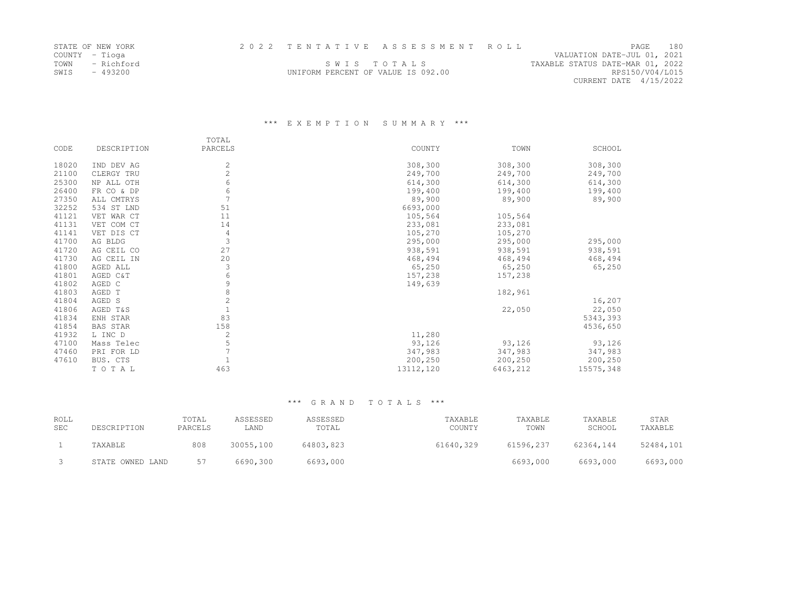| STATE OF NEW YORK  |                                    | 2022 TENTATIVE ASSESSMENT ROLL |                                  |                        | <b>PAGE</b> | 180 |
|--------------------|------------------------------------|--------------------------------|----------------------------------|------------------------|-------------|-----|
| COUNTY – Tioga     |                                    |                                | VALUATION DATE-JUL 01, 2021      |                        |             |     |
| TOWN<br>– Richford | SWIS TOTALS                        |                                | TAXABLE STATUS DATE-MAR 01, 2022 |                        |             |     |
| SWIS<br>- 493200   | UNIFORM PERCENT OF VALUE IS 092.00 |                                |                                  | RPS150/V04/L015        |             |     |
|                    |                                    |                                |                                  | CURRENT DATE 4/15/2022 |             |     |

### \*\*\* E X E M P T I O N S U M M A R Y \*\*\*

|       |             | TOTAL          |           |          |           |
|-------|-------------|----------------|-----------|----------|-----------|
| CODE  | DESCRIPTION | PARCELS        | COUNTY    | TOWN     | SCHOOL    |
| 18020 | IND DEV AG  | $\mathbf{2}$   | 308,300   | 308,300  | 308,300   |
| 21100 | CLERGY TRU  | $\overline{c}$ | 249,700   | 249,700  | 249,700   |
| 25300 | NP ALL OTH  | 6              | 614,300   | 614,300  | 614,300   |
| 26400 | FR CO & DP  | 6              | 199,400   | 199,400  | 199,400   |
| 27350 | ALL CMTRYS  |                | 89,900    | 89,900   | 89,900    |
| 32252 | 534 ST LND  | 51             | 6693,000  |          |           |
| 41121 | VET WAR CT  | 11             | 105,564   | 105,564  |           |
| 41131 | VET COM CT  | 14             | 233,081   | 233,081  |           |
| 41141 | VET DIS CT  | 4              | 105,270   | 105,270  |           |
| 41700 | AG BLDG     | 3              | 295,000   | 295,000  | 295,000   |
| 41720 | AG CEIL CO  | 27             | 938,591   | 938,591  | 938,591   |
| 41730 | AG CEIL IN  | 20             | 468,494   | 468,494  | 468,494   |
| 41800 | AGED ALL    | 3              | 65,250    | 65,250   | 65,250    |
| 41801 | AGED C&T    | $\sqrt{6}$     | 157,238   | 157,238  |           |
| 41802 | AGED C      | 9              | 149,639   |          |           |
| 41803 | AGED T      | 8              |           | 182,961  |           |
| 41804 | AGED S      | $\mathbf 2$    |           |          | 16,207    |
| 41806 | AGED T&S    |                |           | 22,050   | 22,050    |
| 41834 | ENH STAR    | 83             |           |          | 5343,393  |
| 41854 | BAS STAR    | 158            |           |          | 4536,650  |
| 41932 | L INC D     | 2              | 11,280    |          |           |
| 47100 | Mass Telec  | 5              | 93,126    | 93,126   | 93,126    |
| 47460 | PRI FOR LD  |                | 347,983   | 347,983  | 347,983   |
| 47610 | BUS. CTS    |                | 200,250   | 200,250  | 200,250   |
|       | TOTAL       | 463            | 13112,120 | 6463,212 | 15575,348 |

| ROLL<br><b>SEC</b> | DESCRIPTION      | TOTAL<br>PARCELS | ASSESSED<br>LAND | ASSESSED<br>TOTAL | TAXABLE<br>COUNTY | TAXABLE<br>TOWN | TAXABLE<br>SCHOOL | STAR<br>TAXABLE |
|--------------------|------------------|------------------|------------------|-------------------|-------------------|-----------------|-------------------|-----------------|
|                    | TAXABLE          | 808              | 30055,100        | 64803,823         | 61640,329         | 61596,237       | 62364.144         | 52484,101       |
|                    | STATE OWNED LAND | 57               | 6690,300         | 6693,000          |                   | 6693,000        | 6693,000          | 6693,000        |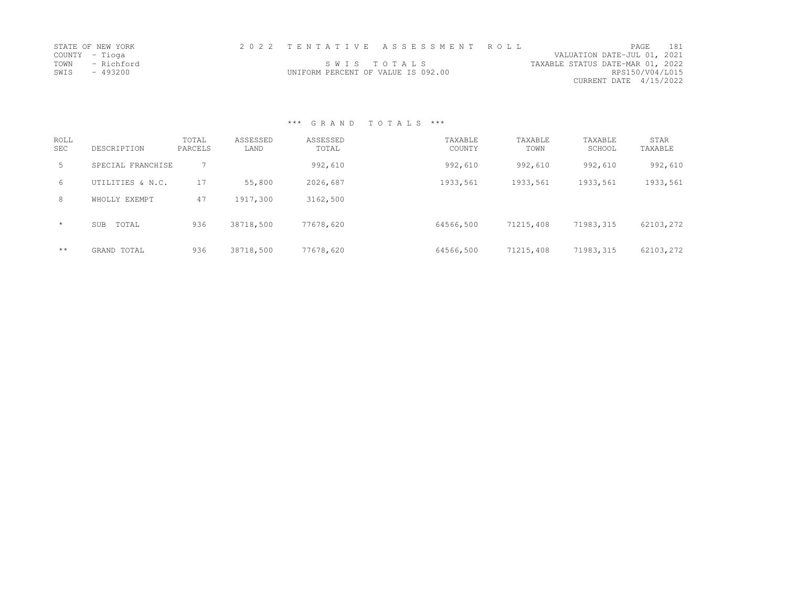| STATE OF NEW YORK  |                                    | 2022 TENTATIVE ASSESSMENT ROLL |                                  | <b>PAGE</b>            | 181 |
|--------------------|------------------------------------|--------------------------------|----------------------------------|------------------------|-----|
| COUNTY – Tioga     |                                    |                                | VALUATION DATE-JUL 01, 2021      |                        |     |
| TOWN<br>- Richford |                                    | SWIS TOTALS                    | TAXABLE STATUS DATE-MAR 01, 2022 |                        |     |
| SWIS - 493200      | UNIFORM PERCENT OF VALUE IS 092.00 |                                |                                  | RPS150/V04/L015        |     |
|                    |                                    |                                |                                  | CURRENT DATE 4/15/2022 |     |

# \*\*\* G R A N D T O T A L S \*\*\*

| <b>ROLL</b><br><b>SEC</b> | DESCRIPTION         | TOTAL<br>PARCELS | ASSESSED<br>LAND | ASSESSED<br>TOTAL | TAXABLE<br>COUNTY | TAXABLE<br>TOWN | TAXABLE<br>SCHOOL | STAR<br>TAXABLE |
|---------------------------|---------------------|------------------|------------------|-------------------|-------------------|-----------------|-------------------|-----------------|
| 5                         | SPECIAL FRANCHISE   |                  |                  | 992,610           | 992,610           | 992,610         | 992,610           | 992,610         |
| 6                         | UTILITIES & N.C.    | 17               | 55,800           | 2026,687          | 1933,561          | 1933,561        | 1933,561          | 1933,561        |
| 8                         | WHOLLY EXEMPT       | 47               | 1917,300         | 3162,500          |                   |                 |                   |                 |
| $\star$                   | <b>SUB</b><br>TOTAL | 936              | 38718,500        | 77678,620         | 64566,500         | 71215,408       | 71983,315         | 62103,272       |
| $\star\star$              | GRAND TOTAL         | 936              | 38718,500        | 77678,620         | 64566,500         | 71215,408       | 71983, 315        | 62103,272       |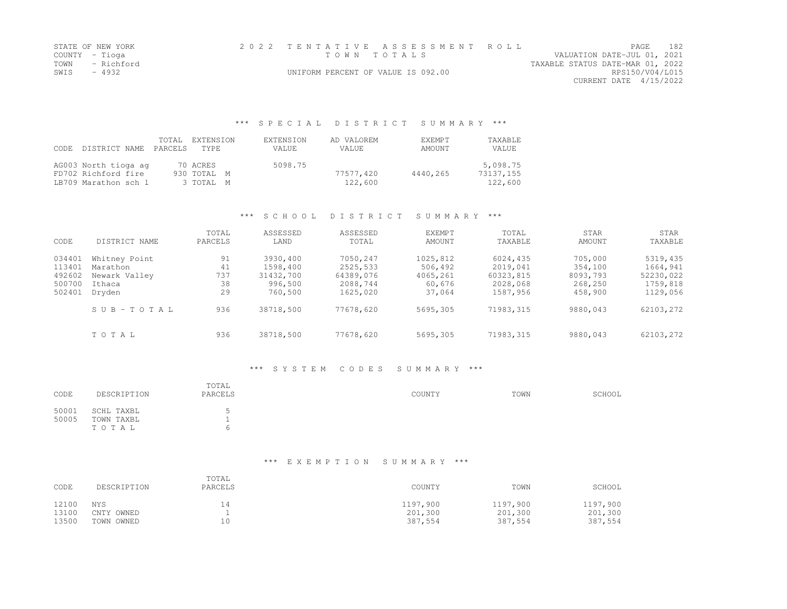|                | STATE OF NEW YORK |                                    | 2022 TENTATIVE ASSESSMENT ROLL |                                  | PAGE                        | 182 |
|----------------|-------------------|------------------------------------|--------------------------------|----------------------------------|-----------------------------|-----|
| COUNTY – Tioga |                   | TOWN TOTALS                        |                                |                                  | VALUATION DATE-JUL 01, 2021 |     |
|                | TOWN - Richford   |                                    |                                | TAXABLE STATUS DATE-MAR 01, 2022 |                             |     |
| SWIS           | - 4932            | UNIFORM PERCENT OF VALUE IS 092.00 |                                |                                  | RPS150/V04/L015             |     |
|                |                   |                                    |                                |                                  | CURRENT DATE 4/15/2022      |     |

#### \*\*\* S P E C I A L D I S T R I C T S U M M A R Y \*\*\*

| CODE DISTRICT NAME                                                  | TOTAL<br>PARCELS | EXTENSION<br>TYPE                    | EXTENSION<br>VALUE. | AD VALOREM<br>VALUE  | <b>F.XFMPT</b><br>AMOUNT | <b>TAXABLE</b><br>VALUE          |
|---------------------------------------------------------------------|------------------|--------------------------------------|---------------------|----------------------|--------------------------|----------------------------------|
| AG003 North tioga ag<br>FD702 Richford fire<br>LB709 Marathon sch l |                  | 70 ACRES<br>930 TOTAL M<br>3 TOTAL M | 5098.75             | 77577,420<br>122,600 | 4440,265                 | 5,098.75<br>73137,155<br>122,600 |

### \*\*\* S C H O O L D I S T R I C T S U M M A R Y \*\*\*

| CODE                                           | DISTRICT NAME                                                  | TOTAL<br>PARCELS            | ASSESSED<br>LAND                                        | ASSESSED<br>TOTAL                                         | <b>EXEMPT</b><br><b>AMOUNT</b>                      | TOTAL<br>TAXABLE                                          | STAR<br>AMOUNT                                       | STAR<br>TAXABLE                                           |
|------------------------------------------------|----------------------------------------------------------------|-----------------------------|---------------------------------------------------------|-----------------------------------------------------------|-----------------------------------------------------|-----------------------------------------------------------|------------------------------------------------------|-----------------------------------------------------------|
| 034401<br>113401<br>492602<br>500700<br>502401 | Whitney Point<br>Marathon<br>Newark Valley<br>Ithaca<br>Dryden | 91<br>41<br>737<br>38<br>29 | 3930,400<br>1598,400<br>31432,700<br>996,500<br>760,500 | 7050,247<br>2525,533<br>64389,076<br>2088,744<br>1625,020 | 1025,812<br>506,492<br>4065,261<br>60,676<br>37,064 | 6024,435<br>2019,041<br>60323,815<br>2028,068<br>1587,956 | 705,000<br>354,100<br>8093,793<br>268,250<br>458,900 | 5319,435<br>1664,941<br>52230,022<br>1759,818<br>1129,056 |
|                                                | SUB-TOTAL                                                      | 936                         | 38718,500                                               | 77678,620                                                 | 5695,305                                            | 71983,315                                                 | 9880,043                                             | 62103,272                                                 |
|                                                | TOTAL                                                          | 936                         | 38718,500                                               | 77678,620                                                 | 5695,305                                            | 71983,315                                                 | 9880,043                                             | 62103,272                                                 |

#### \*\*\* S Y S T E M C O D E S S U M M A R Y \*\*\*

| CODE           | DESCRIPTION                       | TOTAL<br>PARCELS | COUNTY | TOWN | SCHOOL |
|----------------|-----------------------------------|------------------|--------|------|--------|
| 50001<br>50005 | SCHL TAXBL<br>TOWN TAXBL<br>TOTAL |                  |        |      |        |

# \*\*\* E X E M P T I O N S U M M A R Y \*\*\*

| CODE  | DESCRIPTION | TOTAL<br>PARCELS | COUNTY   | TOWN     | SCHOOL   |
|-------|-------------|------------------|----------|----------|----------|
| 12100 | NYS         | 14               | 1197,900 | 1197,900 | 1197,900 |
| 13100 | CNTY OWNED  |                  | 201,300  | 201,300  | 201,300  |
| 13500 | TOWN OWNED  | 10               | 387,554  | 387,554  | 387,554  |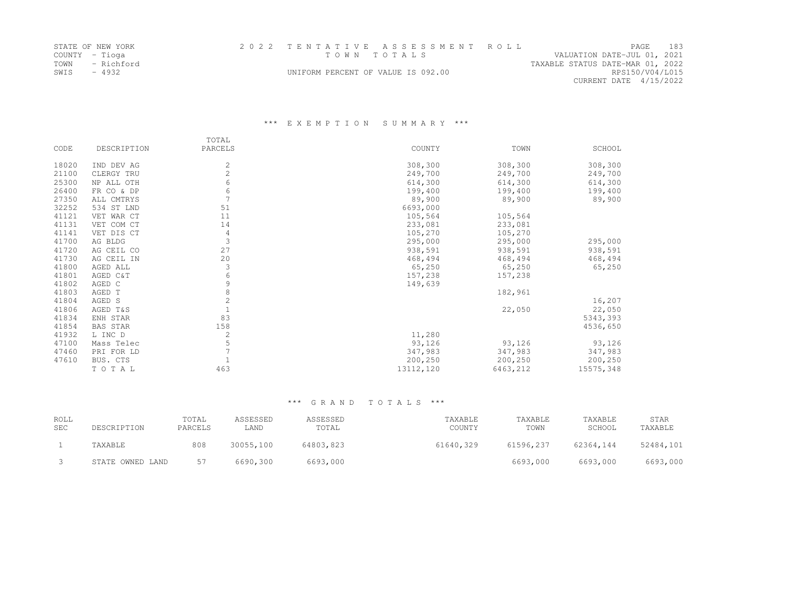|                | STATE OF NEW YORK |                                    | 2022 TENTATIVE ASSESSMENT ROLL |                                  | PAGE                   | 183 |
|----------------|-------------------|------------------------------------|--------------------------------|----------------------------------|------------------------|-----|
| COUNTY - Tioga |                   | TOWN TOTALS                        |                                | VALUATION DATE-JUL 01, 2021      |                        |     |
| TOWN           | - Richford        |                                    |                                | TAXABLE STATUS DATE-MAR 01, 2022 |                        |     |
| SWIS           | $-4932$           | UNIFORM PERCENT OF VALUE IS 092.00 |                                |                                  | RPS150/V04/L015        |     |
|                |                   |                                    |                                |                                  | CURRENT DATE 4/15/2022 |     |

# \*\*\* E X E M P T I O N S U M M A R Y \*\*\*

|       |                 | TOTAL          |           |          |           |
|-------|-----------------|----------------|-----------|----------|-----------|
| CODE  | DESCRIPTION     | PARCELS        | COUNTY    | TOWN     | SCHOOL    |
| 18020 | IND DEV AG      | $\overline{c}$ | 308,300   | 308,300  | 308,300   |
| 21100 | CLERGY TRU      | $\overline{c}$ | 249,700   | 249,700  | 249,700   |
| 25300 | NP ALL OTH      | 6              | 614,300   | 614,300  | 614,300   |
| 26400 | FR CO & DP      | 6              | 199,400   | 199,400  | 199,400   |
| 27350 | ALL CMTRYS      |                | 89,900    | 89,900   | 89,900    |
| 32252 | 534 ST LND      | 51             | 6693,000  |          |           |
| 41121 | VET WAR CT      | 11             | 105,564   | 105,564  |           |
| 41131 | VET COM CT      | 14             | 233,081   | 233,081  |           |
| 41141 | VET DIS CT      | 4              | 105,270   | 105,270  |           |
| 41700 | AG BLDG         | 3              | 295,000   | 295,000  | 295,000   |
| 41720 | AG CEIL CO      | 27             | 938,591   | 938,591  | 938,591   |
| 41730 | AG CEIL IN      | 20             | 468,494   | 468,494  | 468,494   |
| 41800 | AGED ALL        | 3              | 65,250    | 65,250   | 65,250    |
| 41801 | AGED C&T        | 6              | 157,238   | 157,238  |           |
| 41802 | AGED C          | 9              | 149,639   |          |           |
| 41803 | AGED T          | 8              |           | 182,961  |           |
| 41804 | AGED S          | $\mathbf{2}$   |           |          | 16,207    |
| 41806 | AGED T&S        |                |           | 22,050   | 22,050    |
| 41834 | ENH STAR        | 83             |           |          | 5343,393  |
| 41854 | <b>BAS STAR</b> | 158            |           |          | 4536,650  |
| 41932 | L INC D         | 2              | 11,280    |          |           |
| 47100 | Mass Telec      | 5              | 93,126    | 93,126   | 93,126    |
| 47460 | PRI FOR LD      |                | 347,983   | 347,983  | 347,983   |
| 47610 | BUS. CTS        |                | 200,250   | 200,250  | 200,250   |
|       | TOTAL           | 463            | 13112,120 | 6463,212 | 15575,348 |

### \*\*\* G R A N D T O T A L S \*\*\*

| ROLL<br><b>SEC</b> | DESCRIPTION      | TOTAL<br>PARCELS | ASSESSED<br>LAND | ASSESSED<br>TOTAL | TAXABLE<br>COUNTY | TAXABLE<br>TOWN | TAXABLE<br>SCHOOL | STAR<br>TAXABLE |
|--------------------|------------------|------------------|------------------|-------------------|-------------------|-----------------|-------------------|-----------------|
|                    | TAXABLE          | 808              | 30055,100        | 64803,823         | 61640,329         | 61596,237       | 62364.144         | 52484,101       |
|                    | STATE OWNED LAND | 57               | 6690,300         | 6693,000          |                   | 6693,000        | 6693,000          | 6693,000        |